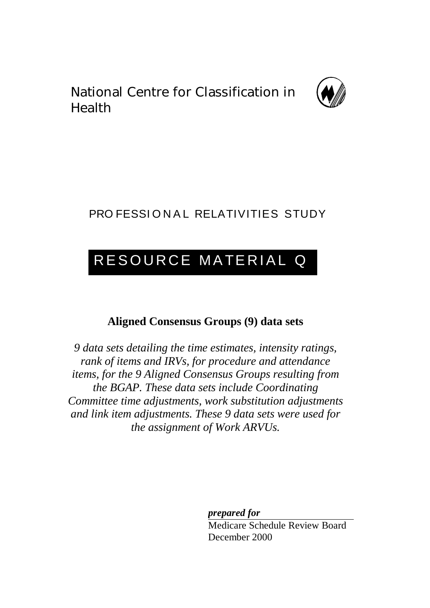National Centre for Classification in Health



# PRO FESSIONAL RELATIVITIES STUDY

# RESOURCE MATERIAL Q

# **Aligned Consensus Groups (9) data sets**

*9 data sets detailing the time estimates, intensity ratings, rank of items and IRVs, for procedure and attendance items, for the 9 Aligned Consensus Groups resulting from the BGAP. These data sets include Coordinating Committee time adjustments, work substitution adjustments and link item adjustments. These 9 data sets were used for the assignment of Work ARVUs.*

*prepared for*

Medicare Schedule Review Board December 2000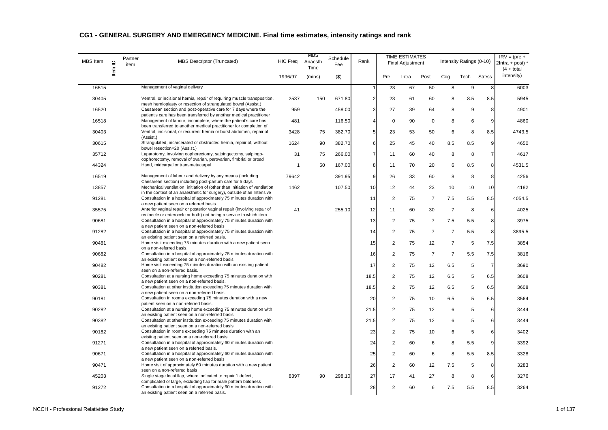| <b>MBS</b> Item | $\mathrel{\underline{\mathsf{O}}}$ | Partner<br>item | MBS Descriptor (Truncated)                                                                                                                     | <b>HIC Freq</b> | <b>MBS</b><br>Anaesth<br>Time | Schedule<br>Fee | Rank           |                | <b>TIME ESTIMATES</b><br><b>Final Adjustment</b> |                |                | Intensity Ratings (0-10) |                | $IRV = (pre +$<br>$2$ Intra + post) $*$<br>$(4 + total)$ |
|-----------------|------------------------------------|-----------------|------------------------------------------------------------------------------------------------------------------------------------------------|-----------------|-------------------------------|-----------------|----------------|----------------|--------------------------------------------------|----------------|----------------|--------------------------|----------------|----------------------------------------------------------|
|                 | Item                               |                 |                                                                                                                                                | 1996/97         | (mins)                        | $($ \$)         |                | Pre            | Intra                                            | Post           | Cog            | Tech                     | <b>Stress</b>  | intensity)                                               |
| 16515           |                                    |                 | Management of vaginal delivery                                                                                                                 |                 |                               |                 |                | 23             | 67                                               | 50             | 8              | 9                        | 8              | 6003                                                     |
| 30405           |                                    |                 | Ventral, or incisional hernia, repair of requiring muscle transposition,<br>mesh hernioplasty or resection of strangulated bowel (Assist.)     | 2537            | 150                           | 671.80          | $\overline{2}$ | 23             | 61                                               | 60             | 8              | 8.5                      | 8.5            | 5945                                                     |
| 16520           |                                    |                 | Caesarean section and post-operative care for 7 days where the<br>patient's care has been transferred by another medical practitioner          | 959             |                               | 458.00          | 3              | 27             | 39                                               | 64             | 8              | 9                        | 8              | 4901                                                     |
| 16518           |                                    |                 | Management of labour, incomplete, where the patient's care has<br>been transferred to another medical practitioner for completion of           | 481             |                               | 116.50          |                | $\mathbf 0$    | 90                                               | $\mathbf 0$    | 8              | 6                        | 9              | 4860                                                     |
| 30403           |                                    |                 | Ventral, incisional, or recurrent hernia or burst abdomen, repair of<br>(Assist.)                                                              | 3428            | 75                            | 382.70          | 5              | 23             | 53                                               | 50             | 6              | 8                        | 8.5            | 4743.5                                                   |
| 30615           |                                    |                 | Strangulated, incarcerated or obstructed hernia, repair of, without<br>bowel resection=20 (Assist.)                                            | 1624            | 90                            | 382.70          | 6              | 25             | 45                                               | 40             | 8.5            | 8.5                      | 9              | 4650                                                     |
| 35712           |                                    |                 | Laparotomy, involving oophorectomy, salpingectomy, salpingo-<br>oophorectomy, removal of ovarian, parovarian, fimbrial or broad                | 31              | 75                            | 266.00          | $\overline{7}$ | 11             | 60                                               | 40             | 8              | 8                        | $\overline{7}$ | 4617                                                     |
| 44324           |                                    |                 | Hand, midcarpal or transmetacarpal                                                                                                             | -1              | 60                            | 167.00          | 8              | 11             | 70                                               | 20             | 6              | 8.5                      | 8              | 4531.5                                                   |
| 16519           |                                    |                 | Management of labour and delivery by any means (including<br>Caesarean section) including post-partum care for 5 days                          | 79642           |                               | 391.95          | 9              | 26             | 33                                               | 60             | 8              | 8                        | 8              | 4256                                                     |
| 13857           |                                    |                 | Mechanical ventilation, initiation of (other than initiation of ventilation                                                                    | 1462            |                               | 107.50          | 10             | 12             | 44                                               | 23             | 10             | 10                       | 10             | 4182                                                     |
| 91281           |                                    |                 | in the context of an anaesthetic for surgery), outside of an Intensive<br>Consultation in a hospital of approximately 75 minutes duration with |                 |                               |                 | 11             | $\overline{c}$ | 75                                               | 7              | 7.5            | 5.5                      | 8.5            | 4054.5                                                   |
| 35575           |                                    |                 | a new patient seen on a referred basis.<br>Anterior vaginal repair or posterior vaginal repair (involving repair of                            | 41              |                               | 255.10          | 12             | 11             | 60                                               | 30             | $\overline{7}$ | 8                        | 6              | 4025                                                     |
| 90681           |                                    |                 | rectocele or enterocele or both) not being a service to which item<br>Consultation in a hospital of approximately 75 minutes duration with     |                 |                               |                 | 13             | 2              | 75                                               | $\overline{7}$ | 7.5            | 5.5                      | 8              | 3975                                                     |
| 91282           |                                    |                 | a new patient seen on a non-referred basis<br>Consultation in a hospital of approximately 75 minutes duration with                             |                 |                               |                 | 14             | $\overline{2}$ | 75                                               | $\overline{7}$ | $\overline{7}$ | 5.5                      | 8              | 3895.5                                                   |
| 90481           |                                    |                 | an existing patient seen on a referred basis.<br>Home visit exceeding 75 minutes duration with a new patient seen                              |                 |                               |                 | 15             | 2              | 75                                               | 12             | $\overline{7}$ | 5                        | 7.5            | 3854                                                     |
| 90682           |                                    |                 | on a non-referred basis.<br>Consultation in a hospital of approximately 75 minutes duration with                                               |                 |                               |                 | 16             | $\overline{c}$ | 75                                               | $\overline{7}$ | $\overline{7}$ | 5.5                      | 7.5            | 3816                                                     |
| 90482           |                                    |                 | an existing patient seen on a non-referred basis.<br>Home visit exceeding 75 minutes duration with an existing patient                         |                 |                               |                 | 17             | $\overline{2}$ | 75                                               | 12             | 6.5            | 5                        | $\overline{7}$ | 3690                                                     |
| 90281           |                                    |                 | seen on a non-referred basis.<br>Consultation at a nursing home exceeding 75 minutes duration with                                             |                 |                               |                 | 18.5           | 2              | 75                                               | 12             | 6.5            | 5                        | 6.5            | 3608                                                     |
| 90381           |                                    |                 | a new patient seen on a non-referred basis.<br>Consultation at other institution exceeding 75 minutes duration with                            |                 |                               |                 | 18.5           | $\overline{2}$ | 75                                               | 12             | 6.5            | 5                        | 6.5            | 3608                                                     |
| 90181           |                                    |                 | a new patient seen on a non-referred basis.<br>Consultation in rooms exceeding 75 minutes duration with a new                                  |                 |                               |                 | 20             | 2              | 75                                               | 10             | 6.5            | 5                        | 6.5            | 3564                                                     |
| 90282           |                                    |                 | patient seen on a non-referred basis.<br>Consultation at a nursing home exceeding 75 minutes duration with                                     |                 |                               |                 | 21.5           | $\overline{2}$ | 75                                               | 12             | 6              | 5                        | 6              | 3444                                                     |
| 90382           |                                    |                 | an existing patient seen on a non-referred basis.<br>Consultation at other institution exceeding 75 minutes duration with                      |                 |                               |                 | 21.5           | $\overline{2}$ | 75                                               | 12             | 6              | 5                        | 6              | 3444                                                     |
| 90182           |                                    |                 | an existing patient seen on a non-referred basis.<br>Consultation in rooms exceeding 75 minutes duration with an                               |                 |                               |                 | 23             | 2              | 75                                               | 10             | 6              | 5                        | 6              | 3402                                                     |
|                 |                                    |                 | existing patient seen on a non-referred basis.                                                                                                 |                 |                               |                 |                |                |                                                  |                |                |                          |                |                                                          |
| 91271           |                                    |                 | Consultation in a hospital of approximately 60 minutes duration with<br>a new patient seen on a referred basis.                                |                 |                               |                 | 24             | $\overline{2}$ | 60                                               | 6              | 8              | 5.5                      | 9              | 3392                                                     |
| 90671           |                                    |                 | Consultation in a hospital of approximately 60 minutes duration with<br>a new patient seen on a non-referred basis                             |                 |                               |                 | 25             | $\overline{c}$ | 60                                               | 6              | 8              | 5.5                      | 8.5            | 3328                                                     |
| 90471           |                                    |                 | Home visit of approximately 60 minutes duration with a new patient<br>seen on a non-referred basis                                             |                 |                               |                 | 26             | $\overline{2}$ | 60                                               | 12             | 7.5            | 5                        | 8              | 3283                                                     |
| 45203           |                                    |                 | Single stage local flap, where indicated to repair 1 defect,<br>complicated or large, excluding flap for male pattern baldness                 | 8397            | 90                            | 298.10          | 27             | 17             | 41                                               | 27             | 8              | 8                        | 6              | 3276                                                     |
| 91272           |                                    |                 | Consultation in a hospital of approximately 60 minutes duration with<br>an existing patient seen on a referred basis.                          |                 |                               |                 | 28             | $\overline{c}$ | 60                                               | 6              | 7.5            | 5.5                      | 8.5            | 3264                                                     |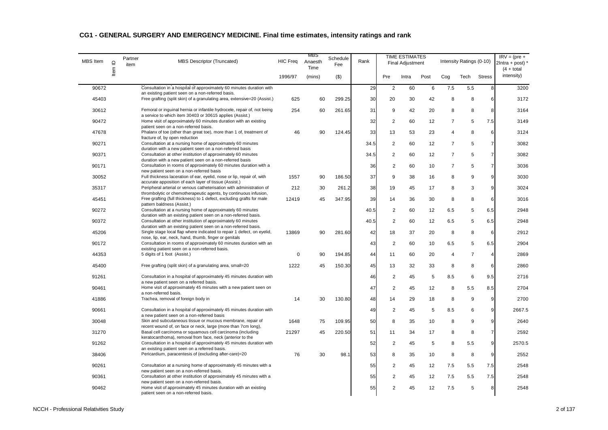| <b>MBS</b> Item | $\mathrel{\underline{\mathsf{O}}}$ | Partner<br>item | <b>MBS Descriptor (Truncated)</b>                                                                                                         | HIC Freq | MBS<br>Anaesth<br>Time | Schedule<br>Fee | Rank |                         | <b>TIME ESTIMATES</b><br><b>Final Adjustment</b> |                   |                | Intensity Ratings (0-10) |                | $IRV = (pre +$<br>$2$ Intra + post) $'$<br>$(4 + total)$ |
|-----------------|------------------------------------|-----------------|-------------------------------------------------------------------------------------------------------------------------------------------|----------|------------------------|-----------------|------|-------------------------|--------------------------------------------------|-------------------|----------------|--------------------------|----------------|----------------------------------------------------------|
|                 | Item                               |                 |                                                                                                                                           | 1996/97  | (mins)                 | $($ \$)         |      | Pre                     | Intra                                            | Post              | Cog            | Tech                     | <b>Stress</b>  | intensity)                                               |
| 90672           |                                    |                 | Consultation in a hospital of approximately 60 minutes duration with<br>an existing patient seen on a non-referred basis.                 |          |                        |                 | 29   | $\overline{2}$          | 60                                               | 6                 | 7.5            | 5.5                      | 8              | 3200                                                     |
| 45403           |                                    |                 | Free grafting (split skin) of a granulating area, extensive=20 (Assist.)                                                                  | 625      | 60                     | 299.25          | 30   | 20                      | 30                                               | 42                | 8              | 8                        | 6              | 3172                                                     |
| 30612           |                                    |                 | Femoral or inquinal hernia or infantile hydrocele, repair of, not being<br>a service to which item 30403 or 30615 applies (Assist.)       | 254      | 60                     | 261.65          | 31   | 9                       | 42                                               | 20                | 8              | 8                        | 8              | 3164                                                     |
| 90472           |                                    |                 | Home visit of approximately 60 minutes duration with an existing<br>patient seen on a non-referred basis.                                 |          |                        |                 | 32   | $\overline{2}$          | 60                                               | $12 \overline{ }$ | $\overline{7}$ | 5                        | 7.5            | 3149                                                     |
| 47678           |                                    |                 | Phalanx of toe (other than great toe), more than 1 of, treatment of                                                                       | 46       | 90                     | 124.45          | 33   | 13                      | 53                                               | 23                | 4              | 8                        | 6              | 3124                                                     |
| 90271           |                                    |                 | fracture of, by open reduction<br>Consultation at a nursing home of approximately 60 minutes                                              |          |                        |                 | 34.5 | $\overline{2}$          | 60                                               | 12                | $\overline{7}$ | 5                        | $\overline{7}$ | 3082                                                     |
| 90371           |                                    |                 | duration with a new patient seen on a non-referred basis<br>Consultation at other institution of approximately 60 minutes                 |          |                        |                 | 34.5 | $\overline{2}$          | 60                                               | 12                | $\overline{7}$ | 5                        | $\overline{7}$ | 3082                                                     |
| 90171           |                                    |                 | duration with a new patient seen on a non-referred basis<br>Consultation in rooms of approximately 60 minutes duration with a             |          |                        |                 | 36   | $\overline{\mathbf{c}}$ | 60                                               | 10                | $\overline{7}$ | 5                        | $\overline{7}$ | 3036                                                     |
| 30052           |                                    |                 | new patient seen on a non-referred basis<br>Full thickness laceration of ear, eyelid, nose or lip, repair of, with                        | 1557     | 90                     | 186.50          | 37   | 9                       | 38                                               | 16                | 8              | 9                        | 9              | 3030                                                     |
| 35317           |                                    |                 | accurate apposition of each layer of tissue (Assist.)<br>Peripheral arterial or venous catheterisation with administration of             | 212      | 30                     | 261.2           | 38   | 19                      | 45                                               | 17                | 8              | 3                        | 9              | 3024                                                     |
| 45451           |                                    |                 | thrombolytic or chemotherapeutic agents, by continuous infusion,<br>Free grafting (full thickness) to 1 defect, excluding grafts for male | 12419    | 45                     | 347.95          | 39   | 14                      | 36                                               | 30                | 8              | 8                        | 6              | 3016                                                     |
| 90272           |                                    |                 | pattern baldness (Assist.)<br>Consultation at a nursing home of approximately 60 minutes                                                  |          |                        |                 | 40.5 | $\overline{2}$          | 60                                               | 12                | 6.5            | 5                        | 6.5            | 2948                                                     |
| 90372           |                                    |                 | duration with an existing patient seen on a non-referred basis.<br>Consultation at other institution of approximately 60 minutes          |          |                        |                 | 40.5 | $\overline{2}$          | 60                                               | 12                | 6.5            | 5                        | 6.5            | 2948                                                     |
| 45206           |                                    |                 | duration with an existing patient seen on a non-referred basis.<br>Single stage local flap where indicated to repair 1 defect, on eyelid, | 13869    | 90                     | 281.60          | 42   | 18                      | 37                                               | 20                | 8              | 8                        | 6              | 2912                                                     |
| 90172           |                                    |                 | nose, lip, ear, neck, hand, thumb, finger or genitals<br>Consultation in rooms of approximately 60 minutes duration with an               |          |                        |                 | 43   | $\overline{2}$          | 60                                               | 10                | 6.5            | 5                        | 6.5            | 2904                                                     |
| 44353           |                                    |                 | existing patient seen on a non-referred basis.<br>5 digits of 1 foot (Assist.)                                                            | 0        | 90                     | 194.85          | 44   | 11                      | 60                                               | 20                | $\overline{4}$ | $\overline{7}$           | $\overline{4}$ | 2869                                                     |
|                 |                                    |                 | Free grafting (split skin) of a granulating area, small=20                                                                                |          |                        |                 |      |                         |                                                  |                   |                |                          |                |                                                          |
| 45400           |                                    |                 |                                                                                                                                           | 1222     | 45                     | 150.30          | 45   | 13                      | 32                                               | 33                | 8              | 8                        | 6              | 2860                                                     |
| 91261           |                                    |                 | Consultation in a hospital of approximately 45 minutes duration with<br>a new patient seen on a referred basis.                           |          |                        |                 | 46   | $\overline{2}$          | 45                                               | 5                 | 8.5            | 6                        | 9.5            | 2716                                                     |
| 90461           |                                    |                 | Home visit of approximately 45 minutes with a new patient seen on<br>a non-referred basis.                                                |          |                        |                 | 47   | $\overline{2}$          | 45                                               | 12                | 8              | 5.5                      | 8.5            | 2704                                                     |
| 41886           |                                    |                 | Trachea, removal of foreign body in                                                                                                       | 14       | 30                     | 130.80          | 48   | 14                      | 29                                               | 18                | 8              | 9                        | 9              | 2700                                                     |
| 90661           |                                    |                 | Consultation in a hospital of approximately 45 minutes duration with<br>a new patient seen on a non-referred basis                        |          |                        |                 | 49   | $\overline{2}$          | 45                                               | 5                 | 8.5            | 6                        | 9              | 2667.5                                                   |
| 30048           |                                    |                 | Skin and subcutaneous tissue or mucous membrane, repair of<br>recent wound of, on face or neck, large (more than 7cm long),               | 1648     | 75                     | 109.95          | 50   | 8                       | 35                                               | 10                | 8              | 9                        | 9              | 2640                                                     |
| 31270           |                                    |                 | Basal cell carcinoma or squamous cell carcinoma (including<br>keratocanthoma), removal from face, neck (anterior to the                   | 21297    | 45                     | 220.50          | 51   | 11                      | 34                                               | 17                | 8              | 8                        | $\overline{7}$ | 2592                                                     |
| 91262           |                                    |                 | Consultation in a hospital of approximately 45 minutes duration with<br>an existing patient seen on a referred basis.                     |          |                        |                 | 52   | $\overline{2}$          | 45                                               | 5                 | 8              | 5.5                      | 9              | 2570.5                                                   |
| 38406           |                                    |                 | Pericardium, paracentesis of (excluding after-care)=20                                                                                    | 76       | 30                     | 98.1            | 53   | 8                       | 35                                               | 10                | 8              | 8                        | 9              | 2552                                                     |
| 90261           |                                    |                 | Consultation at a nursing home of approximately 45 minutes with a<br>new patient seen on a non-referred basis.                            |          |                        |                 | 55   | $\overline{2}$          | 45                                               | 12                | 7.5            | 5.5                      | 7.5            | 2548                                                     |
| 90361           |                                    |                 | Consultation at other institution of approximately 45 minutes with a<br>new patient seen on a non-referred basis.                         |          |                        |                 | 55   | $\overline{\mathbf{c}}$ | 45                                               | 12                | 7.5            | 5.5                      | 7.5            | 2548                                                     |
| 90462           |                                    |                 | Home visit of approximately 45 minutes duration with an existing<br>patient seen on a non-referred basis.                                 |          |                        |                 | 55   | $\overline{2}$          | 45                                               | 12                | 7.5            | 5                        | 8              | 2548                                                     |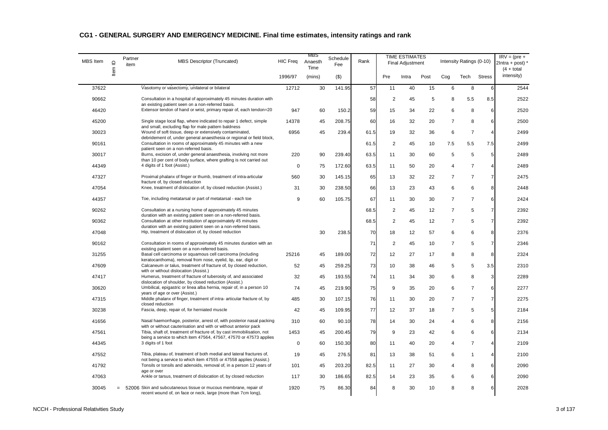| MBS Item | $\supseteq$ | Partner<br>item | MBS Descriptor (Truncated)                                                                                                                 | <b>HIC Freq</b> | MBS<br>Anaesth<br>Time | Schedule<br>Fee | Rank |                | <b>TIME ESTIMATES</b><br><b>Final Adjustment</b> |      |                | Intensity Ratings (0-10) |                 | $IRV = (pre +$<br>$2$ Intra + post) *<br>$(4 + total)$ |
|----------|-------------|-----------------|--------------------------------------------------------------------------------------------------------------------------------------------|-----------------|------------------------|-----------------|------|----------------|--------------------------------------------------|------|----------------|--------------------------|-----------------|--------------------------------------------------------|
|          | ltem        |                 |                                                                                                                                            | 1996/97         | (mins)                 | $($ \$)         |      | Pre            | Intra                                            | Post | Cog            | Tech                     | <b>Stress</b>   | intensity)                                             |
| 37622    |             |                 | Vasotomy or vasectomy, unilateral or bilateral                                                                                             | 12712           | 30                     | 141.95          | 57   | 11             | 40                                               | 15   | 6              | 8                        | 6               | 2544                                                   |
| 90662    |             |                 | Consultation in a hospital of approximately 45 minutes duration with<br>an existing patient seen on a non-referred basis.                  |                 |                        |                 | 58   | $\overline{2}$ | 45                                               | 5    | 8              | 5.5                      | 8.5             | 2522                                                   |
| 46420    |             |                 | Extensor tendon of hand or wrist, primary repair of, each tendon=20                                                                        | 947             | 60                     | 150.2           | 59   | 15             | 34                                               | 22   | 6              | 8                        | 6               | 2520                                                   |
| 45200    |             |                 | Single stage local flap, where indicated to repair 1 defect, simple<br>and small, excluding flap for male pattern baldness                 | 14378           | 45                     | 208.75          | 60   | 16             | 32                                               | 20   | $\overline{7}$ | 8                        | 6               | 2500                                                   |
| 30023    |             |                 | Wound of soft tissue, deep or extensively contaminated,<br>debridement of, under general anaesthesia or regional or field block,           | 6956            | 45                     | 239.4           | 61.5 | 19             | 32                                               | 36   | 6              | $\overline{7}$           | $\overline{4}$  | 2499                                                   |
| 90161    |             |                 | Consultation in rooms of approximately 45 minutes with a new<br>patient seen on a non-referred basis.                                      |                 |                        |                 | 61.5 | $\overline{2}$ | 45                                               | 10   | 7.5            | 5.5                      | 7.5             | 2499                                                   |
| 30017    |             |                 | Burns, excision of, under general anaesthesia, involving not more<br>than 10 per cent of body surface, where grafting is not carried out   | 220             | 90                     | 239.40          | 63.5 | 11             | 30                                               | 60   | 5              | 5                        | $5\phantom{.0}$ | 2489                                                   |
| 44349    |             |                 | 4 digits of 1 foot (Assist.)                                                                                                               | 0               | 75                     | 172.60          | 63.5 | 11             | 50                                               | 20   | 4              | $\overline{7}$           | 4               | 2489                                                   |
| 47327    |             |                 | Proximal phalanx of finger or thumb, treatment of intra-articular<br>fracture of, by closed reduction                                      | 560             | 30                     | 145.15          | 65   | 13             | 32                                               | 22   | $\overline{7}$ | $\overline{7}$           | $\overline{7}$  | 2475                                                   |
| 47054    |             |                 | Knee, treatment of dislocation of, by closed reduction (Assist.)                                                                           | 31              | 30                     | 238.50          | 66   | 13             | 23                                               | 43   | 6              | 6                        | 8               | 2448                                                   |
| 44357    |             |                 | Toe, including metatarsal or part of metatarsal - each toe                                                                                 | 9               | 60                     | 105.75          | 67   | 11             | 30                                               | 30   | $\overline{7}$ | $\overline{7}$           | 6               | 2424                                                   |
| 90262    |             |                 | Consultation at a nursing home of approximately 45 minutes                                                                                 |                 |                        |                 | 68.5 | 2              | 45                                               | 12   | $\overline{7}$ | 5                        | $\overline{7}$  | 2392                                                   |
| 90362    |             |                 | duration with an existing patient seen on a non-referred basis.<br>Consultation at other institution of approximately 45 minutes           |                 |                        |                 | 68.5 | $\overline{2}$ | 45                                               | 12   | $\overline{7}$ | 5                        | $\overline{7}$  | 2392                                                   |
| 47048    |             |                 | duration with an existing patient seen on a non-referred basis.<br>Hip, treatment of dislocation of, by closed reduction                   |                 | 30                     | 238.5           | 70   | 18             | 12                                               | 57   | 6              | 6                        | 8               | 2376                                                   |
| 90162    |             |                 | Consultation in rooms of approximately 45 minutes duration with an<br>existing patient seen on a non-referred basis.                       |                 |                        |                 | 71   | $\overline{2}$ | 45                                               | 10   | $\overline{7}$ | 5                        | $\overline{7}$  | 2346                                                   |
| 31255    |             |                 | Basal cell carcinoma or squamous cell carcinoma (including<br>keratocanthoma), removal from nose, eyelid, lip, ear, digit or               | 25216           | 45                     | 189.00          | 72   | 12             | 27                                               | 17   | 8              | 8                        | 8               | 2324                                                   |
| 47609    |             |                 | Calcaneum or talus, treatment of fracture of, by closed reduction,                                                                         | 52              | 45                     | 259.25          | 73   | 10             | 38                                               | 46   | 5              | 5                        | 3.5             | 2310                                                   |
| 47417    |             |                 | with or without dislocation (Assist.)<br>Humerus, treatment of fracture of tuberosity of, and associated                                   | 32              | 45                     | 193.55          | 74   | 11             | 34                                               | 30   | 6              | 8                        | $\mathbf{3}$    | 2289                                                   |
| 30620    |             |                 | dislocation of shoulder, by closed reduction (Assist.)<br>Umbilical, epigastric or linea alba hernia, repair of, in a person 10            | 74              | 45                     | 219.90          | 75   | 9              | 35                                               | 20   | 6              | $\overline{7}$           | 6               | 2277                                                   |
| 47315    |             |                 | years of age or over (Assist.)<br>Middle phalanx of finger, treatment of intra- articular fracture of, by                                  | 485             | 30                     | 107.15          | 76   | 11             | 30                                               | 20   | $\overline{7}$ | $\overline{7}$           | $\overline{7}$  | 2275                                                   |
| 30238    |             |                 | closed reduction<br>Fascia, deep, repair of, for herniated muscle                                                                          | 42              | 45                     | 109.95          | 77   | 12             | 37                                               | 18   | $\overline{7}$ | 5                        | $5\phantom{.0}$ | 2184                                                   |
| 41656    |             |                 | Nasal haemorrhage, posterior, arrest of, with posterior nasal packing                                                                      | 310             | 60                     | 90.10           | 78   | 14             | 30                                               | 24   | 4              | 6                        | 8               | 2156                                                   |
| 47561    |             |                 | with or without cauterisation and with or without anterior pack<br>Tibia, shaft of, treatment of fracture of, by cast immobilisation, not  | 1453            | 45                     | 200.45          | 79   | 9              | 23                                               | 42   | 6              | 6                        | 6               | 2134                                                   |
| 44345    |             |                 | being a service to which item 47564, 47567, 47570 or 47573 applies<br>3 digits of 1 foot                                                   | 0               | 60                     | 150.30          | 80   | 11             | 40                                               | 20   | 4              | $\overline{7}$           | $\overline{4}$  | 2109                                                   |
| 47552    |             |                 | Tibia, plateau of, treatment of both medial and lateral fractures of,                                                                      | 19              | 45                     | 276.5           | 81   | 13             | 38                                               | 51   | 6              | $\mathbf{1}$             | 4               | 2100                                                   |
| 41792    |             |                 | not being a service to which item 47555 or 47558 applies (Assist.)<br>Tonsils or tonsils and adenoids, removal of, in a person 12 years of | 101             | 45                     | 203.20          | 82.5 | 11             | 27                                               | 30   | 4              | 8                        | 6               | 2090                                                   |
| 47063    |             |                 | age or over<br>Ankle or tarsus, treatment of dislocation of, by closed reduction                                                           | 117             | 30                     | 186.65          | 82.5 | 14             | 23                                               | 35   | 6              | 6                        | 6               | 2090                                                   |
| 30045    |             |                 | 52006 Skin and subcutaneous tissue or mucous membrane, repair of<br>recent wound of, on face or neck, large (more than 7cm long),          | 1920            | 75                     | 86.30           | 84   | 8              | 30                                               | 10   | 8              | 8                        | 6               | 2028                                                   |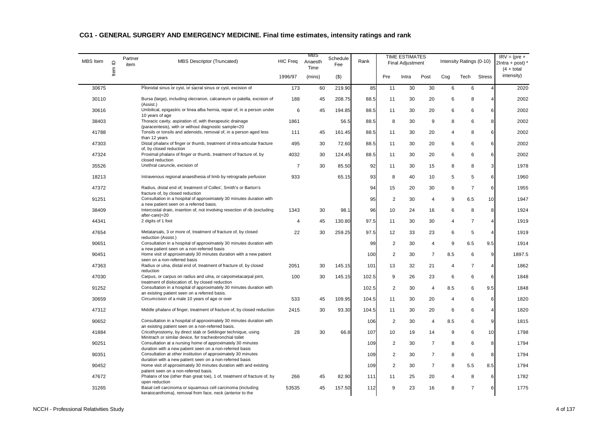| <b>MBS</b> Item | $\mathrel{\underline{\mathsf{O}}}$ | Partner<br>item | MBS Descriptor (Truncated)                                                                                                | HIC Freq       | MBS<br>Anaesth<br>Time | Schedule<br>Fee | Rank  |                | <b>TIME ESTIMATES</b><br><b>Final Adjustment</b> |                |                | Intensity Ratings (0-10) |                | $IRV = (pre +$<br>$2$ Intra + post) $'$<br>$(4 + total)$ |
|-----------------|------------------------------------|-----------------|---------------------------------------------------------------------------------------------------------------------------|----------------|------------------------|-----------------|-------|----------------|--------------------------------------------------|----------------|----------------|--------------------------|----------------|----------------------------------------------------------|
|                 | Item                               |                 |                                                                                                                           | 1996/97        | (mins)                 | $($ \$)         |       | Pre            | Intra                                            | Post           | Cog            | Tech                     | <b>Stress</b>  | intensity)                                               |
| 30675           |                                    |                 | Pilonidal sinus or cyst, or sacral sinus or cyst, excision of                                                             | 173            | 60                     | 219.90          | 85    | 11             | 30                                               | 30             | 6              | 6                        | $\overline{4}$ | 2020                                                     |
| 30110           |                                    |                 | Bursa (large), including olecranon, calcaneum or patella, excision of<br>(Assist.)                                        | 188            | 45                     | 208.75          | 88.5  | 11             | 30                                               | 20             | 6              | 8                        | $\overline{4}$ | 2002                                                     |
| 30616           |                                    |                 | Umbilical, epigastric or linea alba hernia, repair of, in a person under<br>10 years of age                               | 6              | 45                     | 194.85          | 88.5  | 11             | 30                                               | 20             | 6              | 6                        | 6              | 2002                                                     |
| 38403           |                                    |                 | Thoracic cavity, aspiration of, with therapeutic drainage<br>(paracentesis), with or without diagnostic sample=20         | 1861           |                        | 56.5            | 88.5  | 8              | 30                                               | 9              | 8              | 6                        | 8              | 2002                                                     |
| 41788           |                                    |                 | Tonsils or tonsils and adenoids, removal of, in a person aged less<br>than 12 years                                       | 111            | 45                     | 161.45          | 88.5  | 11             | 30                                               | 20             | 4              | 8                        | 6              | 2002                                                     |
| 47303           |                                    |                 | Distal phalanx of finger or thumb, treatment of intra-articular fracture<br>of, by closed reduction                       | 495            | 30                     | 72.60           | 88.5  | 11             | 30                                               | 20             | 6              | 6                        | 6              | 2002                                                     |
| 47324           |                                    |                 | Proximal phalanx of finger or thumb, treatment of fracture of, by<br>closed reduction                                     | 4032           | 30                     | 124.45          | 88.5  | 11             | 30                                               | 20             | 6              | 6                        | 6              | 2002                                                     |
| 35526           |                                    |                 | Urethral caruncle, excision of                                                                                            | $\overline{7}$ | 30                     | 85.50           | 92    | 11             | 30                                               | 15             | 8              | 8                        | 3              | 1978                                                     |
| 18213           |                                    |                 | Intravenous regional anaesthesia of limb by retrograde perfusion                                                          | 933            |                        | 65.15           | 93    | 8              | 40                                               | 10             | 5              | 5                        | 6              | 1960                                                     |
| 47372           |                                    |                 | Radius, distal end of, treatment of Colles', Smith's or Barton's<br>fracture of, by closed reduction                      |                |                        |                 | 94    | 15             | 20                                               | 30             | 6              | $\overline{7}$           | 6              | 1955                                                     |
| 91251           |                                    |                 | Consultation in a hospital of approximately 30 minutes duration with<br>a new patient seen on a referred basis.           |                |                        |                 | 95    | $\overline{2}$ | 30                                               | $\overline{4}$ | 9              | 6.5                      | 10             | 1947                                                     |
| 38409           |                                    |                 | Intercostal drain, insertion of, not involving resection of rib (excluding<br>after-care)=20                              | 1343           | 30                     | 98.1            | 96    | 10             | 24                                               | 16             | 6              | 8                        | 8              | 1924                                                     |
| 44341           |                                    |                 | 2 digits of 1 foot                                                                                                        | 4              | 45                     | 130.80          | 97.5  | 11             | 30                                               | 30             | 4              | $\overline{7}$           | $\overline{4}$ | 1919                                                     |
| 47654           |                                    |                 | Metatarsals, 3 or more of, treatment of fracture of, by closed<br>reduction (Assist.)                                     | 22             | 30                     | 259.25          | 97.5  | 12             | 33                                               | 23             | 6              | 5                        | $\overline{4}$ | 1919                                                     |
| 90651           |                                    |                 | Consultation in a hospital of approximately 30 minutes duration with<br>a new patient seen on a non-referred basis        |                |                        |                 | 99    | $\overline{2}$ | 30                                               | $\overline{4}$ | 9              | 6.5                      | 9.5            | 1914                                                     |
| 90451           |                                    |                 | Home visit of approximately 30 minutes duration with a new patient<br>seen on a non-referred basis                        |                |                        |                 | 100   | $\overline{2}$ | 30                                               | $\overline{7}$ | 8.5            | 6                        | 9              | 1897.5                                                   |
| 47363           |                                    |                 | Radius or ulna, distal end of, treatment of fracture of, by closed<br>reduction                                           | 2051           | 30                     | 145.15          | 101   | 13             | 32                                               | 21             | $\overline{4}$ | $\overline{7}$           | $\overline{4}$ | 1862                                                     |
| 47030           |                                    |                 | Carpus, or carpus on radius and ulna, or carpometacarpal joint,<br>treatment of dislocation of, by closed reduction       | 100            | 30                     | 145.15          | 102.5 | 9              | 26                                               | 23             | 6              | 6                        | 6              | 1848                                                     |
| 91252           |                                    |                 | Consultation in a hospital of approximately 30 minutes duration with<br>an existing patient seen on a referred basis.     |                |                        |                 | 102.5 | $\overline{2}$ | 30                                               | $\overline{4}$ | 8.5            | 6                        | 9.5            | 1848                                                     |
| 30659           |                                    |                 | Circumcision of a male 10 years of age or over                                                                            | 533            | 45                     | 109.95          | 104.5 | 11             | 30                                               | 20             | $\overline{4}$ | 6                        | 6              | 1820                                                     |
| 47312           |                                    |                 | Middle phalanx of finger, treatment of fracture of, by closed reduction                                                   | 2415           | 30                     | 93.30           | 104.5 | 11             | 30                                               | 20             | 6              | 6                        | $\overline{4}$ | 1820                                                     |
| 90652           |                                    |                 | Consultation in a hospital of approximately 30 minutes duration with<br>an existing patient seen on a non-referred basis. |                |                        |                 | 106   | $\overline{2}$ | 30                                               | $\overline{4}$ | 8.5            | 6                        | 9              | 1815                                                     |
| 41884           |                                    |                 | Cricothyrostomy, by direct stab or Seldinger technique, using<br>Minitrach or similar device, for tracheobronchial toilet | 28             | 30                     | 66.8            | 107   | 10             | 19                                               | 14             | 9              | 6                        | 10             | 1798                                                     |
| 90251           |                                    |                 | Consultation at a nursing home of approximately 30 minutes<br>duration with a new patient seen on a non-referred basis    |                |                        |                 | 109   | 2              | 30                                               | $\overline{7}$ | 8              | 6                        | 8              | 1794                                                     |
| 90351           |                                    |                 | Consultation at other institution of approximately 30 minutes<br>duration with a new patient seen on a non-referred basis |                |                        |                 | 109   | $\overline{c}$ | 30                                               | $\overline{7}$ | 8              | 6                        | 8              | 1794                                                     |
| 90452           |                                    |                 | Home visit of approximately 30 minutes duration with and existing<br>patient seen on a non-referred basis.                |                |                        |                 | 109   | $\overline{2}$ | 30                                               | $\overline{7}$ | 8              | 5.5                      | 8.5            | 1794                                                     |
| 47672           |                                    |                 | Phalanx of toe (other than great toe), 1 of, treatment of fracture of, by<br>open reduction                               | 266            | 45                     | 82.90           | 111   | 11             | 25                                               | 20             | 4              | 8                        | 6              | 1782                                                     |
| 31265           |                                    |                 | Basal cell carcinoma or squamous cell carcinoma (including<br>keratocanthoma), removal from face, neck (anterior to the   | 53535          | 45                     | 157.50          | 112   | 9              | 23                                               | 16             | 8              | $\overline{7}$           | 6              | 1775                                                     |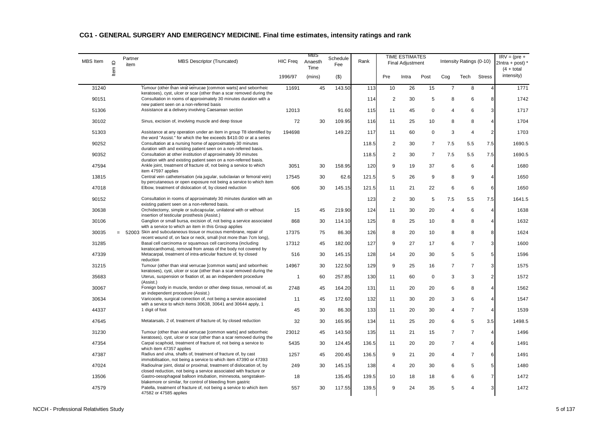| MBS Item | Item ID | Partner<br>item | MBS Descriptor (Truncated)                                                                                                                                                                                     | HIC Freq       | MBS<br>Anaesth<br>Time | Schedule<br>Fee | Rank  |                | <b>TIME ESTIMATES</b><br><b>Final Adjustment</b> |                |                | Intensity Ratings (0-10) |                 | $IRV = (pre +$<br>$2$ Intra + post) *<br>$(4 + total)$ |
|----------|---------|-----------------|----------------------------------------------------------------------------------------------------------------------------------------------------------------------------------------------------------------|----------------|------------------------|-----------------|-------|----------------|--------------------------------------------------|----------------|----------------|--------------------------|-----------------|--------------------------------------------------------|
|          |         |                 |                                                                                                                                                                                                                | 1996/97        | (mins)                 | $($ \$)         |       | Pre            | Intra                                            | Post           | Cog            | Tech                     | <b>Stress</b>   | intensity)                                             |
| 31240    |         |                 | Tumour (other than viral verrucae [common warts] and seborrheic<br>keratoses), cyst, ulcer or scar (other than a scar removed during the                                                                       | 11691          | 45                     | 143.50          | 113   | 10             | 26                                               | 15             | $\overline{7}$ | 8                        | $\overline{4}$  | 1771                                                   |
| 90151    |         |                 | Consultation in rooms of approximately 30 minutes duration with a<br>new patient seen on a non-referred basis                                                                                                  |                |                        |                 | 114   | $\overline{2}$ | 30                                               | 5              | 8              | 6                        | 8               | 1742                                                   |
| 51306    |         |                 | Assistance at a delivery involving Caesarean section                                                                                                                                                           | 12013          |                        | 91.60           | 115   | 11             | 45                                               | $\mathbf 0$    | 4              | 6                        | 3 <sup>1</sup>  | 1717                                                   |
| 30102    |         |                 | Sinus, excision of, involving muscle and deep tissue                                                                                                                                                           | 72             | 30                     | 109.95          | 116   | 11             | 25                                               | 10             | 8              | 8                        | $\overline{4}$  | 1704                                                   |
| 51303    |         |                 | Assistance at any operation under an item in group T8 identified by<br>the word "Assist." for which the fee exceeds \$410.00 or at a series                                                                    | 194698         |                        | 149.22          | 117   | 11             | 60                                               | $\mathbf 0$    | 3              | $\overline{4}$           | $\overline{2}$  | 1703                                                   |
| 90252    |         |                 | Consultation at a nursing home of approximately 30 minutes<br>duration with and existing patient seen on a non-referred basis.                                                                                 |                |                        |                 | 118.5 | $\overline{2}$ | 30                                               | $\overline{7}$ | 7.5            | 5.5                      | 7.5             | 1690.5                                                 |
| 90352    |         |                 | Consultation at other institution of approximately 30 minutes<br>duration with and existing patient seen on a non-referred basis.                                                                              |                |                        |                 | 118.5 | 2              | 30                                               | $\overline{7}$ | 7.5            | 5.5                      | 7.5             | 1690.5                                                 |
| 47594    |         |                 | Ankle joint, treatment of fracture of, not being a service to which<br>item 47597 applies                                                                                                                      | 3051           | 30                     | 158.95          | 120   | 9              | 19                                               | 37             | 6              | 6                        | $\overline{4}$  | 1680                                                   |
| 13815    |         |                 | Central vein catheterisation (via jugular, subclavian or femoral vein)<br>by percutaneous or open exposure not being a service to which item                                                                   | 17545          | 30                     | 62.6            | 121.5 | 5              | 26                                               | 9              | 8              | 9                        | $\overline{4}$  | 1650                                                   |
| 47018    |         |                 | Elbow, treatment of dislocation of, by closed reduction                                                                                                                                                        | 606            | 30                     | 145.15          | 121.5 | 11             | 21                                               | 22             | 6              | 6                        | 6               | 1650                                                   |
| 90152    |         |                 | Consultation in rooms of approximately 30 minutes duration with an<br>existing patient seen on a non-referred basis.                                                                                           |                |                        |                 | 123   | $\overline{2}$ | 30                                               | 5              | 7.5            | 5.5                      | 7.5             | 1641.5                                                 |
| 30638    |         |                 | Orchidectomy, simple or subcapsular, unilateral with or without<br>insertion of testicular prosthesis (Assist.)                                                                                                | 15             | 45                     | 219.90          | 124   | 11             | 30                                               | 20             | $\overline{4}$ | 6                        | $\overline{4}$  | 1638                                                   |
| 30106    |         |                 | Ganglion or small bursa, excision of, not being a service associated<br>with a service to which an item in this Group applies                                                                                  | 868            | 30                     | 114.10          | 125   | 8              | 25                                               | 10             | 8              | 8                        | $\overline{4}$  | 1632                                                   |
| 30035    |         |                 | $= 52003$ Skin and subcutaneous tissue or mucous membrane, repair of<br>recent wound of, on face or neck, small (not more than 7cm long),                                                                      | 17375          | 75                     | 86.30           | 126   | 8              | 20                                               | 10             | 8              | 8                        | 8               | 1624                                                   |
| 31285    |         |                 | Basal cell carcinoma or squamous cell carcinoma (including<br>keratocanthoma), removal from areas of the body not covered by                                                                                   | 17312          | 45                     | 182.00          | 127   | 9              | 27                                               | 17             | 6              | $\overline{7}$           | 3 <sup>1</sup>  | 1600                                                   |
| 47339    |         |                 | Metacarpal, treatment of intra-articular fracture of, by closed<br>reduction                                                                                                                                   | 516            | 30                     | 145.15          | 128   | 14             | 20                                               | 30             | 5              | 5                        | $5\phantom{.0}$ | 1596                                                   |
| 31215    |         |                 | Tumour (other than viral verrucae [common warts] and seborrheic<br>keratoses), cyst, ulcer or scar (other than a scar removed during the                                                                       | 14967          | 30                     | 122.50          | 129   | 9              | 25                                               | 16             | $\overline{7}$ | $\overline{7}$           | $\overline{3}$  | 1575                                                   |
| 35683    |         |                 | Uterus, suspension or fixation of, as an independent procedure<br>(Assist.)                                                                                                                                    | $\overline{1}$ | 60                     | 257.85          | 130   | 11             | 60                                               | $\mathbf 0$    | 3              | 3                        | 2 <sub>2</sub>  | 1572                                                   |
| 30067    |         |                 | Foreign body in muscle, tendon or other deep tissue, removal of, as<br>an independent procedure (Assist.)                                                                                                      | 2748           | 45                     | 164.20          | 131   | 11             | 20                                               | 20             | 6              | 8                        | $\overline{4}$  | 1562                                                   |
| 30634    |         |                 | Varicocele, surgical correction of, not being a service associated<br>with a service to which items 30638, 30641 and 30644 apply, 1                                                                            | 11             | 45                     | 172.60          | 132   | 11             | 30                                               | 20             | 3              | 6                        | $\overline{4}$  | 1547                                                   |
| 44337    |         |                 | 1 digit of foot                                                                                                                                                                                                | 45             | 30                     | 86.30           | 133   | 11             | 20                                               | 30             | 4              | $\overline{7}$           | $\overline{4}$  | 1539                                                   |
| 47645    |         |                 | Metatarsals, 2 of, treatment of fracture of, by closed reduction                                                                                                                                               | 32             | 30                     | 165.95          | 134   | 11             | 25                                               | 20             | 6              | 5                        | 3.5             | 1498.5                                                 |
| 31230    |         |                 | Tumour (other than viral verrucae [common warts] and seborrheic<br>keratoses), cyst, ulcer or scar (other than a scar removed during the                                                                       | 23012          | 45                     | 143.50          | 135   | 11             | 21                                               | 15             | $\overline{7}$ | $\overline{7}$           | $\overline{4}$  | 1496                                                   |
| 47354    |         |                 | Carpal scaphoid, treatment of fracture of, not being a service to<br>which item 47357 applies                                                                                                                  | 5435           | 30                     | 124.45          | 136.5 | 11             | 20                                               | 20             | $\overline{7}$ | $\overline{4}$           | 6               | 1491                                                   |
| 47387    |         |                 | Radius and ulna, shafts of, treatment of fracture of, by cast                                                                                                                                                  | 1257           | 45                     | 200.45          | 136.5 | 9              | 21                                               | 20             | 4              | $\overline{7}$           | 6               | 1491                                                   |
| 47024    |         |                 | immobilisation, not being a service to which item 47390 or 47393<br>Radioulnar joint, distal or proximal, treatment of dislocation of, by<br>closed reduction, not being a service associated with fracture or | 249            | 30                     | 145.15          | 138   | $\overline{4}$ | 20                                               | 30             | 6              | 5                        | 5 <sub>5</sub>  | 1480                                                   |
| 13506    |         |                 | Gastro-oesophageal balloon intubation, minnesota, sengstaken-<br>blakemore or similar, for control of bleeding from gastric                                                                                    | 18             |                        | 135.45          | 139.5 | 10             | 18                                               | 18             | 6              | 6                        | $\overline{7}$  | 1472                                                   |
| 47579    |         |                 | Patella, treatment of fracture of, not being a service to which item<br>47582 or 47585 applies                                                                                                                 | 557            | 30                     | 117.55          | 139.5 | 9              | 24                                               | 35             | 5              | $\overline{4}$           | 3               | 1472                                                   |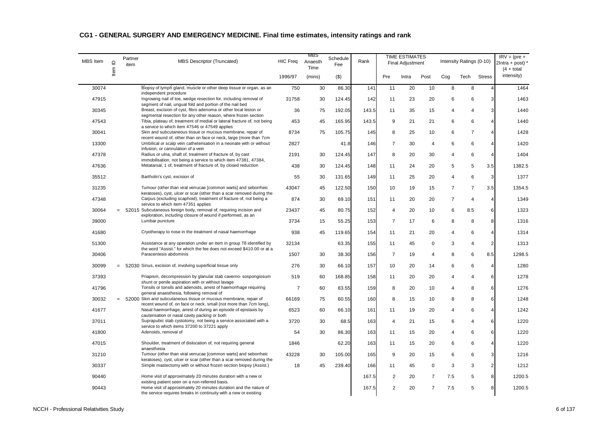| <b>MBS</b> Item | Item ID | Partner<br>item | MBS Descriptor (Truncated)                                                                                                                   | <b>HIC Freq</b> | MBS<br>Anaesth<br>Time | Schedule<br>Fee | Rank  |                | <b>TIME ESTIMATES</b><br><b>Final Adjustment</b> |                |                | Intensity Ratings (0-10) |                | $IRV = (pre +$<br>$2$ Intra + post) $*$<br>$(4 + total)$ |
|-----------------|---------|-----------------|----------------------------------------------------------------------------------------------------------------------------------------------|-----------------|------------------------|-----------------|-------|----------------|--------------------------------------------------|----------------|----------------|--------------------------|----------------|----------------------------------------------------------|
|                 |         |                 |                                                                                                                                              | 1996/97         | (mins)                 | $($ \$)         |       | Pre            | Intra                                            | Post           | Cog            | Tech                     | <b>Stress</b>  | intensity)                                               |
| 30074           |         |                 | Biopsy of lymph gland, muscle or other deep tissue or organ, as an<br>independent procedure                                                  | 750             | 30                     | 86.30           | 141   | 11             | 20                                               | 10             | 8              | 8                        | $\overline{4}$ | 1464                                                     |
| 47915           |         |                 | Ingrowing nail of toe, wedge resection for, including removal of<br>segment of nail, ungual fold and portion of the nail bed                 | 31758           | 30                     | 124.45          | 142   | 11             | 23                                               | 20             | 6              | 6                        | 3              | 1463                                                     |
| 30345           |         |                 | Breast, excision of cyst, fibro adenoma or other local lesion or<br>segmental resection for any other reason, where frozen section           | 36              | 75                     | 192.05          | 143.5 | 11             | 35                                               | 15             | 4              | $\overline{4}$           | 3              | 1440                                                     |
| 47543           |         |                 | Tibia, plateau of, treatment of medial or lateral fracture of, not being<br>a service to which item 47546 or 47549 applies                   | 453             | 45                     | 165.95          | 143.5 | 9              | 21                                               | 21             | 6              | 6                        | $\overline{4}$ | 1440                                                     |
| 30041           |         |                 | Skin and subcutaneous tissue or mucous membrane, repair of<br>recent wound of, other than on face or neck, large (more than 7cm              | 8734            | 75                     | 105.75          | 145   | 8              | 25                                               | 10             | 6              | $\overline{7}$           | $\overline{4}$ | 1428                                                     |
| 13300           |         |                 | Umbilical or scalp vein catheterisation in a neonate with or without<br>infusion; or cannulation of a vein                                   | 2827            |                        | 41.8            | 146   | $\overline{7}$ | 30                                               | $\overline{4}$ | 6              | 6                        | $\overline{4}$ | 1420                                                     |
| 47378           |         |                 | Radius or ulna, shaft of, treatment of fracture of, by cast<br>immobilisation, not being a service to which item 47381, 47384,               | 2191            | 30                     | 124.45          | 147   | 8              | 20                                               | 30             | $\overline{4}$ | 6                        | $\overline{4}$ | 1404                                                     |
| 47636           |         |                 | Metatarsal, 1 of, treatment of fracture of, by closed reduction                                                                              | 438             | 30                     | 124.45          | 148   | 11             | 24                                               | 20             | 5              | 5                        | 3.5            | 1382.5                                                   |
| 35512           |         |                 | Bartholin's cyst, excision of                                                                                                                | 55              | 30                     | 131.65          | 149   | 11             | 25                                               | 20             | $\overline{4}$ | 6                        | 3              | 1377                                                     |
| 31235           |         |                 | Tumour (other than viral verrucae [common warts] and seborrheic<br>keratoses), cyst, ulcer or scar (other than a scar removed during the     | 43047           | 45                     | 122.50          | 150   | 10             | 19                                               | 15             | $\overline{7}$ | $\overline{7}$           | 3.5            | 1354.5                                                   |
| 47348           |         |                 | Carpus (excluding scaphoid), treatment of fracture of, not being a<br>service to which item 47351 applies                                    | 874             | 30                     | 69.10           | 151   | 11             | 20                                               | 20             | $\overline{7}$ | $\overline{4}$           | $\overline{4}$ | 1349                                                     |
| 30064           |         |                 | = 52015 Subcutaneous foreign body, removal of, requiring incision and<br>exploration, including closure of wound if performed, as an         | 23437           | 45                     | 80.75           | 152   | $\overline{4}$ | 20                                               | 10             | 6              | 8.5                      | 6              | 1323                                                     |
| 39000           |         |                 | Lumbar puncture                                                                                                                              | 3734            | 15                     | 55.25           | 153   | $\overline{7}$ | 17                                               | 6              | 8              | 8                        | 8              | 1316                                                     |
| 41680           |         |                 | Cryotherapy to nose in the treatment of nasal haemorrhage                                                                                    | 938             | 45                     | 119.65          | 154   | 11             | 21                                               | 20             | 4              | 6                        | $\overline{4}$ | 1314                                                     |
| 51300           |         |                 | Assistance at any operation under an item in group T8 identified by<br>the word "Assist." for which the fee does not exceed \$410.00 or at a | 32134           |                        | 63.35           | 155   | 11             | 45                                               | $\mathbf 0$    | 3              | $\overline{4}$           | $\overline{2}$ | 1313                                                     |
| 30406           |         |                 | Paracentesis abdominis                                                                                                                       | 1507            | 30                     | 38.30           | 156   | $\overline{7}$ | 19                                               | $\overline{4}$ | 8              | 6                        | 8.5            | 1298.5                                                   |
| 30099           |         |                 | = 52030 Sinus, excision of, involving superficial tissue only                                                                                | 276             | 30                     | 66.10           | 157   | 10             | 20                                               | 14             | 6              | 6                        | $\overline{4}$ | 1280                                                     |
| 37393           |         |                 | Priapism, decompression by glanular stab caverno-sospongiosum<br>shunt or penile aspiration with or without lavage                           | 519             | 60                     | 168.85          | 158   | 11             | 20                                               | 20             | $\overline{4}$ | $\overline{4}$           | 6              | 1278                                                     |
| 41796           |         |                 | Tonsils or tonsils and adenoids, arrest of haemorrhage requiring<br>general anaesthesia, following removal of                                | $\overline{7}$  | 60                     | 83.55           | 159   | 8              | 20                                               | 10             | 4              | 8                        | 6              | 1276                                                     |
| 30032           |         |                 | = 52000 Skin and subcutaneous tissue or mucous membrane, repair of<br>recent wound of, on face or neck, small (not more than 7cm long),      | 66169           | 75                     | 60.55           | 160   | 8              | 15                                               | 10             | 8              | 8                        | 6              | 1248                                                     |
| 41677           |         |                 | Nasal haemorrhage, arrest of during an episode of epistaxis by<br>cauterisation or nasal cavity packing or both                              | 6523            | 60                     | 66.10           | 161   | 11             | 19                                               | 20             | 4              | 6                        | $\overline{4}$ | 1242                                                     |
| 37011           |         |                 | Suprapubic stab cystotomy, not being a service associated with a<br>service to which items 37200 to 37221 apply                              | 3720            | 30                     | 68.5            | 163   | 4              | 21                                               | 15             | 6              | $\overline{4}$           | 6              | 1220                                                     |
| 41800           |         |                 | Adenoids, removal of                                                                                                                         | 54              | 30                     | 86.30           | 163   | 11             | 15                                               | 20             | 4              | 6                        | 6              | 1220                                                     |
| 47015           |         |                 | Shoulder, treatment of dislocation of, not requiring general<br>anaesthesia                                                                  | 1846            |                        | 62.20           | 163   | 11             | 15                                               | 20             | 6              | 6                        | $\overline{4}$ | 1220                                                     |
| 31210           |         |                 | Tumour (other than viral verrucae [common warts] and seborrheic<br>keratoses), cyst, ulcer or scar (other than a scar removed during the     | 43228           | 30                     | 105.00          | 165   | 9              | 20                                               | 15             | 6              | 6                        | 3              | 1216                                                     |
| 30337           |         |                 | Simple mastectomy with or without frozen section biopsy (Assist.)                                                                            | 18              | 45                     | 239.40          | 166   | 11             | 45                                               | $\mathbf 0$    | 3              | 3                        | $\overline{2}$ | 1212                                                     |
| 90440           |         |                 | Home visit of approximately 20 minutes duration with a new or<br>existing patient seen on a non-referred basis.                              |                 |                        |                 | 167.5 | $\overline{2}$ | 20                                               | $\overline{7}$ | 7.5            | 5                        | 8              | 1200.5                                                   |
| 90443           |         |                 | Home visit of approximately 20 minutes duration and the nature of<br>the service requires breaks in continuity with a new or existing        |                 |                        |                 | 167.5 | $\overline{2}$ | 20                                               | $\overline{7}$ | 7.5            | 5                        | 8              | 1200.5                                                   |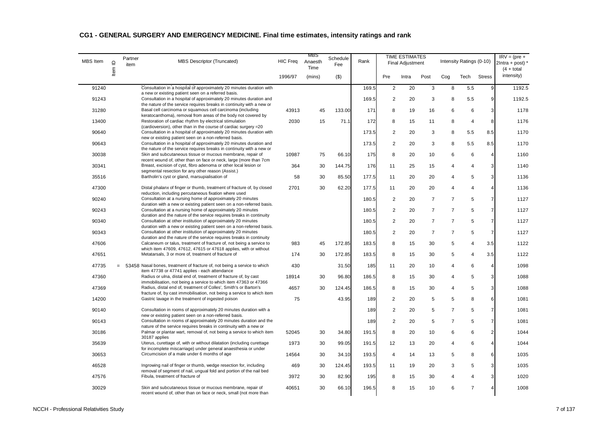| <b>MBS</b> Item | $\mathbf{\underline{o}}$ | Partner<br>item | MBS Descriptor (Truncated)                                                                                                                   | HIC Freq | MBS<br>Anaesth<br>Time | Schedule<br>Fee | Rank  |                | <b>TIME ESTIMATES</b><br><b>Final Adjustment</b> |                |                | Intensity Ratings (0-10) |                | $IRV = (pre +$<br>$2$ Intra + post) *<br>$(4 + total)$ |
|-----------------|--------------------------|-----------------|----------------------------------------------------------------------------------------------------------------------------------------------|----------|------------------------|-----------------|-------|----------------|--------------------------------------------------|----------------|----------------|--------------------------|----------------|--------------------------------------------------------|
|                 | Item                     |                 |                                                                                                                                              | 1996/97  | (mins)                 | $($ \$)         |       | Pre            | Intra                                            | Post           | Cog            | Tech                     | <b>Stress</b>  | intensity)                                             |
| 91240           |                          |                 | Consultation in a hospital of approximately 20 minutes duration with<br>a new or existing patient seen on a referred basis.                  |          |                        |                 | 169.5 | $\overline{c}$ | 20                                               | 3              | 8              | 5.5                      | 9              | 1192.5                                                 |
| 91243           |                          |                 | Consultation in a hospital of approximately 20 minutes duration and<br>the nature of the service requires breaks in continuity with a new or |          |                        |                 | 169.5 | $\overline{2}$ | 20                                               | 3              | 8              | 5.5                      | 9              | 1192.5                                                 |
| 31280           |                          |                 | Basal cell carcinoma or squamous cell carcinoma (including                                                                                   | 43913    | 45                     | 133.00          | 171   | 8              | 19                                               | 16             | 6              | 6                        | 3 <sup>1</sup> | 1178                                                   |
| 13400           |                          |                 | keratocanthoma), removal from areas of the body not covered by<br>Restoration of cardiac rhythm by electrical stimulation                    | 2030     | 15                     | 71.1            | 172   | 8              | 15                                               | 11             | 8              | $\overline{4}$           | 8              | 1176                                                   |
| 90640           |                          |                 | (cardioversion), other than in the course of cardiac surgery = 20<br>Consultation in a hospital of approximately 20 minutes duration with    |          |                        |                 | 173.5 | $\overline{2}$ | 20                                               | 3              | 8              | 5.5                      | 8.5            | 1170                                                   |
| 90643           |                          |                 | new or existing patient seen on a non-referred basis.<br>Consultation in a hospital of approximately 20 minutes duration and                 |          |                        |                 | 173.5 | $\overline{2}$ | 20                                               | 3              | 8              | 5.5                      | 8.5            | 1170                                                   |
| 30038           |                          |                 | the nature of the service requires breaks in continuity with a new or<br>Skin and subcutaneous tissue or mucous membrane, repair of          | 10987    | 75                     | 66.10           | 175   | 8              | 20                                               | 10             | 6              | 6                        | $\overline{4}$ | 1160                                                   |
| 30341           |                          |                 | recent wound of, other than on face or neck, large (more than 7cm<br>Breast, excision of cyst, fibro adenoma or other local lesion or        | 364      | 30                     | 144.75          | 176   | 11             | 25                                               | 15             | 4              | $\overline{4}$           | 3              | 1140                                                   |
| 35516           |                          |                 | segmental resection for any other reason (Assist.)<br>Bartholin's cyst or gland, marsupialisation of                                         | 58       | 30                     | 85.50           | 177.5 | 11             | 20                                               | 20             | $\overline{4}$ | 5                        | 3              | 1136                                                   |
| 47300           |                          |                 | Distal phalanx of finger or thumb, treatment of fracture of, by closed                                                                       | 2701     | 30                     | 62.20           | 177.5 | 11             | 20                                               | 20             | 4              | $\overline{4}$           | $\overline{4}$ | 1136                                                   |
| 90240           |                          |                 | reduction, including percutaneous fixation where used<br>Consultation at a nursing home of approximately 20 minutes                          |          |                        |                 | 180.5 | $\overline{2}$ | 20                                               | $\overline{7}$ | $\overline{7}$ | 5                        | $\overline{7}$ | 1127                                                   |
| 90243           |                          |                 | duration with a new or existing patient seen on a non-referred basis.<br>Consultation at a nursing home of approximately 20 minutes          |          |                        |                 |       | $\overline{2}$ |                                                  | $\overline{7}$ | $\overline{7}$ | $\overline{5}$           | $\overline{7}$ | 1127                                                   |
|                 |                          |                 | duration and the nature of the service requires breaks in continuity                                                                         |          |                        |                 | 180.5 |                | 20                                               |                |                |                          |                |                                                        |
| 90340           |                          |                 | Consultation at other institution of approximately 20 minutes<br>duration with a new or existing patient seen on a non-referred basis.       |          |                        |                 | 180.5 | $\overline{2}$ | 20                                               | $\overline{7}$ | $\overline{7}$ | 5                        | $\overline{7}$ | 1127                                                   |
| 90343           |                          |                 | Consultation at other institution of approximately 20 minutes<br>duration and the nature of the service requires breaks in continuity        |          |                        |                 | 180.5 | $\overline{2}$ | 20                                               | $\overline{7}$ | $\overline{7}$ | 5                        | $\overline{7}$ | 1127                                                   |
| 47606           |                          |                 | Calcaneum or talus, treatment of fracture of, not being a service to<br>which item 47609, 47612, 47615 or 47618 applies, with or without     | 983      | 45                     | 172.85          | 183.5 | 8              | 15                                               | 30             | 5              | $\overline{4}$           | 3.5            | 1122                                                   |
| 47651           |                          |                 | Metatarsals, 3 or more of, treatment of fracture of                                                                                          | 174      | 30                     | 172.85          | 183.5 | 8              | 15                                               | 30             | 5              | $\overline{4}$           | 3.5            | 1122                                                   |
| 47735           |                          |                 | = 53458 Nasal bones, treatment of fracture of, not being a service to which<br>item 47738 or 47741 applies - each attendance                 | 430      |                        | 31.50           | 185   | 11             | 20                                               | 10             | 4              | 6                        | $\overline{4}$ | 1098                                                   |
| 47360           |                          |                 | Radius or ulna, distal end of, treatment of fracture of, by cast<br>immobilisation, not being a service to which item 47363 or 47366         | 18914    | 30                     | 96.80           | 186.5 | 8              | 15                                               | 30             | 4              | 5                        | 3              | 1088                                                   |
| 47369           |                          |                 | Radius, distal end of, treatment of Colles', Smith's or Barton's<br>fracture of, by cast immobilisation, not being a service to which item   | 4657     | 30                     | 124.45          | 186.5 | 8              | 15                                               | 30             | 4              | 5                        | 3              | 1088                                                   |
| 14200           |                          |                 | Gastric lavage in the treatment of ingested poison                                                                                           | 75       |                        | 43.95           | 189   | $\overline{2}$ | 20                                               | 5              | $\mathbf 5$    | 8                        | 6              | 1081                                                   |
| 90140           |                          |                 | Consultation in rooms of approximately 20 minutes duration with a                                                                            |          |                        |                 | 189   | $\overline{2}$ | 20                                               | 5              | $\overline{7}$ | 5                        | $\overline{7}$ | 1081                                                   |
| 90143           |                          |                 | new or existing patient seen on a non-referred basis.<br>Consultation in rooms of approximately 20 minutes duration and the                  |          |                        |                 | 189   | $\overline{2}$ | 20                                               | 5              | $\overline{7}$ | 5                        | $\overline{7}$ | 1081                                                   |
| 30186           |                          |                 | nature of the service requires breaks in continuity with a new or<br>Palmar or plantar wart, removal of, not being a service to which item   | 52045    | 30                     | 34.80           | 191.5 | 8              | 20                                               | 10             | 6              | 6                        | 2 <sub>2</sub> | 1044                                                   |
| 35639           |                          |                 | 30187 applies<br>Uterus, curettage of, with or without dilatation (including curettage                                                       | 1973     | 30                     | 99.05           | 191.5 | 12             | 13                                               | 20             | 4              | 6                        | $\overline{4}$ | 1044                                                   |
| 30653           |                          |                 | for incomplete miscarriage) under general anaesthesia or under<br>Circumcision of a male under 6 months of age                               | 14564    | 30                     | 34.10           | 193.5 | $\overline{4}$ | 14                                               | 13             | 5              | 8                        | 6              | 1035                                                   |
| 46528           |                          |                 | Ingrowing nail of finger or thumb, wedge resection for, including                                                                            | 469      | 30                     | 124.45          | 193.5 | 11             | 19                                               | 20             | 3              | 5                        | 3              | 1035                                                   |
| 47576           |                          |                 | removal of segment of nail, ungual fold and portion of the nail bed<br>Fibula, treatment of fracture of                                      | 3972     | 30                     | 82.90           | 195   | 8              | 15                                               | 30             | $\overline{4}$ | $\overline{4}$           | 3              | 1020                                                   |
| 30029           |                          |                 | Skin and subcutaneous tissue or mucous membrane, repair of<br>recent wound of, other than on face or neck, small (not more than              | 40651    | 30                     | 66.10           | 196.5 | 8              | 15                                               | 10             | 6              | $\overline{7}$           | $\overline{4}$ | 1008                                                   |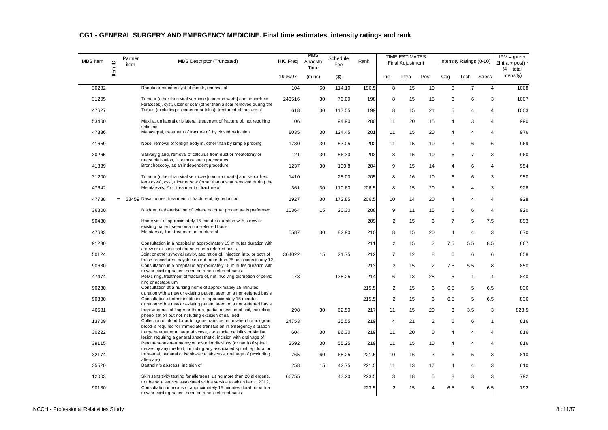| <b>MBS</b> Item | $\mathrel{\underline{\mathsf{O}}}$ | Partner<br>item | MBS Descriptor (Truncated)                                                                                                                     | HIC Freq | MBS<br>Anaesth<br>Time | Schedule<br>Fee | Rank  |                | <b>TIME ESTIMATES</b><br><b>Final Adjustment</b> |                |                | Intensity Ratings (0-10) |                | $IRV = (pre +$<br>$2$ Intra + post) $'$<br>$(4 + total)$ |
|-----------------|------------------------------------|-----------------|------------------------------------------------------------------------------------------------------------------------------------------------|----------|------------------------|-----------------|-------|----------------|--------------------------------------------------|----------------|----------------|--------------------------|----------------|----------------------------------------------------------|
|                 | Item                               |                 |                                                                                                                                                | 1996/97  | (mins)                 | $($ \$)         |       | Pre            | Intra                                            | Post           | Cog            | Tech                     | <b>Stress</b>  | intensity)                                               |
| 30282           |                                    |                 | Ranula or mucous cyst of mouth, removal of                                                                                                     | 104      | 60                     | 114.10          | 196.5 | 8              | 15                                               | 10             | 6              | $\overline{7}$           | $\overline{4}$ | 1008                                                     |
| 31205           |                                    |                 | Tumour (other than viral verrucae [common warts] and seborrheic<br>keratoses), cyst, ulcer or scar (other than a scar removed during the       | 246516   | 30                     | 70.00           | 198   | 8              | 15                                               | 15             | 6              | 6                        | 3              | 1007                                                     |
| 47627           |                                    |                 | Tarsus (excluding calcaneum or talus), treatment of fracture of                                                                                | 618      | 30                     | 117.55          | 199   | 8              | 15                                               | 21             | 5              | $\overline{4}$           | $\overline{4}$ | 1003                                                     |
| 53400           |                                    |                 | Maxilla, unilateral or bilateral, treatment of fracture of, not requiring<br>splinting                                                         | 106      |                        | 94.90           | 200   | 11             | 20                                               | 15             | 4              | 3                        | $\overline{4}$ | 990                                                      |
| 47336           |                                    |                 | Metacarpal, treatment of fracture of, by closed reduction                                                                                      | 8035     | 30                     | 124.45          | 201   | 11             | 15                                               | 20             | 4              | $\overline{4}$           | $\overline{4}$ | 976                                                      |
| 41659           |                                    |                 | Nose, removal of foreign body in, other than by simple probing                                                                                 | 1730     | 30                     | 57.05           | 202   | 11             | 15                                               | 10             | 3              | 6                        | 6              | 969                                                      |
| 30265           |                                    |                 | Salivary gland, removal of calculus from duct or meatotomy or<br>marsupialisation, 1 or more such procedures                                   | 121      | 30                     | 86.30           | 203   | 8              | 15                                               | 10             | 6              | $\overline{7}$           | 3              | 960                                                      |
| 41889           |                                    |                 | Bronchoscopy, as an independent procedure                                                                                                      | 1237     | 30                     | 130.8           | 204   | 9              | 15                                               | 14             | 4              | 6                        | $\overline{4}$ | 954                                                      |
| 31200           |                                    |                 | Tumour (other than viral verrucae [common warts] and seborrheic<br>keratoses), cyst, ulcer or scar (other than a scar removed during the       | 1410     |                        | 25.00           | 205   | 8              | 16                                               | 10             | 6              | 6                        | 3              | 950                                                      |
| 47642           |                                    |                 | Metatarsals, 2 of, treatment of fracture of                                                                                                    | 361      | 30                     | 110.60          | 206.5 | 8              | 15                                               | 20             | 5              | $\overline{4}$           | 3 <sup>1</sup> | 928                                                      |
| 47738           |                                    |                 | 53459 Nasal bones, treatment of fracture of, by reduction                                                                                      | 1927     | 30                     | 172.85          | 206.5 | 10             | 14                                               | 20             | 4              | $\overline{4}$           | $\overline{4}$ | 928                                                      |
| 36800           |                                    |                 | Bladder, catheterisation of, where no other procedure is performed                                                                             | 10364    | 15                     | 20.30           | 208   | 9              | 11                                               | 15             | 6              | 6                        | $\overline{4}$ | 920                                                      |
| 90430           |                                    |                 | Home visit of approximately 15 minutes duration with a new or<br>existing patient seen on a non-referred basis.                                |          |                        |                 | 209   | $\overline{2}$ | 15                                               | 6              | $\overline{7}$ | 5                        | 7.5            | 893                                                      |
| 47633           |                                    |                 | Metatarsal, 1 of, treatment of fracture of                                                                                                     | 5587     | 30                     | 82.90           | 210   | 8              | 15                                               | 20             | 4              | $\overline{4}$           | $\mathbf{3}$   | 870                                                      |
| 91230           |                                    |                 | Consultation in a hospital of approximately 15 minutes duration with<br>a new or existing patient seen on a referred basis.                    |          |                        |                 | 211   | $\overline{2}$ | 15                                               | $\overline{2}$ | 7.5            | 5.5                      | 8.5            | 867                                                      |
| 50124           |                                    |                 | Joint or other synovial cavity, aspiration of, injection into, or both of<br>these procedures; payable on not more than 25 occasions in any 12 | 364022   | 15                     | 21.75           | 212   | $\overline{7}$ | 12                                               | 8              | 6              | 6                        | 6              | 858                                                      |
| 90630           |                                    |                 | Consultation in a hospital of approximately 15 minutes duration with<br>new or existing patient seen on a non-referred basis.                  |          |                        |                 | 213   | $\overline{c}$ | 15                                               | $\overline{2}$ | 7.5            | 5.5                      | 8              | 850                                                      |
| 47474           |                                    |                 | Pelvic ring, treatment of fracture of, not involving disruption of pelvic<br>ring or acetabulum                                                | 178      |                        | 138.25          | 214   | 6              | 13                                               | 28             | 5              | $\mathbf{1}$             | $\overline{4}$ | 840                                                      |
| 90230           |                                    |                 | Consultation at a nursing home of approximately 15 minutes<br>duration with a new or existing patient seen on a non-referred basis.            |          |                        |                 | 215.5 | $\overline{2}$ | 15                                               | 6              | 6.5            | 5                        | 6.5            | 836                                                      |
| 90330           |                                    |                 | Consultation at other institution of approximately 15 minutes<br>duration with a new or existing patient seen on a non-referred basis.         |          |                        |                 | 215.5 | $\overline{c}$ | 15                                               | 6              | 6.5            | $\,$ 5 $\,$              | 6.5            | 836                                                      |
| 46531           |                                    |                 | Ingrowing nail of finger or thumb, partial resection of nail, including<br>phenolisation but not including excision of nail bed                | 298      | 30                     | 62.50           | 217   | 11             | 15                                               | 20             | 3              | 3.5                      | 3              | 823.5                                                    |
| 13709           |                                    |                 | Collection of blood for autologous transfusion or when homologous<br>blood is required for immediate transfusion in emergency situation        | 24753    |                        | 35.55           | 219   | $\overline{4}$ | 21                                               | $\overline{2}$ | 6              | 6                        | $\mathbf{1}$   | 816                                                      |
| 30222           |                                    |                 | Large haematoma, large abscess, carbuncle, cellulitis or similar<br>lesion requiring a general anaesthetic, incision with drainage of          | 604      | 30                     | 86.30           | 219   | 11             | 20                                               | $\mathbf 0$    | 4              | $\overline{4}$           | $\overline{4}$ | 816                                                      |
| 39115           |                                    |                 | Percutaneous neurotomy of posterior divisions (or rami) of spinal<br>nerves by any method, including any associated spinal, epidural or        | 2592     | 30                     | 55.25           | 219   | 11             | 15                                               | 10             | 4              | $\overline{4}$           | $\overline{4}$ | 816                                                      |
| 32174           |                                    |                 | Intra-anal, perianal or ischio-rectal abscess, drainage of (excluding<br>aftercare)                                                            | 765      | 60                     | 65.25           | 221.5 | 10             | 16                                               | 3              | 6              | 5                        | 3              | 810                                                      |
| 35520           |                                    |                 | Bartholin's abscess, incision of                                                                                                               | 258      | 15                     | 42.75           | 221.5 | 11             | 13                                               | 17             | 4              | $\overline{4}$           | 3 <sup>1</sup> | 810                                                      |
| 12003           |                                    |                 | Skin sensitivity testing for allergens, using more than 20 allergens,<br>not being a service associated with a service to which item 12012,    | 66755    |                        | 43.20           | 223.5 | 3              | 18                                               | 5              | 8              | 3                        | 3              | 792                                                      |
| 90130           |                                    |                 | Consultation in rooms of approximately 15 minutes duration with a<br>new or existing patient seen on a non-referred basis.                     |          |                        |                 | 223.5 | $\overline{2}$ | 15                                               | $\overline{4}$ | 6.5            | 5                        | 6.5            | 792                                                      |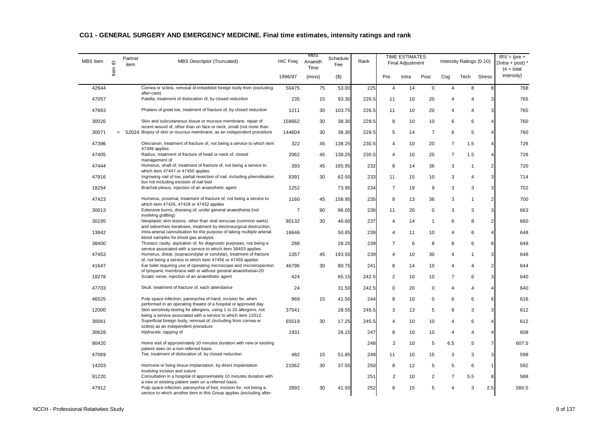| <b>MBS</b> Item | $\supseteq$ | Partner<br>item | MBS Descriptor (Truncated)                                                                                                                   | <b>HIC Freq</b> | MBS<br>Anaesth<br>Time | Schedule<br>Fee | Rank  |                | <b>TIME ESTIMATES</b><br>Final Adjustment |                |                | Intensity Ratings (0-10) |                         | $IRV = (pre +$<br>$2$ Intra + post) *<br>$(4 + total)$ |
|-----------------|-------------|-----------------|----------------------------------------------------------------------------------------------------------------------------------------------|-----------------|------------------------|-----------------|-------|----------------|-------------------------------------------|----------------|----------------|--------------------------|-------------------------|--------------------------------------------------------|
|                 | ltem        |                 |                                                                                                                                              | 1996/97         | (mins)                 | $($ \$)         |       | Pre            | Intra                                     | Post           | Cog            | Tech                     | <b>Stress</b>           | intensity)                                             |
| 42644           |             |                 | Cornea or sclera, removal of imbedded foreign body from (excluding<br>after-care)                                                            | 50475           | 75                     | 53.00           | 225   | 4              | 14                                        | $\mathbf 0$    | 4              | 8                        | 8                       | 768                                                    |
| 47057           |             |                 | Patella, treatment of dislocation of, by closed reduction                                                                                    | 235             | 15                     | 93.30           | 226.5 | 11             | 10                                        | 20             | 4              | $\overline{4}$           | 3                       | 765                                                    |
| 47663           |             |                 | Phalanx of great toe, treatment of fracture of, by closed reduction                                                                          | 1211            | 30                     | 103.75          | 226.5 | 11             | 10                                        | 20             | 4              | $\overline{4}$           | 3                       | 765                                                    |
| 30026           |             |                 | Skin and subcutaneous tissue or mucous membrane, repair of<br>recent wound of, other than on face or neck, small (not more than              | 158662          | 30                     | 38.30           | 228.5 | 8              | 10                                        | 10             | 6              | 6                        | $\overline{4}$          | 760                                                    |
| 30071           | $=$         |                 | 52024 Biopsy of skin or mucous membrane, as an independent procedure                                                                         | 144604          | 30                     | 38.30           | 228.5 | 5              | 14                                        | $\overline{7}$ | 6              | 5                        | $\overline{4}$          | 760                                                    |
| 47396           |             |                 | Olecranon, treatment of fracture of, not being a service to which item<br>47399 applies                                                      | 322             | 45                     | 138.25          | 230.5 | $\overline{4}$ | 10                                        | 20             | $\overline{7}$ | 1.5                      | $\overline{4}$          | 726                                                    |
| 47405           |             |                 | Radius, treatment of fracture of head or neck of, closed<br>management of                                                                    | 2062            | 45                     | 138.25          | 230.5 | $\overline{4}$ | 10                                        | 20             | $\overline{7}$ | 1.5                      | $\overline{4}$          | 726                                                    |
| 47444           |             |                 | Humerus, shaft of, treatment of fracture of, not being a service to<br>which item 47447 or 47450 applies                                     | 393             | 45                     | 165.95          | 232   | 8              | 14                                        | 36             | 3              | $\mathbf{1}$             | $\overline{2}$          | 720                                                    |
| 47916           |             |                 | Ingrowing nail of toe, partial resection of nail, including phenolisation<br>but not including excision of nail bed                          | 8391            | 30                     | 62.50           | 233   | 11             | 15                                        | 10             | 3              | $\overline{4}$           | 3                       | 714                                                    |
| 18254           |             |                 | Brachial plexus, injection of an anaesthetic agent                                                                                           | 1252            |                        | 73.95           | 234   | $\overline{7}$ | 19                                        | 9              | 3              | 3                        | 3                       | 702                                                    |
| 47423           |             |                 | Humerus, proximal, treatment of fracture of, not being a service to<br>which item 47426, 47429 or 47432 applies                              | 1160            | 45                     | 158.95          | 235   | 8              | 13                                        | 36             | 3              | 1                        | $\overline{2}$          | 700                                                    |
| 30013           |             |                 | Extensive burns, dressing of, under general anaesthesia (not<br>involving grafting)                                                          | $\overline{7}$  | 90                     | 96.05           | 236   | 11             | 20                                        | $\mathbf 0$    | 3              | 3                        | 3                       | 663                                                    |
| 30195           |             |                 | Neoplastic skin lesions, other than viral verrucae (common warts)<br>and seborrheic keratoses, treatment by electrosurgical destruction,     | 90132           | 30                     | 46.60           | 237   | 4              | 14                                        | 1              | 6              | 8                        | $\overline{2}$          | 660                                                    |
| 13842           |             |                 | Intra-arterial cannulisation for the purpose of taking multiple arterial<br>blood samples for blood gas analysis                             | 16646           |                        | 50.85           | 239   | 4              | 11                                        | 10             | 4              | 6                        | $\overline{4}$          | 648                                                    |
| 38400           |             |                 | Thoracic cavity, aspiration of, for diagnostic purposes, not being a<br>service associated with a service to which item 38403 applies        | 288             |                        | 28.25           | 239   | $\overline{7}$ | 6                                         | 8              | 6              | 6                        | 8                       | 648                                                    |
| 47453           |             |                 | Humerus, distal, (supracondylar or condylar), treatment of fracture<br>of, not being a service to which item 47456 or 47459 applies          | 1357            | 45                     | 193.55          | 239   | 4              | 10                                        | 30             | 4              | 1                        | 3                       | 648                                                    |
| 41647           |             |                 | Ear toilet requiring use of operating microscope and microinspection<br>of tympanic membrane with or without general anaesthesia=20          | 46796           | 30                     | 80.75           | 241   | 8              | 14                                        | 10             | 4              | $\overline{4}$           | $\overline{\mathbf{c}}$ | 644                                                    |
| 18278           |             |                 | Sciatic nerve, injection of an anaesthetic agent                                                                                             | 424             |                        | 65.15           | 242.5 | 2              | 10                                        | 10             | $\overline{7}$ | 6                        | 3                       | 640                                                    |
| 47703           |             |                 | Skull, treatment of fracture of, each attendance                                                                                             | 24              |                        | 31.50           | 242.5 | 0              | 20                                        | $\mathbf 0$    | 4              | $\overline{4}$           | $\overline{4}$          | 640                                                    |
| 46525           |             |                 | Pulp space infection, paronychia of hand, incision for, when<br>performed in an operating theatre of a hospital or approved day              | 969             | 15                     | 41.50           | 244   | 8              | 10                                        | 0              | 6              | 6                        | 6                       | 616                                                    |
| 12000           |             |                 | Skin sensitivity testing for allergens, using 1 to 20 allergens, not<br>being a service associated with a service to which item 12012,       | 37541           |                        | 28.55           | 245.5 | 3              | 13                                        | 5              | 8              | 3                        | 3                       | 612                                                    |
| 30061           |             |                 | Superficial foreign body, removal of, (including from cornea or<br>sclera) as an independent procedure                                       | 65519           | 30                     | 17.25           | 245.5 | 4              | 10                                        | 10             | 4              | 6                        | $\overline{4}$          | 612                                                    |
| 30628           |             |                 | Hydrocele, tapping of                                                                                                                        | 1931            |                        | 26.15           | 247   | 8              | 10                                        | 10             | 4              | 4                        | $\overline{4}$          | 608                                                    |
| 90420           |             |                 | Home visit of approximately 10 minutes duration with new or existing<br>patient seen on a non-referred basis.                                |                 |                        |                 | 248   | $\overline{2}$ | 10                                        | 5              | 6.5            | 5                        | $\overline{7}$          | 607.5                                                  |
| 47069           |             |                 | Toe, treatment of dislocation of, by closed reduction                                                                                        | 482             | 15                     | 51.85           | 249   | 11             | 10                                        | 15             | 3              | 3                        | 3                       | 598                                                    |
| 14203           |             |                 | Hormone or living tissue implantation, by direct implantation<br>involving incision and suture                                               | 21062           | 30                     | 37.55           | 250   | 8              | 12                                        | 5              | 5              | 6                        | $\mathbf{1}$            | 592                                                    |
| 91220           |             |                 | Consultation in a hospital of approximately 10 minutes duration with<br>a new or existing patient seen on a referred basis.                  |                 |                        |                 | 251   | $\overline{c}$ | 10                                        | $\overline{2}$ | $\overline{7}$ | 5.5                      | 8                       | 588                                                    |
| 47912           |             |                 | Pulp space infection, paronychia of foot, incision for, not being a<br>service to which another item in this Group applies (excluding after- | 2892            | 30                     | 41.50           | 252   | 8              | 15                                        | 5              | 4              | 3                        | 2.5                     | 580.5                                                  |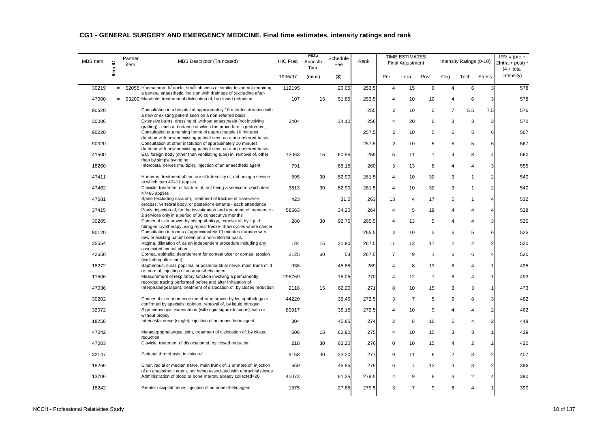| <b>MBS</b> Item | $\supseteq$ | Partner<br>item | MBS Descriptor (Truncated)                                                                                                                     | <b>HIC Freq</b> | MBS<br>Anaesth<br>Time | Schedule<br>Fee | Rank  |                | <b>TIME ESTIMATES</b><br>Final Adjustment |                |                | Intensity Ratings (0-10) |                | $IRV = (pre +$<br>$2$ Intra + post) *<br>$(4 + total)$ |
|-----------------|-------------|-----------------|------------------------------------------------------------------------------------------------------------------------------------------------|-----------------|------------------------|-----------------|-------|----------------|-------------------------------------------|----------------|----------------|--------------------------|----------------|--------------------------------------------------------|
|                 | ltem        |                 |                                                                                                                                                | 1996/97         | (mins)                 | $($ \$)         |       | Pre            | Intra                                     | Post           | Cog            | Tech                     | <b>Stress</b>  | intensity)                                             |
| 30219           | $=$         |                 | 52055 Haematoma, furuncle, small abscess or similar lesion not requiring<br>a general anaesthetic, incision with drainage of (excluding after- | 112195          |                        | 20.05           | 253.5 | $\overline{4}$ | 15                                        | $\mathsf 0$    | 4              | 6                        | 3              | 578                                                    |
| 47000           |             |                 | $= 53200$ Mandible, treatment of dislocation of, by closed reduction                                                                           | 107             | 15                     | 51.85           | 253.5 | 4              | 10                                        | 10             | $\overline{4}$ | 6                        | 3              | 578                                                    |
| 90620           |             |                 | Consultation in a hospital of approximately 10 minutes duration with                                                                           |                 |                        |                 | 255   | 2              | 10                                        | 2              | $\overline{7}$ | 5.5                      | 7.5            | 576                                                    |
| 30006           |             |                 | a new or existing patient seen on a non-referred basis.<br>Extensive burns, dressing of, without anaesthesia (not involving                    | 3404            |                        | 34.10           | 256   | 4              | 20                                        | $\mathbf 0$    | 3              | 3                        | $\mathbf{3}$   | 572                                                    |
| 90220           |             |                 | grafting) - each attendance at which the procedure is performed,<br>Consultation at a nursing home of approximately 10 minutes                 |                 |                        |                 | 257.5 | 2              | 10                                        | 5              | 6              | 5                        | 6              | 567                                                    |
| 90320           |             |                 | duration with new or existing patient seen on a non-referred basis.<br>Consultation at other institution of approximately 10 minutes           |                 |                        |                 | 257.5 | $\overline{2}$ | 10                                        | 5              | 6              | 5                        | 6              | 567                                                    |
| 41500           |             |                 | duration with new or existing patient seen on a non-referred basis.<br>Ear, foreign body (other than ventilating tube) in, removal of, other   | 12063           | 15                     | 60.55           | 259   | 5              | 11                                        | -1             | 4              | 8                        | $\overline{4}$ | 560                                                    |
| 18260           |             |                 | than by simple syringing<br>Intercostal nerves (multiple), injection of an anaesthetic agent                                                   | 791             |                        | 65.15           | 260   | 3              | 13                                        | 8              | 4              | $\overline{4}$           | 3              | 555                                                    |
| 47411           |             |                 | Humerus, treatment of fracture of tuberosity of, not being a service                                                                           | 595             | 30                     | 82.90           | 261.5 | $\overline{4}$ | 10                                        | 30             | 3              | $\mathbf{1}$             | $\overline{2}$ | 540                                                    |
| 47462           |             |                 | to which item 47417 applies<br>Clavicle, treatment of fracture of, not being a service to which item                                           | 3613            | 30                     | 82.90           | 261.5 | $\overline{4}$ | 10                                        | 30             | 3              | $\mathbf{1}$             | 2 <sub>l</sub> | 540                                                    |
| 47681           |             |                 | 47465 applies<br>Spine (excluding sacrum), treatment of fracture of transverse                                                                 | 423             |                        | 31.5            | 263   | 13             | 4                                         | 17             | 5              | $\mathbf{1}$             | $\overline{4}$ | 532                                                    |
|                 |             |                 | process, vertebral body, or posterior elements - each attendance                                                                               |                 |                        |                 |       |                |                                           |                |                |                          |                |                                                        |
| 37415           |             |                 | Penis, injection of, for the investigation and treatment of impotence -<br>2 services only in a period of 36 consecutive months                | 58563           |                        | 34.20           | 264   | $\overline{4}$ | 5                                         | 19             | 4              | $\overline{4}$           | $\overline{4}$ | 528                                                    |
| 30205           |             |                 | Cancer of skin proven by histopathology, removal of, by liquid                                                                                 | 280             | 30                     | 92.75           | 265.5 | 4              | 13                                        | 5              | 4              | $\overline{4}$           | 3              | 525                                                    |
| 90120           |             |                 | nitrogen cryotherapy using repeat freeze- thaw cycles where cancer<br>Consultation in rooms of approximately 10 minutes duration with          |                 |                        |                 | 265.5 | 2              | 10                                        | 3              | 6              | 5                        | 6              | 525                                                    |
| 35554           |             |                 | new or existing patient seen on a non-referred basis.<br>Vagina, dilatation of, as an independent procedure including any                      | 184             | 15                     | 31.90           | 267.5 | 11             | 12                                        | 17             | 2              | 2                        | 2 <sub>l</sub> | 520                                                    |
| 42650           |             |                 | associated consultation<br>Cornea, epithelial debridement for corneal ulcer or corneal erosion                                                 | 2125            | 60                     | 53              | 267.5 | $\overline{7}$ | 9                                         | $\overline{1}$ | 6              | 6                        | $\overline{4}$ | 520                                                    |
| 18272           |             |                 | (excluding after-care)<br>Saphenous, sural, popliteal or posterior tibial nerve, main trunk of, 1                                              | 936             |                        | 45.85           | 269   | $\overline{4}$ | 8                                         | 13             | 6              | $\overline{4}$           | 1              | 495                                                    |
| 11506           |             |                 | or more of, injection of an anaesthetic agent<br>Measurement of respiratory function involving a permanently                                   | 296769          |                        | 15.05           | 270   | 4              | 12                                        | $\overline{1}$ | 8              | $\overline{4}$           | 1              | 493                                                    |
| 47036           |             |                 | recorded tracing performed before and after inhalation of<br>Interphalangeal joint, treatment of dislocation of, by closed reduction           | 2118            | 15                     | 62.20           | 271   | 8              | 10                                        | 15             | 3              | 3                        | $\mathbf{1}$   | 473                                                    |
| 30202           |             |                 | Cancer of skin or mucous membrane proven by histopathology or                                                                                  | 44220           |                        | 35.45           | 272.5 | 3              | $\overline{7}$                            | 5              | 6              | 8                        | 3              | 462                                                    |
| 32072           |             |                 | confirmed by specialist opinion, removal of, by liquid nitrogen<br>Sigmoidoscopic examination (with rigid sigmoidoscope), with or              | 80917           |                        | 35.15           | 272.5 | $\overline{4}$ | 10                                        | 9              | 4              | $\overline{4}$           | 2 <sub>l</sub> | 462                                                    |
|                 |             |                 | without biopsy                                                                                                                                 |                 |                        |                 |       |                |                                           |                |                |                          |                |                                                        |
| 18258           |             |                 | Intercostal nerve (single), injection of an anaesthetic agent                                                                                  | 304             |                        | 45.85           | 274   | 2              | 8                                         | 10             | 6              | $\overline{4}$           | $\overline{2}$ | 448                                                    |
| 47042           |             |                 | Metacarpophalangeal joint, treatment of dislocation of, by closed<br>reduction                                                                 | 506             | 15                     | 82.90           | 275   | $\overline{4}$ | 10                                        | 15             | 3              | 3                        | $\mathbf{1}$   | 429                                                    |
| 47003           |             |                 | Clavicle, treatment of dislocation of, by closed reduction                                                                                     | 218             | 30                     | 62.20           | 276   | $\mathbf 0$    | 10                                        | 15             | 4              | $\overline{2}$           | $\overline{2}$ | 420                                                    |
| 32147           |             |                 | Perianal thrombosis, incision of                                                                                                               | 9158            | 30                     | 33.20           | 277   | 9              | 11                                        | 6              | 2              | 3                        | 2 <sub>l</sub> | 407                                                    |
| 18266           |             |                 | Ulnar, radial or median nerve, main trunk of, 1 or more of, injection<br>of an anaesthetic agent, not being associated with a brachial plexus  | 659             |                        | 45.85           | 278   | 6              | $\overline{7}$                            | 13             | 3              | 3                        | $2 \mid$       | 396                                                    |
| 13706           |             |                 | Administration of blood or bone marrow already collected=20                                                                                    | 40073           |                        | 61.25           | 279.5 | 4              | 9                                         | 8              | 3              | $\overline{2}$           | 4              | 390                                                    |
| 18242           |             |                 | Greater occipital nerve, injection of an anaesthetic agent                                                                                     | 1575            |                        | 27.65           | 279.5 | 3              | 7                                         | $\mathbf{q}$   | 6              | $\overline{4}$           | 1              | 390                                                    |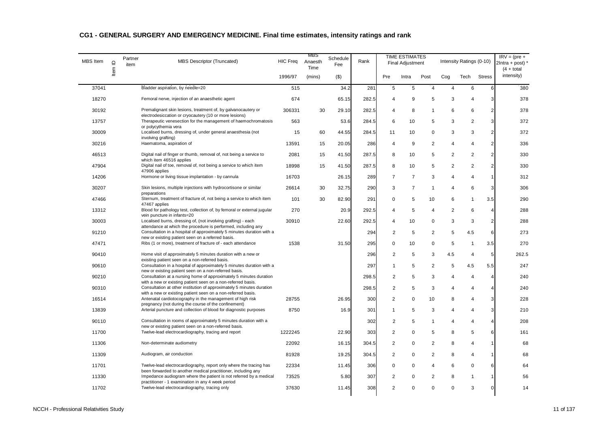| <b>MBS</b> Item | $\supseteq$ | Partner<br>item | MBS Descriptor (Truncated)                                                                                                             | <b>HIC Freq</b> | MBS<br>Anaesth<br>Time | Schedule<br>Fee | Rank  |                | <b>TIME ESTIMATES</b><br><b>Final Adjustment</b> |                |                | Intensity Ratings (0-10) |                 | $IRV = (pre +$<br>$2$ Intra + post) $*$<br>$(4 + total)$ |
|-----------------|-------------|-----------------|----------------------------------------------------------------------------------------------------------------------------------------|-----------------|------------------------|-----------------|-------|----------------|--------------------------------------------------|----------------|----------------|--------------------------|-----------------|----------------------------------------------------------|
|                 | Item        |                 |                                                                                                                                        | 1996/97         | (mins)                 | $($ \$)         |       | Pre            | Intra                                            | Post           | Cog            | Tech                     | <b>Stress</b>   | intensity)                                               |
| 37041           |             |                 | Bladder aspiration, by needle=20                                                                                                       | 515             |                        | 34.2            | 281   | 5              | 5                                                | $\overline{4}$ | 4              | 6                        | 6               | 380                                                      |
| 18270           |             |                 | Femoral nerve, injection of an anaesthetic agent                                                                                       | 674             |                        | 65.15           | 282.5 | $\overline{4}$ | 9                                                | 5              | 3              | $\overline{4}$           | 3               | 378                                                      |
| 30192           |             |                 | Premalignant skin lesions, treatment of, by galvanocautery or                                                                          | 306331          | 30                     | 29.10           | 282.5 | $\overline{4}$ | 8                                                | -1             | 6              | 6                        | $\overline{2}$  | 378                                                      |
| 13757           |             |                 | electrodesiccation or cryocautery (10 or more lesions)<br>Therapeutic venesection for the management of haemochromatosis               | 563             |                        | 53.6            | 284.5 | 6              | 10                                               | 5              | 3              | 2                        | 3               | 372                                                      |
| 30009           |             |                 | or polycythemia vera<br>Localised burns, dressing of, under general anaesthesia (not                                                   | 15              | 60                     | 44.55           | 284.5 | 11             | 10                                               | $\mathbf 0$    | 3              | 3                        | $\overline{2}$  | 372                                                      |
| 30216           |             |                 | involving grafting)<br>Haematoma, aspiration of                                                                                        | 13591           | 15                     | 20.05           | 286   | $\overline{4}$ | 9                                                | 2              | 4              | $\overline{4}$           | 2 <sub>l</sub>  | 336                                                      |
| 46513           |             |                 | Digital nail of finger or thumb, removal of, not being a service to                                                                    | 2081            | 15                     | 41.50           | 287.5 | 8              | 10                                               | 5              | 2              | 2                        | 2 <sub>l</sub>  | 330                                                      |
| 47904           |             |                 | which item 46516 applies<br>Digital nail of toe, removal of, not being a service to which item                                         | 18998           | 15                     | 41.50           | 287.5 | 8              | 10                                               | 5              | $\overline{2}$ | 2                        | 2 <sub>2</sub>  | 330                                                      |
| 14206           |             |                 | 47906 applies<br>Hormone or living tissue implantation - by cannula                                                                    | 16703           |                        | 26.15           | 289   | $\overline{7}$ | $\overline{7}$                                   | 3              | 4              | $\overline{4}$           | 1               | 312                                                      |
| 30207           |             |                 | Skin lesions, multiple injections with hydrocortisone or similar                                                                       | 26614           | 30                     | 32.75           | 290   | 3              | $\overline{7}$                                   | $\overline{1}$ | 4              | 6                        | 3               | 306                                                      |
| 47466           |             |                 | preparations<br>Sternum, treatment of fracture of, not being a service to which item                                                   | 101             | 30                     | 82.90           | 291   | $\mathsf 0$    | 5                                                | 10             | 6              | $\mathbf{1}$             | 3.5             | 290                                                      |
| 13312           |             |                 | 47467 applies<br>Blood for pathology test, collection of, by femoral or external jugular                                               | 270             |                        | 20.9            | 292.5 | $\overline{4}$ | 5                                                | $\overline{4}$ | 2              | 6                        | $\overline{4}$  | 288                                                      |
| 30003           |             |                 | vein puncture in infants=20<br>Localised burns, dressing of, (not involving grafting) - each                                           | 30910           |                        | 22.60           | 292.5 | $\overline{4}$ | 10                                               | $\mathbf 0$    | 3              | 3                        | $\overline{2}$  | 288                                                      |
| 91210           |             |                 | attendance at which the procedure is performed, including any<br>Consultation in a hospital of approximately 5 minutes duration with a |                 |                        |                 | 294   | 2              | 5                                                | 2              | 5              | 4.5                      | 6               | 273                                                      |
| 47471           |             |                 | new or existing patient seen on a referred basis.<br>Ribs (1 or more), treatment of fracture of - each attendance                      | 1538            |                        | 31.50           | 295   | $\mathbf 0$    | 10                                               | $\mathbf 0$    | 5              | $\mathbf{1}$             | 3.5             | 270                                                      |
| 90410           |             |                 | Home visit of approximately 5 minutes duration with a new or                                                                           |                 |                        |                 | 296   | $\overline{2}$ | 5                                                | 3              | 4.5            | $\overline{4}$           | $5\phantom{.0}$ | 262.5                                                    |
| 90610           |             |                 | existing patient seen on a non-referred basis.<br>Consultation in a hospital of approximately 5 minutes duration with a                |                 |                        |                 | 297   | $\mathbf{1}$   | 5                                                | $\overline{2}$ | 5              | 4.5                      | 5.5             | 247                                                      |
| 90210           |             |                 | new or existing patient seen on a non-referred basis.<br>Consultation at a nursing home of approximately 5 minutes duration            |                 |                        |                 | 298.5 | 2              | 5                                                | 3              | $\overline{4}$ | $\overline{4}$           | $\overline{4}$  | 240                                                      |
| 90310           |             |                 | with a new or existing patient seen on a non-referred basis.<br>Consultation at other institution of approximately 5 minutes duration  |                 |                        |                 | 298.5 | 2              | 5                                                | 3              | 4              | $\overline{4}$           | $\overline{4}$  | 240                                                      |
| 16514           |             |                 | with a new or existing patient seen on a non-referred basis.<br>Antenatal cardiotocography in the management of high risk              | 28755           |                        | 26.95           | 300   | $\overline{2}$ | $\mathbf 0$                                      | 10             | 8              | $\overline{4}$           | 3               | 228                                                      |
| 13839           |             |                 | pregnancy (not during the course of the confinement)<br>Arterial puncture and collection of blood for diagnostic purposes              | 8750            |                        | 16.9            | 301   | $\mathbf{1}$   | 5                                                | 3              | 4              | $\overline{4}$           | 3               | 210                                                      |
| 90110           |             |                 | Consultation in rooms of approximately 5 minutes duration with a                                                                       |                 |                        |                 | 302   | $\overline{c}$ | 5                                                | -1             | 4              | $\overline{4}$           | $\overline{4}$  | 208                                                      |
| 11700           |             |                 | new or existing patient seen on a non-referred basis.<br>Twelve-lead electrocardiography, tracing and report                           | 1222245         |                        | 22.90           | 303   | $\overline{2}$ | $\Omega$                                         | 5              | 8              | 5                        | 6               | 161                                                      |
| 11306           |             |                 | Non-determinate audiometry                                                                                                             | 22092           |                        | 16.15           | 304.5 | $\overline{2}$ | $\Omega$                                         | $\overline{2}$ | 8              | $\overline{4}$           | $\mathbf{1}$    | 68                                                       |
| 11309           |             |                 | Audiogram, air conduction                                                                                                              | 81928           |                        | 19.25           | 304.5 | 2              | $\mathbf 0$                                      | $\overline{2}$ | 8              | $\overline{4}$           | 1               | 68                                                       |
| 11701           |             |                 | Twelve-lead electrocardiography, report only where the tracing has                                                                     | 22334           |                        | 11.45           | 306   | $\mathbf 0$    | $\mathbf 0$                                      | $\overline{4}$ | 6              | $\mathbf 0$              | 6               | 64                                                       |
| 11330           |             |                 | been forwarded to another medical practitioner, including any<br>Impedance audiogram where the patient is not referred by a medical    | 73525           |                        | 5.80            | 307   | 2              | $\Omega$                                         | $\overline{2}$ | 8              | $\mathbf{1}$             | 1               | 56                                                       |
| 11702           |             |                 | practitioner - 1 examination in any 4 week period<br>Twelve-lead electrocardiography, tracing only                                     | 37630           |                        | 11.45           | 308   | 2              | $\Omega$                                         | $\Omega$       | $\Omega$       | 3                        | $\mathbf{0}$    | 14                                                       |
|                 |             |                 |                                                                                                                                        |                 |                        |                 |       |                |                                                  |                |                |                          |                 |                                                          |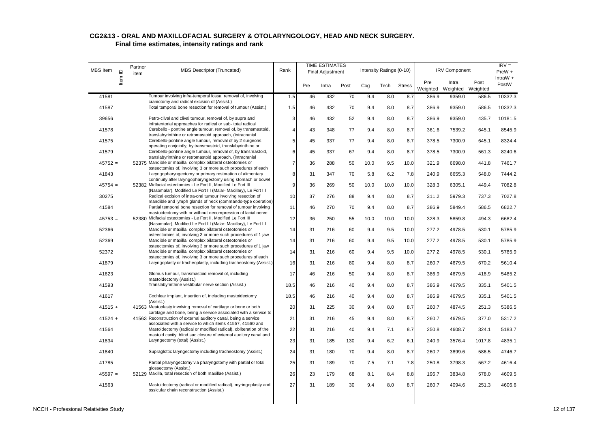| MBS Item  | Item ID | Partner<br>item | MBS Descriptor (Truncated)                                                                                                                                                                    | Rank           |     | <b>TIME ESTIMATES</b><br>Final Adjustment |      |      | Intensity Ratings (0-10) |               |                 | <b>IRV Component</b>       |        | $IRV =$<br>$PreW +$<br>IntraW $+$ |
|-----------|---------|-----------------|-----------------------------------------------------------------------------------------------------------------------------------------------------------------------------------------------|----------------|-----|-------------------------------------------|------|------|--------------------------|---------------|-----------------|----------------------------|--------|-----------------------------------|
|           |         |                 |                                                                                                                                                                                               |                | Pre | Intra                                     | Post | Cog  | Tech                     | <b>Stress</b> | Pre<br>Weighted | Intra<br>Weighted Weighted | Post   | PostW                             |
| 41581     |         |                 | Tumour involving infra-temporal fossa, removal of, involving                                                                                                                                  | 1.5            | 46  | 432                                       | 70   | 9.4  | 8.0                      | 8.7           | 386.9           | 9359.0                     | 586.5  | 10332.3                           |
| 41587     |         |                 | craniotomy and radical excision of (Assist.)<br>Total temporal bone resection for removal of tumour (Assist.)                                                                                 | 1.5            | 46  | 432                                       | 70   | 9.4  | 8.0                      | 8.7           | 386.9           | 9359.0                     | 586.5  | 10332.3                           |
| 39656     |         |                 | Petro-clival and clival tumour, removal of, by supra and<br>infratentorial approaches for radical or sub-total radical                                                                        | $\mathbf{3}$   | 46  | 432                                       | 52   | 9.4  | 8.0                      | 8.7           | 386.9           | 9359.0                     | 435.7  | 10181.5                           |
| 41578     |         |                 | Cerebello - pontine angle tumour, removal of, by transmastoid,<br>translabyrinthine or retromastoid approach, (intracranial                                                                   | $\overline{4}$ | 43  | 348                                       | 77   | 9.4  | 8.0                      | 8.7           | 361.6           | 7539.2                     | 645.1  | 8545.9                            |
| 41575     |         |                 | Cerebello-pontine angle tumour, removal of by 2 surgeons                                                                                                                                      | 5              | 45  | 337                                       | 77   | 9.4  | 8.0                      | 8.7           | 378.5           | 7300.9                     | 645.1  | 8324.4                            |
| 41579     |         |                 | operating conjointly, by transmastoid, translabyrinthine or<br>Cerebello-pontine angle tumour, removal of, by transmastoid,<br>translabyrinthine or retromastoid approach, (intracranial      | 6              | 45  | 337                                       | 67   | 9.4  | 8.0                      | 8.7           | 378.5           | 7300.9                     | 561.3  | 8240.6                            |
| $45752 =$ |         |                 | 52375 Mandible or maxilla, complex bilateral osteotomies or                                                                                                                                   | $\overline{7}$ | 36  | 288                                       | 50   | 10.0 | 9.5                      | 10.0          | 321.9           | 6698.0                     | 441.8  | 7461.7                            |
| 41843     |         |                 | osteectomies of, involving 3 or more such procedures of each<br>Laryngopharyngectomy or primary restoration of alimentary<br>continuity after laryngopharyngectomy using stomach or bowel     | 8              | 31  | 347                                       | 70   | 5.8  | 6.2                      | 7.8           | 240.9           | 6655.3                     | 548.0  | 7444.2                            |
| $45754 =$ |         |                 | 52382 Midfacial osteotomies - Le Fort II, Modified Le Fort III<br>(Nasomalar), Modified Le Fort III (Malar- Maxillary), Le Fort III                                                           | 9              | 36  | 269                                       | 50   | 10.0 | 10.0                     | 10.0          | 328.3           | 6305.1                     | 449.4  | 7082.8                            |
| 30275     |         |                 | Radical excision of intra-oral tumour involving resection of                                                                                                                                  | 10             | 37  | 276                                       | 88   | 9.4  | 8.0                      | 8.7           | 311.2           | 5979.3                     | 737.3  | 7027.8                            |
| 41584     |         |                 | mandible and lymph glands of neck (commando-type operation)<br>Partial temporal bone resection for removal of tumour involving<br>mastoidectomy with or without decompression of facial nerve | 11             | 46  | 270                                       | 70   | 9.4  | 8.0                      | 8.7           | 386.9           | 5849.4                     | 586.5  | 6822.7                            |
| $45753 =$ |         |                 | 52380 Midfacial osteotomies - Le Fort II, Modified Le Fort III<br>(Nasomalar), Modified Le Fort III (Malar- Maxillary), Le Fort III                                                           | 12             | 36  | 250                                       | 55   | 10.0 | 10.0                     | 10.0          | 328.3           | 5859.8                     | 494.3  | 6682.4                            |
| 52366     |         |                 | Mandible or maxilla, complex bilateral osteotomies or                                                                                                                                         | 14             | 31  | 216                                       | 60   | 9.4  | 9.5                      | 10.0          | 277.2           | 4978.5                     | 530.1  | 5785.9                            |
| 52369     |         |                 | osteectomies of, involving 3 or more such procedures of 1 jaw<br>Mandible or maxilla, complex bilateral osteotomies or<br>osteectomies of, involving 3 or more such procedures of 1 jaw       | 14             | 31  | 216                                       | 60   | 9.4  | 9.5                      | 10.0          | 277.2           | 4978.5                     | 530.1  | 5785.9                            |
| 52372     |         |                 | Mandible or maxilla, complex bilateral osteotomies or                                                                                                                                         | 14             | 31  | 216                                       | 60   | 9.4  | 9.5                      | 10.0          | 277.2           | 4978.5                     | 530.1  | 5785.9                            |
| 41879     |         |                 | osteectomies of, involving 3 or more such procedures of each<br>Laryngoplasty or tracheoplasty, including tracheostomy (Assist.)                                                              | 16             | 31  | 216                                       | 80   | 9.4  | 8.0                      | 8.7           | 260.7           | 4679.5                     | 670.2  | 5610.4                            |
| 41623     |         |                 | Glomus tumour, transmastoid removal of, including<br>mastoidectomy (Assist.)                                                                                                                  | 17             | 46  | 216                                       | 50   | 9.4  | 8.0                      | 8.7           | 386.9           | 4679.5                     | 418.9  | 5485.2                            |
| 41593     |         |                 | Translabyrinthine vestibular nerve section (Assist.)                                                                                                                                          | 18.5           | 46  | 216                                       | 40   | 9.4  | 8.0                      | 8.7           | 386.9           | 4679.5                     | 335.1  | 5401.5                            |
| 41617     |         |                 | Cochlear implant, insertion of, including mastoidectomy<br>(Assist.)                                                                                                                          | 18.5           | 46  | 216                                       | 40   | 9.4  | 8.0                      | 8.7           | 386.9           | 4679.5                     | 335.1  | 5401.5                            |
| $41515 +$ |         |                 | 41563 Meatoplasty involving removal of cartilage or bone or both<br>cartilage and bone, being a service associated with a service to                                                          | 20             | 31  | 225                                       | 30   | 9.4  | 8.0                      | 8.7           | 260.7           | 4874.5                     | 251.3  | 5386.5                            |
| $41524 +$ |         |                 | 41563 Reconstruction of external auditory canal, being a service<br>associated with a service to which items 41557, 41560 and                                                                 | 21             | 31  | 216                                       | 45   | 9.4  | 8.0                      | 8.7           | 260.7           | 4679.5                     | 377.0  | 5317.2                            |
| 41564     |         |                 | Mastoidectomy (radical or modified radical), obliteration of the<br>mastoid cavity, blind sac closure of external auditory canal and                                                          | 22             | 31  | 216                                       | 40   | 9.4  | 7.1                      | 8.7           | 250.8           | 4608.7                     | 324.1  | 5183.7                            |
| 41834     |         |                 | Laryngectomy (total) (Assist.)                                                                                                                                                                | 23             | 31  | 185                                       | 130  | 9.4  | 6.2                      | 6.1           | 240.9           | 3576.4                     | 1017.8 | 4835.1                            |
| 41840     |         |                 | Supraglottic laryngectomy including tracheostomy (Assist.)                                                                                                                                    | 24             | 31  | 180                                       | 70   | 9.4  | 8.0                      | 8.7           | 260.7           | 3899.6                     | 586.5  | 4746.7                            |
| 41785     |         |                 | Partial pharyngectomy via pharyngotomy with partial or total<br>glossectomy (Assist.)                                                                                                         | 25             | 31  | 189                                       | 70   | 7.5  | 7.1                      | 7.8           | 250.8           | 3798.3                     | 567.2  | 4616.4                            |
| $45597 =$ |         |                 | 52129 Maxilla, total resection of both maxillae (Assist.)                                                                                                                                     | 26             | 23  | 179                                       | 68   | 8.1  | 8.4                      | 8.8           | 196.7           | 3834.8                     | 578.0  | 4609.5                            |
| 41563     |         |                 | Mastoidectomy (radical or modified radical), myringoplasty and<br>ossicular chain reconstruction (Assist.)                                                                                    | 27             | 31  | 189                                       | 30   | 9.4  | 8.0                      | 8.7           | 260.7           | 4094.6                     | 251.3  | 4606.6                            |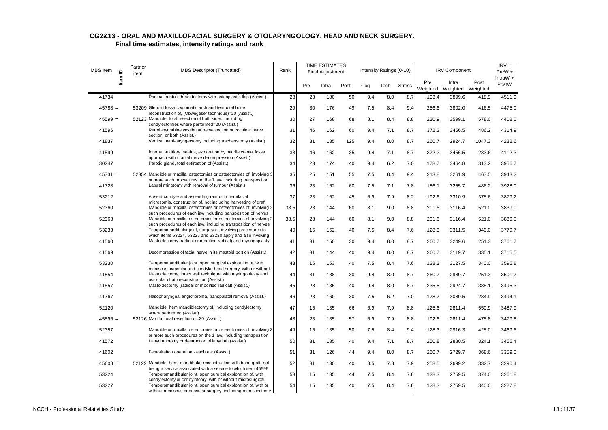| MBS Item  | Item ID | Partner<br>item | <b>MBS Descriptor (Truncated)</b>                                                                                                                                                            | Rank |     | <b>TIME ESTIMATES</b><br><b>Final Adjustment</b> |      |     | Intensity Ratings (0-10) |               |                 | <b>IRV Component</b>       |        | $IRV =$<br>$PreW +$ |
|-----------|---------|-----------------|----------------------------------------------------------------------------------------------------------------------------------------------------------------------------------------------|------|-----|--------------------------------------------------|------|-----|--------------------------|---------------|-----------------|----------------------------|--------|---------------------|
|           |         |                 |                                                                                                                                                                                              |      | Pre | Intra                                            | Post | Cog | Tech                     | <b>Stress</b> | Pre<br>Weighted | Intra<br>Weighted Weighted | Post   | IntraW $+$<br>PostW |
| 41734     |         |                 | Radical fronto-ethmoidectomy with osteoplastic flap (Assist.)                                                                                                                                | 28   | 23  | 180                                              | 50   | 9.4 | 8.0                      | 8.7           | 193.4           | 3899.6                     | 418.9  | 4511.9              |
| $45788 =$ |         |                 | 53209 Glenoid fossa, zygomatic arch and temporal bone,                                                                                                                                       | 29   | 30  | 176                                              | 49   | 7.5 | 8.4                      | 9.4           | 256.6           | 3802.0                     | 416.5  | 4475.0              |
| $45599 =$ |         |                 | reconstruction of, (Obwegeser technique)=20 (Assist.)<br>52123 Mandible, total resection of both sides, including                                                                            | 30   | 27  | 168                                              | 68   | 8.1 | 8.4                      | 8.8           | 230.9           | 3599.1                     | 578.0  | 4408.0              |
| 41596     |         |                 | condylectomies where performed=20 (Assist.)<br>Retrolabyrinthine vestibular nerve section or cochlear nerve                                                                                  | 31   | 46  | 162                                              | 60   | 9.4 | 7.1                      | 8.7           | 372.2           | 3456.5                     | 486.2  | 4314.9              |
| 41837     |         |                 | section, or both (Assist.)<br>Vertical hemi-laryngectomy including tracheostomy (Assist.)                                                                                                    | 32   | 31  | 135                                              | 125  | 9.4 | 8.0                      | 8.7           | 260.7           | 2924.7                     | 1047.3 | 4232.6              |
| 41599     |         |                 | Internal auditory meatus, exploration by middle cranial fossa                                                                                                                                | 33   | 46  | 162                                              | 35   | 9.4 | 7.1                      | 8.7           | 372.2           | 3456.5                     | 283.6  | 4112.3              |
| 30247     |         |                 | approach with cranial nerve decompression (Assist.)<br>Parotid gland, total extirpation of (Assist.)                                                                                         | 34   | 23  | 174                                              | 40   | 9.4 | 6.2                      | 7.0           | 178.7           | 3464.8                     | 313.2  | 3956.7              |
| $45731 =$ |         |                 | 52354 Mandible or maxilla, osteotomies or osteectomies of, involving 3                                                                                                                       | 35   | 25  | 151                                              | 55   | 7.5 | 8.4                      | 9.4           | 213.8           | 3261.9                     | 467.5  | 3943.2              |
| 41728     |         |                 | or more such procedures on the 1 jaw, including transposition<br>Lateral rhinotomy with removal of tumour (Assist.)                                                                          | 36   | 23  | 162                                              | 60   | 7.5 | 7.1                      | 7.8           | 186.1           | 3255.7                     | 486.2  | 3928.0              |
| 53212     |         |                 | Absent condyle and ascending ramus in hemifacial                                                                                                                                             | 37   | 23  | 162                                              | 45   | 6.9 | 7.9                      | 8.2           | 192.6           | 3310.9                     | 375.6  | 3879.2              |
| 52360     |         |                 | microsomia, construction of, not including harvesting of graft<br>Mandible or maxilla, osteotomies or osteectomies of, involving 2                                                           | 38.5 | 23  | 144                                              | 60   | 8.1 | 9.0                      | 8.8           | 201.6           | 3116.4                     | 521.0  | 3839.0              |
| 52363     |         |                 | such procedures of each jaw including transposition of nerves<br>Mandible or maxilla, osteotomies or osteectomies of, involving 2                                                            | 38.5 | 23  | 144                                              | 60   | 8.1 | 9.0                      | 8.8           | 201.6           | 3116.4                     | 521.0  | 3839.0              |
| 53233     |         |                 | such procedures of each jaw, including transposition of nerves<br>Temporomandibular joint, surgery of, involving procedures to                                                               | 40   | 15  | 162                                              | 40   | 7.5 | 8.4                      | 7.6           | 128.3           | 3311.5                     | 340.0  | 3779.7              |
| 41560     |         |                 | which items 53224, 53227 and 53230 apply and also involving<br>Mastoidectomy (radical or modified radical) and myringoplasty                                                                 | 41   | 31  | 150                                              | 30   | 9.4 | 8.0                      |               | 260.7           | 3249.6                     | 251.3  | 3761.7              |
|           |         |                 |                                                                                                                                                                                              |      |     |                                                  |      |     |                          | 8.7           |                 |                            |        |                     |
| 41569     |         |                 | Decompression of facial nerve in its mastoid portion (Assist.)                                                                                                                               | 42   | 31  | 144                                              | 40   | 9.4 | 8.0                      | 8.7           | 260.7           | 3119.7                     | 335.1  | 3715.5              |
| 53230     |         |                 | Temporomandibular joint, open surgical exploration of, with<br>meniscus, capsular and condylar head surgery, with or without                                                                 | 43   | 15  | 153                                              | 40   | 7.5 | 8.4                      | 7.6           | 128.3           | 3127.5                     | 340.0  | 3595.8              |
| 41554     |         |                 | Mastoidectomy, intact wall technique, with myringoplasty and<br>ossicular chain reconstruction (Assist.)                                                                                     | 44   | 31  | 138                                              | 30   | 9.4 | 8.0                      | 8.7           | 260.7           | 2989.7                     | 251.3  | 3501.7              |
| 41557     |         |                 | Mastoidectomy (radical or modified radical) (Assist.)                                                                                                                                        | 45   | 28  | 135                                              | 40   | 9.4 | 8.0                      | 8.7           | 235.5           | 2924.7                     | 335.1  | 3495.3              |
| 41767     |         |                 | Nasopharyngeal angiofibroma, transpalatal removal (Assist.)                                                                                                                                  | 46   | 23  | 160                                              | 30   | 7.5 | 6.2                      | 7.0           | 178.7           | 3080.5                     | 234.9  | 3494.1              |
| 52120     |         |                 | Mandible, hemimandiblectomy of, including condylectomy<br>where performed (Assist.)                                                                                                          | 47   | 15  | 135                                              | 66   | 6.9 | 7.9                      | 8.8           | 125.6           | 2811.4                     | 550.9  | 3487.9              |
| $45596 =$ |         |                 | 52126 Maxilla, total resection of=20 (Assist.)                                                                                                                                               | 48   | 23  | 135                                              | 57   | 6.9 | 7.9                      | 8.8           | 192.6           | 2811.4                     | 475.8  | 3479.8              |
| 52357     |         |                 | Mandible or maxilla, osteotomies or osteectomies of, involving 3<br>or more such procedures on the 1 jaw, including transposition                                                            | 49   | 15  | 135                                              | 50   | 7.5 | 8.4                      | 9.4           | 128.3           | 2916.3                     | 425.0  | 3469.6              |
| 41572     |         |                 | Labyrinthotomy or destruction of labyrinth (Assist.)                                                                                                                                         | 50   | 31  | 135                                              | 40   | 9.4 | 7.1                      | 8.7           | 250.8           | 2880.5                     | 324.1  | 3455.4              |
| 41602     |         |                 | Fenestration operation - each ear (Assist.)                                                                                                                                                  | 51   | 31  | 126                                              | 44   | 9.4 | 8.0                      | 8.7           | 260.7           | 2729.7                     | 368.6  | 3359.0              |
| $45608 =$ |         |                 | 52122 Mandible, hemi-mandibular reconstruction with bone graft, not                                                                                                                          | 52   | 31  | 130                                              | 40   | 8.5 | 7.8                      | 7.9           | 258.5           | 2699.2                     | 332.7  | 3290.4              |
| 53224     |         |                 | being a service associated with a service to which item 45599<br>Temporomandibular joint, open surgical exploration of, with                                                                 | 53   | 15  | 135                                              | 44   | 7.5 | 8.4                      | 7.6           | 128.3           | 2759.5                     | 374.0  | 3261.8              |
| 53227     |         |                 | condylectomy or condylotomy, with or without microsurgical<br>Temporomandibular joint, open surgical exploration of, with or<br>without meniscus or capsular surgery, including meniscectomy | 54   | 15  | 135                                              | 40   | 7.5 | 8.4                      | 7.6           | 128.3           | 2759.5                     | 340.0  | 3227.8              |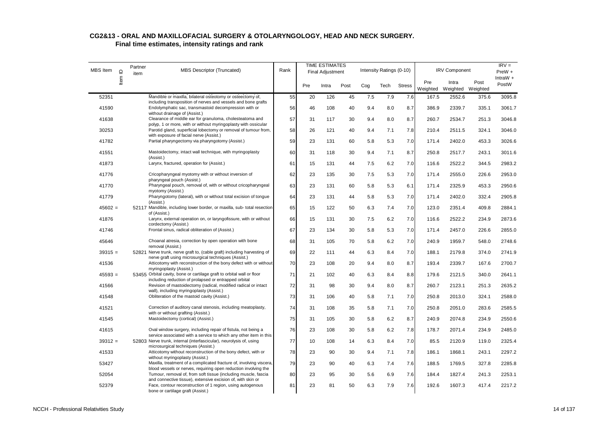| <b>MBS</b> Item | Item ID | Partner<br>item | <b>MBS Descriptor (Truncated)</b>                                                                                                      | Rank |     | <b>TIME ESTIMATES</b><br>Final Adjustment |      |     | Intensity Ratings (0-10) |               |                 | <b>IRV Component</b> |                  | $IRV =$<br>$PreW +$ |
|-----------------|---------|-----------------|----------------------------------------------------------------------------------------------------------------------------------------|------|-----|-------------------------------------------|------|-----|--------------------------|---------------|-----------------|----------------------|------------------|---------------------|
|                 |         |                 |                                                                                                                                        |      | Pre | Intra                                     | Post | Cog | Tech                     | <b>Stress</b> | Pre<br>Weighted | Intra<br>Weighted    | Post<br>Weighted | IntraW $+$<br>PostW |
| 52351           |         |                 | Mandible or maxilla, bilateral osteotomy or osteectomy of,                                                                             | 55   | 20  | 126                                       | 45   | 7.5 | 7.9                      | 7.6           | 167.5           | 2552.6               | 375.6            | 3095.8              |
| 41590           |         |                 | including transposition of nerves and vessels and bone grafts<br>Endolymphatic sac, transmastoid decompression with or                 | 56   | 46  | 108                                       | 40   | 9.4 | 8.0                      | 8.7           | 386.9           | 2339.7               | 335.1            | 3061.7              |
|                 |         |                 | without drainage of (Assist.)                                                                                                          |      |     |                                           |      |     |                          |               |                 |                      |                  |                     |
| 41638           |         |                 | Clearance of middle ear for granuloma, cholesteatoma and<br>polyp, 1 or more, with or without myringoplasty with ossicular             | 57   | 31  | 117                                       | 30   | 9.4 | 8.0                      | 8.7           | 260.7           | 2534.7               | 251.3            | 3046.8              |
| 30253           |         |                 | Parotid gland, superficial lobectomy or removal of tumour from,                                                                        | 58   | 26  | 121                                       | 40   | 9.4 | 7.1                      | 7.8           | 210.4           | 2511.5               | 324.1            | 3046.0              |
|                 |         |                 | with exposure of facial nerve (Assist.)                                                                                                |      |     |                                           |      |     |                          |               |                 |                      |                  |                     |
| 41782           |         |                 | Partial pharyngectomy via pharyngotomy (Assist.)                                                                                       | 59   | 23  | 131                                       | 60   | 5.8 | 5.3                      | 7.0           | 171.4           | 2402.0               | 453.3            | 3026.6              |
| 41551           |         |                 | Mastoidectomy, intact wall technique, with myringoplasty<br>(Assist.)                                                                  | 60   | 31  | 118                                       | 30   | 9.4 | 7.1                      | 8.7           | 250.8           | 2517.7               | 243.1            | 3011.6              |
| 41873           |         |                 | Larynx, fractured, operation for (Assist.)                                                                                             | 61   | 15  | 131                                       | 44   | 7.5 | 6.2                      | 7.0           | 116.6           | 2522.2               | 344.5            | 2983.2              |
| 41776           |         |                 | Cricopharyngeal myotomy with or without inversion of<br>pharyngeal pouch (Assist.)                                                     | 62   | 23  | 135                                       | 30   | 7.5 | 5.3                      | 7.0           | 171.4           | 2555.0               | 226.6            | 2953.0              |
| 41770           |         |                 | Pharyngeal pouch, removal of, with or without cricopharyngeal                                                                          | 63   | 23  | 131                                       | 60   | 5.8 | 5.3                      | 6.1           | 171.4           | 2325.9               | 453.3            | 2950.6              |
| 41779           |         |                 | myotomy (Assist.)<br>Pharyngotomy (lateral), with or without total excision of tongue<br>(Assist.)                                     | 64   | 23  | 131                                       | 44   | 5.8 | 5.3                      | 7.0           | 171.4           | 2402.0               | 332.4            | 2905.8              |
| $45602 =$       |         |                 | 52117 Mandible, including lower border, or maxilla, sub- total resection<br>of (Assist.)                                               | 65   | 15  | 122                                       | 50   | 6.3 | 7.4                      | 7.0           | 123.0           | 2351.4               | 409.8            | 2884.1              |
| 41876           |         |                 | Larynx, external operation on, or laryngofissure, with or without<br>cordectomy (Assist.)                                              | 66   | 15  | 131                                       | 30   | 7.5 | 6.2                      | 7.0           | 116.6           | 2522.2               | 234.9            | 2873.6              |
| 41746           |         |                 | Frontal sinus, radical obliteration of (Assist.)                                                                                       | 67   | 23  | 134                                       | 30   | 5.8 | 5.3                      | 7.0           | 171.4           | 2457.0               | 226.6            | 2855.0              |
| 45646           |         |                 | Choanal atresia, correction by open operation with bone<br>removal (Assist.)                                                           | 68   | 31  | 105                                       | 70   | 5.8 | 6.2                      | 7.0           | 240.9           | 1959.7               | 548.0            | 2748.6              |
| $39315 =$       |         |                 | 52821 Nerve trunk, nerve graft to, (cable graft) including harvesting of<br>nerve graft using microsurgical techniques (Assist.)       | 69   | 22  | 111                                       | 44   | 6.3 | 8.4                      | 7.0           | 188.1           | 2179.8               | 374.0            | 2741.9              |
| 41536           |         |                 | Atticotomy with reconstruction of the bony defect with or without<br>myringoplasty (Assist.)                                           | 70   | 23  | 108                                       | 20   | 9.4 | 8.0                      | 8.7           | 193.4           | 2339.7               | 167.6            | 2700.7              |
| $45593 =$       |         |                 | 53455 Orbital cavity, bone or cartilage graft to orbital wall or floor<br>including reduction of prolapsed or entrapped orbital        | 71   | 21  | 102                                       | 40   | 6.3 | 8.4                      | 8.8           | 179.6           | 2121.5               | 340.0            | 2641.1              |
| 41566           |         |                 | Revision of mastoidectomy (radical, modified radical or intact                                                                         | 72   | 31  | 98                                        | 30   | 9.4 | 8.0                      | 8.7           | 260.7           | 2123.1               | 251.3            | 2635.2              |
| 41548           |         |                 | wall), including myringoplasty (Assist.)<br>Obliteration of the mastoid cavity (Assist.)                                               | 73   | 31  | 106                                       | 40   | 5.8 | 7.1                      | 7.0           | 250.8           | 2013.0               | 324.1            | 2588.0              |
| 41521           |         |                 | Correction of auditory canal stenosis, including meatoplasty,<br>with or without grafting (Assist.)                                    | 74   | 31  | 108                                       | 35   | 5.8 | 7.1                      | 7.0           | 250.8           | 2051.0               | 283.6            | 2585.5              |
| 41545           |         |                 | Mastoidectomy (cortical) (Assist.)                                                                                                     | 75   | 31  | 105                                       | 30   | 5.8 | 6.2                      | 8.7           | 240.9           | 2074.8               | 234.9            | 2550.6              |
| 41615           |         |                 | Oval window surgery, including repair of fistula, not being a<br>service associated with a service to which any other item in this     | 76   | 23  | 108                                       | 30   | 5.8 | 6.2                      | 7.8           | 178.7           | 2071.4               | 234.9            | 2485.0              |
| $39312 =$       |         |                 | 52803 Nerve trunk, internal (interfascicular), neurolysis of, using<br>microsurgical techniques (Assist.)                              | 77   | 10  | 108                                       | 14   | 6.3 | 8.4                      | 7.0           | 85.5            | 2120.9               | 119.0            | 2325.4              |
| 41533           |         |                 | Atticotomy without reconstruction of the bony defect, with or<br>without myringoplasty (Assist.)                                       | 78   | 23  | 90                                        | 30   | 9.4 | 7.1                      | 7.8           | 186.1           | 1868.1               | 243.1            | 2297.2              |
| 53427           |         |                 | Maxilla, treatment of a complicated fracture of, involving viscera,<br>blood vessels or nerves, requiring open reduction involving the | 79   | 23  | 90                                        | 40   | 6.3 | 7.4                      | 7.6           | 188.5           | 1769.5               | 327.8            | 2285.8              |
| 52054           |         |                 | Tumour, removal of, from soft tissue (including muscle, fascia<br>and connective tissue), extensive excision of, with skin or          | 80   | 23  | 95                                        | 30   | 5.6 | 6.9                      | 7.6           | 184.4           | 1827.4               | 241.3            | 2253.1              |
| 52379           |         |                 | Face, contour reconstruction of 1 region, using autogenous<br>bone or cartilage graft (Assist.)                                        | 81   | 23  | 81                                        | 50   | 6.3 | 7.9                      | 7.6           | 192.6           | 1607.3               | 417.4            | 2217.2              |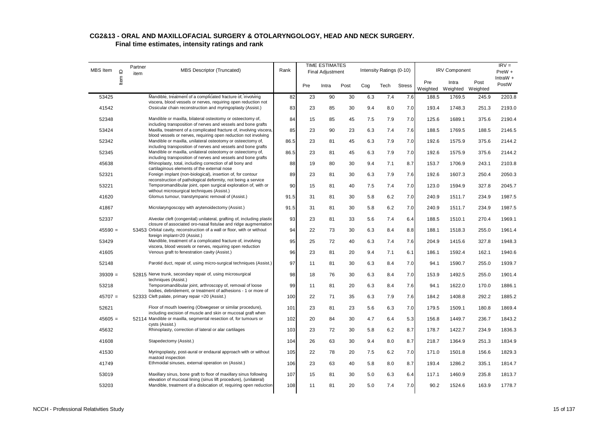| <b>MBS</b> Item |         | Partner<br>item | <b>MBS Descriptor (Truncated)</b>                                                                                                                                                               | Rank |     | <b>TIME ESTIMATES</b><br>Final Adjustment |      |     | Intensity Ratings (0-10) |               |                 | <b>IRV Component</b>       |       | $IRV =$<br>$PreW +$ |
|-----------------|---------|-----------------|-------------------------------------------------------------------------------------------------------------------------------------------------------------------------------------------------|------|-----|-------------------------------------------|------|-----|--------------------------|---------------|-----------------|----------------------------|-------|---------------------|
|                 | Item ID |                 |                                                                                                                                                                                                 |      | Pre | Intra                                     | Post | Cog | Tech                     | <b>Stress</b> | Pre<br>Weighted | Intra<br>Weighted Weighted | Post  | IntraW $+$<br>PostW |
| 53425           |         |                 | Mandible, treatment of a complicated fracture of, involving                                                                                                                                     | 82   | 23  | 90                                        | 30   | 6.3 | 7.4                      | 7.6           | 188.5           | 1769.5                     | 245.9 | 2203.8              |
| 41542           |         |                 | viscera, blood vessels or nerves, requiring open reduction not<br>Ossicular chain reconstruction and myringoplasty (Assist.)                                                                    | 83   | 23  | 85                                        | 30   | 9.4 | 8.0                      | 7.0           | 193.4           | 1748.3                     | 251.3 | 2193.0              |
| 52348           |         |                 | Mandible or maxilla, bilateral osteotomy or osteectomy of,<br>including transposition of nerves and vessels and bone grafts                                                                     | 84   | 15  | 85                                        | 45   | 7.5 | 7.9                      | 7.0           | 125.6           | 1689.1                     | 375.6 | 2190.4              |
| 53424           |         |                 | Maxilla, treatment of a complicated fracture of, involving viscera,                                                                                                                             | 85   | 23  | 90                                        | 23   | 6.3 | 7.4                      | 7.6           | 188.5           | 1769.5                     | 188.5 | 2146.5              |
| 52342           |         |                 | blood vessels or nerves, requiring open reduction not involving<br>Mandible or maxilla, unilateral osteotomy or osteectomy of,<br>including transposition of nerves and vessels and bone grafts | 86.5 | 23  | 81                                        | 45   | 6.3 | 7.9                      | 7.0           | 192.6           | 1575.9                     | 375.6 | 2144.2              |
| 52345           |         |                 | Mandible or maxilla, unilateral osteotomy or osteectomy of,                                                                                                                                     | 86.5 | 23  | 81                                        | 45   | 6.3 | 7.9                      | 7.0           | 192.6           | 1575.9                     | 375.6 | 2144.2              |
| 45638           |         |                 | including transposition of nerves and vessels and bone grafts<br>Rhinoplasty, total, including correction of all bony and<br>cartilaginous elements of the external nose                        | 88   | 19  | 80                                        | 30   | 9.4 | 7.1                      | 8.7           | 153.7           | 1706.9                     | 243.1 | 2103.8              |
| 52321           |         |                 | Foreign implant (non-biological), insertion of, for contour                                                                                                                                     | 89   | 23  | 81                                        | 30   | 6.3 | 7.9                      | 7.6           | 192.6           | 1607.3                     | 250.4 | 2050.3              |
| 53221           |         |                 | reconstruction of pathological deformity, not being a service<br>Temporomandibular joint, open surgical exploration of, with or<br>without microsurgical techniques (Assist.)                   | 90   | 15  | 81                                        | 40   | 7.5 | 7.4                      | 7.0           | 123.0           | 1594.9                     | 327.8 | 2045.7              |
| 41620           |         |                 | Glomus tumour, transtympanic removal of (Assist.)                                                                                                                                               | 91.5 | 31  | 81                                        | 30   | 5.8 | 6.2                      | 7.0           | 240.9           | 1511.7                     | 234.9 | 1987.5              |
| 41867           |         |                 | Microlaryngoscopy with arytenoidectomy (Assist.)                                                                                                                                                | 91.5 | 31  | 81                                        | 30   | 5.8 | 6.2                      | 7.0           | 240.9           | 1511.7                     | 234.9 | 1987.5              |
| 52337           |         |                 | Alveolar cleft (congenital) unilateral, grafting of, including plastic<br>closure of associated oro-nasal fistulae and ridge augmentation                                                       | 93   | 23  | 81                                        | 33   | 5.6 | 7.4                      | 6.4           | 188.5           | 1510.1                     | 270.4 | 1969.1              |
| $45590 =$       |         |                 | 53453 Orbital cavity, reconstruction of a wall or floor, with or without<br>foreign implant=20 (Assist.)                                                                                        | 94   | 22  | 73                                        | 30   | 6.3 | 8.4                      | 8.8           | 188.1           | 1518.3                     | 255.0 | 1961.4              |
| 53429           |         |                 | Mandible, treatment of a complicated fracture of, involving                                                                                                                                     | 95   | 25  | 72                                        | 40   | 6.3 | 7.4                      | 7.6           | 204.9           | 1415.6                     | 327.8 | 1948.3              |
| 41605           |         |                 | viscera, blood vessels or nerves, requiring open reduction<br>Venous graft to fenestration cavity (Assist.)                                                                                     | 96   | 23  | 81                                        | 20   | 9.4 | 7.1                      | 6.1           | 186.1           | 1592.4                     | 162.1 | 1940.6              |
| 52148           |         |                 | Parotid duct, repair of, using micro-surgical techniques (Assist.)                                                                                                                              | 97   | 11  | 81                                        | 30   | 6.3 | 8.4                      | 7.0           | 94.1            | 1590.7                     | 255.0 | 1939.7              |
| $39309 =$       |         |                 | 52815 Nerve trunk, secondary repair of, using microsurgical<br>techniques (Assist.)                                                                                                             | 98   | 18  | 76                                        | 30   | 6.3 | 8.4                      | 7.0           | 153.9           | 1492.5                     | 255.0 | 1901.4              |
| 53218           |         |                 | Temporomandibular joint, arthroscopy of, removal of loose<br>bodies, debridement, or treatment of adhesions - 1 or more of                                                                      | 99   | 11  | 81                                        | 20   | 6.3 | 8.4                      | 7.6           | 94.1            | 1622.0                     | 170.0 | 1886.1              |
| $45707 =$       |         |                 | 52333 Cleft palate, primary repair = 20 (Assist.)                                                                                                                                               | 100  | 22  | 71                                        | 35   | 6.3 | 7.9                      | 7.6           | 184.2           | 1408.8                     | 292.2 | 1885.2              |
| 52621           |         |                 | Floor of mouth lowering (Obwegeser or similar procedure),<br>including excision of muscle and skin or mucosal graft when                                                                        | 101  | 23  | 81                                        | 23   | 5.6 | 6.3                      | 7.0           | 179.5           | 1509.1                     | 180.8 | 1869.4              |
| $45605 =$       |         |                 | 52114 Mandible or maxilla, segmental resection of, for tumours or<br>cysts (Assist.)                                                                                                            | 102  | 20  | 84                                        | 30   | 4.7 | 6.4                      | 5.3           | 156.8           | 1449.7                     | 236.7 | 1843.2              |
| 45632           |         |                 | Rhinoplasty, correction of lateral or alar cartilages                                                                                                                                           | 103  | 23  | 72                                        | 30   | 5.8 | 6.2                      | 8.7           | 178.7           | 1422.7                     | 234.9 | 1836.3              |
| 41608           |         |                 | Stapedectomy (Assist.)                                                                                                                                                                          | 104  | 26  | 63                                        | 30   | 9.4 | 8.0                      | 8.7           | 218.7           | 1364.9                     | 251.3 | 1834.9              |
| 41530           |         |                 | Myringoplasty, post-aural or endaural approach with or without<br>mastoid inspection                                                                                                            | 105  | 22  | 78                                        | 20   | 7.5 | 6.2                      | 7.0           | 171.0           | 1501.8                     | 156.6 | 1829.3              |
| 41749           |         |                 | Ethmoidal sinuses, external operation on (Assist.)                                                                                                                                              | 106  | 23  | 63                                        | 40   | 5.8 | 8.0                      | 8.7           | 193.4           | 1286.2                     | 335.1 | 1814.7              |
| 53019           |         |                 | Maxillary sinus, bone graft to floor of maxillary sinus following<br>elevation of mucosal lining (sinus lift procedure), (unilateral)                                                           | 107  | 15  | 81                                        | 30   | 5.0 | 6.3                      | 6.4           | 117.1           | 1460.9                     | 235.8 | 1813.7              |
| 53203           |         |                 | Mandible, treatment of a dislocation of, requiring open reduction                                                                                                                               | 108  | 11  | 81                                        | 20   | 5.0 | 7.4                      | 7.0           | 90.2            | 1524.6                     | 163.9 | 1778.7              |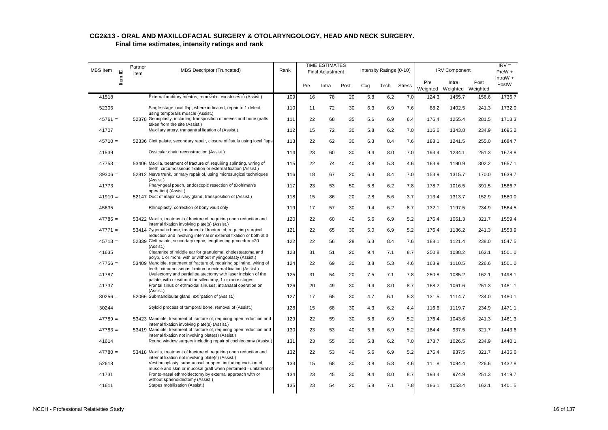| <b>MBS</b> Item<br>Item ID | Partner<br>item | <b>MBS Descriptor (Truncated)</b>                                                                                                                              | Rank |     | <b>TIME ESTIMATES</b><br><b>Final Adjustment</b> |      |     | Intensity Ratings (0-10) |               |                 | <b>IRV Component</b> |                  | $IRV =$<br>PreW +   |
|----------------------------|-----------------|----------------------------------------------------------------------------------------------------------------------------------------------------------------|------|-----|--------------------------------------------------|------|-----|--------------------------|---------------|-----------------|----------------------|------------------|---------------------|
|                            |                 |                                                                                                                                                                |      | Pre | Intra                                            | Post | Cog | Tech                     | <b>Stress</b> | Pre<br>Weighted | Intra<br>Weighted    | Post<br>Weighted | IntraW $+$<br>PostW |
| 41518                      |                 | External auditory meatus, removal of exostoses in (Assist.)                                                                                                    | 109  | 16  | 78                                               | 20   | 5.8 | 6.2                      | 7.0           | 124.3           | 1455.7               | 156.6            | 1736.7              |
| 52306                      |                 | Single-stage local flap, where indicated, repair to 1 defect,                                                                                                  | 110  | 11  | 72                                               | 30   | 6.3 | 6.9                      | 7.6           | 88.2            | 1402.5               | 241.3            | 1732.0              |
| $45761 =$                  |                 | using temporalis muscle (Assist.)<br>52378 Genioplasty, including transposition of nerves and bone grafts                                                      | 111  | 22  | 68                                               | 35   | 5.6 | 6.9                      | 6.4           | 176.4           | 1255.4               | 281.5            | 1713.3              |
| 41707                      |                 | taken from the site (Assist.)<br>Maxillary artery, transantral ligation of (Assist.)                                                                           | 112  | 15  | 72                                               | 30   | 5.8 | 6.2                      | 7.0           | 116.6           | 1343.8               | 234.9            | 1695.2              |
| $45710 =$                  |                 | 52336 Cleft palate, secondary repair, closure of fistula using local flaps                                                                                     | 113  | 22  | 62                                               | 30   | 6.3 | 8.4                      | 7.6           | 188.1           | 1241.5               | 255.0            | 1684.7              |
| 41539                      |                 | Ossicular chain reconstruction (Assist.)                                                                                                                       | 114  | 23  | 60                                               | 30   | 9.4 | 8.0                      | 7.0           | 193.4           | 1234.1               | 251.3            | 1678.8              |
| $47753 =$                  |                 | 53406 Maxilla, treatment of fracture of, requiring splinting, wiring of<br>teeth, circumosseous fixation or external fixation (Assist.)                        | 115  | 22  | 74                                               | 40   | 3.8 | 5.3                      | 4.6           | 163.9           | 1190.9               | 302.2            | 1657.1              |
| $39306 =$                  |                 | 52812 Nerve trunk, primary repair of, using microsurgical techniques<br>(Assist.)                                                                              | 116  | 18  | 67                                               | 20   | 6.3 | 8.4                      | 7.0           | 153.9           | 1315.7               | 170.0            | 1639.7              |
| 41773                      |                 | Pharyngeal pouch, endoscopic resection of (Dohlman's<br>operation) (Assist.)                                                                                   | 117  | 23  | 53                                               | 50   | 5.8 | 6.2                      | 7.8           | 178.7           | 1016.5               | 391.5            | 1586.7              |
| $41910 =$                  |                 | 52147 Duct of major salivary gland, transposition of (Assist.)                                                                                                 | 118  | 15  | 86                                               | 20   | 2.8 | 5.6                      | 3.7           | 113.4           | 1313.7               | 152.9            | 1580.0              |
| 45635                      |                 | Rhinoplasty, correction of bony vault only                                                                                                                     | 119  | 17  | 57                                               | 30   | 9.4 | 6.2                      | 8.7           | 132.1           | 1197.5               | 234.9            | 1564.5              |
| $47786 =$                  |                 | 53422 Maxilla, treatment of fracture of, requiring open reduction and<br>internal fixation involving plate(s) (Assist.)                                        | 120  | 22  | 60                                               | 40   | 5.6 | 6.9                      | 5.2           | 176.4           | 1061.3               | 321.7            | 1559.4              |
| $47771 =$                  |                 | 53414 Zygomatic bone, treatment of fracture of, requiring surgical                                                                                             | 121  | 22  | 65                                               | 30   | 5.0 | 6.9                      | 5.2           | 176.4           | 1136.2               | 241.3            | 1553.9              |
| $45713 =$                  |                 | reduction and involving internal or external fixation or both at 3<br>52339 Cleft palate, secondary repair, lengthening procedure=20<br>(Assist.)              | 122  | 22  | 56                                               | 28   | 6.3 | 8.4                      | 7.6           | 188.1           | 1121.4               | 238.0            | 1547.5              |
| 41635                      |                 | Clearance of middle ear for granuloma, cholesteatoma and<br>polyp, 1 or more, with or without myringoplasty (Assist.)                                          | 123  | 31  | 51                                               | 20   | 9.4 | 7.1                      | 8.7           | 250.8           | 1088.2               | 162.1            | 1501.0              |
| $47756 =$                  |                 | 53409 Mandible, treatment of fracture of, requiring splinting, wiring of<br>teeth, circumosseous fixation or external fixation (Assist.)                       | 124  | 22  | 69                                               | 30   | 3.8 | 5.3                      | 4.6           | 163.9           | 1110.5               | 226.6            | 1501.0              |
| 41787                      |                 | Uvulectomy and partial palatectomy with laser incision of the                                                                                                  | 125  | 31  | 54                                               | 20   | 7.5 | 7.1                      | 7.8           | 250.8           | 1085.2               | 162.1            | 1498.1              |
| 41737                      |                 | palate, with or without tonsillectomy, 1 or more stages,<br>Frontal sinus or ethmoidal sinuses, intranasal operation on<br>(Assist.)                           | 126  | 20  | 49                                               | 30   | 9.4 | 8.0                      | 8.7           | 168.2           | 1061.6               | 251.3            | 1481.1              |
| $30256 =$                  |                 | 52066 Submandibular gland, extirpation of (Assist.)                                                                                                            | 127  | 17  | 65                                               | 30   | 4.7 | 6.1                      | 5.3           | 131.5           | 1114.7               | 234.0            | 1480.1              |
| 30244                      |                 | Styloid process of temporal bone, removal of (Assist.)                                                                                                         | 128  | 15  | 68                                               | 30   | 4.3 | 6.2                      | 4.4           | 116.6           | 1119.7               | 234.9            | 1471.1              |
| $47789 =$                  |                 | 53423 Mandible, treatment of fracture of, requiring open reduction and<br>internal fixation involving plate(s) (Assist.)                                       | 129  | 22  | 59                                               | 30   | 5.6 | 6.9                      | 5.2           | 176.4           | 1043.6               | 241.3            | 1461.3              |
| $47783 =$                  |                 | 53419 Mandible, treatment of fracture of, requiring open reduction and<br>internal fixation not involving plate(s) (Assist.)                                   | 130  | 23  | 53                                               | 40   | 5.6 | 6.9                      | 5.2           | 184.4           | 937.5                | 321.7            | 1443.6              |
| 41614                      |                 | Round window surgery including repair of cochleotomy (Assist.)                                                                                                 | 131  | 23  | 55                                               | 30   | 5.8 | 6.2                      | 7.0           | 178.7           | 1026.5               | 234.9            | 1440.1              |
| $47780 =$                  |                 | 53418 Maxilla, treatment of fracture of, requiring open reduction and<br>internal fixation not involving plate(s) (Assist.)                                    | 132  | 22  | 53                                               | 40   | 5.6 | 6.9                      | 5.2           | 176.4           | 937.5                | 321.7            | 1435.6              |
| 52618                      |                 | Vestibuloplasty, submucosal or open, including excision of                                                                                                     | 133  | 15  | 68                                               | 30   | 3.8 | 5.3                      | 4.6           | 111.8           | 1094.4               | 226.6            | 1432.8              |
| 41731                      |                 | muscle and skin or mucosal graft when performed - unilateral or<br>Fronto-nasal ethmoidectomy by external approach with or<br>without sphenoidectomy (Assist.) | 134  | 23  | 45                                               | 30   | 9.4 | 8.0                      | 8.7           | 193.4           | 974.9                | 251.3            | 1419.7              |
| 41611                      |                 | Stapes mobilisation (Assist.)                                                                                                                                  | 135  | 23  | 54                                               | 20   | 5.8 | 7.1                      | 7.8           | 186.1           | 1053.4               | 162.1            | 1401.5              |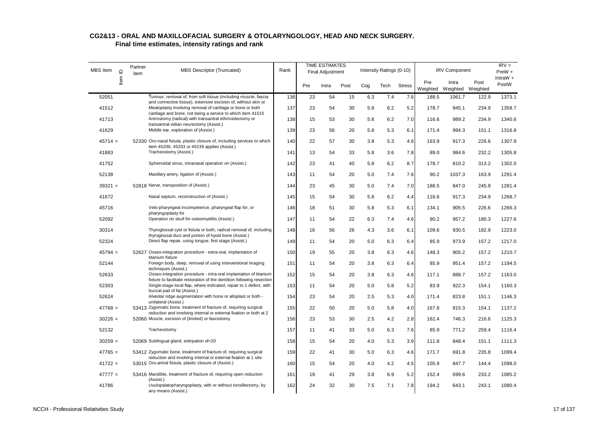| <b>MBS</b> Item | $\supseteq$ | Partner<br>item | MBS Descriptor (Truncated)                                                                                                                                       | <b>TIME ESTIMATES</b><br>Rank<br>Final Adjustment |     |       |      |     | Intensity Ratings (0-10) |               |                 | <b>IRV Component</b>       |       | $IRV =$<br>$PreW +$ |
|-----------------|-------------|-----------------|------------------------------------------------------------------------------------------------------------------------------------------------------------------|---------------------------------------------------|-----|-------|------|-----|--------------------------|---------------|-----------------|----------------------------|-------|---------------------|
|                 | Item I      |                 |                                                                                                                                                                  |                                                   | Pre | Intra | Post | Cog | Tech                     | <b>Stress</b> | Pre<br>Weighted | Intra<br>Weighted Weighted | Post  | IntraW +<br>PostW   |
| 52051           |             |                 | Tumour, removal of, from soft tissue (including muscle, fascia                                                                                                   | 136                                               | 23  | 54    | 15   | 6.3 | 7.4                      | 7.6           | 188.5           | 1061.7                     | 122.9 | 1373.1              |
| 41512           |             |                 | and connective tissue), extensive excision of, without skin or<br>Meatoplasty involving removal of cartilage or bone or both                                     | 137                                               | 23  | 54    | 30   | 5.8 | 6.2                      | 5.2           | 178.7           | 945.1                      | 234.9 | 1358.7              |
| 41713           |             |                 | cartilage and bone, not being a service to which item 41515<br>Antrostomy (radical) with transantral ethmoidectomy or<br>transantral vidian neurectomy (Assist.) | 138                                               | 15  | 53    | 30   | 5.8 | 6.2                      | 7.0           | 116.6           | 989.2                      | 234.9 | 1340.6              |
| 41629           |             |                 | Middle ear, exploration of (Assist.)                                                                                                                             | 139                                               | 23  | 56    | 20   | 5.8 | 5.3                      | 6.1           | 171.4           | 994.3                      | 151.1 | 1316.8              |
| $45714 =$       |             |                 | 52330 Oro-nasal fistula, plastic closure of, including services to which<br>item 45200, 45203 or 45239 applies (Assist.)                                         | 140                                               | 22  | 57    | 30   | 3.8 | 5.3                      | 4.6           | 163.9           | 917.3                      | 226.6 | 1307.9              |
| 41883           |             |                 | Tracheostomy (Assist.)                                                                                                                                           | 141                                               | 13  | 54    | 33   | 5.8 | 3.6                      | 7.8           | 89.0            | 984.6                      | 232.2 | 1305.8              |
| 41752           |             |                 | Sphenoidal sinus, intranasal operation on (Assist.)                                                                                                              | 142                                               | 23  | 41    | 40   | 5.8 | 6.2                      | 8.7           | 178.7           | 810.2                      | 313.2 | 1302.0              |
| 52138           |             |                 | Maxillary artery, ligation of (Assist.)                                                                                                                          | 143                                               | 11  | 54    | 20   | 5.0 | 7.4                      | 7.6           | 90.2            | 1037.3                     | 163.9 | 1291.4              |
| $39321 =$       |             |                 | 52818 Nerve, transposition of (Assist.)                                                                                                                          | 144                                               | 23  | 45    | 30   | 5.0 | 7.4                      | 7.0           | 188.5           | 847.0                      | 245.9 | 1281.4              |
| 41672           |             |                 | Nasal septum, reconstruction of (Assist.)                                                                                                                        | 145                                               | 15  | 54    | 30   | 5.8 | 6.2                      | 4.4           | 116.6           | 917.3                      | 234.9 | 1268.7              |
| 45716           |             |                 | Velo-pharyngeal incompetence, pharyngeal flap for, or<br>pharyngoplasty for                                                                                      | 146                                               | 18  | 51    | 30   | 5.8 | 5.3                      | 6.1           | 134.1           | 905.5                      | 226.6 | 1266.3              |
| 52092           |             |                 | Operation on skull for osteomyelitis (Assist.)                                                                                                                   | 147                                               | 11  | 54    | 22   | 6.3 | 7.4                      | 4.6           | 90.2            | 957.2                      | 180.3 | 1227.6              |
| 30314           |             |                 | Thyroglossal cyst or fistula or both, radical removal of, including<br>thyroglossal duct and portion of hyoid bone (Assist.)                                     | 148                                               | 16  | 56    | 26   | 4.3 | 3.6                      | 6.1           | 109.6           | 930.5                      | 182.9 | 1223.0              |
| 52324           |             |                 | Direct flap repair, using tongue, first stage (Assist.)                                                                                                          | 149                                               | 11  | 54    | 20   | 5.0 | 6.3                      | 6.4           | 85.9            | 973.9                      | 157.2 | 1217.0              |
| $45794 =$       |             |                 | 52627 Osseo-integration procedure - extra-oral, implantation of<br>titanium fixture                                                                              | 150                                               | 19  | 55    | 20   | 3.8 | 6.3                      | 4.6           | 148.3           | 905.2                      | 157.2 | 1210.7              |
| 52144           |             |                 | Foreign body, deep, removal of using interventional imaging<br>techniques (Assist.)                                                                              | 151                                               | 11  | 54    | 20   | 3.8 | 6.3                      | 6.4           | 85.9            | 951.4                      | 157.2 | 1194.5              |
| 52633           |             |                 | Osseo-integration procedure - intra-oral implantation of titanium<br>fixture to facilitate restoration of the dentition following resection                      | 152                                               | 15  | 54    | 20   | 3.8 | 6.3                      | 4.6           | 117.1           | 888.7                      | 157.2 | 1163.0              |
| 52303           |             |                 | Single-stage local flap, where indicated, repair to 1 defect, with<br>buccal pad of fat (Assist.)                                                                | 153                                               | 11  | 54    | 20   | 5.0 | 5.8                      | 5.2           | 83.9            | 922.3                      | 154.1 | 1160.3              |
| 52624           |             |                 | Alveolar ridge augmentation with bone or alloplast or both -<br>unilateral (Assist.)                                                                             | 154                                               | 23  | 54    | 20   | 2.5 | 5.3                      | 4.0           | 171.4           | 823.8                      | 151.1 | 1146.3              |
| $47768 =$       |             |                 | 53413 Zygomatic bone, treatment of fracture of, requiring surgical<br>reduction and involving internal or external fixation or both at 2                         | 155                                               | 22  | 50    | 20   | 5.0 | 5.8                      | 4.0           | 167.8           | 815.3                      | 154.1 | 1137.2              |
| $30226 =$       |             |                 | 52060 Muscle, excision of (limited) or fasciotomy                                                                                                                | 156                                               | 23  | 53    | 30   | 2.5 | 4.2                      | 2.8           | 162.4           | 746.3                      | 216.6 | 1125.3              |
| 52132           |             |                 | Tracheostomy                                                                                                                                                     | 157                                               | 11  | 41    | 33   | 5.0 | 6.3                      | 7.6           | 85.9            | 771.2                      | 259.4 | 1116.4              |
| $30259 =$       |             |                 | 52069 Sublingual gland, extirpation of=20                                                                                                                        | 158                                               | 15  | 54    | 20   | 4.0 | 5.3                      | 3.9           | 111.8           | 848.4                      | 151.1 | 1111.3              |
| $47765 =$       |             |                 | 53412 Zygomatic bone, treatment of fracture of, requiring surgical<br>reduction and involving internal or external fixation at 1 site                            | 159                                               | 22  | 41    | 30   | 5.0 | 6.3                      | 4.6           | 171.7           | 691.8                      | 235.8 | 1099.4              |
| $41722 =$       |             |                 | 53015 Oro-antral fistula, plastic closure of (Assist.)                                                                                                           | 160                                               | 15  | 54    | 20   | 4.0 | 4.2                      | 4.5           | 105.9           | 847.7                      | 144.4 | 1098.0              |
| $47777 =$       |             |                 | 53416 Mandible, treatment of fracture of, requiring open reduction<br>(Assist.)                                                                                  | 161                                               | 19  | 41    | 29   | 3.8 | 6.9                      | 5.2           | 152.4           | 699.6                      | 233.2 | 1085.2              |
| 41786           |             |                 | Uvulopalatopharyngoplasty, with or without tonsillectomy, by<br>any means (Assist.)                                                                              | 162                                               | 24  | 32    | 30   | 7.5 | 7.1                      | 7.8           | 194.2           | 643.1                      | 243.1 | 1080.4              |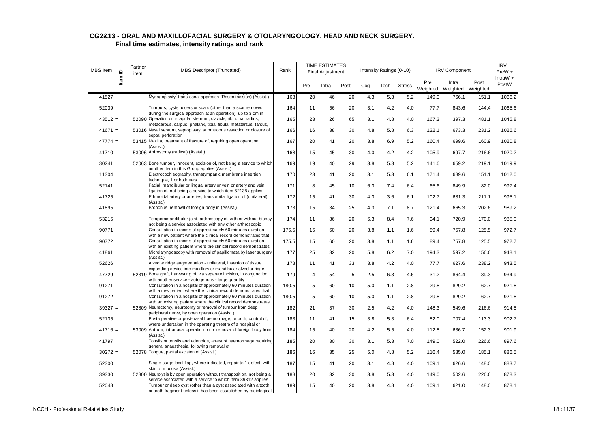| <b>MBS</b> Item | Item ID | Partner<br>item | MBS Descriptor (Truncated)                                                                                                                                                                          | Rank  | <b>TIME ESTIMATES</b><br>Final Adjustment |       |      |     | Intensity Ratings (0-10) |               |                 | <b>IRV Component</b>       |       | $IRV =$<br>$PreW +$ |
|-----------------|---------|-----------------|-----------------------------------------------------------------------------------------------------------------------------------------------------------------------------------------------------|-------|-------------------------------------------|-------|------|-----|--------------------------|---------------|-----------------|----------------------------|-------|---------------------|
|                 |         |                 |                                                                                                                                                                                                     |       | Pre                                       | Intra | Post | Cog | Tech                     | <b>Stress</b> | Pre<br>Weighted | Intra<br>Weighted Weighted | Post  | IntraW $+$<br>PostW |
| 41527           |         |                 | Myringoplasty, trans-canal approach (Rosen incision) (Assist.)                                                                                                                                      | 163   | 20                                        | 46    | 20   | 4.3 | 5.3                      | 5.2           | 149.0           | 766.1                      | 151.1 | 1066.2              |
| 52039           |         |                 | Tumours, cysts, ulcers or scars (other than a scar removed<br>during the surgical approach at an operation), up to 3 cm in                                                                          | 164   | 11                                        | 56    | 20   | 3.1 | 4.2                      | 4.0           | 77.7            | 843.6                      | 144.4 | 1065.6              |
| $43512 =$       |         |                 | 52090 Operation on scapula, sternum, clavicle, rib, ulna, radius,<br>metacarpus, carpus, phalanx, tibia, fibula, metatarsus, tarsus,                                                                | 165   | 23                                        | 26    | 65   | 3.1 | 4.8                      | 4.0           | 167.3           | 397.3                      | 481.1 | 1045.8              |
| $41671 =$       |         |                 | 53016 Nasal septum, septoplasty, submucous resection or closure of                                                                                                                                  | 166   | 16                                        | 38    | 30   | 4.8 | 5.8                      | 6.3           | 122.1           | 673.3                      | 231.2 | 1026.6              |
| $47774 =$       |         |                 | septal perforation<br>53415 Maxilla, treatment of fracture of, requiring open operation                                                                                                             | 167   | 20                                        | 41    | 20   | 3.8 | 6.9                      | 5.2           | 160.4           | 699.6                      | 160.9 | 1020.8              |
| $41710 =$       |         |                 | (Assist.)<br>53006 Antrostomy (radical) (Assist.)                                                                                                                                                   | 168   | 15                                        | 45    | 30   | 4.0 | 4.2                      | 4.2           | 105.9           | 697.7                      | 216.6 | 1020.2              |
| $30241 =$       |         |                 | 52063 Bone tumour, innocent, excision of, not being a service to which                                                                                                                              | 169   | 19                                        | 40    | 29   | 3.8 | 5.3                      | 5.2           | 141.6           | 659.2                      | 219.1 | 1019.9              |
| 11304           |         |                 | another item in this Group applies (Assist.)<br>Electrocochleography, transtympanic membrane insertion                                                                                              | 170   | 23                                        | 41    | 20   | 3.1 | 5.3                      | 6.1           | 171.4           | 689.6                      | 151.1 | 1012.0              |
| 52141           |         |                 | technique, 1 or both ears<br>Facial, mandibular or lingual artery or vein or artery and vein,                                                                                                       | 171   | 8                                         | 45    | 10   | 6.3 | 7.4                      | 6.4           | 65.6            | 849.9                      | 82.0  | 997.4               |
| 41725           |         |                 | ligation of, not being a service to which item 52138 applies<br>Ethmoidal artery or arteries, transorbital ligation of (unilateral)                                                                 | 172   | 15                                        | 41    | 30   | 4.3 | 3.6                      | 6.1           | 102.7           | 681.3                      | 211.1 | 995.1               |
| 41895           |         |                 | (Assist.)<br>Bronchus, removal of foreign body in (Assist.)                                                                                                                                         | 173   | 15                                        | 34    | 25   | 4.3 | 7.1                      | 8.7           | 121.4           | 665.3                      | 202.6 | 989.2               |
| 53215           |         |                 | Temporomandibular joint, arthroscopy of, with or without biopsy,                                                                                                                                    | 174   | 11                                        | 36    | 20   | 6.3 | 8.4                      | 7.6           | 94.1            | 720.9                      | 170.0 | 985.0               |
| 90771           |         |                 | not being a service associated with any other arthroscopic<br>Consultation in rooms of approximately 60 minutes duration                                                                            | 175.5 | 15                                        | 60    | 20   | 3.8 | 1.1                      | 1.6           | 89.4            | 757.8                      | 125.5 | 972.7               |
| 90772           |         |                 | with a new patient where the clinical record demonstrates that<br>Consultation in rooms of approximately 60 minutes duration                                                                        | 175.5 | 15                                        | 60    | 20   | 3.8 | 1.1                      | 1.6           | 89.4            | 757.8                      | 125.5 | 972.7               |
| 41861           |         |                 | with an existing patient where the clinical record demonstrates<br>Microlaryngoscopy with removal of papillomata by laser surgery                                                                   | 177   | 25                                        | 32    | 20   | 5.8 | 6.2                      | 7.0           | 194.3           | 597.2                      | 156.6 | 948.1               |
| 52626           |         |                 | (Assist.)<br>Alveolar ridge augmentation - unilateral, insertion of tissue                                                                                                                          | 178   | 11                                        | 41    | 33   | 3.8 | 4.2                      | 4.0           | 77.7            | 627.6                      | 238.2 | 943.5               |
| $47729 =$       |         |                 | expanding device into maxillary or mandibular alveolar ridge<br>52319 Bone graft, harvesting of, via separate incision, in conjunction                                                              | 179   | 4                                         | 54    | 5    | 2.5 | 6.3                      | 4.6           | 31.2            | 864.4                      | 39.3  | 934.9               |
| 91271           |         |                 | with another service - autogenous - large quantity<br>Consultation in a hospital of approximately 60 minutes duration                                                                               | 180.5 | 5                                         | 60    | 10   | 5.0 | 1.1                      | 2.8           | 29.8            | 829.2                      | 62.7  | 921.8               |
| 91272           |         |                 | with a new patient where the clinical record demonstrates that<br>Consultation in a hospital of approximately 60 minutes duration                                                                   | 180.5 | 5                                         | 60    | 10   | 5.0 | 1.1                      | 2.8           | 29.8            | 829.2                      | 62.7  | 921.8               |
| $39327 =$       |         |                 | with an existing patient where the clinical record demonstrates<br>52809 Neurectomy, neurotomy or removal of tumour from deep                                                                       | 182   | 21                                        | 37    | 30   | 2.5 | 4.2                      | 4.0           | 148.3           | 549.6                      | 216.6 | 914.5               |
| 52135           |         |                 | peripheral nerve, by open operation (Assist.)<br>Post-operative or post-nasal haemorrhage, or both, control of,                                                                                     | 183   | 11                                        | 41    | 15   | 3.8 | 5.3                      | 6.4           | 82.0            | 707.4                      | 113.3 | 902.7               |
| $41716 =$       |         |                 | where undertaken in the operating theatre of a hospital or<br>53009 Antrum, intranasal operation on or removal of foreign body from                                                                 | 184   | 15                                        | 40    | 20   | 4.2 | 5.5                      | 4.0           | 112.8           | 636.7                      | 152.3 | 901.9               |
| 41797           |         |                 | (Assist.)<br>Tonsils or tonsils and adenoids, arrest of haemorrhage requiring                                                                                                                       | 185   | 20                                        | 30    | 30   | 3.1 | 5.3                      | 7.0           | 149.0           | 522.0                      | 226.6 | 897.6               |
| $30272 =$       |         |                 | general anaesthesia, following removal of<br>52078 Tongue, partial excision of (Assist.)                                                                                                            | 186   | 16                                        | 35    | 25   | 5.0 | 4.8                      | 5.2           | 116.4           | 585.0                      | 185.1 | 886.5               |
| 52300           |         |                 | Single-stage local flap, where indicated, repair to 1 defect, with                                                                                                                                  | 187   | 15                                        | 41    | 20   | 3.1 | 4.8                      | 4.0           | 109.1           | 626.6                      | 148.0 | 883.7               |
| $39330 =$       |         |                 | skin or mucosa (Assist.)<br>52800 Neurolysis by open operation without transposition, not being a                                                                                                   | 188   | 20                                        | 32    | 30   | 3.8 | 5.3                      | 4.0           | 149.0           | 502.6                      | 226.6 | 878.3               |
| 52048           |         |                 | service associated with a service to which item 39312 applies<br>Tumour or deep cyst (other than a cyst associated with a tooth<br>or tooth fragment unless it has been established by radiological | 189   | 15                                        | 40    | 20   | 3.8 | 4.8                      | 4.0           | 109.1           | 621.0                      | 148.0 | 878.1               |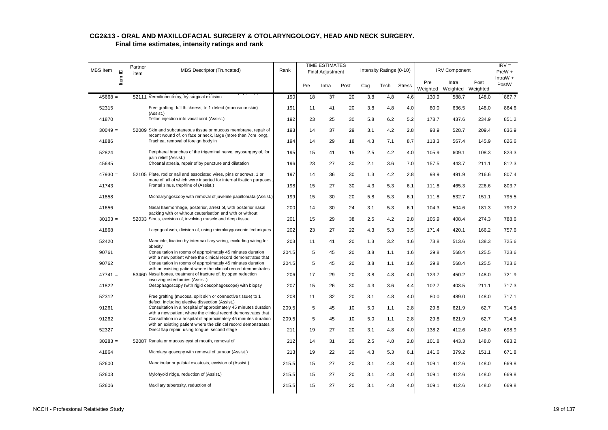| <b>MBS</b> Item<br>$\supseteq$<br>Item | Partner<br>item | <b>MBS Descriptor (Truncated)</b> | Rank                                                                                                                               |       | <b>TIME ESTIMATES</b><br>Final Adjustment |       |      | Intensity Ratings (0-10) |      |               | <b>IRV Component</b> |                   | $IRV =$<br>$PreW +$ |                     |
|----------------------------------------|-----------------|-----------------------------------|------------------------------------------------------------------------------------------------------------------------------------|-------|-------------------------------------------|-------|------|--------------------------|------|---------------|----------------------|-------------------|---------------------|---------------------|
|                                        |                 |                                   |                                                                                                                                    |       | Pre                                       | Intra | Post | Cog                      | Tech | <b>Stress</b> | Pre<br>Weighted      | Intra<br>Weighted | Post<br>Weighted    | IntraW $+$<br>PostW |
| $45668 =$                              |                 |                                   | 52111 Vermilionectomy, by surgical excision                                                                                        | 190   | 18                                        | 37    | 20   | 3.8                      | 4.8  | 4.6           | 130.9                | 588.7             | 148.0               | 867.7               |
| 52315                                  |                 |                                   | Free grafting, full thickness, to 1 defect (mucosa or skin)<br>(Assist.)                                                           | 191   | 11                                        | 41    | 20   | 3.8                      | 4.8  | 4.0           | 80.0                 | 636.5             | 148.0               | 864.6               |
| 41870                                  |                 |                                   | Teflon injection into vocal cord (Assist.)                                                                                         | 192   | 23                                        | 25    | 30   | 5.8                      | 6.2  | 5.2           | 178.7                | 437.6             | 234.9               | 851.2               |
| $30049 =$                              |                 |                                   | 52009 Skin and subcutaneous tissue or mucous membrane, repair of<br>recent wound of, on face or neck, large (more than 7cm long),  | 193   | 14                                        | 37    | 29   | 3.1                      | 4.2  | 2.8           | 98.9                 | 528.7             | 209.4               | 836.9               |
| 41886                                  |                 |                                   | Trachea, removal of foreign body in                                                                                                | 194   | 14                                        | 29    | 18   | 4.3                      | 7.1  | 8.7           | 113.3                | 567.4             | 145.9               | 826.6               |
| 52824                                  |                 |                                   | Peripheral branches of the trigeminal nerve, cryosurgery of, for<br>pain relief (Assist.)                                          | 195   | 15                                        | 41    | 15   | 2.5                      | 4.2  | 4.0           | 105.9                | 609.1             | 108.3               | 823.3               |
| 45645                                  |                 |                                   | Choanal atresia, repair of by puncture and dilatation                                                                              | 196   | 23                                        | 27    | 30   | 2.1                      | 3.6  | 7.0           | 157.5                | 443.7             | 211.1               | 812.3               |
| $47930 =$                              |                 |                                   | 52105 Plate, rod or nail and associated wires, pins or screws, 1 or                                                                | 197   | 14                                        | 36    | 30   | 1.3                      | 4.2  | 2.8           | 98.9                 | 491.9             | 216.6               | 807.4               |
| 41743                                  |                 |                                   | more of, all of which were inserted for internal fixation purposes,<br>Frontal sinus, trephine of (Assist.)                        | 198   | 15                                        | 27    | 30   | 4.3                      | 5.3  | 6.1           | 111.8                | 465.3             | 226.6               | 803.7               |
| 41858                                  |                 |                                   | Microlaryngoscopy with removal of juvenile papillomata (Assist.)                                                                   | 199   | 15                                        | 30    | 20   | 5.8                      | 5.3  | 6.1           | 111.8                | 532.7             | 151.1               | 795.5               |
| 41656                                  |                 |                                   | Nasal haemorrhage, posterior, arrest of, with posterior nasal                                                                      | 200   | 14                                        | 30    | 24   | 3.1                      | 5.3  | 6.1           | 104.3                | 504.6             | 181.3               | 790.2               |
| $30103 =$                              |                 |                                   | packing with or without cauterisation and with or without<br>52033 Sinus, excision of, involving muscle and deep tissue            | 201   | 15                                        | 29    | 38   | 2.5                      | 4.2  | 2.8           | 105.9                | 408.4             | 274.3               | 788.6               |
| 41868                                  |                 |                                   | Laryngeal web, division of, using microlarygoscopic techniques                                                                     | 202   | 23                                        | 27    | 22   | 4.3                      | 5.3  | 3.5           | 171.4                | 420.1             | 166.2               | 757.6               |
| 52420                                  |                 |                                   | Mandible, fixation by intermaxillary wiring, excluding wiring for<br>obesity                                                       | 203   | 11                                        | 41    | 20   | 1.3                      | 3.2  | 1.6           | 73.8                 | 513.6             | 138.3               | 725.6               |
| 90761                                  |                 |                                   | Consultation in rooms of approximately 45 minutes duration<br>with a new patient where the clinical record demonstrates that       | 204.5 | 5                                         | 45    | 20   | 3.8                      | 1.1  | 1.6           | 29.8                 | 568.4             | 125.5               | 723.6               |
| 90762                                  |                 |                                   | Consultation in rooms of approximately 45 minutes duration<br>with an existing patient where the clinical record demonstrates      | 204.5 | 5                                         | 45    | 20   | 3.8                      | 1.1  | 1.6           | 29.8                 | 568.4             | 125.5               | 723.6               |
| $47741 =$                              |                 |                                   | 53460 Nasal bones, treatment of fracture of, by open reduction<br>involving osteotomies (Assist.)                                  | 206   | 17                                        | 29    | 20   | 3.8                      | 4.8  | 4.0           | 123.7                | 450.2             | 148.0               | 721.9               |
| 41822                                  |                 |                                   | Oesophagoscopy (with rigid oesophagoscope) with biopsy                                                                             | 207   | 15                                        | 26    | 30   | 4.3                      | 3.6  | 4.4           | 102.7                | 403.5             | 211.1               | 717.3               |
| 52312                                  |                 |                                   | Free grafting (mucosa, split skin or connective tissue) to 1<br>defect, including elective dissection (Assist.)                    | 208   | 11                                        | 32    | 20   | 3.1                      | 4.8  | 4.0           | 80.0                 | 489.0             | 148.0               | 717.1               |
| 91261                                  |                 |                                   | Consultation in a hospital of approximately 45 minutes duration<br>with a new patient where the clinical record demonstrates that  | 209.5 | 5                                         | 45    | 10   | 5.0                      | 1.1  | 2.8           | 29.8                 | 621.9             | 62.7                | 714.5               |
| 91262                                  |                 |                                   | Consultation in a hospital of approximately 45 minutes duration<br>with an existing patient where the clinical record demonstrates | 209.5 | 5                                         | 45    | 10   | 5.0                      | 1.1  | 2.8           | 29.8                 | 621.9             | 62.7                | 714.5               |
| 52327                                  |                 |                                   | Direct flap repair, using tongue, second stage                                                                                     | 211   | 19                                        | 27    | 20   | 3.1                      | 4.8  | 4.0           | 138.2                | 412.6             | 148.0               | 698.9               |
| $30283 =$                              |                 |                                   | 52087 Ranula or mucous cyst of mouth, removal of                                                                                   | 212   | 14                                        | 31    | 20   | 2.5                      | 4.8  | 2.8           | 101.8                | 443.3             | 148.0               | 693.2               |
| 41864                                  |                 |                                   | Microlaryngoscopy with removal of tumour (Assist.)                                                                                 | 213   | 19                                        | 22    | 20   | 4.3                      | 5.3  | 6.1           | 141.6                | 379.2             | 151.1               | 671.8               |
| 52600                                  |                 |                                   | Mandibular or palatal exostosis, excision of (Assist.)                                                                             | 215.5 | 15                                        | 27    | 20   | 3.1                      | 4.8  | 4.0           | 109.1                | 412.6             | 148.0               | 669.8               |
| 52603                                  |                 |                                   | Mylohyoid ridge, reduction of (Assist.)                                                                                            | 215.5 | 15                                        | 27    | 20   | 3.1                      | 4.8  | 4.0           | 109.1                | 412.6             | 148.0               | 669.8               |
| 52606                                  |                 |                                   | Maxillary tuberosity, reduction of                                                                                                 | 215.5 | 15                                        | 27    | 20   | 3.1                      | 4.8  | 4.0           | 109.1                | 412.6             | 148.0               | 669.8               |
|                                        |                 |                                   |                                                                                                                                    |       |                                           |       |      |                          |      |               |                      |                   |                     |                     |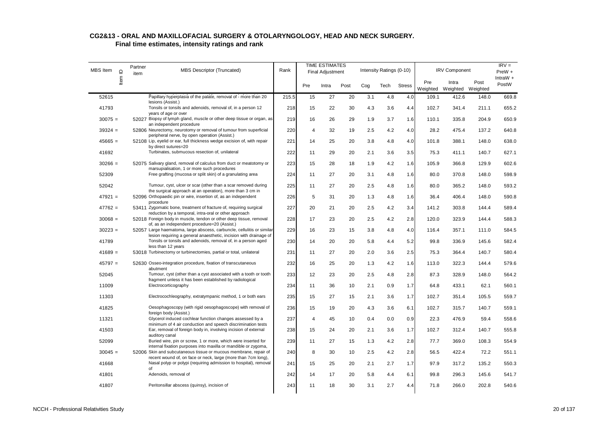| <b>MBS</b> Item | $\supseteq$ | Partner<br>item | <b>MBS Descriptor (Truncated)</b>                                                                                                                                           | Rank  | <b>TIME ESTIMATES</b><br>Final Adjustment |       |      |     | Intensity Ratings (0-10) |               |                 | <b>IRV Component</b> |                  | $IRV =$<br>$PreW +$ |
|-----------------|-------------|-----------------|-----------------------------------------------------------------------------------------------------------------------------------------------------------------------------|-------|-------------------------------------------|-------|------|-----|--------------------------|---------------|-----------------|----------------------|------------------|---------------------|
|                 | Item        |                 |                                                                                                                                                                             |       | Pre                                       | Intra | Post | Cog | Tech                     | <b>Stress</b> | Pre<br>Weighted | Intra<br>Weighted    | Post<br>Weighted | IntraW $+$<br>PostW |
| 52615           |             |                 | Papillary hyperplasia of the palate, removal of - more than 20<br>lesions (Assist.)                                                                                         | 215.5 | 15                                        | 27    | 20   | 3.1 | 4.8                      | 4.0           | 109.1           | 412.6                | 148.0            | 669.8               |
| 41793           |             |                 | Tonsils or tonsils and adenoids, removal of, in a person 12<br>years of age or over                                                                                         | 218   | 15                                        | 22    | 30   | 4.3 | 3.6                      | 4.4           | 102.7           | 341.4                | 211.1            | 655.2               |
| $30075 =$       |             |                 | 52027 Biopsy of lymph gland, muscle or other deep tissue or organ, as<br>an independent procedure                                                                           | 219   | 16                                        | 26    | 29   | 1.9 | 3.7                      | 1.6           | 110.1           | 335.8                | 204.9            | 650.9               |
| $39324 =$       |             |                 | 52806 Neurectomy, neurotomy or removal of tumour from superficial                                                                                                           | 220   | 4                                         | 32    | 19   | 2.5 | 4.2                      | 4.0           | 28.2            | 475.4                | 137.2            | 640.8               |
| $45665 =$       |             |                 | peripheral nerve, by open operation (Assist.)<br>52108 Lip, eyelid or ear, full thickness wedge excision of, with repair<br>by direct sutures=20                            | 221   | 14                                        | 25    | 20   | 3.8 | 4.8                      | 4.0           | 101.8           | 388.1                | 148.0            | 638.0               |
| 41692           |             |                 | Turbinates, submucous resection of, unilateral                                                                                                                              | 222   | 11                                        | 29    | 20   | 2.1 | 3.6                      | 3.5           | 75.3            | 411.1                | 140.7            | 627.1               |
| $30266 =$       |             |                 | 52075 Salivary gland, removal of calculus from duct or meatotomy or<br>marsupialisation, 1 or more such procedures                                                          | 223   | 15                                        | 28    | 18   | 1.9 | 4.2                      | 1.6           | 105.9           | 366.8                | 129.9            | 602.6               |
| 52309           |             |                 | Free grafting (mucosa or split skin) of a granulating area                                                                                                                  | 224   | 11                                        | 27    | 20   | 3.1 | 4.8                      | 1.6           | 80.0            | 370.8                | 148.0            | 598.9               |
| 52042           |             |                 | Tumour, cyst, ulcer or scar (other than a scar removed during                                                                                                               | 225   | 11                                        | 27    | 20   | 2.5 | 4.8                      | 1.6           | 80.0            | 365.2                | 148.0            | 593.2               |
| $47921 =$       |             |                 | the surgical approach at an operation), more than 3 cm in<br>52096 Orthopaedic pin or wire, insertion of, as an independent<br>procedure                                    | 226   | 5                                         | 31    | 20   | 1.3 | 4.8                      | 1.6           | 36.4            | 406.4                | 148.0            | 590.8               |
| $47762 =$       |             |                 | 53411 Zygomatic bone, treatment of fracture of, requiring surgical                                                                                                          | 227   | 20                                        | 21    | 20   | 2.5 | 4.2                      | 3.4           | 141.2           | 303.8                | 144.4            | 589.4               |
| $30068 =$       |             |                 | reduction by a temporal, intra-oral or other approach<br>52018 Foreign body in muscle, tendon or other deep tissue, removal<br>of, as an independent procedure=20 (Assist.) | 228   | 17                                        | 23    | 20   | 2.5 | 4.2                      | 2.8           | 120.0           | 323.9                | 144.4            | 588.3               |
| $30223 =$       |             |                 | 52057 Large haematoma, large abscess, carbuncle, cellulitis or similar                                                                                                      | 229   | 16                                        | 23    | 15   | 3.8 | 4.8                      | 4.0           | 116.4           | 357.1                | 111.0            | 584.5               |
| 41789           |             |                 | lesion requiring a general anaesthetic, incision with drainage of<br>Tonsils or tonsils and adenoids, removal of, in a person aged                                          | 230   | 14                                        | 20    | 20   | 5.8 | 4.4                      | 5.2           | 99.8            | 336.9                | 145.6            | 582.4               |
| $41689 =$       |             |                 | less than 12 years<br>53018 Turbinectomy or turbinectomies, partial or total, unilateral                                                                                    | 231   | 11                                        | 27    | 20   | 2.0 | 3.6                      | 2.5           | 75.3            | 364.4                | 140.7            | 580.4               |
| $45797 =$       |             |                 | 52630 Osseo-integration procedure, fixation of transcutaneous<br>abutment                                                                                                   | 232   | 16                                        | 25    | 20   | 1.3 | 4.2                      | 1.6           | 113.0           | 322.3                | 144.4            | 579.6               |
| 52045           |             |                 | Tumour, cyst (other than a cyst associated with a tooth or tooth<br>fragment unless it has been established by radiological                                                 | 233   | 12                                        | 23    | 20   | 2.5 | 4.8                      | 2.8           | 87.3            | 328.9                | 148.0            | 564.2               |
| 11009           |             |                 | Electrocorticography                                                                                                                                                        | 234   | 11                                        | 36    | 10   | 2.1 | 0.9                      | 1.7           | 64.8            | 433.1                | 62.1             | 560.1               |
| 11303           |             |                 | Electrocochleography, extratympanic method, 1 or both ears                                                                                                                  | 235   | 15                                        | 27    | 15   | 2.1 | 3.6                      | 1.7           | 102.7           | 351.4                | 105.5            | 559.7               |
| 41825           |             |                 | Oesophagoscopy (with rigid oesophagoscope) with removal of<br>foreign body (Assist.)                                                                                        | 236   | 15                                        | 19    | 20   | 4.3 | 3.6                      | 6.1           | 102.7           | 315.7                | 140.7            | 559.1               |
| 11321           |             |                 | Glycerol induced cochlear function changes assessed by a<br>minimum of 4 air conduction and speech discrimination tests                                                     | 237   | 4                                         | 45    | 10   | 0.4 | 0.0                      | 0.9           | 22.3            | 476.9                | 59.4             | 558.6               |
| 41503           |             |                 | Ear, removal of foreign body in, involving incision of external<br>auditory canal                                                                                           | 238   | 15                                        | 24    | 20   | 2.1 | 3.6                      | 1.7           | 102.7           | 312.4                | 140.7            | 555.8               |
| 52099           |             |                 | Buried wire, pin or screw, 1 or more, which were inserted for<br>internal fixation purposes into maxilla or mandible or zygoma,                                             | 239   | 11                                        | 27    | 15   | 1.3 | 4.2                      | 2.8           | 77.7            | 369.0                | 108.3            | 554.9               |
| $30045 =$       |             |                 | 52006 Skin and subcutaneous tissue or mucous membrane, repair of                                                                                                            | 240   | 8                                         | 30    | 10   | 2.5 | 4.2                      | 2.8           | 56.5            | 422.4                | 72.2             | 551.1               |
| 41668           |             |                 | recent wound of, on face or neck, large (more than 7cm long),<br>Nasal polyp or polypi (requiring admission to hospital), removal                                           | 241   | 15                                        | 25    | 20   | 2.1 | 2.7                      | 1.7           | 97.9            | 317.2                | 135.2            | 550.3               |
| 41801           |             |                 | of<br>Adenoids, removal of                                                                                                                                                  | 242   | 14                                        | 17    | 20   | 5.8 | 4.4                      | 6.1           | 99.8            | 296.3                | 145.6            | 541.7               |
| 41807           |             |                 | Peritonsillar abscess (quinsy), incision of                                                                                                                                 | 243   | 11                                        | 18    | 30   | 3.1 | 2.7                      | 4.4           | 71.8            | 266.0                | 202.8            | 540.6               |
|                 |             |                 |                                                                                                                                                                             |       |                                           |       |      |     |                          |               |                 |                      |                  |                     |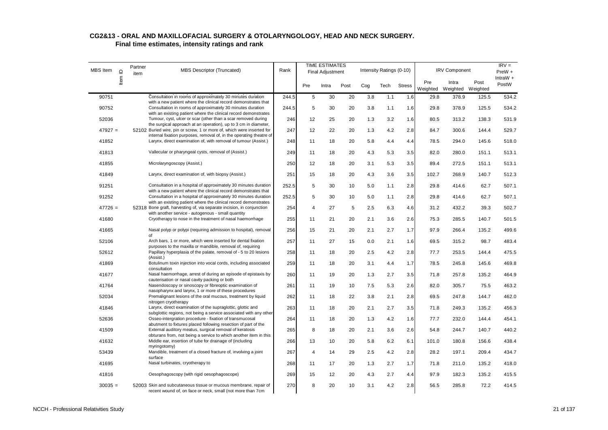| <b>MBS</b> Item | $\supseteq$ | Partner<br>item | <b>MBS Descriptor (Truncated)</b>                                                                                                            | Rank  |     | <b>TIME ESTIMATES</b><br><b>Final Adjustment</b> |      |     | Intensity Ratings (0-10) |               |                 | <b>IRV Component</b> |                  | $IRV =$<br>$PreW +$ |
|-----------------|-------------|-----------------|----------------------------------------------------------------------------------------------------------------------------------------------|-------|-----|--------------------------------------------------|------|-----|--------------------------|---------------|-----------------|----------------------|------------------|---------------------|
|                 | Item        |                 |                                                                                                                                              |       | Pre | Intra                                            | Post | Cog | Tech                     | <b>Stress</b> | Pre<br>Weighted | Intra<br>Weighted    | Post<br>Weighted | IntraW $+$<br>PostW |
| 90751           |             |                 | Consultation in rooms of approximately 30 minutes duration                                                                                   | 244.5 | 5   | 30                                               | 20   | 3.8 | 1.1                      | 1.6           | 29.8            | 378.9                | 125.5            | 534.2               |
| 90752           |             |                 | with a new patient where the clinical record demonstrates that<br>Consultation in rooms of approximately 30 minutes duration                 | 244.5 | 5   | 30                                               | 20   | 3.8 | 1.1                      | 1.6           | 29.8            | 378.9                | 125.5            | 534.2               |
|                 |             |                 | with an existing patient where the clinical record demonstrates                                                                              |       |     |                                                  |      |     |                          |               |                 |                      |                  |                     |
| 52036           |             |                 | Tumour, cyst, ulcer or scar (other than a scar removed during<br>the surgical approach at an operation), up to 3 cm in diameter,             | 246   | 12  | 25                                               | 20   | 1.3 | 3.2                      | 1.6           | 80.5            | 313.2                | 138.3            | 531.9               |
| $47927 =$       |             |                 | 52102 Buried wire, pin or screw, 1 or more of, which were inserted for                                                                       | 247   | 12  | 22                                               | 20   | 1.3 | 4.2                      | 2.8           | 84.7            | 300.6                | 144.4            | 529.7               |
| 41852           |             |                 | internal fixation purposes, removal of, in the operating theatre of<br>Larynx, direct examination of, with removal of tumour (Assist.)       | 248   | 11  | 18                                               | 20   | 5.8 | 4.4                      | 4.4           | 78.5            | 294.0                | 145.6            | 518.0               |
|                 |             |                 |                                                                                                                                              |       |     |                                                  |      |     |                          |               |                 |                      |                  |                     |
| 41813           |             |                 | Vallecular or pharyngeal cysts, removal of (Assist.)                                                                                         | 249   | 11  | 18                                               | 20   | 4.3 | 5.3                      | 3.5           | 82.0            | 280.0                | 151.1            | 513.1               |
| 41855           |             |                 | Microlaryngoscopy (Assist.)                                                                                                                  | 250   | 12  | 18                                               | 20   | 3.1 | 5.3                      | 3.5           | 89.4            | 272.5                | 151.1            | 513.1               |
| 41849           |             |                 | Larynx, direct examination of, with biopsy (Assist.)                                                                                         | 251   | 15  | 18                                               | 20   | 4.3 | 3.6                      | 3.5           | 102.7           | 268.9                | 140.7            | 512.3               |
| 91251           |             |                 | Consultation in a hospital of approximately 30 minutes duration                                                                              | 252.5 | 5   | 30                                               | 10   | 5.0 | 1.1                      | 2.8           | 29.8            | 414.6                | 62.7             | 507.1               |
| 91252           |             |                 | with a new patient where the clinical record demonstrates that<br>Consultation in a hospital of approximately 30 minutes duration            | 252.5 | 5   | 30                                               | 10   | 5.0 | 1.1                      | 2.8           | 29.8            | 414.6                | 62.7             | 507.1               |
|                 |             |                 | with an existing patient where the clinical record demonstrates                                                                              |       |     |                                                  |      |     |                          |               |                 |                      |                  |                     |
| $47726 =$       |             |                 | 52318 Bone graft, harvesting of, via separate incision, in conjunction                                                                       | 254   | 4   | 27                                               | 5    | 2.5 | 6.3                      | 4.6           | 31.2            | 432.2                | 39.3             | 502.7               |
| 41680           |             |                 | with another service - autogenous - small quantity<br>Cryotherapy to nose in the treatment of nasal haemorrhage                              | 255   | 11  | 21                                               | 20   | 2.1 | 3.6                      | 2.6           | 75.3            | 285.5                | 140.7            | 501.5               |
| 41665           |             |                 | Nasal polyp or polypi (requiring admission to hospital), removal<br>of                                                                       | 256   | 15  | 21                                               | 20   | 2.1 | 2.7                      | 1.7           | 97.9            | 266.4                | 135.2            | 499.6               |
| 52106           |             |                 | Arch bars, 1 or more, which were inserted for dental fixation                                                                                | 257   | 11  | 27                                               | 15   | 0.0 | 2.1                      | 1.6           | 69.5            | 315.2                | 98.7             | 483.4               |
| 52612           |             |                 | purposes to the maxilla or mandible, removal of, requiring<br>Papillary hyperplasia of the palate, removal of - 5 to 20 lesions<br>(Assist.) | 258   | 11  | 18                                               | 20   | 2.5 | 4.2                      | 2.8           | 77.7            | 253.5                | 144.4            | 475.5               |
| 41869           |             |                 | Botulinum toxin injection into vocal cords, including associated<br>consultation                                                             | 259   | 11  | 18                                               | 20   | 3.1 | 4.4                      | 1.7           | 78.5            | 245.8                | 145.6            | 469.8               |
| 41677           |             |                 | Nasal haemorrhage, arrest of during an episode of epistaxis by<br>cauterisation or nasal cavity packing or both                              | 260   | 11  | 19                                               | 20   | 1.3 | 2.7                      | 3.5           | 71.8            | 257.8                | 135.2            | 464.9               |
| 41764           |             |                 | Nasendoscopy or sinoscopy or fibreoptic examination of                                                                                       | 261   | 11  | 19                                               | 10   | 7.5 | 5.3                      | 2.6           | 82.0            | 305.7                | 75.5             | 463.2               |
| 52034           |             |                 | nasopharynx and larynx, 1 or more of these procedures<br>Premalignant lesions of the oral mucous, treatment by liquid                        | 262   | 11  | 18                                               | 22   | 3.8 | 2.1                      | 2.8           | 69.5            | 247.8                | 144.7            | 462.0               |
| 41846           |             |                 | nitrogen cryotherapy<br>Larynx, direct examination of the supraglottic, glottic and                                                          | 263   | 11  | 18                                               | 20   | 2.1 | 2.7                      | 3.5           | 71.8            | 249.3                | 135.2            | 456.3               |
| 52636           |             |                 | subglottic regions, not being a service associated with any other<br>Osseo-intergration procedure - fixation of transmucosal                 | 264   | 11  | 18                                               | 20   | 1.3 | 4.2                      | 1.6           | 77.7            | 232.0                | 144.4            | 454.1               |
| 41509           |             |                 | abutment to fixtures placed following resection of part of the<br>External auditory meatus, surgical removal of keratosis                    | 265   | 8   | 18                                               | 20   | 2.1 | 3.6                      | 2.6           | 54.8            | 244.7                | 140.7            | 440.2               |
|                 |             |                 | obturans from, not being a service to which another item in this                                                                             |       |     |                                                  |      |     |                          |               |                 |                      |                  |                     |
| 41632           |             |                 | Middle ear, insertion of tube for drainage of (including<br>myringotomy)                                                                     | 266   | 13  | 10                                               | 20   | 5.8 | 6.2                      | 6.1           | 101.0           | 180.8                | 156.6            | 438.4               |
| 53439           |             |                 | Mandible, treatment of a closed fracture of, involving a joint<br>surface                                                                    | 267   | 4   | 14                                               | 29   | 2.5 | 4.2                      | 2.8           | 28.2            | 197.1                | 209.4            | 434.7               |
| 41695           |             |                 | Nasal turbinates, cryotherapy to                                                                                                             | 268   | 11  | 17                                               | 20   | 1.3 | 2.7                      | 1.7           | 71.8            | 211.0                | 135.2            | 418.0               |
| 41816           |             |                 | Oesophagoscopy (with rigid oesophagoscope)                                                                                                   | 269   | 15  | 12                                               | 20   | 4.3 | 2.7                      | 4.4           | 97.9            | 182.3                | 135.2            | 415.5               |
| $30035 =$       |             |                 | 52003 Skin and subcutaneous tissue or mucous membrane, repair of<br>recent wound of, on face or neck, small (not more than 7cm               | 270   | 8   | 20                                               | 10   | 3.1 | 4.2                      | 2.8           | 56.5            | 285.8                | 72.2             | 414.5               |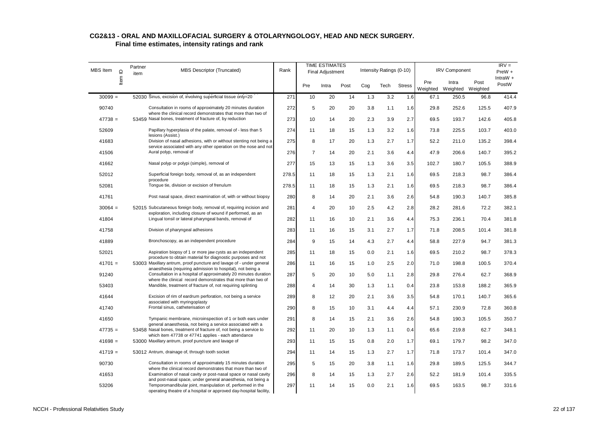| MBS Item  | Partner<br>Item ID<br>item | MBS Descriptor (Truncated)                                                                                                         | Rank  |                | <b>TIME ESTIMATES</b><br><b>Final Adjustment</b> |      |     | Intensity Ratings (0-10) |               |       | <b>IRV Component</b>                |       | $IRV =$<br>$PreW +$ |
|-----------|----------------------------|------------------------------------------------------------------------------------------------------------------------------------|-------|----------------|--------------------------------------------------|------|-----|--------------------------|---------------|-------|-------------------------------------|-------|---------------------|
|           |                            |                                                                                                                                    |       | Pre            | Intra                                            | Post | Cog | Tech                     | <b>Stress</b> | Pre   | Intra<br>Weighted Weighted Weighted | Post  | IntraW $+$<br>PostW |
| $30099 =$ |                            | 52030 Sinus, excision of, involving superficial tissue only=20                                                                     | 271   | 10             | 20                                               | 14   | 1.3 | 3.2                      | 1.6           | 67.1  | 250.5                               | 96.8  | 414.4               |
| 90740     |                            | Consultation in rooms of approximately 20 minutes duration                                                                         | 272   | 5              | 20                                               | 20   | 3.8 | 1.1                      | 1.6           | 29.8  | 252.6                               | 125.5 | 407.9               |
| $47738 =$ |                            | where the clinical record demonstrates that more than two of<br>53459 Nasal bones, treatment of fracture of, by reduction          | 273   | 10             | 14                                               | 20   | 2.3 | 3.9                      | 2.7           | 69.5  | 193.7                               | 142.6 | 405.8               |
| 52609     |                            | Papillary hyperplasia of the palate, removal of - less than 5                                                                      | 274   | 11             | 18                                               | 15   | 1.3 | 3.2                      | 1.6           | 73.8  | 225.5                               | 103.7 | 403.0               |
| 41683     |                            | lesions (Assist.)<br>Division of nasal adhesions, with or without stenting not being a                                             | 275   | 8              | 17                                               | 20   | 1.3 | 2.7                      | 1.7           | 52.2  | 211.0                               | 135.2 | 398.4               |
| 41506     |                            | service associated with any other operation on the nose and not<br>Aural polyp, removal of                                         | 276   | $\overline{7}$ | 14                                               | 20   | 2.1 | 3.6                      | 4.4           | 47.9  | 206.6                               | 140.7 | 395.2               |
| 41662     |                            | Nasal polyp or polypi (simple), removal of                                                                                         | 277   | 15             | 13                                               | 15   | 1.3 | 3.6                      | 3.5           | 102.7 | 180.7                               | 105.5 | 388.9               |
| 52012     |                            | Superficial foreign body, removal of, as an independent<br>procedure                                                               | 278.5 | 11             | 18                                               | 15   | 1.3 | 2.1                      | 1.6           | 69.5  | 218.3                               | 98.7  | 386.4               |
| 52081     |                            | Tonque tie, division or excision of frenulum                                                                                       | 278.5 | 11             | 18                                               | 15   | 1.3 | 2.1                      | 1.6           | 69.5  | 218.3                               | 98.7  | 386.4               |
| 41761     |                            | Post nasal space, direct examination of, with or without biopsy                                                                    | 280   | 8              | 14                                               | 20   | 2.1 | 3.6                      | 2.6           | 54.8  | 190.3                               | 140.7 | 385.8               |
| $30064 =$ |                            | 52015 Subcutaneous foreign body, removal of, requiring incision and<br>exploration, including closure of wound if performed, as an | 281   | 4              | 20                                               | 10   | 2.5 | 4.2                      | 2.8           | 28.2  | 281.6                               | 72.2  | 382.1               |
| 41804     |                            | Lingual tonsil or lateral pharyngeal bands, removal of                                                                             | 282   | 11             | 16                                               | 10   | 2.1 | 3.6                      | 4.4           | 75.3  | 236.1                               | 70.4  | 381.8               |
| 41758     |                            | Division of pharyngeal adhesions                                                                                                   | 283   | 11             | 16                                               | 15   | 3.1 | 2.7                      | 1.7           | 71.8  | 208.5                               | 101.4 | 381.8               |
| 41889     |                            | Bronchoscopy, as an independent procedure                                                                                          | 284   | 9              | 15                                               | 14   | 4.3 | 2.7                      | 4.4           | 58.8  | 227.9                               | 94.7  | 381.3               |
| 52021     |                            | Aspiration biopsy of 1 or more jaw cysts as an independent<br>procedure to obtain material for diagnostic purposes and not         | 285   | 11             | 18                                               | 15   | 0.0 | 2.1                      | 1.6           | 69.5  | 210.2                               | 98.7  | 378.3               |
| $41701 =$ |                            | 53003 Maxillary antrum, proof puncture and lavage of - under general<br>anaesthesia (requiring admission to hospital), not being a | 286   | 11             | 16                                               | 15   | 1.0 | 2.5                      | 2.0           | 71.0  | 198.8                               | 100.5 | 370.4               |
| 91240     |                            | Consultation in a hospital of approximately 20 minutes duration<br>where the clinical record demonstrates that more than two of    | 287   | 5              | 20                                               | 10   | 5.0 | 1.1                      | 2.8           | 29.8  | 276.4                               | 62.7  | 368.9               |
| 53403     |                            | Mandible, treatment of fracture of, not requiring splinting                                                                        | 288   | 4              | 14                                               | 30   | 1.3 | 1.1                      | 0.4           | 23.8  | 153.8                               | 188.2 | 365.9               |
| 41644     |                            | Excision of rim of eardrum perforation, not being a service<br>associated with myringoplasty                                       | 289   | 8              | 12                                               | 20   | 2.1 | 3.6                      | 3.5           | 54.8  | 170.1                               | 140.7 | 365.6               |
| 41740     |                            | Frontal sinus, catheterisation of                                                                                                  | 290   | 8              | 15                                               | 10   | 3.1 | 4.4                      | 4.4           | 57.1  | 230.9                               | 72.8  | 360.8               |
| 41650     |                            | Tympanic membrane, microinspection of 1 or both ears under<br>general anaesthesia, not being a service associated with a           | 291   | 8              | 14                                               | 15   | 2.1 | 3.6                      | 2.6           | 54.8  | 190.3                               | 105.5 | 350.7               |
| $47735 =$ |                            | 53458 Nasal bones, treatment of fracture of, not being a service to<br>which item 47738 or 47741 applies - each attendance         | 292   | 11             | 20                                               | 10   | 1.3 | 1.1                      | 0.4           | 65.6  | 219.8                               | 62.7  | 348.1               |
| $41698 =$ |                            | 53000 Maxillary antrum, proof puncture and lavage of                                                                               | 293   | 11             | 15                                               | 15   | 0.8 | 2.0                      | 1.7           | 69.1  | 179.7                               | 98.2  | 347.0               |
| $41719 =$ |                            | 53012 Antrum, drainage of, through tooth socket                                                                                    | 294   | 11             | 14                                               | 15   | 1.3 | 2.7                      | 1.7           | 71.8  | 173.7                               | 101.4 | 347.0               |
| 90730     |                            | Consultation in rooms of approximately 15 minutes duration<br>where the clinical record demonstrates that more than two of         | 295   | 5              | 15                                               | 20   | 3.8 | 1.1                      | 1.6           | 29.8  | 189.5                               | 125.5 | 344.7               |
| 41653     |                            | Examination of nasal cavity or post-nasal space or nasal cavity<br>and post-nasal space, under general anaesthesia, not being a    | 296   | 8              | 14                                               | 15   | 1.3 | 2.7                      | 2.6           | 52.2  | 181.9                               | 101.4 | 335.5               |
| 53206     |                            | Temporomandibular joint, manipulation of, performed in the<br>operating theatre of a hospital or approved day-hospital facility,   | 297   | 11             | 14                                               | 15   | 0.0 | 2.1                      | 1.6           | 69.5  | 163.5                               | 98.7  | 331.6               |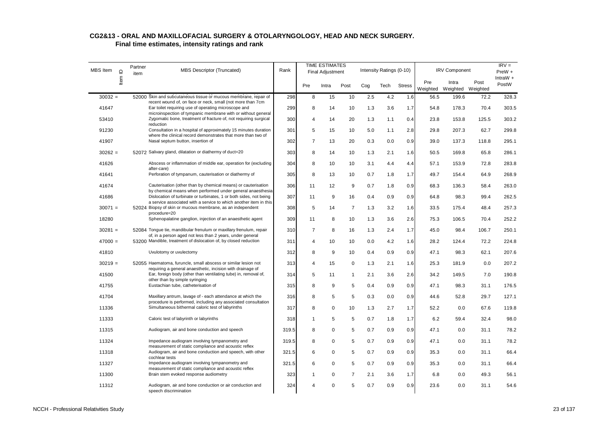| <b>MBS</b> Item | $\supseteq$ | Partner<br>item | <b>MBS Descriptor (Truncated)</b>                                                                                                               | Rank  | <b>TIME ESTIMATES</b><br>Final Adjustment |             |                | Intensity Ratings (0-10) |      |               | <b>IRV Component</b> |                   | $IRV =$<br>$PreW +$ |                     |
|-----------------|-------------|-----------------|-------------------------------------------------------------------------------------------------------------------------------------------------|-------|-------------------------------------------|-------------|----------------|--------------------------|------|---------------|----------------------|-------------------|---------------------|---------------------|
|                 | ltem        |                 |                                                                                                                                                 |       | Pre                                       | Intra       | Post           | Cog                      | Tech | <b>Stress</b> | Pre<br>Weighted      | Intra<br>Weighted | Post<br>Weighted    | IntraW $+$<br>PostW |
| $30032 =$       |             |                 | 52000 Skin and subcutaneous tissue or mucous membrane, repair of                                                                                | 298   | 8                                         | 15          | 10             | 2.5                      | 4.2  | 1.6           | 56.5                 | 199.6             | 72.2                | 328.3               |
| 41647           |             |                 | recent wound of, on face or neck, small (not more than 7cm<br>Ear toilet requiring use of operating microscope and                              | 299   | 8                                         | 14          | 10             | 1.3                      | 3.6  | 1.7           | 54.8                 | 178.3             | 70.4                | 303.5               |
| 53410           |             |                 | microinspection of tympanic membrane with or without general<br>Zygomatic bone, treatment of fracture of, not requiring surgical<br>reduction   | 300   | 4                                         | 14          | 20             | 1.3                      | 1.1  | 0.4           | 23.8                 | 153.8             | 125.5               | 303.2               |
| 91230           |             |                 | Consultation in a hospital of approximately 15 minutes duration                                                                                 | 301   | 5                                         | 15          | 10             | 5.0                      | 1.1  | 2.8           | 29.8                 | 207.3             | 62.7                | 299.8               |
| 41907           |             |                 | where the clinical record demonstrates that more than two of<br>Nasal septum button, insertion of                                               | 302   | $\overline{7}$                            | 13          | 20             | 0.3                      | 0.0  | 0.9           | 39.0                 | 137.3             | 118.8               | 295.1               |
| $30262 =$       |             |                 | 52072 Salivary gland, dilatation or diathermy of duct=20                                                                                        | 303   | 8                                         | 14          | 10             | 1.3                      | 2.1  | 1.6           | 50.5                 | 169.8             | 65.8                | 286.1               |
| 41626           |             |                 | Abscess or inflammation of middle ear, operation for (excluding<br>after-care)                                                                  | 304   | 8                                         | 10          | 10             | 3.1                      | 4.4  | 4.4           | 57.1                 | 153.9             | 72.8                | 283.8               |
| 41641           |             |                 | Perforation of tympanum, cauterisation or diathermy of                                                                                          | 305   | 8                                         | 13          | 10             | 0.7                      | 1.8  | 1.7           | 49.7                 | 154.4             | 64.9                | 268.9               |
| 41674           |             |                 | Cauterisation (other than by chemical means) or cauterisation                                                                                   | 306   | 11                                        | 12          | 9              | 0.7                      | 1.8  | 0.9           | 68.3                 | 136.3             | 58.4                | 263.0               |
| 41686           |             |                 | by chemical means when performed under general anaesthesia<br>Dislocation of turbinate or turbinates, 1 or both sides, not being                | 307   | 11                                        | 9           | 16             | 0.4                      | 0.9  | 0.9           | 64.8                 | 98.3              | 99.4                | 262.5               |
| $30071 =$       |             |                 | a service associated with a service to which another item in this<br>52024 Biopsy of skin or mucous membrane, as an independent<br>procedure=20 | 308   | 5                                         | 14          | $\overline{7}$ | 1.3                      | 3.2  | 1.6           | 33.5                 | 175.4             | 48.4                | 257.3               |
| 18280           |             |                 | Sphenopalatine ganglion, injection of an anaesthetic agent                                                                                      | 309   | 11                                        | 8           | 10             | 1.3                      | 3.6  | 2.6           | 75.3                 | 106.5             | 70.4                | 252.2               |
| $30281 =$       |             |                 | 52084 Tongue tie, mandibular frenulum or maxillary frenulum, repair<br>of, in a person aged not less than 2 years, under general                | 310   | $\overline{7}$                            | 8           | 16             | 1.3                      | 2.4  | 1.7           | 45.0                 | 98.4              | 106.7               | 250.1               |
| $47000 =$       |             |                 | 53200 Mandible, treatment of dislocation of, by closed reduction                                                                                | 311   | 4                                         | 10          | 10             | 0.0                      | 4.2  | 1.6           | 28.2                 | 124.4             | 72.2                | 224.8               |
| 41810           |             |                 | Uvulotomy or uvulectomy                                                                                                                         | 312   | 8                                         | 9           | 10             | 0.4                      | 0.9  | 0.9           | 47.1                 | 98.3              | 62.1                | 207.6               |
| $30219 =$       |             |                 | 52055 Haematoma, furuncle, small abscess or similar lesion not<br>requiring a general anaesthetic, incision with drainage of                    | 313   | 4                                         | 15          | 0              | 1.3                      | 2.1  | 1.6           | 25.3                 | 181.9             | 0.0                 | 207.2               |
| 41500           |             |                 | Ear, foreign body (other than ventilating tube) in, removal of,<br>other than by simple syringing                                               | 314   | 5                                         | 11          | $\mathbf{1}$   | 2.1                      | 3.6  | 2.6           | 34.2                 | 149.5             | 7.0                 | 190.8               |
| 41755           |             |                 | Eustachian tube, catheterisation of                                                                                                             | 315   | 8                                         | 9           | 5              | 0.4                      | 0.9  | 0.9           | 47.1                 | 98.3              | 31.1                | 176.5               |
| 41704           |             |                 | Maxillary antrum, lavage of - each attendance at which the                                                                                      | 316   | 8                                         | 5           | 5              | 0.3                      | 0.0  | 0.9           | 44.6                 | 52.8              | 29.7                | 127.1               |
| 11336           |             |                 | procedure is performed, including any associated consultation<br>Simultaneous bithermal caloric test of labyrinths                              | 317   | 8                                         | $\mathbf 0$ | 10             | 1.3                      | 2.7  | 1.7           | 52.2                 | 0.0               | 67.6                | 119.8               |
| 11333           |             |                 | Caloric test of labyrinth or labyrinths                                                                                                         | 318   | $\mathbf{1}$                              | 5           | 5              | 0.7                      | 1.8  | 1.7           | 6.2                  | 59.4              | 32.4                | 98.0                |
| 11315           |             |                 | Audiogram, air and bone conduction and speech                                                                                                   | 319.5 | 8                                         | $\mathbf 0$ | 5              | 0.7                      | 0.9  | 0.9           | 47.1                 | 0.0               | 31.1                | 78.2                |
| 11324           |             |                 | Impedance audiogram involving tympanometry and<br>measurement of static compliance and acoustic reflex                                          | 319.5 | 8                                         | $\mathbf 0$ | 5              | 0.7                      | 0.9  | 0.9           | 47.1                 | 0.0               | 31.1                | 78.2                |
| 11318           |             |                 | Audiogram, air and bone conduction and speech, with other<br>cochlear tests                                                                     | 321.5 | 6                                         | $\mathbf 0$ | 5              | 0.7                      | 0.9  | 0.9           | 35.3                 | 0.0               | 31.1                | 66.4                |
| 11327           |             |                 | Impedance audiogram involving tympanometry and<br>measurement of static compliance and acoustic reflex                                          | 321.5 | 6                                         | $\mathbf 0$ | 5              | 0.7                      | 0.9  | 0.9           | 35.3                 | 0.0               | 31.1                | 66.4                |
| 11300           |             |                 | Brain stem evoked response audiometry                                                                                                           | 323   | 1                                         | $\mathbf 0$ | $\overline{7}$ | 2.1                      | 3.6  | 1.7           | 6.8                  | 0.0               | 49.3                | 56.1                |
| 11312           |             |                 | Audiogram, air and bone conduction or air conduction and<br>speech discrimination                                                               | 324   | 4                                         | $\Omega$    | 5              | 0.7                      | 0.9  | 0.9           | 23.6                 | 0.0               | 31.1                | 54.6                |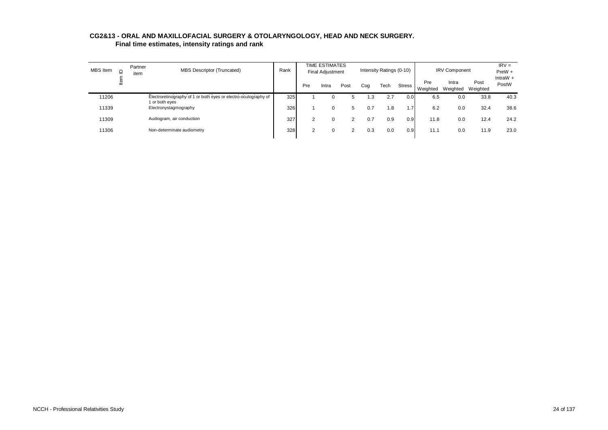| CG2&13 - ORAL AND MAXILLOFACIAL SURGERY & OTOLARYNGOLOGY, HEAD AND NECK SURGERY. |  |
|----------------------------------------------------------------------------------|--|
| Final time estimates, intensity ratings and rank                                 |  |

| <b>MBS</b> Item | $\supseteq$ | Partner<br>item | <b>MBS Descriptor (Truncated)</b>                                                 | Rank |     | <b>TIME ESTIMATES</b><br><b>Final Adjustment</b> |      |     | Intensity Ratings (0-10) |               |                 | <b>IRV Component</b> |                  | $IRV =$<br>$PreW +$ |
|-----------------|-------------|-----------------|-----------------------------------------------------------------------------------|------|-----|--------------------------------------------------|------|-----|--------------------------|---------------|-----------------|----------------------|------------------|---------------------|
|                 | lter        |                 |                                                                                   |      | Pre | Intra                                            | Post | Cog | Tech                     | <b>Stress</b> | Pre<br>Weighted | Intra<br>Weighted    | Post<br>Weighted | IntraW $+$<br>PostW |
| 11206           |             |                 | Electroretinography of 1 or both eyes or electro-oculography of<br>1 or both eves | 325  |     | 0                                                |      | 1.3 | 2.7                      | 0.0           | 6.5             | 0.0                  | 33.8             | 40.3                |
| 11339           |             |                 | Electronystagmography                                                             | 326  |     | $\Omega$                                         | 5    | 0.7 | 1.8                      | 1.7           | 6.2             | 0.0                  | 32.4             | 38.6                |
| 11309           |             |                 | Audiogram, air conduction                                                         | 327  |     | 0                                                |      | 0.7 | 0.9                      | 0.9           | 11.8            | 0.0                  | 12.4             | 24.2                |
| 11306           |             |                 | Non-determinate audiometry                                                        | 328  |     | 0                                                | ົ    | 0.3 | 0.0                      | 0.9           | 11.1            | 0.0                  | 11.9             | 23.0                |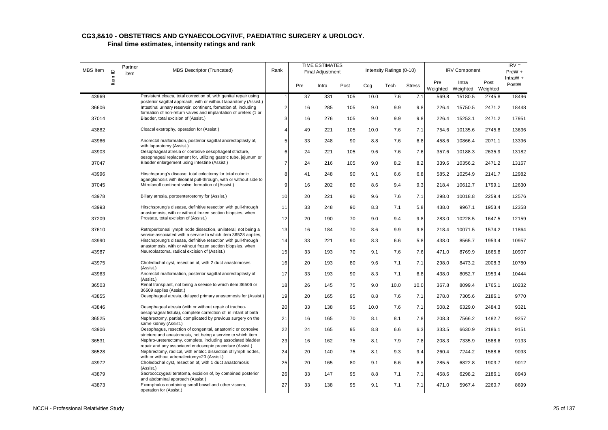| MBS Item | $\mathbf{\underline{o}}$ | Partner<br>item | MBS Descriptor (Truncated)                                                                                                                                                                                | Rank           |     | TIME ESTIMATES<br><b>Final Adjustment</b> |      |      | Intensity Ratings (0-10) |               |                 | <b>IRV Component</b> |                  | $IRV =$<br>PreW +   |
|----------|--------------------------|-----------------|-----------------------------------------------------------------------------------------------------------------------------------------------------------------------------------------------------------|----------------|-----|-------------------------------------------|------|------|--------------------------|---------------|-----------------|----------------------|------------------|---------------------|
|          | Item I                   |                 |                                                                                                                                                                                                           |                | Pre | Intra                                     | Post | Cog  | Tech                     | <b>Stress</b> | Pre<br>Weighted | Intra<br>Weighted    | Post<br>Weighted | IntraW $+$<br>PostW |
| 43969    |                          |                 | Persistent cloaca, total correction of, with genital repair using                                                                                                                                         | $\overline{1}$ | 37  | 331                                       | 105  | 10.0 | 7.6                      | 7.1           | 569.8           | 15180.5              | 2745.8           | 18496               |
| 36606    |                          |                 | posterior sagittal approach, with or without laparotomy (Assist.)<br>Intestinal urinary reservoir, continent, formation of, including<br>formation of non-return valves and implantation of ureters (1 or | $\overline{2}$ | 16  | 285                                       | 105  | 9.0  | 9.9                      | 9.8           | 226.4           | 15750.5              | 2471.2           | 18448               |
| 37014    |                          |                 | Bladder, total excision of (Assist.)                                                                                                                                                                      | 3              | 16  | 276                                       | 105  | 9.0  | 9.9                      | 9.8           | 226.4           | 15253.1              | 2471.2           | 17951               |
| 43882    |                          |                 | Cloacal exstrophy, operation for (Assist.)                                                                                                                                                                | 4              | 49  | 221                                       | 105  | 10.0 | 7.6                      | 7.1           | 754.6           | 10135.6              | 2745.8           | 13636               |
| 43966    |                          |                 | Anorectal malformation, posterior sagittal anorectoplasty of,<br>with laparotomy (Assist.)                                                                                                                | 5              | 33  | 248                                       | 90   | 8.8  | 7.6                      | 6.8           | 458.6           | 10866.4              | 2071.1           | 13396               |
| 43903    |                          |                 | Oesophageal atresia or corrosive oesophageal stricture,<br>oesophageal replacement for, utilizing gastric tube, jejunum or                                                                                | 6              | 24  | 221                                       | 105  | 9.6  | 7.6                      | 7.6           | 357.6           | 10188.3              | 2635.9           | 13182               |
| 37047    |                          |                 | Bladder enlargement using intestine (Assist.)                                                                                                                                                             | $\overline{7}$ | 24  | 216                                       | 105  | 9.0  | 8.2                      | 8.2           | 339.6           | 10356.2              | 2471.2           | 13167               |
| 43996    |                          |                 | Hirschsprung's disease, total colectomy for total colonic                                                                                                                                                 | 8              | 41  | 248                                       | 90   | 9.1  | 6.6                      | 6.8           | 585.2           | 10254.9              | 2141.7           | 12982               |
| 37045    |                          |                 | aganglionosis with ileoanal pull-through, with or without side to<br>Mitrofanoff continent valve, formation of (Assist.)                                                                                  | 9              | 16  | 202                                       | 80   | 8.6  | 9.4                      | 9.3           | 218.4           | 10612.7              | 1799.1           | 12630               |
| 43978    |                          |                 | Biliary atresia, portoenterostomy for (Assist.)                                                                                                                                                           | 10             | 20  | 221                                       | 90   | 9.6  | 7.6                      | 7.1           | 298.0           | 10018.8              | 2259.4           | 12576               |
| 43993    |                          |                 | Hirschsprung's disease, definitive resection with pull-through<br>anastomosis, with or without frozen section biopsies, when                                                                              | 11             | 33  | 248                                       | 90   | 8.3  | 7.1                      | 5.8           | 438.0           | 9967.1               | 1953.4           | 12358               |
| 37209    |                          |                 | Prostate, total excision of (Assist.)                                                                                                                                                                     | 12             | 20  | 190                                       | 70   | 9.0  | 9.4                      | 9.8           | 283.0           | 10228.5              | 1647.5           | 12159               |
| 37610    |                          |                 | Retroperitoneal lymph node dissection, unilateral, not being a<br>service associated with a service to which item 36528 applies,                                                                          | 13             | 16  | 184                                       | 70   | 8.6  | 9.9                      | 9.8           | 218.4           | 10071.5              | 1574.2           | 11864               |
| 43990    |                          |                 | Hirschsprung's disease, definitive resection with pull-through<br>anastomosis, with or without frozen section biopsies, when                                                                              | 14             | 33  | 221                                       | 90   | 8.3  | 6.6                      | 5.8           | 438.0           | 8565.7               | 1953.4           | 10957               |
| 43987    |                          |                 | Neuroblastoma, radical excision of (Assist.)                                                                                                                                                              | 15             | 33  | 193                                       | 70   | 9.1  | 7.6                      | 7.6           | 471.0           | 8769.9               | 1665.8           | 10907               |
| 43975    |                          |                 | Choledochal cyst, resection of, with 2 duct anastomoses<br>(Assist.)                                                                                                                                      | 16             | 20  | 193                                       | 80   | 9.6  | 7.1                      | 7.1           | 298.0           | 8473.2               | 2008.3           | 10780               |
| 43963    |                          |                 | Anorectal malformation, posterior sagittal anorectoplasty of<br>(Assist.)                                                                                                                                 | 17             | 33  | 193                                       | 90   | 8.3  | 7.1                      | 6.8           | 438.0           | 8052.7               | 1953.4           | 10444               |
| 36503    |                          |                 | Renal transplant, not being a service to which item 36506 or<br>36509 applies (Assist.)                                                                                                                   | 18             | 26  | 145                                       | 75   | 9.0  | 10.0                     | 10.0          | 367.8           | 8099.4               | 1765.1           | 10232               |
| 43855    |                          |                 | Oesophageal atresia, delayed primary anastomosis for (Assist.)                                                                                                                                            | 19             | 20  | 165                                       | 95   | 8.8  | 7.6                      | 7.1           | 278.0           | 7305.6               | 2186.1           | 9770                |
| 43846    |                          |                 | Oesophageal atresia (with or without repair of tracheo-<br>oesophageal fistula), complete correction of, in infant of birth                                                                               | 20             | 33  | 138                                       | 95   | 10.0 | 7.6                      | 7.1           | 508.2           | 6329.0               | 2484.3           | 9321                |
| 36525    |                          |                 | Nephrectomy, partial, complicated by previous surgery on the<br>same kidney (Assist.)                                                                                                                     | 21             | 16  | 165                                       | 70   | 8.1  | 8.1                      | 7.8           | 208.3           | 7566.2               | 1482.7           | 9257                |
| 43906    |                          |                 | Oesophagus, resection of congenital, anastomic or corrosive<br>stricture and anastomosis, not being a service to which item                                                                               | 22             | 24  | 165                                       | 95   | 8.8  | 6.6                      | 6.3           | 333.5           | 6630.9               | 2186.1           | 9151                |
| 36531    |                          |                 | Nephro-ureterectomy, complete, including associated bladder<br>repair and any associated endoscopic procedure (Assist.)                                                                                   | 23             | 16  | 162                                       | 75   | 8.1  | 7.9                      | 7.8           | 208.3           | 7335.9               | 1588.6           | 9133                |
| 36528    |                          |                 | Nephrectomy, radical, with enbloc dissection of lymph nodes,<br>with or without adrenalectomy=20 (Assist.)                                                                                                | 24             | 20  | 140                                       | 75   | 8.1  | 9.3                      | 9.4           | 260.4           | 7244.2               | 1588.6           | 9093                |
| 43972    |                          |                 | Choledochal cyst, resection of, with 1 duct anastomosis<br>(Assist.)                                                                                                                                      | 25             | 20  | 165                                       | 80   | 9.1  | 6.6                      | 6.8           | 285.5           | 6822.8               | 1903.7           | 9012                |
| 43879    |                          |                 | Sacrococcygeal teratoma, excision of, by combined posterior<br>and abdominal approach (Assist.)                                                                                                           | 26             | 33  | 147                                       | 95   | 8.8  | 7.1                      | 7.1           | 458.6           | 6298.2               | 2186.1           | 8943                |
| 43873    |                          |                 | Exomphalos containing small bowel and other viscera,<br>operation for (Assist.)                                                                                                                           | 27             | 33  | 138                                       | 95   | 9.1  | 7.1                      | 7.1           | 471.0           | 5967.4               | 2260.7           | 8699                |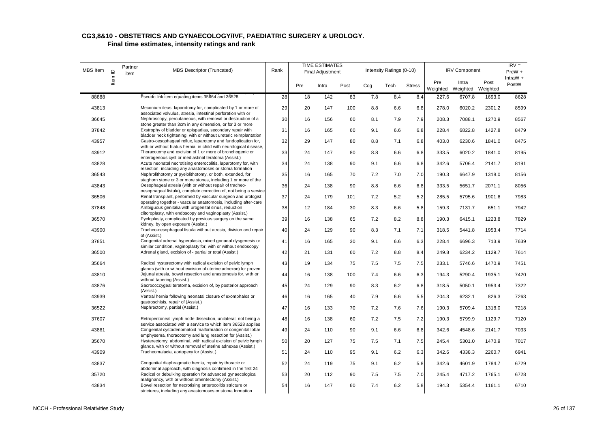#### **CG3,8&10 - OBSTETRICS AND GYNAECOLOGY/IVF, PAEDIATRIC SURGERY & UROLOGY. Final time estimates, intensity ratings and rank**

| MBS Item | $\mathbf{\underline{o}}$ | Partner<br>item | <b>MBS Descriptor (Truncated)</b>                                                                                                   | Rank |     | <b>TIME ESTIMATES</b><br><b>Final Adjustment</b> |      |     | Intensity Ratings (0-10) |               |                 | <b>IRV Component</b>       |        | $IRV =$<br>PreW +   |
|----------|--------------------------|-----------------|-------------------------------------------------------------------------------------------------------------------------------------|------|-----|--------------------------------------------------|------|-----|--------------------------|---------------|-----------------|----------------------------|--------|---------------------|
|          | ltem                     |                 |                                                                                                                                     |      | Pre | Intra                                            | Post | Cog | Tech                     | <b>Stress</b> | Pre<br>Weighted | Intra<br>Weighted Weighted | Post   | IntraW $+$<br>PostW |
| 88888    |                          |                 | Pseudo link item equating items 35664 and 36528                                                                                     | 28   | 18  | 142                                              | 83   | 7.8 | 8.4                      | 8.4           | 227.6           | 6707.8                     | 1693.0 | 8628                |
| 43813    |                          |                 | Meconium ileus, laparotomy for, complicated by 1 or more of<br>associated volvulus, atresia, intestinal perforation with or         | 29   | 20  | 147                                              | 100  | 8.8 | 6.6                      | 6.8           | 278.0           | 6020.2                     | 2301.2 | 8599                |
| 36645    |                          |                 | Nephroscopy, percutaneous, with removal or destruction of a<br>stone greater than 3cm in any dimension, or for 3 or more            | 30   | 16  | 156                                              | 60   | 8.1 | 7.9                      | 7.9           | 208.3           | 7088.1                     | 1270.9 | 8567                |
| 37842    |                          |                 | Exstrophy of bladder or epispadias, secondary repair with<br>bladder neck tightening, with or without ureteric reimplantation       | 31   | 16  | 165                                              | 60   | 9.1 | 6.6                      | 6.8           | 228.4           | 6822.8                     | 1427.8 | 8479                |
| 43957    |                          |                 | Gastro-oesophageal reflux, laparotomy and fundoplication for,<br>with or without hiatus hernia, in child with neurological disease, | 32   | 29  | 147                                              | 80   | 8.8 | 7.1                      | 6.8           | 403.0           | 6230.6                     | 1841.0 | 8475                |
| 43912    |                          |                 | Thoracotomy and excision of 1 or more of bronchogenic or<br>enterogenous cyst or mediastinal teratoma (Assist.)                     | 33   | 24  | 147                                              | 80   | 8.8 | 6.6                      | 6.8           | 333.5           | 6020.2                     | 1841.0 | 8195                |
| 43828    |                          |                 | Acute neonatal necrotising enterocolitis, laparotomy for, with<br>resection, including any anastomoses or stoma formation           | 34   | 24  | 138                                              | 90   | 9.1 | 6.6                      | 6.8           | 342.6           | 5706.4                     | 2141.7 | 8191                |
| 36543    |                          |                 | Nephrolithotomy or pyelolithotomy, or both, extended, for<br>staghorn stone or 3 or more stones, including 1 or more of the         | 35   | 16  | 165                                              | 70   | 7.2 | 7.0                      | 7.0           | 190.3           | 6647.9                     | 1318.0 | 8156                |
| 43843    |                          |                 | Oesophageal atresia (with or without repair of tracheo-<br>oesophageal fistula), complete correction of, not being a service        | 36   | 24  | 138                                              | 90   | 8.8 | 6.6                      | 6.8           | 333.5           | 5651.7                     | 2071.1 | 8056                |
| 36506    |                          |                 | Renal transplant, performed by vascular surgeon and urologist<br>operating together - vascular anastomosis, including after-care    | 37   | 24  | 179                                              | 101  | 7.2 | 5.2                      | 5.2           | 285.5           | 5795.6                     | 1901.6 | 7983                |
| 37848    |                          |                 | Ambiguous genitalia with urogenital sinus, reduction<br>clitoroplasty, with endoscopy and vaginoplasty (Assist.)                    | 38   | 12  | 184                                              | 30   | 8.3 | 6.6                      | 5.8           | 159.3           | 7131.7                     | 651.1  | 7942                |
| 36570    |                          |                 | Pyeloplasty, complicated by previous surgery on the same<br>kidney, by open exposure (Assist.)                                      | 39   | 16  | 138                                              | 65   | 7.2 | 8.2                      | 8.8           | 190.3           | 6415.1                     | 1223.8 | 7829                |
| 43900    |                          |                 | Tracheo-oesophageal fistula without atresia, division and repair<br>of (Assist.)                                                    | 40   | 24  | 129                                              | 90   | 8.3 | 7.1                      | 7.1           | 318.5           | 5441.8                     | 1953.4 | 7714                |
| 37851    |                          |                 | Congenital adrenal hyperplasia, mixed gonadal dysgenesis or<br>similar condition, vaginoplasty for, with or without endoscopy       | 41   | 16  | 165                                              | 30   | 9.1 | 6.6                      | 6.3           | 228.4           | 6696.3                     | 713.9  | 7639                |
| 36500    |                          |                 | Adrenal gland, excision of - partial or total (Assist.)                                                                             | 42   | 21  | 131                                              | 60   | 7.2 | 8.8                      | 8.4           | 249.8           | 6234.2                     | 1129.7 | 7614                |
| 35664    |                          |                 | Radical hysterectomy with radical excision of pelvic lymph<br>glands (with or without excision of uterine adnexae) for proven       | 43   | 19  | 134                                              | 75   | 7.5 | 7.5                      | 7.5           | 233.1           | 5746.6                     | 1470.9 | 7451                |
| 43810    |                          |                 | Jejunal atresia, bowel resection and anastomosis for, with or<br>without tapering (Assist.)                                         | 44   | 16  | 138                                              | 100  | 7.4 | 6.6                      | 6.3           | 194.3           | 5290.4                     | 1935.1 | 7420                |
| 43876    |                          |                 | Sacrococcygeal teratoma, excision of, by posterior approach<br>(Assist.)                                                            | 45   | 24  | 129                                              | 90   | 8.3 | 6.2                      | 6.8           | 318.5           | 5050.1                     | 1953.4 | 7322                |
| 43939    |                          |                 | Ventral hernia following neonatal closure of exomphalos or<br>gastroschisis, repair of (Assist.)                                    | 46   | 16  | 165                                              | 40   | 7.9 | 6.6                      | 5.5           | 204.3           | 6232.1                     | 826.3  | 7263                |
| 36522    |                          |                 | Nephrectomy, partial (Assist.)                                                                                                      | 47   | 16  | 133                                              | 70   | 7.2 | 7.6                      | 7.6           | 190.3           | 5709.4                     | 1318.0 | 7218                |
| 37607    |                          |                 | Retroperitoneal lymph node dissection, unilateral, not being a<br>service associated with a service to which item 36528 applies     | 48   | 16  | 138                                              | 60   | 7.2 | 7.5                      | 7.2           | 190.3           | 5799.9                     | 1129.7 | 7120                |
| 43861    |                          |                 | Congenital cystadenomatoid malformation or congenital lobar<br>emphysema, thoracotomy and lung resection for (Assist.)              | 49   | 24  | 110                                              | 90   | 9.1 | 6.6                      | 6.8           | 342.6           | 4548.6                     | 2141.7 | 7033                |
| 35670    |                          |                 | Hysterectomy, abdominal, with radical excision of pelvic lymph<br>glands, with or without removal of uterine adnexae (Assist.)      | 50   | 20  | 127                                              | 75   | 7.5 | 7.1                      | 7.5           | 245.4           | 5301.0                     | 1470.9 | 7017                |
| 43909    |                          |                 | Tracheomalacia, aortopexy for (Assist.)                                                                                             | 51   | 24  | 110                                              | 95   | 9.1 | 6.2                      | 6.3           | 342.6           | 4338.3                     | 2260.7 | 6941                |
| 43837    |                          |                 | Congenital diaphragmatic hernia, repair by thoracic or<br>abdominal approach, with diagnosis confirmed in the first 24              | 52   | 24  | 119                                              | 75   | 9.1 | 6.2                      | 5.8           | 342.6           | 4601.9                     | 1784.7 | 6729                |
| 35720    |                          |                 | Radical or debulking operation for advanced gynaecological<br>malignancy, with or without omentectomy (Assist.)                     | 53   | 20  | 112                                              | 90   | 7.5 | 7.5                      | 7.0           | 245.4           | 4717.2                     | 1765.1 | 6728                |
| 43834    |                          |                 | Bowel resection for necrotising enterocolitis stricture or<br>strictures, including any anastomoses or stoma formation              | 54   | 16  | 147                                              | 60   | 7.4 | 6.2                      | 5.8           | 194.3           | 5354.4                     | 1161.1 | 6710                |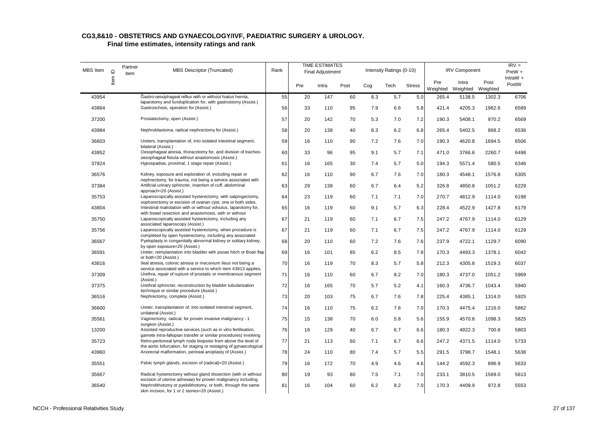| MBS Item | $\mathbf{\underline{o}}$ | Partner<br>item | <b>MBS Descriptor (Truncated)</b>                                                                                                   | Rank |     | TIME ESTIMATES<br><b>Final Adjustment</b> |      |     | Intensity Ratings (0-10) |               |                 | <b>IRV Component</b>       |        | $IRV =$<br>PreW +<br>IntraW + |
|----------|--------------------------|-----------------|-------------------------------------------------------------------------------------------------------------------------------------|------|-----|-------------------------------------------|------|-----|--------------------------|---------------|-----------------|----------------------------|--------|-------------------------------|
|          | Item                     |                 |                                                                                                                                     |      | Pre | Intra                                     | Post | Cog | Tech                     | <b>Stress</b> | Pre<br>Weighted | Intra<br>Weighted Weighted | Post   | PostW                         |
| 43954    |                          |                 | Gastro-oesophageal reflux with or without hiatus hernia,                                                                            | 55   | 20  | 147                                       | 60   | 8.3 | 5.7                      | 5.0           | 265.4           | 5138.5                     | 1302.3 | 6706                          |
| 43864    |                          |                 | laparotomy and fundoplication for, with gastrostomy (Assist.)<br>Gastroschisis, operation for (Assist.)                             | 56   | 33  | 110                                       | 95   | 7.9 | 6.6                      | 5.8           | 421.4           | 4205.3                     | 1962.6 | 6589                          |
| 37200    |                          |                 | Prostatectomy, open (Assist.)                                                                                                       | 57   | 20  | 142                                       | 70   | 5.3 | 7.0                      | 7.2           | 190.3           | 5408.1                     | 970.2  | 6569                          |
| 43984    |                          |                 | Nephroblastoma, radical nephrectomy for (Assist.)                                                                                   | 58   | 20  | 138                                       | 40   | 8.3 | 6.2                      | 6.8           | 265.4           | 5402.5                     | 868.2  | 6536                          |
| 36603    |                          |                 | Ureters, transplantation of, into isolated intestinal segment,<br>bilateral (Assist.)                                               | 59   | 16  | 110                                       | 90   | 7.2 | 7.6                      | 7.0           | 190.3           | 4620.8                     | 1694.5 | 6506                          |
| 43852    |                          |                 | Oesophageal atresia, thoracotomy for, and division of tracheo-<br>oesophageal fistula without anastomosis (Assist.)                 | 60   | 33  | 96                                        | 95   | 9.1 | 5.7                      | 7.1           | 471.0           | 3766.6                     | 2260.7 | 6498                          |
| 37824    |                          |                 | Hypospadias, proximal, 1 stage repair (Assist.)                                                                                     | 61   | 16  | 165                                       | 30   | 7.4 | 5.7                      | 5.0           | 194.3           | 5571.4                     | 580.5  | 6346                          |
| 36576    |                          |                 | Kidney, exposure and exploration of, including repair or<br>nephrectomy, for trauma, not being a service associated with            | 62   | 16  | 110                                       | 90   | 6.7 | 7.6                      | 7.0           | 180.3           | 4548.1                     | 1576.8 | 6305                          |
| 37384    |                          |                 | Artificial urinary sphincter, insertion of cuff, abdominal<br>approach=20 (Assist.)                                                 | 63   | 29  | 138                                       | 60   | 6.7 | 6.4                      | 5.2           | 326.8           | 4850.8                     | 1051.2 | 6229                          |
| 35753    |                          |                 | Laparoscopically assisted hysterectomy, with salpingectomy,<br>oophorectomy or excision of ovarian cyst, one or both sides,         | 64   | 23  | 119                                       | 60   | 7.1 | 7.1                      | 7.0           | 270.7           | 4812.9                     | 1114.0 | 6198                          |
| 43804    |                          |                 | Intestinal malrotation with or without volvulus, laparotomy for,<br>with bowel resection and anastomosis, with or without           | 65   | 16  | 119                                       | 60   | 9.1 | 5.7                      | 6.3           | 228.4           | 4522.9                     | 1427.8 | 6179                          |
| 35750    |                          |                 | Laparoscopically assisted hysterectomy, including any<br>associated Iaparoscopy (Assist.)                                           | 67   | 21  | 119                                       | 60   | 7.1 | 6.7                      | 7.5           | 247.2           | 4767.9                     | 1114.0 | 6129                          |
| 35756    |                          |                 | Laparoscopically assisted hysterectomy, when procedure is<br>completed by open hysterectomy, including any associated               | 67   | 21  | 119                                       | 60   | 7.1 | 6.7                      | 7.5           | 247.2           | 4767.9                     | 1114.0 | 6129                          |
| 36567    |                          |                 | Pyeloplasty in congenitally abnormal kidney or solitary kidney,<br>by open exposure=20 (Assist.)                                    | 68   | 20  | 110                                       | 60   | 7.2 | 7.6                      | 7.6           | 237.9           | 4722.1                     | 1129.7 | 6090                          |
| 36591    |                          |                 | Ureter, reimplantation into bladder with psoas hitch or Boari flap<br>or both=20 (Assist.)                                          | 69   | 16  | 101                                       | 85   | 6.2 | 8.5                      | 7.8           | 170.3           | 4493.3                     | 1378.1 | 6042                          |
| 43816    |                          |                 | Ileal atresia, colonic atresia or meconium ileus not being a<br>service associated with a service to which item 43813 applies,      | 70   | 16  | 119                                       | 70   | 8.3 | 5.7                      | 5.8           | 212.3           | 4305.8                     | 1519.3 | 6037                          |
| 37309    |                          |                 | Urethra, repair of rupture of prostatic or membranous segment<br>(Assist.)                                                          | 71   | 16  | 110                                       | 60   | 6.7 | 8.2                      | 7.0           | 180.3           | 4737.0                     | 1051.2 | 5969                          |
| 37375    |                          |                 | Urethral sphincter, reconstruction by bladder tubularisation<br>technique or similar procedure (Assist.)                            | 72   | 16  | 165                                       | 70   | 5.7 | 5.2                      | 4.1           | 160.3           | 4736.7                     | 1043.4 | 5940                          |
| 36516    |                          |                 | Nephrectomy, complete (Assist.)                                                                                                     | 73   | 20  | 103                                       | 75   | 6.7 | 7.6                      | 7.8           | 225.4           | 4385.1                     | 1314.0 | 5925                          |
| 36600    |                          |                 | Ureter, transplantation of, into isolated intestinal segment,<br>unilateral (Assist.)                                               | 74   | 16  | 110                                       | 75   | 6.2 | 7.6                      | 7.0           | 170.3           | 4475.4                     | 1216.0 | 5862                          |
| 35561    |                          |                 | Vaginectomy, radical, for proven invasive malignancy - 1<br>surgeon (Assist.)                                                       | 75   | 15  | 138                                       | 70   | 6.0 | 5.8                      | 5.6           | 155.9           | 4570.8                     | 1098.3 | 5825                          |
| 13200    |                          |                 | Assisted reproductive services (such as in vitro fertilisation,<br>gamete intra-fallopian transfer or similar procedures) involving | 76   | 16  | 129                                       | 40   | 6.7 | 6.7                      | 6.6           | 180.3           | 4922.3                     | 700.8  | 5803                          |
| 35723    |                          |                 | Retro-peritoneal lymph node biopsies from above the level of<br>the aortic bifurcation, for staging or restaging of gynaecological  | 77   | 21  | 113                                       | 60   | 7.1 | 6.7                      | 6.6           | 247.2           | 4371.5                     | 1114.0 | 5733                          |
| 43960    |                          |                 | Anorectal malformation, perineal anoplasty of (Assist.)                                                                             | 78   | 24  | 110                                       | 80   | 7.4 | 5.7                      | 5.5           | 291.5           | 3798.7                     | 1548.1 | 5638                          |
| 35551    |                          |                 | Pelvic lymph glands, excision of (radical)=20 (Assist.)                                                                             | 79   | 16  | 172                                       | 70   | 4.9 | 4.6                      | 4.6           | 144.2           | 4592.3                     | 896.9  | 5633                          |
| 35667    |                          |                 | Radical hysterectomy without gland dissection (with or without<br>excision of uterine adnexae) for proven malignancy including      | 80   | 19  | 93                                        | 80   | 7.5 | 7.1                      | 7.0           | 233.1           | 3810.5                     | 1569.0 | 5613                          |
| 36540    |                          |                 | Nephrolithotomy or pyelolithotomy, or both, through the same<br>skin incision, for 1 or 2 stones=20 (Assist.)                       | 81   | 16  | 104                                       | 60   | 6.2 | 8.2                      | 7.0           | 170.3           | 4409.9                     | 972.8  | 5553                          |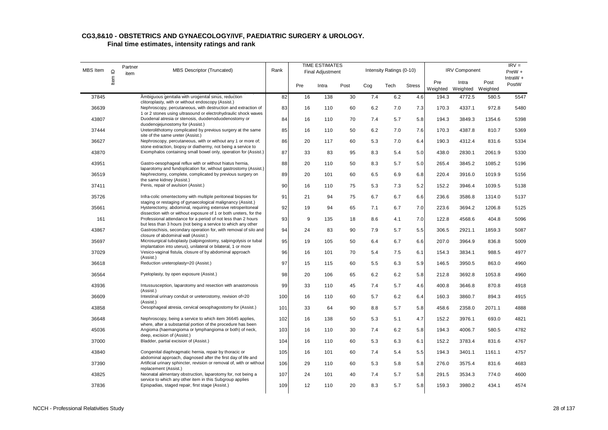| <b>MBS</b> Item | $\mathbf{r}$ | Partner<br>item | <b>MBS Descriptor (Truncated)</b>                                                                                                                                        | Rank |     | <b>TIME ESTIMATES</b><br><b>Final Adjustment</b> |      |     | Intensity Ratings (0-10) |               |                 | <b>IRV Component</b> |                  | $IRV =$<br>PreW +   |
|-----------------|--------------|-----------------|--------------------------------------------------------------------------------------------------------------------------------------------------------------------------|------|-----|--------------------------------------------------|------|-----|--------------------------|---------------|-----------------|----------------------|------------------|---------------------|
|                 | ltem         |                 |                                                                                                                                                                          |      | Pre | Intra                                            | Post | Cog | Tech                     | <b>Stress</b> | Pre<br>Weighted | Intra<br>Weighted    | Post<br>Weighted | IntraW $+$<br>PostW |
| 37845           |              |                 | Ambiguous genitalia with urogenital sinus, reduction                                                                                                                     | 82   | 16  | 138                                              | 30   | 7.4 | 6.2                      | 4.6           | 194.3           | 4772.5               | 580.5            | 5547                |
| 36639           |              |                 | clitoroplasty, with or without endoscopy (Assist.)<br>Nephroscopy, percutaneous, with destruction and extraction of                                                      | 83   | 16  | 110                                              | 60   | 6.2 | 7.0                      | 7.3           | 170.3           | 4337.1               | 972.8            | 5480                |
| 43807           |              |                 | 1 or 2 stones using ultrasound or electrohydraulic shock waves<br>Duodenal atresia or stenosis, duodenoduodenostomy or<br>duodenojejunostomy for (Assist.)               | 84   | 16  | 110                                              | 70   | 7.4 | 5.7                      | 5.8           | 194.3           | 3849.3               | 1354.6           | 5398                |
| 37444           |              |                 | Ureterolithotomy complicated by previous surgery at the same                                                                                                             | 85   | 16  | 110                                              | 50   | 6.2 | 7.0                      | 7.6           | 170.3           | 4387.8               | 810.7            | 5369                |
| 36627           |              |                 | site of the same ureter (Assist.)<br>Nephroscopy, percutaneous, with or without any 1 or more of;<br>stone extraction, biopsy or diathermy, not being a service to       | 86   | 20  | 117                                              | 60   | 5.3 | 7.0                      | 6.4           | 190.3           | 4312.4               | 831.6            | 5334                |
| 43870           |              |                 | Exomphalos containing small bowel only, operation for (Assist.)                                                                                                          | 87   | 33  | 83                                               | 95   | 8.3 | 5.4                      | 5.0           | 438.0           | 2830.1               | 2061.9           | 5330                |
| 43951           |              |                 | Gastro-oesophageal reflux with or without hiatus hernia,<br>laparotomy and fundoplication for, without gastrostomy (Assist.)                                             | 88   | 20  | 110                                              | 50   | 8.3 | 5.7                      | 5.0           | 265.4           | 3845.2               | 1085.2           | 5196                |
| 36519           |              |                 | Nephrectomy, complete, complicated by previous surgery on<br>the same kidney (Assist.)                                                                                   | 89   | 20  | 101                                              | 60   | 6.5 | 6.9                      | 6.8           | 220.4           | 3916.0               | 1019.9           | 5156                |
| 37411           |              |                 | Penis, repair of avulsion (Assist.)                                                                                                                                      | 90   | 16  | 110                                              | 75   | 5.3 | 7.3                      | 5.2           | 152.2           | 3946.4               | 1039.5           | 5138                |
| 35726           |              |                 | Infra-colic omentectomy with multiple peritoneal biopsies for<br>staging or restaging of gynaecological malignancy (Assist.)                                             | 91   | 21  | 94                                               | 75   | 6.7 | 6.7                      | 6.6           | 236.6           | 3586.8               | 1314.0           | 5137                |
| 35661           |              |                 | Hysterectomy, abdominal, requiring extensive retroperitoneal<br>dissection with or without exposure of 1 or both ureters, for the                                        | 92   | 19  | 94                                               | 65   | 7.1 | 6.7                      | 7.0           | 223.6           | 3694.2               | 1206.8           | 5125                |
| 161             |              |                 | Professional attendance for a period of not less than 2 hours                                                                                                            | 93   | 9   | 135                                              | 18   | 8.6 | 4.1                      | 7.0           | 122.8           | 4568.6               | 404.8            | 5096                |
| 43867           |              |                 | but less than 3 hours (not being a service to which any other<br>Gastroschisis, secondary operation for, with removal of silo and<br>closure of abdominal wall (Assist.) | 94   | 24  | 83                                               | 90   | 7.9 | 5.7                      | 5.5           | 306.5           | 2921.1               | 1859.3           | 5087                |
| 35697           |              |                 | Microsurgical tuboplasty (salpingostomy, salpingolysis or tubal<br>implantation into uterus), unilateral or bilateral, 1 or more                                         | 95   | 19  | 105                                              | 50   | 6.4 | 6.7                      | 6.6           | 207.0           | 3964.9               | 836.8            | 5009                |
| 37029           |              |                 | Vesico-vaginal fistula, closure of by abdominal approach<br>(Assist.)                                                                                                    | 96   | 16  | 101                                              | 70   | 5.4 | 7.5                      | 6.1           | 154.3           | 3834.1               | 988.5            | 4977                |
| 36618           |              |                 | Reduction ureteroplasty=20 (Assist.)                                                                                                                                     | 97   | 15  | 115                                              | 60   | 5.5 | 6.3                      | 5.9           | 146.5           | 3950.5               | 863.0            | 4960                |
| 36564           |              |                 | Pyeloplasty, by open exposure (Assist.)                                                                                                                                  | 98   | 20  | 106                                              | 65   | 6.2 | 6.2                      | 5.8           | 212.8           | 3692.8               | 1053.8           | 4960                |
| 43936           |              |                 | Intussusception, laparotomy and resection with anastomosis<br>(Assist.)                                                                                                  | 99   | 33  | 110                                              | 45   | 7.4 | 5.7                      | 4.6           | 400.8           | 3646.8               | 870.8            | 4918                |
| 36609           |              |                 | Intestinal urinary conduit or ureterostomy, revision of=20<br>(Assist.)                                                                                                  | 100  | 16  | 110                                              | 60   | 5.7 | 6.2                      | 6.4           | 160.3           | 3860.7               | 894.3            | 4915                |
| 43858           |              |                 | Oesophageal atresia, cervical oesophagostomy for (Assist.)                                                                                                               | 101  | 33  | 64                                               | 90   | 8.8 | 5.7                      | 5.8           | 458.6           | 2358.0               | 2071.1           | 4888                |
| 36648           |              |                 | Nephroscopy, being a service to which item 36645 applies,<br>where, after a substantial portion of the procedure has been                                                | 102  | 16  | 138                                              | 50   | 5.3 | 5.1                      | 4.7           | 152.2           | 3976.1               | 693.0            | 4821                |
| 45036           |              |                 | Angioma (haemangioma or lymphangioma or both) of neck,<br>deep, excision of (Assist.)                                                                                    | 103  | 16  | 110                                              | 30   | 7.4 | 6.2                      | 5.8           | 194.3           | 4006.7               | 580.5            | 4782                |
| 37000           |              |                 | Bladder, partial excision of (Assist.)                                                                                                                                   | 104  | 16  | 110                                              | 60   | 5.3 | 6.3                      | 6.1           | 152.2           | 3783.4               | 831.6            | 4767                |
| 43840           |              |                 | Congenital diaphragmatic hernia, repair by thoracic or<br>abdominal approach, diagnosed after the first day of life and                                                  | 105  | 16  | 101                                              | 60   | 7.4 | 5.4                      | 5.5           | 194.3           | 3401.1               | 1161.1           | 4757                |
| 37390           |              |                 | Artificial urinary sphincter, revision or removal of, with or without<br>replacement (Assist.)                                                                           | 106  | 29  | 110                                              | 60   | 5.3 | 5.8                      | 5.8           | 276.0           | 3575.4               | 831.6            | 4683                |
| 43825           |              |                 | Neonatal alimentary obstruction, laparotomy for, not being a<br>service to which any other item in this Subgroup applies                                                 | 107  | 24  | 101                                              | 40   | 7.4 | 5.7                      | 5.8           | 291.5           | 3534.3               | 774.0            | 4600                |
| 37836           |              |                 | Epispadias, staged repair, first stage (Assist.)                                                                                                                         | 109  | 12  | 110                                              | 20   | 8.3 | 5.7                      | 5.8           | 159.3           | 3980.2               | 434.1            | 4574                |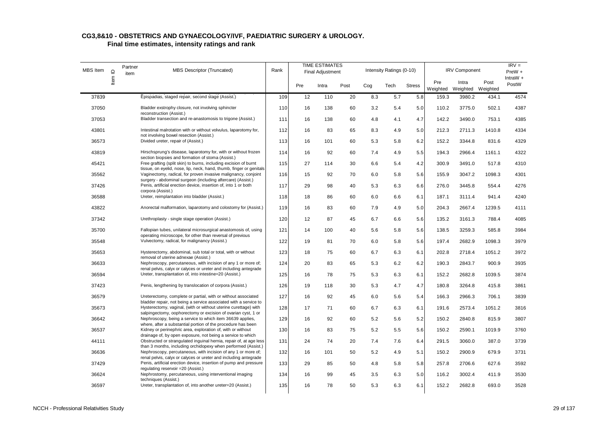#### **CG3,8&10 - OBSTETRICS AND GYNAECOLOGY/IVF, PAEDIATRIC SURGERY & UROLOGY. Final time estimates, intensity ratings and rank**

| MBS Item | $\mathbf{\underline{o}}$ | Partner<br>item | MBS Descriptor (Truncated)                                                                                                              | Rank |     | <b>TIME ESTIMATES</b><br><b>Final Adjustment</b> |      |     | Intensity Ratings (0-10) |               |                 | <b>IRV Component</b>       |        | $IRV =$<br>PreW +   |
|----------|--------------------------|-----------------|-----------------------------------------------------------------------------------------------------------------------------------------|------|-----|--------------------------------------------------|------|-----|--------------------------|---------------|-----------------|----------------------------|--------|---------------------|
|          | ltem                     |                 |                                                                                                                                         |      | Pre | Intra                                            | Post | Cog | Tech                     | <b>Stress</b> | Pre<br>Weighted | Intra<br>Weighted Weighted | Post   | IntraW $+$<br>PostW |
| 37839    |                          |                 | Epispadias, staged repair, second stage (Assist.)                                                                                       | 109  | 12  | 110                                              | 20   | 8.3 | 5.7                      | 5.8           | 159.3           | 3980.2                     | 434.1  | 4574                |
| 37050    |                          |                 | Bladder exstrophy closure, not involving sphincter<br>reconstruction (Assist.)                                                          | 110  | 16  | 138                                              | 60   | 3.2 | 5.4                      | 5.0           | 110.2           | 3775.0                     | 502.1  | 4387                |
| 37053    |                          |                 | Bladder transection and re-anastomosis to trigone (Assist.)                                                                             | 111  | 16  | 138                                              | 60   | 4.8 | 4.1                      | 4.7           | 142.2           | 3490.0                     | 753.1  | 4385                |
| 43801    |                          |                 | Intestinal malrotation with or without volvulus, laparotomy for,<br>not involving bowel resection (Assist.)                             | 112  | 16  | 83                                               | 65   | 8.3 | 4.9                      | 5.0           | 212.3           | 2711.3                     | 1410.8 | 4334                |
| 36573    |                          |                 | Divided ureter, repair of (Assist.)                                                                                                     | 113  | 16  | 101                                              | 60   | 5.3 | 5.8                      | 6.2           | 152.2           | 3344.8                     | 831.6  | 4329                |
| 43819    |                          |                 | Hirschsprung's disease, laparotomy for, with or without frozen<br>section biopsies and formation of stoma (Assist.)                     | 114  | 16  | 92                                               | 60   | 7.4 | 4.9                      | 5.5           | 194.3           | 2966.4                     | 1161.1 | 4322                |
| 45421    |                          |                 | Free grafting (split skin) to burns, including excision of burnt<br>tissue, on eyelid, nose, lip, neck, hand, thumb, finger or genitals | 115  | 27  | 114                                              | 30   | 6.6 | 5.4                      | 4.2           | 300.9           | 3491.0                     | 517.8  | 4310                |
| 35562    |                          |                 | Vaginectomy, radical, for proven invasive malignancy, conjoint<br>surgery - abdominal surgeon (including aftercare) (Assist.)           | 116  | 15  | 92                                               | 70   | 6.0 | 5.8                      | 5.6           | 155.9           | 3047.2                     | 1098.3 | 4301                |
| 37426    |                          |                 | Penis, artificial erection device, insertion of, into 1 or both<br>corpora (Assist.)                                                    | 117  | 29  | 98                                               | 40   | 5.3 | 6.3                      | 6.6           | 276.0           | 3445.8                     | 554.4  | 4276                |
| 36588    |                          |                 | Ureter, reimplantation into bladder (Assist.)                                                                                           | 118  | 18  | 86                                               | 60   | 6.0 | 6.6                      | 6.1           | 187.1           | 3111.4                     | 941.4  | 4240                |
| 43822    |                          |                 | Anorectal malformation, laparotomy and colostomy for (Assist.)                                                                          | 119  | 16  | 83                                               | 60   | 7.9 | 4.9                      | 5.0           | 204.3           | 2667.4                     | 1239.5 | 4111                |
| 37342    |                          |                 | Urethroplasty - single stage operation (Assist.)                                                                                        | 120  | 12  | 87                                               | 45   | 6.7 | 6.6                      | 5.6           | 135.2           | 3161.3                     | 788.4  | 4085                |
| 35700    |                          |                 | Fallopian tubes, unilateral microsurgical anastomosis of, using<br>operating microscope, for other than reversal of previous            | 121  | 14  | 100                                              | 40   | 5.6 | 5.8                      | 5.6           | 138.5           | 3259.3                     | 585.8  | 3984                |
| 35548    |                          |                 | Vulvectomy, radical, for malignancy (Assist.)                                                                                           | 122  | 19  | 81                                               | 70   | 6.0 | 5.8                      | 5.6           | 197.4           | 2682.9                     | 1098.3 | 3979                |
| 35653    |                          |                 | Hysterectomy, abdominal, sub total or total, with or without<br>removal of uterine adnexae (Assist.)                                    | 123  | 18  | 75                                               | 60   | 6.7 | 6.3                      | 6.1           | 202.8           | 2718.4                     | 1051.2 | 3972                |
| 36633    |                          |                 | Nephroscopy, percutaneous, with incision of any 1 or more of;<br>renal pelvis, calyx or calyces or ureter and including antegrade       | 124  | 20  | 83                                               | 65   | 5.3 | 6.2                      | 6.2           | 190.3           | 2843.7                     | 900.9  | 3935                |
| 36594    |                          |                 | Ureter, transplantation of, into intestine=20 (Assist.)                                                                                 | 125  | 16  | 78                                               | 75   | 5.3 | 6.3                      | 6.1           | 152.2           | 2682.8                     | 1039.5 | 3874                |
| 37423    |                          |                 | Penis, lengthening by translocation of corpora (Assist.)                                                                                | 126  | 19  | 118                                              | 30   | 5.3 | 4.7                      | 4.7           | 180.8           | 3264.8                     | 415.8  | 3861                |
| 36579    |                          |                 | Ureterectomy, complete or partial, with or without associated<br>bladder repair, not being a service associated with a service to       | 127  | 16  | 92                                               | 45   | 6.0 | 5.6                      | 5.4           | 166.3           | 2966.3                     | 706.1  | 3839                |
| 35673    |                          |                 | Hysterectomy, vaginal, (with or without uterine curettage) with<br>salpingectomy, oophorectomy or excision of ovarian cyst, 1 or        | 128  | 17  | 71                                               | 60   | 6.7 | 6.3                      | 6.1           | 191.6           | 2573.4                     | 1051.2 | 3816                |
| 36642    |                          |                 | Nephroscopy, being a service to which item 36639 applies,<br>where, after a substantial portion of the procedure has been               | 129  | 16  | 92                                               | 60   | 5.2 | 5.6                      | 5.2           | 150.2           | 2840.8                     | 815.9  | 3807                |
| 36537    |                          |                 | Kidney or perinephric area, exploration of, with or without<br>drainage of, by open exposure, not being a service to which              | 130  | 16  | 83                                               | 75   | 5.2 | 5.5                      | 5.6           | 150.2           | 2590.1                     | 1019.9 | 3760                |
| 44111    |                          |                 | Obstructed or strangulated inguinal hernia, repair of, at age less<br>than 3 months, including orchidopexy when performed (Assist.)     | 131  | 24  | 74                                               | 20   | 7.4 | 7.6                      | 6.4           | 291.5           | 3060.0                     | 387.0  | 3739                |
| 36636    |                          |                 | Nephroscopy, percutaneous, with incision of any 1 or more of;<br>renal pelvis, calyx or calyces or ureter and including antegrade       | 132  | 16  | 101                                              | 50   | 5.2 | 4.9                      | 5.1           | 150.2           | 2900.9                     | 679.9  | 3731                |
| 37429    |                          |                 | Penis, artificial erection device, insertion of pump and pressure<br>regulating reservoir = 20 (Assist.)                                | 133  | 29  | 85                                               | 50   | 4.8 | 5.8                      | 5.8           | 257.8           | 2706.6                     | 627.6  | 3592                |
| 36624    |                          |                 | Nephrostomy, percutaneous, using interventional imaging<br>techniques (Assist.)                                                         | 134  | 16  | 99                                               | 45   | 3.5 | 6.3                      | 5.0           | 116.2           | 3002.4                     | 411.9  | 3530                |
| 36597    |                          |                 | Ureter, transplantation of, into another ureter=20 (Assist.)                                                                            | 135  | 16  | 78                                               | 50   | 5.3 | 6.3                      | 6.1           | 152.2           | 2682.8                     | 693.0  | 3528                |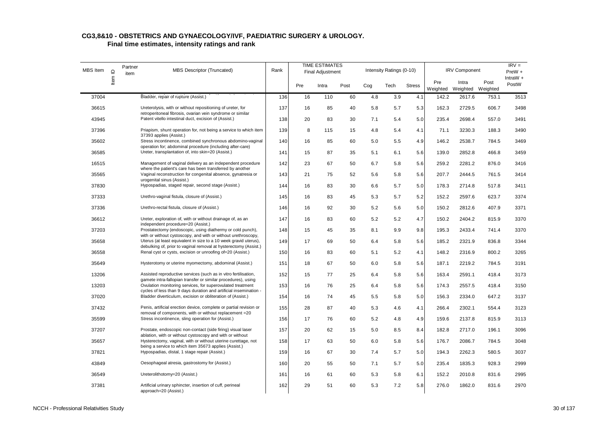| MBS Item | $\mathbf{\underline{o}}$ | Partner<br>item | <b>MBS Descriptor (Truncated)</b>                                                                                                    | Rank |     | <b>TIME ESTIMATES</b><br><b>Final Adjustment</b> |      |     | Intensity Ratings (0-10) |               |                 | <b>IRV Component</b>       |       | $IRV =$<br>PreW +<br>IntraW $+$ |
|----------|--------------------------|-----------------|--------------------------------------------------------------------------------------------------------------------------------------|------|-----|--------------------------------------------------|------|-----|--------------------------|---------------|-----------------|----------------------------|-------|---------------------------------|
|          | Item I                   |                 |                                                                                                                                      |      | Pre | Intra                                            | Post | Cog | Tech                     | <b>Stress</b> | Pre<br>Weighted | Intra<br>Weighted Weighted | Post  | PostW                           |
| 37004    |                          |                 | Bladder, repair of rupture (Assist.)                                                                                                 | 136  | 16  | 110                                              | 60   | 4.8 | 3.9                      | 4.1           | 142.2           | 2617.6                     | 753.1 | 3513                            |
| 36615    |                          |                 | Ureterolysis, with or without repositioning of ureter, for                                                                           | 137  | 16  | 85                                               | 40   | 5.8 | 5.7                      | 5.3           | 162.3           | 2729.5                     | 606.7 | 3498                            |
| 43945    |                          |                 | retroperitoneal fibrosis, ovarian vein syndrome or similar<br>Patent vitello intestinal duct, excision of (Assist.)                  | 138  | 20  | 83                                               | 30   | 7.1 | 5.4                      | 5.0           | 235.4           | 2698.4                     | 557.0 | 3491                            |
| 37396    |                          |                 | Priapism, shunt operation for, not being a service to which item                                                                     | 139  | 8   | 115                                              | 15   | 4.8 | 5.4                      | 4.1           | 71.1            | 3230.3                     | 188.3 | 3490                            |
| 35602    |                          |                 | 37393 applies (Assist.)<br>Stress incontinence, combined synchronous abdomino-vaginal                                                | 140  | 16  | 85                                               | 60   | 5.0 | 5.5                      | 4.9           | 146.2           | 2538.7                     | 784.5 | 3469                            |
| 36585    |                          |                 | operation for; abdominal procedure (including after-care)<br>Ureter, transplantation of, into skin=20 (Assist.)                      | 141  | 15  | 87                                               | 35   | 5.1 | 6.1                      | 5.6           | 139.0           | 2852.8                     | 466.8 | 3459                            |
| 16515    |                          |                 | Management of vaginal delivery as an independent procedure<br>where the patient's care has been transferred by another               | 142  | 23  | 67                                               | 50   | 6.7 | 5.8                      | 5.6           | 259.2           | 2281.2                     | 876.0 | 3416                            |
| 35565    |                          |                 | Vaginal reconstruction for congenital absence, gynatresia or<br>urogenital sinus (Assist.)                                           | 143  | 21  | 75                                               | 52   | 5.6 | 5.8                      | 5.6           | 207.7           | 2444.5                     | 761.5 | 3414                            |
| 37830    |                          |                 | Hypospadias, staged repair, second stage (Assist.)                                                                                   | 144  | 16  | 83                                               | 30   | 6.6 | 5.7                      | 5.0           | 178.3           | 2714.8                     | 517.8 | 3411                            |
| 37333    |                          |                 | Urethro-vaginal fistula, closure of (Assist.)                                                                                        | 145  | 16  | 83                                               | 45   | 5.3 | 5.7                      | 5.2           | 152.2           | 2597.6                     | 623.7 | 3374                            |
| 37336    |                          |                 | Urethro-rectal fistula, closure of (Assist.)                                                                                         | 146  | 16  | 92                                               | 30   | 5.2 | 5.6                      | 5.0           | 150.2           | 2812.6                     | 407.9 | 3371                            |
| 36612    |                          |                 | Ureter, exploration of, with or without drainage of, as an<br>independent procedure=20 (Assist.)                                     | 147  | 16  | 83                                               | 60   | 5.2 | 5.2                      | 4.7           | 150.2           | 2404.2                     | 815.9 | 3370                            |
| 37203    |                          |                 | Prostatectomy (endoscopic, using diathermy or cold punch),<br>with or without cystoscopy, and with or without urethroscopy,          | 148  | 15  | 45                                               | 35   | 8.1 | 9.9                      | 9.8           | 195.3           | 2433.4                     | 741.4 | 3370                            |
| 35658    |                          |                 | Uterus (at least equivalent in size to a 10 week gravid uterus),<br>debulking of, prior to vaginal removal at hysterectomy (Assist.) | 149  | 17  | 69                                               | 50   | 6.4 | 5.8                      | 5.6           | 185.2           | 2321.9                     | 836.8 | 3344                            |
| 36558    |                          |                 | Renal cyst or cysts, excision or unroofing of=20 (Assist.)                                                                           | 150  | 16  | 83                                               | 60   | 5.1 | 5.2                      | 4.1           | 148.2           | 2316.9                     | 800.2 | 3265                            |
| 35649    |                          |                 | Hysterotomy or uterine myomectomy, abdominal (Assist.)                                                                               | 151  | 18  | 67                                               | 50   | 6.0 | 5.8                      | 5.6           | 187.1           | 2219.2                     | 784.5 | 3191                            |
| 13206    |                          |                 | Assisted reproductive services (such as in vitro fertilisation,<br>gamete intra-fallopian transfer or similar procedures), using     | 152  | 15  | 77                                               | 25   | 6.4 | 5.8                      | 5.6           | 163.4           | 2591.1                     | 418.4 | 3173                            |
| 13203    |                          |                 | Ovulation monitoring services, for superovulated treatment<br>cycles of less than 9 days duration and artificial insemination -      | 153  | 16  | 76                                               | 25   | 6.4 | 5.8                      | 5.6           | 174.3           | 2557.5                     | 418.4 | 3150                            |
| 37020    |                          |                 | Bladder diverticulum, excision or obliteration of (Assist.)                                                                          | 154  | 16  | 74                                               | 45   | 5.5 | 5.8                      | 5.0           | 156.3           | 2334.0                     | 647.2 | 3137                            |
| 37432    |                          |                 | Penis, artificial erection device, complete or partial revision or<br>removal of components, with or without replacement = 20        | 155  | 28  | 87                                               | 40   | 5.3 | 4.6                      | 4.1           | 266.4           | 2302.1                     | 554.4 | 3123                            |
| 35599    |                          |                 | Stress incontinence, sling operation for (Assist.)                                                                                   | 156  | 17  | 76                                               | 60   | 5.2 | 4.8                      | 4.9           | 159.6           | 2137.8                     | 815.9 | 3113                            |
| 37207    |                          |                 | Prostate, endoscopic non-contact (side firing) visual laser<br>ablation, with or without cystoscopy and with or without              | 157  | 20  | 62                                               | 15   | 5.0 | 8.5                      | 8.4           | 182.8           | 2717.0                     | 196.1 | 3096                            |
| 35657    |                          |                 | Hysterectomy, vaginal, with or without uterine curettage, not<br>being a service to which item 35673 applies (Assist.)               | 158  | 17  | 63                                               | 50   | 6.0 | 5.8                      | 5.6           | 176.7           | 2086.7                     | 784.5 | 3048                            |
| 37821    |                          |                 | Hypospadias, distal, 1 stage repair (Assist.)                                                                                        | 159  | 16  | 67                                               | 30   | 7.4 | 5.7                      | 5.0           | 194.3           | 2262.3                     | 580.5 | 3037                            |
| 43849    |                          |                 | Oesophageal atresia, gastrostomy for (Assist.)                                                                                       | 160  | 20  | 55                                               | 50   | 7.1 | 5.7                      | 5.0           | 235.4           | 1835.3                     | 928.3 | 2999                            |
| 36549    |                          |                 | Ureterolithotomy=20 (Assist.)                                                                                                        | 161  | 16  | 61                                               | 60   | 5.3 | 5.8                      | 6.1           | 152.2           | 2010.8                     | 831.6 | 2995                            |
| 37381    |                          |                 | Artificial urinary sphincter, insertion of cuff, perineal<br>approach=20 (Assist.)                                                   | 162  | 29  | 51                                               | 60   | 5.3 | 7.2                      | 5.8           | 276.0           | 1862.0                     | 831.6 | 2970                            |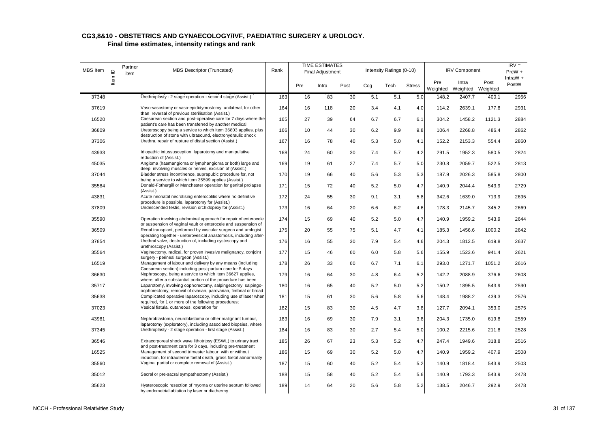|          |                          | Partner |                                                                                                                                    |      |     | <b>TIME ESTIMATES</b>   |      |     |                          |               |                 |                            |        | $IRV =$              |
|----------|--------------------------|---------|------------------------------------------------------------------------------------------------------------------------------------|------|-----|-------------------------|------|-----|--------------------------|---------------|-----------------|----------------------------|--------|----------------------|
| MBS Item | $\mathbf{\underline{o}}$ | item    | <b>MBS Descriptor (Truncated)</b>                                                                                                  | Rank |     | <b>Final Adjustment</b> |      |     | Intensity Ratings (0-10) |               |                 | <b>IRV Component</b>       |        | PreW +<br>IntraW $+$ |
|          | ltem                     |         |                                                                                                                                    |      | Pre | Intra                   | Post | Cog | Tech                     | <b>Stress</b> | Pre<br>Weighted | Intra<br>Weighted Weighted | Post   | PostW                |
| 37348    |                          |         | Urethroplasty - 2 stage operation - second stage (Assist.)                                                                         | 163  | 16  | 83                      | 30   | 5.1 | 5.1                      | 5.0           | 148.2           | 2407.7                     | 400.1  | 2956                 |
| 37619    |                          |         | Vaso-vasostomy or vaso-epididymostomy, unilateral, for other<br>than reversal of previous sterilisation (Assist.)                  | 164  | 16  | 118                     | 20   | 3.4 | 4.1                      | 4.0           | 114.2           | 2639.1                     | 177.8  | 2931                 |
| 16520    |                          |         | Caesarean section and post-operative care for 7 days where the<br>patient's care has been transferred by another medical           | 165  | 27  | 39                      | 64   | 6.7 | 6.7                      | 6.1           | 304.2           | 1458.2                     | 1121.3 | 2884                 |
| 36809    |                          |         | Ureteroscopy being a service to which item 36803 applies, plus<br>destruction of stone with ultrasound, electrohydraulic shock     | 166  | 10  | 44                      | 30   | 6.2 | 9.9                      | 9.8           | 106.4           | 2268.8                     | 486.4  | 2862                 |
| 37306    |                          |         | Urethra, repair of rupture of distal section (Assist.)                                                                             | 167  | 16  | 78                      | 40   | 5.3 | 5.0                      | 4.1           | 152.2           | 2153.3                     | 554.4  | 2860                 |
| 43933    |                          |         | Idiopathic intussusception, laparotomy and manipulative<br>reduction of (Assist.)                                                  | 168  | 24  | 60                      | 30   | 7.4 | 5.7                      | 4.2           | 291.5           | 1952.3                     | 580.5  | 2824                 |
| 45035    |                          |         | Angioma (haemangioma or lymphangioma or both) large and<br>deep, involving muscles or nerves, excision of (Assist.)                | 169  | 19  | 61                      | 27   | 7.4 | 5.7                      | 5.0           | 230.8           | 2059.7                     | 522.5  | 2813                 |
| 37044    |                          |         | Bladder stress incontinence, suprapubic procedure for, not<br>being a service to which item 35599 applies (Assist.)                | 170  | 19  | 66                      | 40   | 5.6 | 5.3                      | 5.3           | 187.9           | 2026.3                     | 585.8  | 2800                 |
| 35584    |                          |         | Donald-Fothergill or Manchester operation for genital prolapse<br>(Assist.)                                                        | 171  | 15  | 72                      | 40   | 5.2 | 5.0                      | 4.7           | 140.9           | 2044.4                     | 543.9  | 2729                 |
| 43831    |                          |         | Acute neonatal necrotising enterocolitis where no definitive<br>procedure is possible, laparotomy for (Assist.)                    | 172  | 24  | 55                      | 30   | 9.1 | 3.1                      | 5.8           | 342.6           | 1639.0                     | 713.9  | 2695                 |
| 37809    |                          |         | Undescended testis, revision orchidopexy for (Assist.)                                                                             | 173  | 16  | 64                      | 20   | 6.6 | 6.2                      | 4.6           | 178.3           | 2145.7                     | 345.2  | 2669                 |
| 35590    |                          |         | Operation involving abdominal approach for repair of enterocele<br>or suspension of vaginal vault or enterocele and suspension of  | 174  | 15  | 69                      | 40   | 5.2 | 5.0                      | 4.7           | 140.9           | 1959.2                     | 543.9  | 2644                 |
| 36509    |                          |         | Renal transplant, performed by vascular surgeon and urologist<br>operating together - ureterovesical anastomosis, including after- | 175  | 20  | 55                      | 75   | 5.1 | 4.7                      | 4.1           | 185.3           | 1456.6                     | 1000.2 | 2642                 |
| 37854    |                          |         | Urethral valve, destruction of, including cystoscopy and<br>urethroscopy (Assist.)                                                 | 176  | 16  | 55                      | 30   | 7.9 | 5.4                      | 4.6           | 204.3           | 1812.5                     | 619.8  | 2637                 |
| 35564    |                          |         | Vaginectomy, radical, for proven invasive malignancy, conjoint<br>surgery - perineal surgeon (Assist.)                             | 177  | 15  | 46                      | 60   | 6.0 | 5.8                      | 5.6           | 155.9           | 1523.6                     | 941.4  | 2621                 |
| 16519    |                          |         | Management of labour and delivery by any means (including<br>Caesarean section) including post-partum care for 5 days              | 178  | 26  | 33                      | 60   | 6.7 | 7.1                      | 6.1           | 293.0           | 1271.7                     | 1051.2 | 2616                 |
| 36630    |                          |         | Nephroscopy, being a service to which item 36627 applies,<br>where, after a substantial portion of the procedure has been          | 179  | 16  | 64                      | 30   | 4.8 | 6.4                      | 5.2           | 142.2           | 2088.9                     | 376.6  | 2608                 |
| 35717    |                          |         | Laparotomy, involving oophorectomy, salpingectomy, salpingo-<br>oophorectomy, removal of ovarian, parovarian, fimbrial or broad    | 180  | 16  | 65                      | 40   | 5.2 | 5.0                      | 5.2           | 150.2           | 1895.5                     | 543.9  | 2590                 |
| 35638    |                          |         | Complicated operative laparoscopy, including use of laser when<br>required, for 1 or more of the following procedures;             | 181  | 15  | 61                      | 30   | 5.6 | 5.8                      | 5.6           | 148.4           | 1988.2                     | 439.3  | 2576                 |
| 37023    |                          |         | Vesical fistula, cutaneous, operation for                                                                                          | 182  | 15  | 83                      | 30   | 4.5 | 4.7                      | 3.8           | 127.7           | 2094.1                     | 353.0  | 2575                 |
| 43981    |                          |         | Nephroblastoma, neuroblastoma or other malignant tumour,<br>laparotomy (exploratory), including associated biopsies, where         | 183  | 16  | 69                      | 30   | 7.9 | 3.1                      | 3.8           | 204.3           | 1735.0                     | 619.8  | 2559                 |
| 37345    |                          |         | Urethroplasty - 2 stage operation - first stage (Assist.)                                                                          | 184  | 16  | 83                      | 30   | 2.7 | 5.4                      | 5.0           | 100.2           | 2215.6                     | 211.8  | 2528                 |
| 36546    |                          |         | Extracorporeal shock wave lithotripsy (ESWL) to urinary tract<br>and post-treatment care for 3 days, including pre-treatment       | 185  | 26  | 67                      | 23   | 5.3 | 5.2                      | 4.7           | 247.4           | 1949.6                     | 318.8  | 2516                 |
| 16525    |                          |         | Management of second trimester labour, with or without<br>induction, for intrauterine foetal death, gross foetal abnormality       | 186  | 15  | 69                      | 30   | 5.2 | 5.0                      | 4.7           | 140.9           | 1959.2                     | 407.9  | 2508                 |
| 35560    |                          |         | Vagina, partial or complete removal of (Assist.)                                                                                   | 187  | 15  | 60                      | 40   | 5.2 | 5.4                      | 5.2           | 140.9           | 1818.4                     | 543.9  | 2503                 |
| 35012    |                          |         | Sacral or pre-sacral sympathectomy (Assist.)                                                                                       | 188  | 15  | 58                      | 40   | 5.2 | 5.4                      | 5.6           | 140.9           | 1793.3                     | 543.9  | 2478                 |
| 35623    |                          |         | Hysteroscopic resection of myoma or uterine septum followed<br>by endometrial ablation by laser or diathermy                       | 189  | 14  | 64                      | 20   | 5.6 | 5.8                      | 5.2           | 138.5           | 2046.7                     | 292.9  | 2478                 |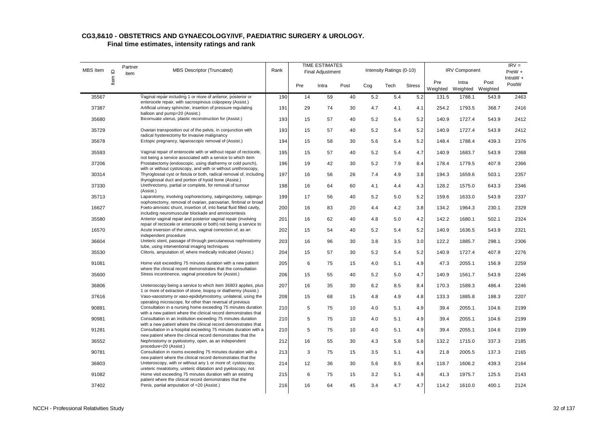| MBS Item |                          | Partner |                                                                                                                                                             |      |     | <b>TIME ESTIMATES</b>   |      |     |                          |               |       |                                     |       | $IRV =$              |
|----------|--------------------------|---------|-------------------------------------------------------------------------------------------------------------------------------------------------------------|------|-----|-------------------------|------|-----|--------------------------|---------------|-------|-------------------------------------|-------|----------------------|
|          | $\mathbf{\underline{o}}$ | item    | <b>MBS Descriptor (Truncated)</b>                                                                                                                           | Rank |     | <b>Final Adjustment</b> |      |     | Intensity Ratings (0-10) |               |       | <b>IRV Component</b>                |       | PreW +<br>IntraW $+$ |
|          | ltem                     |         |                                                                                                                                                             |      | Pre | Intra                   | Post | Cog | Tech                     | <b>Stress</b> | Pre   | Intra<br>Weighted Weighted Weighted | Post  | PostW                |
| 35567    |                          |         | Vaginal repair including 1 or more of anterior, posterior or                                                                                                | 190  | 14  | 59                      | 40   | 5.2 | 5.4                      | 5.2           | 131.5 | 1788.1                              | 543.9 | 2463                 |
| 37387    |                          |         | enterocele repair, with sacrospinous colpopexy (Assist.)<br>Artificial urinary sphincter, insertion of pressure regulating<br>balloon and pump=20 (Assist.) | 191  | 29  | 74                      | 30   | 4.7 | 4.1                      | 4.1           | 254.2 | 1793.5                              | 368.7 | 2416                 |
| 35680    |                          |         | Bicornuate uterus, plastic reconstruction for (Assist.)                                                                                                     | 193  | 15  | 57                      | 40   | 5.2 | 5.4                      | 5.2           | 140.9 | 1727.4                              | 543.9 | 2412                 |
| 35729    |                          |         | Ovarian transposition out of the pelvis, in conjunction with<br>radical hysterectomy for invasive malignancy                                                | 193  | 15  | 57                      | 40   | 5.2 | 5.4                      | 5.2           | 140.9 | 1727.4                              | 543.9 | 2412                 |
| 35678    |                          |         | Ectopic pregnancy, laparoscopic removal of (Assist.)                                                                                                        | 194  | 15  | 58                      | 30   | 5.6 | 5.4                      | 5.2           | 148.4 | 1788.4                              | 439.3 | 2376                 |
| 35593    |                          |         | Vaginal repair of enterocele with or without repair of rectocele,<br>not being a service associated with a service to which item                            | 195  | 15  | 57                      | 40   | 5.2 | 5.4                      | 4.7           | 140.9 | 1683.7                              | 543.9 | 2368                 |
| 37206    |                          |         | Prostatectomy (endoscopic, using diathermy or cold punch),<br>with or without cystoscopy, and with or without urethroscopy,                                 | 196  | 19  | 42                      | 30   | 5.2 | 7.9                      | 8.4           | 178.4 | 1779.5                              | 407.9 | 2366                 |
| 30314    |                          |         | Thyroglossal cyst or fistula or both, radical removal of, including<br>thyroglossal duct and portion of hyoid bone (Assist.)                                | 197  | 16  | 56                      | 26   | 7.4 | 4.9                      | 3.8           | 194.3 | 1659.6                              | 503.1 | 2357                 |
| 37330    |                          |         | Urethrectomy, partial or complete, for removal of tumour<br>(Assist.)                                                                                       | 198  | 16  | 64                      | 60   | 4.1 | 4.4                      | 4.3           | 128.2 | 1575.0                              | 643.3 | 2346                 |
| 35713    |                          |         | Laparotomy, involving oophorectomy, salpingectomy, salpingo-<br>oophorectomy, removal of ovarian, parovarian, fimbrial or broad                             | 199  | 17  | 56                      | 40   | 5.2 | 5.0                      | 5.2           | 159.6 | 1633.0                              | 543.9 | 2337                 |
| 16627    |                          |         | Foeto-amniotic shunt, insertion of, into foetal fluid filled cavity,<br>including neuromuscular blockade and amniocentesis                                  | 200  | 16  | 83                      | 20   | 4.4 | 4.2                      | 3.8           | 134.2 | 1964.3                              | 230.1 | 2329                 |
| 35580    |                          |         | Anterior vaginal repair and posterior vaginal repair (involving<br>repair of rectocele or enterocele or both) not being a service to                        | 201  | 16  | 62                      | 40   | 4.8 | 5.0                      | 4.2           | 142.2 | 1680.1                              | 502.1 | 2324                 |
| 16570    |                          |         | Acute inversion of the uterus, vaginal correction of, as an<br>independent procedure                                                                        | 202  | 15  | 54                      | 40   | 5.2 | 5.4                      | 5.2           | 140.9 | 1636.5                              | 543.9 | 2321                 |
| 36604    |                          |         | Ureteric stent, passage of through percutaneous nephrostomy<br>tube, using interventional imaging techniques                                                | 203  | 16  | 96                      | 30   | 3.8 | 3.5                      | 3.0           | 122.2 | 1885.7                              | 298.1 | 2306                 |
| 35530    |                          |         | Clitoris, amputation of, where medically indicated (Assist.)                                                                                                | 204  | 15  | 57                      | 30   | 5.2 | 5.4                      | 5.2           | 140.9 | 1727.4                              | 407.9 | 2276                 |
| 91081    |                          |         | Home visit exceeding 75 minutes duration with a new patient<br>where the clinical record demonstrates that the consultation                                 | 205  | 6   | 75                      | 15   | 4.0 | 5.1                      | 4.9           | 47.3  | 2055.1                              | 156.9 | 2259                 |
| 35600    |                          |         | Stress incontinence, vaginal procedure for (Assist.)                                                                                                        | 206  | 15  | 55                      | 40   | 5.2 | 5.0                      | 4.7           | 140.9 | 1561.7                              | 543.9 | 2246                 |
| 36806    |                          |         | Ureteroscopy being a service to which item 36803 applies, plus<br>1 or more of extraction of stone, biopsy or diathermy (Assist.)                           | 207  | 16  | 35                      | 30   | 6.2 | 8.5                      | 8.4           | 170.3 | 1589.3                              | 486.4 | 2246                 |
| 37616    |                          |         | Vaso-vasostomy or vaso-epididymostomy, unilateral, using the<br>operating microscope, for other than reversal of previous                                   | 208  | 15  | 68                      | 15   | 4.8 | 4.9                      | 4.8           | 133.3 | 1885.8                              | 188.3 | 2207                 |
| 90881    |                          |         | Consultation in a nursing home exceeding 75 minutes duration<br>with a new patient where the clinical record demonstrates that                              | 210  | 5   | 75                      | 10   | 4.0 | 5.1                      | 4.9           | 39.4  | 2055.1                              | 104.6 | 2199                 |
| 90981    |                          |         | Consultation in an institution exceeding 75 minutes duration<br>with a new patient where the clinical record demonstrates that                              | 210  | 5   | 75                      | 10   | 4.0 | 5.1                      | 4.9           | 39.4  | 2055.1                              | 104.6 | 2199                 |
| 91281    |                          |         | Consultation in a hospital exceeding 75 minutes duration with a<br>new patient where the clinical record demonstrates that the                              | 210  | 5   | 75                      | 10   | 4.0 | 5.1                      | 4.9           | 39.4  | 2055.1                              | 104.6 | 2199                 |
| 36552    |                          |         | Nephrostomy or pyelostomy, open, as an independent<br>procedure=20 (Assist.)                                                                                | 212  | 16  | 55                      | 30   | 4.3 | 5.8                      | 5.8           | 132.2 | 1715.0                              | 337.3 | 2185                 |
| 90781    |                          |         | Consultation in rooms exceeding 75 minutes duration with a<br>new patient where the clinical record demonstrates that the                                   | 213  | 3   | 75                      | 15   | 3.5 | 5.1                      | 4.9           | 21.8  | 2005.5                              | 137.3 | 2165                 |
| 36803    |                          |         | Ureteroscopy, with or without any 1 or more of; cystoscopy,<br>ureteric meatotomy, ureteric dilatation and pyeloscopy, not                                  | 214  | 12  | 36                      | 30   | 5.6 | 8.5                      | 8.4           | 118.7 | 1606.2                              | 439.3 | 2164                 |
| 91082    |                          |         | Home visit exceeding 75 minutes duration with an existing<br>patient where the clinical record demonstrates that the                                        | 215  | 6   | 75                      | 15   | 3.2 | 5.1                      | 4.9           | 41.3  | 1975.7                              | 125.5 | 2143                 |
| 37402    |                          |         | Penis, partial amputation of =20 (Assist.)                                                                                                                  | 216  | 16  | 64                      | 45   | 3.4 | 4.7                      | 4.7           | 114.2 | 1610.0                              | 400.1 | 2124                 |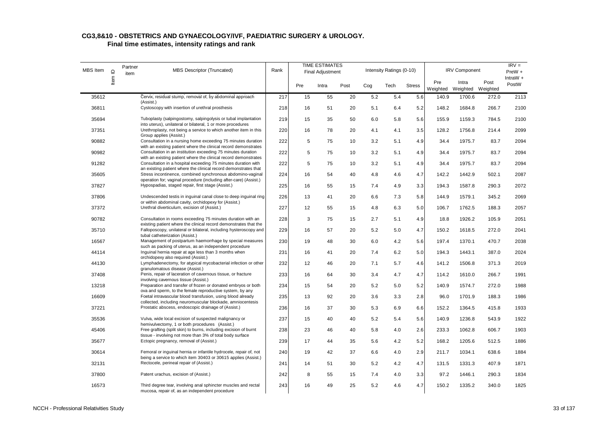| <b>MBS</b> Item | Item ID | Partner<br>item | <b>MBS Descriptor (Truncated)</b>                                                                                                                                                                   | Rank |             | <b>TIME ESTIMATES</b><br>Final Adjustment |      |     | Intensity Ratings (0-10) |               |                 | <b>IRV Component</b> |                  | $IRV =$<br>$PreW +$ |
|-----------------|---------|-----------------|-----------------------------------------------------------------------------------------------------------------------------------------------------------------------------------------------------|------|-------------|-------------------------------------------|------|-----|--------------------------|---------------|-----------------|----------------------|------------------|---------------------|
|                 |         |                 |                                                                                                                                                                                                     |      | Pre         | Intra                                     | Post | Cog | Tech                     | <b>Stress</b> | Pre<br>Weighted | Intra<br>Weighted    | Post<br>Weighted | IntraW $+$<br>PostW |
| 35612           |         |                 | Cervix, residual stump, removal of, by abdominal approach                                                                                                                                           | 217  | 15          | 55                                        | 20   | 5.2 | 5.4                      | 5.6           | 140.9           | 1700.6               | 272.0            | 2113                |
| 36811           |         |                 | (Assist.)<br>Cystoscopy with insertion of urethral prosthesis                                                                                                                                       | 218  | 16          | 51                                        | 20   | 5.1 | 6.4                      | 5.2           | 148.2           | 1684.8               | 266.7            | 2100                |
| 35694           |         |                 | Tuboplasty (salpingostomy, salpingolysis or tubal implantation<br>into uterus), unilateral or bilateral, 1 or more procedures                                                                       | 219  | 15          | 35                                        | 50   | 6.0 | 5.8                      | 5.6           | 155.9           | 1159.3               | 784.5            | 2100                |
| 37351           |         |                 | Urethroplasty, not being a service to which another item in this                                                                                                                                    | 220  | 16          | 78                                        | 20   | 4.1 | 4.1                      | 3.5           | 128.2           | 1756.8               | 214.4            | 2099                |
| 90882           |         |                 | Group applies (Assist.)<br>Consultation in a nursing home exceeding 75 minutes duration<br>with an existing patient where the clinical record demonstrates                                          | 222  | $\mathbf 5$ | 75                                        | 10   | 3.2 | 5.1                      | 4.9           | 34.4            | 1975.7               | 83.7             | 2094                |
| 90982           |         |                 | Consultation in an institution exceeding 75 minutes duration                                                                                                                                        | 222  | 5           | 75                                        | 10   | 3.2 | 5.1                      | 4.9           | 34.4            | 1975.7               | 83.7             | 2094                |
| 91282           |         |                 | with an existing patient where the clinical record demonstrates<br>Consultation in a hospital exceeding 75 minutes duration with<br>an existing patient where the clinical record demonstrates that | 222  | 5           | 75                                        | 10   | 3.2 | 5.1                      | 4.9           | 34.4            | 1975.7               | 83.7             | 2094                |
| 35605           |         |                 | Stress incontinence, combined synchronous abdomino-vaginal                                                                                                                                          | 224  | 16          | 54                                        | 40   | 4.8 | 4.6                      | 4.7           | 142.2           | 1442.9               | 502.1            | 2087                |
| 37827           |         |                 | operation for; vaginal procedure (including after-care) (Assist.)<br>Hypospadias, staged repair, first stage (Assist.)                                                                              | 225  | 16          | 55                                        | 15   | 7.4 | 4.9                      | 3.3           | 194.3           | 1587.8               | 290.3            | 2072                |
| 37806           |         |                 | Undescended testis in inguinal canal close to deep inguinal ring<br>or within abdominal cavity, orchidopexy for (Assist.)                                                                           | 226  | 13          | 41                                        | 20   | 6.6 | 7.3                      | 5.8           | 144.9           | 1579.1               | 345.2            | 2069                |
| 37372           |         |                 | Urethral diverticulum, excision of (Assist.)                                                                                                                                                        | 227  | 12          | 55                                        | 15   | 4.8 | 6.3                      | 5.0           | 106.7           | 1762.5               | 188.3            | 2057                |
| 90782           |         |                 | Consultation in rooms exceeding 75 minutes duration with an<br>existing patient where the clinical record demonstrates that the                                                                     | 228  | 3           | 75                                        | 15   | 2.7 | 5.1                      | 4.9           | 18.8            | 1926.2               | 105.9            | 2051                |
| 35710           |         |                 | Falloposcopy, unilateral or bilateral, including hysteroscopy and<br>tubal catheterization (Assist.)                                                                                                | 229  | 16          | 57                                        | 20   | 5.2 | 5.0                      | 4.7           | 150.2           | 1618.5               | 272.0            | 2041                |
| 16567           |         |                 | Management of postpartum haemorrhage by special measures<br>such as packing of uterus, as an independent procedure                                                                                  | 230  | 19          | 48                                        | 30   | 6.0 | 4.2                      | 5.6           | 197.4           | 1370.1               | 470.7            | 2038                |
| 44114           |         |                 | Inquinal hernia repair at age less than 3 months when<br>orchidopexy also required (Assist.)                                                                                                        | 231  | 16          | 41                                        | 20   | 7.4 | 6.2                      | 5.0           | 194.3           | 1443.1               | 387.0            | 2024                |
| 44130           |         |                 | Lymphadenectomy, for atypical mycobacterial infection or other<br>granulomatous disease (Assist.)                                                                                                   | 232  | 12          | 46                                        | 20   | 7.1 | 5.7                      | 4.6           | 141.2           | 1506.8               | 371.3            | 2019                |
| 37408           |         |                 | Penis, repair of laceration of cavernous tissue, or fracture<br>involving cavernous tissue (Assist.)                                                                                                | 233  | 16          | 64                                        | 30   | 3.4 | 4.7                      | 4.7           | 114.2           | 1610.0               | 266.7            | 1991                |
| 13218           |         |                 | Preparation and transfer of frozen or donated embryos or both<br>ova and sperm, to the female reproductive system, by any                                                                           | 234  | 15          | 54                                        | 20   | 5.2 | 5.0                      | 5.2           | 140.9           | 1574.7               | 272.0            | 1988                |
| 16609           |         |                 | Foetal intravascular blood transfusion, using blood already<br>collected, including neuromuscular blockade, amniocentesis                                                                           | 235  | 13          | 92                                        | 20   | 3.6 | 3.3                      | 2.8           | 96.0            | 1701.9               | 188.3            | 1986                |
| 37221           |         |                 | Prostatic abscess, endoscopic drainage of (Assist.)                                                                                                                                                 | 236  | 16          | 37                                        | 30   | 5.3 | 6.9                      | 6.6           | 152.2           | 1364.5               | 415.8            | 1933                |
| 35536           |         |                 | Vulva, wide local excision of suspected malignancy or<br>hemivulvectomy, 1 or both procedures (Assist.)                                                                                             | 237  | 15          | 40                                        | 40   | 5.2 | 5.4                      | 5.6           | 140.9           | 1236.8               | 543.9            | 1922                |
| 45406           |         |                 | Free grafting (split skin) to burns, including excision of burnt<br>tissue - involving not more than 3% of total body surface                                                                       | 238  | 23          | 46                                        | 40   | 5.8 | 4.0                      | 2.6           | 233.3           | 1062.8               | 606.7            | 1903                |
| 35677           |         |                 | Ectopic pregnancy, removal of (Assist.)                                                                                                                                                             | 239  | 17          | 44                                        | 35   | 5.6 | 4.2                      | 5.2           | 168.2           | 1205.6               | 512.5            | 1886                |
| 30614           |         |                 | Femoral or inguinal hernia or infantile hydrocele, repair of, not<br>being a service to which item 30403 or 30615 applies (Assist.)                                                                 | 240  | 19          | 42                                        | 37   | 6.6 | 4.0                      | 2.9           | 211.7           | 1034.1               | 638.6            | 1884                |
| 32131           |         |                 | Rectocele, perineal repair of (Assist.)                                                                                                                                                             | 241  | 14          | 51                                        | 30   | 5.2 | 4.2                      | 4.7           | 131.5           | 1331.3               | 407.9            | 1871                |
| 37800           |         |                 | Patent urachus, excision of (Assist.)                                                                                                                                                               | 242  | 8           | 55                                        | 15   | 7.4 | 4.0                      | 3.3           | 97.2            | 1446.1               | 290.3            | 1834                |
| 16573           |         |                 | Third degree tear, involving anal sphincter muscles and rectal<br>mucosa, repair of, as an independent procedure                                                                                    | 243  | 16          | 49                                        | 25   | 5.2 | 4.6                      | 4.7           | 150.2           | 1335.2               | 340.0            | 1825                |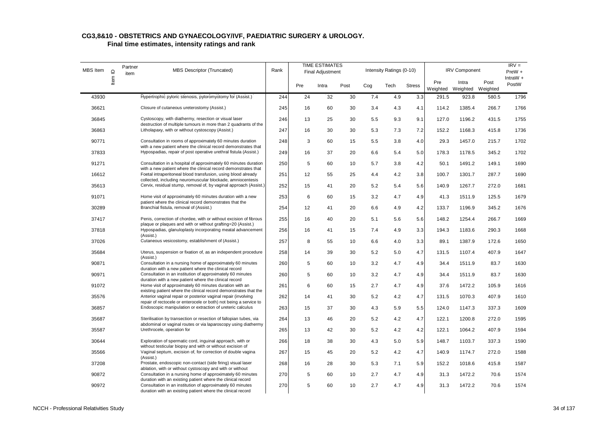| MBS Item | $\mathbf{\underline{o}}$ | Partner<br>item | MBS Descriptor (Truncated)                                                                                                          | Rank |     | <b>TIME ESTIMATES</b><br><b>Final Adjustment</b> |      |     | Intensity Ratings (0-10) |               |       | <b>IRV Component</b>                |       | $IRV =$<br>PreW +<br>IntraW $+$ |
|----------|--------------------------|-----------------|-------------------------------------------------------------------------------------------------------------------------------------|------|-----|--------------------------------------------------|------|-----|--------------------------|---------------|-------|-------------------------------------|-------|---------------------------------|
|          | ltem                     |                 |                                                                                                                                     |      | Pre | Intra                                            | Post | Cog | Tech                     | <b>Stress</b> | Pre   | Intra<br>Weighted Weighted Weighted | Post  | PostW                           |
| 43930    |                          |                 | Hypertrophic pyloric stenosis, pyloromyotomy for (Assist.)                                                                          | 244  | 24  | 32                                               | 30   | 7.4 | 4.9                      | 3.3           | 291.5 | 923.8                               | 580.5 | 1796                            |
| 36621    |                          |                 | Closure of cutaneous ureterostomy (Assist.)                                                                                         | 245  | 16  | 60                                               | 30   | 3.4 | 4.3                      | 4.1           | 114.2 | 1385.4                              | 266.7 | 1766                            |
| 36845    |                          |                 | Cystoscopy, with diathermy, resection or visual laser<br>destruction of multiple tumours in more than 2 quadrants of the            | 246  | 13  | 25                                               | 30   | 5.5 | 9.3                      | 9.1           | 127.0 | 1196.2                              | 431.5 | 1755                            |
| 36863    |                          |                 | Litholapaxy, with or without cystoscopy (Assist.)                                                                                   | 247  | 16  | 30                                               | 30   | 5.3 | 7.3                      | 7.2           | 152.2 | 1168.3                              | 415.8 | 1736                            |
| 90771    |                          |                 | Consultation in rooms of approximately 60 minutes duration<br>with a new patient where the clinical record demonstrates that        | 248  | 3   | 60                                               | 15   | 5.5 | 3.8                      | 4.0           | 29.3  | 1457.0                              | 215.7 | 1702                            |
| 37833    |                          |                 | Hypospadias, repair of post operative urethral fistula (Assist.)                                                                    | 249  | 16  | 37                                               | 20   | 6.6 | 5.4                      | 5.0           | 178.3 | 1178.5                              | 345.2 | 1702                            |
| 91271    |                          |                 | Consultation in a hospital of approximately 60 minutes duration<br>with a new patient where the clinical record demonstrates that   | 250  | 5   | 60                                               | 10   | 5.7 | 3.8                      | 4.2           | 50.1  | 1491.2                              | 149.1 | 1690                            |
| 16612    |                          |                 | Foetal intraperitoneal blood transfusion, using blood already<br>collected, including neuromuscular blockade, amniocentesis         | 251  | 12  | 55                                               | 25   | 4.4 | 4.2                      | 3.8           | 100.7 | 1301.7                              | 287.7 | 1690                            |
| 35613    |                          |                 | Cervix, residual stump, removal of, by vaginal approach (Assist.)                                                                   | 252  | 15  | 41                                               | 20   | 5.2 | 5.4                      | 5.6           | 140.9 | 1267.7                              | 272.0 | 1681                            |
| 91071    |                          |                 | Home visit of approximately 60 minutes duration with a new<br>patient where the clinical record demonstrates that the               | 253  | 6   | 60                                               | 15   | 3.2 | 4.7                      | 4.9           | 41.3  | 1511.9                              | 125.5 | 1679                            |
| 30289    |                          |                 | Branchial fistula, removal of (Assist.)                                                                                             | 254  | 12  | 41                                               | 20   | 6.6 | 4.9                      | 4.2           | 133.7 | 1196.9                              | 345.2 | 1676                            |
| 37417    |                          |                 | Penis, correction of chordee, with or without excision of fibrous<br>plaque or plaques and with or without grafting=20 (Assist.)    | 255  | 16  | 40                                               | 20   | 5.1 | 5.6                      | 5.6           | 148.2 | 1254.4                              | 266.7 | 1669                            |
| 37818    |                          |                 | Hypospadias, glanuloplasty incorporating meatal advancement<br>(Assist.)                                                            | 256  | 16  | 41                                               | 15   | 7.4 | 4.9                      | 3.3           | 194.3 | 1183.6                              | 290.3 | 1668                            |
| 37026    |                          |                 | Cutaneous vesicostomy, establishment of (Assist.)                                                                                   | 257  | 8   | 55                                               | 10   | 6.6 | 4.0                      | 3.3           | 89.1  | 1387.9                              | 172.6 | 1650                            |
| 35684    |                          |                 | Uterus, suspension or fixation of, as an independent procedure<br>(Assist.)                                                         | 258  | 14  | 39                                               | 30   | 5.2 | 5.0                      | 4.7           | 131.5 | 1107.4                              | 407.9 | 1647                            |
| 90871    |                          |                 | Consultation in a nursing home of approximately 60 minutes<br>duration with a new patient where the clinical record                 | 260  | 5   | 60                                               | 10   | 3.2 | 4.7                      | 4.9           | 34.4  | 1511.9                              | 83.7  | 1630                            |
| 90971    |                          |                 | Consultation in an institution of approximately 60 minutes<br>duration with a new patient where the clinical record                 | 260  | 5   | 60                                               | 10   | 3.2 | 4.7                      | 4.9           | 34.4  | 1511.9                              | 83.7  | 1630                            |
| 91072    |                          |                 | Home visit of approximately 60 minutes duration with an<br>existing patient where the clinical record demonstrates that the         | 261  | 6   | 60                                               | 15   | 2.7 | 4.7                      | 4.9           | 37.6  | 1472.2                              | 105.9 | 1616                            |
| 35576    |                          |                 | Anterior vaginal repair or posterior vaginal repair (involving<br>repair of rectocele or enterocele or both) not being a service to | 262  | 14  | 41                                               | 30   | 5.2 | 4.2                      | 4.7           | 131.5 | 1070.3                              | 407.9 | 1610                            |
| 36857    |                          |                 | Endoscopic manipulation or extraction of ureteric calculus                                                                          | 263  | 15  | 37                                               | 30   | 4.3 | 5.9                      | 5.5           | 124.0 | 1147.3                              | 337.3 | 1609                            |
| 35687    |                          |                 | Sterilisation by transection or resection of fallopian tubes, via<br>abdominal or vaginal routes or via laparoscopy using diathermy | 264  | 13  | 46                                               | 20   | 5.2 | 4.2                      | 4.7           | 122.1 | 1200.8                              | 272.0 | 1595                            |
| 35587    |                          |                 | Urethrocele, operation for                                                                                                          | 265  | 13  | 42                                               | 30   | 5.2 | 4.2                      | 4.2           | 122.1 | 1064.2                              | 407.9 | 1594                            |
| 30644    |                          |                 | Exploration of spermatic cord, inguinal approach, with or<br>without testicular biopsy and with or without excision of              | 266  | 18  | 38                                               | 30   | 4.3 | 5.0                      | 5.9           | 148.7 | 1103.7                              | 337.3 | 1590                            |
| 35566    |                          |                 | Vaginal septum, excision of, for correction of double vagina<br>(Assist.)                                                           | 267  | 15  | 45                                               | 20   | 5.2 | 4.2                      | 4.7           | 140.9 | 1174.7                              | 272.0 | 1588                            |
| 37208    |                          |                 | Prostate, endoscopic non-contact (side firing) visual laser<br>ablation, with or without cystoscopy and with or without             | 268  | 16  | 28                                               | 30   | 5.3 | 7.1                      | 5.9           | 152.2 | 1018.6                              | 415.8 | 1587                            |
| 90872    |                          |                 | Consultation in a nursing home of approximately 60 minutes<br>duration with an existing patient where the clinical record           | 270  | 5   | 60                                               | 10   | 2.7 | 4.7                      | 4.9           | 31.3  | 1472.2                              | 70.6  | 1574                            |
| 90972    |                          |                 | Consultation in an institution of approximately 60 minutes<br>duration with an existing patient where the clinical record           | 270  | 5   | 60                                               | 10   | 2.7 | 4.7                      | 4.9           | 31.3  | 1472.2                              | 70.6  | 1574                            |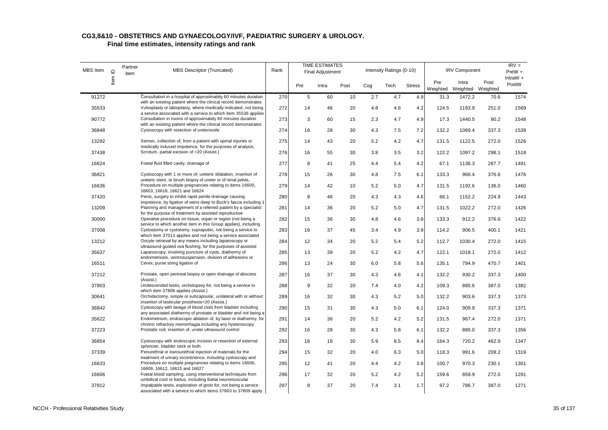| MBS Item | $\mathbf{\underline{o}}$ | Partner<br>item | MBS Descriptor (Truncated)                                                                                                                                                                       | Rank |     | TIME ESTIMATES<br><b>Final Adjustment</b> |      |     | Intensity Ratings (0-10) |               |                 | <b>IRV Component</b>       |       | $IRV =$<br>PreW +   |
|----------|--------------------------|-----------------|--------------------------------------------------------------------------------------------------------------------------------------------------------------------------------------------------|------|-----|-------------------------------------------|------|-----|--------------------------|---------------|-----------------|----------------------------|-------|---------------------|
|          | ltem                     |                 |                                                                                                                                                                                                  |      | Pre | Intra                                     | Post | Cog | Tech                     | <b>Stress</b> | Pre<br>Weighted | Intra<br>Weighted Weighted | Post  | IntraW $+$<br>PostW |
| 91272    |                          |                 | Consultation in a hospital of approximately 60 minutes duration                                                                                                                                  | 270  | 5   | 60                                        | 10   | 2.7 | 4.7                      | 4.9           | 31.3            | 1472.2                     | 70.6  | 1574                |
| 35533    |                          |                 | with an existing patient where the clinical record demonstrates<br>Vulvoplasty or labioplasty, where medically indicated, not being                                                              | 272  | 14  | 46                                        | 20   | 4.8 | 4.6                      | 4.2           | 124.5           | 1193.9                     | 251.0 | 1569                |
| 90772    |                          |                 | a service associated with a service to which item 35536 applies<br>Consultation in rooms of approximately 60 minutes duration<br>with an existing patient where the clinical record demonstrates | 273  | 3   | 60                                        | 15   | 2.3 | 4.7                      | 4.9           | 17.3            | 1440.5                     | 90.2  | 1548                |
| 36848    |                          |                 | Cystoscopy with resection of ureterocele                                                                                                                                                         | 274  | 16  | 28                                        | 30   | 4.3 | 7.5                      | 7.2           | 132.2           | 1069.4                     | 337.3 | 1539                |
| 13292    |                          |                 | Semen, collection of, from a patient with spinal injuries or<br>medically induced impotence, for the purposes of analysis,                                                                       | 275  | 14  | 43                                        | 20   | 5.2 | 4.2                      | 4.7           | 131.5           | 1122.5                     | 272.0 | 1526                |
| 37438    |                          |                 | Scrotum, partial excision of =20 (Assist.)                                                                                                                                                       | 276  | 16  | 55                                        | 30   | 3.8 | 3.5                      | 3.2           | 122.2           | 1097.2                     | 298.1 | 1518                |
| 16624    |                          |                 | Foetal fluid filled cavity, drainage of                                                                                                                                                          | 277  | 8   | 41                                        | 25   | 4.4 | 5.4                      | 4.2           | 67.1            | 1136.3                     | 287.7 | 1491                |
| 36821    |                          |                 | Cystoscopy with 1 or more of; ureteric dilatation, insertion of<br>ureteric stent, or brush biopsy of ureter or of renal pelvis,                                                                 | 278  | 15  | 26                                        | 30   | 4.8 | 7.5                      | 6.1           | 133.3           | 966.4                      | 376.6 | 1476                |
| 16636    |                          |                 | Procedure on multiple pregnancies relating to items 16600,<br>16603, 16618, 16621 and 16624                                                                                                      | 279  | 14  | 42                                        | 10   | 5.2 | 5.0                      | 4.7           | 131.5           | 1192.6                     | 136.0 | 1460                |
| 37420    |                          |                 | Penis, surgery to inhibit rapid penile drainage causing<br>impotence, by ligation of veins deep to Buck's fascia including 1                                                                     | 280  | 8   | 46                                        | 20   | 4.3 | 4.3                      | 4.6           | 66.1            | 1152.2                     | 224.9 | 1443                |
| 13209    |                          |                 | Planning and management of a referred patient by a specialist<br>for the purpose of treatment by assisted reproductive                                                                           | 281  | 14  | 36                                        | 20   | 5.2 | 5.0                      | 4.7           | 131.5           | 1022.2                     | 272.0 | 1426                |
| 30000    |                          |                 | Operative procedure on tissue, organ or region (not being a<br>service to which another item in this Group applies), including                                                                   | 282  | 15  | 36                                        | 30   | 4.8 | 4.6                      | 3.8           | 133.3           | 912.2                      | 376.6 | 1422                |
| 37008    |                          |                 | Cystostomy or cystotomy, suprapubic, not being a service to<br>which item 37011 applies and not being a service associated                                                                       | 283  | 16  | 37                                        | 45   | 3.4 | 4.9                      | 3.9           | 114.2           | 906.5                      | 400.1 | 1421                |
| 13212    |                          |                 | Oocyte retrieval by any means including laparoscopy or<br>ultrasound-quided ova flushing, for the purposes of assisted                                                                           | 284  | 12  | 34                                        | 20   | 5.2 | 5.4                      | 5.2           | 112.7           | 1030.4                     | 272.0 | 1415                |
| 35637    |                          |                 | Laparoscopy, involving puncture of cysts, diathermy of<br>endometriosis, ventrosuspension, division of adhesions or                                                                              | 285  | 13  | 39                                        | 20   | 5.2 | 4.2                      | 4.7           | 122.1           | 1018.1                     | 272.0 | 1412                |
| 16511    |                          |                 | Cervix, purse string ligation of                                                                                                                                                                 | 286  | 13  | 24                                        | 30   | 6.0 | 5.8                      | 5.6           | 135.1           | 794.9                      | 470.7 | 1401                |
| 37212    |                          |                 | Prostate, open perineal biopsy or open drainage of abscess<br>(Assist.)                                                                                                                          | 287  | 16  | 37                                        | 30   | 4.3 | 4.6                      | 4.1           | 132.2           | 930.2                      | 337.3 | 1400                |
| 37803    |                          |                 | Undescended testis, orchidopexy for, not being a service to<br>which item 37806 applies (Assist.)                                                                                                | 288  | 9   | 32                                        | 20   | 7.4 | 4.0                      | 4.2           | 109.3           | 885.6                      | 387.0 | 1382                |
| 30641    |                          |                 | Orchidectomy, simple or subcapsular, unilateral with or without<br>insertion of testicular prosthesis=20 (Assist.)                                                                               | 289  | 16  | 32                                        | 30   | 4.3 | 5.2                      | 5.0           | 132.2           | 903.6                      | 337.3 | 1373                |
| 36842    |                          |                 | Cystoscopy with lavage of blood clots from bladder including<br>any associated diathermy of prostate or bladder and not being a                                                                  | 290  | 15  | 31                                        | 30   | 4.3 | 5.0                      | 6.1           | 124.0           | 909.9                      | 337.3 | 1371                |
| 35622    |                          |                 | Endometrium, endoscopic ablation of, by laser or diathermy, for<br>chronic refractory menorrhagia including any hysteroscopy                                                                     | 291  | 14  | 36                                        | 20   | 5.2 | 4.2                      | 5.2           | 131.5           | 967.4                      | 272.0 | 1371                |
| 37223    |                          |                 | Prostatic coil, insertion of, under ultrasound control                                                                                                                                           | 292  | 16  | 28                                        | 30   | 4.3 | 5.8                      | 6.1           | 132.2           | 886.0                      | 337.3 | 1356                |
| 36854    |                          |                 | Cystoscopy with endoscopic incision or resection of external<br>sphincter, bladder neck or both                                                                                                  | 293  | 16  | 16                                        | 30   | 5.9 | 8.5                      | 8.4           | 164.3           | 720.2                      | 462.9 | 1347                |
| 37339    |                          |                 | Periurethral or transurethral injection of materials for the<br>treatment of urinary incontinence, including cystoscopy and                                                                      | 294  | 15  | 32                                        | 20   | 4.0 | 6.3                      | 5.0           | 118.3           | 991.6                      | 209.2 | 1319                |
| 16633    |                          |                 | Procedure on multiple pregnancies relating to items 16606,<br>16609, 16612, 16615 and 16627                                                                                                      | 295  | 12  | 41                                        | 20   | 4.4 | 4.2                      | 3.8           | 100.7           | 970.3                      | 230.1 | 1301                |
| 16606    |                          |                 | Foetal blood sampling, using interventional techniques from<br>umbilical cord or foetus, including foetal neuromuscular                                                                          | 296  | 17  | 32                                        | 20   | 5.2 | 4.2                      | 5.2           | 159.6           | 859.9                      | 272.0 | 1291                |
| 37812    |                          |                 | Impalpable testis, exploration of groin for, not being a service<br>associated with a service to which items 37803 to 37809 apply                                                                | 297  | 8   | 37                                        | 20   | 7.4 | 3.1                      | 1.7           | 97.2            | 786.7                      | 387.0 | 1271                |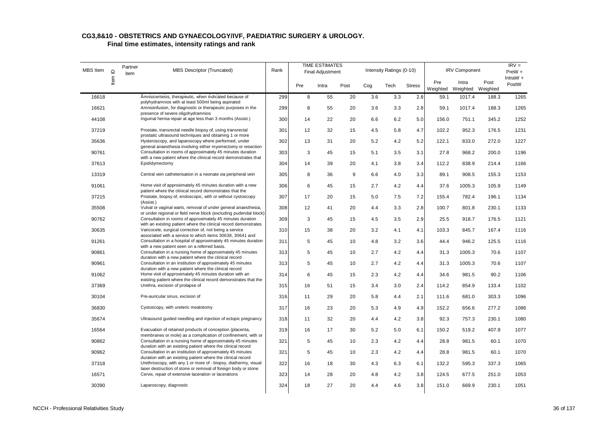| MBS Item | $\mathbf{\underline{o}}$ | Partner<br>item | <b>MBS Descriptor (Truncated)</b>                                                                                                                                                            | Rank |     | <b>TIME ESTIMATES</b><br><b>Final Adjustment</b> |      |     | Intensity Ratings (0-10) |               |                 | <b>IRV Component</b>       |       | $IRV =$<br>$PreW +$ |
|----------|--------------------------|-----------------|----------------------------------------------------------------------------------------------------------------------------------------------------------------------------------------------|------|-----|--------------------------------------------------|------|-----|--------------------------|---------------|-----------------|----------------------------|-------|---------------------|
|          | ltem                     |                 |                                                                                                                                                                                              |      | Pre | Intra                                            | Post | Cog | Tech                     | <b>Stress</b> | Pre<br>Weighted | Intra<br>Weighted Weighted | Post  | IntraW $+$<br>PostW |
| 16618    |                          |                 | Amniocentesis, therapeutic, when indicated because of                                                                                                                                        | 299  | 8   | 55                                               | 20   | 3.6 | 3.3                      | 2.8           | 59.1            | 1017.4                     | 188.3 | 1265                |
| 16621    |                          |                 | polyhydramnios with at least 500ml being aspirated<br>Amnioinfusion, for diagnostic or therapeutic purposes in the<br>presence of severe oligohydramnios                                     | 299  | 8   | 55                                               | 20   | 3.6 | 3.3                      | 2.8           | 59.1            | 1017.4                     | 188.3 | 1265                |
| 44108    |                          |                 | Inguinal hernia repair at age less than 3 months (Assist.)                                                                                                                                   | 300  | 14  | 22                                               | 20   | 6.6 | 6.2                      | 5.0           | 156.0           | 751.1                      | 345.2 | 1252                |
| 37219    |                          |                 | Prostate, transrectal needle biopsy of, using transrectal<br>prostatic ultrasound techniques and obtaining 1 or more                                                                         | 301  | 12  | 32                                               | 15   | 4.5 | 5.8                      | 4.7           | 102.2           | 952.3                      | 176.5 | 1231                |
| 35636    |                          |                 | Hysteroscopy, and laparoscopy where performed, under                                                                                                                                         | 302  | 13  | 31                                               | 20   | 5.2 | 4.2                      | 5.2           | 122.1           | 833.0                      | 272.0 | 1227                |
| 90761    |                          |                 | general anaesthesia involving either myomectomy or resection<br>Consultation in rooms of approximately 45 minutes duration<br>with a new patient where the clinical record demonstrates that | 303  | 3   | 45                                               | 15   | 5.1 | 3.5                      | 3.1           | 27.8            | 968.2                      | 200.0 | 1196                |
| 37613    |                          |                 | Epididymectomy                                                                                                                                                                               | 304  | 14  | 39                                               | 20   | 4.1 | 3.8                      | 3.4           | 112.2           | 838.9                      | 214.4 | 1166                |
| 13319    |                          |                 | Central vein catheterisation in a neonate via peripheral vein                                                                                                                                | 305  | 8   | 36                                               | 9    | 6.6 | 4.0                      | 3.3           | 89.1            | 908.5                      | 155.3 | 1153                |
| 91061    |                          |                 | Home visit of approximately 45 minutes duration with a new<br>patient where the clinical record demonstrates that the                                                                        | 306  | 6   | 45                                               | 15   | 2.7 | 4.2                      | 4.4           | 37.6            | 1005.3                     | 105.9 | 1149                |
| 37215    |                          |                 | Prostate, biopsy of, endoscopic, with or without cystoscopy<br>(Assist.)                                                                                                                     | 307  | 17  | 20                                               | 15   | 5.0 | 7.5                      | 7.2           | 155.4           | 782.4                      | 196.1 | 1134                |
| 35508    |                          |                 | Vulval or vaginal warts, removal of under general anaesthesia,<br>or under regional or field nerve block (excluding pudendal block)                                                          | 308  | 12  | 41                                               | 20   | 4.4 | 3.3                      | 2.8           | 100.7           | 801.8                      | 230.1 | 1133                |
| 90762    |                          |                 | Consultation in rooms of approximately 45 minutes duration<br>with an existing patient where the clinical record demonstrates                                                                | 309  | 3   | 45                                               | 15   | 4.5 | 3.5                      | 2.9           | 25.5            | 918.7                      | 176.5 | 1121                |
| 30635    |                          |                 | Varicocele, surgical correction of, not being a service<br>associated with a service to which items 30638, 30641 and                                                                         | 310  | 15  | 38                                               | 20   | 3.2 | 4.1                      | 4.1           | 103.3           | 845.7                      | 167.4 | 1116                |
| 91261    |                          |                 | Consultation in a hospital of approximately 45 minutes duration<br>with a new patient seen on a referred basis.                                                                              | 311  | 5   | 45                                               | 10   | 4.8 | 3.2                      | 3.6           | 44.4            | 946.2                      | 125.5 | 1116                |
| 90861    |                          |                 | Consultation in a nursing home of approximately 45 minutes<br>duration with a new patient where the clinical record                                                                          | 313  | 5   | 45                                               | 10   | 2.7 | 4.2                      | 4.4           | 31.3            | 1005.3                     | 70.6  | 1107                |
| 90961    |                          |                 | Consultation in an institution of approximately 45 minutes<br>duration with a new patient where the clinical record                                                                          | 313  | 5   | 45                                               | 10   | 2.7 | 4.2                      | 4.4           | 31.3            | 1005.3                     | 70.6  | 1107                |
| 91062    |                          |                 | Home visit of approximately 45 minutes duration with an                                                                                                                                      | 314  | 6   | 45                                               | 15   | 2.3 | 4.2                      | 4.4           | 34.6            | 981.5                      | 90.2  | 1106                |
| 37369    |                          |                 | existing patient where the clinical record demonstrates that the<br>Urethra, excision of prolapse of                                                                                         | 315  | 16  | 51                                               | 15   | 3.4 | 3.0                      | 2.4           | 114.2           | 854.9                      | 133.4 | 1102                |
| 30104    |                          |                 | Pre-auricular sinus, excision of                                                                                                                                                             | 316  | 11  | 29                                               | 20   | 5.8 | 4.4                      | 2.1           | 111.6           | 681.0                      | 303.3 | 1096                |
| 36830    |                          |                 | Cystoscopy, with ureteric meatotomy                                                                                                                                                          | 317  | 16  | 23                                               | 20   | 5.3 | 4.9                      | 4.9           | 152.2           | 656.6                      | 277.2 | 1086                |
| 35674    |                          |                 | Ultrasound guided needling and injection of ectopic pregnancy                                                                                                                                | 318  | 11  | 32                                               | 20   | 4.4 | 4.2                      | 3.8           | 92.3            | 757.3                      | 230.1 | 1080                |
| 16564    |                          |                 | Evacuation of retained products of conception (placenta,<br>membranes or mole) as a complication of confinement, with or                                                                     | 319  | 16  | 17                                               | 30   | 5.2 | 5.0                      | 6.1           | 150.2           | 519.2                      | 407.9 | 1077                |
| 90862    |                          |                 | Consultation in a nursing home of approximately 45 minutes<br>duration with an existing patient where the clinical record                                                                    | 321  | 5   | 45                                               | 10   | 2.3 | 4.2                      | 4.4           | 28.8            | 981.5                      | 60.1  | 1070                |
| 90962    |                          |                 | Consultation in an institution of approximately 45 minutes<br>duration with an existing patient where the clinical record                                                                    | 321  | 5   | 45                                               | 10   | 2.3 | 4.2                      | 4.4           | 28.8            | 981.5                      | 60.1  | 1070                |
| 37318    |                          |                 | Urethroscopy, with any 1 or more of - biopsy, diathermy, visual<br>laser destruction of stone or removal of foreign body or stone                                                            | 322  | 16  | 18                                               | 30   | 4.3 | 6.3                      | 6.1           | 132.2           | 595.3                      | 337.3 | 1065                |
| 16571    |                          |                 | Cervix, repair of extensive laceration or lacerations                                                                                                                                        | 323  | 14  | 28                                               | 20   | 4.8 | 4.2                      | 3.8           | 124.5           | 677.5                      | 251.0 | 1053                |
| 30390    |                          |                 | Laparoscopy, diagnostic                                                                                                                                                                      | 324  | 18  | 27                                               | 20   | 4.4 | 4.6                      | 3.8           | 151.0           | 669.9                      | 230.1 | 1051                |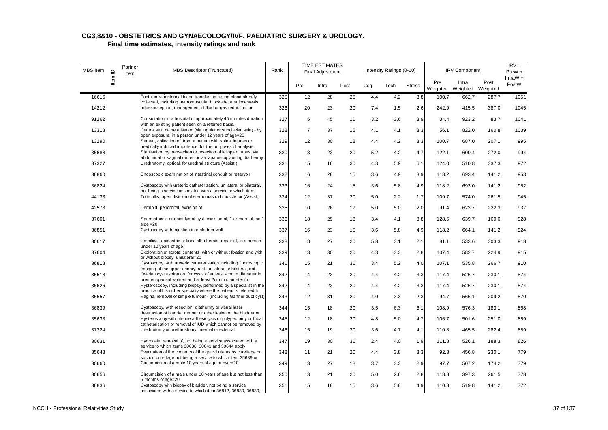| MBS Item | $\mathbf{\underline{o}}$ | Partner<br>item | <b>MBS Descriptor (Truncated)</b>                                                                                                     | Rank |                | <b>TIME ESTIMATES</b><br><b>Final Adjustment</b> |      |     | Intensity Ratings (0-10) |               |                 | <b>IRV Component</b>       |       | $IRV =$<br>PreW +   |
|----------|--------------------------|-----------------|---------------------------------------------------------------------------------------------------------------------------------------|------|----------------|--------------------------------------------------|------|-----|--------------------------|---------------|-----------------|----------------------------|-------|---------------------|
|          | Item I                   |                 |                                                                                                                                       |      | Pre            | Intra                                            | Post | Cog | Tech                     | <b>Stress</b> | Pre<br>Weighted | Intra<br>Weighted Weighted | Post  | IntraW $+$<br>PostW |
| 16615    |                          |                 | Foetal intraperitoneal blood transfusion, using blood already                                                                         | 325  | 12             | 28                                               | 25   | 4.4 | 4.2                      | 3.8           | 100.7           | 662.7                      | 287.7 | 1051                |
|          |                          |                 | collected, including neuromuscular blockade, amniocentesis                                                                            |      |                |                                                  |      |     |                          |               |                 |                            |       |                     |
| 14212    |                          |                 | Intussusception, management of fluid or gas reduction for                                                                             | 326  | 20             | 23                                               | 20   | 7.4 | 1.5                      | 2.6           | 242.9           | 415.5                      | 387.0 | 1045                |
| 91262    |                          |                 | Consultation in a hospital of approximately 45 minutes duration<br>with an existing patient seen on a referred basis.                 | 327  | 5              | 45                                               | 10   | 3.2 | 3.6                      | 3.9           | 34.4            | 923.2                      | 83.7  | 1041                |
| 13318    |                          |                 | Central vein catheterisation (via jugular or subclavian vein) - by                                                                    | 328  | $\overline{7}$ | 37                                               | 15   | 4.1 | 4.1                      | 3.3           | 56.1            | 822.0                      | 160.8 | 1039                |
| 13290    |                          |                 | open exposure, in a person under 12 years of age=20<br>Semen, collection of, from a patient with spinal injuries or                   | 329  | 12             | 30                                               | 18   | 4.4 | 4.2                      | 3.3           | 100.7           | 687.0                      | 207.1 | 995                 |
| 35688    |                          |                 | medically induced impotence, for the purposes of analysis,<br>Sterilisation by transection or resection of fallopian tubes, via       | 330  | 13             | 23                                               | 20   | 5.2 | 4.2                      | 4.7           | 122.1           | 600.4                      | 272.0 | 994                 |
| 37327    |                          |                 | abdominal or vaginal routes or via laparoscopy using diathermy<br>Urethrotomy, optical, for urethral stricture (Assist.)              | 331  | 15             | 16                                               | 30   | 4.3 | 5.9                      | 6.1           | 124.0           | 510.8                      | 337.3 | 972                 |
| 36860    |                          |                 | Endoscopic examination of intestinal conduit or reservoir                                                                             | 332  | 16             | 28                                               | 15   | 3.6 | 4.9                      | 3.9           | 118.2           | 693.4                      | 141.2 | 953                 |
| 36824    |                          |                 | Cystoscopy with ureteric catheterisation, unilateral or bilateral,                                                                    | 333  | 16             | 24                                               | 15   | 3.6 | 5.8                      | 4.9           | 118.2           | 693.0                      | 141.2 | 952                 |
| 44133    |                          |                 | not being a service associated with a service to which item<br>Torticollis, open division of sternomastoid muscle for (Assist.)       | 334  | 12             | 37                                               | 20   | 5.0 | 2.2                      | 1.7           | 109.7           | 574.0                      | 261.5 | 945                 |
| 42573    |                          |                 | Dermoid, periorbital, excision of                                                                                                     | 335  | 10             | 26                                               | 17   | 5.0 | 5.0                      | 2.0           | 91.4            | 623.7                      | 222.3 | 937                 |
| 37601    |                          |                 | Spermatocele or epididymal cyst, excision of, 1 or more of, on 1<br>side $=20$                                                        | 336  | 18             | 29                                               | 18   | 3.4 | 4.1                      | 3.8           | 128.5           | 639.7                      | 160.0 | 928                 |
| 36851    |                          |                 | Cystoscopy with injection into bladder wall                                                                                           | 337  | 16             | 23                                               | 15   | 3.6 | 5.8                      | 4.9           | 118.2           | 664.1                      | 141.2 | 924                 |
| 30617    |                          |                 | Umbilical, epigastric or linea alba hernia, repair of, in a person<br>under 10 years of age                                           | 338  | 8              | 27                                               | 20   | 5.8 | 3.1                      | 2.1           | 81.1            | 533.6                      | 303.3 | 918                 |
| 37604    |                          |                 | Exploration of scrotal contents, with or without fixation and with<br>or without biopsy, unilateral=20                                | 339  | 13             | 30                                               | 20   | 4.3 | 3.3                      | 2.8           | 107.4           | 582.7                      | 224.9 | 915                 |
| 36818    |                          |                 | Cystoscopy, with ureteric catheterisation including fluoroscopic<br>imaging of the upper urinary tract, unilateral or bilateral, not  | 340  | 15             | 21                                               | 30   | 3.4 | 5.2                      | 4.0           | 107.1           | 535.8                      | 266.7 | 910                 |
| 35518    |                          |                 | Ovarian cyst aspiration, for cysts of at least 4cm in diameter in<br>premenopausal women and at least 2cm in diameter in              | 342  | 14             | 23                                               | 20   | 4.4 | 4.2                      | 3.3           | 117.4           | 526.7                      | 230.1 | 874                 |
| 35626    |                          |                 | Hysteroscopy, including biopsy, performed by a specialist in the<br>practice of his or her specialty where the patient is referred to | 342  | 14             | 23                                               | 20   | 4.4 | 4.2                      | 3.3           | 117.4           | 526.7                      | 230.1 | 874                 |
| 35557    |                          |                 | Vagina, removal of simple tumour - (including Gartner duct cyst)                                                                      | 343  | 12             | 31                                               | 20   | 4.0 | 3.3                      | 2.3           | 94.7            | 566.1                      | 209.2 | 870                 |
| 36839    |                          |                 | Cystoscopy, with resection, diathermy or visual laser<br>destruction of bladder tumour or other lesion of the bladder or              | 344  | 15             | 18                                               | 20   | 3.5 | 6.3                      | 6.1           | 108.9           | 576.3                      | 183.1 | 868                 |
| 35633    |                          |                 | Hysteroscopy with uterine adhesiolysis or polypectomy or tubal<br>catheterisation or removal of IUD which cannot be removed by        | 345  | 12             | 18                                               | 20   | 4.8 | 5.0                      | 4.7           | 106.7           | 501.6                      | 251.0 | 859                 |
| 37324    |                          |                 | Urethrotomy or urethrostomy, internal or external                                                                                     | 346  | 15             | 19                                               | 30   | 3.6 | 4.7                      | 4.1           | 110.8           | 465.5                      | 282.4 | 859                 |
| 30631    |                          |                 | Hydrocele, removal of, not being a service associated with a<br>service to which items 30638, 30641 and 30644 apply                   | 347  | 19             | 30                                               | 30   | 2.4 | 4.0                      | 1.9           | 111.8           | 526.1                      | 188.3 | 826                 |
| 35643    |                          |                 | Evacuation of the contents of the gravid uterus by curettage or<br>suction curettage not being a service to which item 35639 or       | 348  | 11             | 21                                               | 20   | 4.4 | 3.8                      | 3.3           | 92.3            | 456.8                      | 230.1 | 779                 |
| 30660    |                          |                 | Circumcision of a male 10 years of age or over=20                                                                                     | 349  | 13             | 27                                               | 18   | 3.7 | 3.3                      | 2.9           | 97.7            | 507.2                      | 174.2 | 779                 |
| 30656    |                          |                 | Circumcision of a male under 10 years of age but not less than<br>6 months of age=20                                                  | 350  | 13             | 21                                               | 20   | 5.0 | 2.8                      | 2.8           | 118.8           | 397.3                      | 261.5 | 778                 |
| 36836    |                          |                 | Cystoscopy with biopsy of bladder, not being a service<br>associated with a service to which item 36812, 36830, 36839,                | 351  | 15             | 18                                               | 15   | 3.6 | 5.8                      | 4.9           | 110.8           | 519.8                      | 141.2 | 772                 |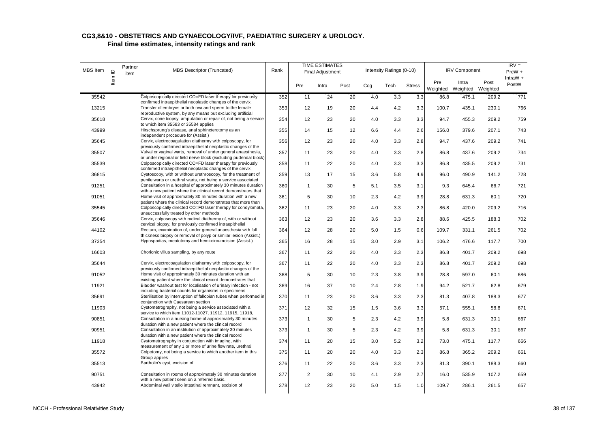| MBS Item | $\mathbf{\underline{o}}$ | Partner<br>item | <b>MBS Descriptor (Truncated)</b>                                                                                                                                       | Rank |                | <b>TIME ESTIMATES</b><br>Final Adjustment |      |     | Intensity Ratings (0-10) |               |                 | <b>IRV Component</b>       |       | $IRV =$<br>$PreW +$ |
|----------|--------------------------|-----------------|-------------------------------------------------------------------------------------------------------------------------------------------------------------------------|------|----------------|-------------------------------------------|------|-----|--------------------------|---------------|-----------------|----------------------------|-------|---------------------|
|          | Item                     |                 |                                                                                                                                                                         |      | Pre            | Intra                                     | Post | Cog | Tech                     | <b>Stress</b> | Pre<br>Weighted | Intra<br>Weighted Weighted | Post  | IntraW $+$<br>PostW |
| 35542    |                          |                 | Colposcopically directed CO=FD laser therapy for previously                                                                                                             | 352  | 11             | 24                                        | 20   | 4.0 | 3.3                      | 3.3           | 86.8            | 475.1                      | 209.2 | 771                 |
| 13215    |                          |                 | confirmed intraepithelial neoplastic changes of the cervix,<br>Transfer of embryos or both ova and sperm to the female                                                  | 353  | 12             | 19                                        | 20   | 4.4 | 4.2                      | 3.3           | 100.7           | 435.1                      | 230.1 | 766                 |
| 35618    |                          |                 | reproductive system, by any means but excluding artificial<br>Cervix, cone biopsy, amputation or repair of, not being a service<br>to which item 35583 or 35584 applies | 354  | 12             | 23                                        | 20   | 4.0 | 3.3                      | 3.3           | 94.7            | 455.3                      | 209.2 | 759                 |
| 43999    |                          |                 | Hirschsprung's disease, anal sphincterotomy as an<br>independent procedure for (Assist.)                                                                                | 355  | 14             | 15                                        | 12   | 6.6 | 4.4                      | 2.6           | 156.0           | 379.6                      | 207.1 | 743                 |
| 35645    |                          |                 | Cervix, electrocoagulation diathermy with colposcopy, for<br>previously confirmed intraepithelial neoplastic changes of the                                             | 356  | 12             | 23                                        | 20   | 4.0 | 3.3                      | 2.8           | 94.7            | 437.6                      | 209.2 | 741                 |
| 35507    |                          |                 | Vulval or vaginal warts, removal of under general anaesthesia,<br>or under regional or field nerve block (excluding pudendal block)                                     | 357  | 11             | 23                                        | 20   | 4.0 | 3.3                      | 2.8           | 86.8            | 437.6                      | 209.2 | 734                 |
| 35539    |                          |                 | Colposcopically directed CO=FD laser therapy for previously<br>confirmed intraepithelial neoplastic changes of the cervix,                                              | 358  | 11             | 22                                        | 20   | 4.0 | 3.3                      | 3.3           | 86.8            | 435.5                      | 209.2 | 731                 |
| 36815    |                          |                 | Cystoscopy, with or without urethroscopy, for the treatment of<br>penile warts or urethral warts, not being a service associated                                        | 359  | 13             | 17                                        | 15   | 3.6 | 5.8                      | 4.9           | 96.0            | 490.9                      | 141.2 | 728                 |
| 91251    |                          |                 | Consultation in a hospital of approximately 30 minutes duration<br>with a new patient where the clinical record demonstrates that                                       | 360  | $\mathbf{1}$   | 30                                        | 5    | 5.1 | 3.5                      | 3.1           | 9.3             | 645.4                      | 66.7  | 721                 |
| 91051    |                          |                 | Home visit of approximately 30 minutes duration with a new<br>patient where the clinical record demonstrates that more than                                             | 361  | 5              | 30                                        | 10   | 2.3 | 4.2                      | 3.9           | 28.8            | 631.3                      | 60.1  | 720                 |
| 35545    |                          |                 | Colposcopically directed CO=FD laser therapy for condylomata,<br>unsuccessfully treated by other methods                                                                | 362  | 11             | 23                                        | 20   | 4.0 | 3.3                      | 2.3           | 86.8            | 420.0                      | 209.2 | 716                 |
| 35646    |                          |                 | Cervix, colposcopy with radical diathermy of, with or without<br>cervical biopsy, for previously confirmed intraepithelial                                              | 363  | 12             | 23                                        | 20   | 3.6 | 3.3                      | 2.8           | 88.6            | 425.5                      | 188.3 | 702                 |
| 44102    |                          |                 | Rectum, examination of, under general anaesthesia with full<br>thickness biopsy or removal of polyp or similar lesion (Assist.)                                         | 364  | 12             | 28                                        | 20   | 5.0 | 1.5                      | 0.6           | 109.7           | 331.1                      | 261.5 | 702                 |
| 37354    |                          |                 | Hypospadias, meatotomy and hemi-circumcision (Assist.)                                                                                                                  | 365  | 16             | 28                                        | 15   | 3.0 | 2.9                      | 3.1           | 106.2           | 476.6                      | 117.7 | 700                 |
| 16603    |                          |                 | Chorionic villus sampling, by any route                                                                                                                                 | 367  | 11             | 22                                        | 20   | 4.0 | 3.3                      | 2.3           | 86.8            | 401.7                      | 209.2 | 698                 |
| 35644    |                          |                 | Cervix, electrocoagulation diathermy with colposcopy, for<br>previously confirmed intraepithelial neoplastic changes of the                                             | 367  | 11             | 22                                        | 20   | 4.0 | 3.3                      | 2.3           | 86.8            | 401.7                      | 209.2 | 698                 |
| 91052    |                          |                 | Home visit of approximately 30 minutes duration with an<br>existing patient where the clinical record demonstrates that                                                 | 368  | 5              | 30                                        | 10   | 2.3 | 3.8                      | 3.9           | 28.8            | 597.0                      | 60.1  | 686                 |
| 11921    |                          |                 | Bladder washout test for localisation of urinary infection - not<br>including bacterial counts for organisms in specimens                                               | 369  | 16             | 37                                        | 10   | 2.4 | 2.8                      | 1.9           | 94.2            | 521.7                      | 62.8  | 679                 |
| 35691    |                          |                 | Sterilisation by interruption of fallopian tubes when performed in<br>conjunction with Caesarean section                                                                | 370  | 11             | 23                                        | 20   | 3.6 | 3.3                      | 2.3           | 81.3            | 407.8                      | 188.3 | 677                 |
| 11903    |                          |                 | Cystometrography, not being a service associated with a<br>service to which item 11012-11027, 11912, 11915, 11918,                                                      | 371  | 12             | 32                                        | 15   | 1.5 | 3.6                      | 3.3           | 57.1            | 555.1                      | 58.8  | 671                 |
| 90851    |                          |                 | Consultation in a nursing home of approximately 30 minutes<br>duration with a new patient where the clinical record                                                     | 373  | $\mathbf{1}$   | 30                                        | 5    | 2.3 | 4.2                      | 3.9           | 5.8             | 631.3                      | 30.1  | 667                 |
| 90951    |                          |                 | Consultation in an institution of approximately 30 minutes<br>duration with a new patient where the clinical record                                                     | 373  | $\mathbf{1}$   | 30                                        | 5    | 2.3 | 4.2                      | 3.9           | 5.8             | 631.3                      | 30.1  | 667                 |
| 11918    |                          |                 | Cystometrography in conjunction with imaging, with<br>measurement of any 1 or more of urine flow rate, urethral                                                         | 374  | 11             | 20                                        | 15   | 3.0 | 5.2                      | 3.2           | 73.0            | 475.1                      | 117.7 | 666                 |
| 35572    |                          |                 | Colpotomy, not being a service to which another item in this<br>Group applies                                                                                           | 375  | 11             | 20                                        | 20   | 4.0 | 3.3                      | 2.3           | 86.8            | 365.2                      | 209.2 | 661                 |
| 35513    |                          |                 | Bartholin's cyst, excision of                                                                                                                                           | 376  | 11             | 22                                        | 20   | 3.6 | 3.3                      | 2.3           | 81.3            | 390.1                      | 188.3 | 660                 |
| 90751    |                          |                 | Consultation in rooms of approximately 30 minutes duration<br>with a new patient seen on a referred basis.                                                              | 377  | $\overline{c}$ | 30                                        | 10   | 4.1 | 2.9                      | 2.7           | 16.0            | 535.9                      | 107.2 | 659                 |
| 43942    |                          |                 | Abdominal wall vitello intestinal remnant, excision of                                                                                                                  | 378  | 12             | 23                                        | 20   | 5.0 | 1.5                      | 1.0           | 109.7           | 286.1                      | 261.5 | 657                 |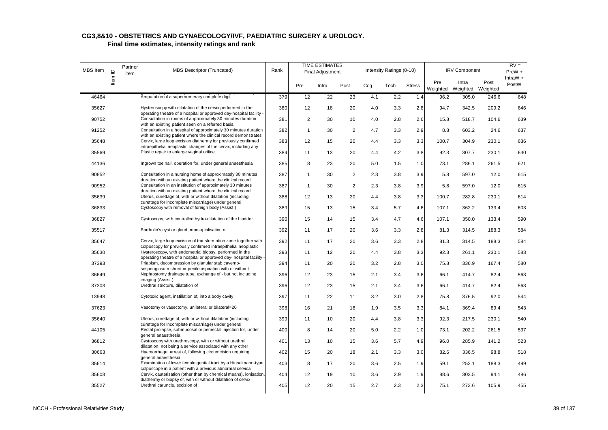| MBS Item | $\supseteq$ | Partner<br>item | <b>MBS Descriptor (Truncated)</b>                                                                                                  | Rank |              | <b>TIME ESTIMATES</b><br><b>Final Adjustment</b> |                |     | Intensity Ratings (0-10) |               |                 | <b>IRV Component</b> |                  | $IRV =$<br>PreW +   |
|----------|-------------|-----------------|------------------------------------------------------------------------------------------------------------------------------------|------|--------------|--------------------------------------------------|----------------|-----|--------------------------|---------------|-----------------|----------------------|------------------|---------------------|
|          | ltem        |                 |                                                                                                                                    |      | Pre          | Intra                                            | Post           | Cog | Tech                     | <b>Stress</b> | Pre<br>Weighted | Intra<br>Weighted    | Post<br>Weighted | $IntraW +$<br>PostW |
| 46464    |             |                 | Amputation of a supernumerary complete digit                                                                                       | 379  | 12           | 22                                               | 23             | 4.1 | 2.2                      | 1.4           | 96.2            | 305.0                | 246.6            | 648                 |
| 35627    |             |                 | Hysteroscopy with dilatation of the cervix performed in the<br>operating theatre of a hospital or approved day-hospital facility - | 380  | 12           | 18                                               | 20             | 4.0 | 3.3                      | 2.8           | 94.7            | 342.5                | 209.2            | 646                 |
| 90752    |             |                 | Consultation in rooms of approximately 30 minutes duration<br>with an existing patient seen on a referred basis.                   | 381  | 2            | 30                                               | 10             | 4.0 | 2.8                      | 2.6           | 15.8            | 518.7                | 104.6            | 639                 |
| 91252    |             |                 | Consultation in a hospital of approximately 30 minutes duration<br>with an existing patient where the clinical record demonstrates | 382  | $\mathbf{1}$ | 30                                               | $\overline{2}$ | 4.7 | 3.3                      | 2.9           | 8.8             | 603.2                | 24.6             | 637                 |
| 35648    |             |                 | Cervix, large loop excision diathermy for previously confirmed<br>intraepithelial neoplastic changes of the cervix, including any  | 383  | 12           | 15                                               | 20             | 4.4 | 3.3                      | 3.3           | 100.7           | 304.9                | 230.1            | 636                 |
| 35569    |             |                 | Plastic repair to enlarge vaginal orifice                                                                                          | 384  | 11           | 13                                               | 20             | 4.4 | 4.2                      | 3.8           | 92.3            | 307.7                | 230.1            | 630                 |
| 44136    |             |                 | Ingrown toe nail, operation for, under general anaesthesia                                                                         | 385  | 8            | 23                                               | 20             | 5.0 | 1.5                      | 1.0           | 73.1            | 286.1                | 261.5            | 621                 |
| 90852    |             |                 | Consultation in a nursing home of approximately 30 minutes<br>duration with an existing patient where the clinical record          | 387  | $\mathbf{1}$ | 30                                               | $\overline{2}$ | 2.3 | 3.8                      | 3.9           | 5.8             | 597.0                | 12.0             | 615                 |
| 90952    |             |                 | Consultation in an institution of approximately 30 minutes<br>duration with an existing patient where the clinical record          | 387  | $\mathbf{1}$ | 30                                               | $\overline{2}$ | 2.3 | 3.8                      | 3.9           | 5.8             | 597.0                | 12.0             | 615                 |
| 35639    |             |                 | Uterus, curettage of, with or without dilatation (including<br>curettage for incomplete miscarriage) under general                 | 388  | 12           | 13                                               | 20             | 4.4 | 3.8                      | 3.3           | 100.7           | 282.8                | 230.1            | 614                 |
| 36833    |             |                 | Cystoscopy with removal of foreign body (Assist.)                                                                                  | 389  | 15           | 13                                               | 15             | 3.4 | 5.7                      | 4.6           | 107.1           | 362.2                | 133.4            | 603                 |
| 36827    |             |                 | Cystoscopy, with controlled hydro-dilatation of the bladder                                                                        | 390  | 15           | 14                                               | 15             | 3.4 | 4.7                      | 4.6           | 107.1           | 350.0                | 133.4            | 590                 |
| 35517    |             |                 | Bartholin's cyst or gland, marsupialisation of                                                                                     | 392  | 11           | 17                                               | 20             | 3.6 | 3.3                      | 2.8           | 81.3            | 314.5                | 188.3            | 584                 |
| 35647    |             |                 | Cervix, large loop excision of transformation zone together with<br>colposcopy for previously confirmed intraepithelial neoplastic | 392  | 11           | 17                                               | 20             | 3.6 | 3.3                      | 2.8           | 81.3            | 314.5                | 188.3            | 584                 |
| 35630    |             |                 | Hysteroscopy, with endometrial biopsy, performed in the<br>operating theatre of a hospital or approved day- hospital facility -    | 393  | 11           | 12                                               | 20             | 4.4 | 3.8                      | 3.3           | 92.3            | 261.1                | 230.1            | 583                 |
| 37393    |             |                 | Priapism, decompression by glanular stab caverno-<br>sospongiosum shunt or penile aspiration with or without                       | 394  | 11           | 20                                               | 20             | 3.2 | 2.8                      | 3.0           | 75.8            | 336.9                | 167.4            | 580                 |
| 36649    |             |                 | Nephrostomy drainage tube, exchange of - but not including<br>imaging (Assist.)                                                    | 396  | 12           | 23                                               | 15             | 2.1 | 3.4                      | 3.6           | 66.1            | 414.7                | 82.4             | 563                 |
| 37303    |             |                 | Urethral stricture, dilatation of                                                                                                  | 396  | 12           | 23                                               | 15             | 2.1 | 3.4                      | 3.6           | 66.1            | 414.7                | 82.4             | 563                 |
| 13948    |             |                 | Cytotoxic agent, instillation of, into a body cavity                                                                               | 397  | 11           | 22                                               | 11             | 3.2 | 3.0                      | 2.8           | 75.8            | 376.5                | 92.0             | 544                 |
| 37623    |             |                 | Vasotomy or vasectomy, unilateral or bilateral=20                                                                                  | 398  | 16           | 21                                               | 18             | 1.9 | 3.5                      | 3.3           | 84.1            | 369.4                | 89.4             | 543                 |
| 35640    |             |                 | Uterus, curettage of, with or without dilatation (including<br>curettage for incomplete miscarriage) under general                 | 399  | 11           | 10                                               | 20             | 4.4 | 3.8                      | 3.3           | 92.3            | 217.5                | 230.1            | 540                 |
| 44105    |             |                 | Rectal prolapse, submucosal or perirectal injection for, under<br>general anaesthesia                                              | 400  | 8            | 14                                               | 20             | 5.0 | 2.2                      | 1.0           | 73.1            | 202.2                | 261.5            | 537                 |
| 36812    |             |                 | Cystoscopy with urethroscopy, with or without urethral<br>dilatation, not being a service associated with any other                | 401  | 13           | 10                                               | 15             | 3.6 | 5.7                      | 4.9           | 96.0            | 285.9                | 141.2            | 523                 |
| 30663    |             |                 | Haemorrhage, arrest of, following circumcision requiring<br>general anaesthesia                                                    | 402  | 15           | 20                                               | 18             | 2.1 | 3.3                      | 3.0           | 82.6            | 336.5                | 98.8             | 518                 |
| 35614    |             |                 | Examination of lower female genital tract by a Hinselmann-type<br>colposcope in a patient with a previous abnormal cervical        | 403  | 8            | 17                                               | 20             | 3.6 | 2.5                      | 1.9           | 59.1            | 252.1                | 188.3            | 499                 |
| 35608    |             |                 | Cervix, cauterisation (other than by chemical means), ionisation,<br>diathermy or biopsy of, with or without dilatation of cervix  | 404  | 12           | 19                                               | 10             | 3.6 | 2.9                      | 1.9           | 88.6            | 303.5                | 94.1             | 486                 |
| 35527    |             |                 | Urethral caruncle, excision of                                                                                                     | 405  | 12           | 20                                               | 15             | 2.7 | 2.3                      | 2.3           | 75.1            | 273.6                | 105.9            | 455                 |
|          |             |                 |                                                                                                                                    |      |              |                                                  |                |     |                          |               |                 |                      |                  |                     |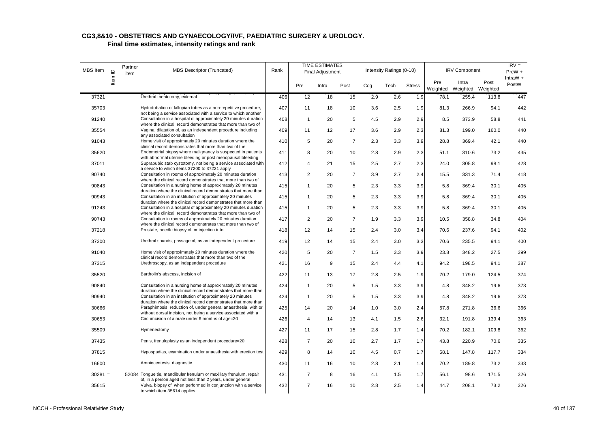| <b>MBS</b> Item | $\supseteq$               | Partner<br>item | MBS Descriptor (Truncated)                                                                                                        | Rank |                | <b>TIME ESTIMATES</b><br><b>Final Adjustment</b> |                |     | Intensity Ratings (0-10) |               |                 | <b>IRV Component</b> |                  | $IRV =$<br>$PreW +$ |
|-----------------|---------------------------|-----------------|-----------------------------------------------------------------------------------------------------------------------------------|------|----------------|--------------------------------------------------|----------------|-----|--------------------------|---------------|-----------------|----------------------|------------------|---------------------|
|                 | $\overline{\mathsf{Hem}}$ |                 |                                                                                                                                   |      | Pre            | Intra                                            | Post           | Cog | Tech                     | <b>Stress</b> | Pre<br>Weighted | Intra<br>Weighted    | Post<br>Weighted | $IntraW +$<br>PostW |
| 37321           |                           |                 | Urethral meatotomy, external                                                                                                      | 406  | 12             | 18                                               | 15             | 2.9 | 2.6                      | 1.9           | 78.1            | 255.4                | 113.8            | 447                 |
| 35703           |                           |                 | Hydrotubation of fallopian tubes as a non-repetitive procedure,                                                                   | 407  | 11             | 18                                               | 10             | 3.6 | 2.5                      | 1.9           | 81.3            | 266.9                | 94.1             | 442                 |
| 91240           |                           |                 | not being a service associated with a service to which another<br>Consultation in a hospital of approximately 20 minutes duration | 408  | $\mathbf{1}$   | 20                                               | 5              | 4.5 | 2.9                      | 2.9           | 8.5             | 373.9                | 58.8             | 441                 |
| 35554           |                           |                 | where the clinical record demonstrates that more than two of<br>Vagina, dilatation of, as an independent procedure including      | 409  | 11             | 12                                               | 17             | 3.6 | 2.9                      | 2.3           | 81.3            | 199.0                | 160.0            | 440                 |
| 91043           |                           |                 | any associated consultation<br>Home visit of approximately 20 minutes duration where the                                          | 410  | 5              | 20                                               | $\overline{7}$ | 2.3 | 3.3                      | 3.9           | 28.8            | 369.4                | 42.1             | 440                 |
| 35620           |                           |                 | clinical record demonstrates that more than two of the<br>Endometrial biopsy where malignancy is suspected in patients            | 411  | 8              | 20                                               | 10             | 2.8 | 2.9                      | 2.3           | 51.1            | 310.6                | 73.2             | 435                 |
| 37011           |                           |                 | with abnormal uterine bleeding or post menopausal bleeding<br>Suprapubic stab cystotomy, not being a service associated with      | 412  | 4              | 21                                               | 15             | 2.5 | 2.7                      | 2.3           | 24.0            | 305.8                | 98.1             | 428                 |
| 90740           |                           |                 | a service to which items 37200 to 37221 apply<br>Consultation in rooms of approximately 20 minutes duration                       | 413  | $\overline{2}$ | 20                                               | $\overline{7}$ | 3.9 | 2.7                      | 2.4           | 15.5            | 331.3                | 71.4             | 418                 |
| 90843           |                           |                 | where the clinical record demonstrates that more than two of<br>Consultation in a nursing home of approximately 20 minutes        | 415  | $\mathbf{1}$   | 20                                               | 5              | 2.3 | 3.3                      | 3.9           | 5.8             | 369.4                | 30.1             | 405                 |
| 90943           |                           |                 | duration where the clinical record demonstrates that more than<br>Consultation in an institution of approximately 20 minutes      | 415  | 1              | 20                                               | 5              | 2.3 | 3.3                      | 3.9           | 5.8             | 369.4                | 30.1             | 405                 |
| 91243           |                           |                 | duration where the clinical record demonstrates that more than<br>Consultation in a hospital of approximately 20 minutes duration | 415  | $\mathbf{1}$   | 20                                               | 5              | 2.3 | 3.3                      | 3.9           | 5.8             | 369.4                | 30.1             | 405                 |
| 90743           |                           |                 | where the clinical record demonstrates that more than two of<br>Consultation in rooms of approximately 20 minutes duration        | 417  | 2              | 20                                               | $\overline{7}$ | 1.9 | 3.3                      | 3.9           | 10.5            | 358.8                | 34.8             | 404                 |
| 37218           |                           |                 | where the clinical record demonstrates that more than two of<br>Prostate, needle biopsy of, or injection into                     | 418  | 12             | 14                                               | 15             | 2.4 | 3.0                      | 3.4           | 70.6            | 237.6                | 94.1             | 402                 |
| 37300           |                           |                 | Urethral sounds, passage of, as an independent procedure                                                                          | 419  | 12             | 14                                               | 15             | 2.4 | 3.0                      | 3.3           | 70.6            | 235.5                | 94.1             | 400                 |
| 91040           |                           |                 | Home visit of approximately 20 minutes duration where the<br>clinical record demonstrates that more than two of the               | 420  | 5              | 20                                               | $\overline{7}$ | 1.5 | 3.3                      | 3.9           | 23.8            | 348.2                | 27.5             | 399                 |
| 37315           |                           |                 | Urethroscopy, as an independent procedure                                                                                         | 421  | 16             | 9                                                | 15             | 2.4 | 4.4                      | 4.1           | 94.2            | 198.5                | 94.1             | 387                 |
| 35520           |                           |                 | Bartholin's abscess, incision of                                                                                                  | 422  | 11             | 13                                               | 17             | 2.8 | 2.5                      | 1.9           | 70.2            | 179.0                | 124.5            | 374                 |
| 90840           |                           |                 | Consultation in a nursing home of approximately 20 minutes<br>duration where the clinical record demonstrates that more than      | 424  | $\mathbf{1}$   | 20                                               | 5              | 1.5 | 3.3                      | 3.9           | 4.8             | 348.2                | 19.6             | 373                 |
| 90940           |                           |                 | Consultation in an institution of approximately 20 minutes<br>duration where the clinical record demonstrates that more than      | 424  | $\mathbf{1}$   | 20                                               | 5              | 1.5 | 3.3                      | 3.9           | 4.8             | 348.2                | 19.6             | 373                 |
| 30666           |                           |                 | Paraphimosis, reduction of, under general anaesthesia, with or<br>without dorsal incision, not being a service associated with a  | 425  | 14             | 20                                               | 14             | 1.0 | 3.0                      | 2.4           | 57.8            | 271.8                | 36.6             | 366                 |
| 30653           |                           |                 | Circumcision of a male under 6 months of age=20                                                                                   | 426  | 4              | 14                                               | 13             | 4.1 | 1.5                      | 2.6           | 32.1            | 191.8                | 139.4            | 363                 |
| 35509           |                           |                 | Hymenectomy                                                                                                                       | 427  | 11             | 17                                               | 15             | 2.8 | 1.7                      | 1.4           | 70.2            | 182.1                | 109.8            | 362                 |
| 37435           |                           |                 | Penis, frenuloplasty as an independent procedure=20                                                                               | 428  | $\overline{7}$ | 20                                               | 10             | 2.7 | 1.7                      | 1.7           | 43.8            | 220.9                | 70.6             | 335                 |
| 37815           |                           |                 | Hypospadias, examination under anaesthesia with erection test                                                                     | 429  | 8              | 14                                               | 10             | 4.5 | 0.7                      | 1.7           | 68.1            | 147.8                | 117.7            | 334                 |
| 16600           |                           |                 | Amniocentesis, diagnostic                                                                                                         | 430  | 11             | 16                                               | 10             | 2.8 | 2.1                      | 1.4           | 70.2            | 189.8                | 73.2             | 333                 |
| $30281 =$       |                           |                 | 52084 Tongue tie, mandibular frenulum or maxillary frenulum, repair<br>of, in a person aged not less than 2 years, under general  | 431  | $\overline{7}$ | 8                                                | 16             | 4.1 | 1.5                      | 1.7           | 56.1            | 98.6                 | 171.5            | 326                 |
| 35615           |                           |                 | Vulva, biopsy of, when performed in conjunction with a service<br>to which item 35614 applies                                     | 432  | $\overline{7}$ | 16                                               | 10             | 2.8 | 2.5                      | 1.4           | 44.7            | 208.1                | 73.2             | 326                 |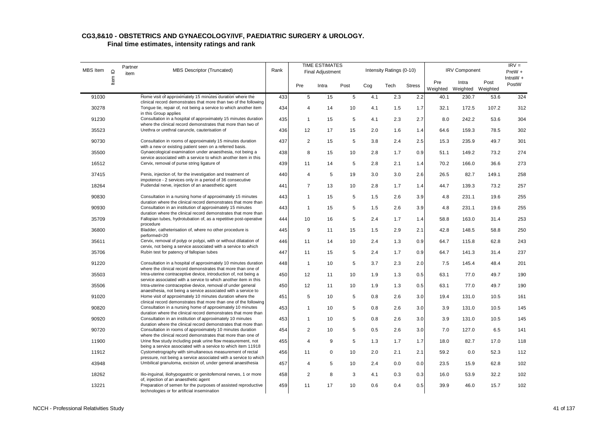| MBS Item | $\mathbf{\underline{o}}$ | Partner<br>item | <b>MBS Descriptor (Truncated)</b>                                                                                                                             | Rank |                         | <b>TIME ESTIMATES</b><br><b>Final Adjustment</b> |      |     | Intensity Ratings (0-10) |               |      | <b>IRV Component</b>                |       | $IRV =$<br>PreW +   |
|----------|--------------------------|-----------------|---------------------------------------------------------------------------------------------------------------------------------------------------------------|------|-------------------------|--------------------------------------------------|------|-----|--------------------------|---------------|------|-------------------------------------|-------|---------------------|
|          | Item                     |                 |                                                                                                                                                               |      | Pre                     | Intra                                            | Post | Cog | Tech                     | <b>Stress</b> | Pre  | Intra<br>Weighted Weighted Weighted | Post  | $IntraW +$<br>PostW |
| 91030    |                          |                 | Home visit of approximately 15 minutes duration where the                                                                                                     | 433  | 5                       | 15                                               | 5    | 4.1 | 2.3                      | 2.2           | 40.1 | 230.7                               | 53.6  | 324                 |
| 30278    |                          |                 | clinical record demonstrates that more than two of the following<br>Tongue tie, repair of, not being a service to which another item<br>in this Group applies | 434  | 4                       | 14                                               | 10   | 4.1 | 1.5                      | 1.7           | 32.1 | 172.5                               | 107.2 | 312                 |
| 91230    |                          |                 | Consultation in a hospital of approximately 15 minutes duration<br>where the clinical record demonstrates that more than two of                               | 435  | $\mathbf{1}$            | 15                                               | 5    | 4.1 | 2.3                      | 2.7           | 8.0  | 242.2                               | 53.6  | 304                 |
| 35523    |                          |                 | Urethra or urethral caruncle, cauterisation of                                                                                                                | 436  | 12                      | 17                                               | 15   | 2.0 | 1.6                      | 1.4           | 64.6 | 159.3                               | 78.5  | 302                 |
| 90730    |                          |                 | Consultation in rooms of approximately 15 minutes duration<br>with a new or existing patient seen on a referred basis.                                        | 437  | $\overline{2}$          | 15                                               | 5    | 3.8 | 2.4                      | 2.5           | 15.3 | 235.9                               | 49.7  | 301                 |
| 35500    |                          |                 | Gynaecological examination under anaesthesia, not being a                                                                                                     | 438  | 8                       | 15                                               | 10   | 2.8 | 1.7                      | 0.9           | 51.1 | 149.2                               | 73.2  | 274                 |
| 16512    |                          |                 | service associated with a service to which another item in this<br>Cervix, removal of purse string ligature of                                                | 439  | 11                      | 14                                               | 5    | 2.8 | 2.1                      | 1.4           | 70.2 | 166.0                               | 36.6  | 273                 |
| 37415    |                          |                 | Penis, injection of, for the investigation and treatment of                                                                                                   | 440  | $\overline{\mathbf{4}}$ | 5                                                | 19   | 3.0 | 3.0                      | 2.6           | 26.5 | 82.7                                | 149.1 | 258                 |
| 18264    |                          |                 | impotence - 2 services only in a period of 36 consecutive<br>Pudendal nerve, injection of an anaesthetic agent                                                | 441  | $\overline{7}$          | 13                                               | 10   | 2.8 | 1.7                      | 1.4           | 44.7 | 139.3                               | 73.2  | 257                 |
| 90830    |                          |                 | Consultation in a nursing home of approximately 15 minutes                                                                                                    | 443  | $\mathbf{1}$            | 15                                               | 5    | 1.5 | 2.6                      | 3.9           | 4.8  | 231.1                               | 19.6  | 255                 |
| 90930    |                          |                 | duration where the clinical record demonstrates that more than<br>Consultation in an institution of approximately 15 minutes                                  | 443  | $\mathbf{1}$            | 15                                               | 5    | 1.5 | 2.6                      | 3.9           | 4.8  | 231.1                               | 19.6  | 255                 |
| 35709    |                          |                 | duration where the clinical record demonstrates that more than<br>Fallopian tubes, hydrotubation of, as a repetitive post-operative                           | 444  | 10                      | 16                                               | 5    | 2.4 | 1.7                      | 1.4           | 58.8 | 163.0                               | 31.4  | 253                 |
| 36800    |                          |                 | procedure<br>Bladder, catheterisation of, where no other procedure is                                                                                         | 445  | 9                       | 11                                               | 15   | 1.5 | 2.9                      | 2.1           | 42.8 | 148.5                               | 58.8  | 250                 |
| 35611    |                          |                 | performed=20<br>Cervix, removal of polyp or polypi, with or without dilatation of<br>cervix, not being a service associated with a service to which           | 446  | 11                      | 14                                               | 10   | 2.4 | 1.3                      | 0.9           | 64.7 | 115.8                               | 62.8  | 243                 |
| 35706    |                          |                 | Rubin test for patency of fallopian tubes                                                                                                                     | 447  | 11                      | 15                                               | 5    | 2.4 | 1.7                      | 0.9           | 64.7 | 141.3                               | 31.4  | 237                 |
| 91220    |                          |                 | Consultation in a hospital of approximately 10 minutes duration<br>where the clinical record demonstrates that more than one of                               | 448  | $\mathbf{1}$            | 10                                               | 5    | 3.7 | 2.3                      | 2.0           | 7.5  | 145.4                               | 48.4  | 201                 |
| 35503    |                          |                 | Intra-uterine contraceptive device, introduction of, not being a<br>service associated with a service to which another item in this                           | 450  | 12                      | 11                                               | 10   | 1.9 | 1.3                      | 0.5           | 63.1 | 77.0                                | 49.7  | 190                 |
| 35506    |                          |                 | Intra-uterine contraceptive device, removal of under general<br>anaesthesia, not being a service associated with a service to                                 | 450  | 12                      | 11                                               | 10   | 1.9 | 1.3                      | 0.5           | 63.1 | 77.0                                | 49.7  | 190                 |
| 91020    |                          |                 | Home visit of approximately 10 minutes duration where the<br>clinical record demonstrates that more than one of the following                                 | 451  | 5                       | 10                                               | 5    | 0.8 | 2.6                      | 3.0           | 19.4 | 131.0                               | 10.5  | 161                 |
| 90820    |                          |                 | Consultation in a nursing home of approximately 10 minutes<br>duration where the clinical record demonstrates that more than                                  | 453  | $\mathbf{1}$            | 10                                               | 5    | 0.8 | 2.6                      | 3.0           | 3.9  | 131.0                               | 10.5  | 145                 |
| 90920    |                          |                 | Consultation in an institution of approximately 10 minutes<br>duration where the clinical record demonstrates that more than                                  | 453  | $\mathbf{1}$            | 10                                               | 5    | 0.8 | 2.6                      | 3.0           | 3.9  | 131.0                               | 10.5  | 145                 |
| 90720    |                          |                 | Consultation in rooms of approximately 10 minutes duration<br>where the clinical record demonstrates that more than one of                                    | 454  | $\overline{2}$          | 10                                               | 5    | 0.5 | 2.6                      | 3.0           | 7.0  | 127.0                               | 6.5   | 141                 |
| 11900    |                          |                 | Urine flow study including peak urine flow measurement, not<br>being a service associated with a service to which item 11918                                  | 455  | $\overline{4}$          | 9                                                | 5    | 1.3 | 1.7                      | 1.7           | 18.0 | 82.7                                | 17.0  | 118                 |
| 11912    |                          |                 | Cystometrography with simultaneous measurement of rectal                                                                                                      | 456  | 11                      | $\mathbf 0$                                      | 10   | 2.0 | 2.1                      | 2.1           | 59.2 | 0.0                                 | 52.3  | 112                 |
| 43948    |                          |                 | pressure, not being a service associated with a service to which<br>Umbilical granuloma, excision of, under general anaesthesia                               | 457  | 4                       | 5                                                | 10   | 2.4 | 0.0                      | 0.0           | 23.5 | 15.9                                | 62.8  | 102                 |
| 18262    |                          |                 | Ilio-inguinal, iliohypogastric or genitofemoral nerves, 1 or more                                                                                             | 458  | $\overline{2}$          | 8                                                | 3    | 4.1 | 0.3                      | 0.3           | 16.0 | 53.9                                | 32.2  | 102                 |
| 13221    |                          |                 | of, injection of an anaesthetic agent<br>Preparation of semen for the purposes of assisted reproductive<br>technologies or for artificial insemination        | 459  | 11                      | 17                                               | 10   | 0.6 | 0.4                      | 0.5           | 39.9 | 46.0                                | 15.7  | 102                 |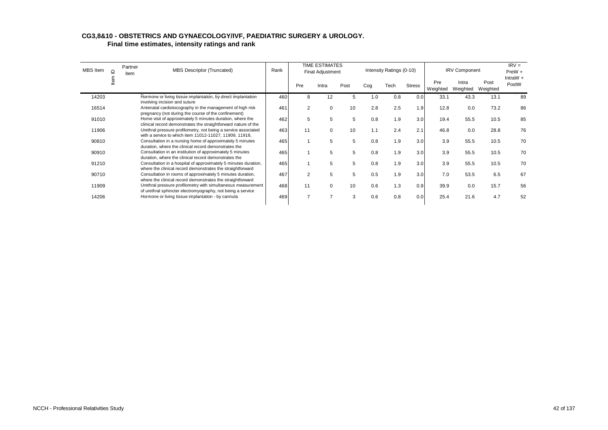| MBS Item | $\supseteq$ | Partner<br>item | MBS Descriptor (Truncated)                                                                                                    | Rank | <b>TIME ESTIMATES</b><br><b>Final Adjustment</b> |          | Intensity Ratings (0-10) |     |      | <b>IRV Component</b> |                 | $IRV =$<br>$PreW +$ |                  |                     |
|----------|-------------|-----------------|-------------------------------------------------------------------------------------------------------------------------------|------|--------------------------------------------------|----------|--------------------------|-----|------|----------------------|-----------------|---------------------|------------------|---------------------|
|          | ltem        |                 |                                                                                                                               |      | Pre                                              | Intra    | Post                     | Cog | Tech | <b>Stress</b>        | Pre<br>Weighted | Intra<br>Weighted   | Post<br>Weighted | IntraW $+$<br>PostW |
| 14203    |             |                 | Hormone or living tissue implantation, by direct implantation<br>involving incision and suture                                | 460  | 8                                                | 12       | 5                        | 1.0 | 0.8  | 0.0                  | 33.1            | 43.3                | 13.1             | 89                  |
| 16514    |             |                 | Antenatal cardiotocography in the management of high risk<br>pregnancy (not during the course of the confinement)             | 461  | 2                                                | $\Omega$ | 10                       | 2.8 | 2.5  | 1.9                  | 12.8            | 0.0                 | 73.2             | 86                  |
| 91010    |             |                 | Home visit of approximately 5 minutes duration, where the<br>clinical record demonstrates the straightforward nature of the   | 462  | 5                                                | 5        | 5                        | 0.8 | 1.9  | 3.0                  | 19.4            | 55.5                | 10.5             | 85                  |
| 11906    |             |                 | Urethral pressure profilometry, not being a service associated<br>with a service to which item 11012-11027, 11909, 11918,     | 463  | 11                                               | $\Omega$ | 10                       | 1.1 | 2.4  | 2.1                  | 46.8            | 0.0                 | 28.8             | 76                  |
| 90810    |             |                 | Consultation in a nursing home of approximately 5 minutes<br>duration, where the clinical record demonstrates the             | 465  |                                                  | 5        | 5                        | 0.8 | 1.9  | 3.0                  | 3.9             | 55.5                | 10.5             | 70                  |
| 90910    |             |                 | Consultation in an institution of approximately 5 minutes<br>duration, where the clinical record demonstrates the             | 465  |                                                  | 5        | 5                        | 0.8 | 1.9  | 3.0                  | 3.9             | 55.5                | 10.5             | 70                  |
| 91210    |             |                 | Consultation in a hospital of approximately 5 minutes duration,<br>where the clinical record demonstrates the straightforward | 465  |                                                  | 5        | 5                        | 0.8 | 1.9  | 3.0                  | 3.9             | 55.5                | 10.5             | 70                  |
| 90710    |             |                 | Consultation in rooms of approximately 5 minutes duration,<br>where the clinical record demonstrates the straightforward      | 467  | $\overline{2}$                                   | 5        | 5                        | 0.5 | 1.9  | 3.0                  | 7.0             | 53.5                | 6.5              | 67                  |
| 11909    |             |                 | Urethral pressure profilometry with simultaneous measurement<br>of urethral sphincter electromyography, not being a service   | 468  | 11                                               | $\Omega$ | 10                       | 0.6 | 1.3  | 0.9                  | 39.9            | 0.0                 | 15.7             | 56                  |
| 14206    |             |                 | Hormone or living tissue implantation - by cannula                                                                            | 469  | $\overline{7}$                                   |          | 3                        | 0.6 | 0.8  | 0.0                  | 25.4            | 21.6                | 4.7              | 52                  |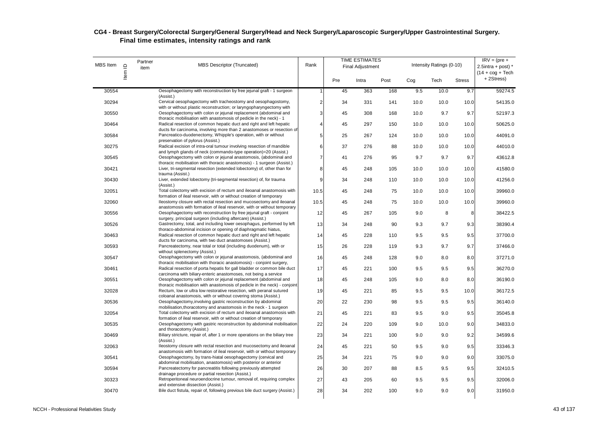| <b>MBS</b> Item | Item ID | Partner<br>item | <b>MBS Descriptor (Truncated)</b>                                                                                                                 | Rank           |     | <b>TIME ESTIMATES</b><br>Final Adjustment |      |      | Intensity Ratings (0-10) |               | $IRV = (pre +$<br>2.5intra + post) $*$<br>$(14 + \cos + \text{Techn})$ |
|-----------------|---------|-----------------|---------------------------------------------------------------------------------------------------------------------------------------------------|----------------|-----|-------------------------------------------|------|------|--------------------------|---------------|------------------------------------------------------------------------|
|                 |         |                 |                                                                                                                                                   |                | Pre | Intra                                     | Post | Cog  | Tech                     | <b>Stress</b> | +2Stress)                                                              |
| 30554           |         |                 | Oesophagectomy with reconstruction by free jejunal graft - 1 surgeon<br>(Assist.)                                                                 | 1              | 45  | 363                                       | 168  | 9.5  | 10.0                     | 9.7           | 59274.5                                                                |
| 30294           |         |                 | Cervical oesophagectomy with tracheostomy and oesophagostomy,<br>with or without plastic reconstruction; or laryngopharyngectomy with             | $\overline{c}$ | 34  | 331                                       | 141  | 10.0 | 10.0                     | 10.0          | 54135.0                                                                |
| 30550           |         |                 | Oesophagectomy with colon or jejunal replacement (abdominal and<br>thoracic mobilisation with anastomosis of pedicle in the neck) - 1             | 3              | 45  | 308                                       | 168  | 10.0 | 9.7                      | 9.7           | 52197.3                                                                |
| 30464           |         |                 | Radical resection of common hepatic duct and right and left hepatic<br>ducts for carcinoma, involving more than 2 anastomoses or resection of     | 4              | 45  | 297                                       | 150  | 10.0 | 10.0                     | 10.0          | 50625.0                                                                |
| 30584           |         |                 | Pancreatico-duodenectomy, Whipple's operation, with or without<br>preservation of pylorus (Assist.)                                               | 5              | 25  | 267                                       | 124  | 10.0 | 10.0                     | 10.0          | 44091.0                                                                |
| 30275           |         |                 | Radical excision of intra-oral tumour involving resection of mandible                                                                             | 6              | 37  | 276                                       | 88   | 10.0 | 10.0                     | 10.0          | 44010.0                                                                |
| 30545           |         |                 | and lymph glands of neck (commando-type operation)=20 (Assist.)<br>Oesophagectomy with colon or jejunal anastomosis, (abdominal and               | $\overline{7}$ | 41  | 276                                       | 95   | 9.7  | 9.7                      | 9.7           | 43612.8                                                                |
| 30421           |         |                 | thoracic mobilisation with thoracic anastomosis) - 1 surgeon (Assist.)<br>Liver, tri-segmental resection (extended lobectomy) of, other than for  | 8              | 45  | 248                                       | 105  | 10.0 | 10.0                     | 10.0          | 41580.0                                                                |
| 30430           |         |                 | trauma (Assist.)<br>Liver, extended lobectomy (tri-segmental resection) of, for trauma                                                            | 9              | 34  | 248                                       | 110  | 10.0 | 10.0                     | 10.0          | 41256.0                                                                |
| 32051           |         |                 | (Assist.)<br>Total colectomy with excision of rectum and ileoanal anastomosis with                                                                | 10.5           | 45  | 248                                       | 75   | 10.0 | 10.0                     | 10.0          | 39960.0                                                                |
| 32060           |         |                 | formation of ileal reservoir, with or without creation of temporary<br>lleostomy closure with rectal resection and mucosectomy and ileoanal       | 10.5           | 45  | 248                                       | 75   | 10.0 | 10.0                     | 10.0          | 39960.0                                                                |
| 30556           |         |                 | anastomosis with formation of ileal reservoir, with or without temporary<br>Oesophagectomy with reconstruction by free jejunal graft - conjoint   | 12             | 45  | 267                                       | 105  | 9.0  | 8                        | 8             | 38422.5                                                                |
| 30526           |         |                 | surgery, principal surgeon (including aftercare) (Assist.)<br>Gastrectomy, total, and including lower oesophagus, performed by left               | 13             | 34  | 248                                       | 90   | 9.3  | 9.7                      | 9.3           | 38390.4                                                                |
| 30463           |         |                 | thoraco-abdominal incision or opening of diaphragmatic hiatus,<br>Radical resection of common hepatic duct and right and left hepatic             | 14             | 45  | 228                                       | 110  | 9.5  | 9.5                      | 9.5           | 37700.0                                                                |
| 30593           |         |                 | ducts for carcinoma, with two duct anastomoses (Assist.)<br>Pancreatectomy, near total or total (including duodenum), with or                     | 15             | 26  | 228                                       | 119  | 9.3  | 9.7                      | 9.7           | 37466.0                                                                |
| 30547           |         |                 | without splenectomy (Assist.)<br>Oesophagectomy with colon or jejunal anastomosis, (abdominal and                                                 | 16             | 45  | 248                                       | 128  | 9.0  | 8.0                      | 8.0           | 37271.0                                                                |
| 30461           |         |                 | thoracic mobilisation with thoracic anastomosis) - conjoint surgery,<br>Radical resection of porta hepatis for gall bladder or common bile duct   | 17             | 45  | 221                                       | 100  | 9.5  | 9.5                      | 9.5           | 36270.0                                                                |
| 30551           |         |                 | carcinoma with biliary-enteric anastomoses, not being a service<br>Oesophagectomy with colon or jejunal replacement (abdominal and                | 18             | 45  | 248                                       | 105  | 9.0  | 8.0                      | 8.0           | 36190.0                                                                |
| 32028           |         |                 | thoracic mobilisation with anastomosis of pedicle in the neck) - conjoint<br>Rectum, low or ultra low restorative resection, with peranal sutured | 19             | 45  | 221                                       | 85   | 9.5  | 9.5                      | 10.0          | 36172.5                                                                |
| 30536           |         |                 | coloanal anastomosis, with or without covering stoma (Assist.)<br>Oesophagectomy, involving gastric reconstruction by abdominal                   | 20             | 22  | 230                                       | 98   | 9.5  | 9.5                      | 9.5           | 36140.0                                                                |
| 32054           |         |                 | mobilisation, thoracotomy and anastomosis in the neck - 1 surgeon<br>Total colectomy with excision of rectum and ileoanal anastomosis with        | 21             | 45  | 221                                       | 83   | 9.5  | 9.0                      | 9.5           | 35045.8                                                                |
|                 |         |                 | formation of ileal reservoir, with or without creation of temporary                                                                               |                |     |                                           |      |      |                          |               |                                                                        |
| 30535           |         |                 | Oesophagectomy with gastric reconstruction by abdominal mobilisation<br>and thoracotomy (Assist.)                                                 | 22             | 24  | 220                                       | 109  | 9.0  | 10.0                     | 9.0           | 34833.0                                                                |
| 30469           |         |                 | Biliary stricture, repair of, after 1 or more operations on the biliary tree<br>(Assist.)                                                         | 23             | 34  | 221                                       | 100  | 9.0  | 9.0                      | 9.2           | 34599.6                                                                |
| 32063           |         |                 | Ileostomy closure with rectal resection and mucosectomy and ileoanal<br>anastomosis with formation of ileal reservoir, with or without temporary  | 24             | 45  | 221                                       | 50   | 9.5  | 9.0                      | 9.5           | 33346.3                                                                |
| 30541           |         |                 | Oesophagectomy, by trans-hiatal oesophagectomy (cervical and<br>abdominal mobilisation, anastomosis) with posterior or anterior                   | 25             | 34  | 221                                       | 75   | 9.0  | 9.0                      | 9.0           | 33075.0                                                                |
| 30594           |         |                 | Pancreatectomy for pancreatitis following previously attempted<br>drainage procedure or partial resection (Assist.)                               | 26             | 30  | 207                                       | 88   | 8.5  | 9.5                      | 9.5           | 32410.5                                                                |
| 30323           |         |                 | Retroperitoneal neuroendocrine tumour, removal of, requiring complex<br>and extensive dissection (Assist.)                                        | 27             | 43  | 205                                       | 60   | 9.5  | 9.5                      | 9.5           | 32006.0                                                                |
| 30470           |         |                 | Bile duct fistula, repair of, following previous bile duct surgery (Assist.)                                                                      | 28             | 34  | 202                                       | 100  | 9.0  | 9.0                      | 9.0           | 31950.0                                                                |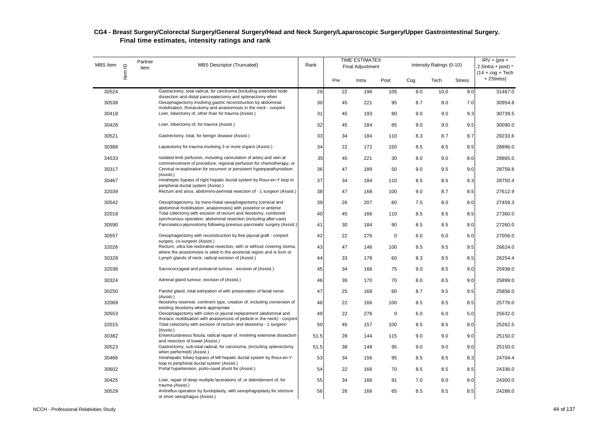| MBS Item | Item ID | Partner<br>item | <b>MBS Descriptor (Truncated)</b>                                                                                                              | Rank |     | <b>TIME ESTIMATES</b><br><b>Final Adjustment</b> |             |     | Intensity Ratings (0-10) |               | $IRV = (pre +$<br>2.5intra + post) $*$<br>$(14 + \cos + \text{Techn})$ |
|----------|---------|-----------------|------------------------------------------------------------------------------------------------------------------------------------------------|------|-----|--------------------------------------------------|-------------|-----|--------------------------|---------------|------------------------------------------------------------------------|
|          |         |                 |                                                                                                                                                |      | Pre | Intra                                            | Post        | Cog | Tech                     | <b>Stress</b> | +2Stress)                                                              |
| 30524    |         |                 | Gastrectomy, total radical, for carcinoma (including extended node<br>dissection and distal pancreatectomy and splenectomy when                | 29   | 22  | 196                                              | 105         | 9.0 | 10.0                     | 9.0           | 31467.0                                                                |
| 30538    |         |                 | Oesophagectomy involving gastric reconstruction by abdominal                                                                                   | 30   | 45  | 221                                              | 95          | 8.7 | 8.0                      | 7.0           | 30954.8                                                                |
| 30418    |         |                 | mobilisation, thoracotomy and anastomosis in the neck - conjoint<br>Liver, lobectomy of, other than for trauma (Assist.)                       | 31   | 45  | 193                                              | 80          | 9.0 | 9.0                      | 9.3           | 30739.5                                                                |
| 30428    |         |                 | Liver, lobectomy of, for trauma (Assist.)                                                                                                      | 32   | 45  | 184                                              | 85          | 9.0 | 9.0                      | 9.5           | 30090.0                                                                |
| 30521    |         |                 | Gastrectomy, total, for benign disease (Assist.)                                                                                               | 33   | 34  | 184                                              | 110         | 8.3 | 8.7                      | 8.7           | 29233.6                                                                |
| 30388    |         |                 | Laparotomy for trauma involving 3 or more organs (Assist.)                                                                                     | 34   | 22  | 172                                              | 150         | 8.5 | 8.5                      | 8.5           | 28896.0                                                                |
| 34533    |         |                 | Isolated limb perfusion, including cannulation of artery and vein at                                                                           | 35   | 45  | 221                                              | 30          | 8.0 | 8.0                      | 8.0           | 28865.0                                                                |
| 30317    |         |                 | commencement of procedure, regional perfusion for chemotherapy, or<br>Cervical re-exploration for recurrent or persistent hyperparathyroidism  | 36   | 47  | 189                                              | 50          | 9.0 | 9.5                      | 9.0           | 28759.8                                                                |
| 30467    |         |                 | (Assist.)<br>Intraheptic bypass of right hepatic ductal system by Roux-en-Y loop to                                                            | 37   | 34  | 184                                              | 110         | 8.5 | 8.5                      | 8.3           | 28750.4                                                                |
| 32039    |         |                 | peripheral ductal system (Assist.)<br>Rectum and anus, abdomino-perineal resection of - 1 surgeon (Assist.)                                    | 38   | 47  | 168                                              | 100         | 9.0 | 8.7                      | 8.5           | 27612.9                                                                |
| 30542    |         |                 | Oesophagectomy, by trans-hiatal oesophagectomy (cervical and                                                                                   | 39   | 26  | 207                                              | 60          | 7.5 | 8.0                      | 8.0           | 27459.3                                                                |
| 32018    |         |                 | abdominal mobilisation, anastomosis) with posterior or anterior<br>Total colectomy with excision of rectum and ileostomy, combined             | 40   | 45  | 166                                              | 110         | 8.5 | 8.5                      | 8.5           | 27360.0                                                                |
| 30590    |         |                 | synchronous operation; abdominal resection (including after-care)<br>Pancreatico-jejunostomy following previous pancreatic surgery (Assist.)   | 41   | 30  | 184                                              | 90          | 8.5 | 8.5                      | 8.0           | 27260.0                                                                |
| 30557    |         |                 | Oesophagectomy with reconstruction by free jejunal graft - conjoint                                                                            | 42   | 22  | 276                                              | $\mathbf 0$ | 6.0 | 6.0                      | 6.0           | 27056.0                                                                |
| 32026    |         |                 | surgery, co-surgeon (Assist.)<br>Rectum, ultra low restorative resection, with or without covering stoma,                                      | 43   | 47  | 146                                              | 100         | 9.5 | 9.5                      | 9.5           | 26624.0                                                                |
| 30328    |         |                 | where the anastomosis is sited in the anorectal region and is 6cm or<br>Lymph glands of neck, radical excision of (Assist.)                    | 44   | 33  | 178                                              | 60          | 8.3 | 9.5                      | 8.5           | 26254.4                                                                |
| 32036    |         |                 | Sacrococcygeal and presacral tumour - excision of (Assist.)                                                                                    | 45   | 34  | 166                                              | 75          | 9.0 | 8.5                      | 9.0           | 25938.0                                                                |
| 30324    |         |                 | Adrenal gland tumour, excision of (Assist.)                                                                                                    | 46   | 39  | 170                                              | 70          | 8.0 | 8.5                      | 9.0           | 25899.0                                                                |
| 30250    |         |                 | Parotid gland, total extirpation of with preservation of facial nerve                                                                          | 47   | 25  | 168                                              | 60          | 8.7 | 9.5                      | 9.5           | 25856.0                                                                |
| 32069    |         |                 | (Assist.)<br>Ileostomy reservoir, continent type, creation of, including conversion of                                                         | 48   | 22  | 166                                              | 100         | 8.5 | 8.5                      | 8.5           | 25776.0                                                                |
| 30553    |         |                 | existing ileostomy where appropriate<br>Oesophagectomy with colon or jejunal replacement (abdominal and                                        | 49   | 22  | 276                                              | $\mathbf 0$ | 6.0 | 6.0                      | 5.0           | 25632.0                                                                |
| 32015    |         |                 | thoracic mobilisation with anastomosis of pedicle in the neck) - conjoint<br>Total colectomy with excision of rectum and ileostomy - 1 surgeon | 50   | 45  | 157                                              | 100         | 8.5 | 8.5                      | 8.0           | 25262.5                                                                |
| 30382    |         |                 | (Assist.)<br>Enterocutaneous fistula, radical repair of, involving extensive dissection                                                        | 51.5 | 28  | 144                                              | 115         | 9.0 | 9.0                      | 9.0           | 25150.0                                                                |
| 30523    |         |                 | and resection of bowel (Assist.)<br>Gastrectomy, sub-total radical, for carcinoma, (including splenectomy                                      | 51.5 | 38  | 148                                              | 95          | 9.0 | 9.0                      | 9.0           | 25150.0                                                                |
| 30466    |         |                 | when performed) (Assist.)<br>Intrahepatic biliary bypass of left hepatic ductal system by Roux-en-Y                                            | 53   | 34  | 156                                              | 95          | 8.5 | 8.5                      | 8.3           | 24704.4                                                                |
| 30602    |         |                 | loop to peripheral ductal system (Assist.)<br>Portal hypertension, porto-caval shunt for (Assist.)                                             | 54   | 22  | 166                                              | 70          | 8.5 | 8.5                      | 8.5           | 24336.0                                                                |
| 30425    |         |                 | Liver, repair of deep multiple lacerations of, or debridement of, for                                                                          | 55   | 34  | 166                                              | 91          | 7.0 | 8.0                      | 8.0           | 24300.0                                                                |
| 30529    |         |                 | trauma (Assist.)<br>Antireflux operation by fundoplasty, with oesophagoplasty for stricture<br>or short oesophagus (Assist.)                   | 56   | 26  | 166                                              | 65          | 8.5 | 8.5                      | 8.5           | 24288.0                                                                |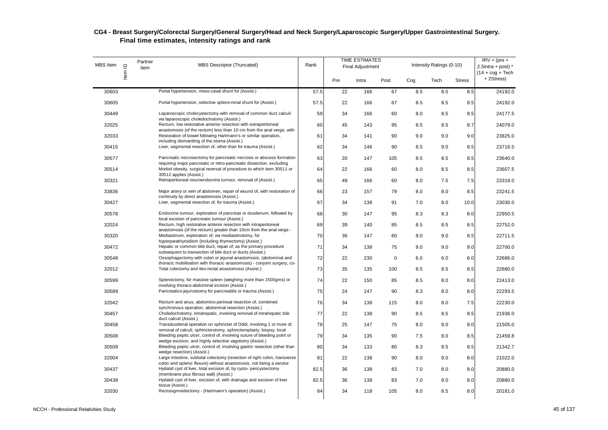| MBS Item | Item ID | Partner<br>item | MBS Descriptor (Truncated)                                                                                                                       | Rank |     | <b>TIME ESTIMATES</b><br><b>Final Adjustment</b> |             |     | Intensity Ratings (0-10) |               | $IRV = (pre +$<br>$2.5$ intra + post) *<br>$(14 + \text{cog} + \text{Techn})$ |
|----------|---------|-----------------|--------------------------------------------------------------------------------------------------------------------------------------------------|------|-----|--------------------------------------------------|-------------|-----|--------------------------|---------------|-------------------------------------------------------------------------------|
|          |         |                 |                                                                                                                                                  |      | Pre | Intra                                            | Post        | Cog | Tech                     | <b>Stress</b> | +2Stress)                                                                     |
| 30603    |         |                 | Portal hypertension, meso-caval shunt for (Assist.)                                                                                              | 57.5 | 22  | 166                                              | 67          | 8.5 | 8.5                      | 8.5           | 24192.0                                                                       |
| 30605    |         |                 | Portal hypertension, selective spleno-renal shunt for (Assist.)                                                                                  | 57.5 | 22  | 166                                              | 67          | 8.5 | 8.5                      | 8.5           | 24192.0                                                                       |
| 30449    |         |                 | Laparoscopic cholecystectomy with removal of common duct calculi<br>via laparoscopic choledochotomy (Assist.)                                    | 59   | 34  | 166                                              | 60          | 8.0 | 8.5                      | 8.5           | 24177.5                                                                       |
| 32025    |         |                 | Rectum, low restorative anterior resection with extraperitoneal<br>anastomosis (of the rectum) less than 10 cm from the anal verge, with         | 60   | 45  | 143                                              | 95          | 8.5 | 8.5                      | 8.7           | 24079.0                                                                       |
| 32033    |         |                 | Restoration of bowel following Hartmann's or similar operation,                                                                                  | 61   | 34  | 141                                              | 90          | 9.0 | 9.0                      | 9.0           | 23825.0                                                                       |
| 30415    |         |                 | including dismantling of the stoma (Assist.)<br>Liver, segmental resection of, other than for trauma (Assist.)                                   | 62   | 34  | 146                                              | 90          | 8.5 | 9.0                      | 8.5           | 23716.5                                                                       |
| 30577    |         |                 | Pancreatic necrosectomy for pancreatic necrosis or abscess formation                                                                             | 63   | 20  | 147                                              | 105         | 8.5 | 8.5                      | 8.5           | 23640.0                                                                       |
| 30514    |         |                 | requiring major pancreatic or retro-pancreatic dissection, excluding<br>Morbid obesity, surgical reversal of procedure to which item 30511 or    | 64   | 22  | 166                                              | 60          | 8.0 | 8.5                      | 8.5           | 23607.5                                                                       |
| 30321    |         |                 | 30512 applies (Assist.)<br>Retroperitoneal neuroendocrine tumour, removal of (Assist.)                                                           | 65   | 49  | 166                                              | 60          | 8.0 | 7.5                      | 7.5           | 23318.0                                                                       |
| 33836    |         |                 | Major artery or vein of abdomen, repair of wound of, with restoration of<br>continuity by direct anastomosis (Assist.)                           | 66   | 23  | 157                                              | 79          | 8.0 | 8.0                      | 8.5           | 23241.5                                                                       |
| 30427    |         |                 | Liver, segmental resection of, for trauma (Assist.)                                                                                              | 67   | 34  | 138                                              | 91          | 7.0 | 8.0                      | 10.0          | 23030.0                                                                       |
| 30578    |         |                 | Endocrine tumour, exploration of pancreas or duodenum, followed by<br>local excision of pancreatic tumour (Assist.)                              | 68   | 30  | 147                                              | 95          | 8.3 | 8.3                      | 8.0           | 22950.5                                                                       |
| 32024    |         |                 | Rectum, high restorative anterior resection with intraperitoneal<br>anastomosis (of the rectum) greater than 10cm from the anal verge -          | 69   | 39  | 140                                              | 85          | 8.5 | 8.5                      | 8.5           | 22752.0                                                                       |
| 30320    |         |                 | Mediastinum, exploration of, via mediastinotomy, for<br>hyperparathyroidism (including thymectomy) (Assist.)                                     | 70   | 36  | 147                                              | 60          | 9.0 | 9.0                      | 8.5           | 22711.5                                                                       |
| 30472    |         |                 | Hepatic or common bile duct, repair of, as the primary procedure                                                                                 | 71   | 34  | 138                                              | 75          | 9.0 | 9.0                      | 9.0           | 22700.0                                                                       |
| 30548    |         |                 | subsequent to transection of bile duct or ducts (Assist.)<br>Oesophagectomy with colon or jejunal anastomosis, (abdominal and                    | 72   | 22  | 230                                              | $\mathbf 0$ | 6.0 | 6.0                      | 6.0           | 22686.0                                                                       |
| 32012    |         |                 | thoracic mobilisation with thoracic anastomosis) - conjoint surgery, co-<br>Total colectomy and ileo-rectal anastomosis (Assist.)                | 73   | 35  | 135                                              | 100         | 8.5 | 8.5                      | 8.5           | 22680.0                                                                       |
| 30599    |         |                 | Splenectomy, for massive spleen (weighing more than 1500gms) or<br>involving thoraco-abdominal incision (Assist.)                                | 74   | 22  | 150                                              | 85          | 8.5 | 8.0                      | 8.0           | 22413.0                                                                       |
| 30589    |         |                 | Pancreatico-jejunostomy for pancreatitis or trauma (Assist.)                                                                                     | 75   | 24  | 147                                              | 90          | 8.3 | 8.0                      | 8.0           | 22293.5                                                                       |
| 32042    |         |                 | Rectum and anus, abdomino-perineal resection of, combined<br>synchronous operation, abdominal resection (Assist.)                                | 76   | 34  | 138                                              | 115         | 8.0 | 8.0                      | 7.5           | 22230.0                                                                       |
| 30457    |         |                 | Choledochotomy, intrahepatic, involving removal of intrahepatic bile<br>duct calculi (Assist.)                                                   | 77   | 22  | 138                                              | 90          | 8.5 | 8.5                      | 8.5           | 21936.0                                                                       |
| 30458    |         |                 | Transduodenal operation on sphincter of Oddi, involving 1 or more of,<br>removal of calculi, sphincterotomy, sphincteroplasty, biopsy, local     | 78   | 25  | 147                                              | 75          | 8.0 | 8.0                      | 8.0           | 21505.0                                                                       |
| 30508    |         |                 | Bleeding peptic ulcer, control of, involving suture of bleeding point or<br>wedge excision, and highly selective vagotomy (Assist.)              | 79   | 34  | 135                                              | 90          | 7.5 | 8.0                      | 8.5           | 21459.8                                                                       |
| 30509    |         |                 | Bleeding peptic ulcer, control of, involving gastric resection (other than<br>wedge resection) (Assist.)                                         | 80   | 34  | 133                                              | 80          | 8.3 | 8.5                      | 8.5           | 21342.7                                                                       |
| 32004    |         |                 | Large intestine, subtotal colectomy (resection of right colon, transverse<br>colon and splenic flexure) without anastomosis, not being a service | 81   | 22  | 138                                              | 90          | 8.0 | 8.0                      | 8.0           | 21022.0                                                                       |
| 30437    |         |                 | Hydatid cyst of liver, total excision of, by cysto- pericystectomy<br>(membrane plus fibrous wall) (Assist.)                                     | 82.5 | 36  | 138                                              | 83          | 7.0 | 8.0                      | 8.0           | 20880.0                                                                       |
| 30438    |         |                 | Hydatid cyst of liver, excision of, with drainage and excision of liver                                                                          | 82.5 | 36  | 138                                              | 83          | 7.0 | 8.0                      | 8.0           | 20880.0                                                                       |
| 32030    |         |                 | tissue (Assist.)<br>Rectosigmoidectomy - (Hartmann's operation) (Assist.)                                                                        | 84   | 34  | 118                                              | 105         | 8.0 | 8.5                      | 8.0           | 20181.0                                                                       |
|          |         |                 |                                                                                                                                                  |      |     |                                                  |             |     |                          |               |                                                                               |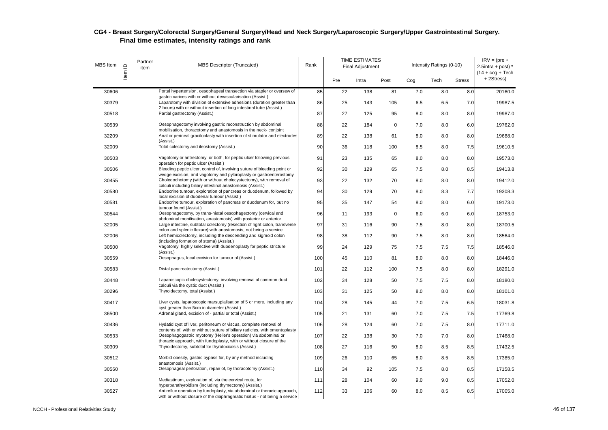| <b>MBS</b> Item | Item ID | Partner<br>item | <b>MBS Descriptor (Truncated)</b>                                                                                                                     | Rank |     | <b>TIME ESTIMATES</b><br><b>Final Adjustment</b> |             |     | Intensity Ratings (0-10) |               | $IRV = (pre +$<br>2.5intra + post) $*$<br>$(14 + \text{cog} + \text{Techn})$ |
|-----------------|---------|-----------------|-------------------------------------------------------------------------------------------------------------------------------------------------------|------|-----|--------------------------------------------------|-------------|-----|--------------------------|---------------|------------------------------------------------------------------------------|
|                 |         |                 |                                                                                                                                                       |      | Pre | Intra                                            | Post        | Cog | Tech                     | <b>Stress</b> | +2Stress)                                                                    |
| 30606           |         |                 | Portal hypertension, oesophageal transection via stapler or oversew of<br>gastric varices with or without devascularisation (Assist.)                 | 85   | 22  | 138                                              | 81          | 7.0 | 8.0                      | 8.0           | 20160.0                                                                      |
| 30379           |         |                 | Laparotomy with division of extensive adhesions (duration greater than                                                                                | 86   | 25  | 143                                              | 105         | 6.5 | 6.5                      | 7.0           | 19987.5                                                                      |
| 30518           |         |                 | 2 hours) with or without insertion of long intestinal tube (Assist.)<br>Partial gastrectomy (Assist.)                                                 | 87   | 27  | 125                                              | 95          | 8.0 | 8.0                      | 8.0           | 19987.0                                                                      |
| 30539           |         |                 | Oesophagectomy involving gastric reconstruction by abdominal                                                                                          | 88   | 22  | 184                                              | $\mathbf 0$ | 7.0 | 8.0                      | 6.0           | 19762.0                                                                      |
| 32209           |         |                 | mobilisation, thoracotomy and anastomosis in the neck-conjoint<br>Anal or perineal graciloplasty with insertion of stimulator and electrodes          | 89   | 22  | 138                                              | 61          | 8.0 | 8.0                      | 8.0           | 19688.0                                                                      |
| 32009           |         |                 | (Assist.)<br>Total colectomy and ileostomy (Assist.)                                                                                                  | 90   | 36  | 118                                              | 100         | 8.5 | 8.0                      | 7.5           | 19610.5                                                                      |
| 30503           |         |                 | Vagotomy or antrectomy, or both, for peptic ulcer following previous                                                                                  | 91   | 23  | 135                                              | 65          | 8.0 | 8.0                      | 8.0           | 19573.0                                                                      |
| 30506           |         |                 | operation for peptic ulcer (Assist.)<br>Bleeding peptic ulcer, control of, involving suture of bleeding point or                                      | 92   | 30  | 129                                              | 65          | 7.5 | 8.0                      | 8.5           | 19413.8                                                                      |
| 30455           |         |                 | wedge excision, and vagotomy and pyloroplasty or gastroenterostomy<br>Choledochotomy (with or without cholecystectomy), with removal of               | 93   | 22  | 132                                              | 70          | 8.0 | 8.0                      | 8.0           | 19412.0                                                                      |
| 30580           |         |                 | calculi including biliary intestinal anastomosis (Assist.)<br>Endocrine tumour, exploration of pancreas or duodenum, followed by                      | 94   | 30  | 129                                              | 70          | 8.0 | 8.3                      | 7.7           | 19308.3                                                                      |
| 30581           |         |                 | local excision of duodenal tumour (Assist.)<br>Endocrine tumour, exploration of pancreas or duodenum for, but no                                      | 95   | 35  | 147                                              | 54          | 8.0 | 8.0                      | 6.0           | 19173.0                                                                      |
|                 |         |                 | tumour found (Assist.)                                                                                                                                |      |     |                                                  |             |     |                          |               |                                                                              |
| 30544           |         |                 | Oesophagectomy, by trans-hiatal oesophagectomy (cervical and<br>abdominal mobilisation, anastomosis) with posterior or anterior                       | 96   | 11  | 193                                              | $\mathbf 0$ | 6.0 | 6.0                      | 6.0           | 18753.0                                                                      |
| 32005           |         |                 | Large intestine, subtotal colectomy (resection of right colon, transverse<br>colon and splenic flexure) with anastomosis, not being a service         | 97   | 31  | 116                                              | 90          | 7.5 | 8.0                      | 8.0           | 18700.5                                                                      |
| 32006           |         |                 | Left hemicolectomy, including the descending and sigmoid colon<br>(including formation of stoma) (Assist.)                                            | 98   | 38  | 112                                              | 90          | 7.5 | 8.0                      | 8.0           | 18564.0                                                                      |
| 30500           |         |                 | Vagotomy, highly selective with duodenoplasty for peptic stricture<br>(Assist.)                                                                       | 99   | 24  | 129                                              | 75          | 7.5 | 7.5                      | 7.5           | 18546.0                                                                      |
| 30559           |         |                 | Oesophagus, local excision for tumour of (Assist.)                                                                                                    | 100  | 45  | 110                                              | 81          | 8.0 | 8.0                      | 8.0           | 18446.0                                                                      |
| 30583           |         |                 | Distal pancreatectomy (Assist.)                                                                                                                       | 101  | 22  | 112                                              | 100         | 7.5 | 8.0                      | 8.0           | 18291.0                                                                      |
| 30448           |         |                 | Laparoscopic cholecystectomy, involving removal of common duct<br>calculi via the cystic duct (Assist.)                                               | 102  | 34  | 128                                              | 50          | 7.5 | 7.5                      | 8.0           | 18180.0                                                                      |
| 30296           |         |                 | Thyroidectomy, total (Assist.)                                                                                                                        | 103  | 31  | 125                                              | 50          | 8.0 | 8.0                      | 8.0           | 18101.0                                                                      |
| 30417           |         |                 | Liver cysts, laparoscopic marsupialisation of 5 or more, including any                                                                                | 104  | 28  | 145                                              | 44          | 7.0 | 7.5                      | 6.5           | 18031.8                                                                      |
| 36500           |         |                 | cyst greater than 5cm in diameter (Assist.)<br>Adrenal gland, excision of - partial or total (Assist.)                                                | 105  | 21  | 131                                              | 60          | 7.0 | 7.5                      | 7.5           | 17769.8                                                                      |
| 30436           |         |                 | Hydatid cyst of liver, peritoneum or viscus, complete removal of                                                                                      | 106  | 28  | 124                                              | 60          | 7.0 | 7.5                      | 8.0           | 17711.0                                                                      |
| 30533           |         |                 | contents of, with or without suture of biliary radicles, with omentoplasty<br>Oesophaqoqastric myotomy (Heller's operation) via abdominal or          | 107  | 22  | 138                                              | 30          | 7.0 | 7.0                      | 8.0           | 17468.0                                                                      |
| 30309           |         |                 | thoracic approach, with fundoplasty, with or without closure of the<br>Thyroidectomy, subtotal for thyrotoxicosis (Assist.)                           | 108  | 27  | 116                                              | 50          | 8.0 | 8.5                      | 8.5           | 17432.5                                                                      |
| 30512           |         |                 | Morbid obesity, gastric bypass for, by any method including                                                                                           | 109  | 26  | 110                                              | 65          | 8.0 | 8.5                      | 8.5           | 17385.0                                                                      |
| 30560           |         |                 | anastomosis (Assist.)<br>Oesophageal perforation, repair of, by thoracotomy (Assist.)                                                                 | 110  | 34  | 92                                               | 105         | 7.5 | 8.0                      | 8.5           | 17158.5                                                                      |
| 30318           |         |                 | Mediastinum, exploration of, via the cervical route, for                                                                                              | 111  | 28  | 104                                              | 60          | 9.0 | 9.0                      | 8.5           | 17052.0                                                                      |
|                 |         |                 | hyperparathyroidism (including thymectomy) (Assist.)                                                                                                  |      |     |                                                  |             |     |                          |               |                                                                              |
| 30527           |         |                 | Antireflux operation by fundoplasty, via abdominal or thoracic approach,<br>with or without closure of the diaphragmatic hiatus - not being a service | 112  | 33  | 106                                              | 60          | 8.0 | 8.5                      | 8.5           | 17005.0                                                                      |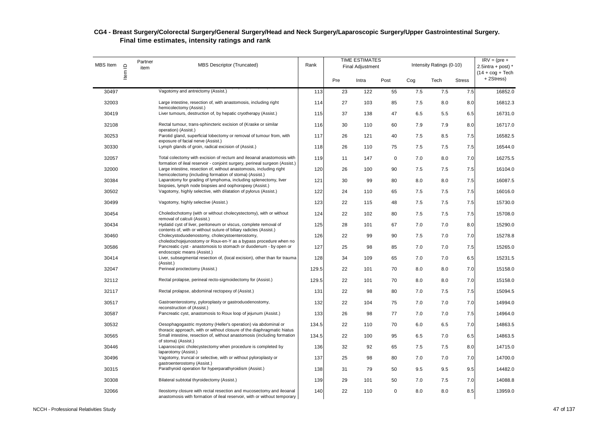| <b>MBS</b> Item | Item ID | Partner<br>item | <b>MBS Descriptor (Truncated)</b>                                                                                                                                                                            | Rank  |     | <b>TIME ESTIMATES</b><br><b>Final Adjustment</b> |             |     | Intensity Ratings (0-10) |               | $IRV = (pre +$<br>2.5intra + post) $*$<br>$(14 + \text{cog} + \text{Techn})$ |
|-----------------|---------|-----------------|--------------------------------------------------------------------------------------------------------------------------------------------------------------------------------------------------------------|-------|-----|--------------------------------------------------|-------------|-----|--------------------------|---------------|------------------------------------------------------------------------------|
|                 |         |                 |                                                                                                                                                                                                              |       | Pre | Intra                                            | Post        | Cog | Tech                     | <b>Stress</b> | +2Stress)                                                                    |
| 30497           |         |                 | Vagotomy and antrectomy (Assist.)                                                                                                                                                                            | 113   | 23  | 122                                              | 55          | 7.5 | 7.5                      | 7.5           | 16852.0                                                                      |
| 32003           |         |                 | Large intestine, resection of, with anastomosis, including right                                                                                                                                             | 114   | 27  | 103                                              | 85          | 7.5 | 8.0                      | 8.0           | 16812.3                                                                      |
| 30419           |         |                 | hemicolectomy (Assist.)<br>Liver tumours, destruction of, by hepatic cryotherapy (Assist.)                                                                                                                   | 115   | 37  | 138                                              | 47          | 6.5 | 5.5                      | 6.5           | 16731.0                                                                      |
| 32108           |         |                 | Rectal tumour, trans-sphincteric excision of (Kraske or similar<br>operation) (Assist.)                                                                                                                      | 116   | 30  | 110                                              | 60          | 7.9 | 7.9                      | 8.0           | 16717.0                                                                      |
| 30253           |         |                 | Parotid gland, superficial lobectomy or removal of tumour from, with                                                                                                                                         | 117   | 26  | 121                                              | 40          | 7.5 | 8.5                      | 7.5           | 16582.5                                                                      |
| 30330           |         |                 | exposure of facial nerve (Assist.)<br>Lymph glands of groin, radical excision of (Assist.)                                                                                                                   | 118   | 26  | 110                                              | 75          | 7.5 | 7.5                      | 7.5           | 16544.0                                                                      |
| 32057           |         |                 | Total colectomy with excision of rectum and ileoanal anastomosis with                                                                                                                                        | 119   | 11  | 147                                              | $\mathbf 0$ | 7.0 | 8.0                      | 7.0           | 16275.5                                                                      |
| 32000           |         |                 | formation of ileal reservoir - conjoint surgery, perineal surgeon (Assist.)<br>Large intestine, resection of, without anastomosis, including right<br>hemicolectomy (including formation of stoma) (Assist.) | 120   | 26  | 100                                              | 90          | 7.5 | 7.5                      | 7.5           | 16104.0                                                                      |
| 30384           |         |                 | Laparotomy for grading of lymphoma, including splenectomy, liver                                                                                                                                             | 121   | 30  | 99                                               | 80          | 8.0 | 8.0                      | 7.5           | 16087.5                                                                      |
| 30502           |         |                 | biopsies, lymph node biopsies and oophoropexy (Assist.)<br>Vagotomy, highly selective, with dilatation of pylorus (Assist.)                                                                                  | 122   | 24  | 110                                              | 65          | 7.5 | 7.5                      | 7.5           | 16016.0                                                                      |
| 30499           |         |                 | Vagotomy, highly selective (Assist.)                                                                                                                                                                         | 123   | 22  | 115                                              | 48          | 7.5 | 7.5                      | 7.5           | 15730.0                                                                      |
| 30454           |         |                 | Choledochotomy (with or without cholecystectomy), with or without                                                                                                                                            | 124   | 22  | 102                                              | 80          | 7.5 | 7.5                      | 7.5           | 15708.0                                                                      |
| 30434           |         |                 | removal of calculi (Assist.)<br>Hydatid cyst of liver, peritoneum or viscus, complete removal of                                                                                                             | 125   | 28  | 101                                              | 67          | 7.0 | 7.0                      | 8.0           | 15290.0                                                                      |
| 30460           |         |                 | contents of, with or without suture of biliary radicles (Assist.)<br>Cholecystoduodenostomy, cholecystoenterostomy,                                                                                          | 126   | 22  | 99                                               | 90          | 7.5 | 7.0                      | 7.0           | 15278.8                                                                      |
| 30586           |         |                 | choledochojejunostomy or Roux-en-Y as a bypass procedure when no<br>Pancreatic cyst - anastomosis to stomach or duodenum - by open or                                                                        | 127   | 25  | 98                                               | 85          | 7.0 | 7.0                      | 7.5           | 15265.0                                                                      |
| 30414           |         |                 | endoscopic means (Assist.)<br>Liver, subsegmental resection of, (local excision), other than for trauma                                                                                                      | 128   | 34  | 109                                              | 65          | 7.0 | 7.0                      | 6.5           | 15231.5                                                                      |
| 32047           |         |                 | (Assist.)<br>Perineal proctectomy (Assist.)                                                                                                                                                                  | 129.5 | 22  | 101                                              | 70          | 8.0 | 8.0                      | 7.0           | 15158.0                                                                      |
| 32112           |         |                 | Rectal prolapse, perineal recto-sigmoidectomy for (Assist.)                                                                                                                                                  | 129.5 | 22  | 101                                              | 70          | 8.0 | 8.0                      | 7.0           | 15158.0                                                                      |
| 32117           |         |                 | Rectal prolapse, abdominal rectopexy of (Assist.)                                                                                                                                                            | 131   | 22  | 98                                               | 80          | 7.0 | 7.5                      | 7.5           | 15094.5                                                                      |
| 30517           |         |                 | Gastroenterostomy, pyloroplasty or gastroduodenostomy,                                                                                                                                                       |       | 22  | 104                                              | 75          | 7.0 | 7.0                      | 7.0           | 14994.0                                                                      |
|                 |         |                 | reconstruction of (Assist.)                                                                                                                                                                                  | 132   |     |                                                  |             |     |                          |               |                                                                              |
| 30587           |         |                 | Pancreatic cyst, anastomosis to Roux loop of jejunum (Assist.)                                                                                                                                               | 133   | 26  | 98                                               | 77          | 7.0 | 7.0                      | 7.5           | 14964.0                                                                      |
| 30532           |         |                 | Oesophagogastric myotomy (Heller's operation) via abdominal or<br>thoracic approach, with or without closure of the diaphragmatic hiatus                                                                     | 134.5 | 22  | 110                                              | 70          | 6.0 | 6.5                      | 7.0           | 14863.5                                                                      |
| 30565           |         |                 | Small intestine, resection of, without anastomosis (including formation<br>of stoma) (Assist.)                                                                                                               | 134.5 | 22  | 100                                              | 95          | 6.5 | 7.0                      | 6.5           | 14863.5                                                                      |
| 30446           |         |                 | Laparoscopic cholecystectomy when procedure is completed by<br>laparotomy (Assist.)                                                                                                                          | 136   | 32  | 92                                               | 65          | 7.5 | 7.5                      | 8.0           | 14715.0                                                                      |
| 30496           |         |                 | Vagotomy, truncal or selective, with or without pyloroplasty or<br>gastroenterostomy (Assist.)                                                                                                               | 137   | 25  | 98                                               | 80          | 7.0 | 7.0                      | 7.0           | 14700.0                                                                      |
| 30315           |         |                 | Parathyroid operation for hyperparathyroidism (Assist.)                                                                                                                                                      | 138   | 31  | 79                                               | 50          | 9.5 | 9.5                      | 9.5           | 14482.0                                                                      |
| 30308           |         |                 | Bilateral subtotal thyroidectomy (Assist.)                                                                                                                                                                   | 139   | 29  | 101                                              | 50          | 7.0 | 7.5                      | 7.0           | 14088.8                                                                      |
| 32066           |         |                 | Ileostomy closure with rectal resection and mucosectomy and ileoanal<br>anastomosis with formation of ileal reservoir, with or without temporary                                                             | 140   | 22  | 110                                              | $\mathbf 0$ | 8.0 | 8.0                      | 8.5           | 13959.0                                                                      |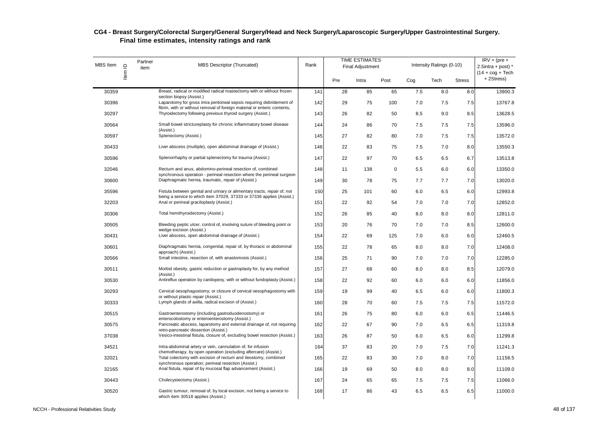| <b>MBS</b> Item | Item ID | Partner<br>item | <b>MBS Descriptor (Truncated)</b>                                                                                                                 | Rank |     | <b>TIME ESTIMATES</b><br><b>Final Adjustment</b> |      |     | Intensity Ratings (0-10) |               | $IRV = (pre +$<br>2.5intra + post) $*$<br>$(14 + \cos + \text{Techn})$ |
|-----------------|---------|-----------------|---------------------------------------------------------------------------------------------------------------------------------------------------|------|-----|--------------------------------------------------|------|-----|--------------------------|---------------|------------------------------------------------------------------------|
|                 |         |                 |                                                                                                                                                   |      | Pre | Intra                                            | Post | Cog | Tech                     | <b>Stress</b> | +2Stress)                                                              |
| 30359           |         |                 | Breast, radical or modified radical mastectomy with or without frozen<br>section biopsy (Assist.)                                                 | 141  | 28  | 85                                               | 65   | 7.5 | 8.0                      | 8.0           | 13900.3                                                                |
| 30396           |         |                 | Laparotomy for gross intra peritoneal sepsis requiring debridement of<br>fibrin, with or without removal of foreign material or enteric contents, | 142  | 29  | 75                                               | 100  | 7.0 | 7.5                      | 7.5           | 13767.8                                                                |
| 30297           |         |                 | Thyroidectomy following previous thyroid surgery (Assist.)                                                                                        | 143  | 26  | 82                                               | 50   | 8.5 | 9.0                      | 8.5           | 13628.5                                                                |
| 30564           |         |                 | Small bowel strictureplasty for chronic inflammatory bowel disease<br>(Assist.)                                                                   | 144  | 24  | 86                                               | 70   | 7.5 | 7.5                      | 7.5           | 13596.0                                                                |
| 30597           |         |                 | Splenectomy (Assist.)                                                                                                                             | 145  | 27  | 82                                               | 80   | 7.0 | 7.5                      | 7.5           | 13572.0                                                                |
| 30433           |         |                 | Liver abscess (multiple), open abdominal drainage of (Assist.)                                                                                    | 146  | 22  | 83                                               | 75   | 7.5 | 7.0                      | 8.0           | 13550.3                                                                |
| 30596           |         |                 | Splenorrhaphy or partial splenectomy for trauma (Assist.)                                                                                         | 147  | 22  | 97                                               | 70   | 6.5 | 6.5                      | 6.7           | 13513.8                                                                |
| 32046           |         |                 | Rectum and anus, abdomino-perineal resection of, combined                                                                                         | 148  | 11  | 138                                              | 0    | 5.5 | 6.0                      | 6.0           | 13350.0                                                                |
| 30600           |         |                 | synchronous operation - perineal resection where the perineal surgeon<br>Diaphragmatic hernia, traumatic, repair of (Assist.)                     | 149  | 30  | 78                                               | 75   | 7.7 | 7.7                      | 7.0           | 13020.0                                                                |
| 35596           |         |                 | Fistula between genital and urinary or alimentary tracts, repair of, not                                                                          | 150  | 25  | 101                                              | 60   | 6.0 | 6.5                      | 6.0           | 12993.8                                                                |
| 32203           |         |                 | being a service to which item 37029, 37333 or 37336 applies (Assist.)<br>Anal or perineal graciloplasty (Assist.)                                 | 151  | 22  | 92                                               | 54   | 7.0 | 7.0                      | 7.0           | 12852.0                                                                |
| 30306           |         |                 | Total hemithyroidectomy (Assist.)                                                                                                                 | 152  | 26  | 85                                               | 40   | 8.0 | 8.0                      | 8.0           | 12811.0                                                                |
| 30505           |         |                 | Bleeding peptic ulcer, control of, involving suture of bleeding point or                                                                          | 153  | 20  | 76                                               | 70   | 7.0 | 7.0                      | 8.5           | 12600.0                                                                |
| 30431           |         |                 | wedge excision (Assist.)<br>Liver abscess, open abdominal drainage of (Assist.)                                                                   | 154  | 22  | 69                                               | 125  | 7.0 | 6.0                      | 6.0           | 12460.5                                                                |
| 30601           |         |                 | Diaphragmatic hernia, congenital, repair of, by thoracic or abdominal                                                                             | 155  | 22  | 78                                               | 65   | 8.0 | 8.0                      | 7.0           | 12408.0                                                                |
| 30566           |         |                 | approach) (Assist.)<br>Small intestine, resection of, with anastomosis (Assist.)                                                                  | 156  | 25  | 71                                               | 90   | 7.0 | 7.0                      | 7.0           | 12285.0                                                                |
| 30511           |         |                 | Morbid obesity, gastric reduction or gastroplasty for, by any method                                                                              | 157  | 27  | 68                                               | 60   | 8.0 | 8.0                      | 8.5           | 12079.0                                                                |
| 30530           |         |                 | (Assist.)<br>Antireflux operation by cardiopexy, with or without fundoplasty (Assist.)                                                            | 158  | 22  | 92                                               | 60   | 6.0 | 6.0                      | 6.0           | 11856.0                                                                |
| 30293           |         |                 | Cervical oesophagostomy; or closure of cervical oesophagostomy with                                                                               | 159  | 19  | 99                                               | 40   | 6.5 | 6.0                      | 6.0           | 11800.3                                                                |
| 30333           |         |                 | or without plastic repair (Assist.)<br>Lymph glands of axilla, radical excision of (Assist.)                                                      | 160  | 28  | 70                                               | 60   | 7.5 | 7.5                      | 7.5           | 11572.0                                                                |
| 30515           |         |                 | Gastroenterostomy (including gastroduodenostomy) or                                                                                               | 161  | 26  | 75                                               | 80   | 6.0 | 6.0                      | 6.5           | 11446.5                                                                |
| 30575           |         |                 | enterocolostomy or enteroenterostomy (Assist.)<br>Pancreatic abscess, laparotomy and external drainage of, not requiring                          | 162  | 22  | 67                                               | 90   | 7.0 | 6.5                      | 6.5           | 11319.8                                                                |
| 37038           |         |                 | retro-pancreatic dissection (Assist.)<br>Vesico-intestinal fistula, closure of, excluding bowel resection (Assist.)                               | 163  | 26  | 87                                               | 50   | 6.0 | 6.5                      | 6.0           | 11299.8                                                                |
| 34521           |         |                 | Intra-abdominal artery or vein, cannulation of, for infusion                                                                                      | 164  | 37  | 83                                               | 20   | 7.0 | 7.5                      | 7.0           | 11241.3                                                                |
| 32021           |         |                 | chemotherapy, by open operation (excluding aftercare) (Assist.)<br>Total colectomy with excision of rectum and ileostomy, combined                | 165  | 22  | 83                                               | 30   | 7.0 | 8.0                      | 7.0           | 11158.5                                                                |
| 32165           |         |                 | synchronous operation; perineal resection (Assist.)<br>Anal fistula, repair of by mucosal flap advancement (Assist.)                              | 166  | 19  | 69                                               | 50   | 8.0 | 8.0                      | 8.0           | 11109.0                                                                |
| 30443           |         |                 | Cholecystectomy (Assist.)                                                                                                                         | 167  | 24  | 65                                               | 65   | 7.5 | 7.5                      | 7.5           | 11066.0                                                                |
| 30520           |         |                 | Gastric tumour, removal of, by local excision, not being a service to<br>which item 30518 applies (Assist.)                                       | 168  | 17  | 86                                               | 43   | 6.5 | 6.5                      | 6.5           | 11000.0                                                                |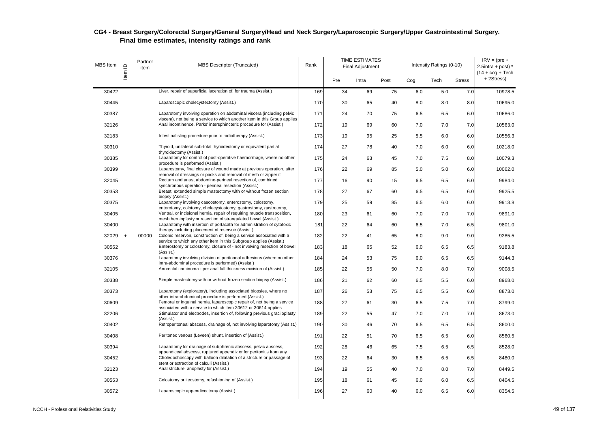| <b>MBS</b> Item | Item ID   | Partner<br>item | <b>MBS Descriptor (Truncated)</b>                                                                                                                          | Rank |     | <b>TIME ESTIMATES</b><br><b>Final Adjustment</b> |      |     | Intensity Ratings (0-10) |               | $IRV = (pre +$<br>$2.5$ intra + post) *<br>$(14 + \cos + \text{Techn})$ |
|-----------------|-----------|-----------------|------------------------------------------------------------------------------------------------------------------------------------------------------------|------|-----|--------------------------------------------------|------|-----|--------------------------|---------------|-------------------------------------------------------------------------|
|                 |           |                 |                                                                                                                                                            |      | Pre | Intra                                            | Post | Cog | Tech                     | <b>Stress</b> | +2Stress)                                                               |
| 30422           |           |                 | Liver, repair of superficial laceration of, for trauma (Assist.)                                                                                           | 169  | 34  | 69                                               | 75   | 6.0 | 5.0                      | 7.0           | 10978.5                                                                 |
| 30445           |           |                 | Laparoscopic cholecystectomy (Assist.)                                                                                                                     | 170  | 30  | 65                                               | 40   | 8.0 | 8.0                      | 8.0           | 10695.0                                                                 |
| 30387           |           |                 | Laparotomy involving operation on abdominal viscera (including pelvic<br>viscera), not being a service to which another item in this Group applies         | 171  | 24  | 70                                               | 75   | 6.5 | 6.5                      | 6.0           | 10686.0                                                                 |
| 32126           |           |                 | Anal incontinence, Parks' intersphincteric procedure for (Assist.)                                                                                         | 172  | 19  | 69                                               | 60   | 7.0 | 7.0                      | 7.0           | 10563.0                                                                 |
| 32183           |           |                 | Intestinal sling procedure prior to radiotherapy (Assist.)                                                                                                 | 173  | 19  | 95                                               | 25   | 5.5 | 6.0                      | 6.0           | 10556.3                                                                 |
| 30310           |           |                 | Thyroid, unilateral sub-total thyroidectomy or equivalent partial<br>thyroidectomy (Assist.)                                                               | 174  | 27  | 78                                               | 40   | 7.0 | 6.0                      | 6.0           | 10218.0                                                                 |
| 30385           |           |                 | Laparotomy for control of post-operative haemorrhage, where no other<br>procedure is performed (Assist.)                                                   | 175  | 24  | 63                                               | 45   | 7.0 | 7.5                      | 8.0           | 10079.3                                                                 |
| 30399           |           |                 | Laparostomy, final closure of wound made at previous operation, after<br>removal of dressings or packs and removal of mesh or zipper if                    | 176  | 22  | 69                                               | 85   | 5.0 | 5.0                      | 6.0           | 10062.0                                                                 |
| 32045           |           |                 | Rectum and anus, abdomino-perineal resection of, combined<br>synchronous operation - perineal resection (Assist.)                                          | 177  | 16  | 90                                               | 15   | 6.5 | 6.5                      | 6.0           | 9984.0                                                                  |
| 30353           |           |                 | Breast, extended simple mastectomy with or without frozen section                                                                                          | 178  | 27  | 67                                               | 60   | 6.5 | 6.5                      | 6.0           | 9925.5                                                                  |
| 30375           |           |                 | biopsy (Assist.)<br>Laparotomy involving caecostomy, enterostomy, colostomy,                                                                               | 179  | 25  | 59                                               | 85   | 6.5 | 6.0                      | 6.0           | 9913.8                                                                  |
| 30405           |           |                 | enterotomy, colotomy, cholecystostomy, gastrostomy, gastrotomy,<br>Ventral, or incisional hernia, repair of requiring muscle transposition,                | 180  | 23  | 61                                               | 60   | 7.0 | 7.0                      | 7.0           | 9891.0                                                                  |
| 30400           |           |                 | mesh hernioplasty or resection of strangulated bowel (Assist.)<br>Laparotomy with insertion of portacath for administration of cytotoxic                   | 181  | 22  | 64                                               | 60   | 6.5 | 7.0                      | 6.5           | 9801.0                                                                  |
| 32029           | $\ddot{}$ | 00000           | therapy including placement of reservoir (Assist.)<br>Colonic reservoir, construction of, being a service associated with a                                | 182  | 22  | 41                                               | 65   | 8.0 | 9.0                      | 9.0           | 9285.5                                                                  |
| 30562           |           |                 | service to which any other item in this Subgroup applies (Assist.)<br>Enterostomy or colostomy, closure of - not involving resection of bowel<br>(Assist.) | 183  | 18  | 65                                               | 52   | 6.0 | 6.5                      | 6.5           | 9183.8                                                                  |
| 30376           |           |                 | Laparotomy involving division of peritoneal adhesions (where no other<br>intra-abdominal procedure is performed) (Assist.)                                 | 184  | 24  | 53                                               | 75   | 6.0 | 6.5                      | 6.5           | 9144.3                                                                  |
| 32105           |           |                 | Anorectal carcinoma - per anal full thickness excision of (Assist.)                                                                                        | 185  | 22  | 55                                               | 50   | 7.0 | 8.0                      | 7.0           | 9008.5                                                                  |
| 30338           |           |                 | Simple mastectomy with or without frozen section biopsy (Assist.)                                                                                          | 186  | 21  | 62                                               | 60   | 6.5 | 5.5                      | 6.0           | 8968.0                                                                  |
| 30373           |           |                 | Laparotomy (exploratory), including associated biopsies, where no<br>other intra-abdominal procedure is performed (Assist.)                                | 187  | 26  | 53                                               | 75   | 6.5 | 5.5                      | 6.0           | 8873.0                                                                  |
| 30609           |           |                 | Femoral or inquinal hernia, laparoscopic repair of, not being a service<br>associated with a service to which item 30612 or 30614 applies                  | 188  | 27  | 61                                               | 30   | 6.5 | 7.5                      | 7.0           | 8799.0                                                                  |
| 32206           |           |                 | Stimulator and electrodes, insertion of, following previous graciloplasty<br>(Assist.)                                                                     | 189  | 22  | 55                                               | 47   | 7.0 | 7.0                      | 7.0           | 8673.0                                                                  |
| 30402           |           |                 | Retroperitoneal abscess, drainage of, not involving laparotomy (Assist.)                                                                                   | 190  | 30  | 46                                               | 70   | 6.5 | 6.5                      | 6.5           | 8600.0                                                                  |
| 30408           |           |                 | Peritoneo venous (Leveen) shunt, insertion of (Assist.)                                                                                                    | 191  | 22  | 51                                               | 70   | 6.5 | 6.5                      | 6.0           | 8560.5                                                                  |
| 30394           |           |                 | Laparotomy for drainage of subphrenic abscess, pelvic abscess,<br>appendiceal abscess, ruptured appendix or for peritonitis from any                       | 192  | 28  | 46                                               | 65   | 7.5 | 6.5                      | 6.5           | 8528.0                                                                  |
| 30452           |           |                 | Choledochoscopy with balloon dilatation of a stricture or passage of<br>stent or extraction of calculi (Assist.)                                           | 193  | 22  | 64                                               | 30   | 6.5 | 6.5                      | 6.5           | 8480.0                                                                  |
| 32123           |           |                 | Anal stricture, anoplasty for (Assist.)                                                                                                                    | 194  | 19  | 55                                               | 40   | 7.0 | 8.0                      | 7.0           | 8449.5                                                                  |
| 30563           |           |                 | Colostomy or ileostomy, refashioning of (Assist.)                                                                                                          | 195  | 18  | 61                                               | 45   | 6.0 | 6.0                      | 6.5           | 8404.5                                                                  |
| 30572           |           |                 | Laparoscopic appendicectomy (Assist.)                                                                                                                      | 196  | 27  | 60                                               | 40   | 6.0 | 6.5                      | 6.0           | 8354.5                                                                  |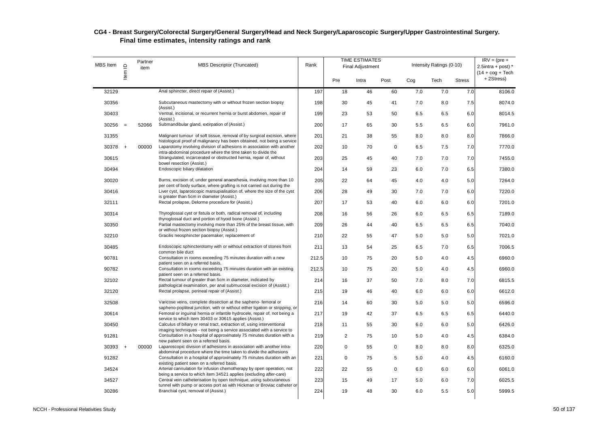| <b>MBS</b> Item | Item ID | Partner<br>item | <b>MBS Descriptor (Truncated)</b>                                                                                                                  | Rank  |                | <b>TIME ESTIMATES</b><br><b>Final Adjustment</b> |             |     | Intensity Ratings (0-10) |               | $IRV = (pre +$<br>2.5intra + post) $*$<br>$(14 + \cos + \text{Techn})$ |
|-----------------|---------|-----------------|----------------------------------------------------------------------------------------------------------------------------------------------------|-------|----------------|--------------------------------------------------|-------------|-----|--------------------------|---------------|------------------------------------------------------------------------|
|                 |         |                 |                                                                                                                                                    |       | Pre            | Intra                                            | Post        | Cog | Tech                     | <b>Stress</b> | +2Stress)                                                              |
| 32129           |         |                 | Anal sphincter, direct repair of (Assist.)                                                                                                         | 197   | 18             | 46                                               | 60          | 7.0 | 7.0                      | 7.0           | 8106.0                                                                 |
| 30356           |         |                 | Subcutaneous mastectomy with or without frozen section biopsy<br>(Assist.)                                                                         | 198   | 30             | 45                                               | 41          | 7.0 | 8.0                      | 7.5           | 8074.0                                                                 |
| 30403           |         |                 | Ventral, incisional, or recurrent hernia or burst abdomen, repair of<br>(Assist.)                                                                  | 199   | 23             | 53                                               | 50          | 6.5 | 6.5                      | 6.0           | 8014.5                                                                 |
| 30256           | $=$     | 52066           | Submandibular gland, extirpation of (Assist.)                                                                                                      | 200   | 17             | 65                                               | 30          | 5.5 | 6.5                      | 6.0           | 7961.0                                                                 |
| 31355           |         |                 | Malignant tumour of soft tissue, removal of by surgical excision, where<br>histological proof of malignancy has been obtained, not being a service | 201   | 21             | 38                                               | 55          | 8.0 | 8.0                      | 8.0           | 7866.0                                                                 |
| $30378 +$       |         | 00000           | Laparotomy involving division of adhesions in association with another<br>intra-abdominal procedure where the time taken to divide the             | 202   | 10             | 70                                               | $\mathbf 0$ | 6.5 | 7.5                      | 7.0           | 7770.0                                                                 |
| 30615           |         |                 | Strangulated, incarcerated or obstructed hernia, repair of, without<br>bowel resection (Assist.)                                                   | 203   | 25             | 45                                               | 40          | 7.0 | 7.0                      | 7.0           | 7455.0                                                                 |
| 30494           |         |                 | Endoscopic biliary dilatation                                                                                                                      | 204   | 14             | 59                                               | 23          | 6.0 | 7.0                      | 6.5           | 7380.0                                                                 |
| 30020           |         |                 | Burns, excision of, under general anaesthesia, involving more than 10<br>per cent of body surface, where grafting is not carried out during the    | 205   | 22             | 64                                               | 45          | 4.0 | 4.0                      | 5.0           | 7264.0                                                                 |
| 30416           |         |                 | Liver cyst, laparoscopic marsupialisation of, where the size of the cyst<br>is greater than 5cm in diameter (Assist.)                              | 206   | 28             | 49                                               | 30          | 7.0 | 7.0                      | 6.0           | 7220.0                                                                 |
| 32111           |         |                 | Rectal prolapse, Delorme procedure for (Assist.)                                                                                                   | 207   | 17             | 53                                               | 40          | 6.0 | 6.0                      | 6.0           | 7201.0                                                                 |
| 30314           |         |                 | Thyroglossal cyst or fistula or both, radical removal of, including<br>thyroglossal duct and portion of hyoid bone (Assist.)                       | 208   | 16             | 56                                               | 26          | 6.0 | 6.5                      | 6.5           | 7189.0                                                                 |
| 30350           |         |                 | Partial mastectomy involving more than 25% of the breast tissue, with<br>or without frozen section biopsy (Assist.)                                | 209   | 26             | 44                                               | 40          | 6.5 | 6.5                      | 6.5           | 7040.0                                                                 |
| 32210           |         |                 | Gracilis neosphincter pacemaker, replacement of                                                                                                    | 210   | 22             | 55                                               | 47          | 5.0 | 5.0                      | 5.0           | 7021.0                                                                 |
| 30485           |         |                 | Endoscopic sphincterotomy with or without extraction of stones from<br>common bile duct                                                            | 211   | 13             | 54                                               | 25          | 6.5 | 7.0                      | 6.5           | 7006.5                                                                 |
| 90781           |         |                 | Consultation in rooms exceeding 75 minutes duration with a new<br>patient seen on a referred basis.                                                | 212.5 | 10             | 75                                               | 20          | 5.0 | 4.0                      | 4.5           | 6960.0                                                                 |
| 90782           |         |                 | Consultation in rooms exceeding 75 minutes duration with an existing<br>patient seen on a referred basis.                                          | 212.5 | 10             | 75                                               | 20          | 5.0 | 4.0                      | 4.5           | 6960.0                                                                 |
| 32102           |         |                 | Rectal tumour of greater than 5cm in diameter, indicated by<br>pathological examination, per anal submucosal excision of (Assist.)                 | 214   | 16             | 37                                               | 50          | 7.0 | 8.0                      | 7.0           | 6815.5                                                                 |
| 32120           |         |                 | Rectal prolapse, perineal repair of (Assist.)                                                                                                      | 215   | 19             | 46                                               | 40          | 6.0 | 6.0                      | 6.0           | 6612.0                                                                 |
| 32508           |         |                 | Varicose veins, complete dissection at the sapheno- femoral or<br>sapheno-popliteal junction, with or without either ligation or stripping, or     | 216   | 14             | 60                                               | 30          | 5.0 | 5.0                      | 5.0           | 6596.0                                                                 |
| 30614           |         |                 | Femoral or inguinal hernia or infantile hydrocele, repair of, not being a<br>service to which item 30403 or 30615 applies (Assist.)                | 217   | 19             | 42                                               | 37          | 6.5 | 6.5                      | 6.5           | 6440.0                                                                 |
| 30450           |         |                 | Calculus of biliary or renal tract, extraction of, using interventional<br>imaging techniques - not being a service associated with a service to   | 218   | 11             | 55                                               | 30          | 6.0 | 6.0                      | 5.0           | 6426.0                                                                 |
| 91281           |         |                 | Consultation in a hospital of approximately 75 minutes duration with a<br>new patient seen on a referred basis.                                    | 219   | $\overline{2}$ | 75                                               | 10          | 5.0 | 4.0                      | 4.5           | 6384.0                                                                 |
| 30393           | $+$     | 00000           | Laparoscopic division of adhesions in association with another intra-<br>abdominal procedure where the time taken to divide the adhesions          | 220   | $\mathbf 0$    | 55                                               | $\mathbf 0$ | 8.0 | 8.0                      | 8.0           | 6325.0                                                                 |
| 91282           |         |                 | Consultation in a hospital of approximately 75 minutes duration with an<br>existing patient seen on a referred basis.                              | 221   | 0              | 75                                               | 5           | 5.0 | 4.0                      | 4.5           | 6160.0                                                                 |
| 34524           |         |                 | Arterial cannulation for infusion chemotherapy by open operation, not<br>being a service to which item 34521 applies (excluding after-care)        | 222   | 22             | 55                                               | 0           | 6.0 | 6.0                      | 6.0           | 6061.0                                                                 |
| 34527           |         |                 | Central vein catheterisation by open technique, using subcutaneous<br>tunnel with pump or access port as with Hickman or Broviac catheter or       | 223   | 15             | 49                                               | 17          | 5.0 | 6.0                      | 7.0           | 6025.5                                                                 |
| 30286           |         |                 | Branchial cyst, removal of (Assist.)                                                                                                               | 224   | 19             | 48                                               | 30          | 6.0 | 5.5                      | 5.0           | 5999.5                                                                 |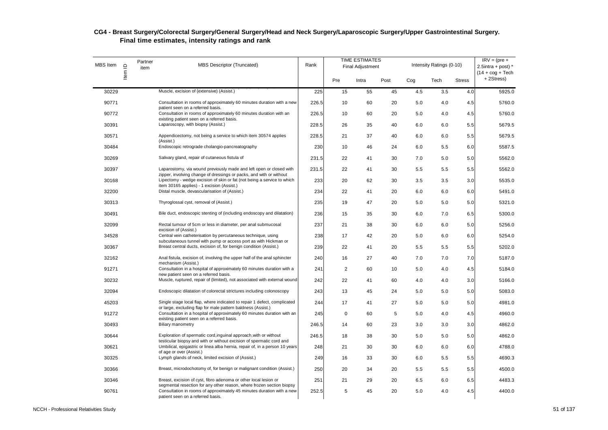| MBS Item | Item ID | Partner<br>item | MBS Descriptor (Truncated)                                                                                                                                                                   | Rank  |           | <b>TIME ESTIMATES</b><br><b>Final Adjustment</b> |      |     | Intensity Ratings (0-10) |               | $IRV = (pre +$<br>2.5intra + post) $*$<br>$(14 + \text{cog} + \text{Techn})$ |
|----------|---------|-----------------|----------------------------------------------------------------------------------------------------------------------------------------------------------------------------------------------|-------|-----------|--------------------------------------------------|------|-----|--------------------------|---------------|------------------------------------------------------------------------------|
|          |         |                 |                                                                                                                                                                                              |       | Pre       | Intra                                            | Post | Coq | Tech                     | <b>Stress</b> | +2Stress)                                                                    |
| 30229    |         |                 | Muscle, excision of (extensive) (Assist.)                                                                                                                                                    | 225   | 15        | 55                                               | 45   | 4.5 | 3.5                      | 4.0           | 5925.0                                                                       |
| 90771    |         |                 | Consultation in rooms of approximately 60 minutes duration with a new<br>patient seen on a referred basis.                                                                                   | 226.5 | 10        | 60                                               | 20   | 5.0 | 4.0                      | 4.5           | 5760.0                                                                       |
| 90772    |         |                 | Consultation in rooms of approximately 60 minutes duration with an                                                                                                                           | 226.5 | 10        | 60                                               | 20   | 5.0 | 4.0                      | 4.5           | 5760.0                                                                       |
| 30391    |         |                 | existing patient seen on a referred basis.<br>Laparoscopy, with biopsy (Assist.)                                                                                                             | 228.5 | 26        | 35                                               | 40   | 6.0 | 6.0                      | 5.5           | 5679.5                                                                       |
| 30571    |         |                 | Appendicectomy, not being a service to which item 30574 applies<br>(Assist.)                                                                                                                 | 228.5 | 21        | 37                                               | 40   | 6.0 | 6.0                      | 5.5           | 5679.5                                                                       |
| 30484    |         |                 | Endoscopic retrograde cholangio-pancreatography                                                                                                                                              | 230   | 10        | 46                                               | 24   | 6.0 | 5.5                      | 6.0           | 5587.5                                                                       |
| 30269    |         |                 | Salivary gland, repair of cutaneous fistula of                                                                                                                                               | 231.5 | 22        | 41                                               | 30   | 7.0 | 5.0                      | 5.0           | 5562.0                                                                       |
| 30397    |         |                 | Laparostomy, via wound previously made and left open or closed with                                                                                                                          | 231.5 | 22        | 41                                               | 30   | 5.5 | 5.5                      | 5.5           | 5562.0                                                                       |
| 30168    |         |                 | zipper, involving change of dressings or packs, and with or without<br>Lipectomy - wedge excision of skin or fat (not being a service to which<br>item 30165 applies) - 1 excision (Assist.) | 233   | 20        | 62                                               | 30   | 3.5 | 3.5                      | 3.0           | 5535.0                                                                       |
| 32200    |         |                 | Distal muscle, devascularisation of (Assist.)                                                                                                                                                | 234   | 22        | 41                                               | 20   | 6.0 | 6.0                      | 6.0           | 5491.0                                                                       |
| 30313    |         |                 | Thyroglossal cyst, removal of (Assist.)                                                                                                                                                      | 235   | 19        | 47                                               | 20   | 5.0 | 5.0                      | 5.0           | 5321.0                                                                       |
| 30491    |         |                 | Bile duct, endoscopic stenting of (including endoscopy and dilatation)                                                                                                                       | 236   | 15        | 35                                               | 30   | 6.0 | 7.0                      | 6.5           | 5300.0                                                                       |
| 32099    |         |                 | Rectal tumour of 5cm or less in diameter, per anal submucosal<br>excision of (Assist.)                                                                                                       | 237   | 21        | 38                                               | 30   | 6.0 | 6.0                      | 5.0           | 5256.0                                                                       |
| 34528    |         |                 | Central vein catheterisation by percutaneous technique, using                                                                                                                                | 238   | 17        | 42                                               | 20   | 5.0 | 6.0                      | 6.0           | 5254.0                                                                       |
| 30367    |         |                 | subcutaneous tunnel with pump or access port as with Hickman or<br>Breast central ducts, excision of, for benign condition (Assist.)                                                         | 239   | 22        | 41                                               | 20   | 5.5 | 5.5                      | 5.5           | 5202.0                                                                       |
| 32162    |         |                 | Anal fistula, excision of, involving the upper half of the anal sphincter<br>mechanism (Assist.)                                                                                             | 240   | 16        | 27                                               | 40   | 7.0 | 7.0                      | 7.0           | 5187.0                                                                       |
| 91271    |         |                 | Consultation in a hospital of approximately 60 minutes duration with a                                                                                                                       | 241   | 2         | 60                                               | 10   | 5.0 | 4.0                      | 4.5           | 5184.0                                                                       |
| 30232    |         |                 | new patient seen on a referred basis.<br>Muscle, ruptured, repair of (limited), not associated with external wound                                                                           | 242   | 22        | 41                                               | 60   | 4.0 | 4.0                      | 3.0           | 5166.0                                                                       |
| 32094    |         |                 | Endoscopic dilatation of colorectal strictures including colonoscopy                                                                                                                         | 243   | 13        | 45                                               | 24   | 5.0 | 5.0                      | 5.0           | 5083.0                                                                       |
| 45203    |         |                 | Single stage local flap, where indicated to repair 1 defect, complicated<br>or large, excluding flap for male pattern baldness (Assist.)                                                     | 244   | 17        | 41                                               | 27   | 5.0 | 5.0                      | 5.0           | 4981.0                                                                       |
| 91272    |         |                 | Consultation in a hospital of approximately 60 minutes duration with an<br>existing patient seen on a referred basis.                                                                        | 245   | $\pmb{0}$ | 60                                               | 5    | 5.0 | 4.0                      | 4.5           | 4960.0                                                                       |
| 30493    |         |                 | Biliary manometry                                                                                                                                                                            | 246.5 | 14        | 60                                               | 23   | 3.0 | 3.0                      | 3.0           | 4862.0                                                                       |
| 30644    |         |                 | Exploration of spermatic cord, inguinal approach, with or without<br>testicular biopsy and with or without excision of spermatic cord and                                                    | 246.5 | 18        | 38                                               | 30   | 5.0 | 5.0                      | 5.0           | 4862.0                                                                       |
| 30621    |         |                 | Umbilical, epigastric or linea alba hernia, repair of, in a person 10 years<br>of age or over (Assist.)                                                                                      | 248   | 21        | 30                                               | 30   | 6.0 | 6.0                      | 6.0           | 4788.0                                                                       |
| 30325    |         |                 | Lymph glands of neck, limited excision of (Assist.)                                                                                                                                          | 249   | 16        | 33                                               | 30   | 6.0 | 5.5                      | 5.5           | 4690.3                                                                       |
| 30366    |         |                 | Breast, microdochotomy of, for benign or malignant condition (Assist.)                                                                                                                       | 250   | 20        | 34                                               | 20   | 5.5 | 5.5                      | 5.5           | 4500.0                                                                       |
| 30346    |         |                 | Breast, excision of cyst, fibro adenoma or other local lesion or                                                                                                                             | 251   | 21        | 29                                               | 20   | 6.5 | 6.0                      | 6.5           | 4483.3                                                                       |
| 90761    |         |                 | segmental resection for any other reason, where frozen section biopsy<br>Consultation in rooms of approximately 45 minutes duration with a new<br>patient seen on a referred basis.          | 252.5 | 5         | 45                                               | 20   | 5.0 | 4.0                      | 4.5           | 4400.0                                                                       |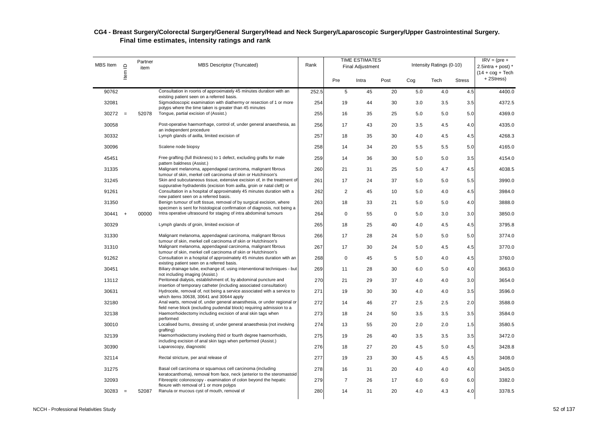#### $MBS$  Item  $\theta$  Partner MBS Descriptor (Truncated) Rank TIME ESTIMATES Final Adjustment Intensity Ratings (0-10) Pre Intra Post Cog Tech Stress 30562 Item MBS Descriptor (Truncated)<br>30762 Consultation in rooms of approximately 45 minutes duration with an 252.5 5 45 20 5.0 4.0 4.5 4400.0  $IRV = (pre +$  $2.5$ intra + post)  $*$  $(14 + \cos + \text{Techn})$ + 2Stress) 90762 Consultation in rooms of approximately 45 minutes duration with an existing patient seen on a referred basis. 252.5 5 45 20 5.0 4.0 4.5 4400.0 32081 Sigmoidoscopic examination with diathermy or resection of 1 or more polyps where the time taken is greater than 45 minutes 254 19 44 30 3.0 3.5 3.5 4372.5 30272 = 52078 Tongue, partial excision of (Assist.) 255 16 35 25 5.0 5.0 5.0 4369.0 30058 Post-operative haemorrhage, control of, under general anaesthesia, as an independent procedure 256 17 43 20 3.5 4.5 4.0 4335.0 30332 Lymph glands of axilla, limited excision of 257 18 35 30 4.0 4.5 4.5 4268.3 30096 Scalene node biopsy 258 14 34 20 5.5 5.5 5.0 4165.0 45451 Free grafting (full thickness) to 1 defect, excluding grafts for male pattern baldness (Assist.) 259 14 36 30 5.0 5.0 3.5 4154.0 31335 Malignant melanoma, appendageal carcinoma, malignant fibrous tumour of skin, merkel cell carcinoma of skin or Hutchinson's 260 21 31 25 5.0 4.7 4.5 4038.5 31245 Skin and subcutaneous tissue, extensive excision of, in the treatment of suppurative hydradenitis (excision from axilla, groin or natal cleft) or 261 17 24 37 5.0 5.0 5.5 3990.0 91261 Consultation in a hospital of approximately 45 minutes duration with a new patient seen on a referred basis. 262 2 45 10 5.0 4.0 4.5 3984.0 31350 Benign tumour of soft tissue, removal of by surgical excision, where specimen is sent for histological confirmation of diagnosis, not being a 263 18 33 21 5.0 5.0 4.0 3888.0 30441 + 00000 Intra operative ultrasound for staging of intra abdominal tumours 264 0 55 0 5.0 3.0 3.0 3850.0 30329 Lymph glands of groin, limited excision of 265 18 25 40 4.0 4.5 4.5 3795.8 31330 Malignant melanoma, appendageal carcinoma, malignant fibrous tumour of skin, merkel cell carcinoma of skin or Hutchinson's 266 17 28 24 5.0 5.0 5.0 3774.0 31310 Malignant melanoma, appendageal carcinoma, malignant fibrous tumour of skin, merkel cell carcinoma of skin or Hutchinson's 267 17 30 24 5.0 4.5 4.5 3770.0 91262 Consultation in a hospital of approximately 45 minutes duration with an existing patient seen on a referred basis. 268 0 45 5 5.0 4.0 4.5 3760.0 30451 Biliary drainage tube, exchange of, using interventional techniques - but not including imaging (Assist.) 269 11 28 30 6.0 5.0 4.0 3663.0 13112 Peritoneal dialysis, establishment of, by abdominal puncture and insertion of temporary catheter (including associated consultation) 270 21 29 37 4.0 4.0 3.0 3654.0 30631 Hydrocele, removal of, not being a service associated with a service to which items 30638, 30641 and 30644 apply 271 19 30 30 4.0 4.0 3.5 3596.0 32180 Anal warts, removal of, under general anaesthesia, or under regional or field nerve block (excluding pudendal block) requiring admission to a 272 14 46 27 2.5 2.5 2.0 3588.0 32138 Haemorrhoidectomy including excision of anal skin tags when performed 273 18 24 50 3.5 3.5 3.5 3584.0 30010 Localised burns, dressing of, under general anaesthesia (not involving grafting) 274 13 55 20 2.0 2.0 1.5 3580.5 32139 Haemorrhoidectomy involving third or fourth degree haemorrhoids, including excision of anal skin tags when performed (Assist.) 275 19 26 40 3.5 3.5 3.5 3472.0 30390 Laparoscopy, diagnostic 276 18 27 20 4.5 5.0 4.5 3428.8 32114 Rectal stricture, per anal release of 277 19 23 30 4.5 4.5 4.5 3408.0 31275 Basal cell carcinoma or squamous cell carcinoma (including keratocanthoma), removal from face, neck (anterior to the steromastoid 278 16 31 20 4.0 4.0 4.0 3405.0 32093 Fibreoptic colonoscopy - examination of colon beyond the hepatic flexure with removal of 1 or more polyps 279 7 26 17 6.0 6.0 6.0 3382.0 30283 = 52087 Ranula or mucous cyst of mouth, removal of 280 14 31 20 4.0 4.3 4.0 3378.5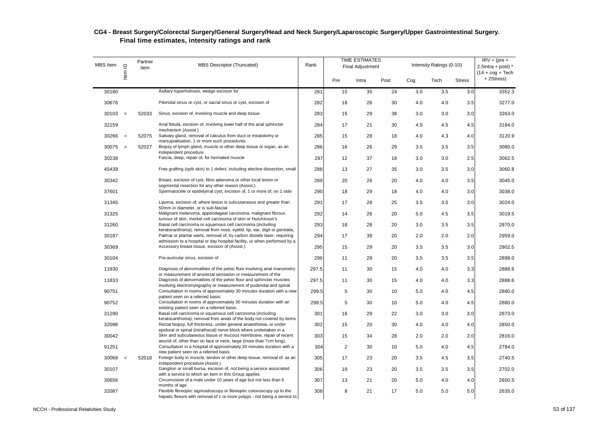| <b>MBS</b> Item | $\supseteq$<br>ltem | Partner<br>item | <b>MBS Descriptor (Truncated)</b>                                                                                                                                   | Rank  | <b>TIME ESTIMATES</b><br><b>Final Adjustment</b> |       |      |     | Intensity Ratings (0-10) |               | $IRV = (pre +$<br>2.5intra + post) $*$<br>$(14 + \cos + \text{Techn})$ |
|-----------------|---------------------|-----------------|---------------------------------------------------------------------------------------------------------------------------------------------------------------------|-------|--------------------------------------------------|-------|------|-----|--------------------------|---------------|------------------------------------------------------------------------|
|                 |                     |                 |                                                                                                                                                                     |       | Pre                                              | Intra | Post | Cog | Tech                     | <b>Stress</b> | +2Stress)                                                              |
| 30180           |                     |                 | Axillary hyperhidrosis, wedge excision for                                                                                                                          | 281   | 15                                               | 35    | 24   | 3.0 | 3.5                      | 3.0           | 3352.3                                                                 |
| 30676           |                     |                 | Pilonidal sinus or cyst, or sacral sinus or cyst, excision of                                                                                                       | 282   | 18                                               | 26    | 30   | 4.0 | 4.0                      | 3.5           | 3277.0                                                                 |
| 30103           | $=$                 | 52033           | Sinus, excision of, involving muscle and deep tissue                                                                                                                | 283   | 15                                               | 29    | 38   | 3.0 | 3.0                      | 3.0           | 3263.0                                                                 |
| 32159           |                     |                 | Anal fistula, excision of, involving lower half of the anal sphincter<br>mechanism (Assist.)                                                                        | 284   | 17                                               | 21    | 30   | 4.5 | 4.5                      | 4.5           | 3184.0                                                                 |
| 30266           | $=$                 | 52075           | Salivary gland, removal of calculus from duct or meatotomy or                                                                                                       | 285   | 15                                               | 28    | 18   | 4.0 | 4.3                      | 4.0           | 3120.9                                                                 |
| 30075           | $=$                 | 52027           | marsupialisation, 1 or more such procedures<br>Biopsy of lymph gland, muscle or other deep tissue or organ, as an                                                   | 286   | 16                                               | 26    | 29   | 3.5 | 3.5                      | 3.5           | 3080.0                                                                 |
| 30238           |                     |                 | independent procedure<br>Fascia, deep, repair of, for herniated muscle                                                                                              | 287   | 12                                               | 37    | 18   | 3.0 | 3.0                      | 2.5           | 3062.5                                                                 |
| 45439           |                     |                 | Free grafting (split skin) to 1 defect, including elective dissection, small                                                                                        | 288   | 13                                               | 27    | 35   | 3.0 | 3.5                      | 3.0           | 3060.8                                                                 |
| 30342           |                     |                 | Breast, excision of cyst, fibro adenoma or other local lesion or                                                                                                    | 289   | 20                                               | 26    | 20   | 4.0 | 4.0                      | 3.5           | 3045.0                                                                 |
| 37601           |                     |                 | segmental resection for any other reason (Assist.)<br>Spermatocele or epididymal cyst, excision of, 1 or more of, on 1 side                                         | 290   | 18                                               | 29    | 18   | 4.0 | 4.0                      | 3.0           | 3038.0                                                                 |
| 31345           |                     |                 | Lipoma, excision of, where lesion is subcutaneous and greater than                                                                                                  | 291   | 17                                               | 28    | 25   | 3.5 | 3.5                      | 3.0           | 3024.0                                                                 |
| 31325           |                     |                 | 50mm in diameter, or is sub-fascial<br>Malignant melanoma, appendageal carcinoma, malignant fibrous                                                                 | 292   | 14                                               | 26    | 20   | 5.0 | 4.5                      | 3.5           | 3019.5                                                                 |
| 31260           |                     |                 | tumour of skin, merkel cell carcinoma of skin or Hutchinson's<br>Basal cell carcinoma or squamous cell carcinoma (including                                         | 293   | 18                                               | 28    | 20   | 3.0 | 3.5                      | 3.5           | 2970.0                                                                 |
| 30187           |                     |                 | keratocanthoma), removal from nose, eyelid, lip, ear, digit or genitalia,<br>Palmar or plantar warts, removal of, by carbon dioxide laser, requiring                | 294   | 17                                               | 39    | 20   | 2.0 | 2.0                      | 2.0           | 2959.0                                                                 |
| 30369           |                     |                 | admission to a hospital or day hospital facility, or when performed by a<br>Accessory breast tissue, excision of (Assist.)                                          | 295   | 15                                               | 29    | 20   | 3.5 | 3.5                      | 3.0           | 2902.5                                                                 |
| 30104           |                     |                 | Pre-auricular sinus, excision of                                                                                                                                    | 296   | 11                                               | 29    | 20   | 3.5 | 3.5                      | 3.5           | 2898.0                                                                 |
| 11830           |                     |                 | Diagnosis of abnormalities of the pelvic floor involving anal manometry                                                                                             | 297.5 | 11                                               | 30    | 15   | 4.0 | 4.0                      | 3.3           | 2888.6                                                                 |
| 11833           |                     |                 | or measurement of anorectal sensation or measurement of the<br>Diagnosis of abnormalities of the pelvic floor and sphincter muscles                                 | 297.5 | 11                                               | 30    | 15   | 4.0 | 4.0                      | 3.3           | 2888.6                                                                 |
| 90751           |                     |                 | involving electromyography or measurement of pudendal and spinal<br>Consultation in rooms of approximately 30 minutes duration with a new                           | 299.5 | 5                                                | 30    | 10   | 5.0 | 4.0                      | 4.5           | 2880.0                                                                 |
| 90752           |                     |                 | patient seen on a referred basis.<br>Consultation in rooms of approximately 30 minutes duration with an                                                             | 299.5 | 5                                                | 30    | 10   | 5.0 | 4.0                      | 4.5           | 2880.0                                                                 |
| 31290           |                     |                 | existing patient seen on a referred basis.<br>Basal cell carcinoma or squamous cell carcinoma (including                                                            | 301   | 16                                               | 29    | 22   | 3.0 | 3.0                      | 3.0           | 2873.0                                                                 |
| 32096           |                     |                 | keratocanthoma), removal from areas of the body not covered by items<br>Rectal biopsy, full thickness, under general anaesthesia, or under                          | 302   | 15                                               | 20    | 30   | 4.0 | 4.0                      | 4.0           | 2850.0                                                                 |
| 30042           |                     |                 | epidural or spinal (intrathecal) nerve block where undertaken in a<br>Skin and subcutaneous tissue or mucous membrane, repair of recent                             | 303   | 15                                               | 34    | 28   | 2.0 | 2.0                      | 2.0           | 2816.0                                                                 |
| 91251           |                     |                 | wound of, other than on face or neck, large (more than 7cm long),<br>Consultation in a hospital of approximately 30 minutes duration with a                         | 304   | 2                                                | 30    | 10   | 5.0 | 4.0                      | 4.5           | 2784.0                                                                 |
| 30068           | $=$                 | 52018           | new patient seen on a referred basis.<br>Foreign body in muscle, tendon or other deep tissue, removal of, as an                                                     | 305   | 17                                               | 23    | 20   | 3.5 | 4.5                      | 3.5           | 2740.5                                                                 |
| 30107           |                     |                 | independent procedure (Assist.)<br>Ganglion or small bursa, excision of, not being a service associated                                                             | 306   | 19                                               | 23    | 20   | 3.5 | 3.5                      | 3.5           | 2702.0                                                                 |
| 30656           |                     |                 | with a service to which an item in this Group applies<br>Circumcision of a male under 10 years of age but not less than 6                                           | 307   | 13                                               | 21    | 20   | 5.0 | 4.0                      | 4.0           | 2650.5                                                                 |
| 32087           |                     |                 | months of age<br>Flexible fibreoptic sigmoidoscopy or fibreoptic colonoscopy up to the<br>hepatic flexure with removal of 1 or more polyps - not being a service to | 308   | 8                                                | 21    | 17   | 5.0 | 5.0                      | 5.0           | 2635.0                                                                 |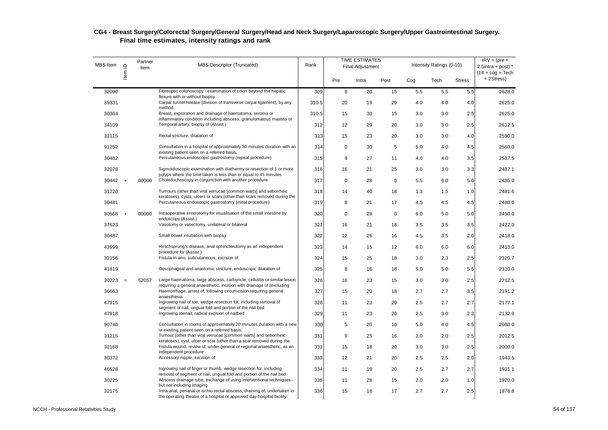| <b>MBS</b> Item | Item ID   | Partner<br>item | MBS Descriptor (Truncated)                                                                                                                                                      | Rank  |             | <b>TIME ESTIMATES</b><br><b>Final Adjustment</b> |             |     | Intensity Ratings (0-10) |               | $IRV = (pre +$<br>2.5intra + post) $*$<br>$(14 + \cos + \text{Techn})$ |
|-----------------|-----------|-----------------|---------------------------------------------------------------------------------------------------------------------------------------------------------------------------------|-------|-------------|--------------------------------------------------|-------------|-----|--------------------------|---------------|------------------------------------------------------------------------|
|                 |           |                 |                                                                                                                                                                                 |       | Pre         | Intra                                            | Post        | Cog | Tech                     | <b>Stress</b> | +2Stress)                                                              |
| 32090           |           |                 | Fibreoptic colonoscopy - examination of colon beyond the hepatic<br>flexure with or without biopsy                                                                              | 309   | 8           | 20                                               | 15          | 5.5 | 5.5                      | 5.5           | 2628.0                                                                 |
| 39331           |           |                 | Carpal tunnel release (division of transverse carpal ligament), by any<br>method                                                                                                | 310.5 | 20          | 19                                               | 20          | 4.0 | 4.0                      | 4.0           | 2625.0                                                                 |
| 30364           |           |                 | Breast, exploration and drainage of haematoma, seroma or<br>inflammatory condition including abscess, granulomatous mastitis or                                                 | 310.5 | 15          | 30                                               | 15          | 3.0 | 3.0                      | 2.5           | 2625.0                                                                 |
| 34109           |           |                 | Temporal artery, biopsy of (Assist.)                                                                                                                                            | 312   | 12          | 29                                               | 20          | 3.0 | 3.0                      | 2.5           | 2612.5                                                                 |
| 32115           |           |                 | Rectal stricture, dilatation of                                                                                                                                                 | 313   | 15          | 23                                               | 20          | 3.0 | 3.0                      | 4.0           | 2590.0                                                                 |
| 91252           |           |                 | Consultation in a hospital of approximately 30 minutes duration with an                                                                                                         | 314   | $\mathbf 0$ | 30                                               | 5           | 5.0 | 4.0                      | 4.5           | 2560.0                                                                 |
| 30482           |           |                 | existing patient seen on a referred basis.<br>Percutaneous endoscopic gastrostomy (repeat procedure)                                                                            | 315   | 9           | 27                                               | 11          | 4.0 | 4.0                      | 3.5           | 2537.5                                                                 |
| 32078           |           |                 | Sigmoidoscopic examination with diathermy or resection of 1 or more                                                                                                             | 316   | 16          | 21                                               | 25          | 3.0 | 3.0                      | 3.3           | 2487.1                                                                 |
| $30442 +$       |           | 00000           | polyps where the time taken is less than or equal to 45 minutes<br>Choledochoscopy in conjunction with another procedure                                                        | 317   | $\mathbf 0$ | 28                                               | $\mathbf 0$ | 5.5 | 6.0                      | 5.0           | 2485.0                                                                 |
| 31220           |           |                 | Tumours (other than viral verrucae [common warts] and seborrheic                                                                                                                | 318   | 14          | 40                                               | 18          | 1.3 | 1.5                      | 1.0           | 2481.6                                                                 |
| 30481           |           |                 | keratoses), cysts, ulcers or scars (other than scars removed during the<br>Percutaneous endoscopic gastrostomy (initial procedure)                                              | 319   | 8           | 21                                               | 17          | 4.5 | 4.5                      | 4.5           | 2480.0                                                                 |
| 30568           | $\ddot{}$ | 00000           | Intraoperative enterotomy for visualisation of the small intestine by                                                                                                           | 320   | 0           | 28                                               | $\mathsf 0$ | 6.0 | 5.0                      | 5.0           | 2450.0                                                                 |
| 37623           |           |                 | endoscopy (Assist.)<br>Vasotomy or vasectomy, unilateral or bilateral                                                                                                           | 321   | 16          | 21                                               | 18          | 3.5 | 3.5                      | 3.5           | 2422.0                                                                 |
| 30487           |           |                 | Small bowel intubation with biopsy                                                                                                                                              | 322   | 12          | 26                                               | 16          | 4.5 | 3.5                      | 2.0           | 2418.0                                                                 |
| 43999           |           |                 | Hirschsprung's disease, anal sphincterotomy as an independent                                                                                                                   | 323   | 14          | 15                                               | 12          | 6.0 | 6.0                      | 6.0           | 2413.0                                                                 |
| 32156           |           |                 | procedure for (Assist.)<br>Fistula-in-ano, subcutaneous, excision of                                                                                                            | 324   | 15          | 25                                               | 18          | 3.0 | 2.3                      | 2.5           | 2320.7                                                                 |
| 41819           |           |                 | Oesophageal and anastomic stricture, endoscopic dilatation of                                                                                                                   | 325   | 8           | 16                                               | 18          | 5.0 | 5.0                      | 5.5           | 2310.0                                                                 |
| 30223           | $=$       | 52057           | Large haematoma, large abscess, carbuncle, cellulitis or similar lesion                                                                                                         | 326   | 16          | 23                                               | 15          | 3.0 | 3.0                      | 2.5           | 2212.5                                                                 |
| 30663           |           |                 | requiring a general anaesthetic, incision with drainage of (excluding<br>Haemorrhage, arrest of, following circumcision requiring general                                       | 327   | 15          | 20                                               | 18          | 2.7 | 2.7                      | 3.5           | 2191.2                                                                 |
| 47915           |           |                 | anaesthesia<br>Ingrowing nail of toe, wedge resection for, including removal of                                                                                                 | 328   | 11          | 23                                               | 20          | 2.5 | 2.7                      | 2.7           | 2177.1                                                                 |
| 47918           |           |                 | segment of nail, ungual fold and portion of the nail bed<br>Ingrowing toenail, radical excision of nailbed                                                                      | 329   | 11          | 23                                               | 20          | 2.5 | 3.0                      | 2.3           | 2132.9                                                                 |
| 90740           |           |                 | Consultation in rooms of approximately 20 minutes duration with a new                                                                                                           | 330   | 5           | 20                                               | 10          | 5.0 | 4.0                      | 4.5           | 2080.0                                                                 |
| 31215           |           |                 | or existing patient seen on a referred basis.<br>Tumour (other than viral verrucae [common warts] and seborrheic                                                                | 331   | 9           | 25                                               | 16          | 2.0 | 2.0                      | 2.5           | 2012.5                                                                 |
| 32168           |           |                 | keratoses), cyst, ulcer or scar (other than a scar removed during the<br>Fistula wound, review of, under general or regional anaesthetic, as an                                 | 332   | 15          | 18                                               | 20          | 3.0 | 3.0                      | 2.5           | 2000.0                                                                 |
| 30372           |           |                 | independent procedure<br>Accessory nipple, excision of                                                                                                                          | 333   | 12          | 21                                               | 20          | 2.5 | 2.5                      | 2.0           | 1943.5                                                                 |
| 46528           |           |                 | Ingrowing nail of finger or thumb, wedge resection for, including                                                                                                               | 334   | 11          | 19                                               | 20          | 2.5 | 2.7                      | 2.7           | 1931.1                                                                 |
| 30225           |           |                 | removal of segment of nail, ungual fold and portion of the nail bed<br>Abscess drainage tube, exchange of using interventional techniques -                                     | 335   | 11          | 28                                               | 15          | 2.0 | 2.0                      | 1.0           | 1920.0                                                                 |
| 32175           |           |                 | but not including imaging<br>Intra-anal, perianal or ischio-rectal abscess, draining of, undertaken in<br>the operating theatre of a hospital or approved day-hospital facility | 336   | 15          | 18                                               | 17          | 2.7 | 2.7                      | 2.5           | 1878.8                                                                 |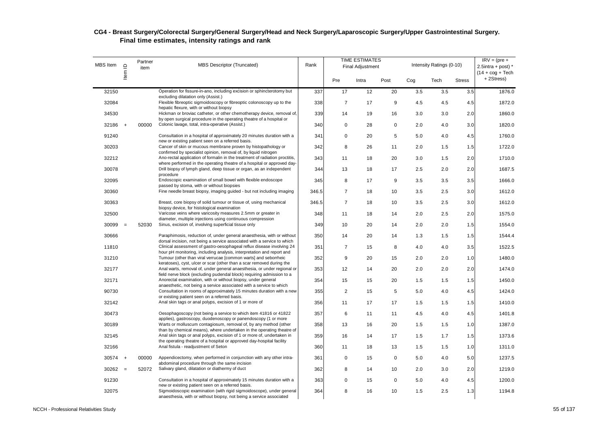| MBS Item  | Item ID  | Partner<br>item | <b>MBS Descriptor (Truncated)</b>                                                                                                                                                                                 | Rank  |                | <b>TIME ESTIMATES</b><br><b>Final Adjustment</b> |             |     | Intensity Ratings (0-10) |               | $IRV = (pre +$<br>2.5intra + post) $*$<br>$(14 + \cos + \text{Techn})$ |
|-----------|----------|-----------------|-------------------------------------------------------------------------------------------------------------------------------------------------------------------------------------------------------------------|-------|----------------|--------------------------------------------------|-------------|-----|--------------------------|---------------|------------------------------------------------------------------------|
|           |          |                 |                                                                                                                                                                                                                   |       | Pre            | Intra                                            | Post        | Cog | Tech                     | <b>Stress</b> | +2Stress)                                                              |
| 32150     |          |                 | Operation for fissure-in-ano, including excision or sphincterotomy but<br>excluding dilatation only (Assist.)                                                                                                     | 337   | 17             | 12                                               | 20          | 3.5 | 3.5                      | 3.5           | 1876.0                                                                 |
| 32084     |          |                 | Flexible fibreoptic sigmoidoscopy or fibreoptic colonoscopy up to the<br>hepatic flexure, with or without biopsy                                                                                                  | 338   | $\overline{7}$ | 17                                               | 9           | 4.5 | 4.5                      | 4.5           | 1872.0                                                                 |
| 34530     |          |                 | Hickman or broviac catheter, or other chemotherapy device, removal of,<br>by open surgical procedure in the operating theatre of a hospital or                                                                    | 339   | 14             | 19                                               | 16          | 3.0 | 3.0                      | 2.0           | 1860.0                                                                 |
| 32186     | $+$      | 00000           | Colonic lavage, total, intra-operative (Assist.)                                                                                                                                                                  | 340   | $\mathbf 0$    | 28                                               | $\mathbf 0$ | 2.0 | 4.0                      | 3.0           | 1820.0                                                                 |
| 91240     |          |                 | Consultation in a hospital of approximately 20 minutes duration with a<br>new or existing patient seen on a referred basis.                                                                                       | 341   | $\mathbf 0$    | 20                                               | 5           | 5.0 | 4.0                      | 4.5           | 1760.0                                                                 |
| 30203     |          |                 | Cancer of skin or mucous membrane proven by histopathology or<br>confirmed by specialist opinion, removal of, by liquid nitrogen                                                                                  | 342   | 8              | 26                                               | 11          | 2.0 | 1.5                      | 1.5           | 1722.0                                                                 |
| 32212     |          |                 | Ano-rectal application of formalin in the treatment of radiation proctitis,<br>where performed in the operating theatre of a hospital or approved day-                                                            | 343   | 11             | 18                                               | 20          | 3.0 | 1.5                      | 2.0           | 1710.0                                                                 |
| 30078     |          |                 | Drill biopsy of lymph gland, deep tissue or organ, as an independent<br>procedure                                                                                                                                 | 344   | 13             | 18                                               | 17          | 2.5 | 2.0                      | 2.0           | 1687.5                                                                 |
| 32095     |          |                 | Endoscopic examination of small bowel with flexible endoscope<br>passed by stoma, with or without biopsies                                                                                                        | 345   | 8              | 17                                               | 9           | 3.5 | 3.5                      | 3.5           | 1666.0                                                                 |
| 30360     |          |                 | Fine needle breast biopsy, imaging guided - but not including imaging                                                                                                                                             | 346.5 | $\overline{7}$ | 18                                               | 10          | 3.5 | 2.5                      | 3.0           | 1612.0                                                                 |
| 30363     |          |                 | Breast, core biopsy of solid tumour or tissue of, using mechanical<br>biopsy device, for histological examination                                                                                                 | 346.5 | $\overline{7}$ | 18                                               | 10          | 3.5 | 2.5                      | 3.0           | 1612.0                                                                 |
| 32500     |          |                 | Varicose veins where varicosity measures 2.5mm or greater in<br>diameter, multiple injections using continuous compression                                                                                        | 348   | 11             | 18                                               | 14          | 2.0 | 2.5                      | 2.0           | 1575.0                                                                 |
| 30099     | $\equiv$ | 52030           | Sinus, excision of, involving superficial tissue only                                                                                                                                                             | 349   | 10             | 20                                               | 14          | 2.0 | 2.0                      | 1.5           | 1554.0                                                                 |
| 30666     |          |                 | Paraphimosis, reduction of, under general anaesthesia, with or without<br>dorsal incision, not being a service associated with a service to which                                                                 | 350   | 14             | 20                                               | 14          | 1.3 | 1.5                      | 1.5           | 1544.4                                                                 |
| 11810     |          |                 | Clinical assessment of gastro-oesophageal reflux disease involving 24                                                                                                                                             | 351   | $\overline{7}$ | 15                                               | 8           | 4.0 | 4.0                      | 3.5           | 1522.5                                                                 |
| 31210     |          |                 | hour pH monitoring, including analysis, interpretation and report and<br>Tumour (other than viral verrucae [common warts] and seborrheic<br>keratoses), cyst, ulcer or scar (other than a scar removed during the | 352   | 9              | 20                                               | 15          | 2.0 | 2.0                      | 1.0           | 1480.0                                                                 |
| 32177     |          |                 | Anal warts, removal of, under general anaesthesia, or under regional or                                                                                                                                           | 353   | 12             | 14                                               | 20          | 2.0 | 2.0                      | 2.0           | 1474.0                                                                 |
| 32171     |          |                 | field nerve block (excluding pudendal block) requiring admission to a<br>Anorectal examination, with or without biopsy, under general                                                                             | 354   | 15             | 15                                               | 20          | 1.5 | 1.5                      | 1.5           | 1450.0                                                                 |
| 90730     |          |                 | anaesthetic, not being a service associated with a service to which<br>Consultation in rooms of approximately 15 minutes duration with a new<br>or existing patient seen on a referred basis.                     | 355   | 2              | 15                                               | 5           | 5.0 | 4.0                      | 4.5           | 1424.0                                                                 |
| 32142     |          |                 | Anal skin tags or anal polyps, excision of 1 or more of                                                                                                                                                           | 356   | 11             | 17                                               | 17          | 1.5 | 1.5                      | 1.5           | 1410.0                                                                 |
| 30473     |          |                 | Oesophagoscopy (not being a service to which item 41816 or 41822<br>applies), gastroscopy, duodenoscopy or panendoscopy (1 or more                                                                                | 357   | 6              | 11                                               | 11          | 4.5 | 4.0                      | 4.5           | 1401.8                                                                 |
| 30189     |          |                 | Warts or molluscum contagiosum, removal of, by any method (other<br>than by chemical means), where undertaken in the operating theatre of                                                                         | 358   | 13             | 16                                               | 20          | 1.5 | 1.5                      | 1.0           | 1387.0                                                                 |
| 32145     |          |                 | Anal skin tags or anal polyps, excision of 1 or more of, undertaken in<br>the operating theatre of a hospital or approved day-hospital facility                                                                   | 359   | 16             | 14                                               | 17          | 1.5 | 1.7                      | 1.5           | 1373.6                                                                 |
| 32166     |          |                 | Anal fistula - readjustment of Seton                                                                                                                                                                              | 360   | 11             | 18                                               | 13          | 1.5 | 1.5                      | 1.0           | 1311.0                                                                 |
| $30574 +$ |          | 00000           | Appendicectomy, when performed in conjunction with any other intra-<br>abdominal procedure through the same incision                                                                                              | 361   | $\mathsf 0$    | 15                                               | $\mathbf 0$ | 5.0 | 4.0                      | 5.0           | 1237.5                                                                 |
| $30262 =$ |          | 52072           | Salivary gland, dilatation or diathermy of duct                                                                                                                                                                   | 362   | 8              | 14                                               | 10          | 2.0 | 3.0                      | 2.0           | 1219.0                                                                 |
| 91230     |          |                 | Consultation in a hospital of approximately 15 minutes duration with a<br>new or existing patient seen on a referred basis.                                                                                       | 363   | $\mathbf 0$    | 15                                               | $\mathbf 0$ | 5.0 | 4.0                      | 4.5           | 1200.0                                                                 |
| 32075     |          |                 | Sigmoidoscopic examination (with rigid sigmoidoscope), under general<br>anaesthesia, with or without biopsy, not being a service associated                                                                       | 364   | 8              | 16                                               | 10          | 1.5 | 2.5                      | 1.3           | 1194.8                                                                 |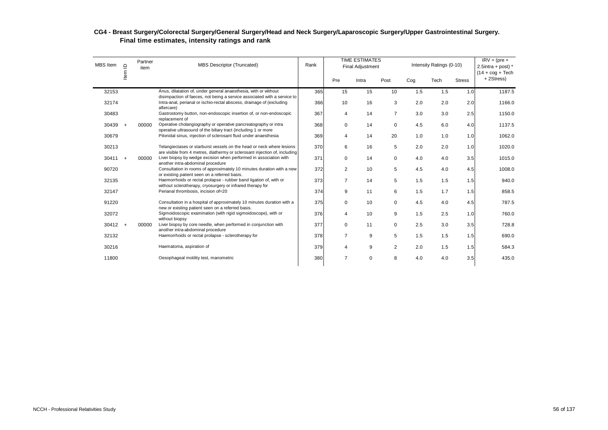| MBS Item | Partner<br><b>MBS Descriptor (Truncated)</b><br>$\supseteq$<br>item<br>ltem |       |                                                                                                                                                     |     |                | <b>TIME ESTIMATES</b><br><b>Final Adjustment</b> |                |                 | Intensity Ratings (0-10) |               | $IRV = (pre +$<br>2.5intra + post) $*$<br>$(14 + \text{cog} + \text{Techn})$ |
|----------|-----------------------------------------------------------------------------|-------|-----------------------------------------------------------------------------------------------------------------------------------------------------|-----|----------------|--------------------------------------------------|----------------|-----------------|--------------------------|---------------|------------------------------------------------------------------------------|
|          |                                                                             |       |                                                                                                                                                     |     | Pre            | Intra                                            | Post           | Co <sub>g</sub> | Tech                     | <b>Stress</b> | +2Stress)                                                                    |
| 32153    |                                                                             |       | Anus, dilatation of, under general anaesthesia, with or without<br>disimpaction of faeces, not being a service associated with a service to         | 365 | 15             | 15                                               | 10             | 1.5             | 1.5                      | 1.0           | 1187.5                                                                       |
| 32174    |                                                                             |       | Intra-anal, perianal or ischio-rectal abscess, drainage of (excluding<br>aftercare)                                                                 | 366 | 10             | 16                                               | 3              | 2.0             | 2.0                      | 2.0           | 1166.0                                                                       |
| 30483    |                                                                             |       | Gastrostomy button, non-endoscopic insertion of, or non-endoscopic<br>replacement of                                                                | 367 | $\overline{4}$ | 14                                               | $\overline{7}$ | 3.0             | 3.0                      | 2.5           | 1150.0                                                                       |
| 30439    | $^{+}$                                                                      | 00000 | Operative cholangiography or operative pancreatography or intra<br>operative ultrasound of the biliary tract (including 1 or more                   | 368 | 0              | 14                                               | $\mathbf 0$    | 4.5             | 6.0                      | 4.0           | 1137.5                                                                       |
| 30679    |                                                                             |       | Pilonidal sinus, injection of sclerosant fluid under anaesthesia                                                                                    | 369 | 4              | 14                                               | 20             | 1.0             | 1.0                      | 1.0           | 1062.0                                                                       |
| 30213    |                                                                             |       | Telangiectases or starburst vessels on the head or neck where lesions<br>are visible from 4 metres, diathermy or sclerosant injection of, including | 370 | 6              | 16                                               | 5              | 2.0             | 2.0                      | 1.0           | 1020.0                                                                       |
| 30411    | $\overline{+}$                                                              | 00000 | Liver biopsy by wedge excision when performed in association with<br>another intra-abdominal procedure                                              | 371 | $\mathbf 0$    | 14                                               | $\mathbf 0$    | 4.0             | 4.0                      | 3.5           | 1015.0                                                                       |
| 90720    |                                                                             |       | Consultation in rooms of approximately 10 minutes duration with a new<br>or existing patient seen on a referred basis.                              | 372 | 2              | 10                                               | 5              | 4.5             | 4.0                      | 4.5           | 1008.0                                                                       |
| 32135    |                                                                             |       | Haemorrhoids or rectal prolapse - rubber band ligation of, with or<br>without sclerotherapy, cryosurgery or infrared therapy for                    | 373 | $\overline{7}$ | 14                                               | 5              | 1.5             | 1.5                      | 1.5           | 940.0                                                                        |
| 32147    |                                                                             |       | Perianal thrombosis, incision of=20                                                                                                                 | 374 | 9              | 11                                               | 6              | 1.5             | 1.7                      | 1.5           | 858.5                                                                        |
| 91220    |                                                                             |       | Consultation in a hospital of approximately 10 minutes duration with a<br>new or existing patient seen on a referred basis.                         | 375 | $\mathbf 0$    | 10                                               | 0              | 4.5             | 4.0                      | 4.5           | 787.5                                                                        |
| 32072    |                                                                             |       | Sigmoidoscopic examination (with rigid sigmoidoscope), with or<br>without biopsy                                                                    | 376 | 4              | 10                                               | $9\,$          | 1.5             | 2.5                      | 1.0           | 760.0                                                                        |
| 30412    | $^{+}$                                                                      | 00000 | Liver biopsy by core needle, when performed in conjunction with<br>another intra-abdominal procedure                                                | 377 | $\mathbf 0$    | 11                                               | $\mathsf 0$    | 2.5             | 3.0                      | 3.5           | 728.8                                                                        |
| 32132    |                                                                             |       | Haemorrhoids or rectal prolapse - sclerotherapy for                                                                                                 | 378 | $\overline{7}$ | 9                                                | 5              | 1.5             | 1.5                      | 1.5           | 690.0                                                                        |
| 30216    |                                                                             |       | Haematoma, aspiration of                                                                                                                            | 379 | 4              | 9                                                | 2              | 2.0             | 1.5                      | 1.5           | 584.3                                                                        |
| 11800    |                                                                             |       | Oesophageal motility test, manometric                                                                                                               | 380 | $\overline{7}$ | $\mathbf 0$                                      | 8              | 4.0             | 4.0                      | 3.5           | 435.0                                                                        |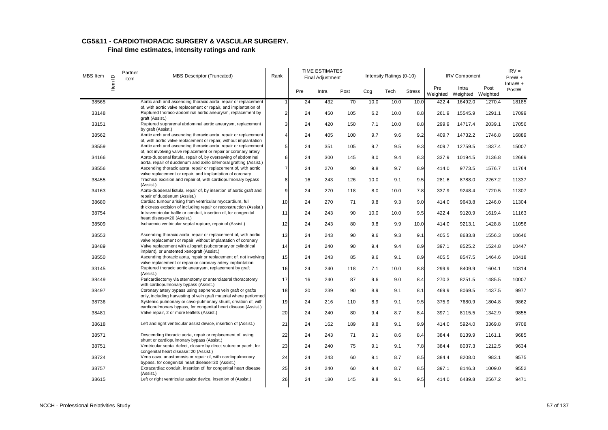| MBS Item | $\supseteq$ | Partner<br>item | <b>MBS Descriptor (Truncated)</b>                                                                                                    | Rank           |     | <b>TIME ESTIMATES</b><br><b>Final Adjustment</b> |      |      | Intensity Ratings (0-10) |               |                 | <b>IRV Component</b> |                  | $IRV =$<br>PreW +<br>IntraW $+$ |
|----------|-------------|-----------------|--------------------------------------------------------------------------------------------------------------------------------------|----------------|-----|--------------------------------------------------|------|------|--------------------------|---------------|-----------------|----------------------|------------------|---------------------------------|
|          | Item        |                 |                                                                                                                                      |                | Pre | Intra                                            | Post | Cog  | Tech                     | <b>Stress</b> | Pre<br>Weighted | Intra<br>Weighted    | Post<br>Weighted | PostW                           |
| 38565    |             |                 | Aortic arch and ascending thoracic aorta, repair or replacement<br>of, with aortic valve replacement or repair, and implantation of  | $\mathbf{1}$   | 24  | 432                                              | 70   | 10.0 | 10.0                     | 10.0          | 422.4           | 16492.0              | 1270.4           | 18185                           |
| 33148    |             |                 | Ruptured thoraco-abdominal aortic aneurysm, replacement by<br>graft (Assist.)                                                        | $\overline{2}$ | 24  | 450                                              | 105  | 6.2  | 10.0                     | 8.8           | 261.9           | 15545.9              | 1291.1           | 17099                           |
| 33151    |             |                 | Ruptured suprarenal abdominal aortic aneurysm, replacement<br>by graft (Assist.)                                                     | 3              | 24  | 420                                              | 150  | 7.1  | 10.0                     | 8.8           | 299.9           | 14717.4              | 2039.1           | 17056                           |
| 38562    |             |                 | Aortic arch and ascending thoracic aorta, repair or replacement<br>of, with aortic valve replacement or repair, without implantation | $\overline{4}$ | 24  | 405                                              | 100  | 9.7  | 9.6                      | 9.2           | 409.7           | 14732.2              | 1746.8           | 16889                           |
| 38559    |             |                 | Aortic arch and ascending thoracic aorta, repair or replacement<br>of, not involving valve replacement or repair or coronary artery  | 5              | 24  | 351                                              | 105  | 9.7  | 9.5                      | 9.3           | 409.7           | 12759.5              | 1837.4           | 15007                           |
| 34166    |             |                 | Aorto-duodenal fistula, repair of, by oversewing of abdominal<br>aorta, repair of duodenum and axillo bifemoral grafting (Assist.)   | 6              | 24  | 300                                              | 145  | 8.0  | 9.4                      | 8.3           | 337.9           | 10194.5              | 2136.8           | 12669                           |
| 38556    |             |                 | Ascending thoracic aorta, repair or replacement of, with aortic<br>valve replacement or repair, and implantation of coronary         | $\overline{7}$ | 24  | 270                                              | 90   | 9.8  | 9.7                      | 8.9           | 414.0           | 9773.5               | 1576.7           | 11764                           |
| 38455    |             |                 | Tracheal excision and repair of, with cardiopulmonary bypass<br>(Assist.)                                                            | 8              | 16  | 243                                              | 126  | 10.0 | 9.1                      | 9.5           | 281.6           | 8788.0               | 2267.2           | 11337                           |
| 34163    |             |                 | Aorto-duodenal fistula, repair of, by insertion of aortic graft and<br>repair of duodenum (Assist.)                                  | 9              | 24  | 270                                              | 118  | 8.0  | 10.0                     | 7.8           | 337.9           | 9248.4               | 1720.5           | 11307                           |
| 38680    |             |                 | Cardiac tumour arising from ventricular myocardium, full<br>thickness excision of including repair or reconstruction (Assist.)       | 10             | 24  | 270                                              | 71   | 9.8  | 9.3                      | 9.0           | 414.0           | 9643.8               | 1246.0           | 11304                           |
| 38754    |             |                 | Intraventricular baffle or conduit, insertion of, for congenital<br>heart disease=20 (Assist.)                                       | 11             | 24  | 243                                              | 90   | 10.0 | 10.0                     | 9.5           | 422.4           | 9120.9               | 1619.4           | 11163                           |
| 38509    |             |                 | Ischaemic ventricular septal rupture, repair of (Assist.)                                                                            | 12             | 24  | 243                                              | 80   | 9.8  | 9.9                      | 10.0          | 414.0           | 9213.1               | 1428.8           | 11056                           |
| 38553    |             |                 | Ascending thoracic aorta, repair or replacement of, with aortic<br>valve replacement or repair, without implantation of coronary     | 13             | 24  | 243                                              | 90   | 9.6  | 9.3                      | 9.1           | 405.5           | 8683.8               | 1556.3           | 10646                           |
| 38489    |             |                 | Valve replacement with allograft (subcoronary or cylindrical<br>implant), or unstented xenograft (Assist.)                           | 14             | 24  | 240                                              | 90   | 9.4  | 9.4                      | 8.9           | 397.1           | 8525.2               | 1524.8           | 10447                           |
| 38550    |             |                 | Ascending thoracic aorta, repair or replacement of, not involving<br>valve replacement or repair or coronary artery implantation     | 15             | 24  | 243                                              | 85   | 9.6  | 9.1                      | 8.9           | 405.5           | 8547.5               | 1464.6           | 10418                           |
| 33145    |             |                 | Ruptured thoracic aortic aneurysm, replacement by graft<br>(Assist.)                                                                 | 16             | 24  | 240                                              | 118  | 7.1  | 10.0                     | 8.8           | 299.9           | 8409.9               | 1604.1           | 10314                           |
| 38449    |             |                 | Pericardiectomy via sternotomy or anterolateral thoracotomy<br>with cardiopulmonary bypass (Assist.)                                 | 17             | 16  | 240                                              | 87   | 9.6  | 9.0                      | 8.4           | 270.3           | 8251.5               | 1485.5           | 10007                           |
| 38497    |             |                 | Coronary artery bypass using saphenous vein graft or grafts<br>only, including harvesting of vein graft material where performed     | 18             | 30  | 239                                              | 90   | 8.9  | 9.1                      | 8.1           | 469.9           | 8069.5               | 1437.5           | 9977                            |
| 38736    |             |                 | Systemic pulmonary or cavo-pulmonary shunt, creation of, with<br>cardiopulmonary bypass, for congenital heart disease (Assist.)      | 19             | 24  | 216                                              | 110  | 8.9  | 9.1                      | 9.5           | 375.9           | 7680.9               | 1804.8           | 9862                            |
| 38481    |             |                 | Valve repair, 2 or more leaflets (Assist.)                                                                                           | 20             | 24  | 240                                              | 80   | 9.4  | 8.7                      | 8.4           | 397.1           | 8115.5               | 1342.9           | 9855                            |
| 38618    |             |                 | Left and right ventricular assist device, insertion of (Assist.)                                                                     | 21             | 24  | 162                                              | 189  | 9.8  | 9.1                      | 9.9           | 414.0           | 5924.0               | 3369.8           | 9708                            |
| 38571    |             |                 | Descending thoracic aorta, repair or replacement of, using<br>shunt or cardiopulmonary bypass (Assist.)                              | 22             | 24  | 243                                              | 71   | 9.1  | 8.6                      | 8.4           | 384.4           | 8139.9               | 1161.1           | 9685                            |
| 38751    |             |                 | Ventricular septal defect, closure by direct suture or patch, for<br>congenital heart disease=20 (Assist.)                           | 23             | 24  | 240                                              | 75   | 9.1  | 9.1                      | 7.8           | 384.4           | 8037.3               | 1212.5           | 9634                            |
| 38724    |             |                 | Vena cava, anastomosis or repair of, with cardiopulmonary<br>bypass, for congenital heart disease=20 (Assist.)                       | 24             | 24  | 243                                              | 60   | 9.1  | 8.7                      | 8.5           | 384.4           | 8208.0               | 983.1            | 9575                            |
| 38757    |             |                 | Extracardiac conduit, insertion of, for congenital heart disease<br>(Assist.)                                                        | 25             | 24  | 240                                              | 60   | 9.4  | 8.7                      | 8.5           | 397.1           | 8146.3               | 1009.0           | 9552                            |
| 38615    |             |                 | Left or right ventricular assist device, insertion of (Assist.)                                                                      | 26             | 24  | 180                                              | 145  | 9.8  | 9.1                      | 9.5           | 414.0           | 6489.8               | 2567.2           | 9471                            |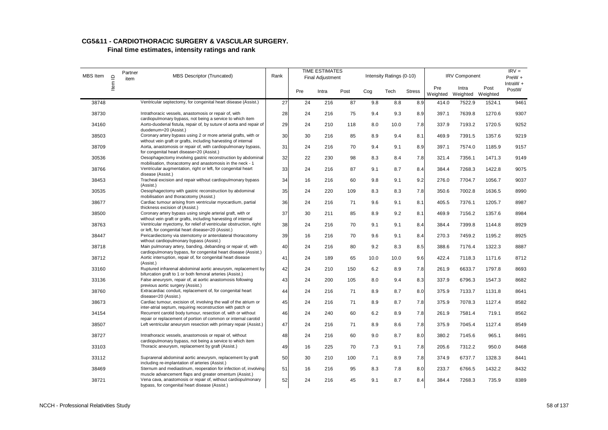| MBS Item | $\supseteq$ | Partner<br>item | <b>MBS Descriptor (Truncated)</b>                                                                                                                                        | Rank |     | <b>TIME ESTIMATES</b><br><b>Final Adjustment</b> |      |      | Intensity Ratings (0-10) |               |                 | <b>IRV Component</b>       |        | $IRV =$<br>PreW +   |
|----------|-------------|-----------------|--------------------------------------------------------------------------------------------------------------------------------------------------------------------------|------|-----|--------------------------------------------------|------|------|--------------------------|---------------|-----------------|----------------------------|--------|---------------------|
|          | Item        |                 |                                                                                                                                                                          |      | Pre | Intra                                            | Post | Cog  | Tech                     | <b>Stress</b> | Pre<br>Weighted | Intra<br>Weighted Weighted | Post   | IntraW $+$<br>PostW |
| 38748    |             |                 | Ventricular septectomy, for congenital heart disease (Assist.)                                                                                                           | 27   | 24  | 216                                              | 87   | 9.8  | 8.8                      | 8.9           | 414.0           | 7522.9                     | 1524.1 | 9461                |
| 38730    |             |                 | Intrathoracic vessels, anastomosis or repair of, with                                                                                                                    | 28   | 24  | 216                                              | 75   | 9.4  | 9.3                      | 8.9           | 397.1           | 7639.8                     | 1270.6 | 9307                |
| 34160    |             |                 | cardiopulmonary bypass, not being a service to which item<br>Aorto-duodenal fistula, repair of, by suture of aorta and repair of<br>duodenum=20 (Assist.)                | 29   | 24  | 210                                              | 118  | 8.0  | 10.0                     | 7.8           | 337.9           | 7193.2                     | 1720.5 | 9252                |
| 38503    |             |                 | Coronary artery bypass using 2 or more arterial grafts, with or<br>without vein graft or grafts, including harvesting of internal                                        | 30   | 30  | 216                                              | 85   | 8.9  | 9.4                      | 8.1           | 469.9           | 7391.5                     | 1357.6 | 9219                |
| 38709    |             |                 | Aorta, anastomosis or repair of, with cardiopulmonary bypass,<br>for congenital heart disease=20 (Assist.)                                                               | 31   | 24  | 216                                              | 70   | 9.4  | 9.1                      | 8.9           | 397.1           | 7574.0                     | 1185.9 | 9157                |
| 30536    |             |                 | Oesophagectomy involving gastric reconstruction by abdominal<br>mobilisation, thoracotomy and anastomosis in the neck - 1                                                | 32   | 22  | 230                                              | 98   | 8.3  | 8.4                      | 7.8           | 321.4           | 7356.1                     | 1471.3 | 9149                |
| 38766    |             |                 | Ventricular augmentation, right or left, for congenital heart<br>disease (Assist.)                                                                                       | 33   | 24  | 216                                              | 87   | 9.1  | 8.7                      | 8.4           | 384.4           | 7268.3                     | 1422.8 | 9075                |
| 38453    |             |                 | Tracheal excision and repair without cardiopulmonary bypass<br>(Assist.)                                                                                                 | 34   | 16  | 216                                              | 60   | 9.8  | 9.1                      | 9.2           | 276.0           | 7704.7                     | 1056.7 | 9037                |
| 30535    |             |                 | Oesophagectomy with gastric reconstruction by abdominal<br>mobilisation and thoracotomy (Assist.)                                                                        | 35   | 24  | 220                                              | 109  | 8.3  | 8.3                      | 7.8           | 350.6           | 7002.8                     | 1636.5 | 8990                |
| 38677    |             |                 | Cardiac tumour arising from ventricular myocardium, partial<br>thickness excision of (Assist.)                                                                           | 36   | 24  | 216                                              | 71   | 9.6  | 9.1                      | 8.1           | 405.5           | 7376.1                     | 1205.7 | 8987                |
| 38500    |             |                 | Coronary artery bypass using single arterial graft, with or<br>without vein graft or grafts, including harvesting of internal                                            | 37   | 30  | 211                                              | 85   | 8.9  | 9.2                      | 8.1           | 469.9           | 7156.2                     | 1357.6 | 8984                |
| 38763    |             |                 | Ventricular myectomy, for relief of ventricular obstruction, right<br>or left, for congenital heart disease=20 (Assist.)                                                 | 38   | 24  | 216                                              | 70   | 9.1  | 9.1                      | 8.4           | 384.4           | 7399.8                     | 1144.8 | 8929                |
| 38447    |             |                 | Pericardiectomy via sternotomy or anterolateral thoracotomy<br>without cardiopulmonary bypass (Assist.)                                                                  | 39   | 16  | 216                                              | 70   | 9.6  | 9.1                      | 8.4           | 270.3           | 7459.2                     | 1195.2 | 8925                |
| 38718    |             |                 | Main pulmonary artery, banding, debanding or repair of, with                                                                                                             | 40   | 24  | 216                                              | 80   | 9.2  | 8.3                      | 8.5           | 388.6           | 7176.4                     | 1322.3 | 8887                |
| 38712    |             |                 | cardiopulmonary bypass, for congenital heart disease (Assist.)<br>Aortic interruption, repair of, for congenital heart disease<br>(Assist.)                              | 41   | 24  | 189                                              | 65   | 10.0 | 10.0                     | 9.6           | 422.4           | 7118.3                     | 1171.6 | 8712                |
| 33160    |             |                 | Ruptured infrarenal abdominal aortic aneurysm, replacement by<br>bifurcation graft to 1 or both femoral arteries (Assist.)                                               | 42   | 24  | 210                                              | 150  | 6.2  | 8.9                      | 7.8           | 261.9           | 6633.7                     | 1797.8 | 8693                |
| 33136    |             |                 | False aneurysm, repair of, at aortic anastomosis following                                                                                                               | 43   | 24  | 200                                              | 105  | 8.0  | 9.4                      | 8.3           | 337.9           | 6796.3                     | 1547.3 | 8682                |
| 38760    |             |                 | previous aortic surgery (Assist.)<br>Extracardiac conduit, replacement of, for congenital heart                                                                          | 44   | 24  | 216                                              | 71   | 8.9  | 8.7                      | 8.0           | 375.9           | 7133.7                     | 1131.8 | 8641                |
| 38673    |             |                 | disease=20 (Assist.)<br>Cardiac tumour, excision of, involving the wall of the atrium or                                                                                 | 45   | 24  | 216                                              | 71   | 8.9  | 8.7                      | 7.8           | 375.9           | 7078.3                     | 1127.4 | 8582                |
| 34154    |             |                 | inter-atrial septum, requiring reconstruction with patch or<br>Recurrent carotid body tumour, resection of, with or without                                              | 46   | 24  | 240                                              | 60   | 6.2  | 8.9                      | 7.8           | 261.9           | 7581.4                     | 719.1  | 8562                |
| 38507    |             |                 | repair or replacement of portion of common or internal carotid<br>Left ventricular aneurysm resection with primary repair (Assist.)                                      | 47   | 24  | 216                                              | 71   | 8.9  | 8.6                      | 7.8           | 375.9           | 7045.4                     | 1127.4 | 8549                |
| 38727    |             |                 | Intrathoracic vessels, anastomosis or repair of, without                                                                                                                 | 48   | 24  | 216                                              | 60   | 9.0  | 8.7                      | 8.0           | 380.2           | 7145.6                     | 965.1  | 8491                |
| 33103    |             |                 | cardiopulmonary bypass, not being a service to which item<br>Thoracic aneurysm, replacement by graft (Assist.)                                                           | 49   | 16  | 225                                              | 70   | 7.3  | 9.1                      | 7.8           | 205.6           | 7312.2                     | 950.0  | 8468                |
| 33112    |             |                 | Suprarenal abdominal aortic aneurysm, replacement by graft                                                                                                               | 50   | 30  | 210                                              | 100  | 7.1  | 8.9                      | 7.8           | 374.9           | 6737.7                     | 1328.3 | 8441                |
| 38469    |             |                 | including re-implantation of arteries (Assist.)<br>Sternum and mediastinum, reoperation for infection of, involving                                                      | 51   | 16  | 216                                              | 95   | 8.3  | 7.8                      | 8.0           | 233.7           | 6766.5                     | 1432.2 | 8432                |
| 38721    |             |                 | muscle advancement flaps and greater omentum (Assist.)<br>Vena cava, anastomosis or repair of, without cardiopulmonary<br>bypass, for congenital heart disease (Assist.) | 52   | 24  | 216                                              | 45   | 9.1  | 8.7                      | 8.4           | 384.4           | 7268.3                     | 735.9  | 8389                |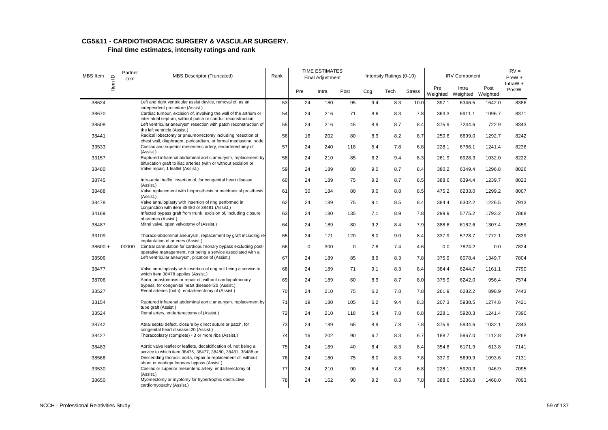| MBS Item  | $\mathbf{\underline{\underline{o}}}$ | Partner<br>item | <b>MBS Descriptor (Truncated)</b>                                                                                                 | Rank |             | <b>TIME ESTIMATES</b><br><b>Final Adjustment</b> |             |     | Intensity Ratings (0-10) |               |                 | <b>IRV Component</b>       |        | $IRV =$<br>PreW +   |
|-----------|--------------------------------------|-----------------|-----------------------------------------------------------------------------------------------------------------------------------|------|-------------|--------------------------------------------------|-------------|-----|--------------------------|---------------|-----------------|----------------------------|--------|---------------------|
|           | Item                                 |                 |                                                                                                                                   |      | Pre         | Intra                                            | Post        | Cog | Tech                     | <b>Stress</b> | Pre<br>Weighted | Intra<br>Weighted Weighted | Post   | IntraW $+$<br>PostW |
| 38624     |                                      |                 | Left and right ventricular assist device, removal of, as an<br>independent procedure (Assist.)                                    | 53   | 24          | 180                                              | 95          | 9.4 | 8.3                      | 10.0          | 397.1           | 6346.5                     | 1642.0 | 8386                |
| 38670     |                                      |                 | Cardiac tumour, excision of, involving the wall of the artrium or<br>inter-atrial septum, without patch or conduit reconstruction | 54   | 24          | 216                                              | 71          | 8.6 | 8.3                      | 7.8           | 363.3           | 6911.1                     | 1096.7 | 8371                |
| 38508     |                                      |                 | Left ventricular aneurysm resection with patch reconstruction of<br>the left ventricle (Assist.)                                  | 55   | 24          | 216                                              | 45          | 8.9 | 8.7                      | 8.4           | 375.9           | 7244.6                     | 722.9  | 8343                |
| 38441     |                                      |                 | Radical lobectomy or pneumonectomy including resection of<br>chest wall, diaphragm, pericardium, or formal mediastinal node       | 56   | 16          | 202                                              | 80          | 8.9 | 8.2                      | 8.7           | 250.6           | 6699.0                     | 1292.7 | 8242                |
| 33533     |                                      |                 | Coeliac and superior mesenteric artery, endarterectomy of<br>(Assist.)                                                            | 57   | 24          | 240                                              | 118         | 5.4 | 7.8                      | 6.8           | 228.1           | 6766.1                     | 1241.4 | 8236                |
| 33157     |                                      |                 | Ruptured infrarenal abdominal aortic aneurysm, replacement by<br>bifurcation graft to iliac arteries (with or without excision or | 58   | 24          | 210                                              | 85          | 6.2 | 9.4                      | 8.3           | 261.9           | 6928.3                     | 1032.0 | 8222                |
| 38480     |                                      |                 | Valve repair, 1 leaflet (Assist.)                                                                                                 | 59   | 24          | 189                                              | 80          | 9.0 | 8.7                      | 8.4           | 380.2           | 6349.4                     | 1296.8 | 8026                |
| 38745     |                                      |                 | Intra-atrial baffle, insertion of, for congenital heart disease<br>(Assist.)                                                      | 60   | 24          | 189                                              | 75          | 9.2 | 8.7                      | 8.5           | 388.6           | 6394.4                     | 1239.7 | 8023                |
| 38488     |                                      |                 | Valve replacement with bioprosthesis or mechanical prosthesis<br>(Assist.)                                                        | 61   | 30          | 184                                              | 80          | 9.0 | 8.8                      | 8.5           | 475.2           | 6233.0                     | 1299.2 | 8007                |
| 38478     |                                      |                 | Valve annuloplasty with insertion of ring performed in<br>conjunction with item 38480 or 38481 (Assist.)                          | 62   | 24          | 189                                              | 75          | 9.1 | 8.5                      | 8.4           | 384.4           | 6302.2                     | 1226.5 | 7913                |
| 34169     |                                      |                 | Infected bypass graft from trunk, excision of, including closure<br>of arteries (Assist.)                                         | 63   | 24          | 180                                              | 135         | 7.1 | 8.9                      | 7.8           | 299.9           | 5775.2                     | 1793.2 | 7868                |
| 38487     |                                      |                 | Mitral valve, open valvotomy of (Assist.)                                                                                         | 64   | 24          | 189                                              | 80          | 9.2 | 8.4                      | 7.9           | 388.6           | 6162.6                     | 1307.4 | 7859                |
| 33109     |                                      |                 | Thoraco-abdominal aneurysm, replacement by graft including re-<br>implantation of arteries (Assist.)                              | 65   | 24          | 171                                              | 120         | 8.0 | 9.0                      | 8.4           | 337.9           | 5728.7                     | 1772.1 | 7839                |
| $38600 +$ |                                      | 00000           | Central cannulation for cardiopulmonary bypass excluding post-<br>operative management, not being a service associated with a     | 66   | $\mathbf 0$ | 300                                              | $\mathsf 0$ | 7.8 | 7.4                      | 4.6           | 0.0             | 7824.2                     | 0.0    | 7824                |
| 38506     |                                      |                 | Left ventricular aneurysm, plication of (Assist.)                                                                                 | 67   | 24          | 189                                              | 85          | 8.9 | 8.3                      | 7.8           | 375.9           | 6078.4                     | 1349.7 | 7804                |
| 38477     |                                      |                 | Valve annuloplasty with insertion of ring not being a service to<br>which item 38478 applies (Assist.)                            | 68   | 24          | 189                                              | 71          | 9.1 | 8.3                      | 8.4           | 384.4           | 6244.7                     | 1161.1 | 7790                |
| 38706     |                                      |                 | Aorta, anastomosis or repair of, without cardiopulmonary<br>bypass, for congenital heart disease=20 (Assist.)                     | 69   | 24          | 189                                              | 60          | 8.9 | 8.7                      | 8.0           | 375.9           | 6242.0                     | 956.4  | 7574                |
| 33527     |                                      |                 | Renal arteries (both), endarterectomy of (Assist.)                                                                                | 70   | 24          | 210                                              | 75          | 6.2 | 7.8                      | 7.8           | 261.9           | 6282.2                     | 898.9  | 7443                |
| 33154     |                                      |                 | Ruptured infrarenal abdominal aortic aneurysm, replacement by<br>tube graft (Assist.)                                             | 71   | 19          | 180                                              | 105         | 6.2 | 9.4                      | 8.3           | 207.3           | 5938.5                     | 1274.8 | 7421                |
| 33524     |                                      |                 | Renal artery, endarterectomy of (Assist.)                                                                                         | 72   | 24          | 210                                              | 118         | 5.4 | 7.8                      | 6.8           | 228.1           | 5920.3                     | 1241.4 | 7390                |
| 38742     |                                      |                 | Atrial septal defect, closure by direct suture or patch, for<br>congenital heart disease=20 (Assist.)                             | 73   | 24          | 189                                              | 65          | 8.9 | 7.8                      | 7.8           | 375.9           | 5934.6                     | 1032.1 | 7343                |
| 38427     |                                      |                 | Thoracoplasty (complete) - 3 or more ribs (Assist.)                                                                               | 74   | 16          | 202                                              | 90          | 6.7 | 8.3                      | 6.7           | 188.7           | 5967.0                     | 1112.8 | 7268                |
| 38483     |                                      |                 | Aortic valve leaflet or leaflets, decalcification of, not being a<br>service to which item 38475, 38477, 38480, 38481, 38488 or   | 75   | 24          | 189                                              | 40          | 8.4 | 8.3                      | 8.4           | 354.8           | 6171.9                     | 613.8  | 7141                |
| 38568     |                                      |                 | Descending thoracic aorta, repair or replacement of, without                                                                      | 76   | 24          | 180                                              | 75          | 8.0 | 8.3                      | 7.8           | 337.9           | 5699.9                     | 1093.6 | 7131                |
| 33530     |                                      |                 | shunt or cardiopulmonary bypass (Assist.)<br>Coeliac or superior mesenteric artery, endarterectomy of                             | 77   | 24          | 210                                              | 90          | 5.4 | 7.8                      | 6.8           | 228.1           | 5920.3                     | 946.9  | 7095                |
| 38650     |                                      |                 | (Assist.)<br>Myomectomy or myotomy for hypertrophic obstructive<br>cardiomyopathy (Assist.)                                       | 78   | 24          | 162                                              | 90          | 9.2 | 8.3                      | 7.8           | 388.6           | 5236.8                     | 1468.0 | 7093                |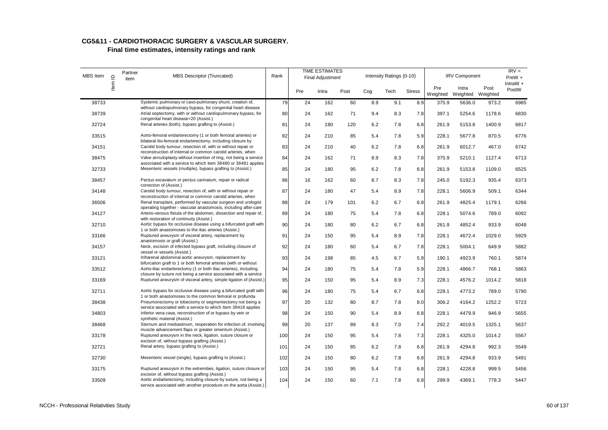#### **CG5&11 - CARDIOTHORACIC SURGERY & VASCULAR SURGERY. Final time estimates, intensity ratings and rank**

| MBS Item | $\mathbf{r}$ | Partner<br>item | <b>TIME ESTIMATES</b><br>MBS Descriptor (Truncated)<br>Rank<br>Final Adjustment                                                                                                       |     |     |       |      | Intensity Ratings (0-10) |      |               | <b>IRV Component</b> |                            | $IRV =$<br>PreW + |                     |
|----------|--------------|-----------------|---------------------------------------------------------------------------------------------------------------------------------------------------------------------------------------|-----|-----|-------|------|--------------------------|------|---------------|----------------------|----------------------------|-------------------|---------------------|
|          | Item         |                 |                                                                                                                                                                                       |     | Pre | Intra | Post | Cog                      | Tech | <b>Stress</b> | Pre<br>Weighted      | Intra<br>Weighted Weighted | Post              | IntraW $+$<br>PostW |
| 38733    |              |                 | Systemic pulmonary or cavo-pulmonary shunt, creation of,<br>without cardiopulmonary bypass, for congenital heart disease                                                              | 79  | 24  | 162   | 60   | 8.9                      | 9.1  | 8.9           | 375.9                | 5636.0                     | 973.2             | 6985                |
| 38739    |              |                 | Atrial septectomy, with or without cardiopulmonary bypass, for<br>congenital heart disease=20 (Assist.)                                                                               | 80  | 24  | 162   | 71   | 9.4                      | 8.3  | 7.8           | 397.1                | 5254.6                     | 1178.6            | 6830                |
| 32724    |              |                 | Renal arteries (both), bypass grafting to (Assist.)                                                                                                                                   | 81  | 24  | 180   | 120  | 6.2                      | 7.8  | 6.8           | 261.9                | 5153.8                     | 1400.9            | 6817                |
| 33515    |              |                 | Aorto-femoral endarterectomy (1 or both femoral arteries) or<br>bilateral ilio-femoral endarterectomy, including closure by                                                           | 82  | 24  | 210   | 85   | 5.4                      | 7.8  | 5.9           | 228.1                | 5677.8                     | 870.5             | 6776                |
| 34151    |              |                 | Carotid body tumour, resection of, with or without repair or<br>reconstruction of internal or common carotid arteries, when                                                           | 83  | 24  | 210   | 40   | 6.2                      | 7.8  | 6.8           | 261.9                | 6012.7                     | 467.0             | 6742                |
| 38475    |              |                 | Valve annuloplasty without insertion of ring, not being a service<br>associated with a service to which item 38480 or 38481 applies                                                   | 84  | 24  | 162   | 71   | 8.9                      | 8.3  | 7.8           | 375.9                | 5210.1                     | 1127.4            | 6713                |
| 32733    |              |                 | Mesenteric vessels (multiple), bypass grafting to (Assist.)                                                                                                                           | 85  | 24  | 180   | 95   | 6.2                      | 7.8  | 6.8           | 261.9                | 5153.8                     | 1109.0            | 6525                |
| 38457    |              |                 | Pectus excavatum or pectus carinatum, repair or radical<br>correction of (Assist.)                                                                                                    | 86  | 16  | 162   | 60   | 8.7                      | 8.3  | 7.8           | 245.0                | 5192.3                     | 935.4             | 6373                |
| 34148    |              |                 | Carotid body tumour, resection of, with or without repair or<br>reconstruction of internal or common carotid arteries, when                                                           | 87  | 24  | 180   | 47   | 5.4                      | 8.9  | 7.8           | 228.1                | 5606.9                     | 509.1             | 6344                |
| 36506    |              |                 | Renal transplant, performed by vascular surgeon and urologist<br>operating together - vascular anastomosis, including after-care                                                      | 88  | 24  | 179   | 101  | 6.2                      | 6.7  | 6.8           | 261.9                | 4825.4                     | 1179.1            | 6266                |
| 34127    |              |                 | Arterio-venous fistula of the abdomen, dissection and repair of,<br>with restoration of continuity (Assist.)                                                                          | 89  | 24  | 180   | 75   | 5.4                      | 7.8  | 6.8           | 228.1                | 5074.6                     | 789.0             | 6092                |
| 32710    |              |                 | Aortic bypass for occlusive disease using a bifurcated graft with<br>1 or both anastomoses to the iliac arteries (Assist.)                                                            | 90  | 24  | 180   | 80   | 6.2                      | 6.7  | 6.8           | 261.9                | 4852.4                     | 933.9             | 6048                |
| 33166    |              |                 | Ruptured aneurysm of visceral artery, replacement by<br>anastomosis or graft (Assist.)                                                                                                | 91  | 24  | 150   | 95   | 5.4                      | 8.9  | 7.8           | 228.1                | 4672.4                     | 1029.0            | 5929                |
| 34157    |              |                 | Neck, excision of infected bypass graft, including closure of<br>vessel or vessels (Assist.)                                                                                          | 92  | 24  | 180   | 60   | 5.4                      | 6.7  | 7.8           | 228.1                | 5004.1                     | 649.9             | 5882                |
| 33121    |              |                 | Infrarenal abdominal aortic aneurysm, replacement by<br>bifurcation graft to 1 or both femoral arteries (with or without                                                              | 93  | 24  | 198   | 85   | 4.5                      | 6.7  | 5.9           | 190.1                | 4923.9                     | 760.1             | 5874                |
| 33512    |              |                 | Aorto-iliac endarterectomy (1 or both iliac arteries), including                                                                                                                      | 94  | 24  | 180   | 75   | 5.4                      | 7.8  | 5.9           | 228.1                | 4866.7                     | 768.1             | 5863                |
| 33169    |              |                 | closure by suture not being a service associated with a service<br>Ruptured aneurysm of visceral artery, simple ligation of (Assist.)                                                 | 95  | 24  | 150   | 95   | 5.4                      | 8.9  | 7.3           | 228.1                | 4576.2                     | 1014.2            | 5818                |
| 32711    |              |                 | Aortic bypass for occlusive disease using a bifurcated graft with                                                                                                                     | 96  | 24  | 180   | 75   | 5.4                      | 6.7  | 6.8           | 228.1                | 4773.2                     | 789.0             | 5790                |
| 38438    |              |                 | 1 or both anastomoses to the common femoral or profunda<br>Pneumonectomy or lobectomy or segmentectomy not being a                                                                    | 97  | 20  | 132   | 80   | 8.7                      | 7.8  | 8.0           | 306.2                | 4164.2                     | 1252.2            | 5723                |
| 34803    |              |                 | service associated with a service to which Item 38418 applies<br>Inferior vena cava, reconstruction of or bypass by vein or                                                           | 98  | 24  | 150   | 90   | 5.4                      | 8.9  | 6.8           | 228.1                | 4479.9                     | 946.9             | 5655                |
| 38468    |              |                 | synthetic material (Assist.)<br>Sternum and mediastinum, reoperation for infection of, involving                                                                                      | 99  | 20  | 137   | 89   | 8.3                      | 7.0  | 7.4           | 292.2                | 4019.5                     | 1325.1            | 5637                |
| 33178    |              |                 | muscle advancement flaps or greater omentum (Assist.)<br>Ruptured aneurysm in the neck, ligation, suture closure or                                                                   | 100 | 24  | 150   | 95   | 5.4                      | 7.8  | 7.3           | 228.1                | 4325.0                     | 1014.2            | 5567                |
| 32721    |              |                 | excision of, without bypass grafting (Assist.)<br>Renal artery, bypass grafting to (Assist.)                                                                                          | 101 | 24  | 150   | 85   | 6.2                      | 7.8  | 6.8           | 261.9                | 4294.8                     | 992.3             | 5549                |
| 32730    |              |                 | Mesenteric vessel (single), bypass grafting to (Assist.)                                                                                                                              | 102 | 24  | 150   | 80   | 6.2                      | 7.8  | 6.8           | 261.9                | 4294.8                     | 933.9             | 5491                |
| 33175    |              |                 | Ruptured aneurysm in the extremities, ligation, suture closure or                                                                                                                     | 103 | 24  | 150   | 95   | 5.4                      | 7.8  | 6.8           | 228.1                | 4228.8                     | 999.5             | 5456                |
| 33509    |              |                 | excision of, without bypass grafting (Assist.)<br>Aortic endarterectomy, including closure by suture, not being a<br>service associated with another procedure on the aorta (Assist.) | 104 | 24  | 150   | 60   | 7.1                      | 7.8  | 6.8           | 299.9                | 4369.1                     | 778.3             | 5447                |

NCCH - Professional Relativities Study 60 of 137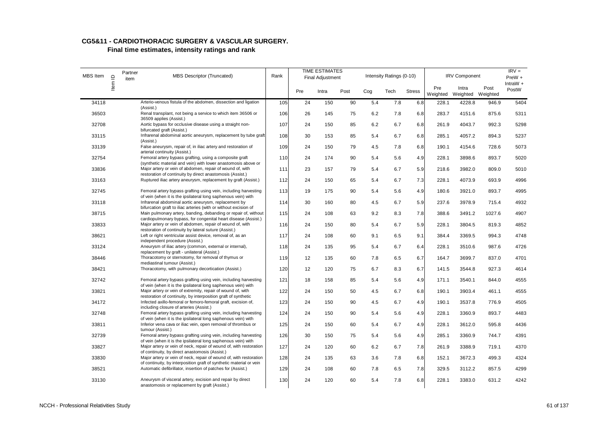| MBS Item | $\mathbf{\underline{\underline{\mathsf{\alpha}}}}$ | Partner<br>item | MBS Descriptor (Truncated)                                                                                                                | Rank |     | <b>TIME ESTIMATES</b><br><b>Final Adjustment</b> |      |     | Intensity Ratings (0-10) |               |                 | <b>IRV Component</b>       |        | $IRV =$<br>PreW + |
|----------|----------------------------------------------------|-----------------|-------------------------------------------------------------------------------------------------------------------------------------------|------|-----|--------------------------------------------------|------|-----|--------------------------|---------------|-----------------|----------------------------|--------|-------------------|
|          | ltem                                               |                 |                                                                                                                                           |      | Pre | Intra                                            | Post | Cog | Tech                     | <b>Stress</b> | Pre<br>Weighted | Intra<br>Weighted Weighted | Post   | IntraW +<br>PostW |
| 34118    |                                                    |                 | Arterio-venous fistula of the abdomen, dissection and ligation<br>(Assist.)                                                               | 105  | 24  | 150                                              | 90   | 5.4 | 7.8                      | 6.8           | 228.1           | 4228.8                     | 946.9  | 5404              |
| 36503    |                                                    |                 | Renal transplant, not being a service to which item 36506 or<br>36509 applies (Assist.)                                                   | 106  | 26  | 145                                              | 75   | 6.2 | 7.8                      | 6.8           | 283.7           | 4151.6                     | 875.6  | 5311              |
| 32708    |                                                    |                 | Aortic bypass for occlusive disease using a straight non-<br>bifurcated graft (Assist.)                                                   | 107  | 24  | 150                                              | 85   | 6.2 | 6.7                      | 6.8           | 261.9           | 4043.7                     | 992.3  | 5298              |
| 33115    |                                                    |                 | Infrarenal abdominal aortic aneurysm, replacement by tube graft<br>(Assist.)                                                              | 108  | 30  | 153                                              | 85   | 5.4 | 6.7                      | 6.8           | 285.1           | 4057.2                     | 894.3  | 5237              |
| 33139    |                                                    |                 | False aneurysm, repair of, in iliac artery and restoration of<br>arterial continuity (Assist.)                                            | 109  | 24  | 150                                              | 79   | 4.5 | 7.8                      | 6.8           | 190.1           | 4154.6                     | 728.6  | 5073              |
| 32754    |                                                    |                 | Femoral artery bypass grafting, using a composite graft<br>(synthetic material and vein) with lower anastomosis above or                  | 110  | 24  | 174                                              | 90   | 5.4 | 5.6                      | 4.9           | 228.1           | 3898.6                     | 893.7  | 5020              |
| 33836    |                                                    |                 | Major artery or vein of abdomen, repair of wound of, with<br>restoration of continuity by direct anastomosis (Assist.)                    | 111  | 23  | 157                                              | 79   | 5.4 | 6.7                      | 5.9           | 218.6           | 3982.0                     | 809.0  | 5010              |
| 33163    |                                                    |                 | Ruptured iliac artery aneurysm, replacement by graft (Assist.)                                                                            | 112  | 24  | 150                                              | 65   | 5.4 | 6.7                      | 7.3           | 228.1           | 4073.9                     | 693.9  | 4996              |
| 32745    |                                                    |                 | Femoral artery bypass grafting using vein, including harvesting<br>of vein (when it is the ipsilateral long saphenous vein) with          | 113  | 19  | 175                                              | 90   | 5.4 | 5.6                      | 4.9           | 180.6           | 3921.0                     | 893.7  | 4995              |
| 33118    |                                                    |                 | Infrarenal abdominal aortic aneurysm, replacement by<br>bifurcation graft to iliac arteries (with or without excision of                  | 114  | 30  | 160                                              | 80   | 4.5 | 6.7                      | 5.9           | 237.6           | 3978.9                     | 715.4  | 4932              |
| 38715    |                                                    |                 | Main pulmonary artery, banding, debanding or repair of, without<br>cardiopulmonary bypass, for congenital heart disease (Assist.)         | 115  | 24  | 108                                              | 63   | 9.2 | 8.3                      | 7.8           | 388.6           | 3491.2                     | 1027.6 | 4907              |
| 33833    |                                                    |                 | Major artery or vein of abdomen, repair of wound of, with<br>restoration of continuity by lateral suture (Assist.)                        | 116  | 24  | 150                                              | 80   | 5.4 | 6.7                      | 5.9           | 228.1           | 3804.5                     | 819.3  | 4852              |
| 38621    |                                                    |                 | Left or right ventricular assist device, removal of, as an<br>independent procedure (Assist.)                                             | 117  | 24  | 108                                              | 60   | 9.1 | 6.5                      | 9.1           | 384.4           | 3369.5                     | 994.3  | 4748              |
| 33124    |                                                    |                 | Aneurysm of iliac artery (common, external or internal),<br>replacement by graft - unilateral (Assist.)                                   | 118  | 24  | 135                                              | 95   | 5.4 | 6.7                      | 6.4           | 228.1           | 3510.6                     | 987.6  | 4726              |
| 38446    |                                                    |                 | Thoracotomy or sternotomy, for removal of thymus or<br>mediastinal tumour (Assist.)                                                       | 119  | 12  | 135                                              | 60   | 7.8 | 6.5                      | 6.7           | 164.7           | 3699.7                     | 837.0  | 4701              |
| 38421    |                                                    |                 | Thoracotomy, with pulmonary decortication (Assist.)                                                                                       | 120  | 12  | 120                                              | 75   | 6.7 | 8.3                      | 6.7           | 141.5           | 3544.8                     | 927.3  | 4614              |
| 32742    |                                                    |                 | Femoral artery bypass grafting using vein, including harvesting<br>of vein (when it is the ipsilateral long saphenous vein) with          | 121  | 18  | 158                                              | 85   | 5.4 | 5.6                      | 4.9           | 171.1           | 3540.1                     | 844.0  | 4555              |
| 33821    |                                                    |                 | Major artery or vein of extremity, repair of wound of, with<br>restoration of continuity, by interposition graft of synthetic             | 122  | 24  | 150                                              | 50   | 4.5 | 6.7                      | 6.8           | 190.1           | 3903.4                     | 461.1  | 4555              |
| 34172    |                                                    |                 | Infected axillo-femoral or femoro-femoral graft, excision of,<br>including closure of arteries (Assist.)                                  | 123  | 24  | 150                                              | 90   | 4.5 | 6.7                      | 4.9           | 190.1           | 3537.8                     | 776.9  | 4505              |
| 32748    |                                                    |                 | Femoral artery bypass grafting using vein, including harvesting<br>of vein (when it is the ipsilateral long saphenous vein) with          | 124  | 24  | 150                                              | 90   | 5.4 | 5.6                      | 4.9           | 228.1           | 3360.9                     | 893.7  | 4483              |
| 33811    |                                                    |                 | Inferior vena cava or iliac vein, open removal of thrombus or<br>tumour (Assist.)                                                         | 125  | 24  | 150                                              | 60   | 5.4 | 6.7                      | 4.9           | 228.1           | 3612.0                     | 595.8  | 4436              |
| 32739    |                                                    |                 | Femoral artery bypass grafting using vein, including harvesting<br>of vein (when it is the ipsilateral long saphenous vein) with          | 126  | 30  | 150                                              | 75   | 5.4 | 5.6                      | 4.9           | 285.1           | 3360.9                     | 744.7  | 4391              |
| 33827    |                                                    |                 | Major artery or vein of neck, repair of wound of, with restoration<br>of continuity, by direct anastomosis (Assist.)                      | 127  | 24  | 120                                              | 60   | 6.2 | 6.7                      | 7.8           | 261.9           | 3388.9                     | 719.1  | 4370              |
| 33830    |                                                    |                 | Major artery or vein of neck, repair of wound of, with restoration<br>of continuity, by interposition graft of synthetic material or vein | 128  | 24  | 135                                              | 63   | 3.6 | 7.8                      | 6.8           | 152.1           | 3672.3                     | 499.3  | 4324              |
| 38521    |                                                    |                 | Automatic defibrillator, insertion of patches for (Assist.)                                                                               | 129  | 24  | 108                                              | 60   | 7.8 | 6.5                      | 7.8           | 329.5           | 3112.2                     | 857.5  | 4299              |
| 33130    |                                                    |                 | Aneurysm of visceral artery, excision and repair by direct<br>anastomosis or replacement by graft (Assist.)                               | 130  | 24  | 120                                              | 60   | 5.4 | 7.8                      | 6.8           | 228.1           | 3383.0                     | 631.2  | 4242              |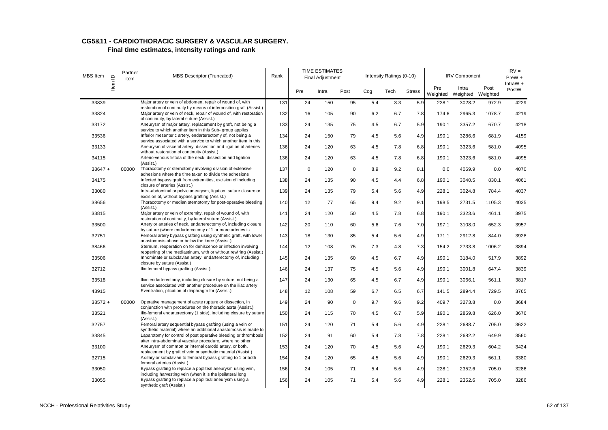#### **CG5&11 - CARDIOTHORACIC SURGERY & VASCULAR SURGERY. Final time estimates, intensity ratings and rank**

| MBS Item  | $\supseteq$ | Partner<br>item | MBS Descriptor (Truncated)                                                                                                                                                              | Rank |             | <b>TIME ESTIMATES</b><br><b>Final Adjustment</b> |             |     | Intensity Ratings (0-10) |               |                 | <b>IRV Component</b>       |        | $IRV =$<br>$PreW +$ |
|-----------|-------------|-----------------|-----------------------------------------------------------------------------------------------------------------------------------------------------------------------------------------|------|-------------|--------------------------------------------------|-------------|-----|--------------------------|---------------|-----------------|----------------------------|--------|---------------------|
|           | Item        |                 |                                                                                                                                                                                         |      | Pre         | Intra                                            | Post        | Cog | Tech                     | <b>Stress</b> | Pre<br>Weighted | Intra<br>Weighted Weighted | Post   | IntraW $+$<br>PostW |
| 33839     |             |                 | Major artery or vein of abdomen, repair of wound of, with                                                                                                                               | 131  | 24          | 150                                              | 95          | 5.4 | 3.3                      | 5.9           | 228.1           | 3028.2                     | 972.9  | 4229                |
| 33824     |             |                 | restoration of continuity by means of interposition graft (Assist.)<br>Major artery or vein of neck, repair of wound of, with restoration<br>of continuity, by lateral suture (Assist.) | 132  | 16          | 105                                              | 90          | 6.2 | 6.7                      | 7.8           | 174.6           | 2965.3                     | 1078.7 | 4219                |
| 33172     |             |                 | Aneurysm of major artery, replacement by graft, not being a<br>service to which another item in this Sub- group applies                                                                 | 133  | 24          | 135                                              | 75          | 4.5 | 6.7                      | 5.9           | 190.1           | 3357.2                     | 670.7  | 4218                |
| 33536     |             |                 | Inferior mesenteric artery, endarterectomy of, not being a<br>service associated with a service to which another item in this                                                           | 134  | 24          | 150                                              | 79          | 4.5 | 5.6                      | 4.9           | 190.1           | 3286.6                     | 681.9  | 4159                |
| 33133     |             |                 | Aneurysm of visceral artery, dissection and ligation of arteries<br>without restoration of continuity (Assist.)                                                                         | 136  | 24          | 120                                              | 63          | 4.5 | 7.8                      | 6.8           | 190.1           | 3323.6                     | 581.0  | 4095                |
| 34115     |             |                 | Arterio-venous fistula of the neck, dissection and ligation<br>(Assist.)                                                                                                                | 136  | 24          | 120                                              | 63          | 4.5 | 7.8                      | 6.8           | 190.1           | 3323.6                     | 581.0  | 4095                |
| $38647 +$ |             | 00000           | Thoracotomy or sternotomy involving division of extensive<br>adhesions where the time taken to divide the adhesions                                                                     | 137  | $\mathsf 0$ | 120                                              | $\mathbf 0$ | 8.9 | 9.2                      | 8.1           | 0.0             | 4069.9                     | 0.0    | 4070                |
| 34175     |             |                 | Infected bypass graft from extremities, excision of including<br>closure of arteries (Assist.)                                                                                          | 138  | 24          | 135                                              | 90          | 4.5 | 4.4                      | 6.8           | 190.1           | 3040.5                     | 830.1  | 4061                |
| 33080     |             |                 | Intra-abdominal or pelvic aneurysm, ligation, suture closure or<br>excision of, without bypass grafting (Assist.)                                                                       | 139  | 24          | 135                                              | 79          | 5.4 | 5.6                      | 4.9           | 228.1           | 3024.8                     | 784.4  | 4037                |
| 38656     |             |                 | Thoracotomy or median sternotomy for post-operative bleeding<br>(Assist.)                                                                                                               | 140  | 12          | 77                                               | 65          | 9.4 | 9.2                      | 9.1           | 198.5           | 2731.5                     | 1105.3 | 4035                |
| 33815     |             |                 | Major artery or vein of extremity, repair of wound of, with<br>restoration of continuity, by lateral suture (Assist.)                                                                   | 141  | 24          | 120                                              | 50          | 4.5 | 7.8                      | 6.8           | 190.1           | 3323.6                     | 461.1  | 3975                |
| 33500     |             |                 | Artery or arteries of neck, endarterectomy of, including closure<br>by suture (where endarterectomy of 1 or more arteries is                                                            | 142  | 20          | 110                                              | 60          | 5.6 | 7.6                      | 7.0           | 197.1           | 3108.0                     | 652.3  | 3957                |
| 32751     |             |                 | Femoral artery bypass grafting using synthetic graft, with lower<br>anastomosis above or below the knee (Assist.)                                                                       | 143  | 18          | 130                                              | 85          | 5.4 | 5.6                      | 4.9           | 171.1           | 2912.8                     | 844.0  | 3928                |
| 38466     |             |                 | Sternum, reoperation on for dehiscence or infection involving<br>reopening of the mediastinum, with or without rewiring (Assist.)                                                       | 144  | 12          | 108                                              | 75          | 7.3 | 4.8                      | 7.3           | 154.2           | 2733.8                     | 1006.2 | 3894                |
| 33506     |             |                 | Innominate or subclavian artery, endarterectomy of, including<br>closure by suture (Assist.)                                                                                            | 145  | 24          | 135                                              | 60          | 4.5 | 6.7                      | 4.9           | 190.1           | 3184.0                     | 517.9  | 3892                |
| 32712     |             |                 | Ilio-femoral bypass grafting (Assist.)                                                                                                                                                  | 146  | 24          | 137                                              | 75          | 4.5 | 5.6                      | 4.9           | 190.1           | 3001.8                     | 647.4  | 3839                |
| 33518     |             |                 | Iliac endarterectomy, including closure by suture, not being a<br>service associated with another procedure on the iliac artery                                                         | 147  | 24          | 130                                              | 65          | 4.5 | 6.7                      | 4.9           | 190.1           | 3066.1                     | 561.1  | 3817                |
| 43915     |             |                 | Eventration, plication of diaphragm for (Assist.)                                                                                                                                       | 148  | 12          | 108                                              | 59          | 6.7 | 6.5                      | 6.7           | 141.5           | 2894.4                     | 729.5  | 3765                |
| $38572 +$ |             | 00000           | Operative management of acute rupture or dissection, in<br>conjunction with procedures on the thoracic aorta (Assist.)                                                                  | 149  | 24          | 90                                               | $\mathbf 0$ | 9.7 | 9.6                      | 9.2           | 409.7           | 3273.8                     | 0.0    | 3684                |
| 33521     |             |                 | Ilio-femoral endarterectomy (1 side), including closure by suture<br>(Assist.)                                                                                                          | 150  | 24          | 115                                              | 70          | 4.5 | 6.7                      | 5.9           | 190.1           | 2859.8                     | 626.0  | 3676                |
| 32757     |             |                 | Femoral artery sequential bypass grafting (using a vein or<br>synthetic material) where an additional anastomosis is made to                                                            | 151  | 24          | 120                                              | 71          | 5.4 | 5.6                      | 4.9           | 228.1           | 2688.7                     | 705.0  | 3622                |
| 33845     |             |                 | Laparotomy for control of post operative bleeding or thrombosis<br>after intra-abdominal vascular procedure, where no other                                                             | 152  | 24          | 91                                               | 60          | 5.4 | 7.8                      | 7.8           | 228.1           | 2682.2                     | 649.9  | 3560                |
| 33100     |             |                 | Aneurysm of common or internal carotid artery, or both,<br>replacement by graft of vein or synthetic material (Assist.)                                                                 | 153  | 24          | 120                                              | 70          | 4.5 | 5.6                      | 4.9           | 190.1           | 2629.3                     | 604.2  | 3424                |
| 32715     |             |                 | Axillary or subclavian to femoral bypass grafting to 1 or both<br>femoral arteries (Assist.)                                                                                            | 154  | 24          | 120                                              | 65          | 4.5 | 5.6                      | 4.9           | 190.1           | 2629.3                     | 561.1  | 3380                |
| 33050     |             |                 | Bypass grafting to replace a popliteal aneurysm using vein,<br>including harvesting vein (when it is the ipsilateral long                                                               | 156  | 24          | 105                                              | 71          | 5.4 | 5.6                      | 4.9           | 228.1           | 2352.6                     | 705.0  | 3286                |
| 33055     |             |                 | Bypass grafting to replace a popliteal aneurysm using a<br>synthetic graft (Assist.)                                                                                                    | 156  | 24          | 105                                              | 71          | 5.4 | 5.6                      | 4.9           | 228.1           | 2352.6                     | 705.0  | 3286                |

NCCH - Professional Relativities Study 62 of 137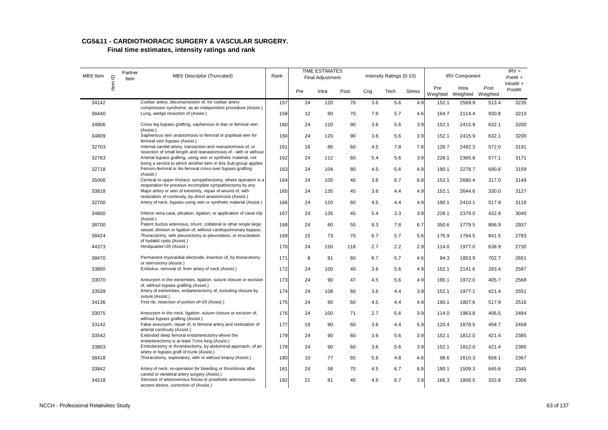| <b>MBS</b> Item | $\supseteq$ | Partner<br>item | MBS Descriptor (Truncated)                                                                                                            | Rank |     | <b>TIME ESTIMATES</b><br><b>Final Adjustment</b> |      |     | Intensity Ratings (0-10) |               |                 | <b>IRV Component</b>       |       | $IRV =$<br>PreW +   |
|-----------------|-------------|-----------------|---------------------------------------------------------------------------------------------------------------------------------------|------|-----|--------------------------------------------------|------|-----|--------------------------|---------------|-----------------|----------------------------|-------|---------------------|
|                 | ltem        |                 |                                                                                                                                       |      | Pre | Intra                                            | Post | Cog | Tech                     | <b>Stress</b> | Pre<br>Weighted | Intra<br>Weighted Weighted | Post  | IntraW $+$<br>PostW |
| 34142           |             |                 | Coeliac artery, decompression of, for coeliac artery                                                                                  | 157  | 24  | 120                                              | 70   | 3.6 | 5.6                      | 4.9           | 152.1           | 2569.9                     | 513.4 | 3235                |
| 38440           |             |                 | compression syndrome, as an independent procedure (Assist.)<br>Lung, wedge resection of (Assist.)                                     | 158  | 12  | 90                                               | 70   | 7.8 | 5.7                      | 4.6           | 164.7           | 2114.4                     | 930.8 | 3210                |
| 34806           |             |                 | Cross leg bypass grafting, saphenous to iliac or femoral vein<br>(Assist.)                                                            | 160  | 24  | 120                                              | 90   | 3.6 | 5.6                      | 3.9           | 152.1           | 2415.9                     | 632.1 | 3200                |
| 34809           |             |                 | Saphenous vein anastomosis to femoral or popliteal vein for<br>femoral vein bypass (Assist.)                                          | 160  | 24  | 120                                              | 90   | 3.6 | 5.6                      | 3.9           | 152.1           | 2415.9                     | 632.1 | 3200                |
| 32703           |             |                 | Internal carotid artery, transection and reanastomosis of, or<br>resection of small length and reanastomosis of - with or without     | 161  | 16  | 86                                               | 60   | 4.5 | 7.8                      | 7.8           | 126.7           | 2492.3                     | 572.0 | 3191                |
| 32763           |             |                 | Arterial bypass grafting, using vein or synthetic material, not<br>being a service to which another item in this Sub-group applies    | 162  | 24  | 112                                              | 60   | 5.4 | 5.6                      | 3.9           | 228.1           | 2365.8                     | 577.1 | 3171                |
| 32718           |             |                 | Femoro-femoral or ilio-femoral cross-over bypass grafting<br>(Assist.)                                                                | 163  | 24  | 104                                              | 80   | 4.5 | 5.6                      | 4.9           | 190.1           | 2278.7                     | 690.6 | 3159                |
| 35006           |             |                 | Cervical or upper thoracic sympathectomy, where operation is a<br>reoperation for previous incomplete sympathectomy by any            | 164  | 24  | 105                                              | 40   | 3.6 | 6.7                      | 6.8           | 152.1           | 2680.4                     | 317.0 | 3149                |
| 33818           |             |                 | Major artery or vein of extremity, repair of wound of, with<br>restoration of continuity, by direct anastomosis (Assist.)             | 165  | 24  | 135                                              | 45   | 3.6 | 4.4                      | 4.9           | 152.1           | 2644.6                     | 330.0 | 3127                |
| 32700           |             |                 | Artery of neck, bypass using vein or synthetic material (Assist.)                                                                     | 166  | 24  | 120                                              | 60   | 4.5 | 4.4                      | 4.9           | 190.1           | 2410.1                     | 517.9 | 3118                |
| 34800           |             |                 | Inferior vena cava, plication, ligation, or application of caval clip<br>(Assist.)                                                    | 167  | 24  | 135                                              | 45   | 5.4 | 3.3                      | 3.9           | 228.1           | 2379.0                     | 432.8 | 3040                |
| 38700           |             |                 | Patent ductus arteriosus, shunt, collateral or other single large<br>vessel, division or ligation of, without cardiopulmonary bypass, | 168  | 24  | 60                                               | 55   | 8.3 | 7.8                      | 6.7           | 350.6           | 1779.5                     | 806.9 | 2937                |
| 38424           |             |                 | Thoracotomy, with pleurectomy or pleurodesis, or enucleation<br>of hydatid cysts (Assist.)                                            | 169  | 15  | 73                                               | 70   | 6.7 | 5.7                      | 5.6           | 176.9           | 1764.5                     | 841.5 | 2783                |
| 44373           |             |                 | Hindquarter=20 (Assist.)                                                                                                              | 170  | 24  | 150                                              | 118  | 2.7 | 2.2                      | 2.9           | 114.0           | 1977.0                     | 638.9 | 2730                |
| 38470           |             |                 | Permanent myocardial electrode, insertion of, by thoracotomy<br>or sternotomy (Assist.)                                               | 171  | 8   | 81                                               | 60   | 6.7 | 5.7                      | 4.6           | 94.3            | 1853.9                     | 702.7 | 2651                |
| 33800           |             |                 | Embolus, removal of, from artery of neck (Assist.)                                                                                    | 172  | 24  | 100                                              | 40   | 3.6 | 5.6                      | 4.9           | 152.1           | 2141.6                     | 293.4 | 2587                |
| 33070           |             |                 | Aneurysm in the extremities, ligation, suture closure or excision<br>of, without bypass grafting (Assist.)                            | 173  | 24  | 90                                               | 47   | 4.5 | 5.6                      | 4.9           | 190.1           | 1972.0                     | 405.7 | 2568                |
| 33539           |             |                 | Artery of extremities, endarterectomy of, including closure by<br>suture (Assist.)                                                    | 174  | 24  | 108                                              | 60   | 3.6 | 4.4                      | 3.9           | 152.1           | 1977.1                     | 421.4 | 2551                |
| 34136           |             |                 | First rib, resection of portion of=20 (Assist.)                                                                                       | 175  | 24  | 90                                               | 60   | 4.5 | 4.4                      | 4.9           | 190.1           | 1807.6                     | 517.9 | 2516                |
| 33075           |             |                 | Aneurysm in the neck, ligation, suture closure or excision of,<br>without bypass grafting (Assist.)                                   | 176  | 24  | 100                                              | 71   | 2.7 | 5.6                      | 3.9           | 114.0           | 1963.8                     | 406.5 | 2484                |
| 33142           |             |                 | False aneurysm, repair of, in femoral artery and restoration of<br>arterial continuity (Assist.)                                      | 177  | 19  | 90                                               | 60   | 3.6 | 4.4                      | 5.9           | 120.4           | 1878.5                     | 458.7 | 2458                |
| 33542           |             |                 | Extended deep femoral endarterectomy where the<br>endarterectomy is at least 7cms long (Assist.)                                      | 179  | 24  | 90                                               | 60   | 3.6 | 5.6                      | 3.9           | 152.1           | 1812.0                     | 421.4 | 2385                |
| 33803           |             |                 | Embolectomy or thrombectomy, by abdominal approach, of an<br>artery or bypass graft of trunk (Assist.)                                | 179  | 24  | 90                                               | 60   | 3.6 | 5.6                      | 3.9           | 152.1           | 1812.0                     | 421.4 | 2385                |
| 38418           |             |                 | Thoracotomy, exploratory, with or without biopsy (Assist.)                                                                            | 180  | 10  | 77                                               | 65   | 5.6 | 4.8                      | 4.6           | 98.6            | 1610.3                     | 658.1 | 2367                |
| 33842           |             |                 | Artery of neck, re-operation for bleeding or thrombosis after<br>carotid or vertebral artery surgery (Assist.)                        | 181  | 24  | 58                                               | 70   | 4.5 | 6.7                      | 6.8           | 190.1           | 1509.3                     | 645.6 | 2345                |
| 34518           |             |                 | Stenosis of arteriovenous fistula or prosthetic arteriovenous<br>access device, correction of (Assist.)                               | 182  | 21  | 81                                               | 40   | 4.5 | 6.7                      | 3.9           | 166.3           | 1806.5                     | 332.8 | 2306                |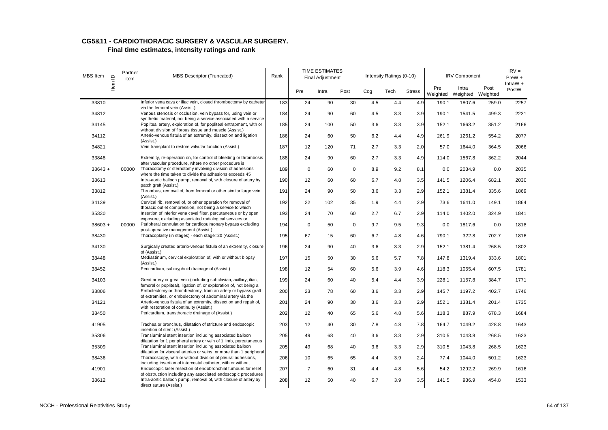| MBS Item  | $\mathbf{r}$ | Partner<br>item | <b>MBS Descriptor (Truncated)</b>                                                                                                                                                                   | Rank |                | <b>TIME ESTIMATES</b><br><b>Final Adjustment</b> |             |     | Intensity Ratings (0-10) |               |                 | <b>IRV Component</b>       |       | $IRV =$<br>PreW +   |
|-----------|--------------|-----------------|-----------------------------------------------------------------------------------------------------------------------------------------------------------------------------------------------------|------|----------------|--------------------------------------------------|-------------|-----|--------------------------|---------------|-----------------|----------------------------|-------|---------------------|
|           | Item         |                 |                                                                                                                                                                                                     |      | Pre            | Intra                                            | Post        | Cog | Tech                     | <b>Stress</b> | Pre<br>Weighted | Intra<br>Weighted Weighted | Post  | $IntraW +$<br>PostW |
| 33810     |              |                 | Inferior vena cava or iliac vein, closed thrombectomy by catheter<br>via the femoral vein (Assist.)                                                                                                 | 183  | 24             | 90                                               | 30          | 4.5 | 4.4                      | 4.9           | 190.1           | 1807.6                     | 259.0 | 2257                |
| 34812     |              |                 | Venous stenosis or occlusion, vein bypass for, using vein or                                                                                                                                        | 184  | 24             | 90                                               | 60          | 4.5 | 3.3                      | 3.9           | 190.1           | 1541.5                     | 499.3 | 2231                |
| 34145     |              |                 | synthetic material, not being a service associated with a service<br>Popliteal artery, exploration of, for popliteal entrapment, with or<br>without division of fibrous tissue and muscle (Assist.) | 185  | 24             | 100                                              | 50          | 3.6 | 3.3                      | 3.9           | 152.1           | 1663.2                     | 351.2 | 2166                |
| 34112     |              |                 | Arterio-venous fistula of an extremity, dissection and ligation<br>(Assist.)                                                                                                                        | 186  | 24             | 60                                               | 50          | 6.2 | 4.4                      | 4.9           | 261.9           | 1261.2                     | 554.2 | 2077                |
| 34821     |              |                 | Vein transplant to restore valvular function (Assist.)                                                                                                                                              | 187  | 12             | 120                                              | 71          | 2.7 | 3.3                      | 2.0           | 57.0            | 1644.0                     | 364.5 | 2066                |
| 33848     |              |                 | Extremity, re-operation on, for control of bleeding or thrombosis<br>after vascular procedure, where no other procedure is                                                                          | 188  | 24             | 90                                               | 60          | 2.7 | 3.3                      | 4.9           | 114.0           | 1567.8                     | 362.2 | 2044                |
| $38643 +$ |              | 00000           | Thoracotomy or sternotomy involving division of adhesions<br>where the time taken to divide the adhesions exceeds 45                                                                                | 189  | $\mathbf 0$    | 60                                               | $\mathbf 0$ | 8.9 | 9.2                      | 8.1           | 0.0             | 2034.9                     | 0.0   | 2035                |
| 38613     |              |                 | Intra-aortic balloon pump, removal of, with closure of artery by<br>patch graft (Assist.)                                                                                                           | 190  | 12             | 60                                               | 60          | 6.7 | 4.8                      | 3.5           | 141.5           | 1206.4                     | 682.1 | 2030                |
| 33812     |              |                 | Thrombus, removal of, from femoral or other similar large vein                                                                                                                                      | 191  | 24             | 90                                               | 50          | 3.6 | 3.3                      | 2.9           | 152.1           | 1381.4                     | 335.6 | 1869                |
| 34139     |              |                 | (Assist.)<br>Cervical rib, removal of, or other operation for removal of                                                                                                                            | 192  | 22             | 102                                              | 35          | 1.9 | 4.4                      | 2.9           | 73.6            | 1641.0                     | 149.1 | 1864                |
| 35330     |              |                 | thoracic outlet compression, not being a service to which<br>Insertion of inferior vena caval filter, percutaneous or by open                                                                       | 193  | 24             | 70                                               | 60          | 2.7 | 6.7                      | 2.9           | 114.0           | 1402.0                     | 324.9 | 1841                |
| $38603 +$ |              | 00000           | exposure, excluding associated radiological services or<br>Peripheral cannulation for cardiopulmonary bypass excluding                                                                              | 194  | $\mathbf 0$    | 50                                               | $\mathbf 0$ | 9.7 | 9.5                      | 9.3           | 0.0             | 1817.6                     | 0.0   | 1818                |
| 38430     |              |                 | post-operative management (Assist.)<br>Thoracoplasty (in stages) - each stage=20 (Assist.)                                                                                                          | 195  | 67             | 15                                               | 60          | 6.7 | 4.8                      | 4.6           | 790.1           | 322.8                      | 702.7 | 1816                |
| 34130     |              |                 | Surgically created arterio-venous fistula of an extremity, closure                                                                                                                                  | 196  | 24             | 90                                               | 40          | 3.6 | 3.3                      | 2.9           | 152.1           | 1381.4                     | 268.5 | 1802                |
| 38448     |              |                 | of (Assist.)<br>Mediastinum, cervical exploration of, with or without biopsy                                                                                                                        | 197  | 15             | 50                                               | 30          | 5.6 | 5.7                      | 7.8           | 147.8           | 1319.4                     | 333.6 | 1801                |
| 38452     |              |                 | (Assist.)<br>Pericardium, sub-xyphoid drainage of (Assist.)                                                                                                                                         | 198  | 12             | 54                                               | 60          | 5.6 | 3.9                      | 4.6           | 118.3           | 1055.4                     | 607.5 | 1781                |
|           |              |                 | Great artery or great vein (including subclavian, axillary, iliac,                                                                                                                                  |      |                |                                                  |             |     |                          |               |                 |                            |       |                     |
| 34103     |              |                 | femoral or popliteal), ligation of, or exploration of, not being a                                                                                                                                  | 199  | 24             | 60                                               | 40          | 5.4 | 4.4                      | 3.9           | 228.1           | 1157.8                     | 384.7 | 1771                |
| 33806     |              |                 | Embolectomy or thrombectomy, from an artery or bypass graft<br>of extremities, or embolectomy of abdominal artery via the                                                                           | 200  | 23             | 78                                               | 60          | 3.6 | 3.3                      | 2.9           | 145.7           | 1197.2                     | 402.7 | 1746                |
| 34121     |              |                 | Arterio-venous fistula of an extremity, dissection and repair of,<br>with restoration of continuity (Assist.)                                                                                       | 201  | 24             | 90                                               | 30          | 3.6 | 3.3                      | 2.9           | 152.1           | 1381.4                     | 201.4 | 1735                |
| 38450     |              |                 | Pericardium, transthoracic drainage of (Assist.)                                                                                                                                                    | 202  | 12             | 40                                               | 65          | 5.6 | 4.8                      | 5.6           | 118.3           | 887.9                      | 678.3 | 1684                |
| 41905     |              |                 | Trachea or bronchus, dilatation of stricture and endoscopic<br>insertion of stent (Assist.)                                                                                                         | 203  | 12             | 40                                               | 30          | 7.8 | 4.8                      | 7.8           | 164.7           | 1049.2                     | 428.8 | 1643                |
| 35306     |              |                 | Transluminal stent insertion including associated balloon                                                                                                                                           | 205  | 49             | 68                                               | 40          | 3.6 | 3.3                      | 2.9           | 310.5           | 1043.8                     | 268.5 | 1623                |
| 35309     |              |                 | dilatation for 1 peripheral artery or vein of 1 limb, percutaneous<br>Transluminal stent insertion including associated balloon                                                                     | 205  | 49             | 68                                               | 40          | 3.6 | 3.3                      | 2.9           | 310.5           | 1043.8                     | 268.5 | 1623                |
| 38436     |              |                 | dilatation for visceral arteries or veins, or more than 1 peripheral<br>Thoracoscopy, with or without division of pleural adhesions,                                                                | 206  | 10             | 65                                               | 65          | 4.4 | 3.9                      | 2.4           | 77.4            | 1044.0                     | 501.2 | 1623                |
| 41901     |              |                 | including insertion of intercostal catheter, with or without<br>Endoscopic laser resection of endobronchial tumours for relief                                                                      | 207  | $\overline{7}$ | 60                                               | 31          | 4.4 | 4.8                      | 5.6           | 54.2            | 1292.2                     | 269.9 | 1616                |
| 38612     |              |                 | of obstruction including any associated endoscopic procedures<br>Intra-aortic balloon pump, removal of, with closure of artery by<br>direct suture (Assist.)                                        | 208  | 12             | 50                                               | 40          | 6.7 | 3.9                      | 3.5           | 141.5           | 936.9                      | 454.8 | 1533                |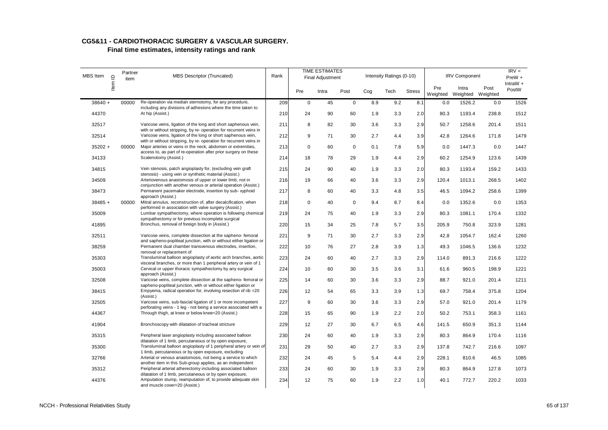| MBS Item  | $\mathbf{\underline{o}}$ | Partner<br>item | <b>MBS Descriptor (Truncated)</b>                                                                                                                       | Rank |             | <b>TIME ESTIMATES</b><br><b>Final Adjustment</b> |             |     | Intensity Ratings (0-10) |               |                 | <b>IRV Component</b>       |       | $IRV =$<br>PreW +   |
|-----------|--------------------------|-----------------|---------------------------------------------------------------------------------------------------------------------------------------------------------|------|-------------|--------------------------------------------------|-------------|-----|--------------------------|---------------|-----------------|----------------------------|-------|---------------------|
|           | ltem                     |                 |                                                                                                                                                         |      | Pre         | Intra                                            | Post        | Cog | Tech                     | <b>Stress</b> | Pre<br>Weighted | Intra<br>Weighted Weighted | Post  | IntraW $+$<br>PostW |
| $38640 +$ |                          | 00000           | Re-operation via median sternotomy, for any procedure,<br>including any divisions of adhesions where the time taken to                                  | 209  | $\mathsf 0$ | 45                                               | $\mathbf 0$ | 8.9 | 9.2                      | 8.1           | 0.0             | 1526.2                     | 0.0   | 1526                |
| 44370     |                          |                 | At hip (Assist.)                                                                                                                                        | 210  | 24          | 90                                               | 60          | 1.9 | 3.3                      | 2.0           | 80.3            | 1193.4                     | 238.8 | 1512                |
| 32517     |                          |                 | Varicose veins, ligation of the long and short saphenous vein,<br>with or without stripping, by re- operation for recurrent veins in                    | 211  | 8           | 82                                               | 30          | 3.6 | 3.3                      | 2.9           | 50.7            | 1258.6                     | 201.4 | 1511                |
| 32514     |                          |                 | Varicose veins, ligation of the long or short saphenous vein,<br>with or without stripping, by re- operation for recurrent veins in                     | 212  | 9           | 71                                               | 30          | 2.7 | 4.4                      | 3.9           | 42.8            | 1264.6                     | 171.8 | 1479                |
| $35202 +$ |                          | 00000           | Major arteries or veins in the neck, abdomen or extremities,                                                                                            | 213  | 0           | 60                                               | $\mathbf 0$ | 0.1 | 7.8                      | 5.9           | 0.0             | 1447.3                     | 0.0   | 1447                |
| 34133     |                          |                 | access to, as part of re-operation after prior surgery on these<br>Scalenotomy (Assist.)                                                                | 214  | 18          | 78                                               | 29          | 1.9 | 4.4                      | 2.9           | 60.2            | 1254.9                     | 123.6 | 1439                |
| 34815     |                          |                 | Vein stenosis, patch angioplasty for, (excluding vein graft<br>stenosis) - using vein or synthetic material (Assist.)                                   | 215  | 24          | 90                                               | 40          | 1.9 | 3.3                      | 2.0           | 80.3            | 1193.4                     | 159.2 | 1433                |
| 34509     |                          |                 | Arteriovenous anastomosis of upper or lower limb, not in                                                                                                | 216  | 19          | 66                                               | 40          | 3.6 | 3.3                      | 2.9           | 120.4           | 1013.1                     | 268.5 | 1402                |
| 38473     |                          |                 | conjunction with another venous or arterial operation (Assist.)<br>Permanent pacemaker electrode, insertion by sub- xyphoid                             | 217  | 8           | 60                                               | 40          | 3.3 | 4.8                      | 3.5           | 46.5            | 1094.2                     | 258.6 | 1399                |
| $38485 +$ |                          | 00000           | approach (Assist.)<br>Mitral annulus, reconstruction of, after decalcification, when                                                                    | 218  | $\mathsf 0$ | 40                                               | $\mathbf 0$ | 9.4 | 8.7                      | 8.4           | 0.0             | 1352.6                     | 0.0   | 1353                |
| 35009     |                          |                 | performed in association with valve surgery (Assist.)<br>Lumbar sympathectomy, where operation is following chemical                                    | 219  | 24          | 75                                               | 40          | 1.9 | 3.3                      | 2.9           | 80.3            | 1081.1                     | 170.4 | 1332                |
| 41895     |                          |                 | sympathectomy or for previous incomplete surgical<br>Bronchus, removal of foreign body in (Assist.)                                                     | 220  | 15          | 34                                               | 25          | 7.8 | 5.7                      | 3.5           | 205.9           | 750.8                      | 323.9 | 1281                |
| 32511     |                          |                 | Varicose veins, complete dissection at the sapheno- femoral                                                                                             | 221  | 9           | 71                                               | 30          | 2.7 | 3.3                      | 2.9           | 42.8            | 1054.7                     | 162.4 | 1260                |
| 38259     |                          |                 | and sapheno-popliteal junction, with or without either ligation or<br>Permanent dual chamber transvenous electrodes, insertion,                         | 222  | 10          | 76                                               | 27          | 2.8 | 3.9                      | 1.3           | 49.3            | 1046.5                     | 136.6 | 1232                |
| 35303     |                          |                 | removal or replacement of<br>Transluminal balloon angioplasty of aortic arch branches, aortic                                                           | 223  | 24          | 60                                               | 40          | 2.7 | 3.3                      | 2.9           | 114.0           | 891.3                      | 216.6 | 1222                |
| 35003     |                          |                 | visceral branches, or more than 1 peripheral artery or vein of 1<br>Cervical or upper thoracic sympathectomy by any surgical                            | 224  | 10          | 60                                               | 30          | 3.5 | 3.6                      | 3.1           | 61.6            | 960.5                      | 198.9 | 1221                |
| 32508     |                          |                 | approach (Assist.)<br>Varicose veins, complete dissection at the sapheno- femoral or                                                                    | 225  | 14          | 60                                               | 30          | 3.6 | 3.3                      | 2.9           | 88.7            | 921.0                      | 201.4 | 1211                |
| 38415     |                          |                 | sapheno-popliteal junction, with or without either ligation or<br>Empyema, radical operation for, involving resection of rib = 20                       | 226  | 12          | 54                                               | 65          | 3.3 | 3.9                      | 1.3           | 69.7            | 758.4                      | 375.8 | 1204                |
| 32505     |                          |                 | (Assist.)<br>Varicose veins, sub-fascial ligation of 1 or more incompetent                                                                              | 227  | 9           | 60                                               | 30          | 3.6 | 3.3                      | 2.9           | 57.0            | 921.0                      | 201.4 | 1179                |
| 44367     |                          |                 | perforating veins - 1 leg - not being a service associated with a<br>Through thigh, at knee or below knee=20 (Assist.)                                  | 228  | 15          | 65                                               | 90          | 1.9 | 2.2                      | 2.0           | 50.2            | 753.1                      | 358.3 | 1161                |
| 41904     |                          |                 | Bronchoscopy with dilatation of tracheal stricture                                                                                                      | 229  | 12          | 27                                               | 30          | 6.7 | 6.5                      | 4.6           | 141.5           | 650.9                      | 351.3 | 1144                |
| 35315     |                          |                 | Peripheral laser angioplasty including associated balloon                                                                                               | 230  | 24          | 60                                               | 40          | 1.9 | 3.3                      | 2.9           | 80.3            | 864.9                      | 170.4 | 1116                |
| 35300     |                          |                 | dilatation of 1 limb, percutaneous or by open exposure,<br>Transluminal balloon angioplasty of 1 peripheral artery or vein of                           | 231  | 29          | 50                                               | 40          | 2.7 | 3.3                      | 2.9           | 137.8           | 742.7                      | 216.6 | 1097                |
| 32766     |                          |                 | 1 limb, percutaneous or by open exposure, excluding<br>Arterial or venous anastomosis, not being a service to which                                     | 232  | 24          | 45                                               | 5           | 5.4 | 4.4                      | 2.9           | 228.1           | 810.6                      | 46.5  | 1085                |
| 35312     |                          |                 | another item in this Sub-group applies, as an independent<br>Peripheral arterial atherectomy including associated balloon                               | 233  | 24          | 60                                               | 30          | 1.9 | 3.3                      | 2.9           | 80.3            | 864.9                      | 127.8 | 1073                |
| 44376     |                          |                 | dilatation of 1 limb, percutaneous or by open exposure,<br>Amputation stump, reamputation of, to provide adequate skin<br>and muscle cover=20 (Assist.) | 234  | 12          | 75                                               | 60          | 1.9 | 2.2                      | 1.0           | 40.1            | 772.7                      | 220.2 | 1033                |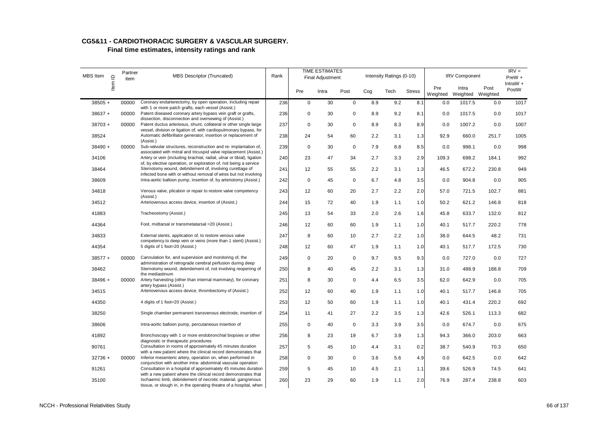| MBS Item  | $\mathbf{r}$ | Partner<br>item | <b>MBS Descriptor (Truncated)</b>                                                                                                          | Rank |             | <b>TIME ESTIMATES</b><br><b>Final Adjustment</b> |             |     | Intensity Ratings (0-10) |               |                 | <b>IRV Component</b>       |       | $IRV =$<br>$PreW +$ |
|-----------|--------------|-----------------|--------------------------------------------------------------------------------------------------------------------------------------------|------|-------------|--------------------------------------------------|-------------|-----|--------------------------|---------------|-----------------|----------------------------|-------|---------------------|
|           | ltem         |                 |                                                                                                                                            |      | Pre         | Intra                                            | Post        | Cog | Tech                     | <b>Stress</b> | Pre<br>Weighted | Intra<br>Weighted Weighted | Post  | IntraW $+$<br>PostW |
| $38505 +$ |              | 00000           | Coronary endarterectomy, by open operation, including repair<br>with 1 or more patch grafts, each vessel (Assist.)                         | 236  | 0           | 30                                               | $\mathsf 0$ | 8.9 | 9.2                      | 8.1           | 0.0             | 1017.5                     | 0.0   | 1017                |
| $38637 +$ |              | 00000           | Patent diseased coronary artery bypass vein graft or grafts,                                                                               | 236  | 0           | 30                                               | $\mathbf 0$ | 8.9 | 9.2                      | 8.1           | 0.0             | 1017.5                     | 0.0   | 1017                |
| $38703 +$ |              | 00000           | dissection, disconnection and oversewing of (Assist.)<br>Patent ductus arteriosus, shunt, collateral or other single large                 | 237  | 0           | 30                                               | $\mathsf 0$ | 8.9 | 8.3                      | 8.9           | 0.0             | 1007.2                     | 0.0   | 1007                |
| 38524     |              |                 | vessel, division or ligation of, with cardiopulmonary bypass, for<br>Automatic defibrillator generator, insertion or replacement of        | 238  | 24          | 54                                               | 60          | 2.2 | 3.1                      | 1.3           | 92.9            | 660.0                      | 251.7 | 1005                |
| $38490 +$ |              | 00000           | (Assist.)<br>Sub-valvular structures, reconstruction and re- implantation of,                                                              | 239  | $\mathbf 0$ | 30                                               | $\mathsf 0$ | 7.9 | 8.8                      | 8.5           | 0.0             | 998.1                      | 0.0   | 998                 |
| 34106     |              |                 | associated with mitral and tricuspid valve replacement (Assist.)<br>Artery or vein (including brachial, radial, ulnar or tibial), ligation | 240  | 23          | 47                                               | 34          | 2.7 | 3.3                      | 2.9           | 109.3           | 698.2                      | 184.1 | 992                 |
| 38464     |              |                 | of, by elective operation, or exploration of, not being a service<br>Sternotomy wound, debridement of, involving curettage of              | 241  | 12          | 55                                               | 55          | 2.2 | 3.1                      | 1.3           | 46.5            | 672.2                      | 230.8 | 949                 |
| 38609     |              |                 | infected bone with or without removal of wires but not involving<br>Intra-aortic balloon pump, insertion of, by arteriotomy (Assist.)      | 242  | 0           | 45                                               | $\mathbf 0$ | 6.7 | 4.8                      | 3.5           | 0.0             | 904.8                      | 0.0   | 905                 |
| 34818     |              |                 | Venous valve, plication or repair to restore valve competency                                                                              | 243  | 12          | 60                                               | 20          | 2.7 | 2.2                      | 2.0           | 57.0            | 721.5                      | 102.7 | 881                 |
| 34512     |              |                 | (Assist.)<br>Arteriovenous access device, insertion of (Assist.)                                                                           |      |             | 72                                               | 40          | 1.9 | 1.1                      |               | 50.2            | 621.2                      | 146.8 | 818                 |
|           |              |                 |                                                                                                                                            | 244  | 15          |                                                  |             |     |                          | 1.0           |                 |                            |       |                     |
| 41883     |              |                 | Tracheostomy (Assist.)                                                                                                                     | 245  | 13          | 54                                               | 33          | 2.0 | 2.6                      | 1.6           | 45.8            | 633.7                      | 132.0 | 812                 |
| 44364     |              |                 | Foot, midtarsal or transmetatarsal = 20 (Assist.)                                                                                          | 246  | 12          | 60                                               | 60          | 1.9 | 1.1                      | 1.0           | 40.1            | 517.7                      | 220.2 | 778                 |
| 34833     |              |                 | External stents, application of, to restore venous valve<br>competency to deep vein or veins (more than 1 stent) (Assist.)                 | 247  | 8           | 60                                               | 10          | 2.7 | 2.2                      | 1.0           | 38.0            | 644.5                      | 48.2  | 731                 |
| 44354     |              |                 | 5 digits of 1 foot=20 (Assist.)                                                                                                            | 248  | 12          | 60                                               | 47          | 1.9 | 1.1                      | 1.0           | 40.1            | 517.7                      | 172.5 | 730                 |
| $38577 +$ |              | 00000           | Cannulation for, and supervision and monitoring of, the<br>administration of retrograde cerebral perfusion during deep                     | 249  | 0           | 20                                               | $\mathbf 0$ | 9.7 | 9.5                      | 9.3           | 0.0             | 727.0                      | 0.0   | 727                 |
| 38462     |              |                 | Sternotomy wound, debridement of, not involving reopening of                                                                               | 250  | 8           | 40                                               | 45          | 2.2 | 3.1                      | 1.3           | 31.0            | 488.9                      | 188.8 | 709                 |
| $38496 +$ |              | 00000           | the mediastinum<br>Artery harvesting (other than internal mammary), for coronary                                                           | 251  | 8           | 30                                               | $\mathbf 0$ | 4.4 | 6.5                      | 3.5           | 62.0            | 642.9                      | 0.0   | 705                 |
| 34515     |              |                 | artery bypass (Assist.)<br>Arteriovenous access device, thrombectomy of (Assist.)                                                          | 252  | 12          | 60                                               | 40          | 1.9 | 1.1                      | 1.0           | 40.1            | 517.7                      | 146.8 | 705                 |
| 44350     |              |                 | 4 digits of 1 foot=20 (Assist.)                                                                                                            | 253  | 12          | 50                                               | 60          | 1.9 | 1.1                      | 1.0           | 40.1            | 431.4                      | 220.2 | 692                 |
| 38250     |              |                 | Single chamber permanent transvenous electrode, insertion of                                                                               | 254  | 11          | 41                                               | 27          | 2.2 | 3.5                      | 1.3           | 42.6            | 526.1                      | 113.3 | 682                 |
| 38606     |              |                 | Intra-aortic balloon pump, percutaneous insertion of                                                                                       | 255  | $\mathbf 0$ | 40                                               | $\mathbf 0$ | 3.3 | 3.9                      | 3.5           | 0.0             | 674.7                      | 0.0   | 675                 |
| 41892     |              |                 | Bronchoscopy with 1 or more endobronchial biopsies or other                                                                                | 256  | 8           | 23                                               | 19          | 6.7 | 3.9                      | 1.3           | 94.3            | 366.0                      | 203.0 | 663                 |
| 90761     |              |                 | diagnostic or therapeutic procedures<br>Consultation in rooms of approximately 45 minutes duration                                         | 257  | 5           | 45                                               | 10          | 4.4 | 3.1                      | 0.2           | 38.7            | 540.9                      | 70.3  | 650                 |
| $32736 +$ |              | 00000           | with a new patient where the clinical record demonstrates that<br>Inferior mesenteric artery, operation on, when performed in              | 258  | 0           | 30                                               | $\mathsf 0$ | 3.6 | 5.6                      | 4.9           | 0.0             | 642.5                      | 0.0   | 642                 |
| 91261     |              |                 | conjunction with another intra-abdominal vascular operation<br>Consultation in a hospital of approximately 45 minutes duration             | 259  | 5           | 45                                               | 10          | 4.5 | 2.1                      | 1.1           | 39.6            | 526.9                      | 74.5  | 641                 |
| 35100     |              |                 | with a new patient where the clinical record demonstrates that<br>Ischaemic limb, debridement of necrotic material, gangrenous             | 260  | 23          | 29                                               | 60          | 1.9 | 1.1                      | 2.0           | 76.9            | 287.4                      | 238.8 | 603                 |
|           |              |                 | tissue, or slough in, in the operating theatre of a hospital, when                                                                         |      |             |                                                  |             |     |                          |               |                 |                            |       |                     |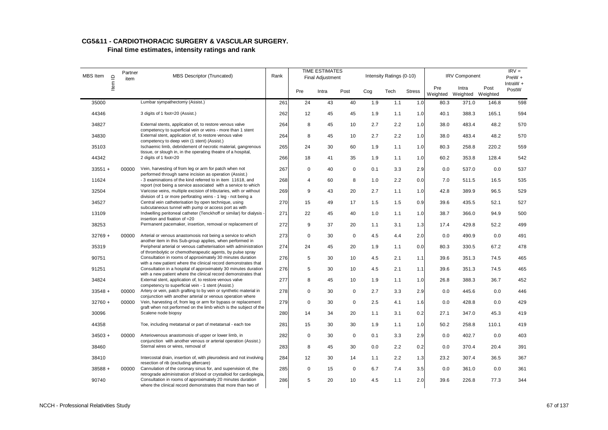#### **CG5&11 - CARDIOTHORACIC SURGERY & VASCULAR SURGERY. Final time estimates, intensity ratings and rank**

| MBS Item  | $\mathbf{\underline{o}}$ | Partner<br>item | <b>MBS Descriptor (Truncated)</b>                                                                                                     | Rank |                | <b>TIME ESTIMATES</b><br><b>Final Adjustment</b> |             |     | Intensity Ratings (0-10) |               |                 | <b>IRV Component</b>       |       | $IRV =$<br>$PreW +$ |
|-----------|--------------------------|-----------------|---------------------------------------------------------------------------------------------------------------------------------------|------|----------------|--------------------------------------------------|-------------|-----|--------------------------|---------------|-----------------|----------------------------|-------|---------------------|
|           | Item                     |                 |                                                                                                                                       |      | Pre            | Intra                                            | Post        | Cog | Tech                     | <b>Stress</b> | Pre<br>Weighted | Intra<br>Weighted Weighted | Post  | $IntraW +$<br>PostW |
| 35000     |                          |                 | Lumbar sympathectomy (Assist.)                                                                                                        | 261  | 24             | 43                                               | 40          | 1.9 | 1.1                      | 1.0           | 80.3            | 371.0                      | 146.8 | 598                 |
| 44346     |                          |                 | 3 digits of 1 foot=20 (Assist.)                                                                                                       | 262  | 12             | 45                                               | 45          | 1.9 | 1.1                      | 1.0           | 40.1            | 388.3                      | 165.1 | 594                 |
| 34827     |                          |                 | External stents, application of, to restore venous valve<br>competency to superficial vein or veins - more than 1 stent               | 264  | 8              | 45                                               | 10          | 2.7 | 2.2                      | 1.0           | 38.0            | 483.4                      | 48.2  | 570                 |
| 34830     |                          |                 | External stent, application of, to restore venous valve<br>competency to deep vein (1 stent) (Assist.)                                | 264  | 8              | 45                                               | 10          | 2.7 | 2.2                      | 1.0           | 38.0            | 483.4                      | 48.2  | 570                 |
| 35103     |                          |                 | Ischaemic limb, debridement of necrotic material, gangrenous<br>tissue, or slough in, in the operating theatre of a hospital,         | 265  | 24             | 30                                               | 60          | 1.9 | 1.1                      | 1.0           | 80.3            | 258.8                      | 220.2 | 559                 |
| 44342     |                          |                 | 2 digits of 1 foot=20                                                                                                                 | 266  | 18             | 41                                               | 35          | 1.9 | 1.1                      | 1.0           | 60.2            | 353.8                      | 128.4 | 542                 |
| $33551 +$ |                          | 00000           | Vein, harvesting of from leg or arm for patch when not<br>performed through same incision as operation (Assist.)                      | 267  | 0              | 40                                               | 0           | 0.1 | 3.3                      | 2.9           | 0.0             | 537.0                      | 0.0   | 537                 |
| 11624     |                          |                 | - 3 examinations of the kind referred to in item 11618, and<br>report (not being a service associated with a service to which         | 268  | $\overline{4}$ | 60                                               | 8           | 1.0 | 2.2                      | 0.0           | 7.0             | 511.5                      | 16.5  | 535                 |
| 32504     |                          |                 | Varicose veins, multiple excision of tributaries, with or without<br>division of 1 or more perforating veins - 1 leg - not being a    | 269  | 9              | 43                                               | 20          | 2.7 | 1.1                      | 1.0           | 42.8            | 389.9                      | 96.5  | 529                 |
| 34527     |                          |                 | Central vein catheterisation by open technique, using<br>subcutaneous tunnel with pump or access port as with                         | 270  | 15             | 49                                               | 17          | 1.5 | 1.5                      | 0.9           | 39.6            | 435.5                      | 52.1  | 527                 |
| 13109     |                          |                 | Indwelling peritoneal catheter (Tenckhoff or similar) for dialysis -<br>insertion and fixation of =20                                 | 271  | 22             | 45                                               | 40          | 1.0 | 1.1                      | 1.0           | 38.7            | 366.0                      | 94.9  | 500                 |
| 38253     |                          |                 | Permanent pacemaker, insertion, removal or replacement of                                                                             | 272  | 9              | 37                                               | 20          | 1.1 | 3.1                      | 1.3           | 17.4            | 429.8                      | 52.2  | 499                 |
| $32769 +$ |                          | 00000           | Arterial or venous anastomosis not being a service to which<br>another item in this Sub-group applies, when performed in              | 273  | $\mathsf 0$    | 30                                               | $\mathbf 0$ | 4.5 | 4.4                      | 2.0           | 0.0             | 490.9                      | 0.0   | 491                 |
| 35319     |                          |                 | Peripheral arterial or venous catheterisation with administration<br>of thrombolytic or chemotherapeutic agents, by pulse spray       | 274  | 24             | 45                                               | 20          | 1.9 | 1.1                      | 0.0           | 80.3            | 330.5                      | 67.2  | 478                 |
| 90751     |                          |                 | Consultation in rooms of approximately 30 minutes duration<br>with a new patient where the clinical record demonstrates that          | 276  | 5              | 30                                               | 10          | 4.5 | 2.1                      | 1.1           | 39.6            | 351.3                      | 74.5  | 465                 |
| 91251     |                          |                 | Consultation in a hospital of approximately 30 minutes duration<br>with a new patient where the clinical record demonstrates that     | 276  | 5              | 30                                               | 10          | 4.5 | 2.1                      | 1.1           | 39.6            | 351.3                      | 74.5  | 465                 |
| 34824     |                          |                 | External stent, application of, to restore venous valve<br>competency to superficial vein - 1 stent (Assist.)                         | 277  | 8              | 45                                               | 10          | 1.9 | 1.1                      | 1.0           | 26.8            | 388.3                      | 36.7  | 452                 |
| $33548 +$ |                          | 00000           | Artery or vein, patch grafting to by vein or synthetic material in<br>conjunction with another arterial or venous operation where     | 278  | 0              | 30                                               | $\pmb{0}$   | 2.7 | 3.3                      | 2.9           | 0.0             | 445.6                      | 0.0   | 446                 |
| $32760 +$ |                          | 00000           | Vein, harvesting of, from leg or arm for bypass or replacement<br>graft when not performed on the limb which is the subject of the    | 279  | $\mathbf 0$    | 30                                               | 0           | 2.5 | 4.1                      | 1.6           | 0.0             | 428.8                      | 0.0   | 429                 |
| 30096     |                          |                 | Scalene node biopsy                                                                                                                   | 280  | 14             | 34                                               | 20          | 1.1 | 3.1                      | 0.2           | 27.1            | 347.0                      | 45.3  | 419                 |
| 44358     |                          |                 | Toe, including metatarsal or part of metatarsal - each toe                                                                            | 281  | 15             | 30                                               | 30          | 1.9 | 1.1                      | 1.0           | 50.2            | 258.8                      | 110.1 | 419                 |
| $34503 +$ |                          | 00000           | Arteriovenous anastomosis of upper or lower limb, in<br>conjunction with another venous or arterial operation (Assist.)               | 282  | $\mathbf 0$    | 30                                               | $\mathbf 0$ | 0.1 | 3.3                      | 2.9           | 0.0             | 402.7                      | 0.0   | 403                 |
| 38460     |                          |                 | Sternal wires or wires, removal of                                                                                                    | 283  | 8              | 45                                               | 30          | 0.0 | 2.2                      | 0.2           | 0.0             | 370.4                      | 20.4  | 391                 |
| 38410     |                          |                 | Intercostal drain, insertion of, with pleurodesis and not involving<br>resection of rib (excluding aftercare)                         | 284  | 12             | 30                                               | 14          | 1.1 | 2.2                      | 1.3           | 23.2            | 307.4                      | 36.5  | 367                 |
| $38588 +$ |                          | 00000           | Cannulation of the coronary sinus for, and supervision of, the<br>retrograde administration of blood or crystalloid for cardioplegia, | 285  | $\mathsf 0$    | 15                                               | $\mathbf 0$ | 6.7 | 7.4                      | 3.5           | 0.0             | 361.0                      | 0.0   | 361                 |
| 90740     |                          |                 | Consultation in rooms of approximately 20 minutes duration<br>where the clinical record demonstrates that more than two of            | 286  | 5              | 20                                               | 10          | 4.5 | 1.1                      | 2.0           | 39.6            | 226.8                      | 77.3  | 344                 |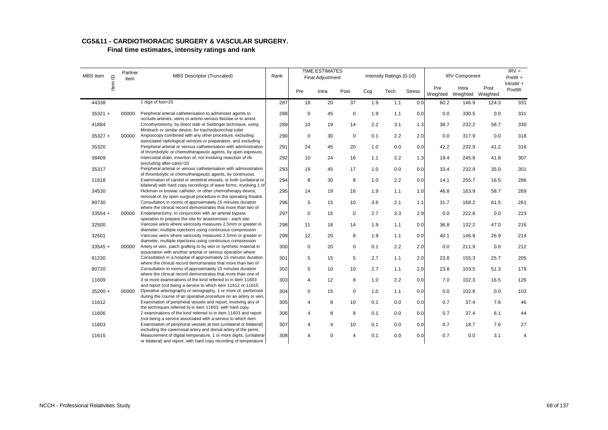| MBS Item  | $\supseteq$ | Partner<br>item | MBS Descriptor (Truncated)                                                                                                                | Rank |                | <b>TIME ESTIMATES</b><br><b>Final Adjustment</b> |             |     | Intensity Ratings (0-10) |               |                 | <b>IRV Component</b>       |       | $IRV =$<br>PreW +<br>IntraW $+$ |
|-----------|-------------|-----------------|-------------------------------------------------------------------------------------------------------------------------------------------|------|----------------|--------------------------------------------------|-------------|-----|--------------------------|---------------|-----------------|----------------------------|-------|---------------------------------|
|           | Item        |                 |                                                                                                                                           |      | Pre            | Intra                                            | Post        | Cog | Tech                     | <b>Stress</b> | Pre<br>Weighted | Intra<br>Weighted Weighted | Post  | PostW                           |
| 44338     |             |                 | 1 digit of foot=20                                                                                                                        | 287  | 18             | 20                                               | 37          | 1.9 | 1.1                      | 0.0           | 60.2            | 146.9                      | 124.3 | 331                             |
| $35321 +$ |             | 00000           | Peripheral arterial catheterisation to administer agents to<br>occlude arteries, veins or arterio-venous fistulae or to arrest            | 288  | $\mathbf 0$    | 45                                               | $\mathbf 0$ | 1.9 | 1.1                      | 0.0           | 0.0             | 330.5                      | 0.0   | 331                             |
| 41884     |             |                 | Cricothyrostomy, by direct stab or Seldinger technique, using<br>Minitrach or similar device, for tracheobronchial toilet                 | 289  | 10             | 19                                               | 14          | 2.2 | 3.1                      | 1.3           | 38.7            | 232.2                      | 58.7  | 330                             |
| $35327 +$ |             | 00000           | Angioscopy combined with any other procedure, excluding<br>associated radiological services or preparation, and excluding                 | 290  | $\mathbf 0$    | 30                                               | $\mathbf 0$ | 0.1 | 2.2                      | 2.0           | 0.0             | 317.9                      | 0.0   | 318                             |
| 35320     |             |                 | Peripheral arterial or venous catheterisation with administration<br>of thrombolytic or chemotherapeutic agents, by open exposure,        | 291  | 24             | 45                                               | 20          | 1.0 | 0.0                      | 0.0           | 42.2            | 232.9                      | 41.2  | 316                             |
| 38409     |             |                 | Intercostal drain, insertion of, not involving resection of rib<br>(excluding after-care)=20                                              | 292  | 10             | 24                                               | 16          | 1.1 | 2.2                      | 1.3           | 19.4            | 245.9                      | 41.8  | 307                             |
| 35317     |             |                 | Peripheral arterial or venous catheterisation with administration<br>of thrombolytic or chemotherapeutic agents, by continuous            | 293  | 19             | 45                                               | 17          | 1.0 | 0.0                      | 0.0           | 33.4            | 232.9                      | 35.0  | 301                             |
| 11618     |             |                 | Examination of carotid or vertebral vessels, or both (unilateral or<br>bilateral) with hard copy recordings of wave forms, involving 1 of | 294  | 8              | 30                                               | 8           | 1.0 | 2.2                      | 0.0           | 14.1            | 255.7                      | 16.5  | 286                             |
| 34530     |             |                 | Hickman or broviac catheter, or other chemotherapy device,<br>removal of, by open surgical procedure in the operating theatre             | 295  | 14             | 19                                               | 16          | 1.9 | 1.1                      | 1.0           | 46.8            | 163.9                      | 58.7  | 269                             |
| 90730     |             |                 | Consultation in rooms of approximately 15 minutes duration<br>where the clinical record demonstrates that more than two of                | 296  | 5              | 15                                               | 10          | 3.6 | 2.1                      | 1.1           | 31.7            | 168.2                      | 61.5  | 261                             |
| $33554 +$ |             | 00000           | Endarterectomy, in conjunction with an arterial bypass<br>operation to prepare the site for anastomosis - each site                       | 297  | $\mathsf 0$    | 15                                               | $\mathbf 0$ | 2.7 | 3.3                      | 2.9           | 0.0             | 222.8                      | 0.0   | 223                             |
| 32500     |             |                 | Varicose veins where varicosity measures 2.5mm or greater in<br>diameter, multiple injections using continuous compression                | 298  | 11             | 18                                               | 14          | 1.9 | 1.1                      | 0.0           | 36.8            | 132.2                      | 47.0  | 216                             |
| 32501     |             |                 | Varicose veins where varicosity measures 2.5mm or greater in<br>diameter, multiple injections using continuous compression                | 299  | 12             | 20                                               | 8           | 1.9 | 1.1                      | 0.0           | 40.1            | 146.9                      | 26.9  | 214                             |
| $33545 +$ |             | 00000           | Artery or vein, patch grafting to by vein or synthetic material in<br>association with another arterial or venous operation where         | 300  | 0              | 20                                               | $\mathbf 0$ | 0.1 | 2.2                      | 2.0           | 0.0             | 211.9                      | 0.0   | 212                             |
| 91230     |             |                 | Consultation in a hospital of approximately 15 minutes duration<br>where the clinical record demonstrates that more than two of           | 301  | 5              | 15                                               | 5           | 2.7 | 1.1                      | 2.0           | 23.8            | 155.3                      | 25.7  | 205                             |
| 90720     |             |                 | Consultation in rooms of approximately 10 minutes duration<br>where the clinical record demonstrates that more than one of                | 302  | 5              | 10                                               | 10          | 2.7 | 1.1                      | 2.0           | 23.8            | 103.5                      | 51.3  | 179                             |
| 11609     |             |                 | 3 or more examinations of the kind referred to in item 11603<br>and report (not being a service to which item 11612 or 11615              | 303  | 4              | 12                                               | 8           | 1.0 | 2.2                      | 0.0           | 7.0             | 102.3                      | 16.5  | 126                             |
| $35200 +$ |             | 00000           | Operative arteriography or venography, 1 or more of, performed<br>during the course of an operative procedure on an artery or vein,       | 304  | $\mathsf 0$    | 15                                               | $\pmb{0}$   | 1.0 | 1.1                      | 0.0           | 0.0             | 102.8                      | 0.0   | 103                             |
| 11612     |             |                 | Examination of peripheral vessels and report, involving any of<br>the techniques referred to in item 11603, with hard copy                | 305  | $\overline{4}$ | 8                                                | 10          | 0.1 | 0.0                      | 0.0           | 0.7             | 37.4                       | 7.6   | 46                              |
| 11606     |             |                 | 2 examinations of the kind referred to in item 11603 and report<br>(not being a service associated with a service to which item           | 306  | 4              | 8                                                | 8           | 0.1 | 0.0                      | 0.0           | 0.7             | 37.4                       | 6.1   | 44                              |
| 11603     |             |                 | Examination of peripheral vessels at rest (unilateral or bilateral)<br>excluding the cavernosal artery and dorsal artery of the penis,    | 307  | 4              | 4                                                | 10          | 0.1 | 0.0                      | 0.0           | 0.7             | 18.7                       | 7.6   | 27                              |
| 11615     |             |                 | Measurement of digital temperature, 1 or more digits, (unilateral<br>or bilateral) and report, with hard copy recording of temperature    | 308  | Δ              | $\Omega$                                         | Δ           | 0.1 | 0.0                      | 0.0           | 0.7             | 0.0                        | 3.1   | 4                               |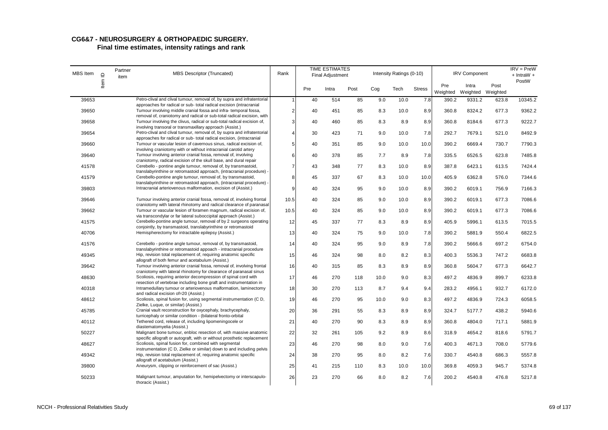### **CG6&7 - NEUROSURGERY & ORTHOPAEDIC SURGERY. Final time estimates, intensity ratings and rank**

| MBS Item | $\mathbf{\underline{o}}$ | Partner<br>item | MBS Descriptor (Truncated)                                                                                                                                                                                      | Rank           |     | <b>TIME ESTIMATES</b><br><b>Final Adjustment</b> |      |      | Intensity Ratings (0-10) |               |                 | <b>IRV Component</b>       |       | $IRV = PreW$<br>$+$ IntraW $+$ |
|----------|--------------------------|-----------------|-----------------------------------------------------------------------------------------------------------------------------------------------------------------------------------------------------------------|----------------|-----|--------------------------------------------------|------|------|--------------------------|---------------|-----------------|----------------------------|-------|--------------------------------|
|          | ltem                     |                 |                                                                                                                                                                                                                 |                | Pre | Intra                                            | Post | Cog  | Tech                     | <b>Stress</b> | Pre<br>Weighted | Intra<br>Weighted Weighted | Post  | PostW                          |
| 39653    |                          |                 | Petro-clival and clival tumour, removal of, by supra and infratentorial                                                                                                                                         | -1             | 40  | 514                                              | 85   | 9.0  | 10.0                     | 7.8           | 390.2           | 9331.2                     | 623.8 | 10345.2                        |
| 39650    |                          |                 | approaches for radical or sub-total radical excision (intracranial<br>Tumour involving middle cranial fossa and infra-temporal fossa,<br>removal of, craniotomy and radical or sub-total radical excision, with | $\overline{2}$ | 40  | 451                                              | 85   | 8.3  | 10.0                     | 8.9           | 360.8           | 8324.2                     | 677.3 | 9362.2                         |
| 39658    |                          |                 | Tumour involving the clivus, radical or sub-total radical excision of,<br>involving transoral or transmaxillary approach (Assist.)                                                                              | 3              | 40  | 460                                              | 85   | 8.3  | 8.9                      | 8.9           | 360.8           | 8184.6                     | 677.3 | 9222.7                         |
| 39654    |                          |                 | Petro-clival and clival tumour, removal of, by supra and infratentorial<br>approaches for radical or sub- total radical excision, (intracranial                                                                 | 4              | 30  | 423                                              | 71   | 9.0  | 10.0                     | 7.8           | 292.7           | 7679.1                     | 521.0 | 8492.9                         |
| 39660    |                          |                 | Tumour or vascular lesion of cavernous sinus, radical excision of,<br>involving craniotomy with or without intracranial carotid artery                                                                          | 5              | 40  | 351                                              | 85   | 9.0  | 10.0                     | 10.0          | 390.2           | 6669.4                     | 730.7 | 7790.3                         |
| 39640    |                          |                 | Tumour involving anterior cranial fossa, removal of, involving<br>craniotomy, radical excision of the skull base, and dural repair                                                                              | 6              | 40  | 378                                              | 85   | 7.7  | 8.9                      | 7.8           | 335.5           | 6526.5                     | 623.8 | 7485.8                         |
| 41578    |                          |                 | Cerebello - pontine angle tumour, removal of, by transmastoid,                                                                                                                                                  | $\overline{7}$ | 43  | 348                                              | 77   | 8.3  | 10.0                     | 8.9           | 387.8           | 6423.1                     | 613.5 | 7424.4                         |
| 41579    |                          |                 | translabyrinthine or retromastoid approach, (intracranial procedure) -<br>Cerebello-pontine angle tumour, removal of, by transmastoid,                                                                          | 8              | 45  | 337                                              | 67   | 8.3  | 10.0                     | 10.0          | 405.9           | 6362.8                     | 576.0 | 7344.6                         |
| 39803    |                          |                 | translabyrinthine or retromastoid approach, (intracranial procedure) -<br>Intracranial arteriovenous malformation, excision of (Assist.)                                                                        | $\mathbf{Q}$   | 40  | 324                                              | 95   | 9.0  | 10.0                     | 8.9           | 390.2           | 6019.1                     | 756.9 | 7166.3                         |
| 39646    |                          |                 | Tumour involving anterior cranial fossa, removal of, involving frontal<br>craniotomy with lateral rhinotomy and radical clearance of paranasal                                                                  | 10.5           | 40  | 324                                              | 85   | 9.0  | 10.0                     | 8.9           | 390.2           | 6019.1                     | 677.3 | 7086.6                         |
| 39662    |                          |                 | Tumour or vascular lesion of foramen magnum, radical excision of,<br>via transcondylar or far lateral suboccipital approach (Assist.)                                                                           | 10.5           | 40  | 324                                              | 85   | 9.0  | 10.0                     | 8.9           | 390.2           | 6019.1                     | 677.3 | 7086.6                         |
| 41575    |                          |                 | Cerebello-pontine angle tumour, removal of by 2 surgeons operating<br>conjointly, by transmastoid, translabyrinthine or retromastoid                                                                            | 12             | 45  | 337                                              | 77   | 8.3  | 8.9                      | 8.9           | 405.9           | 5996.1                     | 613.5 | 7015.5                         |
| 40706    |                          |                 | Hemispherectomy for intractable epilepsy (Assist.)                                                                                                                                                              | 13             | 40  | 324                                              | 75   | 9.0  | 10.0                     | 7.8           | 390.2           | 5881.9                     | 550.4 | 6822.5                         |
| 41576    |                          |                 | Cerebello - pontine angle tumour, removal of, by transmastoid,<br>translabyrinthine or retromastoid appoach - intracranial procedure                                                                            | 14             | 40  | 324                                              | 95   | 9.0  | 8.9                      | 7.8           | 390.2           | 5666.6                     | 697.2 | 6754.0                         |
| 49345    |                          |                 | Hip, revision total replacement of, requiring anatomic specific<br>allograft of both femur and acetabulum (Assist.)                                                                                             | 15             | 46  | 324                                              | 98   | 8.0  | 8.2                      | 8.3           | 400.3           | 5536.3                     | 747.2 | 6683.8                         |
| 39642    |                          |                 | Tumour involving anterior cranial fossa, removal of, involving frontal<br>craniotomy with lateral rhinotomy for clearance of paranasal sinus                                                                    | 16             | 40  | 315                                              | 85   | 8.3  | 8.9                      | 8.9           | 360.8           | 5604.7                     | 677.3 | 6642.7                         |
| 48630    |                          |                 | Scoliosis, requiring anterior decompression of spinal cord with<br>resection of vertebrae including bone graft and instrumentation in                                                                           | 17             | 46  | 270                                              | 118  | 10.0 | 9.0                      | 8.3           | 497.2           | 4836.9                     | 899.7 | 6233.8                         |
| 40318    |                          |                 | Intramedullary tumour or arteriovenous malformation, laminectomy<br>and radical excision of=20 (Assist.)                                                                                                        | 18             | 30  | 270                                              | 113  | 8.7  | 9.4                      | 9.4           | 283.2           | 4956.1                     | 932.7 | 6172.0                         |
| 48612    |                          |                 | Scoliosis, spinal fusion for, using segmental instrumentation (C D,<br>Zielke, Luque, or similar) (Assist.)                                                                                                     | 19             | 46  | 270                                              | 95   | 10.0 | 9.0                      | 8.3           | 497.2           | 4836.9                     | 724.3 | 6058.5                         |
| 45785    |                          |                 | Cranial vault reconstruction for oxycephaly, brachycephaly,<br>turricephaly or similar condition - (bilateral fronto-orbital                                                                                    | 20             | 36  | 291                                              | 55   | 8.3  | 8.9                      | 8.9           | 324.7           | 5177.7                     | 438.2 | 5940.6                         |
| 40112    |                          |                 | Tethered cord, release of, including lipomeningocele or<br>diastematomyelia (Assist.)                                                                                                                           | 21             | 40  | 270                                              | 90   | 8.3  | 8.9                      | 8.9           | 360.8           | 4804.0                     | 717.1 | 5881.9                         |
| 50227    |                          |                 | Malignant bone tumour, enbloc resection of, with massive anatomic<br>specific allograft or autograft, with or without prosthetic replacement                                                                    | 22             | 32  | 261                                              | 105  | 9.2  | 8.9                      | 8.6           | 318.9           | 4654.2                     | 818.6 | 5791.7                         |
| 48627    |                          |                 | Scoliosis, spinal fusion for, combined with segmental<br>instrumentation (C D, Zielke or similar) down to and including pelvis                                                                                  | 23             | 46  | 270                                              | 98   | 8.0  | 9.0                      | 7.6           | 400.3           | 4671.3                     | 708.0 | 5779.6                         |
| 49342    |                          |                 | Hip, revision total replacement of, requiring anatomic specific<br>allograft of acetabulum (Assist.)                                                                                                            | 24             | 38  | 270                                              | 95   | 8.0  | 8.2                      | 7.6           | 330.7           | 4540.8                     | 686.3 | 5557.8                         |
| 39800    |                          |                 | Aneurysm, clipping or reinforcement of sac (Assist.)                                                                                                                                                            | 25             | 41  | 215                                              | 110  | 8.3  | 10.0                     | 10.0          | 369.8           | 4059.3                     | 945.7 | 5374.8                         |
| 50233    |                          |                 | Malignant tumour, amputation for, hemipelvectomy or interscapulo-<br>thoracic (Assist.)                                                                                                                         | 26             | 23  | 270                                              | 66   | 8.0  | 8.2                      | 7.6           | 200.2           | 4540.8                     | 476.8 | 5217.8                         |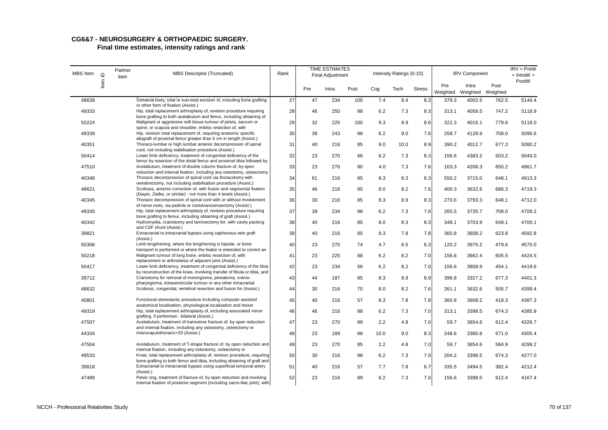# **CG6&7 - NEUROSURGERY & ORTHOPAEDIC SURGERY.**

| MBS Item |         | Partner<br>item | <b>MBS Descriptor (Truncated)</b>                                                                                                                    | Rank |     | <b>TIME ESTIMATES</b><br><b>Final Adjustment</b> |      |      | Intensity Ratings (0-10) |               |                 | <b>IRV Component</b>       |       | $IRV = PreW$<br>+ IntraW + |
|----------|---------|-----------------|------------------------------------------------------------------------------------------------------------------------------------------------------|------|-----|--------------------------------------------------|------|------|--------------------------|---------------|-----------------|----------------------------|-------|----------------------------|
|          | Item ID |                 |                                                                                                                                                      |      | Pre | Intra                                            | Post | Cog  | Tech                     | <b>Stress</b> | Pre<br>Weighted | Intra<br>Weighted Weighted | Post  | PostW                      |
| 48639    |         |                 | Vertebral body, total or sub-total excision of, including bone grafting<br>or other form of fixation (Assist.)                                       | 27   | 47  | 234                                              | 100  | 7.4  | 8.4                      | 8.3           | 379.3           | 4002.5                     | 762.5 | 5144.4                     |
| 49333    |         |                 | Hip, total replacement arthroplasty of, revision procedure requiring                                                                                 | 28   | 46  | 250                                              | 98   | 6.2  | 7.3                      | 8.3           | 313.1           | 4058.5                     | 747.2 | 5118.9                     |
| 50224    |         |                 | bone grafting to both acetabulum and femur, including obtaining of<br>Malignant or aggressive soft tissue tumour of pelvis, sacrum or                | 29   | 32  | 225                                              | 100  | 9.3  | 8.9                      | 8.6           | 322.3           | 4016.1                     | 779.6 | 5118.0                     |
| 49339    |         |                 | spine; or scapula and shoulder, enbloc resection of, with<br>Hip, revision total replacement of, requiring anatomic specific                         | 30   | 38  | 243                                              | 98   | 6.2  | 9.0                      | 7.6           | 258.7           | 4128.9                     | 708.0 | 5095.6                     |
| 40351    |         |                 | allograft of proximal femur greater than 5 cm in length (Assist.)<br>Thoraco-lumbar or high lumbar anterior decompression of spinal                  | 31   | 40  | 216                                              | 85   | 9.0  | 10.0                     | 8.9           | 390.2           | 4012.7                     | 677.3 | 5080.2                     |
| 50414    |         |                 | cord, not including stabilisation procedure (Assist.)<br>Lower limb deficiency, treatment of congenital deficiency of the                            | 32   | 23  | 270                                              | 66   | 6.2  | 7.3                      | 8.3           | 156.6           | 4383.2                     | 503.2 | 5043.0                     |
| 47510    |         |                 | femur by resection of the distal femur and proximal tibia followed by<br>Acetabulum, treatment of double column fracture of, by open                 | 33   | 23  | 270                                              | 90   | 4.0  | 7.3                      | 7.6           | 103.3           | 4208.3                     | 650.2 | 4961.7                     |
| 40348    |         |                 | reduction and internal fixation, including any osteotomy, osteectomy<br>Thoracic decompression of spinal cord via thoracotomy with                   | 34   | 61  | 216                                              | 85   | 8.3  | 8.3                      | 8.3           | 550.2           | 3715.0                     | 648.1 | 4913.3                     |
|          |         |                 | vertebrectomy, not including stabilisation procedure (Assist.)                                                                                       |      |     |                                                  |      |      |                          |               |                 |                            |       |                            |
| 48621    |         |                 | Scoliosis, anterior correction of, with fusion and segmental fixation<br>(Dwyer, Zielke, or similar) - not more than 4 levels (Assist.)              | 35   | 46  | 216                                              | 95   | 8.0  | 8.2                      | 7.6           | 400.3           | 3632.6                     | 686.3 | 4719.3                     |
| 40345    |         |                 | Thoracic decompression of spinal cord with or without involvement<br>of nerve roots, via pedicle or costotransversectomy (Assist.)                   | 36   | 30  | 216                                              | 85   | 8.3  | 8.9                      | 8.3           | 270.6           | 3793.3                     | 648.1 | 4712.0                     |
| 49330    |         |                 | Hip, total replacement arthroplasty of, revision procedure requiring<br>bone grafting to femur, including obtaining of graft (Assist.)               | 37   | 39  | 234                                              | 98   | 6.2  | 7.3                      | 7.6           | 265.5           | 3735.7                     | 708.0 | 4709.2                     |
| 40342    |         |                 | Hydromyelia, craniotomy and laminectomy for, with cavity packing<br>and CSF shunt (Assist.)                                                          | 38   | 40  | 216                                              | 85   | 8.0  | 8.3                      | 8.3           | 348.1           | 3703.9                     | 648.1 | 4700.1                     |
| 39821    |         |                 | Extracranial to intracranial bypass using saphenous vein graft                                                                                       | 39   | 40  | 216                                              | 85   | 8.3  | 7.8                      | 7.8           | 360.8           | 3608.2                     | 623.8 | 4592.8                     |
| 50306    |         |                 | (Assist.)<br>Limb lengthening, where the lengthening is bipolar, or bone                                                                             | 40   | 23  | 270                                              | 74   | 4.7  | 6.5                      | 6.3           | 120.2           | 3975.2                     | 479.6 | 4575.0                     |
| 50218    |         |                 | transport is performed or where the fixator is extended to correct an<br>Malignant tumour of long bone, enbloc resection of, with                    | 41   | 23  | 225                                              | 88   | 6.2  | 8.2                      | 7.0           | 156.6           | 3662.4                     | 605.5 | 4424.5                     |
| 50417    |         |                 | replacement or arthrodesis of adjacent joint (Assist.)<br>Lower limb deficiency, treatment of congenital deficiency of the tibia                     | 42   | 23  | 234                                              | 66   | 6.2  | 8.2                      | 7.0           | 156.6           | 3808.9                     | 454.1 | 4419.6                     |
| 39712    |         |                 | by reconstruction of the knee, involving transfer of fibula or tibia, and<br>Craniotomy for removal of meningioma, pinealoma, cranio-                | 43   | 44  | 187                                              | 85   | 8.3  | 8.9                      | 8.9           | 396.8           | 3327.2                     | 677.3 | 4401.3                     |
| 48632    |         |                 | pharyngioma, intraventricular tumour or any other intracranial<br>Scoliosis, congenital, vertebral resection and fusion for (Assist.)                | 44   | 30  | 216                                              | 70   | 8.0  | 8.2                      | 7.6           | 261.1           | 3632.6                     | 505.7 | 4399.4                     |
|          |         |                 |                                                                                                                                                      |      |     |                                                  |      |      |                          |               |                 |                            |       |                            |
| 40801    |         |                 | Functional stereotactic procedure including computer assisted<br>anatomical localisation, physiological localisation and lesion                      | 45   | 40  | 216                                              | 57   | 8.3  | 7.8                      | 7.8           | 360.8           | 3608.2                     | 418.3 | 4387.3                     |
| 49319    |         |                 | Hip, total replacement arthroplasty of, including associated minor<br>grafting, if performed - bilateral (Assist.)                                   | 46   | 46  | 216                                              | 98   | 6.2  | 7.3                      | 7.0           | 313.1           | 3398.5                     | 674.3 | 4385.9                     |
| 47507    |         |                 | Acetabulum, treatment of transverse fracture of, by open reduction<br>and internal fixation, including any osteotomy, osteectomy or                  | 47   | 23  | 270                                              | 89   | 2.2  | 4.8                      | 7.0           | 59.7            | 3654.6                     | 612.4 | 4326.7                     |
| 44334    |         |                 | Interscapulothoracic=20 (Assist.)                                                                                                                    | 48   | 23  | 189                                              | 88   | 10.0 | 9.0                      | 8.3           | 248.6           | 3385.8                     | 671.0 | 4305.4                     |
| 47504    |         |                 | Acetabulum, treatment of T-shape fracture of, by open reduction and<br>internal fixation, including any osteotomy, osteectomy or                     | 49   | 23  | 270                                              | 85   | 2.2  | 4.8                      | 7.0           | 59.7            | 3654.6                     | 584.9 | 4299.2                     |
| 49533    |         |                 | Knee, total replacement arthroplasty of, revision procedure, requiring<br>bone grafting to both femur and tibia, including obtaining of graft and    | 50   | 30  | 216                                              | 98   | 6.2  | 7.3                      | 7.0           | 204.2           | 3398.5                     | 674.3 | 4277.0                     |
| 39818    |         |                 | Extracranial to intracranial bypass using superficial temporal artery<br>(Assist.)                                                                   | 51   | 40  | 216                                              | 57   | 7.7  | 7.8                      | 6.7           | 335.5           | 3494.5                     | 382.4 | 4212.4                     |
| 47489    |         |                 | Pelvic ring, treatment of fracture of, by open reduction and involving<br>internal fixation of posterior segment (including sacro-iliac joint), with | 52   | 23  | 216                                              | 89   | 6.2  | 7.3                      | 7.0           | 156.6           | 3398.5                     | 612.4 | 4167.4                     |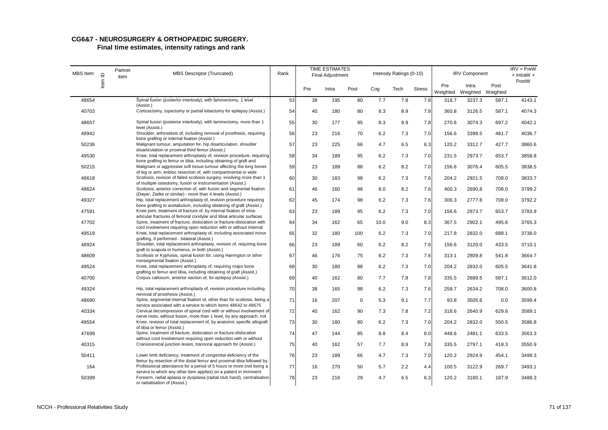# **CG6&7 - NEUROSURGERY & ORTHOPAEDIC SURGERY.**

| <b>MBS</b> Item | $\mathbf{\underline{\underline{o}}}$ | Partner<br>item | <b>MBS Descriptor (Truncated)</b>                                                                                                                                                                | Rank |     | <b>TIME ESTIMATES</b><br><b>Final Adjustment</b> |      |      | Intensity Ratings (0-10) |               |                 | <b>IRV Component</b>       |       | $IRV = PreW$<br>$+$ IntraW $+$ |
|-----------------|--------------------------------------|-----------------|--------------------------------------------------------------------------------------------------------------------------------------------------------------------------------------------------|------|-----|--------------------------------------------------|------|------|--------------------------|---------------|-----------------|----------------------------|-------|--------------------------------|
|                 | ltem                                 |                 |                                                                                                                                                                                                  |      | Pre | Intra                                            | Post | Cog  | Tech                     | <b>Stress</b> | Pre<br>Weighted | Intra<br>Weighted Weighted | Post  | PostW                          |
| 48654           |                                      |                 | Spinal fusion (posterior interbody), with laminectomy, 1 level<br>(Assist.)                                                                                                                      | 53   | 38  | 195                                              | 80   | 7.7  | 7.8                      | 7.8           | 318.7           | 3237.3                     | 587.1 | 4143.1                         |
| 40703           |                                      |                 | Corticectomy, topectomy or partial lobectomy for epilepsy (Assist.)                                                                                                                              | 54   | 40  | 180                                              | 80   | 8.3  | 8.9                      | 7.8           | 360.8           | 3126.5                     | 587.1 | 4074.3                         |
| 48657           |                                      |                 | Spinal fusion (posterior interbody), with laminectomy, more than 1<br>level (Assist.)                                                                                                            | 55   | 30  | 177                                              | 95   | 8.3  | 8.9                      | 7.8           | 270.6           | 3074.3                     | 697.2 | 4042.1                         |
| 48942           |                                      |                 | Shoulder, arthrodesis of, including removal of prosthesis, requiring                                                                                                                             | 56   | 23  | 216                                              | 70   | 6.2  | 7.3                      | 7.0           | 156.6           | 3398.5                     | 481.7 | 4036.7                         |
| 50236           |                                      |                 | bone grafting or internal fixation (Assist.)<br>Malignant tumour, amputation for, hip disarticulation, shoulder                                                                                  | 57   | 23  | 225                                              | 66   | 4.7  | 6.5                      | 6.3           | 120.2           | 3312.7                     | 427.7 | 3860.6                         |
| 49530           |                                      |                 | disarticulation or proximal third femur (Assist.)<br>Knee, total replacement arthroplasty of, revision procedure, requiring<br>bone grafting to femur or tibia, including obtaining of graft and | 58   | 34  | 189                                              | 95   | 6.2  | 7.3                      | 7.0           | 231.5           | 2973.7                     | 653.7 | 3858.8                         |
| 50215           |                                      |                 | Malignant or aggressive soft tissue tumour affecting the long bones                                                                                                                              | 59   | 23  | 189                                              | 88   | 6.2  | 8.2                      | 7.0           | 156.6           | 3076.4                     | 605.5 | 3838.5                         |
| 48618           |                                      |                 | of leg or arm, enbloc resection of, with compartmental or wide<br>Scoliosis, revision of failed scoliosis surgery, involving more than 1                                                         | 60   | 30  | 183                                              | 98   | 6.2  | 7.3                      | 7.6           | 204.2           | 2921.5                     | 708.0 | 3833.7                         |
| 48624           |                                      |                 | of multiple osteotomy, fusion or instrumentation (Assist.)<br>Scoliosis, anterior correction of, with fusion and segmental fixation                                                              | 61   | 46  | 160                                              | 98   | 8.0  | 8.2                      | 7.6           | 400.3           | 2690.8                     | 708.0 | 3799.2                         |
| 49327           |                                      |                 | (Dwyer, Zielke or similar) - more than 4 levels (Assist.)<br>Hip, total replacement arthroplasty of, revision procedure requiring                                                                | 62   | 45  | 174                                              | 98   | 6.2  | 7.3                      | 7.6           | 306.3           | 2777.8                     | 708.0 | 3792.2                         |
| 47591           |                                      |                 | bone grafting to acetabulum, including obtaining of graft (Assist.)<br>Knee joint, treatment of fracture of, by internal fixation of intra-                                                      | 63   | 23  | 189                                              | 95   | 6.2  | 7.3                      | 7.0           | 156.6           | 2973.7                     | 653.7 | 3783.9                         |
| 47702           |                                      |                 | articular fractures of femoral condylar and tibial articular surfaces<br>Spine, treatment of fracture, dislocation or fracture-dislocation with                                                  | 64   | 34  | 162                                              | 65   | 10.0 | 9.0                      | 8.3           | 367.5           | 2902.1                     | 495.6 | 3765.3                         |
| 49519           |                                      |                 | cord involvement requiring open reduction with or without internal<br>Knee, total replacement arthroplasty of, including associated minor                                                        | 65   | 32  | 180                                              | 100  | 6.2  | 7.3                      | 7.0           | 217.8           | 2832.0                     | 688.1 | 3738.0                         |
| 48924           |                                      |                 | grafting, if performed - bilateral (Assist.)<br>Shoulder, total replacement arthroplasty, revision of, requiring bone                                                                            | 66   | 23  | 189                                              | 60   | 6.2  | 8.2                      | 7.6           | 156.6           | 3120.0                     | 433.5 | 3710.1                         |
| 48609           |                                      |                 | graft to scapula or humerus, or both (Assist.)<br>Scoliosis or Kyphosis, spinal fusion for, using Harrington or other                                                                            | 67   | 46  | 176                                              | 75   | 6.2  | 7.3                      | 7.6           | 313.1           | 2809.8                     | 541.8 | 3664.7                         |
| 49524           |                                      |                 | nonsegmental fixation (Assist.)<br>Knee, total replacement arthroplasty of, requiring major bone                                                                                                 | 68   | 30  | 180                                              | 88   | 6.2  | 7.3                      | 7.0           | 204.2           | 2832.0                     | 605.5 | 3641.8                         |
| 40700           |                                      |                 | grafting to femur and tibia, including obtaining of graft (Assist.)<br>Corpus callosum, anterior section of, for epilepsy (Assist.)                                                              | 69   | 40  | 162                                              | 80   | 7.7  | 7.8                      | 7.8           | 335.5           | 2689.5                     | 587.1 | 3612.0                         |
| 49324           |                                      |                 | Hip, total replacement arthroplasty of, revision procedure including                                                                                                                             | 70   | 38  | 165                                              | 98   | 6.2  | 7.3                      | 7.6           | 258.7           | 2634.2                     | 708.0 | 3600.8                         |
| 48690           |                                      |                 | removal of prosthesis (Assist.)<br>Spine, segmental internal fixation of, other than for scoliosis, being a                                                                                      | 71   | 16  | 207                                              | 0    | 5.3  | 9.1                      | 7.7           | 93.8            | 3505.6                     | 0.0   | 3599.4                         |
| 40334           |                                      |                 | service associated with a service to which items 48642 to 48675<br>Cervical decompression of spinal cord with or without involvement of                                                          | 72   | 40  | 162                                              | 90   | 7.3  | 7.8                      | 7.2           | 318.6           | 2640.9                     | 629.6 | 3589.1                         |
| 49554           |                                      |                 | nerve roots, without fusion, more than 1 level, by any approach, not<br>Knee, revision of total replacement of, by anatomic specific allograft                                                   | 73   | 30  | 180                                              | 80   | 6.2  | 7.3                      | 7.0           | 204.2           | 2832.0                     | 550.5 | 3586.8                         |
| 47699           |                                      |                 | of tibia or femur (Assist.)<br>Spine, treatment of fracture, dislocation or fracture-dislocation                                                                                                 | 74   | 47  | 144                                              | 85   | 8.8  | 8.4                      | 8.0           | 448.6           | 2481.1                     | 633.5 | 3563.3                         |
| 40315           |                                      |                 | without cord involvement requiring open reduction with or without<br>Craniocervical junction lesion, transoral approach for (Assist.)                                                            | 75   | 40  | 162                                              | 57   | 7.7  | 8.9                      | 7.8           | 335.5           | 2797.1                     | 418.3 | 3550.9                         |
| 50411           |                                      |                 | Lower limb deficiency, treatment of congenital deficiency of the                                                                                                                                 | 76   | 23  | 189                                              | 66   | 4.7  | 7.3                      | 7.0           | 120.2           | 2924.9                     | 454.1 | 3499.3                         |
| 164             |                                      |                 | femur by resection of the distal femur and proximal tibia followed by<br>Professional attendance for a period of 5 hours or more (not being a                                                    | 77   | 16  | 270                                              | 50   | 5.7  | 2.2                      | 4.4           | 100.5           | 3122.9                     | 269.7 | 3493.1                         |
| 50399           |                                      |                 | service to which any other item applies) on a patient in imminent<br>Forearm, radial aplasia or dysplasia (radial club hand), centralisation<br>or radialisation of (Assist.)                    | 78   | 23  | 216                                              | 29   | 4.7  | 6.5                      | 6.3           | 120.2           | 3180.1                     | 187.9 | 3488.3                         |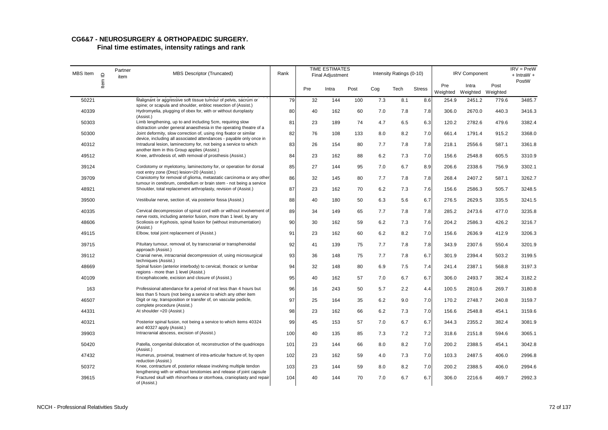| MBS Item | $\mathbf{\underline{o}}$ | Partner<br>item | <b>MBS Descriptor (Truncated)</b>                                                                                                                                                       | Rank |     | <b>TIME ESTIMATES</b><br>Final Adjustment |      |     | Intensity Ratings (0-10) |               |                 | <b>IRV Component</b>       |       | $IRV = PreW$<br>$+$ IntraW $+$ |
|----------|--------------------------|-----------------|-----------------------------------------------------------------------------------------------------------------------------------------------------------------------------------------|------|-----|-------------------------------------------|------|-----|--------------------------|---------------|-----------------|----------------------------|-------|--------------------------------|
|          | Item                     |                 |                                                                                                                                                                                         |      | Pre | Intra                                     | Post | Cog | Tech                     | <b>Stress</b> | Pre<br>Weighted | Intra<br>Weighted Weighted | Post  | PostW                          |
| 50221    |                          |                 | Malignant or aggressive soft tissue tumour of pelvis, sacrum or<br>spine; or scapula and shoulder, enbloc resection of (Assist.)                                                        | 79   | 32  | 144                                       | 100  | 7.3 | 8.1                      | 8.6           | 254.9           | 2451.2                     | 779.6 | 3485.7                         |
| 40339    |                          |                 | Hydromyelia, plugging of obex for, with or without duroplasty                                                                                                                           | 80   | 40  | 162                                       | 60   | 7.0 | 7.8                      | 7.8           | 306.0           | 2670.0                     | 440.3 | 3416.3                         |
| 50303    |                          |                 | (Assist.)<br>Limb lengthening, up to and including 5cm, requiring slow<br>distraction under general anaesthesia in the operating theatre of a                                           | 81   | 23  | 189                                       | 74   | 4.7 | 6.5                      | 6.3           | 120.2           | 2782.6                     | 479.6 | 3382.4                         |
| 50300    |                          |                 | Joint deformity, slow correction of, using ring fixator or similar                                                                                                                      | 82   | 76  | 108                                       | 133  | 8.0 | 8.2                      | 7.0           | 661.4           | 1791.4                     | 915.2 | 3368.0                         |
| 40312    |                          |                 | device, including all associated attendances - payable only once in<br>Intradural lesion, laminectomy for, not being a service to which<br>another item in this Group applies (Assist.) | 83   | 26  | 154                                       | 80   | 7.7 | 7.8                      | 7.8           | 218.1           | 2556.6                     | 587.1 | 3361.8                         |
| 49512    |                          |                 | Knee, arthrodesis of, with removal of prosthesis (Assist.)                                                                                                                              | 84   | 23  | 162                                       | 88   | 6.2 | 7.3                      | 7.0           | 156.6           | 2548.8                     | 605.5 | 3310.9                         |
| 39124    |                          |                 | Cordotomy or myelotomy, laminectomy for, or operation for dorsal<br>root entry zone (Drez) lesion=20 (Assist.)                                                                          | 85   | 27  | 144                                       | 95   | 7.0 | 6.7                      | 8.9           | 206.6           | 2338.6                     | 756.9 | 3302.1                         |
| 39709    |                          |                 | Craniotomy for removal of glioma, metastatic carcinoma or any other                                                                                                                     | 86   | 32  | 145                                       | 80   | 7.7 | 7.8                      | 7.8           | 268.4           | 2407.2                     | 587.1 | 3262.7                         |
| 48921    |                          |                 | tumour in cerebrum, cerebellum or brain stem - not being a service<br>Shoulder, total replacement arthroplasty, revision of (Assist.)                                                   | 87   | 23  | 162                                       | 70   | 6.2 | 7.3                      | 7.6           | 156.6           | 2586.3                     | 505.7 | 3248.5                         |
| 39500    |                          |                 | Vestibular nerve, section of, via posterior fossa (Assist.)                                                                                                                             | 88   | 40  | 180                                       | 50   | 6.3 | 5.6                      | 6.7           | 276.5           | 2629.5                     | 335.5 | 3241.5                         |
| 40335    |                          |                 | Cervical decompression of spinal cord with or without involvement of<br>nerve roots, including anterior fusion, more than 1 level, by any                                               | 89   | 34  | 149                                       | 65   | 7.7 | 7.8                      | 7.8           | 285.2           | 2473.6                     | 477.0 | 3235.8                         |
| 48606    |                          |                 | Scoliosis or Kyphosis, spinal fusion for (without instrumentation)<br>(Assist.)                                                                                                         | 90   | 30  | 162                                       | 59   | 6.2 | 7.3                      | 7.6           | 204.2           | 2586.3                     | 426.2 | 3216.7                         |
| 49115    |                          |                 | Elbow, total joint replacement of (Assist.)                                                                                                                                             | 91   | 23  | 162                                       | 60   | 6.2 | 8.2                      | 7.0           | 156.6           | 2636.9                     | 412.9 | 3206.3                         |
| 39715    |                          |                 | Pituitary tumour, removal of, by transcranial or transphenoidal<br>approach (Assist.)                                                                                                   | 92   | 41  | 139                                       | 75   | 7.7 | 7.8                      | 7.8           | 343.9           | 2307.6                     | 550.4 | 3201.9                         |
| 39112    |                          |                 | Cranial nerve, intracranial decompression of, using microsurgical<br>techniques (Assist.)                                                                                               | 93   | 36  | 148                                       | 75   | 7.7 | 7.8                      | 6.7           | 301.9           | 2394.4                     | 503.2 | 3199.5                         |
| 48669    |                          |                 | Spinal fusion (anterior interbody) to cervical, thoracic or lumbar<br>regions - more than 1 level (Assist.)                                                                             | 94   | 32  | 148                                       | 80   | 6.9 | 7.5                      | 7.4           | 241.4           | 2387.1                     | 568.8 | 3197.3                         |
| 40109    |                          |                 | Encephalocoele, excision and closure of (Assist.)                                                                                                                                       | 95   | 40  | 162                                       | 57   | 7.0 | 6.7                      | 6.7           | 306.0           | 2493.7                     | 382.4 | 3182.2                         |
| 163      |                          |                 | Professional attendance for a period of not less than 4 hours but                                                                                                                       | 96   | 16  | 243                                       | 50   | 5.7 | 2.2                      | 4.4           | 100.5           | 2810.6                     | 269.7 | 3180.8                         |
| 46507    |                          |                 | less than 5 hours (not being a service to which any other item<br>Digit or ray, transposition or transfer of, on vascular pedicle,<br>complete procedure (Assist.)                      | 97   | 25  | 164                                       | 35   | 6.2 | 9.0                      | 7.0           | 170.2           | 2748.7                     | 240.8 | 3159.7                         |
| 44331    |                          |                 | At shoulder = 20 (Assist.)                                                                                                                                                              | 98   | 23  | 162                                       | 66   | 6.2 | 7.3                      | 7.0           | 156.6           | 2548.8                     | 454.1 | 3159.6                         |
| 40321    |                          |                 | Posterior spinal fusion, not being a service to which items 40324<br>and 40327 apply (Assist.)                                                                                          | 99   | 45  | 153                                       | 57   | 7.0 | 6.7                      | 6.7           | 344.3           | 2355.2                     | 382.4 | 3081.9                         |
| 39903    |                          |                 | Intracranial abscess, excision of (Assist.)                                                                                                                                             | 100  | 40  | 135                                       | 85   | 7.3 | 7.2                      | 7.2           | 318.6           | 2151.8                     | 594.6 | 3065.1                         |
| 50420    |                          |                 | Patella, congenital dislocation of, reconstruction of the quadriceps<br>(Assist.)                                                                                                       | 101  | 23  | 144                                       | 66   | 8.0 | 8.2                      | 7.0           | 200.2           | 2388.5                     | 454.1 | 3042.8                         |
| 47432    |                          |                 | Humerus, proximal, treatment of intra-articular fracture of, by open<br>reduction (Assist.)                                                                                             | 102  | 23  | 162                                       | 59   | 4.0 | 7.3                      | 7.0           | 103.3           | 2487.5                     | 406.0 | 2996.8                         |
| 50372    |                          |                 | Knee, contracture of, posterior release involving multiple tendon<br>lengthening with or without tenotomies and release of joint capsule                                                | 103  | 23  | 144                                       | 59   | 8.0 | 8.2                      | 7.0           | 200.2           | 2388.5                     | 406.0 | 2994.6                         |
| 39615    |                          |                 | Fractured skull with rhinorrhoea or otorrhoea, cranioplasty and repair<br>of (Assist.)                                                                                                  | 104  | 40  | 144                                       | 70   | 7.0 | 6.7                      | 6.7           | 306.0           | 2216.6                     | 469.7 | 2992.3                         |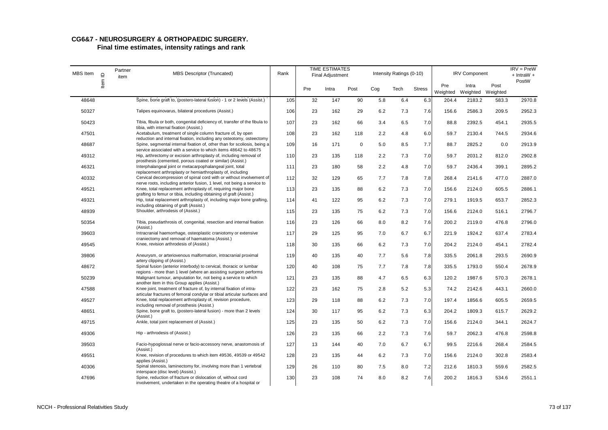| MBS Item | $\supseteq$ | Partner<br>item | <b>MBS Descriptor (Truncated)</b>                                                                                                                                                                             | Rank |     | <b>TIME ESTIMATES</b><br><b>Final Adjustment</b> |             |     | Intensity Ratings (0-10) |               |                 | <b>IRV Component</b>       |       | $IRV = PreW$<br>$+$ IntraW $+$ |
|----------|-------------|-----------------|---------------------------------------------------------------------------------------------------------------------------------------------------------------------------------------------------------------|------|-----|--------------------------------------------------|-------------|-----|--------------------------|---------------|-----------------|----------------------------|-------|--------------------------------|
|          | Item        |                 |                                                                                                                                                                                                               |      | Pre | Intra                                            | Post        | Cog | Tech                     | <b>Stress</b> | Pre<br>Weighted | Intra<br>Weighted Weighted | Post  | PostW                          |
| 48648    |             |                 | Spine, bone graft to, (postero-lateral fusion) - 1 or 2 levels (Assist.)                                                                                                                                      | 105  | 32  | 147                                              | 90          | 5.8 | 6.4                      | 6.3           | 204.4           | 2183.2                     | 583.3 | 2970.8                         |
| 50327    |             |                 | Talipes equinovarus, bilateral procedures (Assist.)                                                                                                                                                           | 106  | 23  | 162                                              | 29          | 6.2 | 7.3                      | 7.6           | 156.6           | 2586.3                     | 209.5 | 2952.3                         |
| 50423    |             |                 | Tibia, fibula or both, congenital deficiency of, transfer of the fibula to<br>tibia, with internal fixation (Assist.)                                                                                         | 107  | 23  | 162                                              | 66          | 3.4 | 6.5                      | 7.0           | 88.8            | 2392.5                     | 454.1 | 2935.5                         |
| 47501    |             |                 | Acetabulum, treatment of single column fracture of, by open<br>reduction and internal fixation, including any osteotomy, osteectomy                                                                           | 108  | 23  | 162                                              | 118         | 2.2 | 4.8                      | 6.0           | 59.7            | 2130.4                     | 744.5 | 2934.6                         |
| 48687    |             |                 | Spine, segmental internal fixation of, other than for scoliosis, being a<br>service associated with a service to which items 48642 to 48675                                                                   | 109  | 16  | 171                                              | $\mathbf 0$ | 5.0 | 8.5                      | 7.7           | 88.7            | 2825.2                     | 0.0   | 2913.9                         |
| 49312    |             |                 | Hip, arthrectomy or excision arthroplasty of, including removal of<br>prosthesis (cemented, porous coated or similar) (Assist.)                                                                               | 110  | 23  | 135                                              | 118         | 2.2 | 7.3                      | 7.0           | 59.7            | 2031.2                     | 812.0 | 2902.8                         |
| 46321    |             |                 | Interphalangeal joint or metacarpophalangeal joint, total                                                                                                                                                     | 111  | 23  | 180                                              | 58          | 2.2 | 4.8                      | 7.0           | 59.7            | 2436.4                     | 399.1 | 2895.2                         |
| 40332    |             |                 | replacement arthroplasty or hemiarthroplasty of, including<br>Cervical decompression of spinal cord with or without involvement of<br>nerve roots, including anterior fusion, 1 level, not being a service to | 112  | 32  | 129                                              | 65          | 7.7 | 7.8                      | 7.8           | 268.4           | 2141.6                     | 477.0 | 2887.0                         |
| 49521    |             |                 | Knee, total replacement arthroplasty of, requiring major bone<br>grafting to femur or tibia, including obtaining of graft (Assist.)                                                                           | 113  | 23  | 135                                              | 88          | 6.2 | 7.3                      | 7.0           | 156.6           | 2124.0                     | 605.5 | 2886.1                         |
| 49321    |             |                 | Hip, total replacement arthroplasty of, including major bone grafting,                                                                                                                                        | 114  | 41  | 122                                              | 95          | 6.2 | 7.3                      | 7.0           | 279.1           | 1919.5                     | 653.7 | 2852.3                         |
| 48939    |             |                 | including obtaining of graft (Assist.)<br>Shoulder, arthrodesis of (Assist.)                                                                                                                                  | 115  | 23  | 135                                              | 75          | 6.2 | 7.3                      | 7.0           | 156.6           | 2124.0                     | 516.1 | 2796.7                         |
| 50354    |             |                 | Tibia, pseudarthrosis of, congenital, resection and internal fixation<br>(Assist.)                                                                                                                            | 116  | 23  | 126                                              | 66          | 8.0 | 8.2                      | 7.6           | 200.2           | 2119.0                     | 476.8 | 2796.0                         |
| 39603    |             |                 | Intracranial haemorrhage, osteoplastic craniotomy or extensive<br>craniectomy and removal of haematoma (Assist.)                                                                                              | 117  | 29  | 125                                              | 95          | 7.0 | 6.7                      | 6.7           | 221.9           | 1924.2                     | 637.4 | 2783.4                         |
| 49545    |             |                 | Knee, revision arthrodesis of (Assist.)                                                                                                                                                                       | 118  | 30  | 135                                              | 66          | 6.2 | 7.3                      | 7.0           | 204.2           | 2124.0                     | 454.1 | 2782.4                         |
| 39806    |             |                 | Aneurysm, or arteriovenous malformation, intracranial proximal<br>artery clipping of (Assist.)                                                                                                                | 119  | 40  | 135                                              | 40          | 7.7 | 5.6                      | 7.8           | 335.5           | 2061.8                     | 293.5 | 2690.9                         |
| 48672    |             |                 | Spinal fusion (anterior interbody) to cervical, thoracic or lumbar<br>regions - more than 1 level (where an assisting surgeon performs                                                                        | 120  | 40  | 108                                              | 75          | 7.7 | 7.8                      | 7.8           | 335.5           | 1793.0                     | 550.4 | 2678.9                         |
| 50239    |             |                 | Malignant tumour, amputation for, not being a service to which<br>another item in this Group applies (Assist.)                                                                                                | 121  | 23  | 135                                              | 88          | 4.7 | 6.5                      | 6.3           | 120.2           | 1987.6                     | 570.3 | 2678.1                         |
| 47588    |             |                 | Knee joint, treatment of fracture of, by internal fixation of intra-                                                                                                                                          | 122  | 23  | 162                                              | 75          | 2.8 | 5.2                      | 5.3           | 74.2            | 2142.6                     | 443.1 | 2660.0                         |
| 49527    |             |                 | articular fractures of femoral condylar or tibial articular surfaces and<br>Knee, total replacement arthroplasty of, revision procedure,<br>including removal of prosthesis (Assist.)                         | 123  | 29  | 118                                              | 88          | 6.2 | 7.3                      | 7.0           | 197.4           | 1856.6                     | 605.5 | 2659.5                         |
| 48651    |             |                 | Spine, bone graft to, (postero-lateral fusion) - more than 2 levels<br>(Assist.)                                                                                                                              | 124  | 30  | 117                                              | 95          | 6.2 | 7.3                      | 6.3           | 204.2           | 1809.3                     | 615.7 | 2629.2                         |
| 49715    |             |                 | Ankle, total joint replacement of (Assist.)                                                                                                                                                                   | 125  | 23  | 135                                              | 50          | 6.2 | 7.3                      | 7.0           | 156.6           | 2124.0                     | 344.1 | 2624.7                         |
| 49306    |             |                 | Hip - arthrodesis of (Assist.)                                                                                                                                                                                | 126  | 23  | 135                                              | 66          | 2.2 | 7.3                      | 7.6           | 59.7            | 2062.3                     | 476.8 | 2598.8                         |
| 39503    |             |                 | Facio-hypoglossal nerve or facio-accessory nerve, anastomosis of<br>(Assist.)                                                                                                                                 | 127  | 13  | 144                                              | 40          | 7.0 | 6.7                      | 6.7           | 99.5            | 2216.6                     | 268.4 | 2584.5                         |
| 49551    |             |                 | Knee, revision of procedures to which item 49536, 49539 or 49542<br>applies (Assist.)                                                                                                                         | 128  | 23  | 135                                              | 44          | 6.2 | 7.3                      | 7.0           | 156.6           | 2124.0                     | 302.8 | 2583.4                         |
| 40306    |             |                 | Spinal stenosis, laminectomy for, involving more than 1 vertebral<br>interspace (disc level) (Assist.)                                                                                                        | 129  | 26  | 110                                              | 80          | 7.5 | 8.0                      | 7.2           | 212.6           | 1810.3                     | 559.6 | 2582.5                         |
| 47696    |             |                 | Spine, reduction of fracture or dislocation of, without cord<br>involvement, undertaken in the operating theatre of a hospital or                                                                             | 130  | 23  | 108                                              | 74          | 8.0 | 8.2                      | 7.6           | 200.2           | 1816.3                     | 534.6 | 2551.1                         |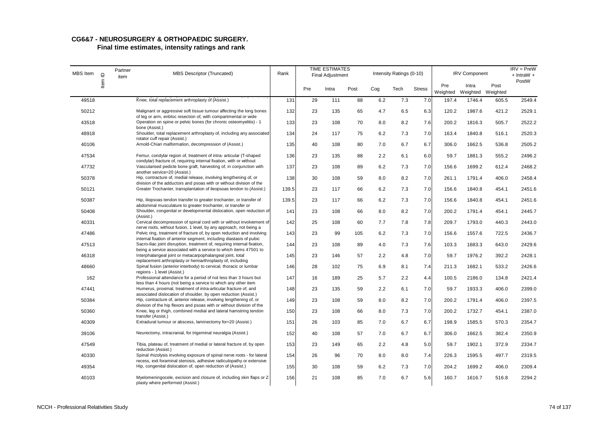# **CG6&7 - NEUROSURGERY & ORTHOPAEDIC SURGERY.**

| MBS Item |         | Partner<br>item | <b>MBS Descriptor (Truncated)</b>                                                                                                               | Rank  |     | <b>TIME ESTIMATES</b><br><b>Final Adjustment</b> |      |     | Intensity Ratings (0-10) |               |                 | <b>IRV Component</b>       |       | $IRV = PreW$<br>$+$ IntraW $+$ |
|----------|---------|-----------------|-------------------------------------------------------------------------------------------------------------------------------------------------|-------|-----|--------------------------------------------------|------|-----|--------------------------|---------------|-----------------|----------------------------|-------|--------------------------------|
|          | Item ID |                 |                                                                                                                                                 |       | Pre | Intra                                            | Post | Cog | Tech                     | <b>Stress</b> | Pre<br>Weighted | Intra<br>Weighted Weighted | Post  | PostW                          |
| 49518    |         |                 | Knee, total replacement arthroplasty of (Assist.)                                                                                               | 131   | 29  | 111                                              | 88   | 6.2 | 7.3                      | 7.0           | 197.4           | 1746.4                     | 605.5 | 2549.4                         |
| 50212    |         |                 | Malignant or aggressive soft tissue tumour affecting the long bones                                                                             | 132   | 23  | 135                                              | 65   | 4.7 | 6.5                      | 6.3           | 120.2           | 1987.6                     | 421.2 | 2529.1                         |
| 43518    |         |                 | of leg or arm, enbloc resection of, with compartmental or wide<br>Operation on spine or pelvic bones (for chronic osteomyelitis) - 1            | 133   | 23  | 108                                              | 70   | 8.0 | 8.2                      | 7.6           | 200.2           | 1816.3                     | 505.7 | 2522.2                         |
| 48918    |         |                 | bone (Assist.)<br>Shoulder, total replacement arthroplasty of, including any associated<br>rotator cuff repair (Assist.)                        | 134   | 24  | 117                                              | 75   | 6.2 | 7.3                      | 7.0           | 163.4           | 1840.8                     | 516.1 | 2520.3                         |
| 40106    |         |                 | Arnold-Chiari malformation, decompression of (Assist.)                                                                                          | 135   | 40  | 108                                              | 80   | 7.0 | 6.7                      | 6.7           | 306.0           | 1662.5                     | 536.8 | 2505.2                         |
| 47534    |         |                 | Femur, condylar region of, treatment of intra- articular (T-shaped<br>condylar) fracture of, requiring internal fixation, with or without       | 136   | 23  | 135                                              | 88   | 2.2 | 6.1                      | 6.0           | 59.7            | 1881.3                     | 555.2 | 2496.2                         |
| 47732    |         |                 | Vascularised pedicle bone graft, harvesting of, in conjunction with<br>another service=20 (Assist.)                                             | 137   | 23  | 108                                              | 89   | 6.2 | 7.3                      | 7.0           | 156.6           | 1699.2                     | 612.4 | 2468.2                         |
| 50378    |         |                 | Hip, contracture of, medial release, involving lengthening of, or                                                                               | 138   | 30  | 108                                              | 59   | 8.0 | 8.2                      | 7.0           | 261.1           | 1791.4                     | 406.0 | 2458.4                         |
| 50121    |         |                 | division of the adductors and psoas with or without division of the<br>Greater Trochanter, transplantation of ileopsoas tendon to (Assist.)     | 139.5 | 23  | 117                                              | 66   | 6.2 | 7.3                      | 7.0           | 156.6           | 1840.8                     | 454.1 | 2451.6                         |
| 50387    |         |                 | Hip, iliopsoas tendon transfer to greater trochanter, or transfer of                                                                            | 139.5 | 23  | 117                                              | 66   | 6.2 | 7.3                      | 7.0           | 156.6           | 1840.8                     | 454.1 | 2451.6                         |
| 50408    |         |                 | abdominal musculature to greater trochanter, or transfer or<br>Shoulder, congenital or developmental dislocation, open reduction of             | 141   | 23  | 108                                              | 66   | 8.0 | 8.2                      | 7.0           | 200.2           | 1791.4                     | 454.1 | 2445.7                         |
| 40331    |         |                 | (Assist.)<br>Cervical decompression of spinal cord with or without involvement of                                                               | 142   | 25  | 108                                              | 60   | 7.7 | 7.8                      | 7.8           | 209.7           | 1793.0                     | 440.3 | 2443.0                         |
| 47486    |         |                 | nerve roots, without fusion, 1 level, by any approach, not being a<br>Pelvic ring, treatment of fracture of, by open reduction and involving    | 143   | 23  | 99                                               | 105  | 6.2 | 7.3                      | 7.0           | 156.6           | 1557.6                     | 722.5 | 2436.7                         |
| 47513    |         |                 | internal fixation of anterior segment, including diastasis of pubic<br>Sacro-iliac joint disruption, treatment of, requiring internal fixation, | 144   | 23  | 108                                              | 89   | 4.0 | 7.3                      | 7.6           | 103.3           | 1683.3                     | 643.0 | 2429.6                         |
| 46318    |         |                 | being a service associated with a service to which items 47501 to<br>Interphalangeal joint or metacarpophalangeal joint, total                  | 145   | 23  | 146                                              | 57   | 2.2 | 4.8                      | 7.0           | 59.7            | 1976.2                     | 392.2 | 2428.1                         |
| 48660    |         |                 | replacement arthroplasty or hemiarthroplasty of, including<br>Spinal fusion (anterior interbody) to cervical, thoracic or lumbar                | 146   | 28  | 102                                              | 75   | 6.9 | 8.1                      | 7.4           | 211.3           | 1682.1                     | 533.2 | 2426.6                         |
| 162      |         |                 | regions - 1 level (Assist.)<br>Professional attendance for a period of not less than 3 hours but                                                | 147   | 16  | 189                                              | 25   | 5.7 | 2.2                      | 4.4           | 100.5           | 2186.0                     | 134.8 | 2421.4                         |
| 47441    |         |                 | less than 4 hours (not being a service to which any other item<br>Humerus, proximal, treatment of intra-articular fracture of, and              | 148   | 23  | 135                                              | 59   | 2.2 | 6.1                      | 7.0           | 59.7            | 1933.3                     | 406.0 | 2399.0                         |
| 50384    |         |                 | associated dislocation of shoulder, by open reduction (Assist.)<br>Hip, contracture of, anterior release, involving lengthening of, or          | 149   | 23  | 108                                              | 59   | 8.0 | 8.2                      | 7.0           | 200.2           | 1791.4                     | 406.0 | 2397.5                         |
| 50360    |         |                 | division of the hip flexors and psoas with or without division of the<br>Knee, leg or thigh, combined medial and lateral hamstring tendon       | 150   | 23  | 108                                              | 66   | 8.0 | 7.3                      | 7.0           | 200.2           | 1732.7                     | 454.1 | 2387.0                         |
| 40309    |         |                 | transfer (Assist.)<br>Extradural tumour or abscess, laminectomy for=20 (Assist.)                                                                | 151   | 26  | 103                                              | 85   | 7.0 | 6.7                      | 6.7           | 198.9           | 1585.5                     | 570.3 | 2354.7                         |
| 39106    |         |                 | Neurectomy, intracranial, for trigeminal neuralgia (Assist.)                                                                                    | 152   | 40  | 108                                              | 57   | 7.0 | 6.7                      | 6.7           | 306.0           | 1662.5                     | 382.4 | 2350.9                         |
| 47549    |         |                 | Tibia, plateau of, treatment of medial or lateral fracture of, by open                                                                          | 153   | 23  | 149                                              | 65   | 2.2 | 4.8                      | 5.0           | 59.7            | 1902.1                     | 372.9 | 2334.7                         |
| 40330    |         |                 | reduction (Assist.)<br>Spinal rhizolysis involving exposure of spinal nerve roots - for lateral                                                 | 154   | 26  | 96                                               | 70   | 8.0 | 8.0                      | 7.4           | 226.3           | 1595.5                     | 497.7 | 2319.5                         |
| 49354    |         |                 | recess, exit foraminal stenosis, adhesive radiculopathy or extensive<br>Hip, congenital dislocation of, open reduction of (Assist.)             | 155   | 30  | 108                                              | 59   | 6.2 | 7.3                      | 7.0           | 204.2           | 1699.2                     | 406.0 | 2309.4                         |
| 40103    |         |                 | Myelomeningocele, excision and closure of, including skin flaps or Z<br>plasty where performed (Assist.)                                        | 156   | 21  | 108                                              | 85   | 7.0 | 6.7                      | 5.6           | 160.7           | 1616.7                     | 516.8 | 2294.2                         |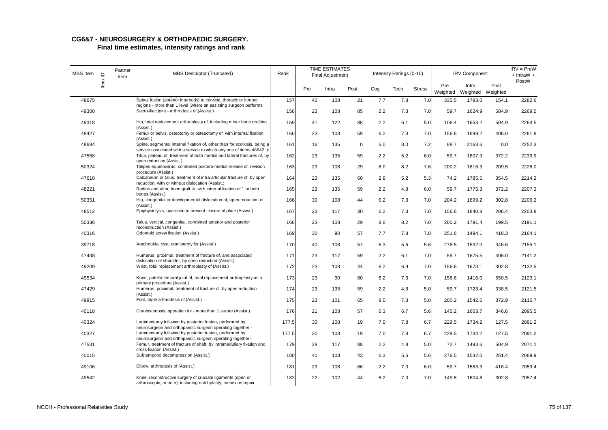| MBS Item | $\supseteq$ | Partner<br>item | <b>MBS Descriptor (Truncated)</b>                                                                                                                                            | Rank  |     | <b>TIME ESTIMATES</b><br><b>Final Adjustment</b> |             |     | Intensity Ratings (0-10) |               |                 | <b>IRV Component</b>       |       | $IRV = PreW$<br>$+$ IntraW $+$ |
|----------|-------------|-----------------|------------------------------------------------------------------------------------------------------------------------------------------------------------------------------|-------|-----|--------------------------------------------------|-------------|-----|--------------------------|---------------|-----------------|----------------------------|-------|--------------------------------|
|          | ltem        |                 |                                                                                                                                                                              |       | Pre | Intra                                            | Post        | Cog | Tech                     | <b>Stress</b> | Pre<br>Weighted | Intra<br>Weighted Weighted | Post  | PostW                          |
| 48675    |             |                 | Spinal fusion (anterior interbody) to cervical, thoracic or lumbar                                                                                                           | 157   | 40  | 108                                              | 21          | 7.7 | 7.8                      | 7.8           | 335.5           | 1793.0                     | 154.1 | 2282.6                         |
| 49300    |             |                 | regions - more than 1 level (where an assisting surgeon performs<br>Sacro-iliac joint - arthrodesis of (Assist.)                                                             | 158   | 23  | 108                                              | 85          | 2.2 | 7.3                      | 7.0           | 59.7            | 1624.9                     | 584.9 | 2269.5                         |
| 49318    |             |                 | Hip, total replacement arthroplasty of, including minor bone grafting<br>(Assist.)                                                                                           | 159   | 41  | 122                                              | 88          | 2.2 | 6.1                      | 5.0           | 106.4           | 1653.2                     | 504.9 | 2264.5                         |
| 48427    |             |                 | Femur or pelvis, osteotomy or osteectomy of, with internal fixation                                                                                                          | 160   | 23  | 108                                              | 59          | 6.2 | 7.3                      | 7.0           | 156.6           | 1699.2                     | 406.0 | 2261.8                         |
| 48684    |             |                 | (Assist.)<br>Spine, segmental internal fixation of, other than for scoliosis, being a                                                                                        | 161   | 16  | 135                                              | $\mathbf 0$ | 5.0 | 8.0                      | 7.2           | 88.7            | 2163.6                     | 0.0   | 2252.3                         |
| 47558    |             |                 | service associated with a service to which any one of items 48642 to<br>Tibia, plateau of, treatment of both medial and lateral fractures of, by<br>open reduction (Assist.) | 162   | 23  | 135                                              | 59          | 2.2 | 5.2                      | 6.0           | 59.7            | 1807.9                     | 372.2 | 2239.9                         |
| 50324    |             |                 | Talipes equinovarus, combined postero-medial release of, revision<br>procedure (Assist.)                                                                                     | 163   | 23  | 108                                              | 29          | 8.0 | 8.2                      | 7.6           | 200.2           | 1816.3                     | 209.5 | 2226.0                         |
| 47618    |             |                 | Calcaneum or talus, treatment of intra-articular fracture of, by open<br>reduction, with or without dislocation (Assist.)                                                    | 164   | 23  | 135                                              | 60          | 2.8 | 5.2                      | 5.3           | 74.2            | 1785.5                     | 354.5 | 2214.2                         |
| 48221    |             |                 | Radius and ulna, bone graft to, with internal fixation of 1 or both<br>bones (Assist.)                                                                                       | 165   | 23  | 135                                              | 59          | 2.2 | 4.8                      | 6.0           | 59.7            | 1775.3                     | 372.2 | 2207.3                         |
| 50351    |             |                 | Hip, congenital or developmental dislocation of, open reduction of<br>(Assist.)                                                                                              | 166   | 30  | 108                                              | 44          | 6.2 | 7.3                      | 7.0           | 204.2           | 1699.2                     | 302.8 | 2206.2                         |
| 48512    |             |                 | Epiphysiolysis, operation to prevent closure of plate (Assist.)                                                                                                              | 167   | 23  | 117                                              | 30          | 6.2 | 7.3                      | 7.0           | 156.6           | 1840.8                     | 206.4 | 2203.8                         |
| 50336    |             |                 | Talus, vertical, congenital, combined anterior and posterior<br>reconstruction (Assist.)                                                                                     | 168   | 23  | 108                                              | 29          | 8.0 | 8.2                      | 7.0           | 200.2           | 1791.4                     | 199.5 | 2191.1                         |
| 40316    |             |                 | Odontoid screw fixation (Assist.)                                                                                                                                            | 169   | 30  | 90                                               | 57          | 7.7 | 7.8                      | 7.8           | 251.6           | 1494.1                     | 418.3 | 2164.1                         |
| 39718    |             |                 | Arachnoidal cyst, craniotomy for (Assist.)                                                                                                                                   | 170   | 40  | 108                                              | 57          | 6.3 | 5.6                      | 5.6           | 276.5           | 1532.0                     | 346.6 | 2155.1                         |
| 47438    |             |                 | Humerus, proximal, treatment of fracture of, and associated<br>dislocation of shoulder, by open reduction (Assist.)                                                          | 171   | 23  | 117                                              | 59          | 2.2 | 6.1                      | 7.0           | 59.7            | 1675.5                     | 406.0 | 2141.2                         |
| 49209    |             |                 | Wrist, total replacement arthroplasty of (Assist.)                                                                                                                           | 172   | 23  | 108                                              | 44          | 6.2 | 6.9                      | 7.0           | 156.6           | 1673.1                     | 302.8 | 2132.5                         |
| 49534    |             |                 | Knee, patello-femoral joint of, total replacement arthroplasty as a<br>primary procedure (Assist.)                                                                           | 173   | 23  | 90                                               | 80          | 6.2 | 7.3                      | 7.0           | 156.6           | 1416.0                     | 550.5 | 2123.1                         |
| 47429    |             |                 | Humerus, proximal, treatment of fracture of, by open reduction<br>(Assist.)                                                                                                  | 174   | 23  | 135                                              | 59          | 2.2 | 4.8                      | 5.0           | 59.7            | 1723.4                     | 338.5 | 2121.5                         |
| 49815    |             |                 | Foot, triple arthrodesis of (Assist.)                                                                                                                                        | 175   | 23  | 101                                              | 65          | 8.0 | 7.3                      | 5.0           | 200.2           | 1542.6                     | 372.9 | 2115.7                         |
| 40118    |             |                 | Craniostenosis, operation for - more than 1 suture (Assist.)                                                                                                                 | 176   | 21  | 108                                              | 57          | 6.3 | 6.7                      | 5.6           | 145.2           | 1603.7                     | 346.6 | 2095.5                         |
| 40324    |             |                 | Laminectomy followed by posterior fusion, performed by<br>neurosurgeon and orthopaedic surgeon operating together -                                                          | 177.5 | 30  | 108                                              | 19          | 7.0 | 7.8                      | 6.7           | 229.5           | 1734.2                     | 127.5 | 2091.2                         |
| 40327    |             |                 | Laminectomy followed by posterior fusion, performed by<br>neurosurgeon and orthopaedic surgeon operating together -                                                          | 177.5 | 30  | 108                                              | 19          | 7.0 | 7.8                      | 6.7           | 229.5           | 1734.2                     | 127.5 | 2091.2                         |
| 47531    |             |                 | Femur, treatment of fracture of shaft, by intramedullary fixation and<br>cross fixation (Assist.)                                                                            | 179   | 28  | 117                                              | 88          | 2.2 | 4.8                      | 5.0           | 72.7            | 1493.6                     | 504.9 | 2071.1                         |
| 40015    |             |                 | Subtemporal decompression (Assist.)                                                                                                                                          | 180   | 40  | 108                                              | 43          | 6.3 | 5.6                      | 5.6           | 276.5           | 1532.0                     | 261.4 | 2069.9                         |
| 49106    |             |                 | Elbow, arthrodesis of (Assist.)                                                                                                                                              | 181   | 23  | 108                                              | 66          | 2.2 | 7.3                      | 6.0           | 59.7            | 1583.3                     | 416.4 | 2059.4                         |
| 49542    |             |                 | Knee, reconstructive surgery of cruciate ligaments (open or<br>arthroscopic, or both), including notchplasty, meniscus repair,                                               | 182   | 22  | 102                                              | 44          | 6.2 | 7.3                      | 7.0           | 149.8           | 1604.8                     | 302.8 | 2057.4                         |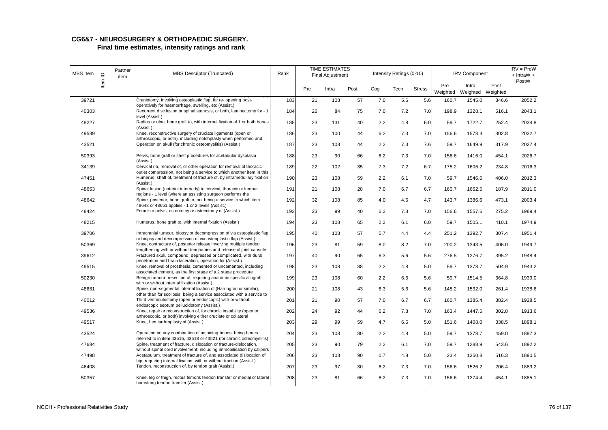# **CG6&7 - NEUROSURGERY & ORTHOPAEDIC SURGERY.**

| MBS Item | $\supseteq$ | Partner<br>item | <b>MBS Descriptor (Truncated)</b>                                                                                                                             | Rank |     | <b>TIME ESTIMATES</b><br><b>Final Adjustment</b> |      |     | Intensity Ratings (0-10) |               |                 | <b>IRV Component</b>       |       | $IRV = PreW$<br>$+$ IntraW $+$ |
|----------|-------------|-----------------|---------------------------------------------------------------------------------------------------------------------------------------------------------------|------|-----|--------------------------------------------------|------|-----|--------------------------|---------------|-----------------|----------------------------|-------|--------------------------------|
|          | ltem        |                 |                                                                                                                                                               |      | Pre | Intra                                            | Post | Cog | Tech                     | <b>Stress</b> | Pre<br>Weighted | Intra<br>Weighted Weighted | Post  | PostW                          |
| 39721    |             |                 | Craniotomy, involving osteoplastic flap, for re- opening post-<br>operatively for haemorrhage, swelling, etc (Assist.)                                        | 183  | 21  | 108                                              | 57   | 7.0 | 5.6                      | 5.6           | 160.7           | 1545.0                     | 346.6 | 2052.2                         |
| 40303    |             |                 | Recurrent disc lesion or spinal stenosis, or both, laminectomy for - 1                                                                                        | 184  | 26  | 84                                               | 75   | 7.0 | 7.2                      | 7.0           | 198.9           | 1328.1                     | 516.1 | 2043.1                         |
| 48227    |             |                 | level (Assist.)<br>Radius or ulna, bone graft to, with internal fixation of 1 or both bones<br>(Assist.)                                                      | 185  | 23  | 131                                              | 40   | 2.2 | 4.8                      | 6.0           | 59.7            | 1722.7                     | 252.4 | 2034.8                         |
| 49539    |             |                 | Knee, reconstructive surgery of cruciate ligaments (open or                                                                                                   | 186  | 23  | 100                                              | 44   | 6.2 | 7.3                      | 7.0           | 156.6           | 1573.4                     | 302.8 | 2032.7                         |
| 43521    |             |                 | arthroscopic, or both), including notchplasty when performed and<br>Operation on skull (for chronic osteomyelitis) (Assist.)                                  | 187  | 23  | 108                                              | 44   | 2.2 | 7.3                      | 7.6           | 59.7            | 1649.9                     | 317.9 | 2027.4                         |
| 50393    |             |                 | Pelvis, bone graft or shelf procedures for acetabular dysplasia<br>(Assist.)                                                                                  | 188  | 23  | 90                                               | 66   | 6.2 | 7.3                      | 7.0           | 156.6           | 1416.0                     | 454.1 | 2026.7                         |
| 34139    |             |                 | Cervical rib, removal of, or other operation for removal of thoracic                                                                                          | 189  | 22  | 102                                              | 35   | 7.3 | 7.2                      | 6.7           | 175.2           | 1606.2                     | 234.8 | 2016.3                         |
| 47451    |             |                 | outlet compression, not being a service to which another item in this<br>Humerus, shaft of, treatment of fracture of, by intramedullary fixation<br>(Assist.) | 190  | 23  | 108                                              | 59   | 2.2 | 6.1                      | 7.0           | 59.7            | 1546.6                     | 406.0 | 2012.3                         |
| 48663    |             |                 | Spinal fusion (anterior interbody) to cervical, thoracic or lumbar<br>regions - 1 level (where an assisting surgeon performs the                              | 191  | 21  | 108                                              | 28   | 7.0 | 6.7                      | 6.7           | 160.7           | 1662.5                     | 187.9 | 2011.0                         |
| 48642    |             |                 | Spine, posterior, bone graft to, not being a service to which item                                                                                            | 192  | 32  | 108                                              | 85   | 4.0 | 4.6                      | 4.7           | 143.7           | 1386.6                     | 473.1 | 2003.4                         |
| 48424    |             |                 | 48648 or 48651 applies - 1 or 2 levels (Assist.)<br>Femur or pelvis, osteotomy or osteectomy of (Assist.)                                                     | 193  | 23  | 99                                               | 40   | 6.2 | 7.3                      | 7.0           | 156.6           | 1557.6                     | 275.2 | 1989.4                         |
| 48215    |             |                 | Humerus, bone graft to, with internal fixation (Assist.)                                                                                                      | 194  | 23  | 108                                              | 65   | 2.2 | 6.1                      | 6.0           | 59.7            | 1505.1                     | 410.1 | 1974.9                         |
| 39706    |             |                 | Intracranial tumour, biopsy or decompression of via osteoplastic flap                                                                                         | 195  | 40  | 108                                              | 57   | 5.7 | 4.4                      | 4.4           | 251.2           | 1392.7                     | 307.4 | 1951.4                         |
| 50369    |             |                 | or biopsy and decompression of via osteoplastic flap (Assist.)<br>Knee, contracture of, posterior release involving multiple tendon                           | 196  | 23  | 81                                               | 59   | 8.0 | 8.2                      | 7.0           | 200.2           | 1343.5                     | 406.0 | 1949.7                         |
| 39612    |             |                 | lengthening with or without tenotomies and release of joint capsule<br>Fractured skull, compound, depressed or complicated, with dural                        | 197  | 40  | 90                                               | 65   | 6.3 | 5.6                      | 5.6           | 276.5           | 1276.7                     | 395.2 | 1948.4                         |
| 49515    |             |                 | penetration and brain laceration, operation for (Assist.)<br>Knee, removal of prosthesis, cemented or uncemented, including                                   | 198  | 23  | 108                                              | 88   | 2.2 | 4.8                      | 5.0           | 59.7            | 1378.7                     | 504.9 | 1943.2                         |
| 50230    |             |                 | associated cement, as the first stage of a 2 stage procedure<br>Benign tumour, resection of, requiring anatomic specific allograft,                           | 199  | 23  | 108                                              | 60   | 2.2 | 6.5                      | 5.6           | 59.7            | 1514.5                     | 364.8 | 1939.0                         |
| 48681    |             |                 | with or without internal fixation (Assist.)<br>Spine, non-segmental internal fixation of (Harrington or similar),                                             | 200  | 21  | 108                                              | 43   | 6.3 | 5.6                      | 5.6           | 145.2           | 1532.0                     | 261.4 | 1938.6                         |
| 40012    |             |                 | other than for scoliosis, being a service associated with a service to<br>Third ventriculostomy (open or endoscopic) with or without                          | 201  | 21  | 90                                               | 57   | 7.0 | 6.7                      | 6.7           | 160.7           | 1385.4                     | 382.4 | 1928.5                         |
| 49536    |             |                 | endoscopic septum pellucidotomy (Assist.)<br>Knee, repair or reconstruction of, for chronic instability (open or                                              | 202  | 24  | 92                                               | 44   | 6.2 | 7.3                      | 7.0           | 163.4           | 1447.5                     | 302.8 | 1913.6                         |
|          |             |                 | arthroscopic, or both) involving either cruciate or collateral<br>Knee, hemiarthroplasty of (Assist.)                                                         |      | 29  | 99                                               |      | 4.7 | 6.5                      |               |                 |                            | 338.5 | 1898.1                         |
| 49517    |             |                 |                                                                                                                                                               | 203  |     |                                                  | 59   |     |                          | 5.0           | 151.6           | 1408.0                     |       |                                |
| 43524    |             |                 | Operation on any combination of adjoining bones, being bones<br>referred to in item 43515, 43518 or 43521 (for chronic osteomyelitis)                         | 204  | 23  | 108                                              | 80   | 2.2 | 4.8                      | 5.0           | 59.7            | 1378.7                     | 459.0 | 1897.3                         |
| 47684    |             |                 | Spine, treatment of fracture, dislocation or fracture-dislocation,<br>without spinal cord involvement, including immobilisation by calipers                   | 205  | 23  | 90                                               | 79   | 2.2 | 6.1                      | 7.0           | 59.7            | 1288.9                     | 543.6 | 1892.2                         |
| 47498    |             |                 | Acetabulum, treatment of fracture of, and associated dislocation of<br>hip, requiring internal fixation, with or without traction (Assist.)                   | 206  | 23  | 108                                              | 90   | 0.7 | 4.8                      | 5.0           | 23.4            | 1350.8                     | 516.3 | 1890.5                         |
| 46408    |             |                 | Tendon, reconstruction of, by tendon graft (Assist.)                                                                                                          | 207  | 23  | 97                                               | 30   | 6.2 | 7.3                      | 7.0           | 156.6           | 1526.2                     | 206.4 | 1889.2                         |
| 50357    |             |                 | Knee, leg or thigh, rectus femoris tendon transfer or medial or lateral<br>hamstring tendon transfer (Assist.)                                                | 208  | 23  | 81                                               | 66   | 6.2 | 7.3                      | 7.0           | 156.6           | 1274.4                     | 454.1 | 1885.1                         |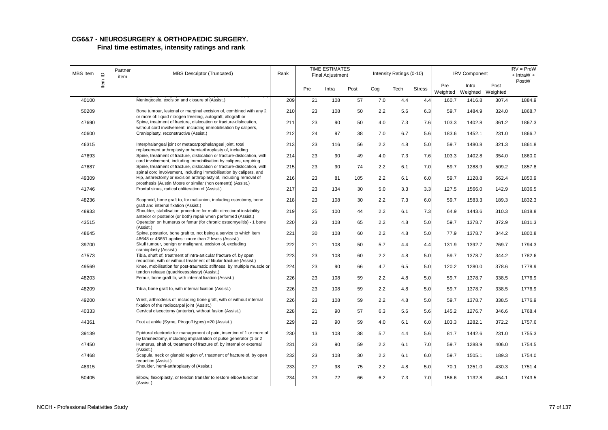| MBS Item | $\mathbf{\underline{o}}$ | Partner<br>item | <b>MBS Descriptor (Truncated)</b>                                                                                                             | Rank |     | <b>TIME ESTIMATES</b><br>Final Adjustment |      |     | Intensity Ratings (0-10) |               |                 | <b>IRV Component</b>       |       | $IRV = PreW$<br>$+$ IntraW $+$ |
|----------|--------------------------|-----------------|-----------------------------------------------------------------------------------------------------------------------------------------------|------|-----|-------------------------------------------|------|-----|--------------------------|---------------|-----------------|----------------------------|-------|--------------------------------|
|          | ltem                     |                 |                                                                                                                                               |      | Pre | Intra                                     | Post | Cog | Tech                     | <b>Stress</b> | Pre<br>Weighted | Intra<br>Weighted Weighted | Post  | PostW                          |
| 40100    |                          |                 | Meningocele, excision and closure of (Assist.)                                                                                                | 209  | 21  | 108                                       | 57   | 7.0 | 4.4                      | 4.4           | 160.7           | 1416.8                     | 307.4 | 1884.9                         |
| 50209    |                          |                 | Bone tumour, lesional or marginal excision of, combined with any 2<br>or more of: liquid nitrogen freezing, autograft, allograft or           | 210  | 23  | 108                                       | 50   | 2.2 | 5.6                      | 6.3           | 59.7            | 1484.9                     | 324.0 | 1868.7                         |
| 47690    |                          |                 | Spine, treatment of fracture, dislocation or fracture-dislocation,<br>without cord involvement, including immobilisation by calipers,         | 211  | 23  | 90                                        | 50   | 4.0 | 7.3                      | 7.6           | 103.3           | 1402.8                     | 361.2 | 1867.3                         |
| 40600    |                          |                 | Cranioplasty, reconstructive (Assist.)                                                                                                        | 212  | 24  | 97                                        | 38   | 7.0 | 6.7                      | 5.6           | 183.6           | 1452.1                     | 231.0 | 1866.7                         |
| 46315    |                          |                 | Interphalangeal joint or metacarpophalangeal joint, total<br>replacement arthroplasty or hemiarthroplasty of, including                       | 213  | 23  | 116                                       | 56   | 2.2 | 4.8                      | 5.0           | 59.7            | 1480.8                     | 321.3 | 1861.8                         |
| 47693    |                          |                 | Spine, treatment of fracture, dislocation or fracture-dislocation, with<br>cord involvement, including immobilisation by calipers, requiring  | 214  | 23  | 90                                        | 49   | 4.0 | 7.3                      | 7.6           | 103.3           | 1402.8                     | 354.0 | 1860.0                         |
| 47687    |                          |                 | Spine, treatment of fracture, dislocation or fracture-dislocation, with<br>spinal cord involvement, including immobilisation by calipers, and | 215  | 23  | 90                                        | 74   | 2.2 | 6.1                      | 7.0           | 59.7            | 1288.9                     | 509.2 | 1857.8                         |
| 49309    |                          |                 | Hip, arthrectomy or excision arthroplasty of, including removal of<br>prosthesis (Austin Moore or similar (non cement)) (Assist.)             | 216  | 23  | 81                                        | 105  | 2.2 | 6.1                      | 6.0           | 59.7            | 1128.8                     | 662.4 | 1850.9                         |
| 41746    |                          |                 | Frontal sinus, radical obliteration of (Assist.)                                                                                              | 217  | 23  | 134                                       | 30   | 5.0 | 3.3                      | 3.3           | 127.5           | 1566.0                     | 142.9 | 1836.5                         |
| 48236    |                          |                 | Scaphoid, bone graft to, for mal-union, including osteotomy, bone<br>graft and internal fixation (Assist.)                                    | 218  | 23  | 108                                       | 30   | 2.2 | 7.3                      | 6.0           | 59.7            | 1583.3                     | 189.3 | 1832.3                         |
| 48933    |                          |                 | Shoulder, stabilisation procedure for multi- directional instability,<br>anterior or posterior (or both) repair when performed (Assist.)      | 219  | 25  | 100                                       | 44   | 2.2 | 6.1                      | 7.3           | 64.9            | 1443.6                     | 310.3 | 1818.8                         |
| 43515    |                          |                 | Operation on humerus or femur (for chronic osteomyelitis) - 1 bone<br>(Assist.)                                                               | 220  | 23  | 108                                       | 65   | 2.2 | 4.8                      | 5.0           | 59.7            | 1378.7                     | 372.9 | 1811.3                         |
| 48645    |                          |                 | Spine, posterior, bone graft to, not being a service to which item<br>48648 or 48651 applies - more than 2 levels (Assist.)                   | 221  | 30  | 108                                       | 60   | 2.2 | 4.8                      | 5.0           | 77.9            | 1378.7                     | 344.2 | 1800.8                         |
| 39700    |                          |                 | Skull tumour, benign or malignant, excision of, excluding<br>cranioplasty (Assist.)                                                           | 222  | 21  | 108                                       | 50   | 5.7 | 4.4                      | 4.4           | 131.9           | 1392.7                     | 269.7 | 1794.3                         |
| 47573    |                          |                 | Tibia, shaft of, treatment of intra-articular fracture of, by open<br>reduction, with or without treatment of fibular fracture (Assist.)      | 223  | 23  | 108                                       | 60   | 2.2 | 4.8                      | 5.0           | 59.7            | 1378.7                     | 344.2 | 1782.6                         |
| 49569    |                          |                 | Knee, mobilisation for post-traumatic stiffness, by multiple muscle or<br>tendon release (quadricepsplasty) (Assist.)                         | 224  | 23  | 90                                        | 66   | 4.7 | 6.5                      | 5.0           | 120.2           | 1280.0                     | 378.6 | 1778.9                         |
| 48203    |                          |                 | Femur, bone graft to, with internal fixation (Assist.)                                                                                        | 226  | 23  | 108                                       | 59   | 2.2 | 4.8                      | 5.0           | 59.7            | 1378.7                     | 338.5 | 1776.9                         |
| 48209    |                          |                 | Tibia, bone graft to, with internal fixation (Assist.)                                                                                        | 226  | 23  | 108                                       | 59   | 2.2 | 4.8                      | 5.0           | 59.7            | 1378.7                     | 338.5 | 1776.9                         |
| 49200    |                          |                 | Wrist, arthrodesis of, including bone graft, with or without internal<br>fixation of the radiocarpal joint (Assist.)                          | 226  | 23  | 108                                       | 59   | 2.2 | 4.8                      | 5.0           | 59.7            | 1378.7                     | 338.5 | 1776.9                         |
| 40333    |                          |                 | Cervical discectomy (anterior), without fusion (Assist.)                                                                                      | 228  | 21  | 90                                        | 57   | 6.3 | 5.6                      | 5.6           | 145.2           | 1276.7                     | 346.6 | 1768.4                         |
| 44361    |                          |                 | Foot at ankle (Syme, Pirogoff types) = 20 (Assist.)                                                                                           | 229  | 23  | 90                                        | 59   | 4.0 | 6.1                      | 6.0           | 103.3           | 1282.1                     | 372.2 | 1757.6                         |
| 39139    |                          |                 | Epidural electrode for management of pain, insertion of 1 or more of<br>by laminectomy, including implantation of pulse generator (1 or 2     | 230  | 13  | 108                                       | 38   | 5.7 | 4.4                      | 5.6           | 81.7            | 1442.6                     | 231.0 | 1755.3                         |
| 47450    |                          |                 | Humerus, shaft of, treatment of fracture of, by internal or external<br>(Assist.)                                                             | 231  | 23  | 90                                        | 59   | 2.2 | 6.1                      | 7.0           | 59.7            | 1288.9                     | 406.0 | 1754.5                         |
| 47468    |                          |                 | Scapula, neck or glenoid region of, treatment of fracture of, by open<br>reduction (Assist.)                                                  | 232  | 23  | 108                                       | 30   | 2.2 | 6.1                      | 6.0           | 59.7            | 1505.1                     | 189.3 | 1754.0                         |
| 48915    |                          |                 | Shoulder, hemi-arthroplasty of (Assist.)                                                                                                      | 233  | 27  | 98                                        | 75   | 2.2 | 4.8                      | 5.0           | 70.1            | 1251.0                     | 430.3 | 1751.4                         |
| 50405    |                          |                 | Elbow, flexorplasty, or tendon transfer to restore elbow function<br>(Assist.)                                                                | 234  | 23  | 72                                        | 66   | 6.2 | 7.3                      | 7.0           | 156.6           | 1132.8                     | 454.1 | 1743.5                         |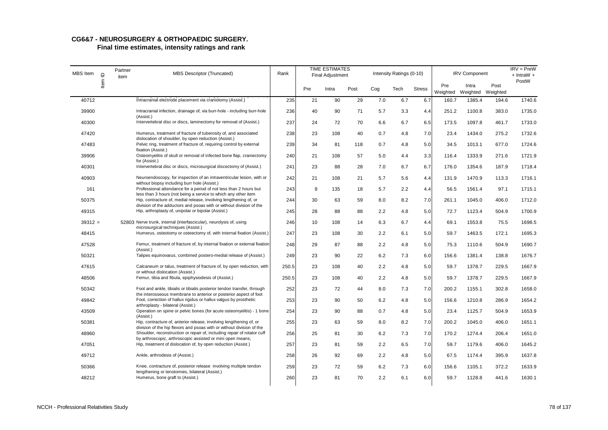| MBS Item  | $\supseteq$ | Partner<br>item | MBS Descriptor (Truncated)                                                                                                                                                          | Rank  |     | <b>TIME ESTIMATES</b><br><b>Final Adjustment</b> |      |     | Intensity Ratings (0-10) |               |                 | <b>IRV Component</b>       |       | $IRV = PreW$<br>$+$ IntraW $+$ |
|-----------|-------------|-----------------|-------------------------------------------------------------------------------------------------------------------------------------------------------------------------------------|-------|-----|--------------------------------------------------|------|-----|--------------------------|---------------|-----------------|----------------------------|-------|--------------------------------|
|           | Item        |                 |                                                                                                                                                                                     |       | Pre | Intra                                            | Post | Cog | Tech                     | <b>Stress</b> | Pre<br>Weighted | Intra<br>Weighted Weighted | Post  | PostW                          |
| 40712     |             |                 | Intracranial electrode placement via craniotomy (Assist.)                                                                                                                           | 235   | 21  | 90                                               | 29   | 7.0 | 6.7                      | 6.7           | 160.7           | 1385.4                     | 194.6 | 1740.6                         |
| 39900     |             |                 | Intracranial infection, drainage of, via burr-hole - including burr-hole<br>(Assist.)                                                                                               | 236   | 40  | 90                                               | 71   | 5.7 | 3.3                      | 4.4           | 251.2           | 1100.8                     | 383.0 | 1735.0                         |
| 40300     |             |                 | Intervertebral disc or discs, laminectomy for removal of (Assist.)                                                                                                                  | 237   | 24  | 72                                               | 70   | 6.6 | 6.7                      | 6.5           | 173.5           | 1097.8                     | 461.7 | 1733.0                         |
| 47420     |             |                 | Humerus, treatment of fracture of tuberosity of, and associated<br>dislocation of shoulder, by open reduction (Assist.)                                                             | 238   | 23  | 108                                              | 40   | 0.7 | 4.8                      | 7.0           | 23.4            | 1434.0                     | 275.2 | 1732.6                         |
| 47483     |             |                 | Pelvic ring, treatment of fracture of, requiring control by external<br>fixation (Assist.)                                                                                          | 239   | 34  | 81                                               | 118  | 0.7 | 4.8                      | 5.0           | 34.5            | 1013.1                     | 677.0 | 1724.6                         |
| 39906     |             |                 | Osteomyelitis of skull or removal of infected bone flap, craniectomy<br>for (Assist.)                                                                                               | 240   | 21  | 108                                              | 57   | 5.0 | 4.4                      | 3.3           | 116.4           | 1333.9                     | 271.6 | 1721.9                         |
| 40301     |             |                 | Intervertebral disc or discs, microsurgical discectomy of (Assist.)                                                                                                                 | 241   | 23  | 88                                               | 28   | 7.0 | 6.7                      | 6.7           | 176.0           | 1354.6                     | 187.9 | 1718.4                         |
| 40903     |             |                 | Neuroendoscopy, for inspection of an intraventricular lesion, with or                                                                                                               | 242   | 21  | 108                                              | 21   | 5.7 | 5.6                      | 4.4           | 131.9           | 1470.9                     | 113.3 | 1716.1                         |
| 161       |             |                 | without biopsy including burr hole (Assist.)<br>Professional attendance for a period of not less than 2 hours but<br>less than 3 hours (not being a service to which any other item | 243   | 9   | 135                                              | 18   | 5.7 | 2.2                      | 4.4           | 56.5            | 1561.4                     | 97.1  | 1715.1                         |
| 50375     |             |                 | Hip, contracture of, medial release, involving lengthening of, or                                                                                                                   | 244   | 30  | 63                                               | 59   | 8.0 | 8.2                      | 7.0           | 261.1           | 1045.0                     | 406.0 | 1712.0                         |
| 49315     |             |                 | division of the adductors and psoas with or without division of the<br>Hip, arthroplasty of, unipolar or bipolar (Assist.)                                                          | 245   | 28  | 88                                               | 88   | 2.2 | 4.8                      | 5.0           | 72.7            | 1123.4                     | 504.9 | 1700.9                         |
| $39312 =$ |             |                 | 52803 Nerve trunk, internal (interfascicular), neurolysis of, using<br>microsurgical techniques (Assist.)                                                                           | 246   | 10  | 108                                              | 14   | 6.3 | 6.7                      | 4.4           | 69.1            | 1553.8                     | 75.5  | 1698.5                         |
| 48415     |             |                 | Humerus, osteotomy or osteectomy of, with internal fixation (Assist.)                                                                                                               | 247   | 23  | 108                                              | 30   | 2.2 | 6.1                      | 5.0           | 59.7            | 1463.5                     | 172.1 | 1695.3                         |
| 47528     |             |                 | Femur, treatment of fracture of, by internal fixation or external fixation<br>(Assist.)                                                                                             | 248   | 29  | 87                                               | 88   | 2.2 | 4.8                      | 5.0           | 75.3            | 1110.6                     | 504.9 | 1690.7                         |
| 50321     |             |                 | Talipes equinovarus, combined postero-medial release of (Assist.)                                                                                                                   | 249   | 23  | 90                                               | 22   | 6.2 | 7.3                      | 6.0           | 156.6           | 1381.4                     | 138.8 | 1676.7                         |
| 47615     |             |                 | Calcaneum or talus, treatment of fracture of, by open reduction, with<br>or without dislocation (Assist.)                                                                           | 250.5 | 23  | 108                                              | 40   | 2.2 | 4.8                      | 5.0           | 59.7            | 1378.7                     | 229.5 | 1667.9                         |
| 48506     |             |                 | Femur, tibia and fibula, epiphysiodesis of (Assist.)                                                                                                                                | 250.5 | 23  | 108                                              | 40   | 2.2 | 4.8                      | 5.0           | 59.7            | 1378.7                     | 229.5 | 1667.9                         |
| 50342     |             |                 | Foot and ankle, tibialis or tibialis posterior tendon transfer, through<br>the interosseous membrane to anterior or posterior aspect of foot                                        | 252   | 23  | 72                                               | 44   | 8.0 | 7.3                      | 7.0           | 200.2           | 1155.1                     | 302.8 | 1658.0                         |
| 49842     |             |                 | Foot, correction of hallux rigidus or hallux valgus by prosthetic<br>arthroplasty - bilateral (Assist.)                                                                             | 253   | 23  | 90                                               | 50   | 6.2 | 4.8                      | 5.0           | 156.6           | 1210.8                     | 286.9 | 1654.2                         |
| 43509     |             |                 | Operation on spine or pelvic bones (for acute osteomyelitis) - 1 bone<br>(Assist.)                                                                                                  | 254   | 23  | 90                                               | 88   | 0.7 | 4.8                      | 5.0           | 23.4            | 1125.7                     | 504.9 | 1653.9                         |
| 50381     |             |                 | Hip, contracture of, anterior release, involving lengthening of, or<br>division of the hip flexors and psoas with or without division of the                                        | 255   | 23  | 63                                               | 59   | 8.0 | 8.2                      | 7.0           | 200.2           | 1045.0                     | 406.0 | 1651.1                         |
| 48960     |             |                 | Shoulder, reconstruction or repair of, including repair of rotator cuff<br>by arthroscopic, arthroscopic assisted or mini open means;                                               | 256   | 25  | 81                                               | 30   | 6.2 | 7.3                      | 7.0           | 170.2           | 1274.4                     | 206.4 | 1651.0                         |
| 47051     |             |                 | Hip, treatment of dislocation of, by open reduction (Assist.)                                                                                                                       | 257   | 23  | 81                                               | 59   | 2.2 | 6.5                      | 7.0           | 59.7            | 1179.6                     | 406.0 | 1645.2                         |
| 49712     |             |                 | Ankle, arthrodesis of (Assist.)                                                                                                                                                     | 258   | 26  | 92                                               | 69   | 2.2 | 4.8                      | 5.0           | 67.5            | 1174.4                     | 395.9 | 1637.8                         |
| 50366     |             |                 | Knee, contracture of, posterior release involving multiple tendon<br>lengthening or tenotomies, bilateral (Assist.)                                                                 | 259   | 23  | 72                                               | 59   | 6.2 | 7.3                      | 6.0           | 156.6           | 1105.1                     | 372.2 | 1633.9                         |
| 48212     |             |                 | Humerus, bone graft to (Assist.)                                                                                                                                                    | 260   | 23  | 81                                               | 70   | 2.2 | 6.1                      | 6.0           | 59.7            | 1128.8                     | 441.6 | 1630.1                         |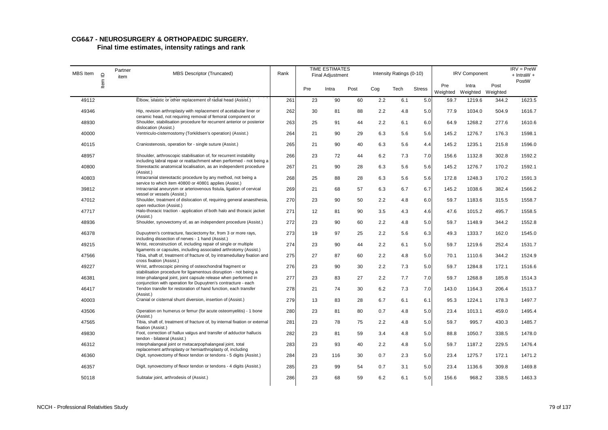| MBS Item | $\mathrel{\underline{\mathsf{O}}}$ | Partner<br>item | <b>MBS Descriptor (Truncated)</b>                                                                                                                                         | Rank |     | <b>TIME ESTIMATES</b><br><b>Final Adjustment</b> |      |     | Intensity Ratings (0-10) |               |                 | <b>IRV Component</b>       |       | $IRV = PreW$<br>$+$ IntraW $+$ |
|----------|------------------------------------|-----------------|---------------------------------------------------------------------------------------------------------------------------------------------------------------------------|------|-----|--------------------------------------------------|------|-----|--------------------------|---------------|-----------------|----------------------------|-------|--------------------------------|
|          | ltem                               |                 |                                                                                                                                                                           |      | Pre | Intra                                            | Post | Cog | Tech                     | <b>Stress</b> | Pre<br>Weighted | Intra<br>Weighted Weighted | Post  | PostW                          |
| 49112    |                                    |                 | Elbow, silastic or other replacement of radial head (Assist.)                                                                                                             | 261  | 23  | 90                                               | 60   | 2.2 | 6.1                      | 5.0           | 59.7            | 1219.6                     | 344.2 | 1623.5                         |
| 49346    |                                    |                 | Hip, revision arthroplasty with replacement of acetabular liner or                                                                                                        | 262  | 30  | 81                                               | 88   | 2.2 | 4.8                      | 5.0           | 77.9            | 1034.0                     | 504.9 | 1616.7                         |
| 48930    |                                    |                 | ceramic head, not requiring removal of femoral component or<br>Shoulder, stabilisation procedure for recurrent anterior or posterior                                      | 263  | 25  | 91                                               | 44   | 2.2 | 6.1                      | 6.0           | 64.9            | 1268.2                     | 277.6 | 1610.6                         |
| 40000    |                                    |                 | dislocation (Assist.)<br>Ventriculo-cisternostomy (Torkildsen's operation) (Assist.)                                                                                      | 264  | 21  | 90                                               | 29   | 6.3 | 5.6                      | 5.6           | 145.2           | 1276.7                     | 176.3 | 1598.1                         |
| 40115    |                                    |                 | Craniostenosis, operation for - single suture (Assist.)                                                                                                                   | 265  | 21  | 90                                               | 40   | 6.3 | 5.6                      | 4.4           | 145.2           | 1235.1                     | 215.8 | 1596.0                         |
| 48957    |                                    |                 | Shoulder, arthroscopic stabilisation of, for recurrent instability                                                                                                        | 266  | 23  | 72                                               | 44   | 6.2 | 7.3                      | 7.0           | 156.6           | 1132.8                     | 302.8 | 1592.2                         |
| 40800    |                                    |                 | including labral repair or reattachment when performed - not being a<br>Stereotactic anatomical localisation, as an independent procedure<br>(Assist.)                    | 267  | 21  | 90                                               | 28   | 6.3 | 5.6                      | 5.6           | 145.2           | 1276.7                     | 170.2 | 1592.1                         |
| 40803    |                                    |                 | Intracranial stereotactic procedure by any method, not being a                                                                                                            | 268  | 25  | 88                                               | 28   | 6.3 | 5.6                      | 5.6           | 172.8           | 1248.3                     | 170.2 | 1591.3                         |
| 39812    |                                    |                 | service to which item 40800 or 40801 applies (Assist.)<br>Intracranial aneurysm or arteriovenous fistula, ligation of cervical<br>vessel or vessels (Assist.)             | 269  | 21  | 68                                               | 57   | 6.3 | 6.7                      | 6.7           | 145.2           | 1038.6                     | 382.4 | 1566.2                         |
| 47012    |                                    |                 | Shoulder, treatment of dislocation of, requiring general anaesthesia,                                                                                                     | 270  | 23  | 90                                               | 50   | 2.2 | 4.8                      | 6.0           | 59.7            | 1183.6                     | 315.5 | 1558.7                         |
| 47717    |                                    |                 | open reduction (Assist.)<br>Halo-thoracic traction - application of both halo and thoracic jacket                                                                         | 271  | 12  | 81                                               | 90   | 3.5 | 4.3                      | 4.6           | 47.6            | 1015.2                     | 495.7 | 1558.5                         |
| 48936    |                                    |                 | (Assist.)<br>Shoulder, synovectomy of, as an independent procedure (Assist.)                                                                                              | 272  | 23  | 90                                               | 60   | 2.2 | 4.8                      | 5.0           | 59.7            | 1148.9                     | 344.2 | 1552.8                         |
| 46378    |                                    |                 | Dupuytren's contracture, fasciectomy for, from 3 or more rays,                                                                                                            | 273  | 19  | 97                                               | 25   | 2.2 | 5.6                      | 6.3           | 49.3            | 1333.7                     | 162.0 | 1545.0                         |
| 49215    |                                    |                 | including dissection of nerves - 1 hand (Assist.)<br>Wrist, reconstruction of, including repair of single or multiple                                                     | 274  | 23  | 90                                               | 44   | 2.2 | 6.1                      | 5.0           | 59.7            | 1219.6                     | 252.4 | 1531.7                         |
| 47566    |                                    |                 | ligaments or capsules, including associated arthrotomy (Assist.)<br>Tibia, shaft of, treatment of fracture of, by intramedullary fixation and<br>cross fixation (Assist.) | 275  | 27  | 87                                               | 60   | 2.2 | 4.8                      | 5.0           | 70.1            | 1110.6                     | 344.2 | 1524.9                         |
| 49227    |                                    |                 | Wrist, arthroscopic pinning of osteochondral fragment or<br>stabilisation procedure for ligamentous disruption - not being a                                              | 276  | 23  | 90                                               | 30   | 2.2 | 7.3                      | 5.0           | 59.7            | 1284.8                     | 172.1 | 1516.6                         |
| 46381    |                                    |                 | Inter-phalangeal joint, joint capsule release when performed in                                                                                                           | 277  | 23  | 83                                               | 27   | 2.2 | 7.7                      | 7.0           | 59.7            | 1268.8                     | 185.8 | 1514.3                         |
| 46417    |                                    |                 | conjunction with operation for Dupuytren's contracture - each<br>Tendon transfer for restoration of hand function, each transfer<br>(Assist.)                             | 278  | 21  | 74                                               | 30   | 6.2 | 7.3                      | 7.0           | 143.0           | 1164.3                     | 206.4 | 1513.7                         |
| 40003    |                                    |                 | Cranial or cisternal shunt diversion, insertion of (Assist.)                                                                                                              | 279  | 13  | 83                                               | 28   | 6.7 | 6.1                      | 6.1           | 95.3            | 1224.1                     | 178.3 | 1497.7                         |
| 43506    |                                    |                 | Operation on humerus or femur (for acute osteomyelitis) - 1 bone<br>(Assist.)                                                                                             | 280  | 23  | 81                                               | 80   | 0.7 | 4.8                      | 5.0           | 23.4            | 1013.1                     | 459.0 | 1495.4                         |
| 47565    |                                    |                 | Tibia, shaft of, treatment of fracture of, by internal fixation or external<br>fixation (Assist.)                                                                         | 281  | 23  | 78                                               | 75   | 2.2 | 4.8                      | 5.0           | 59.7            | 995.7                      | 430.3 | 1485.7                         |
| 49830    |                                    |                 | Foot, correction of hallux valgus and transfer of adductor hallucis<br>tendon - bilateral (Assist.)                                                                       | 282  | 23  | 81                                               | 59   | 3.4 | 4.8                      | 5.0           | 88.8            | 1050.7                     | 338.5 | 1478.0                         |
| 46312    |                                    |                 | Interphalangeal joint or metacarpophalangeal joint, total<br>replacement arthroplasty or hemiarthroplasty of, including                                                   | 283  | 23  | 93                                               | 40   | 2.2 | 4.8                      | 5.0           | 59.7            | 1187.2                     | 229.5 | 1476.4                         |
| 46360    |                                    |                 | Digit, synovectomy of flexor tendon or tendons - 5 digits (Assist.)                                                                                                       | 284  | 23  | 116                                              | 30   | 0.7 | 2.3                      | 5.0           | 23.4            | 1275.7                     | 172.1 | 1471.2                         |
| 46357    |                                    |                 | Digit, synovectomy of flexor tendon or tendons - 4 digits (Assist.)                                                                                                       | 285  | 23  | 99                                               | 54   | 0.7 | 3.1                      | 5.0           | 23.4            | 1136.6                     | 309.8 | 1469.8                         |
| 50118    |                                    |                 | Subtalar joint, arthrodesis of (Assist.)                                                                                                                                  | 286  | 23  | 68                                               | 59   | 6.2 | 6.1                      | 5.0           | 156.6           | 968.2                      | 338.5 | 1463.3                         |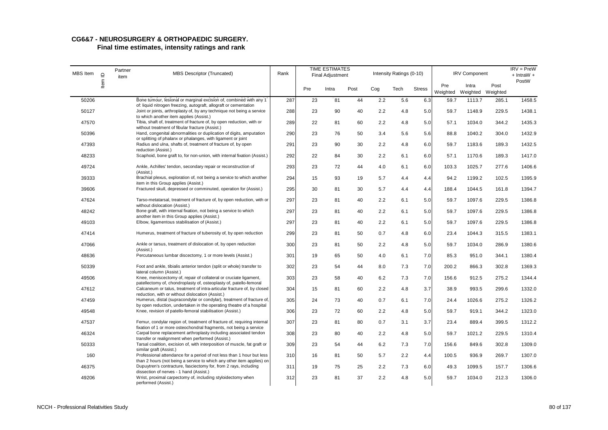| MBS Item | $\mathbf{\underline{\underline{\mathsf{O}}}}$ | Partner<br>item | <b>MBS Descriptor (Truncated)</b>                                                                                                                    | Rank |     | <b>TIME ESTIMATES</b><br><b>Final Adjustment</b> |      |     | Intensity Ratings (0-10) |               |                 | <b>IRV Component</b>       |       | $IRV = PreW$<br>$+$ IntraW $+$ |
|----------|-----------------------------------------------|-----------------|------------------------------------------------------------------------------------------------------------------------------------------------------|------|-----|--------------------------------------------------|------|-----|--------------------------|---------------|-----------------|----------------------------|-------|--------------------------------|
|          | ltem                                          |                 |                                                                                                                                                      |      | Pre | Intra                                            | Post | Cog | Tech                     | <b>Stress</b> | Pre<br>Weighted | Intra<br>Weighted Weighted | Post  | PostW                          |
| 50206    |                                               |                 | Bone tumour, lesional or marginal excision of, combined with any 1<br>of: liquid nitrogen freezing, autograft, allograft or cementation              | 287  | 23  | 81                                               | 44   | 2.2 | 5.6                      | 6.3           | 59.7            | 1113.7                     | 285.1 | 1458.5                         |
| 50127    |                                               |                 | Joint or joints, arthroplasty of, by any technique not being a service<br>to which another item applies (Assist.)                                    | 288  | 23  | 90                                               | 40   | 2.2 | 4.8                      | 5.0           | 59.7            | 1148.9                     | 229.5 | 1438.1                         |
| 47570    |                                               |                 | Tibia, shaft of, treatment of fracture of, by open reduction, with or<br>without treatment of fibular fracture (Assist.)                             | 289  | 22  | 81                                               | 60   | 2.2 | 4.8                      | 5.0           | 57.1            | 1034.0                     | 344.2 | 1435.3                         |
| 50396    |                                               |                 | Hand, congenital abnormalities or duplication of digits, amputation                                                                                  | 290  | 23  | 76                                               | 50   | 3.4 | 5.6                      | 5.6           | 88.8            | 1040.2                     | 304.0 | 1432.9                         |
| 47393    |                                               |                 | or splitting of phalanx or phalanges, with ligament or joint<br>Radius and ulna, shafts of, treatment of fracture of, by open<br>reduction (Assist.) | 291  | 23  | 90                                               | 30   | 2.2 | 4.8                      | 6.0           | 59.7            | 1183.6                     | 189.3 | 1432.5                         |
| 48233    |                                               |                 | Scaphoid, bone graft to, for non-union, with internal fixation (Assist.)                                                                             | 292  | 22  | 84                                               | 30   | 2.2 | 6.1                      | 6.0           | 57.1            | 1170.6                     | 189.3 | 1417.0                         |
| 49724    |                                               |                 | Ankle, Achilles' tendon, secondary repair or reconstruction of<br>(Assist.)                                                                          | 293  | 23  | 72                                               | 44   | 4.0 | 6.1                      | 6.0           | 103.3           | 1025.7                     | 277.6 | 1406.6                         |
| 39333    |                                               |                 | Brachial plexus, exploration of, not being a service to which another<br>item in this Group applies (Assist.)                                        | 294  | 15  | 93                                               | 19   | 5.7 | 4.4                      | 4.4           | 94.2            | 1199.2                     | 102.5 | 1395.9                         |
| 39606    |                                               |                 | Fractured skull, depressed or comminuted, operation for (Assist.)                                                                                    | 295  | 30  | 81                                               | 30   | 5.7 | 4.4                      | 4.4           | 188.4           | 1044.5                     | 161.8 | 1394.7                         |
| 47624    |                                               |                 | Tarso-metatarsal, treatment of fracture of, by open reduction, with or<br>without dislocation (Assist.)                                              | 297  | 23  | 81                                               | 40   | 2.2 | 6.1                      | 5.0           | 59.7            | 1097.6                     | 229.5 | 1386.8                         |
| 48242    |                                               |                 | Bone graft, with internal fixation, not being a service to which<br>another item in this Group applies (Assist.)                                     | 297  | 23  | 81                                               | 40   | 2.2 | 6.1                      | 5.0           | 59.7            | 1097.6                     | 229.5 | 1386.8                         |
| 49103    |                                               |                 | Elbow, ligamentous stabilisation of (Assist.)                                                                                                        | 297  | 23  | 81                                               | 40   | 2.2 | 6.1                      | 5.0           | 59.7            | 1097.6                     | 229.5 | 1386.8                         |
| 47414    |                                               |                 | Humerus, treatment of fracture of tuberosity of, by open reduction                                                                                   | 299  | 23  | 81                                               | 50   | 0.7 | 4.8                      | 6.0           | 23.4            | 1044.3                     | 315.5 | 1383.1                         |
| 47066    |                                               |                 | Ankle or tarsus, treatment of dislocation of, by open reduction<br>(Assist.)                                                                         | 300  | 23  | 81                                               | 50   | 2.2 | 4.8                      | 5.0           | 59.7            | 1034.0                     | 286.9 | 1380.6                         |
| 48636    |                                               |                 | Percutaneous lumbar discectomy, 1 or more levels (Assist.)                                                                                           | 301  | 19  | 65                                               | 50   | 4.0 | 6.1                      | 7.0           | 85.3            | 951.0                      | 344.1 | 1380.4                         |
| 50339    |                                               |                 | Foot and ankle, tibialis anterior tendon (split or whole) transfer to<br>lateral column (Assist.)                                                    | 302  | 23  | 54                                               | 44   | 8.0 | 7.3                      | 7.0           | 200.2           | 866.3                      | 302.8 | 1369.3                         |
| 49506    |                                               |                 | Knee, meniscectomy of, repair of collateral or cruciate ligament,<br>patellectomy of, chondroplasty of, osteoplasty of, patello-femoral              | 303  | 23  | 58                                               | 40   | 6.2 | 7.3                      | 7.0           | 156.6           | 912.5                      | 275.2 | 1344.4                         |
| 47612    |                                               |                 | Calcaneum or talus, treatment of intra-articular fracture of, by closed<br>reduction, with or without dislocation (Assist.)                          | 304  | 15  | 81                                               | 60   | 2.2 | 4.8                      | 3.7           | 38.9            | 993.5                      | 299.6 | 1332.0                         |
| 47459    |                                               |                 | Humerus, distal (supracondylar or condylar), treatment of fracture of,                                                                               | 305  | 24  | 73                                               | 40   | 0.7 | 6.1                      | 7.0           | 24.4            | 1026.6                     | 275.2 | 1326.2                         |
| 49548    |                                               |                 | by open reduction, undertaken in the operating theatre of a hospital<br>Knee, revision of patello-femoral stabilisation (Assist.)                    | 306  | 23  | 72                                               | 60   | 2.2 | 4.8                      | 5.0           | 59.7            | 919.1                      | 344.2 | 1323.0                         |
| 47537    |                                               |                 | Femur, condylar region of, treatment of fracture of, requiring internal<br>fixation of 1 or more osteochondral fragments, not being a service        | 307  | 23  | 81                                               | 80   | 0.7 | 3.1                      | 3.7           | 23.4            | 889.4                      | 399.5 | 1312.2                         |
| 46324    |                                               |                 | Carpal bone replacement arthroplasty including associated tendon<br>transfer or realignment when performed (Assist.)                                 | 308  | 23  | 80                                               | 40   | 2.2 | 4.8                      | 5.0           | 59.7            | 1021.2                     | 229.5 | 1310.4                         |
| 50333    |                                               |                 | Tarsal coalition, excision of, with interposition of muscle, fat graft or<br>similar graft (Assist.)                                                 | 309  | 23  | 54                                               | 44   | 6.2 | 7.3                      | 7.0           | 156.6           | 849.6                      | 302.8 | 1309.0                         |
| 160      |                                               |                 | Professional attendance for a period of not less than 1 hour but less<br>than 2 hours (not being a service to which any other item applies) on       | 310  | 16  | 81                                               | 50   | 5.7 | 2.2                      | 4.4           | 100.5           | 936.9                      | 269.7 | 1307.0                         |
| 46375    |                                               |                 | Dupuytren's contracture, fasciectomy for, from 2 rays, including<br>dissection of nerves - 1 hand (Assist.)                                          | 311  | 19  | 75                                               | 25   | 2.2 | 7.3                      | 6.0           | 49.3            | 1099.5                     | 157.7 | 1306.6                         |
| 49206    |                                               |                 | Wrist, proximal carpectomy of, including styloidectomy when<br>performed (Assist.)                                                                   | 312  | 23  | 81                                               | 37   | 2.2 | 4.8                      | 5.0           | 59.7            | 1034.0                     | 212.3 | 1306.0                         |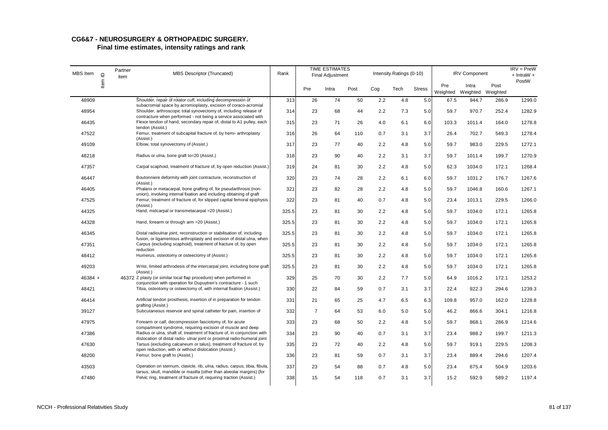| MBS Item  | $\supseteq$ | Partner<br>item | MBS Descriptor (Truncated)                                                                                                                           | Rank  |                | <b>TIME ESTIMATES</b><br>Final Adjustment |      |     | Intensity Ratings (0-10) |               |                 | <b>IRV Component</b>       |       | $IRV = PreW$<br>$+$ IntraW $+$ |
|-----------|-------------|-----------------|------------------------------------------------------------------------------------------------------------------------------------------------------|-------|----------------|-------------------------------------------|------|-----|--------------------------|---------------|-----------------|----------------------------|-------|--------------------------------|
|           | ltem        |                 |                                                                                                                                                      |       | Pre            | Intra                                     | Post | Cog | Tech                     | <b>Stress</b> | Pre<br>Weighted | Intra<br>Weighted Weighted | Post  | PostW                          |
| 48909     |             |                 | Shoulder, repair of rotator cuff, including decompression of<br>subacromial space by acromioplasty, excision of coraco-acromial                      | 313   | 26             | 74                                        | 50   | 2.2 | 4.8                      | 5.0           | 67.5            | 944.7                      | 286.9 | 1299.0                         |
| 48954     |             |                 | Shoulder, arthroscopic total synovectomy of, including release of<br>contracture when performed - not being a service associated with                | 314   | 23             | 68                                        | 44   | 2.2 | 7.3                      | 5.0           | 59.7            | 970.7                      | 252.4 | 1282.9                         |
| 46435     |             |                 | Flexor tendon of hand, secondary repair of, distal to A1 pulley, each<br>tendon (Assist.)                                                            | 315   | 23             | 71                                        | 26   | 4.0 | 6.1                      | 6.0           | 103.3           | 1011.4                     | 164.0 | 1278.8                         |
| 47522     |             |                 | Femur, treatment of subcapital fracture of, by hemi- arthroplasty<br>(Assist.)                                                                       | 316   | 26             | 64                                        | 110  | 0.7 | 3.1                      | 3.7           | 26.4            | 702.7                      | 549.3 | 1278.4                         |
| 49109     |             |                 | Elbow, total synovectomy of (Assist.)                                                                                                                | 317   | 23             | 77                                        | 40   | 2.2 | 4.8                      | 5.0           | 59.7            | 983.0                      | 229.5 | 1272.1                         |
| 48218     |             |                 | Radius or ulna, bone graft to=20 (Assist.)                                                                                                           | 318   | 23             | 90                                        | 40   | 2.2 | 3.1                      | 3.7           | 59.7            | 1011.4                     | 199.7 | 1270.9                         |
| 47357     |             |                 | Carpal scaphoid, treatment of fracture of, by open reduction (Assist.)                                                                               | 319   | 24             | 81                                        | 30   | 2.2 | 4.8                      | 5.0           | 62.3            | 1034.0                     | 172.1 | 1268.4                         |
| 46447     |             |                 | Boutonniere deformity with joint contracture, reconstruction of<br>(Assist.)                                                                         | 320   | 23             | 74                                        | 28   | 2.2 | 6.1                      | 6.0           | 59.7            | 1031.2                     | 176.7 | 1267.6                         |
| 46405     |             |                 | Phalanx or metacarpal, bone grafting of, for pseudarthrosis (non-<br>union), involving internal fixation and including obtaining of graft            | 321   | 23             | 82                                        | 28   | 2.2 | 4.8                      | 5.0           | 59.7            | 1046.8                     | 160.6 | 1267.1                         |
| 47525     |             |                 | Femur, treatment of fracture of, for slipped capital femoral epiphysis                                                                               | 322   | 23             | 81                                        | 40   | 0.7 | 4.8                      | 5.0           | 23.4            | 1013.1                     | 229.5 | 1266.0                         |
| 44325     |             |                 | (Assist.)<br>Hand, midcarpal or transmetacarpal = 20 (Assist.)                                                                                       | 325.5 | 23             | 81                                        | 30   | 2.2 | 4.8                      | 5.0           | 59.7            | 1034.0                     | 172.1 | 1265.8                         |
| 44328     |             |                 | Hand, forearm or through arm = 20 (Assist.)                                                                                                          | 325.5 | 23             | 81                                        | 30   | 2.2 | 4.8                      | 5.0           | 59.7            | 1034.0                     | 172.1 | 1265.8                         |
| 46345     |             |                 | Distal radioulnar joint, reconstruction or stabilisation of, including                                                                               | 325.5 | 23             | 81                                        | 30   | 2.2 | 4.8                      | 5.0           | 59.7            | 1034.0                     | 172.1 | 1265.8                         |
| 47351     |             |                 | fusion, or ligamentous arthroplasty and excision of distal ulna, when<br>Carpus (excluding scaphoid), treatment of fracture of, by open<br>reduction | 325.5 | 23             | 81                                        | 30   | 2.2 | 4.8                      | 5.0           | 59.7            | 1034.0                     | 172.1 | 1265.8                         |
| 48412     |             |                 | Humerus, osteotomy or osteectomy of (Assist.)                                                                                                        | 325.5 | 23             | 81                                        | 30   | 2.2 | 4.8                      | 5.0           | 59.7            | 1034.0                     | 172.1 | 1265.8                         |
| 49203     |             |                 | Wrist, limited arthrodesis of the intercarpal joint, including bone graft<br>(Assist.)                                                               | 325.5 | 23             | 81                                        | 30   | 2.2 | 4.8                      | 5.0           | 59.7            | 1034.0                     | 172.1 | 1265.8                         |
| $46384 +$ |             |                 | 46372 Z plasty (or similar local flap procedure) when performed in<br>conjunction with operation for Dupuytren's contracture - 1 such                | 329   | 25             | 70                                        | 30   | 2.2 | 7.7                      | 5.0           | 64.9            | 1016.2                     | 172.1 | 1253.2                         |
| 48421     |             |                 | Tibia, osteotomy or osteectomy of, with internal fixation (Assist.)                                                                                  | 330   | 22             | 84                                        | 59   | 0.7 | 3.1                      | 3.7           | 22.4            | 922.3                      | 294.6 | 1239.3                         |
| 46414     |             |                 | Artificial tendon prosthesis, insertion of in preparation for tendon                                                                                 | 331   | 21             | 65                                        | 25   | 4.7 | 6.5                      | 6.3           | 109.8           | 957.0                      | 162.0 | 1228.8                         |
| 39127     |             |                 | grafting (Assist.)<br>Subcutaneous reservoir and spinal catheter for pain, insertion of                                                              | 332   | $\overline{7}$ | 64                                        | 53   | 6.0 | 5.0                      | 5.0           | 46.2            | 866.6                      | 304.1 | 1216.8                         |
| 47975     |             |                 | Forearm or calf, decompression fasciotomy of, for acute<br>compartment syndrome, requiring excision of muscle and deep                               | 333   | 23             | 68                                        | 50   | 2.2 | 4.8                      | 5.0           | 59.7            | 868.1                      | 286.9 | 1214.6                         |
| 47386     |             |                 | Radius or ulna, shaft of, treatment of fracture of, in conjunction with<br>dislocation of distal radio- ulnar joint or proximal radio-humeral joint  | 334   | 23             | 90                                        | 40   | 0.7 | 3.1                      | 3.7           | 23.4            | 988.2                      | 199.7 | 1211.3                         |
| 47630     |             |                 | Tarsus (excluding calcaneum or talus), treatment of fracture of, by<br>open reduction, with or without dislocation (Assist.)                         | 335   | 23             | 72                                        | 40   | 2.2 | 4.8                      | 5.0           | 59.7            | 919.1                      | 229.5 | 1208.3                         |
| 48200     |             |                 | Femur, bone graft to (Assist.)                                                                                                                       | 336   | 23             | 81                                        | 59   | 0.7 | 3.1                      | 3.7           | 23.4            | 889.4                      | 294.6 | 1207.4                         |
| 43503     |             |                 | Operation on sternum, clavicle, rib, ulna, radius, carpus, tibia, fibula,<br>tarsus, skull, mandible or maxilla (other than alveolar margins) (for   | 337   | 23             | 54                                        | 88   | 0.7 | 4.8                      | 5.0           | 23.4            | 675.4                      | 504.9 | 1203.6                         |
| 47480     |             |                 | Pelvic ring, treatment of fracture of, requiring traction (Assist.)                                                                                  | 338   | 15             | 54                                        | 118  | 0.7 | 3.1                      | 3.7           | 15.2            | 592.9                      | 589.2 | 1197.4                         |
|           |             |                 |                                                                                                                                                      |       |                |                                           |      |     |                          |               |                 |                            |       |                                |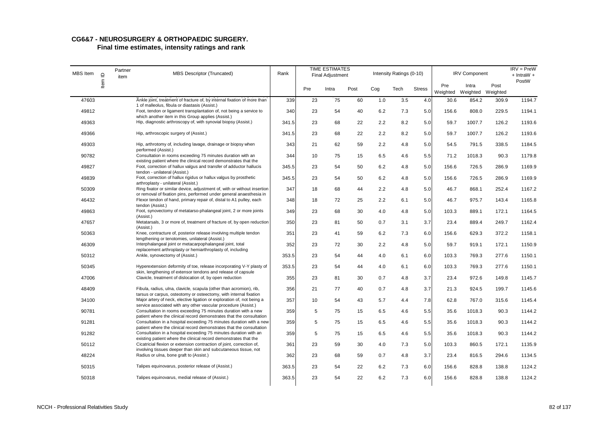# **CG6&7 - NEUROSURGERY & ORTHOPAEDIC SURGERY.**

| MBS Item | $\mathbf{\underline{\underline{o}}}$ | Partner<br>item | MBS Descriptor (Truncated)                                                                                                                                               | Rank  |     | <b>TIME ESTIMATES</b><br><b>Final Adjustment</b> |      |     | Intensity Ratings (0-10) |               |                 | <b>IRV Component</b>       |       | $IRV = PreW$<br>$+$ IntraW $+$ |
|----------|--------------------------------------|-----------------|--------------------------------------------------------------------------------------------------------------------------------------------------------------------------|-------|-----|--------------------------------------------------|------|-----|--------------------------|---------------|-----------------|----------------------------|-------|--------------------------------|
|          | $\overline{\text{ term}}$            |                 |                                                                                                                                                                          |       | Pre | Intra                                            | Post | Cog | Tech                     | <b>Stress</b> | Pre<br>Weighted | Intra<br>Weighted Weighted | Post  | PostW                          |
| 47603    |                                      |                 | Ankle joint, treatment of fracture of, by internal fixation of more than<br>1 of malleolus, fibula or diastasis (Assist.)                                                | 339   | 23  | 75                                               | 60   | 1.0 | 3.5                      | 4.0           | 30.6            | 854.2                      | 309.9 | 1194.7                         |
| 49812    |                                      |                 | Foot, tendon or ligament transplantation of, not being a service to                                                                                                      | 340   | 23  | 54                                               | 40   | 6.2 | 7.3                      | 5.0           | 156.6           | 808.0                      | 229.5 | 1194.1                         |
| 49363    |                                      |                 | which another item in this Group applies (Assist.)<br>Hip, diagnostic arthroscopy of, with synovial biopsy (Assist.)                                                     | 341.5 | 23  | 68                                               | 22   | 2.2 | 8.2                      | 5.0           | 59.7            | 1007.7                     | 126.2 | 1193.6                         |
| 49366    |                                      |                 | Hip, arthroscopic surgery of (Assist.)                                                                                                                                   | 341.5 | 23  | 68                                               | 22   | 2.2 | 8.2                      | 5.0           | 59.7            | 1007.7                     | 126.2 | 1193.6                         |
| 49303    |                                      |                 | Hip, arthrotomy of, including lavage, drainage or biopsy when                                                                                                            | 343   | 21  | 62                                               | 59   | 2.2 | 4.8                      | 5.0           | 54.5            | 791.5                      | 338.5 | 1184.5                         |
| 90782    |                                      |                 | performed (Assist.)<br>Consultation in rooms exceeding 75 minutes duration with an                                                                                       | 344   | 10  | 75                                               | 15   | 6.5 | 4.6                      | 5.5           | 71.2            | 1018.3                     | 90.3  | 1179.8                         |
| 49827    |                                      |                 | existing patient where the clinical record demonstrates that the<br>Foot, correction of hallux valgus and transfer of adductor hallucis<br>tendon - unilateral (Assist.) | 345.5 | 23  | 54                                               | 50   | 6.2 | 4.8                      | 5.0           | 156.6           | 726.5                      | 286.9 | 1169.9                         |
| 49839    |                                      |                 | Foot, correction of hallux rigidus or hallux valgus by prosthetic                                                                                                        | 345.5 | 23  | 54                                               | 50   | 6.2 | 4.8                      | 5.0           | 156.6           | 726.5                      | 286.9 | 1169.9                         |
| 50309    |                                      |                 | arthroplasty - unilateral (Assist.)<br>Ring fixator or similar device, adjustment of, with or without insertion                                                          | 347   | 18  | 68                                               | 44   | 2.2 | 4.8                      | 5.0           | 46.7            | 868.1                      | 252.4 | 1167.2                         |
| 46432    |                                      |                 | or removal of fixation pins, performed under general anaesthesia in<br>Flexor tendon of hand, primary repair of, distal to A1 pulley, each                               | 348   | 18  | 72                                               | 25   | 2.2 | 6.1                      | 5.0           | 46.7            | 975.7                      | 143.4 | 1165.8                         |
| 49863    |                                      |                 | tendon (Assist.)<br>Foot, synovectomy of metatarso-phalangeal joint, 2 or more joints                                                                                    | 349   | 23  | 68                                               | 30   | 4.0 | 4.8                      | 5.0           | 103.3           | 889.1                      | 172.1 | 1164.5                         |
| 47657    |                                      |                 | (Assist.)<br>Metatarsals, 3 or more of, treatment of fracture of, by open reduction                                                                                      | 350   | 23  | 81                                               | 50   | 0.7 | 3.1                      | 3.7           | 23.4            | 889.4                      | 249.7 | 1162.4                         |
| 50363    |                                      |                 | (Assist.)<br>Knee, contracture of, posterior release involving multiple tendon                                                                                           | 351   | 23  | 41                                               | 59   | 6.2 | 7.3                      | 6.0           | 156.6           | 629.3                      | 372.2 | 1158.1                         |
| 46309    |                                      |                 | lengthening or tenotomies, unilateral (Assist.)<br>Interphalangeal joint or metacarpophalangeal joint, total                                                             | 352   | 23  | 72                                               | 30   | 2.2 | 4.8                      | 5.0           | 59.7            | 919.1                      | 172.1 | 1150.9                         |
| 50312    |                                      |                 | replacement arthroplasty or hemiarthroplasty of, including<br>Ankle, synovectomy of (Assist.)                                                                            | 353.5 | 23  | 54                                               | 44   | 4.0 | 6.1                      | 6.0           | 103.3           | 769.3                      | 277.6 | 1150.1                         |
| 50345    |                                      |                 | Hyperextension deformity of toe, release incorporating V-Y plasty of                                                                                                     | 353.5 | 23  | 54                                               | 44   | 4.0 | 6.1                      | 6.0           | 103.3           | 769.3                      | 277.6 | 1150.1                         |
| 47006    |                                      |                 | skin, lengthening of extensor tendons and release of capsule<br>Clavicle, treatment of dislocation of, by open reduction                                                 | 355   | 23  | 81                                               | 30   | 0.7 | 4.8                      | 3.7           | 23.4            | 972.6                      | 149.8 | 1145.7                         |
| 48409    |                                      |                 | Fibula, radius, ulna, clavicle, scapula (other than acromion), rib,                                                                                                      | 356   | 21  | 77                                               | 40   | 0.7 | 4.8                      | 3.7           | 21.3            | 924.5                      | 199.7 | 1145.6                         |
| 34100    |                                      |                 | tarsus or carpus, osteotomy or osteectomy, with internal fixation<br>Major artery of neck, elective ligation or exploration of, not being a                              | 357   | 10  | 54                                               | 43   | 5.7 | 4.4                      | 7.8           | 62.8            | 767.0                      | 315.6 | 1145.4                         |
| 90781    |                                      |                 | service associated with any other vascular procedure (Assist.)<br>Consultation in rooms exceeding 75 minutes duration with a new                                         | 359   | 5   | 75                                               | 15   | 6.5 | 4.6                      | 5.5           | 35.6            | 1018.3                     | 90.3  | 1144.2                         |
| 91281    |                                      |                 | patient where the clinical record demonstrates that the consultation<br>Consultation in a hospital exceeding 75 minutes duration with a new                              | 359   | 5   | 75                                               | 15   | 6.5 | 4.6                      | 5.5           | 35.6            | 1018.3                     | 90.3  | 1144.2                         |
| 91282    |                                      |                 | patient where the clinical record demonstrates that the consultation<br>Consultation in a hospital exceeding 75 minutes duration with an                                 | 359   | 5   | 75                                               | 15   | 6.5 | 4.6                      | 5.5           | 35.6            | 1018.3                     | 90.3  | 1144.2                         |
| 50112    |                                      |                 | existing patient where the clinical record demonstrates that the<br>Cicatricial flexion or extension contraction of joint, correction of,                                | 361   | 23  | 59                                               | 30   | 4.0 | 7.3                      | 5.0           | 103.3           | 860.5                      | 172.1 | 1135.9                         |
| 48224    |                                      |                 | involving tissues deeper than skin and subcutaneous tissue, not<br>Radius or ulna, bone graft to (Assist.)                                                               | 362   | 23  | 68                                               | 59   | 0.7 | 4.8                      | 3.7           | 23.4            | 816.5                      | 294.6 | 1134.5                         |
| 50315    |                                      |                 | Talipes equinovarus, posterior release of (Assist.)                                                                                                                      | 363.5 | 23  | 54                                               | 22   | 6.2 | 7.3                      | 6.0           | 156.6           | 828.8                      | 138.8 | 1124.2                         |
| 50318    |                                      |                 | Talipes equinovarus, medial release of (Assist.)                                                                                                                         | 363.5 | 23  | 54                                               | 22   | 6.2 | 7.3                      | 6.0           | 156.6           | 828.8                      | 138.8 | 1124.2                         |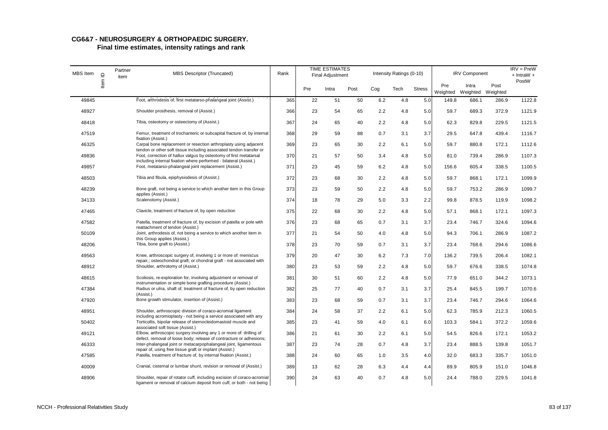| MBS Item | $\supseteq$ | Partner<br>item | <b>MBS Descriptor (Truncated)</b>                                                                                                                | Rank |     | <b>TIME ESTIMATES</b><br><b>Final Adjustment</b> |      |     | Intensity Ratings (0-10) |               |       | <b>IRV Component</b>                |       | $IRV = PreW$<br>$+$ IntraW $+$ |
|----------|-------------|-----------------|--------------------------------------------------------------------------------------------------------------------------------------------------|------|-----|--------------------------------------------------|------|-----|--------------------------|---------------|-------|-------------------------------------|-------|--------------------------------|
|          | ltem        |                 |                                                                                                                                                  |      | Pre | Intra                                            | Post | Cog | Tech                     | <b>Stress</b> | Pre   | Intra<br>Weighted Weighted Weighted | Post  | PostW                          |
| 49845    |             |                 | Foot, arthrodesis of, first metatarso-phalangeal joint (Assist.)                                                                                 | 365  | 22  | 51                                               | 50   | 6.2 | 4.8                      | 5.0           | 149.8 | 686.1                               | 286.9 | 1122.8                         |
| 48927    |             |                 | Shoulder prosthesis, removal of (Assist.)                                                                                                        | 366  | 23  | 54                                               | 65   | 2.2 | 4.8                      | 5.0           | 59.7  | 689.3                               | 372.9 | 1121.9                         |
| 48418    |             |                 | Tibia, osteotomy or osteectomy of (Assist.)                                                                                                      | 367  | 24  | 65                                               | 40   | 2.2 | 4.8                      | 5.0           | 62.3  | 829.8                               | 229.5 | 1121.5                         |
| 47519    |             |                 | Femur, treatment of trochanteric or subcapital fracture of, by internal<br>fixation (Assist.)                                                    | 368  | 29  | 59                                               | 88   | 0.7 | 3.1                      | 3.7           | 29.5  | 647.8                               | 439.4 | 1116.7                         |
| 46325    |             |                 | Carpal bone replacement or resection arthroplasty using adjacent<br>tendon or other soft tissue including associated tendon transfer or          | 369  | 23  | 65                                               | 30   | 2.2 | 6.1                      | 5.0           | 59.7  | 880.8                               | 172.1 | 1112.6                         |
| 49836    |             |                 | Foot, correction of hallux valgus by osteotomy of first metatarsal<br>including internal fixation where performed - bilateral (Assist.)          | 370  | 21  | 57                                               | 50   | 3.4 | 4.8                      | 5.0           | 81.0  | 739.4                               | 286.9 | 1107.3                         |
| 49857    |             |                 | Foot, metatarso-phalangeal joint replacement (Assist.)                                                                                           | 371  | 23  | 45                                               | 59   | 6.2 | 4.8                      | 5.0           | 156.6 | 605.4                               | 338.5 | 1100.5                         |
| 48503    |             |                 | Tibia and fibula, epiphysiodesis of (Assist.)                                                                                                    | 372  | 23  | 68                                               | 30   | 2.2 | 4.8                      | 5.0           | 59.7  | 868.1                               | 172.1 | 1099.9                         |
| 48239    |             |                 | Bone graft, not being a service to which another item in this Group<br>applies (Assist.)                                                         | 373  | 23  | 59                                               | 50   | 2.2 | 4.8                      | 5.0           | 59.7  | 753.2                               | 286.9 | 1099.7                         |
| 34133    |             |                 | Scalenotomy (Assist.)                                                                                                                            | 374  | 18  | 78                                               | 29   | 5.0 | 3.3                      | 2.2           | 99.8  | 878.5                               | 119.9 | 1098.2                         |
| 47465    |             |                 | Clavicle, treatment of fracture of, by open reduction                                                                                            | 375  | 22  | 68                                               | 30   | 2.2 | 4.8                      | 5.0           | 57.1  | 868.1                               | 172.1 | 1097.3                         |
| 47582    |             |                 | Patella, treatment of fracture of, by excision of patella or pole with<br>reattachment of tendon (Assist.)                                       | 376  | 23  | 68                                               | 65   | 0.7 | 3.1                      | 3.7           | 23.4  | 746.7                               | 324.6 | 1094.6                         |
| 50109    |             |                 | Joint, arthrodesis of, not being a service to which another item in<br>this Group applies (Assist.)                                              | 377  | 21  | 54                                               | 50   | 4.0 | 4.8                      | 5.0           | 94.3  | 706.1                               | 286.9 | 1087.2                         |
| 48206    |             |                 | Tibia, bone graft to (Assist.)                                                                                                                   | 378  | 23  | 70                                               | 59   | 0.7 | 3.1                      | 3.7           | 23.4  | 768.6                               | 294.6 | 1086.6                         |
| 49563    |             |                 | Knee, arthroscopic surgery of, involving 1 or more of: meniscus<br>repair,; osteochondral graft; or chondral graft - not associated with         | 379  | 20  | 47                                               | 30   | 6.2 | 7.3                      | 7.0           | 136.2 | 739.5                               | 206.4 | 1082.1                         |
| 48912    |             |                 | Shoulder, arthrotomy of (Assist.)                                                                                                                | 380  | 23  | 53                                               | 59   | 2.2 | 4.8                      | 5.0           | 59.7  | 676.6                               | 338.5 | 1074.8                         |
| 48615    |             |                 | Scoliosis, re-exploration for, involving adjustment or removal of<br>instrumentation or simple bone grafting procedure (Assist.)                 | 381  | 30  | 51                                               | 60   | 2.2 | 4.8                      | 5.0           | 77.9  | 651.0                               | 344.2 | 1073.1                         |
| 47384    |             |                 | Radius or ulna, shaft of, treatment of fracture of, by open reduction<br>(Assist.)                                                               | 382  | 25  | 77                                               | 40   | 0.7 | 3.1                      | 3.7           | 25.4  | 845.5                               | 199.7 | 1070.6                         |
| 47920    |             |                 | Bone growth stimulator, insertion of (Assist.)                                                                                                   | 383  | 23  | 68                                               | 59   | 0.7 | 3.1                      | 3.7           | 23.4  | 746.7                               | 294.6 | 1064.6                         |
| 48951    |             |                 | Shoulder, arthroscopic division of coraco-acromial ligament<br>including acromioplasty - not being a service associated with any                 | 384  | 24  | 58                                               | 37   | 2.2 | 6.1                      | 5.0           | 62.3  | 785.9                               | 212.3 | 1060.5                         |
| 50402    |             |                 | Torticollis, bipolar release of sternocleidomastoid muscle and<br>associated soft tissue (Assist.)                                               | 385  | 23  | 41                                               | 59   | 4.0 | 6.1                      | 6.0           | 103.3 | 584.1                               | 372.2 | 1059.6                         |
| 49121    |             |                 | Elbow, arthroscopic surgery involving any 1 or more of: drilling of<br>defect, removal of loose body; release of contracture or adhesions;       | 386  | 21  | 61                                               | 30   | 2.2 | 6.1                      | 5.0           | 54.5  | 826.6                               | 172.1 | 1053.2                         |
| 46333    |             |                 | Inter-phalangeal joint or metacarpophalangeal joint, ligamentous<br>repair of, using free tissue graft or implant (Assist.)                      | 387  | 23  | 74                                               | 28   | 0.7 | 4.8                      | 3.7           | 23.4  | 888.5                               | 139.8 | 1051.7                         |
| 47585    |             |                 | Patella, treatment of fracture of, by internal fixation (Assist.)                                                                                | 388  | 24  | 60                                               | 65   | 1.0 | 3.5                      | 4.0           | 32.0  | 683.3                               | 335.7 | 1051.0                         |
| 40009    |             |                 | Cranial, cisternal or lumbar shunt, revision or removal of (Assist.)                                                                             | 389  | 13  | 62                                               | 28   | 6.3 | 4.4                      | 4.4           | 89.9  | 805.9                               | 151.0 | 1046.8                         |
| 48906    |             |                 | Shoulder, repair of rotator cuff, including excision of coraco-acromial<br>ligament or removal of calcium deposit from cuff, or both - not being | 390  | 24  | 63                                               | 40   | 0.7 | 4.8                      | 5.0           | 24.4  | 788.0                               | 229.5 | 1041.8                         |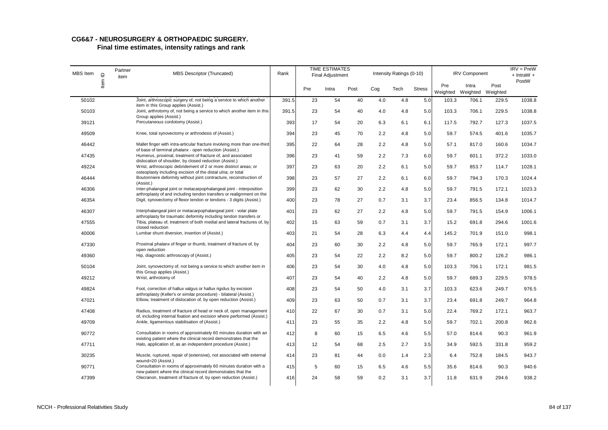| MBS Item | $\supseteq$ | Partner<br>item | <b>MBS Descriptor (Truncated)</b>                                                                                                              | Rank  |     | <b>TIME ESTIMATES</b><br><b>Final Adjustment</b> |      |     | Intensity Ratings (0-10) |               |                 | <b>IRV Component</b>       |       | $IRV = PreW$<br>$+$ IntraW $+$ |
|----------|-------------|-----------------|------------------------------------------------------------------------------------------------------------------------------------------------|-------|-----|--------------------------------------------------|------|-----|--------------------------|---------------|-----------------|----------------------------|-------|--------------------------------|
|          | ltem        |                 |                                                                                                                                                |       | Pre | Intra                                            | Post | Cog | Tech                     | <b>Stress</b> | Pre<br>Weighted | Intra<br>Weighted Weighted | Post  | PostW                          |
| 50102    |             |                 | Joint, arthroscopic surgery of, not being a service to which another<br>item in this Group applies (Assist.)                                   | 391.5 | 23  | 54                                               | 40   | 4.0 | 4.8                      | 5.0           | 103.3           | 706.1                      | 229.5 | 1038.8                         |
| 50103    |             |                 | Joint, arthrotomy of, not being a service to which another item in this<br>Group applies (Assist.)                                             | 391.5 | 23  | 54                                               | 40   | 4.0 | 4.8                      | 5.0           | 103.3           | 706.1                      | 229.5 | 1038.8                         |
| 39121    |             |                 | Percutaneous cordotomy (Assist.)                                                                                                               | 393   | 17  | 54                                               | 20   | 6.3 | 6.1                      | 6.1           | 117.5           | 792.7                      | 127.3 | 1037.5                         |
| 49509    |             |                 | Knee, total synovectomy or arthrodesis of (Assist.)                                                                                            | 394   | 23  | 45                                               | 70   | 2.2 | 4.8                      | 5.0           | 59.7            | 574.5                      | 401.6 | 1035.7                         |
| 46442    |             |                 | Mallet finger with intra-articular fracture involving more than one-third                                                                      | 395   | 22  | 64                                               | 28   | 2.2 | 4.8                      | 5.0           | 57.1            | 817.0                      | 160.6 | 1034.7                         |
| 47435    |             |                 | of base of terminal phalanx - open reduction (Assist.)<br>Humerus, proximal, treatment of fracture of, and associated                          | 396   | 23  | 41                                               | 59   | 2.2 | 7.3                      | 6.0           | 59.7            | 601.1                      | 372.2 | 1033.0                         |
| 49224    |             |                 | dislocation of shoulder, by closed reduction (Assist.)<br>Wrist, arthroscopic debridement of 2 or more distinct areas; or                      | 397   | 23  | 63                                               | 20   | 2.2 | 6.1                      | 5.0           | 59.7            | 853.7                      | 114.7 | 1028.1                         |
| 46444    |             |                 | osteoplasty including excision of the distal ulna; or total<br>Boutonniere deformity without joint contracture, reconstruction of              | 398   | 23  | 57                                               | 27   | 2.2 | 6.1                      | 6.0           | 59.7            | 794.3                      | 170.3 | 1024.4                         |
| 46306    |             |                 | (Assist.)<br>Inter-phalangeal joint or metacarpophalangeal joint - interposition                                                               | 399   | 23  | 62                                               | 30   | 2.2 | 4.8                      | 5.0           | 59.7            | 791.5                      | 172.1 | 1023.3                         |
| 46354    |             |                 | arthroplasty of and including tendon transfers or realignment on the<br>Digit, synovectomy of flexor tendon or tendons - 3 digits (Assist.)    | 400   | 23  | 78                                               | 27   | 0.7 | 3.1                      | 3.7           | 23.4            | 856.5                      | 134.8 | 1014.7                         |
| 46307    |             |                 | Interphalangeal joint or metacarpophalangeal joint - volar plate                                                                               | 401   | 23  | 62                                               | 27   | 2.2 | 4.8                      | 5.0           | 59.7            | 791.5                      | 154.9 | 1006.1                         |
| 47555    |             |                 | arthroplasty for traumatic deformity including tendon transfers or<br>Tibia, plateau of, treatment of both medial and lateral fractures of, by | 402   | 15  | 63                                               | 59   | 0.7 | 3.1                      | 3.7           | 15.2            | 691.8                      | 294.6 | 1001.6                         |
| 40006    |             |                 | closed reduction<br>Lumbar shunt diversion, insertion of (Assist.)                                                                             | 403   | 21  | 54                                               | 28   | 6.3 | 4.4                      | 4.4           | 145.2           | 701.9                      | 151.0 | 998.1                          |
| 47330    |             |                 | Proximal phalanx of finger or thumb, treatment of fracture of, by                                                                              | 404   | 23  | 60                                               | 30   | 2.2 | 4.8                      | 5.0           | 59.7            | 765.9                      | 172.1 | 997.7                          |
| 49360    |             |                 | open reduction<br>Hip, diagnostic arthroscopy of (Assist.)                                                                                     | 405   | 23  | 54                                               | 22   | 2.2 | 8.2                      | 5.0           | 59.7            | 800.2                      | 126.2 | 986.1                          |
| 50104    |             |                 | Joint, synovectomy of, not being a service to which another item in                                                                            | 406   | 23  | 54                                               | 30   | 4.0 | 4.8                      | 5.0           | 103.3           | 706.1                      | 172.1 | 981.5                          |
| 49212    |             |                 | this Group applies (Assist.)<br>Wrist, arthrotomy of                                                                                           | 407   | 23  | 54                                               | 40   | 2.2 | 4.8                      | 5.0           | 59.7            | 689.3                      | 229.5 | 978.5                          |
| 49824    |             |                 | Foot, correction of hallux valgus or hallux rigidus by excision                                                                                | 408   | 23  | 54                                               | 50   | 4.0 | 3.1                      | 3.7           | 103.3           | 623.6                      | 249.7 | 976.5                          |
| 47021    |             |                 | arthroplasty (Keller's or similar procedure) - bilateral (Assist.)<br>Elbow, treatment of dislocation of, by open reduction (Assist.)          | 409   | 23  | 63                                               | 50   | 0.7 | 3.1                      | 3.7           | 23.4            | 691.8                      | 249.7 | 964.8                          |
| 47408    |             |                 | Radius, treatment of fracture of head or neck of, open management                                                                              | 410   | 22  | 67                                               | 30   | 0.7 | 3.1                      | 5.0           | 22.4            | 769.2                      | 172.1 | 963.7                          |
| 49709    |             |                 | of, including internal fixation and excision where performed (Assist.)<br>Ankle, ligamentous stabilisation of (Assist.)                        | 411   | 23  | 55                                               | 35   | 2.2 | 4.8                      | 5.0           | 59.7            | 702.1                      | 200.8 | 962.6                          |
| 90772    |             |                 | Consultation in rooms of approximately 60 minutes duration with an                                                                             | 412   | 8   | 60                                               | 15   | 6.5 | 4.6                      | 5.5           | 57.0            | 814.6                      | 90.3  | 961.9                          |
| 47711    |             |                 | existing patient where the clinical record demonstrates that the<br>Halo, application of, as an independent procedure (Assist.)                | 413   | 12  | 54                                               | 68   | 2.5 | 2.7                      | 3.5           | 34.9            | 592.5                      | 331.8 | 959.2                          |
| 30235    |             |                 | Muscle, ruptured, repair of (extensive), not associated with external                                                                          | 414   | 23  | 81                                               | 44   | 0.0 | 1.4                      | 2.3           | 6.4             | 752.8                      | 184.5 | 943.7                          |
| 90771    |             |                 | wound=20 (Assist.)<br>Consultation in rooms of approximately 60 minutes duration with a                                                        | 415   | 5   | 60                                               | 15   | 6.5 | 4.6                      | 5.5           | 35.6            | 814.6                      | 90.3  | 940.6                          |
| 47399    |             |                 | new patient where the clinical record demonstrates that the<br>Olecranon, treatment of fracture of, by open reduction (Assist.)                | 416   | 24  | 58                                               | 59   | 0.2 | 3.1                      | 3.7           | 11.8            | 631.9                      | 294.6 | 938.2                          |
|          |             |                 |                                                                                                                                                |       |     |                                                  |      |     |                          |               |                 |                            |       |                                |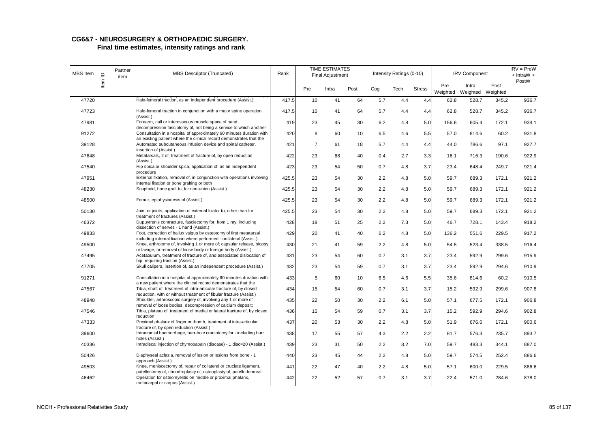| MBS Item | $\supseteq$ | Partner<br>item | <b>MBS Descriptor (Truncated)</b>                                                                                                                                                                           | Rank  |                | <b>TIME ESTIMATES</b><br><b>Final Adjustment</b> |      |     | Intensity Ratings (0-10) |               |                 | <b>IRV Component</b>       |       | $IRV = PreW$<br>$+$ IntraW $+$ |
|----------|-------------|-----------------|-------------------------------------------------------------------------------------------------------------------------------------------------------------------------------------------------------------|-------|----------------|--------------------------------------------------|------|-----|--------------------------|---------------|-----------------|----------------------------|-------|--------------------------------|
|          | ltem        |                 |                                                                                                                                                                                                             |       | Pre            | Intra                                            | Post | Cog | Tech                     | <b>Stress</b> | Pre<br>Weighted | Intra<br>Weighted Weighted | Post  | PostW                          |
| 47720    |             |                 | Halo-femoral traction, as an independent procedure (Assist.)                                                                                                                                                | 417.5 | 10             | 41                                               | 64   | 5.7 | 4.4                      | 4.4           | 62.8            | 528.7                      | 345.2 | 936.7                          |
| 47723    |             |                 | Halo-femoral traction in conjunction with a major spine operation<br>(Assist.)                                                                                                                              | 417.5 | 10             | 41                                               | 64   | 5.7 | 4.4                      | 4.4           | 62.8            | 528.7                      | 345.2 | 936.7                          |
| 47981    |             |                 | Forearm, calf or interosseous muscle space of hand,<br>decompression fasciotomy of, not being a service to which another                                                                                    | 419   | 23             | 45                                               | 30   | 6.2 | 4.8                      | 5.0           | 156.6           | 605.4                      | 172.1 | 934.1                          |
| 91272    |             |                 | Consultation in a hospital of approximately 60 minutes duration with<br>an existing patient where the clinical record demonstrates that the                                                                 | 420   | 8              | 60                                               | 10   | 6.5 | 4.6                      | 5.5           | 57.0            | 814.6                      | 60.2  | 931.8                          |
| 39128    |             |                 | Automated subcutaneous infusion device and spinal catheter,<br>insertion of (Assist.)                                                                                                                       | 421   | $\overline{7}$ | 61                                               | 18   | 5.7 | 4.4                      | 4.4           | 44.0            | 786.6                      | 97.1  | 927.7                          |
| 47648    |             |                 | Metatarsals, 2 of, treatment of fracture of, by open reduction<br>(Assist.)                                                                                                                                 | 422   | 23             | 68                                               | 40   | 0.4 | 2.7                      | 3.3           | 16.1            | 716.3                      | 190.6 | 922.9                          |
| 47540    |             |                 | Hip spica or shoulder spica, application of, as an independent<br>procedure                                                                                                                                 | 423   | 23             | 54                                               | 50   | 0.7 | 4.8                      | 3.7           | 23.4            | 648.4                      | 249.7 | 921.4                          |
| 47951    |             |                 | External fixation, removal of, in conjunction with operations involving<br>internal fixation or bone grafting or both                                                                                       | 425.5 | 23             | 54                                               | 30   | 2.2 | 4.8                      | 5.0           | 59.7            | 689.3                      | 172.1 | 921.2                          |
| 48230    |             |                 | Scaphoid, bone graft to, for non-union (Assist.)                                                                                                                                                            | 425.5 | 23             | 54                                               | 30   | 2.2 | 4.8                      | 5.0           | 59.7            | 689.3                      | 172.1 | 921.2                          |
| 48500    |             |                 | Femur, epiphysiodesis of (Assist.)                                                                                                                                                                          | 425.5 | 23             | 54                                               | 30   | 2.2 | 4.8                      | 5.0           | 59.7            | 689.3                      | 172.1 | 921.2                          |
| 50130    |             |                 | Joint or joints, application of external fixator to, other than for<br>treatment of fractures (Assist.)                                                                                                     | 425.5 | 23             | 54                                               | 30   | 2.2 | 4.8                      | 5.0           | 59.7            | 689.3                      | 172.1 | 921.2                          |
| 46372    |             |                 | Dupuytren's contracture, fasciectomy for, from 1 ray, including<br>dissection of nerves - 1 hand (Assist.)                                                                                                  | 428   | 18             | 51                                               | 25   | 2.2 | 7.3                      | 5.0           | 46.7            | 728.1                      | 143.4 | 918.2                          |
| 49833    |             |                 | Foot, correction of hallux valgus by osteotomy of first metatarsal<br>including internal fixation where performed - unilateral (Assist.)                                                                    | 429   | 20             | 41                                               | 40   | 6.2 | 4.8                      | 5.0           | 136.2           | 551.6                      | 229.5 | 917.2                          |
| 49500    |             |                 | Knee, arthrotomy of, involving 1 or more of; capsular release, biopsy<br>or lavage, or removal of loose body or foreign body (Assist.)                                                                      | 430   | 21             | 41                                               | 59   | 2.2 | 4.8                      | 5.0           | 54.5            | 523.4                      | 338.5 | 916.4                          |
| 47495    |             |                 | Acetabulum, treatment of fracture of, and associated dislocation of<br>hip, requiring traction (Assist.)                                                                                                    | 431   | 23             | 54                                               | 60   | 0.7 | 3.1                      | 3.7           | 23.4            | 592.9                      | 299.6 | 915.9                          |
| 47705    |             |                 | Skull calipers, insertion of, as an independent procedure (Assist.)                                                                                                                                         | 432   | 23             | 54                                               | 59   | 0.7 | 3.1                      | 3.7           | 23.4            | 592.9                      | 294.6 | 910.9                          |
| 91271    |             |                 | Consultation in a hospital of approximately 60 minutes duration with                                                                                                                                        | 433   | 5              | 60                                               | 10   | 6.5 | 4.6                      | 5.5           | 35.6            | 814.6                      | 60.2  | 910.5                          |
| 47567    |             |                 | a new patient where the clinical record demonstrates that the<br>Tibia, shaft of, treatment of intra-articular fracture of, by closed<br>reduction, with or without treatment of fibular fracture (Assist.) | 434   | 15             | 54                                               | 60   | 0.7 | 3.1                      | 3.7           | 15.2            | 592.9                      | 299.6 | 907.8                          |
| 48948    |             |                 | Shoulder, arthroscopic surgery of, involving any 1 or more of:                                                                                                                                              | 435   | 22             | 50                                               | 30   | 2.2 | 6.1                      | 5.0           | 57.1            | 677.5                      | 172.1 | 906.8                          |
| 47546    |             |                 | removal of loose bodies; decompression of calcium deposit;<br>Tibia, plateau of, treatment of medial or lateral fracture of, by closed<br>reduction                                                         | 436   | 15             | 54                                               | 59   | 0.7 | 3.1                      | 3.7           | 15.2            | 592.9                      | 294.6 | 902.8                          |
| 47333    |             |                 | Proximal phalanx of finger or thumb, treatment of intra-articular<br>fracture of, by open reduction (Assist.)                                                                                               | 437   | 20             | 53                                               | 30   | 2.2 | 4.8                      | 5.0           | 51.9            | 676.6                      | 172.1 | 900.6                          |
| 39600    |             |                 | Intracranial haemorrhage, burr-hole craniotomy for - including burr<br>holes (Assist.)                                                                                                                      | 438   | 17             | 55                                               | 57   | 4.3 | 2.2                      | 2.2           | 81.7            | 576.3                      | 235.7 | 893.7                          |
| 40336    |             |                 | Intradiscal injection of chymopapain (discase) - 1 disc=20 (Assist.)                                                                                                                                        | 439   | 23             | 31                                               | 50   | 2.2 | 8.2                      | 7.0           | 59.7            | 483.3                      | 344.1 | 887.0                          |
| 50426    |             |                 | Diaphyseal aclasia, removal of lesion or lesions from bone - 1<br>approach (Assist.)                                                                                                                        | 440   | 23             | 45                                               | 44   | 2.2 | 4.8                      | 5.0           | 59.7            | 574.5                      | 252.4 | 886.6                          |
| 49503    |             |                 | Knee, meniscectomy of, repair of collateral or cruciate ligament,<br>patellectomy of, chondroplasty of, osteoplasty of, patello-femoral                                                                     | 441   | 22             | 47                                               | 40   | 2.2 | 4.8                      | 5.0           | 57.1            | 600.0                      | 229.5 | 886.6                          |
| 46462    |             |                 | Operation for osteomyelitis on middle or proximal phalanx,<br>metacarpal or carpus (Assist.)                                                                                                                | 442   | 22             | 52                                               | 57   | 0.7 | 3.1                      | 3.7           | 22.4            | 571.0                      | 284.6 | 878.0                          |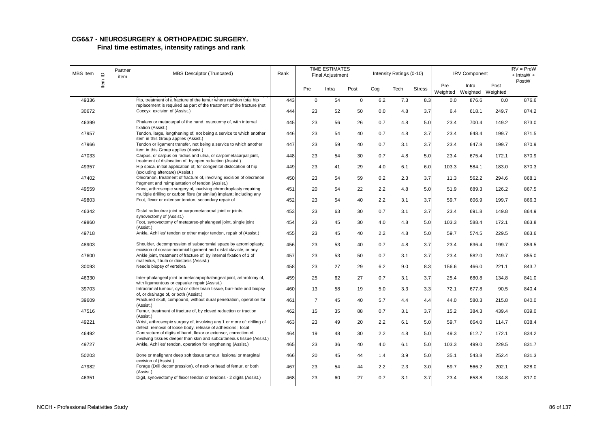# **CG6&7 - NEUROSURGERY & ORTHOPAEDIC SURGERY.**

| <b>MBS</b> Item | $\supseteq$ | Partner<br>item | <b>MBS Descriptor (Truncated)</b>                                                                                                                                                             | Rank |                | <b>TIME ESTIMATES</b><br><b>Final Adjustment</b> |             |     | Intensity Ratings (0-10) |               |                 | <b>IRV Component</b>       |       | $IRV = PreW$<br>$+$ IntraW $+$ |
|-----------------|-------------|-----------------|-----------------------------------------------------------------------------------------------------------------------------------------------------------------------------------------------|------|----------------|--------------------------------------------------|-------------|-----|--------------------------|---------------|-----------------|----------------------------|-------|--------------------------------|
|                 | ltem        |                 |                                                                                                                                                                                               |      | Pre            | Intra                                            | Post        | Cog | Tech                     | <b>Stress</b> | Pre<br>Weighted | Intra<br>Weighted Weighted | Post  | PostW                          |
| 49336           |             |                 | Hip, treatment of a fracture of the femur where revision total hip<br>replacement is required as part of the treatment of the fracture (not                                                   | 443  | $\mathbf 0$    | 54                                               | $\mathbf 0$ | 6.2 | 7.3                      | 8.3           | 0.0             | 876.6                      | 0.0   | 876.6                          |
| 30672           |             |                 | Coccyx, excision of (Assist.)                                                                                                                                                                 | 444  | 23             | 52                                               | 50          | 0.0 | 4.8                      | 3.7           | 6.4             | 618.1                      | 249.7 | 874.2                          |
| 46399           |             |                 | Phalanx or metacarpal of the hand, osteotomy of, with internal<br>fixation (Assist.)                                                                                                          | 445  | 23             | 56                                               | 26          | 0.7 | 4.8                      | 5.0           | 23.4            | 700.4                      | 149.2 | 873.0                          |
| 47957           |             |                 | Tendon, large, lengthening of, not being a service to which another<br>item in this Group applies (Assist.)                                                                                   | 446  | 23             | 54                                               | 40          | 0.7 | 4.8                      | 3.7           | 23.4            | 648.4                      | 199.7 | 871.5                          |
| 47966           |             |                 | Tendon or ligament transfer, not being a service to which another                                                                                                                             | 447  | 23             | 59                                               | 40          | 0.7 | 3.1                      | 3.7           | 23.4            | 647.8                      | 199.7 | 870.9                          |
| 47033           |             |                 | item in this Group applies (Assist.)<br>Carpus, or carpus on radius and ulna, or carpometacarpal joint,<br>treatment of dislocation of, by open reduction (Assist.)                           | 448  | 23             | 54                                               | 30          | 0.7 | 4.8                      | 5.0           | 23.4            | 675.4                      | 172.1 | 870.9                          |
| 49357           |             |                 | Hip spica, initial application of, for congenital dislocation of hip<br>(excluding aftercare) (Assist.)                                                                                       | 449  | 23             | 41                                               | 29          | 4.0 | 6.1                      | 6.0           | 103.3           | 584.1                      | 183.0 | 870.3                          |
| 47402           |             |                 | Olecranon, treatment of fracture of, involving excision of olecranon                                                                                                                          | 450  | 23             | 54                                               | 59          | 0.2 | 2.3                      | 3.7           | 11.3            | 562.2                      | 294.6 | 868.1                          |
| 49559           |             |                 | fragment and reimplantation of tendon (Assist.)<br>Knee, arthroscopic surgery of, involving chrondroplasty requiring<br>multiple drilling or carbon fibre (or similar) implant; including any | 451  | 20             | 54                                               | 22          | 2.2 | 4.8                      | 5.0           | 51.9            | 689.3                      | 126.2 | 867.5                          |
| 49803           |             |                 | Foot, flexor or extensor tendon, secondary repair of                                                                                                                                          | 452  | 23             | 54                                               | 40          | 2.2 | 3.1                      | 3.7           | 59.7            | 606.9                      | 199.7 | 866.3                          |
| 46342           |             |                 | Distal radioulnar joint or carpometacarpal joint or joints,<br>synovectomy of (Assist.)                                                                                                       | 453  | 23             | 63                                               | 30          | 0.7 | 3.1                      | 3.7           | 23.4            | 691.8                      | 149.8 | 864.9                          |
| 49860           |             |                 | Foot, synovectomy of metatarso-phalangeal joint, single joint<br>(Assist.)                                                                                                                    | 454  | 23             | 45                                               | 30          | 4.0 | 4.8                      | 5.0           | 103.3           | 588.4                      | 172.1 | 863.8                          |
| 49718           |             |                 | Ankle, Achilles' tendon or other major tendon, repair of (Assist.)                                                                                                                            | 455  | 23             | 45                                               | 40          | 2.2 | 4.8                      | 5.0           | 59.7            | 574.5                      | 229.5 | 863.6                          |
| 48903           |             |                 | Shoulder, decompression of subacromial space by acromioplasty,                                                                                                                                | 456  | 23             | 53                                               | 40          | 0.7 | 4.8                      | 3.7           | 23.4            | 636.4                      | 199.7 | 859.5                          |
| 47600           |             |                 | excision of coraco-acromial ligament and distal clavicle, or any<br>Ankle joint, treatment of fracture of, by internal fixation of 1 of<br>malleolus, fibula or diastasis (Assist.)           | 457  | 23             | 53                                               | 50          | 0.7 | 3.1                      | 3.7           | 23.4            | 582.0                      | 249.7 | 855.0                          |
| 30093           |             |                 | Needle biopsy of vertebra                                                                                                                                                                     | 458  | 23             | 27                                               | 29          | 6.2 | 9.0                      | 8.3           | 156.6           | 466.0                      | 221.1 | 843.7                          |
| 46330           |             |                 | Inter-phalangeal joint or metacarpophalangeal joint, arthrotomy of,<br>with ligamentous or capsular repair (Assist.)                                                                          | 459  | 25             | 62                                               | 27          | 0.7 | 3.1                      | 3.7           | 25.4            | 680.8                      | 134.8 | 841.0                          |
| 39703           |             |                 | Intracranial tumour, cyst or other brain tissue, burr-hole and biopsy                                                                                                                         | 460  | 13             | 58                                               | 19          | 5.0 | 3.3                      | 3.3           | 72.1            | 677.8                      | 90.5  | 840.4                          |
| 39609           |             |                 | of, or drainage of, or both (Assist.)<br>Fractured skull, compound, without dural penetration, operation for<br>(Assist.)                                                                     | 461  | $\overline{7}$ | 45                                               | 40          | 5.7 | 4.4                      | 4.4           | 44.0            | 580.3                      | 215.8 | 840.0                          |
| 47516           |             |                 | Femur, treatment of fracture of, by closed reduction or traction<br>(Assist.)                                                                                                                 | 462  | 15             | 35                                               | 88          | 0.7 | 3.1                      | 3.7           | 15.2            | 384.3                      | 439.4 | 839.0                          |
| 49221           |             |                 | Wrist, arthroscopic surgery of, involving any 1 or more of: drilling of<br>defect; removal of loose body, release of adhesions; local                                                         | 463  | 23             | 49                                               | 20          | 2.2 | 6.1                      | 5.0           | 59.7            | 664.0                      | 114.7 | 838.4                          |
| 46492           |             |                 | Contracture of digits of hand, flexor or extensor, correction of,<br>involving tissues deeper than skin and subcutaneous tissue (Assist.)                                                     | 464  | 19             | 48                                               | 30          | 2.2 | 4.8                      | 5.0           | 49.3            | 612.7                      | 172.1 | 834.2                          |
| 49727           |             |                 | Ankle, Achilles' tendon, operation for lengthening (Assist.)                                                                                                                                  | 465  | 23             | 36                                               | 40          | 4.0 | 6.1                      | 5.0           | 103.3           | 499.0                      | 229.5 | 831.7                          |
| 50203           |             |                 | Bone or malignant deep soft tissue tumour, lesional or marginal<br>excision of (Assist.)                                                                                                      | 466  | 20             | 45                                               | 44          | 1.4 | 3.9                      | 5.0           | 35.1            | 543.8                      | 252.4 | 831.3                          |
| 47982           |             |                 | Forage (Drill decompression), of neck or head of femur, or both<br>(Assist.)                                                                                                                  | 467  | 23             | 54                                               | 44          | 2.2 | 2.3                      | 3.0           | 59.7            | 566.2                      | 202.1 | 828.0                          |
| 46351           |             |                 | Digit, synovectomy of flexor tendon or tendons - 2 digits (Assist.)                                                                                                                           | 468  | 23             | 60                                               | 27          | 0.7 | 3.1                      | 3.7           | 23.4            | 658.8                      | 134.8 | 817.0                          |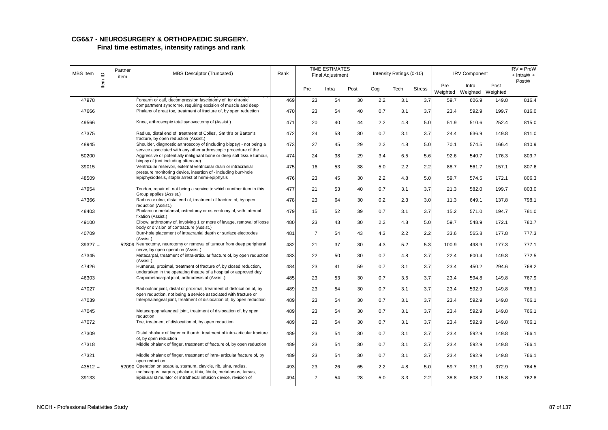| MBS Item  | $\supseteq$ | Partner<br>item | <b>MBS Descriptor (Truncated)</b>                                                                                                        | Rank |                | <b>TIME ESTIMATES</b><br><b>Final Adjustment</b> |      |     | Intensity Ratings (0-10) |               |       | <b>IRV Component</b>                |       | $IRV = PreW$<br>$+$ IntraW $+$ |
|-----------|-------------|-----------------|------------------------------------------------------------------------------------------------------------------------------------------|------|----------------|--------------------------------------------------|------|-----|--------------------------|---------------|-------|-------------------------------------|-------|--------------------------------|
|           | ltem        |                 |                                                                                                                                          |      | Pre            | Intra                                            | Post | Cog | Tech                     | <b>Stress</b> | Pre   | Intra<br>Weighted Weighted Weighted | Post  | PostW                          |
| 47978     |             |                 | Forearm or calf, decompression fasciotomy of, for chronic<br>compartment syndrome, requiring excision of muscle and deep                 | 469  | 23             | 54                                               | 30   | 2.2 | 3.1                      | 3.7           | 59.7  | 606.9                               | 149.8 | 816.4                          |
| 47666     |             |                 | Phalanx of great toe, treatment of fracture of, by open reduction                                                                        | 470  | 23             | 54                                               | 40   | 0.7 | 3.1                      | 3.7           | 23.4  | 592.9                               | 199.7 | 816.0                          |
| 49566     |             |                 | Knee, arthroscopic total synovectomy of (Assist.)                                                                                        | 471  | 20             | 40                                               | 44   | 2.2 | 4.8                      | 5.0           | 51.9  | 510.6                               | 252.4 | 815.0                          |
| 47375     |             |                 | Radius, distal end of, treatment of Colles', Smith's or Barton's<br>fracture, by open reduction (Assist.)                                | 472  | 24             | 58                                               | 30   | 0.7 | 3.1                      | 3.7           | 24.4  | 636.9                               | 149.8 | 811.0                          |
| 48945     |             |                 | Shoulder, diagnostic arthroscopy of (including biopsy) - not being a<br>service associated with any other arthroscopic procedure of the  | 473  | 27             | 45                                               | 29   | 2.2 | 4.8                      | 5.0           | 70.1  | 574.5                               | 166.4 | 810.9                          |
| 50200     |             |                 | Aggressive or potentially malignant bone or deep soft tissue tumour,<br>biopsy of (not including aftercare)                              | 474  | 24             | 38                                               | 29   | 3.4 | 6.5                      | 5.6           | 92.6  | 540.7                               | 176.3 | 809.7                          |
| 39015     |             |                 | Ventricular reservoir, external ventricular drain or intracranial<br>pressure monitoring device, insertion of - including burr-hole      | 475  | 16             | 53                                               | 38   | 5.0 | 2.2                      | 2.2           | 88.7  | 561.7                               | 157.1 | 807.6                          |
| 48509     |             |                 | Epiphysiodesis, staple arrest of hemi-epiphysis                                                                                          | 476  | 23             | 45                                               | 30   | 2.2 | 4.8                      | 5.0           | 59.7  | 574.5                               | 172.1 | 806.3                          |
| 47954     |             |                 | Tendon, repair of, not being a service to which another item in this<br>Group applies (Assist.)                                          | 477  | 21             | 53                                               | 40   | 0.7 | 3.1                      | 3.7           | 21.3  | 582.0                               | 199.7 | 803.0                          |
| 47366     |             |                 | Radius or ulna, distal end of, treatment of fracture of, by open<br>reduction (Assist.)                                                  | 478  | 23             | 64                                               | 30   | 0.2 | 2.3                      | 3.0           | 11.3  | 649.1                               | 137.8 | 798.1                          |
| 48403     |             |                 | Phalanx or metatarsal, osteotomy or osteectomy of, with internal<br>fixation (Assist.)                                                   | 479  | 15             | 52                                               | 39   | 0.7 | 3.1                      | 3.7           | 15.2  | 571.0                               | 194.7 | 781.0                          |
| 49100     |             |                 | Elbow, arthrotomy of, involving 1 or more of lavage, removal of loose<br>body or division of contracture (Assist.)                       | 480  | 23             | 43                                               | 30   | 2.2 | 4.8                      | 5.0           | 59.7  | 548.9                               | 172.1 | 780.7                          |
| 40709     |             |                 | Burr-hole placement of intracranial depth or surface electrodes<br>(Assist.)                                                             | 481  | $\overline{7}$ | 54                                               | 43   | 4.3 | 2.2                      | 2.2           | 33.6  | 565.8                               | 177.8 | 777.3                          |
| $39327 =$ |             |                 | 52809 Neurectomy, neurotomy or removal of tumour from deep peripheral<br>nerve, by open operation (Assist.)                              | 482  | 21             | 37                                               | 30   | 4.3 | 5.2                      | 5.3           | 100.9 | 498.9                               | 177.3 | 777.1                          |
| 47345     |             |                 | Metacarpal, treatment of intra-articular fracture of, by open reduction<br>(Assist.)                                                     | 483  | 22             | 50                                               | 30   | 0.7 | 4.8                      | 3.7           | 22.4  | 600.4                               | 149.8 | 772.5                          |
| 47426     |             |                 | Humerus, proximal, treatment of fracture of, by closed reduction,<br>undertaken in the operating theatre of a hospital or approved day   | 484  | 23             | 41                                               | 59   | 0.7 | 3.1                      | 3.7           | 23.4  | 450.2                               | 294.6 | 768.2                          |
| 46303     |             |                 | Carpometacarpal joint, arthrodesis of (Assist.)                                                                                          | 485  | 23             | 53                                               | 30   | 0.7 | 3.5                      | 3.7           | 23.4  | 594.8                               | 149.8 | 767.9                          |
| 47027     |             |                 | Radioulnar joint, distal or proximal, treatment of dislocation of, by<br>open reduction, not being a service associated with fracture or | 489  | 23             | 54                                               | 30   | 0.7 | 3.1                      | 3.7           | 23.4  | 592.9                               | 149.8 | 766.1                          |
| 47039     |             |                 | Interphalangeal joint, treatment of dislocation of, by open reduction                                                                    | 489  | 23             | 54                                               | 30   | 0.7 | 3.1                      | 3.7           | 23.4  | 592.9                               | 149.8 | 766.1                          |
| 47045     |             |                 | Metacarpophalangeal joint, treatment of dislocation of, by open<br>reduction                                                             | 489  | 23             | 54                                               | 30   | 0.7 | 3.1                      | 3.7           | 23.4  | 592.9                               | 149.8 | 766.1                          |
| 47072     |             |                 | Toe, treatment of dislocation of, by open reduction                                                                                      | 489  | 23             | 54                                               | 30   | 0.7 | 3.1                      | 3.7           | 23.4  | 592.9                               | 149.8 | 766.1                          |
| 47309     |             |                 | Distal phalanx of finger or thumb, treatment of intra-articular fracture<br>of, by open reduction                                        | 489  | 23             | 54                                               | 30   | 0.7 | 3.1                      | 3.7           | 23.4  | 592.9                               | 149.8 | 766.1                          |
| 47318     |             |                 | Middle phalanx of finger, treatment of fracture of, by open reduction                                                                    | 489  | 23             | 54                                               | 30   | 0.7 | 3.1                      | 3.7           | 23.4  | 592.9                               | 149.8 | 766.1                          |
| 47321     |             |                 | Middle phalanx of finger, treatment of intra- articular fracture of, by<br>open reduction                                                | 489  | 23             | 54                                               | 30   | 0.7 | 3.1                      | 3.7           | 23.4  | 592.9                               | 149.8 | 766.1                          |
| $43512 =$ |             |                 | 52090 Operation on scapula, sternum, clavicle, rib, ulna, radius,<br>metacarpus, carpus, phalanx, tibia, fibula, metatarsus, tarsus,     | 493  | 23             | 26                                               | 65   | 2.2 | 4.8                      | 5.0           | 59.7  | 331.9                               | 372.9 | 764.5                          |
| 39133     |             |                 | Epidural stimulator or intrathecal infusion device, revision of                                                                          | 494  | $\overline{7}$ | 54                                               | 28   | 5.0 | 3.3                      | 2.2           | 38.8  | 608.2                               | 115.8 | 762.8                          |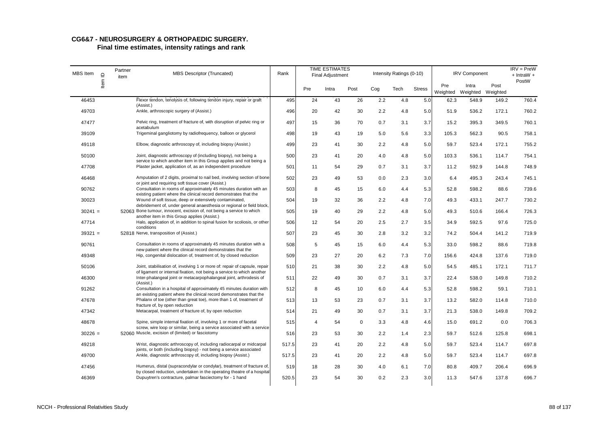# **CG6&7 - NEUROSURGERY & ORTHOPAEDIC SURGERY.**

| MBS Item  |         | Partner<br>item | MBS Descriptor (Truncated)                                                                                                                           | Rank  |     | <b>TIME ESTIMATES</b><br>Final Adjustment |             |     | Intensity Ratings (0-10) |               |                 | <b>IRV Component</b>       |       | $IRV = PreW$<br>+ IntraW + |
|-----------|---------|-----------------|------------------------------------------------------------------------------------------------------------------------------------------------------|-------|-----|-------------------------------------------|-------------|-----|--------------------------|---------------|-----------------|----------------------------|-------|----------------------------|
|           | Item ID |                 |                                                                                                                                                      |       | Pre | Intra                                     | Post        | Cog | Tech                     | <b>Stress</b> | Pre<br>Weighted | Intra<br>Weighted Weighted | Post  | PostW                      |
| 46453     |         |                 | Flexor tendon, tenolysis of, following tendon injury, repair or graft<br>(Assist.)                                                                   | 495   | 24  | 43                                        | 26          | 2.2 | 4.8                      | 5.0           | 62.3            | 548.9                      | 149.2 | 760.4                      |
| 49703     |         |                 | Ankle, arthroscopic surgery of (Assist.)                                                                                                             | 496   | 20  | 42                                        | 30          | 2.2 | 4.8                      | 5.0           | 51.9            | 536.2                      | 172.1 | 760.2                      |
| 47477     |         |                 | Pelvic ring, treatment of fracture of, with disruption of pelvic ring or<br>acetabulum                                                               | 497   | 15  | 36                                        | 70          | 0.7 | 3.1                      | 3.7           | 15.2            | 395.3                      | 349.5 | 760.1                      |
| 39109     |         |                 | Trigeminal gangliotomy by radiofrequency, balloon or glycerol                                                                                        | 498   | 19  | 43                                        | 19          | 5.0 | 5.6                      | 3.3           | 105.3           | 562.3                      | 90.5  | 758.1                      |
| 49118     |         |                 | Elbow, diagnostic arthroscopy of, including biopsy (Assist.)                                                                                         | 499   | 23  | 41                                        | 30          | 2.2 | 4.8                      | 5.0           | 59.7            | 523.4                      | 172.1 | 755.2                      |
| 50100     |         |                 | Joint, diagnostic arthroscopy of (including biopsy), not being a<br>service to which another item in this Group applies and not being a              | 500   | 23  | 41                                        | 20          | 4.0 | 4.8                      | 5.0           | 103.3           | 536.1                      | 114.7 | 754.1                      |
| 47708     |         |                 | Plaster jacket, application of, as an independent procedure                                                                                          | 501   | 11  | 54                                        | 29          | 0.7 | 3.1                      | 3.7           | 11.2            | 592.9                      | 144.8 | 748.9                      |
| 46468     |         |                 | Amputation of 2 digits, proximal to nail bed, involving section of bone<br>or joint and requiring soft tissue cover (Assist.)                        | 502   | 23  | 49                                        | 53          | 0.0 | 2.3                      | 3.0           | 6.4             | 495.3                      | 243.4 | 745.1                      |
| 90762     |         |                 | Consultation in rooms of approximately 45 minutes duration with an<br>existing patient where the clinical record demonstrates that the               | 503   | 8   | 45                                        | 15          | 6.0 | 4.4                      | 5.3           | 52.8            | 598.2                      | 88.6  | 739.6                      |
| 30023     |         |                 | Wound of soft tissue, deep or extensively contaminated,                                                                                              | 504   | 19  | 32                                        | 36          | 2.2 | 4.8                      | 7.0           | 49.3            | 433.1                      | 247.7 | 730.2                      |
| $30241 =$ |         |                 | debridement of, under general anaesthesia or regional or field block,<br>52063 Bone tumour, innocent, excision of, not being a service to which      | 505   | 19  | 40                                        | 29          | 2.2 | 4.8                      | 5.0           | 49.3            | 510.6                      | 166.4 | 726.3                      |
| 47714     |         |                 | another item in this Group applies (Assist.)<br>Halo, application of, in addition to spinal fusion for scoliosis, or other<br>conditions             | 506   | 12  | 54                                        | 20          | 2.5 | 2.7                      | 3.5           | 34.9            | 592.5                      | 97.6  | 725.0                      |
| $39321 =$ |         |                 | 52818 Nerve, transposition of (Assist.)                                                                                                              | 507   | 23  | 45                                        | 30          | 2.8 | 3.2                      | 3.2           | 74.2            | 504.4                      | 141.2 | 719.9                      |
| 90761     |         |                 | Consultation in rooms of approximately 45 minutes duration with a                                                                                    | 508   | 5   | 45                                        | 15          | 6.0 | 4.4                      | 5.3           | 33.0            | 598.2                      | 88.6  | 719.8                      |
| 49348     |         |                 | new patient where the clinical record demonstrates that the<br>Hip, congenital dislocation of, treatment of, by closed reduction                     | 509   | 23  | 27                                        | 20          | 6.2 | 7.3                      | 7.0           | 156.6           | 424.8                      | 137.6 | 719.0                      |
| 50106     |         |                 | Joint, stabilisation of, involving 1 or more of: repair of capsule, repair<br>of ligament or internal fixation, not being a service to which another | 510   | 21  | 38                                        | 30          | 2.2 | 4.8                      | 5.0           | 54.5            | 485.1                      | 172.1 | 711.7                      |
| 46300     |         |                 | Inter-phalangeal joint or metacarpophalangeal joint, arthrodesis of<br>(Assist.)                                                                     | 511   | 22  | 49                                        | 30          | 0.7 | 3.1                      | 3.7           | 22.4            | 538.0                      | 149.8 | 710.2                      |
| 91262     |         |                 | Consultation in a hospital of approximately 45 minutes duration with<br>an existing patient where the clinical record demonstrates that the          | 512   | 8   | 45                                        | 10          | 6.0 | 4.4                      | 5.3           | 52.8            | 598.2                      | 59.1  | 710.1                      |
| 47678     |         |                 | Phalanx of toe (other than great toe), more than 1 of, treatment of                                                                                  | 513   | 13  | 53                                        | 23          | 0.7 | 3.1                      | 3.7           | 13.2            | 582.0                      | 114.8 | 710.0                      |
| 47342     |         |                 | fracture of, by open reduction<br>Metacarpal, treatment of fracture of, by open reduction                                                            | 514   | 21  | 49                                        | 30          | 0.7 | 3.1                      | 3.7           | 21.3            | 538.0                      | 149.8 | 709.2                      |
| 48678     |         |                 | Spine, simple internal fixation of, involving 1 or more of facetal                                                                                   | 515   | 4   | 54                                        | $\mathbf 0$ | 3.3 | 4.8                      | 4.6           | 15.0            | 691.2                      | 0.0   | 706.3                      |
| $30226 =$ |         |                 | screw, wire loop or similar, being a service associated with a service<br>52060 Muscle, excision of (limited) or fasciotomy                          | 516   | 23  | 53                                        | 30          | 2.2 | 1.4                      | 2.3           | 59.7            | 512.6                      | 125.8 | 698.1                      |
| 49218     |         |                 | Wrist, diagnostic arthroscopy of, including radiocarpal or midcarpal                                                                                 | 517.5 | 23  | 41                                        | 20          | 2.2 | 4.8                      | 5.0           | 59.7            | 523.4                      | 114.7 | 697.8                      |
| 49700     |         |                 | joints, or both (including biopsy) - not being a service associated<br>Ankle, diagnostic arthroscopy of, including biopsy (Assist.)                  | 517.5 | 23  | 41                                        | 20          | 2.2 | 4.8                      | 5.0           | 59.7            | 523.4                      | 114.7 | 697.8                      |
| 47456     |         |                 | Humerus, distal (supracondylar or condylar), treatment of fracture of,<br>by closed reduction, undertaken in the operating theatre of a hospital     | 519   | 18  | 28                                        | 30          | 4.0 | 6.1                      | 7.0           | 80.8            | 409.7                      | 206.4 | 696.9                      |
| 46369     |         |                 | Dupuytren's contracture, palmar fasciectomy for - 1 hand                                                                                             | 520.5 | 23  | 54                                        | 30          | 0.2 | 2.3                      | 3.0           | 11.3            | 547.6                      | 137.8 | 696.7                      |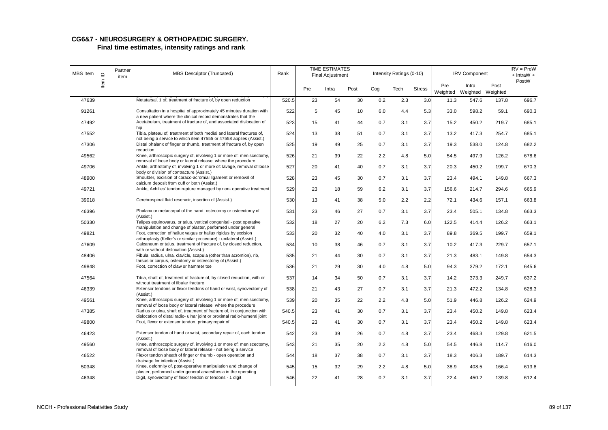| MBS Item | $\supseteq$ | Partner<br>item | <b>MBS Descriptor (Truncated)</b>                                                                                                           | Rank  |     | <b>TIME ESTIMATES</b><br><b>Final Adjustment</b> |      |     | Intensity Ratings (0-10) |               |                 | <b>IRV Component</b>       |       | $IRV = PreW$<br>$+$ IntraW $+$ |
|----------|-------------|-----------------|---------------------------------------------------------------------------------------------------------------------------------------------|-------|-----|--------------------------------------------------|------|-----|--------------------------|---------------|-----------------|----------------------------|-------|--------------------------------|
|          | ltem        |                 |                                                                                                                                             |       | Pre | Intra                                            | Post | Cog | Tech                     | <b>Stress</b> | Pre<br>Weighted | Intra<br>Weighted Weighted | Post  | PostW                          |
| 47639    |             |                 | Metatarsal, 1 of, treatment of fracture of, by open reduction                                                                               | 520.5 | 23  | 54                                               | 30   | 0.2 | 2.3                      | 3.0           | 11.3            | 547.6                      | 137.8 | 696.7                          |
| 91261    |             |                 | Consultation in a hospital of approximately 45 minutes duration with<br>a new patient where the clinical record demonstrates that the       | 522   | 5   | 45                                               | 10   | 6.0 | 4.4                      | 5.3           | 33.0            | 598.2                      | 59.1  | 690.3                          |
| 47492    |             |                 | Acetabulum, treatment of fracture of, and associated dislocation of<br>hip                                                                  | 523   | 15  | 41                                               | 44   | 0.7 | 3.1                      | 3.7           | 15.2            | 450.2                      | 219.7 | 685.1                          |
| 47552    |             |                 | Tibia, plateau of, treatment of both medial and lateral fractures of,<br>not being a service to which item 47555 or 47558 applies (Assist.) | 524   | 13  | 38                                               | 51   | 0.7 | 3.1                      | 3.7           | 13.2            | 417.3                      | 254.7 | 685.1                          |
| 47306    |             |                 | Distal phalanx of finger or thumb, treatment of fracture of, by open<br>reduction                                                           | 525   | 19  | 49                                               | 25   | 0.7 | 3.1                      | 3.7           | 19.3            | 538.0                      | 124.8 | 682.2                          |
| 49562    |             |                 | Knee, arthroscopic surgery of, involving 1 or more of: meniscectomy,<br>removal of loose body or lateral release; where the procedure       | 526   | 21  | 39                                               | 22   | 2.2 | 4.8                      | 5.0           | 54.5            | 497.9                      | 126.2 | 678.6                          |
| 49706    |             |                 | Ankle, arthrotomy of, involving 1 or more of: lavage, removal of loose<br>body or division of contracture (Assist.)                         | 527   | 20  | 41                                               | 40   | 0.7 | 3.1                      | 3.7           | 20.3            | 450.2                      | 199.7 | 670.3                          |
| 48900    |             |                 | Shoulder, excision of coraco-acromial ligament or removal of                                                                                | 528   | 23  | 45                                               | 30   | 0.7 | 3.1                      | 3.7           | 23.4            | 494.1                      | 149.8 | 667.3                          |
| 49721    |             |                 | calcium deposit from cuff or both (Assist.)<br>Ankle, Achilles' tendon rupture managed by non- operative treatment                          | 529   | 23  | 18                                               | 59   | 6.2 | 3.1                      | 3.7           | 156.6           | 214.7                      | 294.6 | 665.9                          |
| 39018    |             |                 | Cerebrospinal fluid reservoir, insertion of (Assist.)                                                                                       | 530   | 13  | 41                                               | 38   | 5.0 | 2.2                      | 2.2           | 72.1            | 434.6                      | 157.1 | 663.8                          |
| 46396    |             |                 | Phalanx or metacarpal of the hand, osteotomy or osteectomy of<br>(Assist.)                                                                  | 531   | 23  | 46                                               | 27   | 0.7 | 3.1                      | 3.7           | 23.4            | 505.1                      | 134.8 | 663.3                          |
| 50330    |             |                 | Talipes equinovarus, or talus, vertical congenital - post operative<br>manipulation and change of plaster, performed under general          | 532   | 18  | 27                                               | 20   | 6.2 | 7.3                      | 6.0           | 122.5           | 414.4                      | 126.2 | 663.1                          |
| 49821    |             |                 | Foot, correction of hallux valgus or hallux rigidus by excision                                                                             | 533   | 20  | 32                                               | 40   | 4.0 | 3.1                      | 3.7           | 89.8            | 369.5                      | 199.7 | 659.1                          |
| 47609    |             |                 | arthroplasty (Keller's or similar procedure) - unilateral (Assist.)<br>Calcaneum or talus, treatment of fracture of, by closed reduction,   | 534   | 10  | 38                                               | 46   | 0.7 | 3.1                      | 3.7           | 10.2            | 417.3                      | 229.7 | 657.1                          |
| 48406    |             |                 | with or without dislocation (Assist.)<br>Fibula, radius, ulna, clavicle, scapula (other than acromion), rib,                                | 535   | 21  | 44                                               | 30   | 0.7 | 3.1                      | 3.7           | 21.3            | 483.1                      | 149.8 | 654.3                          |
| 49848    |             |                 | tarsus or carpus, osteotomy or osteectomy of (Assist.)<br>Foot, correction of claw or hammer toe                                            | 536   | 21  | 29                                               | 30   | 4.0 | 4.8                      | 5.0           | 94.3            | 379.2                      | 172.1 | 645.6                          |
| 47564    |             |                 | Tibia, shaft of, treatment of fracture of, by closed reduction, with or                                                                     | 537   | 14  | 34                                               | 50   | 0.7 | 3.1                      | 3.7           | 14.2            | 373.3                      | 249.7 | 637.2                          |
| 46339    |             |                 | without treatment of fibular fracture<br>Extensor tendons or flexor tendons of hand or wrist, synovectomy of<br>(Assist.)                   | 538   | 21  | 43                                               | 27   | 0.7 | 3.1                      | 3.7           | 21.3            | 472.2                      | 134.8 | 628.3                          |
| 49561    |             |                 | Knee, arthroscopic surgery of, involving 1 or more of; meniscectomy,<br>removal of loose body or lateral release; where the procedure       | 539   | 20  | 35                                               | 22   | 2.2 | 4.8                      | 5.0           | 51.9            | 446.8                      | 126.2 | 624.9                          |
| 47385    |             |                 | Radius or ulna, shaft of, treatment of fracture of, in conjunction with                                                                     | 540.5 | 23  | 41                                               | 30   | 0.7 | 3.1                      | 3.7           | 23.4            | 450.2                      | 149.8 | 623.4                          |
| 49800    |             |                 | dislocation of distal radio- ulnar joint or proximal radio-humeral joint<br>Foot, flexor or extensor tendon, primary repair of              | 540.5 | 23  | 41                                               | 30   | 0.7 | 3.1                      | 3.7           | 23.4            | 450.2                      | 149.8 | 623.4                          |
| 46423    |             |                 | Extensor tendon of hand or wrist, secondary repair of, each tendon<br>(Assist.)                                                             | 542   | 23  | 39                                               | 26   | 0.7 | 4.8                      | 3.7           | 23.4            | 468.3                      | 129.8 | 621.5                          |
| 49560    |             |                 | Knee, arthroscopic surgery of, involving 1 or more of: meniscectomy,<br>removal of loose body or lateral release - not being a service      | 543   | 21  | 35                                               | 20   | 2.2 | 4.8                      | 5.0           | 54.5            | 446.8                      | 114.7 | 616.0                          |
| 46522    |             |                 | Flexor tendon sheath of finger or thumb - open operation and<br>drainage for infection (Assist.)                                            | 544   | 18  | 37                                               | 38   | 0.7 | 3.1                      | 3.7           | 18.3            | 406.3                      | 189.7 | 614.3                          |
| 50348    |             |                 | Knee, deformity of, post-operative manipulation and change of<br>plaster, performed under general anaesthesia in the operating              | 545   | 15  | 32                                               | 29   | 2.2 | 4.8                      | 5.0           | 38.9            | 408.5                      | 166.4 | 613.8                          |
| 46348    |             |                 | Digit, synovectomy of flexor tendon or tendons - 1 digit                                                                                    | 546   | 22  | 41                                               | 28   | 0.7 | 3.1                      | 3.7           | 22.4            | 450.2                      | 139.8 | 612.4                          |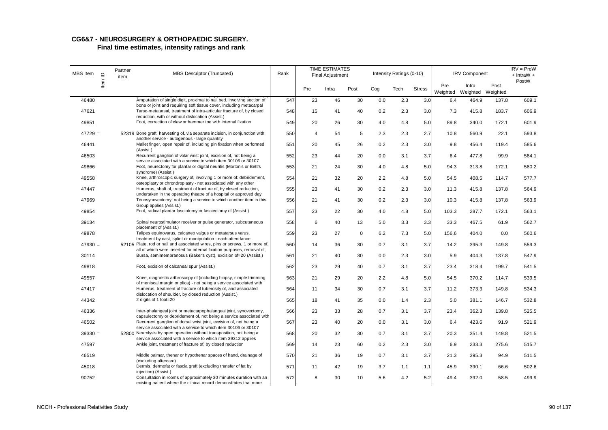| MBS Item  | $\supseteq$ | Partner<br>item | <b>MBS Descriptor (Truncated)</b>                                                                                                                      | Rank |                | <b>TIME ESTIMATES</b><br>Final Adjustment |             |     | Intensity Ratings (0-10) |               |                 | <b>IRV Component</b> |                  | $IRV = PreW$<br>$+$ IntraW $+$ |
|-----------|-------------|-----------------|--------------------------------------------------------------------------------------------------------------------------------------------------------|------|----------------|-------------------------------------------|-------------|-----|--------------------------|---------------|-----------------|----------------------|------------------|--------------------------------|
|           | ltem        |                 |                                                                                                                                                        |      | Pre            | Intra                                     | Post        | Cog | Tech                     | <b>Stress</b> | Pre<br>Weighted | Intra<br>Weighted    | Post<br>Weighted | PostW                          |
| 46480     |             |                 | Amputation of single digit, proximal to nail bed, involving section of<br>bone or joint and requiring soft tissue cover, including metacarpal          | 547  | 23             | 46                                        | 30          | 0.0 | 2.3                      | 3.0           | 6.4             | 464.9                | 137.8            | 609.1                          |
| 47621     |             |                 | Tarso-metatarsal, treatment of intra-articular fracture of, by closed<br>reduction, with or without dislocation (Assist.)                              | 548  | 15             | 41                                        | 40          | 0.2 | 2.3                      | 3.0           | 7.3             | 415.8                | 183.7            | 606.9                          |
| 49851     |             |                 | Foot, correction of claw or hammer toe with internal fixation                                                                                          | 549  | 20             | 26                                        | 30          | 4.0 | 4.8                      | 5.0           | 89.8            | 340.0                | 172.1            | 601.9                          |
| $47729 =$ |             |                 | 52319 Bone graft, harvesting of, via separate incision, in conjunction with<br>another service - autogenous - large quantity                           | 550  | $\overline{4}$ | 54                                        | 5           | 2.3 | 2.3                      | 2.7           | 10.8            | 560.9                | 22.1             | 593.8                          |
| 46441     |             |                 | Mallet finger, open repair of, including pin fixation when performed<br>(Assist.)                                                                      | 551  | 20             | 45                                        | 26          | 0.2 | 2.3                      | 3.0           | 9.8             | 456.4                | 119.4            | 585.6                          |
| 46503     |             |                 | Recurrent ganglion of volar wrist joint, excision of, not being a<br>service associated with a service to which item 30106 or 30107                    | 552  | 23             | 44                                        | 20          | 0.0 | 3.1                      | 3.7           | 6.4             | 477.8                | 99.9             | 584.1                          |
| 49866     |             |                 | Foot, neurectomy for plantar or digital neuritis (Morton's or Bett's<br>syndrome) (Assist.)                                                            | 553  | 21             | 24                                        | 30          | 4.0 | 4.8                      | 5.0           | 94.3            | 313.8                | 172.1            | 580.2                          |
| 49558     |             |                 | Knee, arthroscopic surgery of, involving 1 or more of: debridement,<br>osteoplasty or chrondroplasty - not associated with any other                   | 554  | 21             | 32                                        | 20          | 2.2 | 4.8                      | 5.0           | 54.5            | 408.5                | 114.7            | 577.7                          |
| 47447     |             |                 | Humerus, shaft of, treatment of fracture of, by closed reduction,<br>undertaken in the operating theatre of a hospital or approved day                 | 555  | 23             | 41                                        | 30          | 0.2 | 2.3                      | 3.0           | 11.3            | 415.8                | 137.8            | 564.9                          |
| 47969     |             |                 | Tenosynovectomy, not being a service to which another item in this<br>Group applies (Assist.)                                                          | 556  | 21             | 41                                        | 30          | 0.2 | 2.3                      | 3.0           | 10.3            | 415.8                | 137.8            | 563.9                          |
| 49854     |             |                 | Foot, radical plantar fasciotomy or fasciectomy of (Assist.)                                                                                           | 557  | 23             | 22                                        | 30          | 4.0 | 4.8                      | 5.0           | 103.3           | 287.7                | 172.1            | 563.1                          |
| 39134     |             |                 | Spinal neurostimulator receiver or pulse generator, subcutaneous<br>placement of (Assist.)                                                             | 558  | 6              | 40                                        | 13          | 5.0 | 3.3                      | 3.3           | 33.3            | 467.5                | 61.9             | 562.7                          |
| 49878     |             |                 | Talipes equinovarus, calcaneo valgus or metatarsus varus,<br>treatment by cast, splint or manipulation - each attendance                               | 559  | 23             | 27                                        | $\mathbf 0$ | 6.2 | 7.3                      | 5.0           | 156.6           | 404.0                | 0.0              | 560.6                          |
| $47930 =$ |             |                 | 52105 Plate, rod or nail and associated wires, pins or screws, 1 or more of,<br>all of which were inserted for internal fixation purposes, removal of, | 560  | 14             | 36                                        | 30          | 0.7 | 3.1                      | 3.7           | 14.2            | 395.3                | 149.8            | 559.3                          |
| 30114     |             |                 | Bursa, semimembranosus (Baker's cyst), excision of=20 (Assist.)                                                                                        | 561  | 21             | 40                                        | 30          | 0.0 | 2.3                      | 3.0           | 5.9             | 404.3                | 137.8            | 547.9                          |
| 49818     |             |                 | Foot, excision of calcaneal spur (Assist.)                                                                                                             | 562  | 23             | 29                                        | 40          | 0.7 | 3.1                      | 3.7           | 23.4            | 318.4                | 199.7            | 541.5                          |
| 49557     |             |                 | Knee, diagnostic arthroscopy of (including biopsy, simple trimming<br>of meniscal margin or plica) - not being a service associated with               | 563  | 21             | 29                                        | 20          | 2.2 | 4.8                      | 5.0           | 54.5            | 370.2                | 114.7            | 539.5                          |
| 47417     |             |                 | Humerus, treatment of fracture of tuberosity of, and associated<br>dislocation of shoulder, by closed reduction (Assist.)                              | 564  | 11             | 34                                        | 30          | 0.7 | 3.1                      | 3.7           | 11.2            | 373.3                | 149.8            | 534.3                          |
| 44342     |             |                 | 2 digits of 1 foot=20                                                                                                                                  | 565  | 18             | 41                                        | 35          | 0.0 | 1.4                      | 2.3           | 5.0             | 381.1                | 146.7            | 532.8                          |
| 46336     |             |                 | Inter-phalangeal joint or metacarpophalangeal joint, synovectomy,<br>capsulectomy or debridement of, not being a service associated with               | 566  | 23             | 33                                        | 28          | 0.7 | 3.1                      | 3.7           | 23.4            | 362.3                | 139.8            | 525.5                          |
| 46502     |             |                 | Recurrent ganglion of dorsal wrist joint, excision of, not being a<br>service associated with a service to which item 30106 or 30107                   | 567  | 23             | 40                                        | 20          | 0.0 | 3.1                      | 3.0           | 6.4             | 423.6                | 91.9             | 521.9                          |
| $39330 =$ |             |                 | 52800 Neurolysis by open operation without transposition, not being a<br>service associated with a service to which item 39312 applies                 | 568  | 20             | 32                                        | 30          | 0.7 | 3.1                      | 3.7           | 20.3            | 351.4                | 149.8            | 521.5                          |
| 47597     |             |                 | Ankle joint, treatment of fracture of, by closed reduction                                                                                             | 569  | 14             | 23                                        | 60          | 0.2 | 2.3                      | 3.0           | 6.9             | 233.3                | 275.6            | 515.7                          |
| 46519     |             |                 | Middle palmar, thenar or hypothenar spaces of hand, drainage of<br>(excluding aftercare)                                                               | 570  | 21             | 36                                        | 19          | 0.7 | 3.1                      | 3.7           | 21.3            | 395.3                | 94.9             | 511.5                          |
| 45018     |             |                 | Dermis, dermofat or fascia graft (excluding transfer of fat by<br>injection) (Assist.)                                                                 | 571  | 11             | 42                                        | 19          | 3.7 | 1.1                      | 1.1           | 45.9            | 390.1                | 66.6             | 502.6                          |
| 90752     |             |                 | Consultation in rooms of approximately 30 minutes duration with an<br>existing patient where the clinical record demonstrates that more                | 572  | 8              | 30                                        | 10          | 5.6 | 4.2                      | 5.2           | 49.4            | 392.0                | 58.5             | 499.9                          |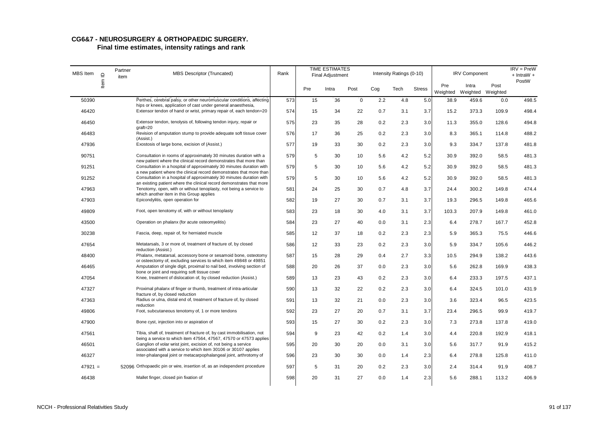| MBS Item  | $\supseteq$ | Partner<br>item | <b>MBS Descriptor (Truncated)</b>                                                                                                                                                      | Rank |     | <b>TIME ESTIMATES</b><br><b>Final Adjustment</b> |             |     | Intensity Ratings (0-10) |               |                 | <b>IRV Component</b>       |       | $IRV = PreW$<br>$+$ IntraW $+$ |
|-----------|-------------|-----------------|----------------------------------------------------------------------------------------------------------------------------------------------------------------------------------------|------|-----|--------------------------------------------------|-------------|-----|--------------------------|---------------|-----------------|----------------------------|-------|--------------------------------|
|           | Item        |                 |                                                                                                                                                                                        |      | Pre | Intra                                            | Post        | Cog | Tech                     | <b>Stress</b> | Pre<br>Weighted | Intra<br>Weighted Weighted | Post  | PostW                          |
| 50390     |             |                 | Perthes, cerebral palsy, or other neuromuscular conditions, affecting<br>hips or knees, application of cast under general anaesthesia,                                                 | 573  | 15  | 36                                               | $\mathbf 0$ | 2.2 | 4.8                      | 5.0           | 38.9            | 459.6                      | 0.0   | 498.5                          |
| 46420     |             |                 | Extensor tendon of hand or wrist, primary repair of, each tendon=20                                                                                                                    | 574  | 15  | 34                                               | 22          | 0.7 | 3.1                      | 3.7           | 15.2            | 373.3                      | 109.9 | 498.4                          |
| 46450     |             |                 | Extensor tendon, tenolysis of, following tendon injury, repair or<br>$graff=20$                                                                                                        | 575  | 23  | 35                                               | 28          | 0.2 | 2.3                      | 3.0           | 11.3            | 355.0                      | 128.6 | 494.8                          |
| 46483     |             |                 | Revision of amputation stump to provide adequate soft tissue cover<br>(Assist.)                                                                                                        | 576  | 17  | 36                                               | 25          | 0.2 | 2.3                      | 3.0           | 8.3             | 365.1                      | 114.8 | 488.2                          |
| 47936     |             |                 | Exostosis of large bone, excision of (Assist.)                                                                                                                                         | 577  | 19  | 33                                               | 30          | 0.2 | 2.3                      | 3.0           | 9.3             | 334.7                      | 137.8 | 481.8                          |
| 90751     |             |                 | Consultation in rooms of approximately 30 minutes duration with a<br>new patient where the clinical record demonstrates that more than                                                 | 579  | 5   | 30                                               | 10          | 5.6 | 4.2                      | 5.2           | 30.9            | 392.0                      | 58.5  | 481.3                          |
| 91251     |             |                 | Consultation in a hospital of approximately 30 minutes duration with                                                                                                                   | 579  | 5   | 30                                               | 10          | 5.6 | 4.2                      | 5.2           | 30.9            | 392.0                      | 58.5  | 481.3                          |
| 91252     |             |                 | a new patient where the clinical record demonstrates that more than<br>Consultation in a hospital of approximately 30 minutes duration with                                            | 579  | 5   | 30                                               | 10          | 5.6 | 4.2                      | 5.2           | 30.9            | 392.0                      | 58.5  | 481.3                          |
| 47963     |             |                 | an existing patient where the clinical record demonstrates that more<br>Tenotomy, open, with or without tenoplasty, not being a service to<br>which another item in this Group applies | 581  | 24  | 25                                               | 30          | 0.7 | 4.8                      | 3.7           | 24.4            | 300.2                      | 149.8 | 474.4                          |
| 47903     |             |                 | Epicondylitis, open operation for                                                                                                                                                      | 582  | 19  | 27                                               | 30          | 0.7 | 3.1                      | 3.7           | 19.3            | 296.5                      | 149.8 | 465.6                          |
| 49809     |             |                 | Foot, open tenotomy of, with or without tenoplasty                                                                                                                                     | 583  | 23  | 18                                               | 30          | 4.0 | 3.1                      | 3.7           | 103.3           | 207.9                      | 149.8 | 461.0                          |
| 43500     |             |                 | Operation on phalanx (for acute osteomyelitis)                                                                                                                                         | 584  | 23  | 27                                               | 40          | 0.0 | 3.1                      | 2.3           | 6.4             | 278.7                      | 167.7 | 452.8                          |
| 30238     |             |                 | Fascia, deep, repair of, for herniated muscle                                                                                                                                          | 585  | 12  | 37                                               | 18          | 0.2 | 2.3                      | 2.3           | 5.9             | 365.3                      | 75.5  | 446.6                          |
| 47654     |             |                 | Metatarsals, 3 or more of, treatment of fracture of, by closed<br>reduction (Assist.)                                                                                                  | 586  | 12  | 33                                               | 23          | 0.2 | 2.3                      | 3.0           | 5.9             | 334.7                      | 105.6 | 446.2                          |
| 48400     |             |                 | Phalanx, metatarsal, accessory bone or sesamoid bone, osteotomy<br>or osteectomy of, excluding services to which item 49848 or 49851                                                   | 587  | 15  | 28                                               | 29          | 0.4 | 2.7                      | 3.3           | 10.5            | 294.9                      | 138.2 | 443.6                          |
| 46465     |             |                 | Amputation of single digit, proximal to nail bed, involving section of<br>bone or joint and requiring soft tissue cover                                                                | 588  | 20  | 26                                               | 37          | 0.0 | 2.3                      | 3.0           | 5.6             | 262.8                      | 169.9 | 438.3                          |
| 47054     |             |                 | Knee, treatment of dislocation of, by closed reduction (Assist.)                                                                                                                       | 589  | 13  | 23                                               | 43          | 0.2 | 2.3                      | 3.0           | 6.4             | 233.3                      | 197.5 | 437.1                          |
| 47327     |             |                 | Proximal phalanx of finger or thumb, treatment of intra-articular<br>fracture of, by closed reduction                                                                                  | 590  | 13  | 32                                               | 22          | 0.2 | 2.3                      | 3.0           | 6.4             | 324.5                      | 101.0 | 431.9                          |
| 47363     |             |                 | Radius or ulna, distal end of, treatment of fracture of, by closed<br>reduction                                                                                                        | 591  | 13  | 32                                               | 21          | 0.0 | 2.3                      | 3.0           | 3.6             | 323.4                      | 96.5  | 423.5                          |
| 49806     |             |                 | Foot, subcutaneous tenotomy of, 1 or more tendons                                                                                                                                      | 592  | 23  | 27                                               | 20          | 0.7 | 3.1                      | 3.7           | 23.4            | 296.5                      | 99.9  | 419.7                          |
| 47900     |             |                 | Bone cyst, injection into or aspiration of                                                                                                                                             | 593  | 15  | 27                                               | 30          | 0.2 | 2.3                      | 3.0           | 7.3             | 273.8                      | 137.8 | 419.0                          |
| 47561     |             |                 | Tibia, shaft of, treatment of fracture of, by cast immobilisation, not<br>being a service to which item 47564, 47567, 47570 or 47573 applies                                           | 594  | 9   | 23                                               | 42          | 0.2 | 1.4                      | 3.0           | 4.4             | 220.8                      | 192.9 | 418.1                          |
| 46501     |             |                 | Ganglion of volar wrist joint, excision of, not being a service<br>associated with a service to which item 30106 or 30107 applies                                                      | 595  | 20  | 30                                               | 20          | 0.0 | 3.1                      | 3.0           | 5.6             | 317.7                      | 91.9  | 415.2                          |
| 46327     |             |                 | Inter-phalangeal joint or metacarpophalangeal joint, arthrotomy of                                                                                                                     | 596  | 23  | 30                                               | 30          | 0.0 | 1.4                      | 2.3           | 6.4             | 278.8                      | 125.8 | 411.0                          |
| $47921 =$ |             |                 | 52096 Orthopaedic pin or wire, insertion of, as an independent procedure                                                                                                               | 597  | 5   | 31                                               | 20          | 0.2 | 2.3                      | 3.0           | 2.4             | 314.4                      | 91.9  | 408.7                          |
| 46438     |             |                 | Mallet finger, closed pin fixation of                                                                                                                                                  | 598  | 20  | 31                                               | 27          | 0.0 | 1.4                      | 2.3           | 5.6             | 288.1                      | 113.2 | 406.9                          |
|           |             |                 |                                                                                                                                                                                        |      |     |                                                  |             |     |                          |               |                 |                            |       |                                |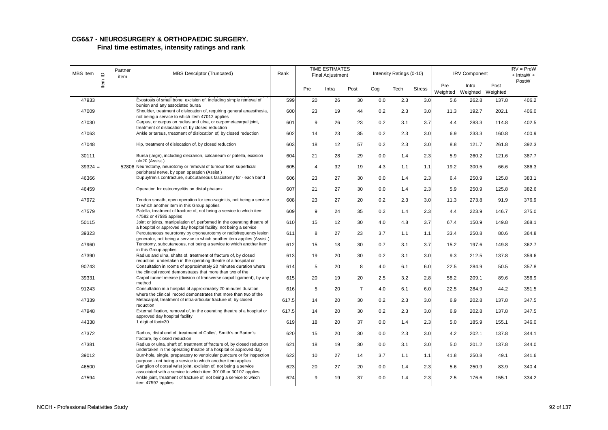# **CG6&7 - NEUROSURGERY & ORTHOPAEDIC SURGERY.**

| MBS Item  | $\supseteq$ | Partner<br>item | <b>MBS Descriptor (Truncated)</b>                                                                                                            | Rank  |     | <b>TIME ESTIMATES</b><br>Final Adjustment |                |     | Intensity Ratings (0-10) |               |      | <b>IRV Component</b>                |       | $IRV = PreW$<br>$+$ IntraW $+$ |
|-----------|-------------|-----------------|----------------------------------------------------------------------------------------------------------------------------------------------|-------|-----|-------------------------------------------|----------------|-----|--------------------------|---------------|------|-------------------------------------|-------|--------------------------------|
|           | Item        |                 |                                                                                                                                              |       | Pre | Intra                                     | Post           | Cog | Tech                     | <b>Stress</b> | Pre  | Intra<br>Weighted Weighted Weighted | Post  | PostW                          |
| 47933     |             |                 | Exostosis of small bone, excision of, including simple removal of<br>bunion and any associated bursa                                         | 599   | 20  | 26                                        | 30             | 0.0 | 2.3                      | 3.0           | 5.6  | 262.8                               | 137.8 | 406.2                          |
| 47009     |             |                 | Shoulder, treatment of dislocation of, requiring general anaesthesia,<br>not being a service to which item 47012 applies                     | 600   | 23  | 19                                        | 44             | 0.2 | 2.3                      | 3.0           | 11.3 | 192.7                               | 202.1 | 406.0                          |
| 47030     |             |                 | Carpus, or carpus on radius and ulna, or carpometacarpal joint,<br>treatment of dislocation of, by closed reduction                          | 601   | 9   | 26                                        | 23             | 0.2 | 3.1                      | 3.7           | 4.4  | 283.3                               | 114.8 | 402.5                          |
| 47063     |             |                 | Ankle or tarsus, treatment of dislocation of, by closed reduction                                                                            | 602   | 14  | 23                                        | 35             | 0.2 | 2.3                      | 3.0           | 6.9  | 233.3                               | 160.8 | 400.9                          |
| 47048     |             |                 | Hip, treatment of dislocation of, by closed reduction                                                                                        | 603   | 18  | 12                                        | 57             | 0.2 | 2.3                      | 3.0           | 8.8  | 121.7                               | 261.8 | 392.3                          |
| 30111     |             |                 | Bursa (large), including olecranon, calcaneum or patella, excision<br>of=20 (Assist.)                                                        | 604   | 21  | 28                                        | 29             | 0.0 | 1.4                      | 2.3           | 5.9  | 260.2                               | 121.6 | 387.7                          |
| $39324 =$ |             |                 | 52806 Neurectomy, neurotomy or removal of tumour from superficial<br>peripheral nerve, by open operation (Assist.)                           | 605   | 4   | 32                                        | 19             | 4.3 | 1.1                      | 1.1           | 19.2 | 300.5                               | 66.6  | 386.3                          |
| 46366     |             |                 | Dupuytren's contracture, subcutaneous fasciotomy for - each band                                                                             | 606   | 23  | 27                                        | 30             | 0.0 | 1.4                      | 2.3           | 6.4  | 250.9                               | 125.8 | 383.1                          |
| 46459     |             |                 | Operation for osteomyelitis on distal phalanx                                                                                                | 607   | 21  | 27                                        | 30             | 0.0 | 1.4                      | 2.3           | 5.9  | 250.9                               | 125.8 | 382.6                          |
| 47972     |             |                 | Tendon sheath, open operation for teno-vaginitis, not being a service                                                                        | 608   | 23  | 27                                        | 20             | 0.2 | 2.3                      | 3.0           | 11.3 | 273.8                               | 91.9  | 376.9                          |
| 47579     |             |                 | to which another item in this Group applies<br>Patella, treatment of fracture of, not being a service to which item                          | 609   | 9   | 24                                        | 35             | 0.2 | 1.4                      | 2.3           | 4.4  | 223.9                               | 146.7 | 375.0                          |
| 50115     |             |                 | 47582 or 47585 applies<br>Joint or joints, manipulation of, performed in the operating theatre of                                            | 610   | 15  | 12                                        | 30             | 4.0 | 4.8                      | 3.7           | 67.4 | 150.9                               | 149.8 | 368.1                          |
| 39323     |             |                 | a hospital or approved day hospital facility, not being a service<br>Percutaneous neurotomy by cryoneurotomy or radiofrequency lesion        | 611   | 8   | 27                                        | 23             | 3.7 | 1.1                      | 1.1           | 33.4 | 250.8                               | 80.6  | 364.8                          |
| 47960     |             |                 | generator, not being a service to which another item applies (Assist.)<br>Tenotomy, subcutaneous, not being a service to which another item  | 612   | 15  | 18                                        | 30             | 0.7 | 3.1                      | 3.7           | 15.2 | 197.6                               | 149.8 | 362.7                          |
| 47390     |             |                 | in this Group applies<br>Radius and ulna, shafts of, treatment of fracture of, by closed                                                     | 613   | 19  | 20                                        | 30             | 0.2 | 3.1                      | 3.0           | 9.3  | 212.5                               | 137.8 | 359.6                          |
| 90743     |             |                 | reduction, undertaken in the operating theatre of a hospital or<br>Consultation in rooms of approximately 20 minutes duration where          | 614   | 5   | 20                                        | 8              | 4.0 | 6.1                      | 6.0           | 22.5 | 284.9                               | 50.5  | 357.8                          |
| 39331     |             |                 | the clinical record demonstrates that more than two of the<br>Carpal tunnel release (division of transverse carpal ligament), by any         | 615   | 20  | 19                                        | 20             | 2.5 | 3.2                      | 2.8           | 58.2 | 209.1                               | 89.6  | 356.9                          |
| 91243     |             |                 | method<br>Consultation in a hospital of approximately 20 minutes duration                                                                    | 616   | 5   | 20                                        | $\overline{7}$ | 4.0 | 6.1                      | 6.0           | 22.5 | 284.9                               | 44.2  | 351.5                          |
|           |             |                 | where the clinical record demonstrates that more than two of the<br>Metacarpal, treatment of intra-articular fracture of, by closed          |       |     |                                           |                |     |                          |               |      |                                     |       |                                |
| 47339     |             |                 | reduction                                                                                                                                    | 617.5 | 14  | 20                                        | 30             | 0.2 | 2.3                      | 3.0           | 6.9  | 202.8                               | 137.8 | 347.5                          |
| 47948     |             |                 | External fixation, removal of, in the operating theatre of a hospital or<br>approved day hospital facility                                   | 617.5 | 14  | 20                                        | 30             | 0.2 | 2.3                      | 3.0           | 6.9  | 202.8                               | 137.8 | 347.5                          |
| 44338     |             |                 | 1 digit of foot=20                                                                                                                           | 619   | 18  | 20                                        | 37             | 0.0 | 1.4                      | 2.3           | 5.0  | 185.9                               | 155.1 | 346.0                          |
| 47372     |             |                 | Radius, distal end of, treatment of Colles', Smith's or Barton's<br>fracture, by closed reduction                                            | 620   | 15  | 20                                        | 30             | 0.0 | 2.3                      | 3.0           | 4.2  | 202.1                               | 137.8 | 344.1                          |
| 47381     |             |                 | Radius or ulna, shaft of, treatment of fracture of, by closed reduction<br>undertaken in the operating theatre of a hospital or approved day | 621   | 18  | 19                                        | 30             | 0.0 | 3.1                      | 3.0           | 5.0  | 201.2                               | 137.8 | 344.0                          |
| 39012     |             |                 | Burr-hole, single, preparatory to ventricular puncture or for inspection<br>purpose - not being a service to which another item applies      | 622   | 10  | 27                                        | 14             | 3.7 | 1.1                      | 1.1           | 41.8 | 250.8                               | 49.1  | 341.6                          |
| 46500     |             |                 | Ganglion of dorsal wrist joint, excision of, not being a service<br>associated with a service to which item 30106 or 30107 applies           | 623   | 20  | 27                                        | 20             | 0.0 | 1.4                      | 2.3           | 5.6  | 250.9                               | 83.9  | 340.4                          |
| 47594     |             |                 | Ankle joint, treatment of fracture of, not being a service to which<br>item 47597 applies                                                    | 624   | 9   | 19                                        | 37             | 0.0 | 1.4                      | 2.3           | 2.5  | 176.6                               | 155.1 | 334.2                          |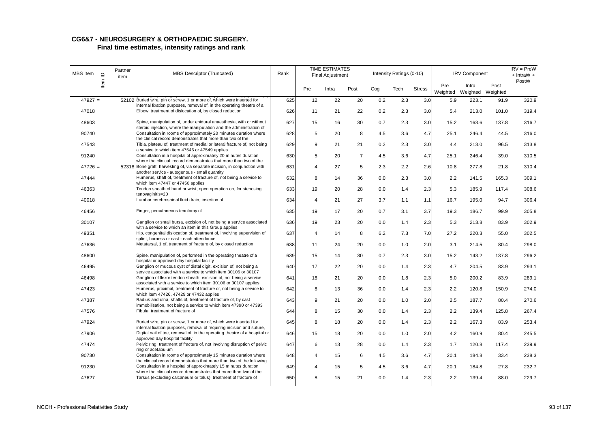# **CG6&7 - NEUROSURGERY & ORTHOPAEDIC SURGERY.**

| MBS Item  | $\mathbf{\underline{o}}$ | Partner<br>item | <b>MBS Descriptor (Truncated)</b>                                                                                                                                                        | Rank |                | <b>TIME ESTIMATES</b><br><b>Final Adjustment</b> |                |     | Intensity Ratings (0-10) |               |                 | <b>IRV Component</b>       |       | $IRV = PreW$<br>$+$ IntraW $+$ |
|-----------|--------------------------|-----------------|------------------------------------------------------------------------------------------------------------------------------------------------------------------------------------------|------|----------------|--------------------------------------------------|----------------|-----|--------------------------|---------------|-----------------|----------------------------|-------|--------------------------------|
|           | ltem                     |                 |                                                                                                                                                                                          |      | Pre            | Intra                                            | Post           | Cog | Tech                     | <b>Stress</b> | Pre<br>Weighted | Intra<br>Weighted Weighted | Post  | PostW                          |
| $47927 =$ |                          |                 | 52102 Buried wire, pin or screw, 1 or more of, which were inserted for<br>internal fixation purposes, removal of, in the operating theatre of a                                          | 625  | 12             | 22                                               | 20             | 0.2 | 2.3                      | 3.0           | 5.9             | 223.1                      | 91.9  | 320.9                          |
| 47018     |                          |                 | Elbow, treatment of dislocation of, by closed reduction                                                                                                                                  | 626  | 11             | 21                                               | 22             | 0.2 | 2.3                      | 3.0           | 5.4             | 213.0                      | 101.0 | 319.4                          |
| 48603     |                          |                 | Spine, manipulation of, under epidural anaesthesia, with or without<br>steroid injection, where the manipulation and the administration of                                               | 627  | 15             | 16                                               | 30             | 0.7 | 2.3                      | 3.0           | 15.2            | 163.6                      | 137.8 | 316.7                          |
| 90740     |                          |                 | Consultation in rooms of approximately 20 minutes duration where                                                                                                                         | 628  | 5              | 20                                               | 8              | 4.5 | 3.6                      | 4.7           | 25.1            | 246.4                      | 44.5  | 316.0                          |
| 47543     |                          |                 | the clinical record demonstrates that more than two of the<br>Tibia, plateau of, treatment of medial or lateral fracture of, not being<br>a service to which item 47546 or 47549 applies | 629  | 9              | 21                                               | 21             | 0.2 | 2.3                      | 3.0           | 4.4             | 213.0                      | 96.5  | 313.8                          |
| 91240     |                          |                 | Consultation in a hospital of approximately 20 minutes duration<br>where the clinical record demonstrates that more than two of the                                                      | 630  | 5              | 20                                               | $\overline{7}$ | 4.5 | 3.6                      | 4.7           | 25.1            | 246.4                      | 39.0  | 310.5                          |
| $47726 =$ |                          |                 | 52318 Bone graft, harvesting of, via separate incision, in conjunction with                                                                                                              | 631  | $\overline{4}$ | 27                                               | 5              | 2.3 | 2.2                      | 2.6           | 10.8            | 277.8                      | 21.8  | 310.4                          |
| 47444     |                          |                 | another service - autogenous - small quantity<br>Humerus, shaft of, treatment of fracture of, not being a service to<br>which item 47447 or 47450 applies                                | 632  | 8              | 14                                               | 36             | 0.0 | 2.3                      | 3.0           | 2.2             | 141.5                      | 165.3 | 309.1                          |
| 46363     |                          |                 | Tendon sheath of hand or wrist, open operation on, for stenosing<br>tenovaginitis=20                                                                                                     | 633  | 19             | 20                                               | 28             | 0.0 | 1.4                      | 2.3           | 5.3             | 185.9                      | 117.4 | 308.6                          |
| 40018     |                          |                 | Lumbar cerebrospinal fluid drain, insertion of                                                                                                                                           | 634  | 4              | 21                                               | 27             | 3.7 | 1.1                      | 1.1           | 16.7            | 195.0                      | 94.7  | 306.4                          |
| 46456     |                          |                 | Finger, percutaneous tenotomy of                                                                                                                                                         | 635  | 19             | 17                                               | 20             | 0.7 | 3.1                      | 3.7           | 19.3            | 186.7                      | 99.9  | 305.8                          |
| 30107     |                          |                 | Ganglion or small bursa, excision of, not being a service associated<br>with a service to which an item in this Group applies                                                            | 636  | 19             | 23                                               | 20             | 0.0 | 1.4                      | 2.3           | 5.3             | 213.8                      | 83.9  | 302.9                          |
| 49351     |                          |                 | Hip, congenital dislocation of, treatment of, involving supervision of<br>splint, harness or cast - each attendance                                                                      | 637  | $\overline{4}$ | 14                                               | 8              | 6.2 | 7.3                      | 7.0           | 27.2            | 220.3                      | 55.0  | 302.5                          |
| 47636     |                          |                 | Metatarsal, 1 of, treatment of fracture of, by closed reduction                                                                                                                          | 638  | 11             | 24                                               | 20             | 0.0 | 1.0                      | 2.0           | 3.1             | 214.5                      | 80.4  | 298.0                          |
| 48600     |                          |                 | Spine, manipulation of, performed in the operating theatre of a<br>hospital or approved day hospital facility                                                                            | 639  | 15             | 14                                               | 30             | 0.7 | 2.3                      | 3.0           | 15.2            | 143.2                      | 137.8 | 296.2                          |
| 46495     |                          |                 | Ganglion or mucous cyst of distal digit, excision of, not being a<br>service associated with a service to which item 30106 or 30107                                                      | 640  | 17             | 22                                               | 20             | 0.0 | 1.4                      | 2.3           | 4.7             | 204.5                      | 83.9  | 293.1                          |
| 46498     |                          |                 | Ganglion of flexor tendon sheath, excision of, not being a service<br>associated with a service to which item 30106 or 30107 applies                                                     | 641  | 18             | 21                                               | 20             | 0.0 | 1.8                      | 2.3           | 5.0             | 200.2                      | 83.9  | 289.1                          |
| 47423     |                          |                 | Humerus, proximal, treatment of fracture of, not being a service to<br>which item 47426, 47429 or 47432 applies                                                                          | 642  | 8              | 13                                               | 36             | 0.0 | 1.4                      | 2.3           | 2.2             | 120.8                      | 150.9 | 274.0                          |
| 47387     |                          |                 | Radius and ulna, shafts of, treatment of fracture of, by cast<br>immobilisation, not being a service to which item 47390 or 47393                                                        | 643  | 9              | 21                                               | 20             | 0.0 | 1.0                      | 2.0           | 2.5             | 187.7                      | 80.4  | 270.6                          |
| 47576     |                          |                 | Fibula, treatment of fracture of                                                                                                                                                         | 644  | 8              | 15                                               | 30             | 0.0 | 1.4                      | 2.3           | 2.2             | 139.4                      | 125.8 | 267.4                          |
| 47924     |                          |                 | Buried wire, pin or screw, 1 or more of, which were inserted for<br>internal fixation purposes, removal of requiring incision and suture,                                                | 645  | 8              | 18                                               | 20             | 0.0 | 1.4                      | 2.3           | 2.2             | 167.3                      | 83.9  | 253.4                          |
| 47906     |                          |                 | Digital nail of toe, removal of, in the operating theatre of a hospital or<br>approved day hospital facility                                                                             | 646  | 15             | 18                                               | 20             | 0.0 | 1.0                      | 2.0           | 4.2             | 160.9                      | 80.4  | 245.5                          |
| 47474     |                          |                 | Pelvic ring, treatment of fracture of, not involving disruption of pelvic<br>ring or acetabulum                                                                                          | 647  | 6              | 13                                               | 28             | 0.0 | 1.4                      | 2.3           | 1.7             | 120.8                      | 117.4 | 239.9                          |
| 90730     |                          |                 | Consultation in rooms of approximately 15 minutes duration where<br>the clinical record demonstrates that more than two of the following                                                 | 648  | $\overline{4}$ | 15                                               | 6              | 4.5 | 3.6                      | 4.7           | 20.1            | 184.8                      | 33.4  | 238.3                          |
| 91230     |                          |                 | Consultation in a hospital of approximately 15 minutes duration<br>where the clinical record demonstrates that more than two of the                                                      | 649  | 4              | 15                                               | 5              | 4.5 | 3.6                      | 4.7           | 20.1            | 184.8                      | 27.8  | 232.7                          |
| 47627     |                          |                 | Tarsus (excluding calcaneum or talus), treatment of fracture of                                                                                                                          | 650  | 8              | 15                                               | 21             | 0.0 | 1.4                      | 2.3           | 2.2             | 139.4                      | 88.0  | 229.7                          |
|           |                          |                 |                                                                                                                                                                                          |      |                |                                                  |                |     |                          |               |                 |                            |       |                                |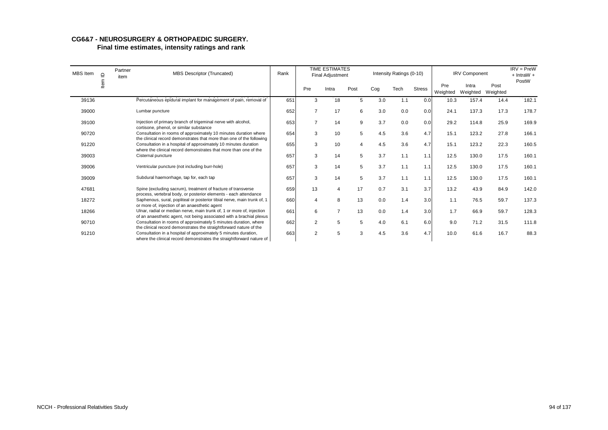| <b>MBS</b> Item | $\supseteq$ | Partner<br>item | MBS Descriptor (Truncated)                                                                                                                                                                                     | Rank |                | <b>TIME ESTIMATES</b><br>Final Adjustment |                |     | Intensity Ratings (0-10) |               |                 | <b>IRV Component</b> |                  | $IRV = PreW$<br>$+$ IntraW $+$ |
|-----------------|-------------|-----------------|----------------------------------------------------------------------------------------------------------------------------------------------------------------------------------------------------------------|------|----------------|-------------------------------------------|----------------|-----|--------------------------|---------------|-----------------|----------------------|------------------|--------------------------------|
|                 | 흳           |                 |                                                                                                                                                                                                                |      | Pre            | Intra                                     | Post           | Cog | Tech                     | <b>Stress</b> | Pre<br>Weighted | Intra<br>Weighted    | Post<br>Weighted | PostW                          |
| 39136           |             |                 | Percutaneous epidural implant for management of pain, removal of                                                                                                                                               | 651  | 3              | 18                                        | 5              | 3.0 | 1.1                      | 0.0           | 10.3            | 157.4                | 14.4             | 182.1                          |
| 39000           |             |                 | Lumbar puncture                                                                                                                                                                                                | 652  | $\overline{7}$ | 17                                        | 6              | 3.0 | 0.0                      | 0.0           | 24.1            | 137.3                | 17.3             | 178.7                          |
| 39100           |             |                 | Injection of primary branch of trigeminal nerve with alcohol,                                                                                                                                                  | 653  | $\overline{7}$ | 14                                        | 9              | 3.7 | 0.0                      | 0.0           | 29.2            | 114.8                | 25.9             | 169.9                          |
| 90720           |             |                 | cortisone, phenol, or similar substance<br>Consultation in rooms of approximately 10 minutes duration where<br>the clinical record demonstrates that more than one of the following                            | 654  | 3              | 10                                        | 5              | 4.5 | 3.6                      | 4.7           | 15.1            | 123.2                | 27.8             | 166.1                          |
| 91220           |             |                 | Consultation in a hospital of approximately 10 minutes duration                                                                                                                                                | 655  | 3              | 10                                        | $\overline{4}$ | 4.5 | 3.6                      | 4.7           | 15.1            | 123.2                | 22.3             | 160.5                          |
| 39003           |             |                 | where the clinical record demonstrates that more than one of the<br>Cisternal puncture                                                                                                                         | 657  | 3              | 14                                        | 5              | 3.7 | 1.1                      | 1.1           | 12.5            | 130.0                | 17.5             | 160.1                          |
| 39006           |             |                 | Ventricular puncture (not including burr-hole)                                                                                                                                                                 | 657  | 3              | 14                                        | 5              | 3.7 | 1.1                      | 1.1           | 12.5            | 130.0                | 17.5             | 160.1                          |
| 39009           |             |                 | Subdural haemorrhage, tap for, each tap                                                                                                                                                                        | 657  | 3              | 14                                        | 5              | 3.7 | 1.1                      | 1.1           | 12.5            | 130.0                | 17.5             | 160.1                          |
| 47681           |             |                 | Spine (excluding sacrum), treatment of fracture of transverse<br>process, vertebral body, or posterior elements - each attendance                                                                              | 659  | 13             | 4                                         | 17             | 0.7 | 3.1                      | 3.7           | 13.2            | 43.9                 | 84.9             | 142.0                          |
| 18272           |             |                 | Saphenous, sural, popliteal or posterior tibial nerve, main trunk of, 1<br>or more of, injection of an anaesthetic agent                                                                                       | 660  | 4              | 8                                         | 13             | 0.0 | 1.4                      | 3.0           | 1.1             | 76.5                 | 59.7             | 137.3                          |
| 18266           |             |                 | Ulnar, radial or median nerve, main trunk of, 1 or more of, injection                                                                                                                                          | 661  | 6              | $\overline{7}$                            | 13             | 0.0 | 1.4                      | 3.0           | 1.7             | 66.9                 | 59.7             | 128.3                          |
| 90710           |             |                 | of an anaesthetic agent, not being associated with a brachial plexus<br>Consultation in rooms of approximately 5 minutes duration, where<br>the clinical record demonstrates the straightforward nature of the | 662  | 2              | 5                                         | 5              | 4.0 | 6.1                      | 6.0           | 9.0             | 71.2                 | 31.5             | 111.8                          |
| 91210           |             |                 | Consultation in a hospital of approximately 5 minutes duration,<br>where the clinical record demonstrates the straightforward nature of                                                                        | 663  | 2              | 5                                         | 3              | 4.5 | 3.6                      | 4.7           | 10.0            | 61.6                 | 16.7             | 88.3                           |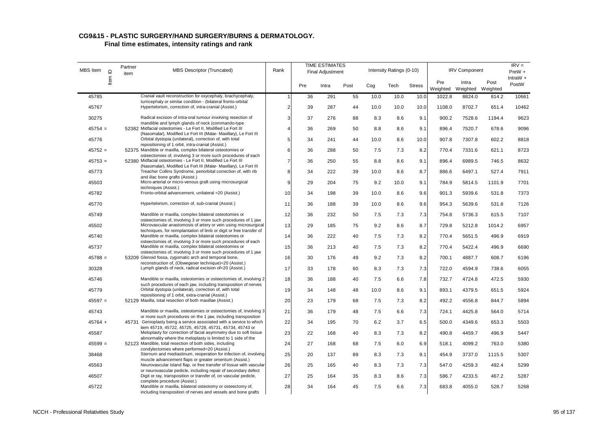| MBS Item  | $\supseteq$ | Partner<br>item | <b>MBS Descriptor (Truncated)</b>                                                                                                      | Rank           |     | <b>TIME ESTIMATES</b><br>Final Adjustment |      |      | Intensity Ratings (0-10) |               |                 | <b>IRV Component</b>       |        | $IRV =$<br>PreW +<br>IntraW $+$ |
|-----------|-------------|-----------------|----------------------------------------------------------------------------------------------------------------------------------------|----------------|-----|-------------------------------------------|------|------|--------------------------|---------------|-----------------|----------------------------|--------|---------------------------------|
|           | ltem        |                 |                                                                                                                                        |                | Pre | Intra                                     | Post | Cog  | Tech                     | <b>Stress</b> | Pre<br>Weighted | Intra<br>Weighted Weighted | Post   | PostW                           |
| 45785     |             |                 | Cranial vault reconstruction for oxycephaly, brachycephaly,                                                                            |                | 36  | 291                                       | 55   | 10.0 | 10.0                     | 10.0          | 1022.8          | 8824.0                     | 814.2  | 10661                           |
| 45767     |             |                 | turricephaly or similar condition - (bilateral fronto-orbital<br>Hypertelorism, correction of, intra-cranial (Assist.)                 | $\overline{2}$ | 39  | 287                                       | 44   | 10.0 | 10.0                     | 10.0          | 1108.0          | 8702.7                     | 651.4  | 10462                           |
| 30275     |             |                 | Radical excision of intra-oral tumour involving resection of<br>mandible and lymph glands of neck (commando-type                       | 3              | 37  | 276                                       | 88   | 8.3  | 8.6                      | 9.1           | 900.2           | 7528.6                     | 1194.4 | 9623                            |
| $45754 =$ |             |                 | 52382 Midfacial osteotomies - Le Fort II, Modified Le Fort III<br>(Nasomalar), Modified Le Fort III (Malar- Maxillary), Le Fort III    | $\overline{4}$ | 36  | 269                                       | 50   | 8.8  | 8.6                      | 9.1           | 896.4           | 7520.7                     | 678.6  | 9096                            |
| 45776     |             |                 | Orbital dystopia (unilateral), correction of, with total<br>repositioning of 1 orbit, intra-cranial (Assist.)                          | 5              | 34  | 241                                       | 44   | 10.0 | 8.6                      | 10.0          | 907.8           | 7307.8                     | 602.2  | 8818                            |
| $45752 =$ |             |                 | 52375 Mandible or maxilla, complex bilateral osteotomies or<br>osteectomies of, involving 3 or more such procedures of each            | 6              | 36  | 288                                       | 50   | 7.5  | 7.3                      | 8.2           | 770.4           | 7331.6                     | 621.1  | 8723                            |
| $45753 =$ |             |                 | 52380 Midfacial osteotomies - Le Fort II, Modified Le Fort III<br>(Nasomalar), Modified Le Fort III (Malar- Maxillary), Le Fort III    | $\overline{7}$ | 36  | 250                                       | 55   | 8.8  | 8.6                      | 9.1           | 896.4           | 6989.5                     | 746.5  | 8632                            |
| 45773     |             |                 | Treacher Collins Syndrome, periorbital correction of, with rib<br>and iliac bone grafts (Assist.)                                      | 8              | 34  | 222                                       | 39   | 10.0 | 8.6                      | 8.7           | 886.6           | 6497.1                     | 527.4  | 7911                            |
| 45503     |             |                 | Micro-arterial or micro-venous graft using microsurgical<br>techniques (Assist.)                                                       | 9              | 29  | 204                                       | 75   | 9.2  | 10.0                     | 9.1           | 784.9           | 5814.5                     | 1101.9 | 7701                            |
| 45782     |             |                 | Fronto-orbital advancement, unilateral = 20 (Assist.)                                                                                  | 10             | 34  | 198                                       | 39   | 10.0 | 8.6                      | 9.6           | 901.3           | 5939.6                     | 531.8  | 7373                            |
| 45770     |             |                 | Hypertelorism, correction of, sub-cranial (Assist.)                                                                                    | 11             | 36  | 188                                       | 39   | 10.0 | 8.6                      | 9.6           | 954.3           | 5639.6                     | 531.8  | 7126                            |
| 45749     |             |                 | Mandible or maxilla, complex bilateral osteotomies or<br>osteectomies of, involving 3 or more such procedures of 1 jaw                 | 12             | 36  | 232                                       | 50   | 7.5  | 7.3                      | 7.3           | 754.8           | 5736.3                     | 615.5  | 7107                            |
| 45502     |             |                 | Microvascular anastomosis of artery or vein using microsurgical<br>techniques, for reimplantation of limb or digit or free transfer of | 13             | 29  | 185                                       | 75   | 9.2  | 8.6                      | 8.7           | 729.8           | 5212.8                     | 1014.2 | 6957                            |
| 45740     |             |                 | Mandible or maxilla, complex bilateral osteotomies or<br>osteectomies of, involving 3 or more such procedures of each                  | 14             | 36  | 222                                       | 40   | 7.5  | 7.3                      | 8.2           | 770.4           | 5651.5                     | 496.9  | 6919                            |
| 45737     |             |                 | Mandible or maxilla, complex bilateral osteotomies or<br>osteectomies of, involving 3 or more such procedures of 1 jaw                 | 15             | 36  | 213                                       | 40   | 7.5  | 7.3                      | 8.2           | 770.4           | 5422.4                     | 496.9  | 6690                            |
| $45788 =$ |             |                 | 53209 Glenoid fossa, zygomatic arch and temporal bone,<br>reconstruction of, (Obwegeser technique)=20 (Assist.)                        | 16             | 30  | 176                                       | 49   | 9.2  | 7.3                      | 8.2           | 700.1           | 4887.7                     | 608.7  | 6196                            |
| 30328     |             |                 | Lymph glands of neck, radical excision of=20 (Assist.)                                                                                 | 17             | 33  | 178                                       | 60   | 8.3  | 7.3                      | 7.3           | 722.0           | 4594.9                     | 738.6  | 6055                            |
| 45746     |             |                 | Mandible or maxilla, osteotomies or osteectomies of, involving 2<br>such procedures of each jaw, including transposition of nerves     | 18             | 36  | 188                                       | 40   | 7.5  | 6.6                      | 7.8           | 732.7           | 4724.8                     | 472.5  | 5930                            |
| 45779     |             |                 | Orbital dystopia (unilateral), correction of, with total<br>repositioning of 1 orbit, extra-cranial (Assist.)                          | 19             | 34  | 148                                       | 48   | 10.0 | 8.6                      | 9.1           | 893.1           | 4379.5                     | 651.5  | 5924                            |
| $45597 =$ |             |                 | 52129 Maxilla, total resection of both maxillae (Assist.)                                                                              | 20             | 23  | 179                                       | 68   | 7.5  | 7.3                      | 8.2           | 492.2           | 4556.8                     | 844.7  | 5894                            |
| 45743     |             |                 | Mandible or maxilla, osteotomies or osteectomies of, involving 3<br>or more such procedures on the 1 jaw, including transposition      | 21             | 36  | 179                                       | 48   | 7.5  | 6.6                      | 7.3           | 724.1           | 4425.8                     | 564.0  | 5714                            |
| $45764 +$ |             |                 | 45731 Genioplasty being a service associated with a service to which<br>item 45719, 45722, 45725, 45728, 45731, 45734, 45743 or        | 22             | 34  | 195                                       | 70   | 6.2  | 3.7                      | 6.5           | 500.0           | 4349.6                     | 653.3  | 5503                            |
| 45587     |             |                 | Meloplasty for correction of facial asymmetry due to soft tissue<br>abnormality where the meloplasty is limited to 1 side of the       | 23             | 22  | 168                                       | 40   | 8.3  | 7.3                      | 8.2           | 490.8           | 4459.7                     | 496.9  | 5447                            |
| $45599 =$ |             |                 | 52123 Mandible, total resection of both sides, including<br>condylectomies where performed=20 (Assist.)                                | 24             | 27  | 168                                       | 68   | 7.5  | 6.0                      | 6.9           | 518.1           | 4099.2                     | 763.0  | 5380                            |
| 38468     |             |                 | Sternum and mediastinum, reoperation for infection of, involving<br>muscle advancement flaps or greater omentum (Assist.)              | 25             | 20  | 137                                       | 89   | 8.3  | 7.3                      | 9.1           | 454.9           | 3737.0                     | 1115.5 | 5307                            |
| 45563     |             |                 | Neurovascular island flap, or free transfer of tissue with vascular<br>or neurovascular pedicle, including repair of secondary defect  | 26             | 25  | 165                                       | 40   | 8.3  | 7.3                      | 7.3           | 547.0           | 4259.3                     | 492.4  | 5299                            |
| 46507     |             |                 | Digit or ray, transposition or transfer of, on vascular pedicle,<br>complete procedure (Assist.)                                       | 27             | 25  | 164                                       | 35   | 8.3  | 8.6                      | 7.3           | 586.7           | 4233.5                     | 467.2  | 5287                            |
| 45722     |             |                 | Mandible or maxilla, bilateral osteotomy or osteectomy of,<br>including transposition of nerves and vessels and bone grafts            | 28             | 34  | 164                                       | 45   | 7.5  | 6.6                      | 7.3           | 683.8           | 4055.0                     | 528.7  | 5268                            |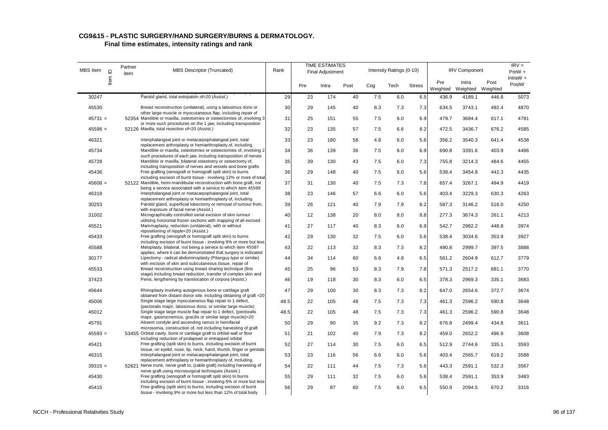| MBS Item  | $\mathrel{\underline{\mathsf{O}}}$ | Partner<br>item | <b>MBS Descriptor (Truncated)</b>                                                                                                         | Rank |     | <b>TIME ESTIMATES</b><br>Final Adjustment |      |     | Intensity Ratings (0-10) |               |                 | <b>IRV Component</b>       |       | $IRV =$<br>PreW + |
|-----------|------------------------------------|-----------------|-------------------------------------------------------------------------------------------------------------------------------------------|------|-----|-------------------------------------------|------|-----|--------------------------|---------------|-----------------|----------------------------|-------|-------------------|
|           | ltem                               |                 |                                                                                                                                           |      | Pre | Intra                                     | Post | Cog | Tech                     | <b>Stress</b> | Pre<br>Weighted | Intra<br>Weighted Weighted | Post  | IntraW +<br>PostW |
| 30247     |                                    |                 | Parotid gland, total extirpation of=20 (Assist.)                                                                                          | 29   | 23  | 174                                       | 40   | 7.5 | 6.0                      | 6.5           | 436.9           | 4189.1                     | 446.8 | 5073              |
| 45530     |                                    |                 | Breast reconstruction (unilateral), using a latissimus dorsi or<br>other large muscle or myocutaneous flap, including repair of           | 30   | 29  | 145                                       | 40   | 8.3 | 7.3                      | 7.3           | 634.5           | 3743.1                     | 492.4 | 4870              |
| $45731 =$ |                                    |                 | 52354 Mandible or maxilla, osteotomies or osteectomies of, involving 3<br>or more such procedures on the 1 jaw, including transposition   | 31   | 25  | 151                                       | 55   | 7.5 | 6.0                      | 6.9           | 479.7           | 3684.4                     | 617.1 | 4781              |
| $45596 =$ |                                    |                 | 52126 Maxilla, total resection of=20 (Assist.)                                                                                            | 32   | 23  | 135                                       | 57   | 7.5 | 6.6                      | 8.2           | 472.5           | 3436.7                     | 676.2 | 4585              |
| 46321     |                                    |                 | Interphalangeal joint or metacarpophalangeal joint, total                                                                                 | 33   | 23  | 180                                       | 58   | 4.8 | 6.0                      | 5.6           | 356.2           | 3540.3                     | 641.4 | 4538              |
| 45734     |                                    |                 | replacement arthroplasty or hemiarthroplasty of, including<br>Mandible or maxilla, osteotomies or osteectomies of, involving 2            | 34   | 36  | 139                                       | 36   | 7.5 | 6.0                      | 6.9           | 690.8           | 3391.6                     | 403.9 | 4486              |
| 45728     |                                    |                 | such procedures of each jaw, including transposition of nerves<br>Mandible or maxilla, bilateral osteotomy or osteectomy of,              | 35   | 39  | 130                                       | 43   | 7.5 | 6.0                      | 7.3           | 755.8           | 3214.3                     | 484.6 | 4455              |
| 45436     |                                    |                 | including transposition of nerves and vessels and bone grafts<br>Free grafting (xenograft or homograft split skin) to burns               | 36   | 29  | 148                                       | 40   | 7.5 | 6.0                      | 5.6           | 538.4           | 3454.8                     | 442.3 | 4435              |
| $45608 =$ |                                    |                 | including excision of burnt tissue - involving 12% or more of tota<br>52122 Mandible, hemi-mandibular reconstruction with bone graft, not | 37   | 31  | 130                                       | 40   | 7.5 | 7.3                      | 7.8           | 657.4           | 3267.1                     | 494.9 | 4419              |
| 46318     |                                    |                 | being a service associated with a service to which item 45599<br>Interphalangeal joint or metacarpophalangeal joint, total                | 38   | 23  | 146                                       | 57   | 6.6 | 6.0                      | 5.6           | 403.4           | 3229.3                     | 630.3 | 4263              |
| 30253     |                                    |                 | replacement arthroplasty or hemiarthroplasty of, including<br>Parotid gland, superficial lobectomy or removal of tumour from,             | 39   | 26  | 121                                       | 40   | 7.9 | 7.9                      | 8.2           | 587.3           | 3146.2                     | 516.0 | 4250              |
|           |                                    |                 | with exposure of facial nerve (Assist.)                                                                                                   |      |     |                                           |      |     |                          |               |                 |                            |       |                   |
| 31002     |                                    |                 | Micrographically controlled serial excision of skin tumour<br>utilising horizontal frozen sections with mapping of all excised            | 40   | 12  | 138                                       | 20   | 8.0 | 8.0                      | 8.8           | 277.3           | 3674.3                     | 261.1 | 4213              |
| 45521     |                                    |                 | Mammaplasty, reduction (unilateral), with or without<br>repositioning of nipple=20 (Assist.)                                              | 41   | 27  | 117                                       | 40   | 8.3 | 6.0                      | 6.9           | 542.7           | 2982.2                     | 448.8 | 3974              |
| 45433     |                                    |                 | Free grafting (xenograft or homograft split skin) to burns<br>including excision of burnt tissue - involving 9% or more but less          | 42   | 29  | 130                                       | 32   | 7.5 | 6.0                      | 5.6           | 538.4           | 3034.6                     | 353.9 | 3927              |
| 45588     |                                    |                 | Meloplasty, bilateral, not being a service to which item 45587<br>applies, where it can be demonstrated that surgery is indicated         | 43   | 22  | 113                                       | 32   | 8.3 | 7.3                      | 8.2           | 490.8           | 2999.7                     | 397.5 | 3888              |
| 30177     |                                    |                 | Lipectomy - radical abdominoplasty (Pitanguy type or similar)<br>with excision of skin and subcutaneous tissue, repair of                 | 44   | 34  | 114                                       | 60   | 6.6 | 4.8                      | 6.5           | 561.2           | 2604.9                     | 612.7 | 3779              |
| 45533     |                                    |                 | Breast reconstruction using breast sharing technique (first<br>stage) including breast reduction, transfer of complex skin and            | 45   | 25  | 96                                        | 53   | 8.3 | 7.9                      | 7.8           | 571.3           | 2517.2                     | 681.1 | 3770              |
| 37423     |                                    |                 | Penis, lengthening by translocation of corpora (Assist.)                                                                                  | 46   | 19  | 118                                       | 30   | 8.3 | 6.0                      | 6.5           | 378.3           | 2969.3                     | 335.1 | 3683              |
| 45644     |                                    |                 | Rhinoplasty involving autogenous bone or cartilage graft                                                                                  | 47   | 29  | 100                                       | 30   | 8.3 | 7.3                      | 8.2           | 647.0           | 2654.6                     | 372.7 | 3674              |
| 45006     |                                    |                 | obtained from distant donor site, including obtaining of graft = 20<br>Single stage large myocutaneous flap repair to 1 defect,           | 48.5 | 22  | 105                                       | 48   | 7.5 | 7.3                      | 7.3           | 461.3           | 2596.2                     | 590.8 | 3648              |
| 45012     |                                    |                 | (pectoralis major, latissimus dorsi, or similar large muscle)<br>Single stage large muscle flap repair to 1 defect, (pectoralis           | 48.5 | 22  | 105                                       | 48   | 7.5 | 7.3                      | 7.3           | 461.3           | 2596.2                     | 590.8 | 3648              |
| 45791     |                                    |                 | major, gastrocnemius, gracilis or similar large muscle)=20<br>Absent condyle and ascending ramus in hemifacial                            | 50   | 29  | 90                                        | 35   | 9.2 | 7.3                      | 8.2           | 676.8           | 2499.4                     | 434.8 | 3611              |
| $45593 =$ |                                    |                 | microsomia, construction of, not including harvesting of graft<br>53455 Orbital cavity, bone or cartilage graft to orbital wall or floor  | 51   | 21  | 102                                       | 40   | 7.9 | 7.3                      | 8.2           | 459.0           | 2652.2                     | 496.9 | 3608              |
| 45421     |                                    |                 | including reduction of prolapsed or entrapped orbital<br>Free grafting (split skin) to burns, including excision of burnt                 | 52   | 27  | 114                                       | 30   | 7.5 | 6.0                      | 6.5           | 512.9           | 2744.6                     | 335.1 | 3593              |
|           |                                    |                 | tissue, on eyelid, nose, lip, neck, hand, thumb, finger or genitals<br>Interphalangeal joint or metacarpophalangeal joint, total          |      |     |                                           |      |     |                          |               |                 |                            |       |                   |
| 46315     |                                    |                 | replacement arthroplasty or hemiarthroplasty of, including                                                                                | 53   | 23  | 116                                       | 56   | 6.6 | 6.0                      | 5.6           | 403.4           | 2565.7                     | 619.2 | 3588              |
| $39315 =$ |                                    |                 | 52821 Nerve trunk, nerve graft to, (cable graft) including harvesting of<br>nerve graft using microsurgical techniques (Assist.)          | 54   | 22  | 111                                       | 44   | 7.5 | 7.3                      | 5.6           | 443.3           | 2591.1                     | 532.3 | 3567              |
| 45430     |                                    |                 | Free grafting (xenograft or homograft split skin) to burns<br>including excision of burnt tissue - involving 6% or more but less          | 55   | 29  | 111                                       | 32   | 7.5 | 6.0                      | 5.6           | 538.4           | 2591.1                     | 353.9 | 3483              |
| 45415     |                                    |                 | Free grafting (split skin) to burns, including excision of burnt<br>tissue - involving 9% or more but less than 12% of total body         | 56   | 29  | 87                                        | 60   | 7.5 | 6.0                      | 6.5           | 550.9           | 2094.5                     | 670.2 | 3316              |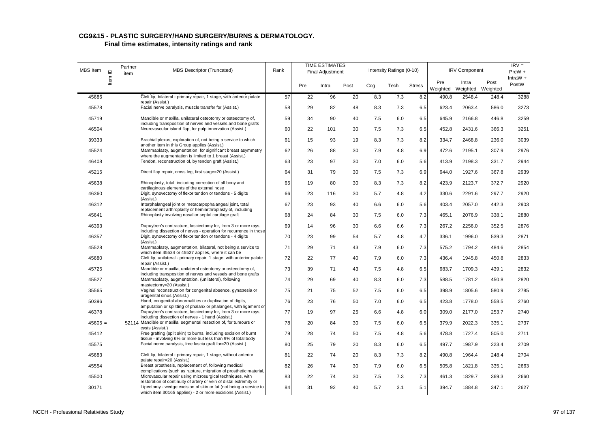| MBS Item  | $\mathbf{\underline{o}}$ | Partner<br>item | <b>MBS Descriptor (Truncated)</b>                                                                                                                                                                    | Rank |     | <b>TIME ESTIMATES</b><br><b>Final Adjustment</b> |      |     | Intensity Ratings (0-10) |               |                 | <b>IRV Component</b>       |       | $IRV =$<br>$PreW +$ |
|-----------|--------------------------|-----------------|------------------------------------------------------------------------------------------------------------------------------------------------------------------------------------------------------|------|-----|--------------------------------------------------|------|-----|--------------------------|---------------|-----------------|----------------------------|-------|---------------------|
|           | ltem                     |                 |                                                                                                                                                                                                      |      | Pre | Intra                                            | Post | Cog | Tech                     | <b>Stress</b> | Pre<br>Weighted | Intra<br>Weighted Weighted | Post  | IntraW $+$<br>PostW |
| 45686     |                          |                 | Cleft lip, bilateral - primary repair, 1 stage, with anterior palate<br>repair (Assist.)                                                                                                             | 57   | 22  | 96                                               | 20   | 8.3 | 7.3                      | 8.2           | 490.8           | 2548.4                     | 248.4 | 3288                |
| 45578     |                          |                 | Facial nerve paralysis, muscle transfer for (Assist.)                                                                                                                                                | 58   | 29  | 82                                               | 48   | 8.3 | 7.3                      | 6.5           | 623.4           | 2063.4                     | 586.0 | 3273                |
| 45719     |                          |                 | Mandible or maxilla, unilateral osteotomy or osteectomy of,<br>including transposition of nerves and vessels and bone grafts                                                                         | 59   | 34  | 90                                               | 40   | 7.5 | 6.0                      | 6.5           | 645.9           | 2166.8                     | 446.8 | 3259                |
| 46504     |                          |                 | Neurovascular island flap, for pulp innervation (Assist.)                                                                                                                                            | 60   | 22  | 101                                              | 30   | 7.5 | 7.3                      | 6.5           | 452.8           | 2431.6                     | 366.3 | 3251                |
| 39333     |                          |                 | Brachial plexus, exploration of, not being a service to which<br>another item in this Group applies (Assist.)                                                                                        | 61   | 15  | 93                                               | 19   | 8.3 | 7.3                      | 8.2           | 334.7           | 2468.8                     | 236.0 | 3039                |
| 45524     |                          |                 | Mammaplasty, augmentation, for significant breast asymmetry                                                                                                                                          | 62   | 26  | 88                                               | 30   | 7.9 | 4.8                      | 6.9           | 472.6           | 2195.1                     | 307.9 | 2976                |
| 46408     |                          |                 | where the augmentation is limited to 1 breast (Assist.)<br>Tendon, reconstruction of, by tendon graft (Assist.)                                                                                      | 63   | 23  | 97                                               | 30   | 7.0 | 6.0                      | 5.6           | 413.9           | 2198.3                     | 331.7 | 2944                |
| 45215     |                          |                 | Direct flap repair, cross leg, first stage=20 (Assist.)                                                                                                                                              | 64   | 31  | 79                                               | 30   | 7.5 | 7.3                      | 6.9           | 644.0           | 1927.6                     | 367.8 | 2939                |
| 45638     |                          |                 | Rhinoplasty, total, including correction of all bony and<br>cartilaginous elements of the external nose                                                                                              | 65   | 19  | 80                                               | 30   | 8.3 | 7.3                      | 8.2           | 423.9           | 2123.7                     | 372.7 | 2920                |
| 46360     |                          |                 | Digit, synovectomy of flexor tendon or tendons - 5 digits                                                                                                                                            | 66   | 23  | 116                                              | 30   | 5.7 | 4.8                      | 4.2           | 330.6           | 2291.6                     | 297.7 | 2920                |
| 46312     |                          |                 | (Assist.)<br>Interphalangeal joint or metacarpophalangeal joint, total                                                                                                                               | 67   | 23  | 93                                               | 40   | 6.6 | 6.0                      | 5.6           | 403.4           | 2057.0                     | 442.3 | 2903                |
| 45641     |                          |                 | replacement arthroplasty or hemiarthroplasty of, including<br>Rhinoplasty involving nasal or septal cartilage graft                                                                                  | 68   | 24  | 84                                               | 30   | 7.5 | 6.0                      | 7.3           | 465.1           | 2076.9                     | 338.1 | 2880                |
| 46393     |                          |                 | Dupuytren's contracture, fasciectomy for, from 3 or more rays,<br>including dissection of nerves - operation for recurrence in those                                                                 | 69   | 14  | 96                                               | 30   | 6.6 | 6.6                      | 7.3           | 267.2           | 2256.0                     | 352.5 | 2876                |
| 46357     |                          |                 | Digit, synovectomy of flexor tendon or tendons - 4 digits<br>(Assist.)                                                                                                                               | 70   | 23  | 99                                               | 54   | 5.7 | 4.8                      | 4.7           | 336.1           | 1996.0                     | 539.3 | 2871                |
| 45528     |                          |                 | Mammaplasty, augmentation, bilateral, not being a service to<br>which item 45524 or 45527 applies, where it can be                                                                                   | 71   | 29  | 71                                               | 43   | 7.9 | 6.0                      | 7.3           | 575.2           | 1794.2                     | 484.6 | 2854                |
| 45680     |                          |                 | Cleft lip, unilateral - primary repair, 1 stage, with anterior palate<br>repair (Assist.)                                                                                                            | 72   | 22  | 77                                               | 40   | 7.9 | 6.0                      | 7.3           | 436.4           | 1945.8                     | 450.8 | 2833                |
| 45725     |                          |                 | Mandible or maxilla, unilateral osteotomy or osteectomy of,                                                                                                                                          | 73   | 39  | 71                                               | 43   | 7.5 | 4.8                      | 6.5           | 683.7           | 1709.3                     | 439.1 | 2832                |
| 45527     |                          |                 | including transposition of nerves and vessels and bone grafts<br>Mammaplasty, augmentation, (unilateral), following                                                                                  | 74   | 29  | 69                                               | 40   | 8.3 | 6.0                      | 7.3           | 588.5           | 1781.2                     | 450.8 | 2820                |
| 35565     |                          |                 | mastectomy=20 (Assist.)<br>Vaginal reconstruction for congenital absence, gynatresia or                                                                                                              | 75   | 21  | 75                                               | 52   | 7.5 | 6.0                      | 6.5           | 398.9           | 1805.6                     | 580.9 | 2785                |
| 50396     |                          |                 | urogenital sinus (Assist.)<br>Hand, congenital abnormalities or duplication of digits,                                                                                                               | 76   | 23  | 76                                               | 50   | 7.0 | 6.0                      | 6.5           | 423.8           | 1778.0                     | 558.5 | 2760                |
| 46378     |                          |                 | amputation or splitting of phalanx or phalanges, with ligament or<br>Dupuytren's contracture, fasciectomy for, from 3 or more rays,                                                                  | 77   | 19  | 97                                               | 25   | 6.6 | 4.8                      | 6.0           | 309.0           | 2177.0                     | 253.7 | 2740                |
| $45605 =$ |                          |                 | including dissection of nerves - 1 hand (Assist.)<br>52114 Mandible or maxilla, segmental resection of, for tumours or                                                                               | 78   | 20  | 84                                               | 30   | 7.5 | 6.0                      | 6.5           | 379.9           | 2022.3                     | 335.1 | 2737                |
| 45412     |                          |                 | cysts (Assist.)<br>Free grafting (split skin) to burns, including excision of burnt                                                                                                                  | 79   | 28  | 74                                               | 50   | 7.5 | 4.8                      | 5.6           | 478.8           | 1727.4                     | 505.0 | 2711                |
| 45575     |                          |                 | tissue - involving 6% or more but less than 9% of total body<br>Facial nerve paralysis, free fascia graft for=20 (Assist.)                                                                           | 80   | 25  | 79                                               | 20   | 8.3 | 6.0                      | 6.5           | 497.7           | 1987.9                     | 223.4 | 2709                |
| 45683     |                          |                 | Cleft lip, bilateral - primary repair, 1 stage, without anterior<br>palate repair=20 (Assist.)                                                                                                       | 81   | 22  | 74                                               | 20   | 8.3 | 7.3                      | 8.2           | 490.8           | 1964.4                     | 248.4 | 2704                |
| 45554     |                          |                 | Breast prosthesis, replacement of, following medical                                                                                                                                                 | 82   | 26  | 74                                               | 30   | 7.9 | 6.0                      | 6.5           | 505.8           | 1821.8                     | 335.1 | 2663                |
| 45500     |                          |                 | complications (such as rupture, migration of prosthetic material,<br>Microvascular repair using microsurgical techniques, with                                                                       | 83   | 22  | 74                                               | 30   | 7.5 | 7.3                      | 7.3           | 461.3           | 1829.7                     | 369.3 | 2660                |
| 30171     |                          |                 | restoration of continuity of artery or vein of distal extremity or<br>Lipectomy - wedge excision of skin or fat (not being a service to<br>which item 30165 applies) - 2 or more excisions (Assist.) | 84   | 31  | 92                                               | 40   | 5.7 | 3.1                      | 5.1           | 394.7           | 1884.8                     | 347.1 | 2627                |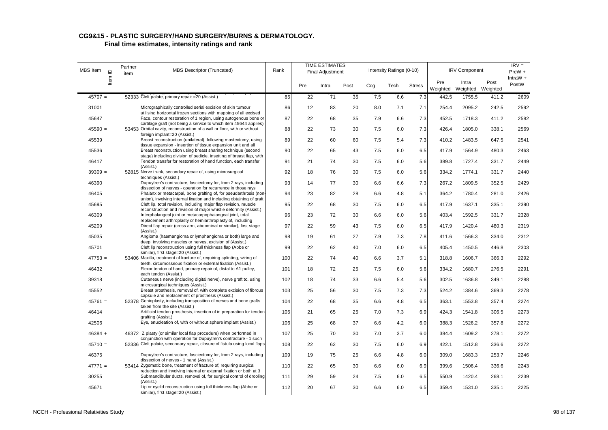| MBS Item  | $\supseteq$ | Partner<br>item | <b>MBS Descriptor (Truncated)</b>                                                                                                             | Rank |     | <b>TIME ESTIMATES</b><br>Final Adjustment |      |     | Intensity Ratings (0-10) |               |                 | <b>IRV Component</b>       |       | $IRV =$<br>PreW +   |
|-----------|-------------|-----------------|-----------------------------------------------------------------------------------------------------------------------------------------------|------|-----|-------------------------------------------|------|-----|--------------------------|---------------|-----------------|----------------------------|-------|---------------------|
|           | ltem        |                 |                                                                                                                                               |      | Pre | Intra                                     | Post | Cog | Tech                     | <b>Stress</b> | Pre<br>Weighted | Intra<br>Weighted Weighted | Post  | IntraW $+$<br>PostW |
| $45707 =$ |             |                 | 52333 Cleft palate, primary repair = 20 (Assist.)                                                                                             | 85   | 22  | 71                                        | 35   | 7.5 | 6.6                      | 7.3           | 442.5           | 1755.5                     | 411.2 | 2609                |
| 31001     |             |                 | Micrographically controlled serial excision of skin tumour                                                                                    | 86   | 12  | 83                                        | 20   | 8.0 | 7.1                      | 7.1           | 254.4           | 2095.2                     | 242.5 | 2592                |
| 45647     |             |                 | utilising horizontal frozen sections with mapping of all excised<br>Face, contour restoration of 1 region, using autogenous bone or           | 87   | 22  | 68                                        | 35   | 7.9 | 6.6                      | 7.3           | 452.5           | 1718.3                     | 411.2 | 2582                |
| $45590 =$ |             |                 | cartilage graft (not being a service to which item 45644 applies)<br>53453 Orbital cavity, reconstruction of a wall or floor, with or without | 88   | 22  | 73                                        | 30   | 7.5 | 6.0                      | 7.3           | 426.4           | 1805.0                     | 338.1 | 2569                |
| 45539     |             |                 | foreign implant=20 (Assist.)<br>Breast reconstruction (unilateral), following mastectomy, using                                               | 89   | 22  | 60                                        | 60   | 7.5 | 5.4                      | 7.3           | 410.2           | 1483.5                     | 647.5 | 2541                |
| 45536     |             |                 | tissue expansion - insertion of tissue expansion unit and all<br>Breast reconstruction using breast sharing technique (second                 | 90   | 22  | 65                                        | 43   | 7.5 | 6.0                      | 6.5           | 417.9           | 1564.9                     | 480.3 | 2463                |
| 46417     |             |                 | stage) including division of pedicle, insetting of breast flap, with<br>Tendon transfer for restoration of hand function, each transfer       | 91   | 21  | 74                                        | 30   | 7.5 | 6.0                      | 5.6           | 389.8           | 1727.4                     | 331.7 | 2449                |
| $39309 =$ |             |                 | (Assist.)<br>52815 Nerve trunk, secondary repair of, using microsurgical                                                                      | 92   | 18  | 76                                        | 30   | 7.5 | 6.0                      | 5.6           | 334.2           | 1774.1                     | 331.7 | 2440                |
| 46390     |             |                 | techniques (Assist.)<br>Dupuytren's contracture, fasciectomy for, from 2 rays, including                                                      | 93   | 14  | 77                                        | 30   | 6.6 | 6.6                      | 7.3           | 267.2           | 1809.5                     | 352.5 | 2429                |
| 46405     |             |                 | dissection of nerves - operation for recurrence in those rays<br>Phalanx or metacarpal, bone grafting of, for pseudarthrosis (non             | 94   | 23  | 82                                        | 28   | 6.6 | 4.8                      | 5.1           | 364.2           | 1780.4                     | 281.0 | 2426                |
| 45695     |             |                 | union), involving internal fixation and including obtaining of graft<br>Cleft lip, total revision, including major flap revision, muscle      | 95   | 22  | 68                                        | 30   | 7.5 | 6.0                      | 6.5           | 417.9           | 1637.1                     | 335.1 | 2390                |
| 46309     |             |                 | reconstruction and revision of major whistle deformity (Assist.)<br>Interphalangeal joint or metacarpophalangeal joint, total                 | 96   | 23  | 72                                        | 30   | 6.6 | 6.0                      | 5.6           | 403.4           | 1592.5                     | 331.7 | 2328                |
|           |             |                 | replacement arthroplasty or hemiarthroplasty of, including<br>Direct flap repair (cross arm, abdominal or similar), first stage               |      |     |                                           |      |     |                          |               |                 |                            |       |                     |
| 45209     |             |                 | (Assist.)                                                                                                                                     | 97   | 22  | 59                                        | 43   | 7.5 | 6.0                      | 6.5           | 417.9           | 1420.4                     | 480.3 | 2319                |
| 45035     |             |                 | Angioma (haemangioma or lymphangioma or both) large and<br>deep, involving muscles or nerves, excision of (Assist.)                           | 98   | 19  | 61                                        | 27   | 7.9 | 7.3                      | 7.8           | 411.6           | 1566.3                     | 334.0 | 2312                |
| 45701     |             |                 | Cleft lip reconstruction using full thickness flap (Abbe or<br>similar), first stage=20 (Assist.)                                             | 99   | 22  | 62                                        | 40   | 7.0 | 6.0                      | 6.5           | 405.4           | 1450.5                     | 446.8 | 2303                |
| $47753 =$ |             |                 | 53406 Maxilla, treatment of fracture of, requiring splinting, wiring of<br>teeth, circumosseous fixation or external fixation (Assist.)       | 100  | 22  | 74                                        | 40   | 6.6 | 3.7                      | 5.1           | 318.8           | 1606.7                     | 366.3 | 2292                |
| 46432     |             |                 | Flexor tendon of hand, primary repair of, distal to A1 pulley,<br>each tendon (Assist.)                                                       | 101  | 18  | 72                                        | 25   | 7.5 | 6.0                      | 5.6           | 334.2           | 1680.7                     | 276.5 | 2291                |
| 39318     |             |                 | Cutaneous nerve (including digital nerve), nerve graft to, using<br>microsurgical techniques (Assist.)                                        | 102  | 18  | 74                                        | 33   | 6.6 | 5.4                      | 5.6           | 302.5           | 1636.8                     | 349.1 | 2288                |
| 45552     |             |                 | Breast prosthesis, removal of, with complete excision of fibrous<br>capsule and replacement of prosthesis (Assist.)                           | 103  | 25  | 56                                        | 30   | 7.5 | 7.3                      | 7.3           | 524.2           | 1384.6                     | 369.3 | 2278                |
| $45761 =$ |             |                 | 52378 Genioplasty, including transposition of nerves and bone grafts<br>taken from the site (Assist.)                                         | 104  | 22  | 68                                        | 35   | 6.6 | 4.8                      | 6.5           | 363.1           | 1553.8                     | 357.4 | 2274                |
| 46414     |             |                 | Artificial tendon prosthesis, insertion of in preparation for tendon<br>grafting (Assist.)                                                    | 105  | 21  | 65                                        | 25   | 7.0 | 7.3                      | 6.9           | 424.3           | 1541.8                     | 306.5 | 2273                |
| 42506     |             |                 | Eye, enucleation of, with or without sphere implant (Assist.)                                                                                 | 106  | 25  | 68                                        | 37   | 6.6 | 4.2                      | 6.0           | 388.3           | 1526.2                     | 357.8 | 2272                |
| $46384 +$ |             |                 | 46372 Z plasty (or similar local flap procedure) when performed in                                                                            | 107  | 25  | 70                                        | 30   | 7.0 | 3.7                      | 6.0           | 384.4           | 1609.2                     | 278.1 | 2272                |
| $45710 =$ |             |                 | conjunction with operation for Dupuytren's contracture - 1 such<br>52336 Cleft palate, secondary repair, closure of fistula using local flaps | 108  | 22  | 62                                        | 30   | 7.5 | 6.0                      | 6.9           | 422.1           | 1512.8                     | 336.6 | 2272                |
| 46375     |             |                 | Dupuytren's contracture, fasciectomy for, from 2 rays, including                                                                              | 109  | 19  | 75                                        | 25   | 6.6 | 4.8                      | 6.0           | 309.0           | 1683.3                     | 253.7 | 2246                |
| $47771 =$ |             |                 | dissection of nerves - 1 hand (Assist.)<br>53414 Zygomatic bone, treatment of fracture of, requiring surgical                                 | 110  | 22  | 65                                        | 30   | 6.6 | 6.0                      | 6.9           | 399.6           | 1506.4                     | 336.6 | 2243                |
| 30255     |             |                 | reduction and involving internal or external fixation or both at 3<br>Submandibular ducts, removal of, for surgical control of drooling       | 111  | 29  | 59                                        | 24   | 7.5 | 6.0                      | 6.5           | 550.9           | 1420.4                     | 268.1 | 2239                |
| 45671     |             |                 | (Assist.)<br>Lip or eyelid reconstruction using full thickness flap (Abbe or<br>similar), first stage=20 (Assist.)                            | 112  | 20  | 67                                        | 30   | 6.6 | 6.0                      | 6.5           | 359.4           | 1531.0                     | 335.1 | 2225                |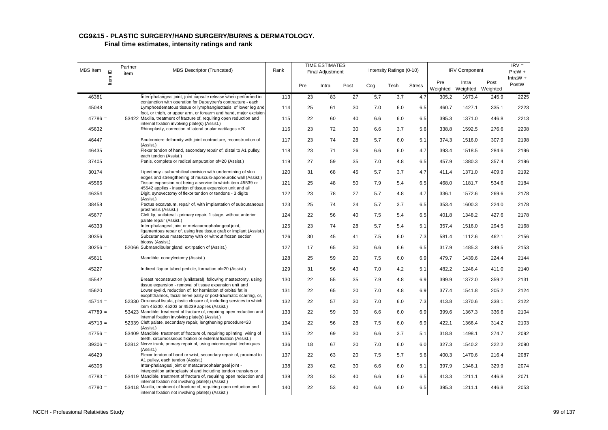| <b>MBS</b> Item | $\supseteq$ | Partner<br>item | <b>MBS Descriptor (Truncated)</b>                                                                                                                                                                  | Rank |     | <b>TIME ESTIMATES</b><br><b>Final Adjustment</b> |      |     | Intensity Ratings (0-10) |               |                 | <b>IRV Component</b>       |       | $IRV =$<br>$PreW +$ |
|-----------------|-------------|-----------------|----------------------------------------------------------------------------------------------------------------------------------------------------------------------------------------------------|------|-----|--------------------------------------------------|------|-----|--------------------------|---------------|-----------------|----------------------------|-------|---------------------|
|                 | Item        |                 |                                                                                                                                                                                                    |      | Pre | Intra                                            | Post | Cog | Tech                     | <b>Stress</b> | Pre<br>Weighted | Intra<br>Weighted Weighted | Post  | IntraW $+$<br>PostW |
| 46381           |             |                 | Inter-phalangeal joint, joint capsule release when performed in                                                                                                                                    | 113  | 23  | 83                                               | 27   | 5.7 | 3.7                      | 4.7           | 305.2           | 1673.4                     | 245.9 | 2225                |
| 45048           |             |                 | conjunction with operation for Dupuytren's contracture - each<br>Lymphoedematous tissue or lymphangiectasis, of lower leg and<br>foot, or thigh, or upper arm, or forearm and hand, major excision | 114  | 25  | 61                                               | 30   | 7.0 | 6.0                      | 6.5           | 460.7           | 1427.1                     | 335.1 | 2223                |
| $47786 =$       |             |                 | 53422 Maxilla, treatment of fracture of, requiring open reduction and<br>internal fixation involving plate(s) (Assist.)                                                                            | 115  | 22  | 60                                               | 40   | 6.6 | 6.0                      | 6.5           | 395.3           | 1371.0                     | 446.8 | 2213                |
| 45632           |             |                 | Rhinoplasty, correction of lateral or alar cartilages = 20                                                                                                                                         | 116  | 23  | 72                                               | 30   | 6.6 | 3.7                      | 5.6           | 338.8           | 1592.5                     | 276.6 | 2208                |
| 46447           |             |                 | Boutonniere deformity with joint contracture, reconstruction of<br>(Assist.)                                                                                                                       | 117  | 23  | 74                                               | 28   | 5.7 | 6.0                      | 5.1           | 374.3           | 1516.0                     | 307.9 | 2198                |
| 46435           |             |                 | Flexor tendon of hand, secondary repair of, distal to A1 pulley,<br>each tendon (Assist.)                                                                                                          | 118  | 23  | 71                                               | 26   | 6.6 | 6.0                      | 4.7           | 393.4           | 1518.5                     | 284.6 | 2196                |
| 37405           |             |                 | Penis, complete or radical amputation of=20 (Assist.)                                                                                                                                              | 119  | 27  | 59                                               | 35   | 7.0 | 4.8                      | 6.5           | 457.9           | 1380.3                     | 357.4 | 2196                |
| 30174           |             |                 | Lipectomy - subumbilical excision with undermining of skin                                                                                                                                         | 120  | 31  | 68                                               | 45   | 5.7 | 3.7                      | 4.7           | 411.4           | 1371.0                     | 409.9 | 2192                |
| 45566           |             |                 | edges and strengthening of musculo-aponeurotic wall (Assist.)<br>Tissue expansion not being a service to which item 45539 or<br>45542 applies - insertion of tissue expansion unit and all         | 121  | 25  | 48                                               | 50   | 7.9 | 5.4                      | 6.5           | 468.0           | 1181.7                     | 534.6 | 2184                |
| 46354           |             |                 | Digit, synovectomy of flexor tendon or tendons - 3 digits<br>(Assist.)                                                                                                                             | 122  | 23  | 78                                               | 27   | 5.7 | 4.8                      | 4.7           | 336.1           | 1572.6                     | 269.6 | 2178                |
| 38458           |             |                 | Pectus excavatum, repair of, with implantation of subcutaneous<br>prosthesis (Assist.)                                                                                                             | 123  | 25  | 74                                               | 24   | 5.7 | 3.7                      | 6.5           | 353.4           | 1600.3                     | 224.0 | 2178                |
| 45677           |             |                 | Cleft lip, unilateral - primary repair, 1 stage, without anterior<br>palate repair (Assist.)                                                                                                       | 124  | 22  | 56                                               | 40   | 7.5 | 5.4                      | 6.5           | 401.8           | 1348.2                     | 427.6 | 2178                |
| 46333           |             |                 | Inter-phalangeal joint or metacarpophalangeal joint,<br>ligamentous repair of, using free tissue graft or implant (Assist.)                                                                        | 125  | 23  | 74                                               | 28   | 5.7 | 5.4                      | 5.1           | 357.4           | 1516.0                     | 294.5 | 2168                |
| 30356           |             |                 | Subcutaneous mastectomy with or without frozen section<br>biopsy (Assist.)                                                                                                                         | 126  | 30  | 45                                               | 41   | 7.5 | 6.0                      | 7.3           | 581.4           | 1112.6                     | 462.1 | 2156                |
| $30256 =$       |             |                 | 52066 Submandibular gland, extirpation of (Assist.)                                                                                                                                                | 127  | 17  | 65                                               | 30   | 6.6 | 6.6                      | 6.5           | 317.9           | 1485.3                     | 349.5 | 2153                |
| 45611           |             |                 | Mandible, condylectomy (Assist.)                                                                                                                                                                   | 128  | 25  | 59                                               | 20   | 7.5 | 6.0                      | 6.9           | 479.7           | 1439.6                     | 224.4 | 2144                |
| 45227           |             |                 | Indirect flap or tubed pedicle, formation of=20 (Assist.)                                                                                                                                          | 129  | 31  | 56                                               | 43   | 7.0 | 4.2                      | 5.1           | 482.2           | 1246.4                     | 411.0 | 2140                |
| 45542           |             |                 | Breast reconstruction (unilateral), following mastectomy, using<br>tissue expansion - removal of tissue expansion unit and                                                                         | 130  | 22  | 55                                               | 35   | 7.9 | 4.8                      | 6.9           | 399.9           | 1372.0                     | 359.2 | 2131                |
| 45620           |             |                 | Lower eyelid, reduction of, for herniation of orbital fat in<br>exophthalmos, facial nerve palsy or post-traumatic scarring, or,                                                                   | 131  | 22  | 65                                               | 20   | 7.0 | 4.8                      | 6.9           | 377.4           | 1541.8                     | 205.2 | 2124                |
| $45714 =$       |             |                 | 52330 Oro-nasal fistula, plastic closure of, including services to which<br>item 45200, 45203 or 45239 applies (Assist.)                                                                           | 132  | 22  | 57                                               | 30   | 7.0 | 6.0                      | 7.3           | 413.8           | 1370.6                     | 338.1 | 2122                |
| $47789 =$       |             |                 | 53423 Mandible, treatment of fracture of, requiring open reduction and<br>internal fixation involving plate(s) (Assist.)                                                                           | 133  | 22  | 59                                               | 30   | 6.6 | 6.0                      | 6.9           | 399.6           | 1367.3                     | 336.6 | 2104                |
| $45713 =$       |             |                 | 52339 Cleft palate, secondary repair, lengthening procedure=20<br>(Assist.)                                                                                                                        | 134  | 22  | 56                                               | 28   | 7.5 | 6.0                      | 6.9           | 422.1           | 1366.4                     | 314.2 | 2103                |
| $47756 =$       |             |                 | 53409 Mandible, treatment of fracture of, requiring splinting, wiring of<br>teeth, circumosseous fixation or external fixation (Assist.)                                                           | 135  | 22  | 69                                               | 30   | 6.6 | 3.7                      | 5.1           | 318.8           | 1498.1                     | 274.7 | 2092                |
| $39306 =$       |             |                 | 52812 Nerve trunk, primary repair of, using microsurgical techniques<br>(Assist.)                                                                                                                  | 136  | 18  | 67                                               | 20   | 7.0 | 6.0                      | 6.0           | 327.3           | 1540.2                     | 222.2 | 2090                |
| 46429           |             |                 | Flexor tendon of hand or wrist, secondary repair of, proximal to<br>A1 pulley, each tendon (Assist.)                                                                                               | 137  | 22  | 63                                               | 20   | 7.5 | 5.7                      | 5.6           | 400.3           | 1470.6                     | 216.4 | 2087                |
| 46306           |             |                 | Inter-phalangeal joint or metacarpophalangeal joint -<br>interposition arthroplasty of and including tendon transfers or                                                                           | 138  | 23  | 62                                               | 30   | 6.6 | 6.0                      | 5.1           | 397.9           | 1346.1                     | 329.9 | 2074                |
| $47783 =$       |             |                 | 53419 Mandible, treatment of fracture of, requiring open reduction and<br>internal fixation not involving plate(s) (Assist.)                                                                       | 139  | 23  | 53                                               | 40   | 6.6 | 6.0                      | 6.5           | 413.3           | 1211.1                     | 446.8 | 2071                |
| $47780 =$       |             |                 | 53418 Maxilla, treatment of fracture of, requiring open reduction and<br>internal fixation not involving plate(s) (Assist.)                                                                        | 140  | 22  | 53                                               | 40   | 6.6 | 6.0                      | 6.5           | 395.3           | 1211.1                     | 446.8 | 2053                |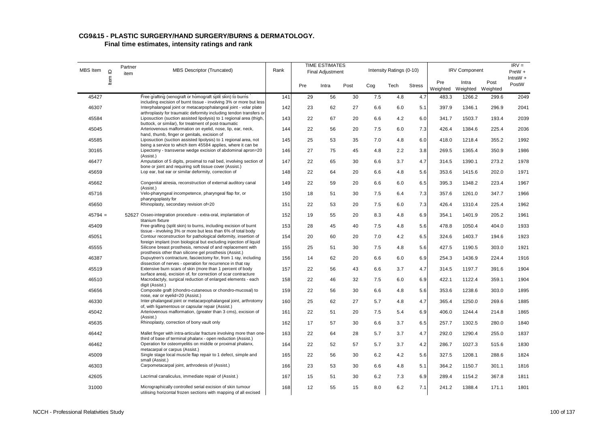| MBS Item  | $\mathbf{\underline{o}}$ | Partner<br>item | <b>MBS Descriptor (Truncated)</b>                                                                                                                 | Rank |     | <b>TIME ESTIMATES</b><br><b>Final Adjustment</b> |      |     | Intensity Ratings (0-10) |               |                 | <b>IRV Component</b>       |       | $IRV =$<br>$PreW +$ |
|-----------|--------------------------|-----------------|---------------------------------------------------------------------------------------------------------------------------------------------------|------|-----|--------------------------------------------------|------|-----|--------------------------|---------------|-----------------|----------------------------|-------|---------------------|
|           | ltem                     |                 |                                                                                                                                                   |      | Pre | Intra                                            | Post | Cog | Tech                     | <b>Stress</b> | Pre<br>Weighted | Intra<br>Weighted Weighted | Post  | $IntraW +$<br>PostW |
| 45427     |                          |                 | Free grafting (xenograft or homograft split skin) to burns<br>including excision of burnt tissue - involving 3% or more but less                  | 141  | 29  | 56                                               | 30   | 7.5 | 4.8                      | 4.7           | 483.3           | 1266.2                     | 299.6 | 2049                |
| 46307     |                          |                 | Interphalangeal joint or metacarpophalangeal joint - volar plate                                                                                  | 142  | 23  | 62                                               | 27   | 6.6 | 6.0                      | 5.1           | 397.9           | 1346.1                     | 296.9 | 2041                |
| 45584     |                          |                 | arthroplasty for traumatic deformity including tendon transfers or<br>Liposuction (suction assisted lipolysis) to 1 regional area (thigh,         | 143  | 22  | 67                                               | 20   | 6.6 | 4.2                      | 6.0           | 341.7           | 1503.7                     | 193.4 | 2039                |
| 45045     |                          |                 | buttock, or similar), for treatment of post-traumatic<br>Arteriovenous malformation on eyelid, nose, lip, ear, neck,                              | 144  | 22  | 56                                               | 20   | 7.5 | 6.0                      | 7.3           | 426.4           | 1384.6                     | 225.4 | 2036                |
| 45585     |                          |                 | hand, thumb, finger or genitals, excision of<br>Liposuction (suction assisted lipolysis) to 1 regional area, not                                  | 145  | 25  | 53                                               | 35   | 7.0 | 4.8                      | 6.0           | 418.0           | 1218.4                     | 355.2 | 1992                |
| 30165     |                          |                 | being a service to which item 45584 applies, where it can be<br>Lipectomy - transverse wedge excision of abdominal apron=20<br>(Assist.)          | 146  | 27  | 75                                               | 45   | 4.8 | 2.2                      | 3.8           | 269.5           | 1365.4                     | 350.9 | 1986                |
| 46477     |                          |                 | Amputation of 5 digits, proximal to nail bed, involving section of<br>bone or joint and requiring soft tissue cover (Assist.)                     | 147  | 22  | 65                                               | 30   | 6.6 | 3.7                      | 4.7           | 314.5           | 1390.1                     | 273.2 | 1978                |
| 45659     |                          |                 | Lop ear, bat ear or similar deformity, correction of                                                                                              | 148  | 22  | 64                                               | 20   | 6.6 | 4.8                      | 5.6           | 353.6           | 1415.6                     | 202.0 | 1971                |
| 45662     |                          |                 | Congenital atresia, reconstruction of external auditory canal<br>(Assist.)                                                                        | 149  | 22  | 59                                               | 20   | 6.6 | 6.0                      | 6.5           | 395.3           | 1348.2                     | 223.4 | 1967                |
| 45716     |                          |                 | Velo-pharyngeal incompetence, pharyngeal flap for, or<br>pharyngoplasty for                                                                       | 150  | 18  | 51                                               | 30   | 7.5 | 6.4                      | 7.3           | 357.6           | 1261.0                     | 347.7 | 1966                |
| 45650     |                          |                 | Rhinoplasty, secondary revision of=20                                                                                                             | 151  | 22  | 53                                               | 20   | 7.5 | 6.0                      | 7.3           | 426.4           | 1310.4                     | 225.4 | 1962                |
| $45794 =$ |                          |                 | 52627 Osseo-integration procedure - extra-oral, implantation of<br>titanium fixture                                                               | 152  | 19  | 55                                               | 20   | 8.3 | 4.8                      | 6.9           | 354.1           | 1401.9                     | 205.2 | 1961                |
| 45409     |                          |                 | Free grafting (split skin) to burns, including excision of burnt<br>tissue - involving 3% or more but less than 6% of total body                  | 153  | 28  | 45                                               | 40   | 7.5 | 4.8                      | 5.6           | 478.8           | 1050.4                     | 404.0 | 1933                |
| 45051     |                          |                 | Contour reconstruction for pathological deformity, insertion of<br>foreign implant (non biological but excluding injection of liquid              | 154  | 20  | 60                                               | 20   | 7.0 | 4.2                      | 6.5           | 324.6           | 1403.7                     | 194.6 | 1923                |
| 45555     |                          |                 | Silicone breast prosthesis, removal of and replacement with<br>prosthesis other than silicone gel prosthesis (Assist.)                            | 155  | 25  | 51                                               | 30   | 7.5 | 4.8                      | 5.6           | 427.5           | 1190.5                     | 303.0 | 1921                |
| 46387     |                          |                 | Dupuytren's contracture, fasciectomy for, from 1 ray, including<br>dissection of nerves - operation for recurrence in that ray                    | 156  | 14  | 62                                               | 20   | 6.6 | 6.0                      | 6.9           | 254.3           | 1436.9                     | 224.4 | 1916                |
| 45519     |                          |                 | Extensive burn scars of skin (more than 1 percent of body                                                                                         | 157  | 22  | 56                                               | 43   | 6.6 | 3.7                      | 4.7           | 314.5           | 1197.7                     | 391.6 | 1904                |
| 46510     |                          |                 | surface area), excision of, for correction of scar contracture<br>Macrodactyly, surgical reduction of enlarged elements - each<br>digit (Assist.) | 158  | 22  | 46                                               | 32   | 7.5 | 6.0                      | 6.9           | 422.1           | 1122.4                     | 359.1 | 1904                |
| 45656     |                          |                 | Composite graft (chondro-cutaneous or chondro-mucosal) to<br>nose, ear or eyelid=20 (Assist.)                                                     | 159  | 22  | 56                                               | 30   | 6.6 | 4.8                      | 5.6           | 353.6           | 1238.6                     | 303.0 | 1895                |
| 46330     |                          |                 | Inter-phalangeal joint or metacarpophalangeal joint, arthrotomy<br>of, with ligamentous or capsular repair (Assist.)                              | 160  | 25  | 62                                               | 27   | 5.7 | 4.8                      | 4.7           | 365.4           | 1250.0                     | 269.6 | 1885                |
| 45042     |                          |                 | Arteriovenous malformation, (greater than 3 cms), excision of<br>(Assist.)                                                                        | 161  | 22  | 51                                               | 20   | 7.5 | 5.4                      | 6.9           | 406.0           | 1244.4                     | 214.8 | 1865                |
| 45635     |                          |                 | Rhinoplasty, correction of bony vault only                                                                                                        | 162  | 17  | 57                                               | 30   | 6.6 | 3.7                      | 6.5           | 257.7           | 1302.5                     | 280.0 | 1840                |
| 46442     |                          |                 | Mallet finger with intra-articular fracture involving more than one-<br>third of base of terminal phalanx - open reduction (Assist.)              | 163  | 22  | 64                                               | 28   | 5.7 | 3.7                      | 4.7           | 292.0           | 1290.4                     | 255.0 | 1837                |
| 46462     |                          |                 | Operation for osteomyelitis on middle or proximal phalanx,<br>metacarpal or carpus (Assist.)                                                      | 164  | 22  | 52                                               | 57   | 5.7 | 3.7                      | 4.2           | 286.7           | 1027.3                     | 515.6 | 1830                |
| 45009     |                          |                 | Single stage local muscle flap repair to 1 defect, simple and<br>small (Assist.)                                                                  | 165  | 22  | 56                                               | 30   | 6.2 | 4.2                      | 5.6           | 327.5           | 1208.1                     | 288.6 | 1824                |
| 46303     |                          |                 | Carpometacarpal joint, arthrodesis of (Assist.)                                                                                                   | 166  | 23  | 53                                               | 30   | 6.6 | 4.8                      | 5.1           | 364.2           | 1150.7                     | 301.1 | 1816                |
| 42605     |                          |                 | Lacrimal canaliculus, immediate repair of (Assist.)                                                                                               | 167  | 15  | 51                                               | 30   | 6.2 | 7.3                      | 6.9           | 289.4           | 1154.2                     | 367.8 | 1811                |
| 31000     |                          |                 | Micrographically controlled serial excision of skin tumour<br>utilising horizontal frozen sections with mapping of all excised                    | 168  | 12  | 55                                               | 15   | 8.0 | 6.2                      | 7.1           | 241.2           | 1388.4                     | 171.1 | 1801                |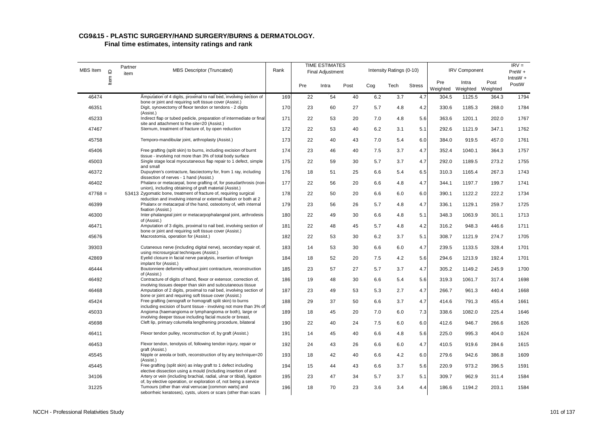| MBS Item  | $\mathrel{\underline{\mathsf{O}}}$ | Partner<br>item | <b>MBS Descriptor (Truncated)</b>                                                                                                                                                             | Rank |     | <b>TIME ESTIMATES</b><br>Final Adjustment |      |     | Intensity Ratings (0-10) |               |                 | <b>IRV Component</b>       |       | $IRV =$<br>$PreW +$ |
|-----------|------------------------------------|-----------------|-----------------------------------------------------------------------------------------------------------------------------------------------------------------------------------------------|------|-----|-------------------------------------------|------|-----|--------------------------|---------------|-----------------|----------------------------|-------|---------------------|
|           | ltem                               |                 |                                                                                                                                                                                               |      | Pre | Intra                                     | Post | Cog | Tech                     | <b>Stress</b> | Pre<br>Weighted | Intra<br>Weighted Weighted | Post  | IntraW +<br>PostW   |
| 46474     |                                    |                 | Amputation of 4 digits, proximal to nail bed, involving section of<br>bone or joint and requiring soft tissue cover (Assist.)                                                                 | 169  | 22  | 54                                        | 40   | 6.2 | 3.7                      | 4.7           | 304.5           | 1125.5                     | 364.3 | 1794                |
| 46351     |                                    |                 | Digit, synovectomy of flexor tendon or tendons - 2 digits<br>(Assist.)                                                                                                                        | 170  | 23  | 60                                        | 27   | 5.7 | 4.8                      | 4.2           | 330.6           | 1185.3                     | 268.0 | 1784                |
| 45233     |                                    |                 | Indirect flap or tubed pedicle, preparation of intermediate or final<br>site and attachment to the site=20 (Assist.)                                                                          | 171  | 22  | 53                                        | 20   | 7.0 | 4.8                      | 5.6           | 363.6           | 1201.1                     | 202.0 | 1767                |
| 47467     |                                    |                 | Sternum, treatment of fracture of, by open reduction                                                                                                                                          | 172  | 22  | 53                                        | 40   | 6.2 | 3.1                      | 5.1           | 292.6           | 1121.9                     | 347.1 | 1762                |
| 45758     |                                    |                 | Temporo-mandibular joint, arthroplasty (Assist.)                                                                                                                                              | 173  | 22  | 40                                        | 43   | 7.0 | 5.4                      | 6.0           | 384.0           | 919.5                      | 457.0 | 1761                |
| 45406     |                                    |                 | Free grafting (split skin) to burns, including excision of burnt<br>tissue - involving not more than 3% of total body surface                                                                 | 174  | 23  | 46                                        | 40   | 7.5 | 3.7                      | 4.7           | 352.4           | 1040.1                     | 364.3 | 1757                |
| 45003     |                                    |                 | Single stage local myocutaneous flap repair to 1 defect, simple<br>and small                                                                                                                  | 175  | 22  | 59                                        | 30   | 5.7 | 3.7                      | 4.7           | 292.0           | 1189.5                     | 273.2 | 1755                |
| 46372     |                                    |                 | Dupuytren's contracture, fasciectomy for, from 1 ray, including<br>dissection of nerves - 1 hand (Assist.)                                                                                    | 176  | 18  | 51                                        | 25   | 6.6 | 5.4                      | 6.5           | 310.3           | 1165.4                     | 267.3 | 1743                |
| 46402     |                                    |                 | Phalanx or metacarpal, bone grafting of, for pseudarthrosis (non-<br>union), including obtaining of graft material (Assist.)                                                                  | 177  | 22  | 56                                        | 20   | 6.6 | 4.8                      | 4.7           | 344.1           | 1197.7                     | 199.7 | 1741                |
| $47768 =$ |                                    |                 | 53413 Zygomatic bone, treatment of fracture of, requiring surgical<br>reduction and involving internal or external fixation or both at 2                                                      | 178  | 22  | 50                                        | 20   | 6.6 | 6.0                      | 6.0           | 390.1           | 1122.2                     | 222.2 | 1734                |
| 46399     |                                    |                 | Phalanx or metacarpal of the hand, osteotomy of, with internal<br>fixation (Assist.)                                                                                                          | 179  | 23  | 56                                        | 26   | 5.7 | 4.8                      | 4.7           | 336.1           | 1129.1                     | 259.7 | 1725                |
| 46300     |                                    |                 | Inter-phalangeal joint or metacarpophalangeal joint, arthrodesis<br>of (Assist.)                                                                                                              | 180  | 22  | 49                                        | 30   | 6.6 | 4.8                      | 5.1           | 348.3           | 1063.9                     | 301.1 | 1713                |
| 46471     |                                    |                 | Amputation of 3 digits, proximal to nail bed, involving section of<br>bone or joint and requiring soft tissue cover (Assist.)                                                                 | 181  | 22  | 48                                        | 45   | 5.7 | 4.8                      | 4.2           | 316.2           | 948.3                      | 446.6 | 1711                |
| 45676     |                                    |                 | Macrostomia, operation for (Assist.)                                                                                                                                                          | 182  | 22  | 53                                        | 30   | 6.2 | 3.7                      | 5.1           | 308.7           | 1121.9                     | 274.7 | 1705                |
| 39303     |                                    |                 | Cutaneous nerve (including digital nerve), secondary repair of,<br>using microsurgical techniques (Assist.)                                                                                   | 183  | 14  | 53                                        | 30   | 6.6 | 6.0                      | 4.7           | 239.5           | 1133.5                     | 328.4 | 1701                |
| 42869     |                                    |                 | Eyelid closure in facial nerve paralysis, insertion of foreign<br>implant for (Assist.)                                                                                                       | 184  | 18  | 52                                        | 20   | 7.5 | 4.2                      | 5.6           | 294.6           | 1213.9                     | 192.4 | 1701                |
| 46444     |                                    |                 | Boutonniere deformity without joint contracture, reconstruction<br>of (Assist.)                                                                                                               | 185  | 23  | 57                                        | 27   | 5.7 | 3.7                      | 4.7           | 305.2           | 1149.2                     | 245.9 | 1700                |
| 46492     |                                    |                 | Contracture of digits of hand, flexor or extensor, correction of,<br>involving tissues deeper than skin and subcutaneous tissue                                                               | 186  | 19  | 48                                        | 30   | 6.6 | 5.4                      | 5.6           | 319.3           | 1061.7                     | 317.4 | 1698                |
| 46468     |                                    |                 | Amputation of 2 digits, proximal to nail bed, involving section of<br>bone or joint and requiring soft tissue cover (Assist.)                                                                 | 187  | 23  | 49                                        | 53   | 5.3 | 2.7                      | 4.7           | 266.7           | 961.3                      | 440.4 | 1668                |
| 45424     |                                    |                 | Free grafting (xenograft or homograft split skin) to burns                                                                                                                                    | 188  | 29  | 37                                        | 50   | 6.6 | 3.7                      | 4.7           | 414.6           | 791.3                      | 455.4 | 1661                |
| 45033     |                                    |                 | including excision of burnt tissue - involving not more than 3% of<br>Angioma (haemangioma or lymphangioma or both), large or                                                                 | 189  | 18  | 45                                        | 20   | 7.0 | 6.0                      | 7.3           | 338.6           | 1082.0                     | 225.4 | 1646                |
| 45698     |                                    |                 | involving deeper tissue including facial muscle or breast,<br>Cleft lip, primary columella lengthening procedure, bilateral                                                                   | 190  | 22  | 40                                        | 24   | 7.5 | 6.0                      | 6.0           | 412.6           | 946.7                      | 266.6 | 1626                |
| 46411     |                                    |                 | Flexor tendon pulley, reconstruction of, by graft (Assist.)                                                                                                                                   | 191  | 14  | 45                                        | 40   | 6.6 | 4.8                      | 5.6           | 225.0           | 995.3                      | 404.0 | 1624                |
| 46453     |                                    |                 | Flexor tendon, tenolysis of, following tendon injury, repair or<br>graft (Assist.)                                                                                                            | 192  | 24  | 43                                        | 26   | 6.6 | 6.0                      | 4.7           | 410.5           | 919.6                      | 284.6 | 1615                |
| 45545     |                                    |                 | Nipple or areola or both, reconstruction of by any technique=20<br>(Assist.)                                                                                                                  | 193  | 18  | 42                                        | 40   | 6.6 | 4.2                      | 6.0           | 279.6           | 942.6                      | 386.8 | 1609                |
| 45445     |                                    |                 | Free grafting (split skin) as inlay graft to 1 defect including<br>elective dissection using a mould (including insertion of and                                                              | 194  | 15  | 44                                        | 43   | 6.6 | 3.7                      | 5.6           | 220.9           | 973.2                      | 396.5 | 1591                |
| 34106     |                                    |                 | Artery or vein (including brachial, radial, ulnar or tibial), ligation                                                                                                                        | 195  | 23  | 47                                        | 34   | 5.7 | 3.7                      | 5.1           | 309.7           | 962.9                      | 311.4 | 1584                |
| 31225     |                                    |                 | of, by elective operation, or exploration of, not being a service<br>Tumours (other than viral verrucae [common warts] and<br>seborrheic keratoses), cysts, ulcers or scars (other than scars | 196  | 18  | 70                                        | 23   | 3.6 | 3.4                      | 4.4           | 186.6           | 1194.2                     | 203.1 | 1584                |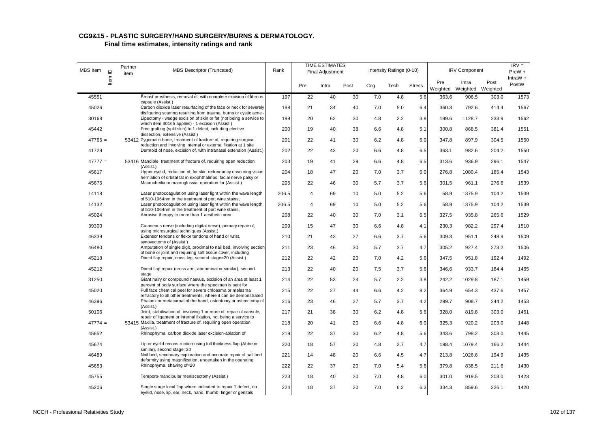| MBS Item  | $\supseteq$ | Partner<br>item | <b>MBS Descriptor (Truncated)</b>                                                                                                     | Rank  |                | <b>TIME ESTIMATES</b><br>Final Adjustment |      |     | Intensity Ratings (0-10) |               |                 | <b>IRV Component</b>       |       | $IRV =$<br>$PreW +$ |
|-----------|-------------|-----------------|---------------------------------------------------------------------------------------------------------------------------------------|-------|----------------|-------------------------------------------|------|-----|--------------------------|---------------|-----------------|----------------------------|-------|---------------------|
|           | ltem        |                 |                                                                                                                                       |       | Pre            | Intra                                     | Post | Cog | Tech                     | <b>Stress</b> | Pre<br>Weighted | Intra<br>Weighted Weighted | Post  | IntraW $+$<br>PostW |
| 45551     |             |                 | Breast prosthesis, removal of, with complete excision of fibrous<br>capsule (Assist.)                                                 | 197   | 22             | 40                                        | 30   | 7.0 | 4.8                      | 5.6           | 363.6           | 906.5                      | 303.0 | 1573                |
| 45026     |             |                 | Carbon dioxide laser resurfacing of the face or neck for severely                                                                     | 198   | 21             | 34                                        | 40   | 7.0 | 5.0                      | 6.4           | 360.3           | 792.6                      | 414.4 | 1567                |
| 30168     |             |                 | disfiguring scarring resulting from trauma, burns or cystic acne<br>Lipectomy - wedge excision of skin or fat (not being a service to | 199   | 20             | 62                                        | 30   | 4.8 | 2.2                      | 3.8           | 199.6           | 1128.7                     | 233.9 | 1562                |
| 45442     |             |                 | which item 30165 applies) - 1 excision (Assist.)<br>Free grafting (split skin) to 1 defect, including elective                        | 200   | 19             | 40                                        | 38   | 6.6 | 4.8                      | 5.1           | 300.8           | 868.5                      | 381.4 | 1551                |
| $47765 =$ |             |                 | dissection, extensive (Assist.)<br>53412 Zygomatic bone, treatment of fracture of, requiring surgical                                 | 201   | 22             | 41                                        | 30   | 6.2 | 4.8                      | 6.0           | 347.8           | 897.9                      | 304.5 | 1550                |
|           |             |                 | reduction and involving internal or external fixation at 1 site                                                                       |       |                |                                           |      |     |                          |               |                 |                            |       |                     |
| 41729     |             |                 | Dermoid of nose, excision of, with intranasal extension (Assist.)                                                                     | 202   | 22             | 43                                        | 20   | 6.6 | 4.8                      | 6.5           | 363.1           | 982.6                      | 204.2 | 1550                |
| $47777 =$ |             |                 | 53416 Mandible, treatment of fracture of, requiring open reduction<br>(Assist.)                                                       | 203   | 19             | 41                                        | 29   | 6.6 | 4.8                      | 6.5           | 313.6           | 936.9                      | 296.1 | 1547                |
| 45617     |             |                 | Upper eyelid, reduction of, for skin redundancy obscuring vision,<br>herniation of orbital fat in exophthalmos, facial nerve palsy or | 204   | 18             | 47                                        | 20   | 7.0 | 3.7                      | 6.0           | 276.8           | 1080.4                     | 185.4 | 1543                |
| 45675     |             |                 | Macrocheilia or macroglossia, operation for (Assist.)                                                                                 | 205   | 22             | 46                                        | 30   | 5.7 | 3.7                      | 5.6           | 301.5           | 961.1                      | 276.6 | 1539                |
| 14118     |             |                 | Laser photocoagulation using laser light within the wave length                                                                       | 206.5 | 4              | 69                                        | 10   | 5.0 | 5.2                      | 5.6           | 58.9            | 1375.9                     | 104.2 | 1539                |
| 14132     |             |                 | of 510-1064nm in the treatment of port wine stains,<br>Laser photocoagulation using laser light within the wave length                | 206.5 | $\overline{4}$ | 69                                        | 10   | 5.0 | 5.2                      | 5.6           | 58.9            | 1375.9                     | 104.2 | 1539                |
| 45024     |             |                 | of 510-1064nm in the treatment of port wine stains,<br>Abrasive therapy to more than 1 aesthetic area                                 | 208   | 22             | 40                                        | 30   | 7.0 | 3.1                      | 6.5           | 327.5           | 935.8                      | 265.6 | 1529                |
| 39300     |             |                 | Cutaneous nerve (including digital nerve), primary repair of,                                                                         | 209   | 15             | 47                                        | 30   | 6.6 | 4.8                      | 4.1           | 230.3           | 982.2                      | 297.4 | 1510                |
|           |             |                 | using microsurgical techniques (Assist.)                                                                                              |       |                |                                           |      |     |                          |               |                 |                            |       |                     |
| 46339     |             |                 | Extensor tendons or flexor tendons of hand or wrist,<br>synovectomy of (Assist.)                                                      | 210   | 21             | 43                                        | 27   | 6.6 | 3.7                      | 5.6           | 309.3           | 951.1                      | 248.9 | 1509                |
| 46480     |             |                 | Amputation of single digit, proximal to nail bed, involving section<br>of bone or joint and requiring soft tissue cover, including    | 211   | 23             | 46                                        | 30   | 5.7 | 3.7                      | 4.7           | 305.2           | 927.4                      | 273.2 | 1506                |
| 45218     |             |                 | Direct flap repair, cross leg, second stage=20 (Assist.)                                                                              | 212   | 22             | 42                                        | 20   | 7.0 | 4.2                      | 5.6           | 347.5           | 951.8                      | 192.4 | 1492                |
| 45212     |             |                 | Direct flap repair (cross arm, abdominal or similar), second<br>stage                                                                 | 213   | 22             | 40                                        | 20   | 7.5 | 3.7                      | 5.6           | 346.6           | 933.7                      | 184.4 | 1465                |
| 31250     |             |                 | Giant hairy or compound naevus, excision of an area at least 1                                                                        | 214   | 22             | 53                                        | 24   | 5.7 | 2.2                      | 3.8           | 242.2           | 1029.8                     | 187.1 | 1459                |
| 45020     |             |                 | percent of body surface where the specimen is sent for<br>Full face chemical peel for severe chloasma or melasma                      | 215   | 22             | 27                                        | 44   | 6.6 | 4.2                      | 8.2           | 364.9           | 654.3                      | 437.6 | 1457                |
| 46396     |             |                 | refractory to all other treatments, where it can be demonstrated<br>Phalanx or metacarpal of the hand, osteotomy or osteectomy of     | 216   | 23             | 46                                        | 27   | 5.7 | 3.7                      | 4.2           | 299.7           | 908.7                      | 244.2 | 1453                |
| 50106     |             |                 | (Assist.)<br>Joint, stabilisation of, involving 1 or more of: repair of capsule,                                                      | 217   | 21             | 38                                        | 30   | 6.2 | 4.8                      | 5.6           | 328.0           | 819.8                      | 303.0 | 1451                |
|           |             |                 | repair of ligament or internal fixation, not being a service to<br>53415 Maxilla, treatment of fracture of, requiring open operation  |       |                |                                           |      |     |                          |               |                 |                            |       | 1448                |
| $47774 =$ |             |                 | (Assist.)                                                                                                                             | 218   | 20             | 41                                        | 20   | 6.6 | 4.8                      | 6.0           | 325.3           | 920.2                      | 203.0 |                     |
| 45652     |             |                 | Rhinophyma, carbon dioxide laser excision-ablation of                                                                                 | 219   | 22             | 37                                        | 30   | 6.2 | 4.8                      | 5.6           | 343.6           | 798.2                      | 303.0 | 1445                |
| 45674     |             |                 | Lip or eyelid reconstruction using full thickness flap (Abbe or<br>similar), second stage=20                                          | 220   | 18             | 57                                        | 20   | 4.8 | 2.7                      | 4.7           | 198.4           | 1079.4                     | 166.2 | 1444                |
| 46489     |             |                 | Nail bed, secondary exploration and accurate repair of nail bed<br>deformity using magnification, undertaken in the operating         | 221   | 14             | 48                                        | 20   | 6.6 | 4.5                      | 4.7           | 213.8           | 1026.6                     | 194.9 | 1435                |
| 45653     |             |                 | Rhinophyma, shaving of=20                                                                                                             | 222   | 22             | 37                                        | 20   | 7.0 | 5.4                      | 5.6           | 379.8           | 838.5                      | 211.6 | 1430                |
| 45755     |             |                 | Temporo-mandibular meniscectomy (Assist.)                                                                                             | 223   | 18             | 40                                        | 20   | 7.0 | 4.8                      | 6.0           | 301.0           | 919.5                      | 203.0 | 1423                |
| 45206     |             |                 | Single stage local flap where indicated to repair 1 defect, on<br>eyelid, nose, lip, ear, neck, hand, thumb, finger or genitals       | 224   | 18             | 37                                        | 20   | 7.0 | 6.2                      | 6.3           | 334.3           | 859.6                      | 226.1 | 1420                |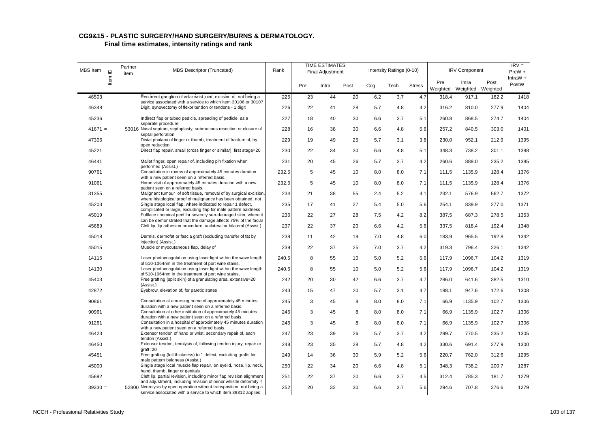| MBS Item  | $\supseteq$ | Partner<br>item | <b>MBS Descriptor (Truncated)</b>                                                                                                                                                                          | Rank  |     | <b>TIME ESTIMATES</b><br>Final Adjustment |      |     | Intensity Ratings (0-10) |               |                 | <b>IRV Component</b>       |       | $IRV =$<br>PreW +   |
|-----------|-------------|-----------------|------------------------------------------------------------------------------------------------------------------------------------------------------------------------------------------------------------|-------|-----|-------------------------------------------|------|-----|--------------------------|---------------|-----------------|----------------------------|-------|---------------------|
|           | ltem        |                 |                                                                                                                                                                                                            |       | Pre | Intra                                     | Post | Cog | Tech                     | <b>Stress</b> | Pre<br>Weighted | Intra<br>Weighted Weighted | Post  | IntraW $+$<br>PostW |
| 46503     |             |                 | Recurrent ganglion of volar wrist joint, excision of, not being a                                                                                                                                          | 225   | 23  | 44                                        | 20   | 6.2 | 3.7                      | 4.7           | 318.4           | 917.1                      | 182.2 | 1418                |
| 46348     |             |                 | service associated with a service to which item 30106 or 30107<br>Digit, synovectomy of flexor tendon or tendons - 1 digit                                                                                 | 226   | 22  | 41                                        | 28   | 5.7 | 4.8                      | 4.2           | 316.2           | 810.0                      | 277.9 | 1404                |
| 45236     |             |                 | Indirect flap or tubed pedicle, spreading of pedicle, as a<br>separate procedure                                                                                                                           | 227   | 18  | 40                                        | 30   | 6.6 | 3.7                      | 5.1           | 260.8           | 868.5                      | 274.7 | 1404                |
| $41671 =$ |             |                 | 53016 Nasal septum, septoplasty, submucous resection or closure of<br>septal perforation                                                                                                                   | 228   | 16  | 38                                        | 30   | 6.6 | 4.8                      | 5.6           | 257.2           | 840.5                      | 303.0 | 1401                |
| 47306     |             |                 | Distal phalanx of finger or thumb, treatment of fracture of, by<br>open reduction                                                                                                                          | 229   | 19  | 49                                        | 25   | 5.7 | 3.1                      | 3.8           | 230.0           | 952.1                      | 212.9 | 1395                |
| 45221     |             |                 | Direct flap repair, small (cross finger or similar), first stage=20                                                                                                                                        | 230   | 22  | 34                                        | 30   | 6.6 | 4.8                      | 5.1           | 348.3           | 738.2                      | 301.1 | 1388                |
| 46441     |             |                 | Mallet finger, open repair of, including pin fixation when<br>performed (Assist.)                                                                                                                          | 231   | 20  | 45                                        | 26   | 5.7 | 3.7                      | 4.2           | 260.6           | 889.0                      | 235.2 | 1385                |
| 90761     |             |                 | Consultation in rooms of approximately 45 minutes duration<br>with a new patient seen on a referred basis.                                                                                                 | 232.5 | 5   | 45                                        | 10   | 8.0 | 8.0                      | 7.1           | 111.5           | 1135.9                     | 128.4 | 1376                |
| 91061     |             |                 | Home visit of approximately 45 minutes duration with a new<br>patient seen on a referred basis.                                                                                                            | 232.5 | 5   | 45                                        | 10   | 8.0 | 8.0                      | 7.1           | 111.5           | 1135.9                     | 128.4 | 1376                |
| 31355     |             |                 | Malignant tumour of soft tissue, removal of by surgical excision<br>where histological proof of malignancy has been obtained, not                                                                          | 234   | 21  | 38                                        | 55   | 2.4 | 5.2                      | 4.1           | 232.1           | 576.9                      | 562.7 | 1372                |
| 45203     |             |                 | Single stage local flap, where indicated to repair 1 defect,<br>complicated or large, excluding flap for male pattern baldness                                                                             | 235   | 17  | 41                                        | 27   | 5.4 | 5.0                      | 5.6           | 254.1           | 839.9                      | 277.0 | 1371                |
| 45019     |             |                 | Fullface chemical peel for severely sun-damaged skin, where it<br>can be demonstrated that the damage affects 75% of the facial                                                                            | 236   | 22  | 27                                        | 28   | 7.5 | 4.2                      | 8.2           | 387.5           | 687.3                      | 278.5 | 1353                |
| 45689     |             |                 | Cleft lip, lip adhesion procedure, unilateral or bilateral (Assist.)                                                                                                                                       | 237   | 22  | 37                                        | 20   | 6.6 | 4.2                      | 5.6           | 337.5           | 818.4                      | 192.4 | 1348                |
| 45018     |             |                 | Dermis, dermofat or fascia graft (excluding transfer of fat by<br>iniection) (Assist.)                                                                                                                     | 238   | 11  | 42                                        | 19   | 7.0 | 4.8                      | 6.0           | 183.9           | 965.5                      | 192.8 | 1342                |
| 45015     |             |                 | Muscle or myocutaneous flap, delay of                                                                                                                                                                      | 239   | 22  | 37                                        | 25   | 7.0 | 3.7                      | 4.2           | 319.3           | 796.4                      | 226.1 | 1342                |
| 14115     |             |                 | Laser photocoagulation using laser light within the wave length<br>of 510-1064nm in the treatment of port wine stains,                                                                                     | 240.5 | 8   | 55                                        | 10   | 5.0 | 5.2                      | 5.6           | 117.9           | 1096.7                     | 104.2 | 1319                |
| 14130     |             |                 | Laser photocoagulation using laser light within the wave length<br>of 510-1064nm in the treatment of port wine stains,                                                                                     | 240.5 | 8   | 55                                        | 10   | 5.0 | 5.2                      | 5.6           | 117.9           | 1096.7                     | 104.2 | 1319                |
| 45403     |             |                 | Free grafting (split skin) of a granulating area, extensive=20<br>(Assist.)                                                                                                                                | 242   | 20  | 30                                        | 42   | 6.6 | 3.7                      | 4.7           | 286.0           | 641.6                      | 382.5 | 1310                |
| 42872     |             |                 | Eyebrow, elevation of, for paretic states                                                                                                                                                                  | 243   | 15  | 47                                        | 20   | 5.7 | 3.1                      | 4.7           | 188.1           | 947.6                      | 172.6 | 1308                |
| 90861     |             |                 | Consultation at a nursing home of approximately 45 minutes<br>duration with a new patient seen on a referred basis.                                                                                        | 245   | 3   | 45                                        | 8    | 8.0 | 8.0                      | 7.1           | 66.9            | 1135.9                     | 102.7 | 1306                |
| 90961     |             |                 | Consultation at other institution of approximately 45 minutes<br>duration with a new patient seen on a referred basis.                                                                                     | 245   | 3   | 45                                        | 8    | 8.0 | 8.0                      | 7.1           | 66.9            | 1135.9                     | 102.7 | 1306                |
| 91261     |             |                 | Consultation in a hospital of approximately 45 minutes duration<br>with a new patient seen on a referred basis.                                                                                            | 245   | 3   | 45                                        | 8    | 8.0 | 8.0                      | 7.1           | 66.9            | 1135.9                     | 102.7 | 1306                |
| 46423     |             |                 | Extensor tendon of hand or wrist, secondary repair of, each<br>tendon (Assist.)                                                                                                                            | 247   | 23  | 39                                        | 26   | 5.7 | 3.7                      | 4.2           | 299.7           | 770.5                      | 235.2 | 1305                |
| 46450     |             |                 | Extensor tendon, tenolysis of, following tendon injury, repair or<br>$araff=20$                                                                                                                            | 248   | 23  | 35                                        | 28   | 5.7 | 4.8                      | 4.2           | 330.6           | 691.4                      | 277.9 | 1300                |
| 45451     |             |                 | Free grafting (full thickness) to 1 defect, excluding grafts for<br>male pattern baldness (Assist.)                                                                                                        | 249   | 14  | 36                                        | 30   | 5.9 | 5.2                      | 5.6           | 220.7           | 762.0                      | 312.6 | 1295                |
| 45000     |             |                 | Single stage local muscle flap repair, on eyelid, nose, lip, neck,<br>hand, thumb, finger or genitals                                                                                                      | 250   | 22  | 34                                        | 20   | 6.6 | 4.8                      | 5.1           | 348.3           | 738.2                      | 200.7 | 1287                |
| 45692     |             |                 | Cleft lip, partial revision, including minor flap revision alignment                                                                                                                                       | 251   | 22  | 37                                        | 20   | 6.6 | 3.7                      | 4.5           | 312.4           | 785.3                      | 181.7 | 1279                |
| $39330 =$ |             |                 | and adjustment, including revision of minor whistle deformity if<br>52800 Neurolysis by open operation without transposition, not being a<br>service associated with a service to which item 39312 applies | 252   | 20  | 32                                        | 30   | 6.6 | 3.7                      | 5.6           | 294.6           | 707.8                      | 276.6 | 1279                |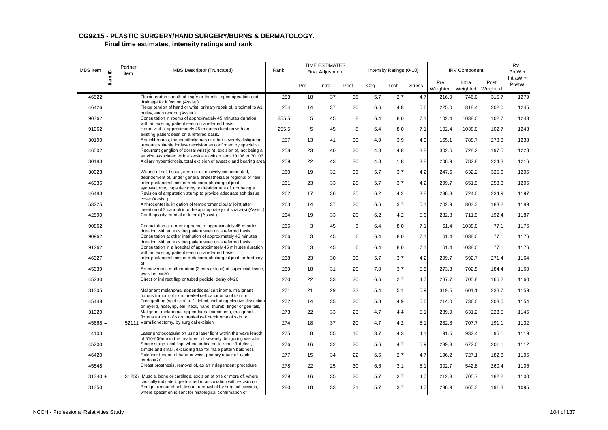| MBS Item  | $\mathbf{\underline{o}}$ | Partner<br>item | <b>MBS Descriptor (Truncated)</b>                                                                                                                                                                      | Rank  |     | <b>TIME ESTIMATES</b><br>Final Adjustment |      |     | Intensity Ratings (0-10) |               |                 | <b>IRV Component</b>       |       | $IRV =$<br>PreW +   |
|-----------|--------------------------|-----------------|--------------------------------------------------------------------------------------------------------------------------------------------------------------------------------------------------------|-------|-----|-------------------------------------------|------|-----|--------------------------|---------------|-----------------|----------------------------|-------|---------------------|
|           | Item                     |                 |                                                                                                                                                                                                        |       | Pre | Intra                                     | Post | Cog | Tech                     | <b>Stress</b> | Pre<br>Weighted | Intra<br>Weighted Weighted | Post  | IntraW $+$<br>PostW |
| 46522     |                          |                 | Flexor tendon sheath of finger or thumb - open operation and                                                                                                                                           | 253   | 18  | 37                                        | 38   | 5.7 | 2.7                      | 4.7           | 216.9           | 746.0                      | 315.7 | 1279                |
| 46426     |                          |                 | drainage for infection (Assist.)<br>Flexor tendon of hand or wrist, primary repair of, proximal to A1<br>pulley, each tendon (Assist.)                                                                 | 254   | 14  | 37                                        | 20   | 6.6 | 4.8                      | 5.6           | 225.0           | 818.4                      | 202.0 | 1245                |
| 90762     |                          |                 | Consultation in rooms of approximately 45 minutes duration                                                                                                                                             | 255.5 | 5   | 45                                        | 8    | 6.4 | 8.0                      | 7.1           | 102.4           | 1038.0                     | 102.7 | 1243                |
| 91062     |                          |                 | with an existing patient seen on a referred basis.<br>Home visit of approximately 45 minutes duration with an<br>existing patient seen on a referred basis.                                            | 255.5 | 5   | 45                                        | 8    | 6.4 | 8.0                      | 7.1           | 102.4           | 1038.0                     | 102.7 | 1243                |
| 30190     |                          |                 | Angiofibromas, trichoepitheliomas or other severely disfiguring                                                                                                                                        | 257   | 13  | 41                                        | 30   | 4.9 | 3.9                      | 4.9           | 165.1           | 788.7                      | 278.8 | 1233                |
| 46502     |                          |                 | tumours suitable for laser excision as confirmed by specialist<br>Recurrent ganglion of dorsal wrist joint, excision of, not being a<br>service associated with a service to which item 30106 or 30107 | 258   | 23  | 40                                        | 20   | 4.8 | 4.8                      | 3.8           | 302.6           | 728.2                      | 197.5 | 1228                |
| 30183     |                          |                 | Axillary hyperhidrosis, total excision of sweat gland bearing area                                                                                                                                     | 259   | 22  | 43                                        | 30   | 4.8 | 1.8                      | 3.8           | 208.9           | 782.8                      | 224.3 | 1216                |
| 30023     |                          |                 | Wound of soft tissue, deep or extensively contaminated,<br>debridement of, under general anaesthesia or regional or field                                                                              | 260   | 19  | 32                                        | 36   | 5.7 | 3.7                      | 4.2           | 247.6           | 632.2                      | 325.6 | 1205                |
| 46336     |                          |                 | Inter-phalangeal joint or metacarpophalangeal joint,                                                                                                                                                   | 261   | 23  | 33                                        | 28   | 5.7 | 3.7                      | 4.2           | 299.7           | 651.9                      | 253.3 | 1205                |
| 46483     |                          |                 | synovectomy, capsulectomy or debridement of, not being a<br>Revision of amputation stump to provide adequate soft tissue<br>cover (Assist.)                                                            | 262   | 17  | 36                                        | 25   | 6.2 | 4.2                      | 3.8           | 238.3           | 724.0                      | 234.9 | 1197                |
| 53225     |                          |                 | Arthrocentesis, irrigation of temporomandibular joint after                                                                                                                                            | 263   | 14  | 37                                        | 20   | 6.6 | 3.7                      | 5.1           | 202.9           | 803.3                      | 183.2 | 1189                |
| 42590     |                          |                 | insertion of 2 cannuli into the appropriate joint space(s) (Assist.)<br>Canthoplasty, medial or lateral (Assist.)                                                                                      | 264   | 19  | 33                                        | 20   | 6.2 | 4.2                      | 5.6           | 282.8           | 711.9                      | 192.4 | 1187                |
| 90862     |                          |                 | Consultation at a nursing home of approximately 45 minutes                                                                                                                                             | 266   | 3   | 45                                        | 6    | 6.4 | 8.0                      | 7.1           | 61.4            | 1038.0                     | 77.1  | 1176                |
| 90962     |                          |                 | duration with an existing patient seen on a referred basis.<br>Consultation at other institution of approximately 45 minutes<br>duration with an existing patient seen on a referred basis.            | 266   | 3   | 45                                        | 6    | 6.4 | 8.0                      | 7.1           | 61.4            | 1038.0                     | 77.1  | 1176                |
| 91262     |                          |                 | Consultation in a hospital of approximately 45 minutes duration<br>with an existing patient seen on a referred basis.                                                                                  | 266   | 3   | 45                                        | 6    | 6.4 | 8.0                      | 7.1           | 61.4            | 1038.0                     | 77.1  | 1176                |
| 46327     |                          |                 | Inter-phalangeal joint or metacarpophalangeal joint, arthrotomy<br>of                                                                                                                                  | 268   | 23  | 30                                        | 30   | 5.7 | 3.7                      | 4.2           | 299.7           | 592.7                      | 271.4 | 1164                |
| 45039     |                          |                 | Arteriovenous malformation (3 cms or less) of superficial tissue,<br>excision of=20                                                                                                                    | 269   | 18  | 31                                        | 20   | 7.0 | 3.7                      | 5.6           | 273.3           | 702.5                      | 184.4 | 1160                |
| 45230     |                          |                 | Direct or indirect flap or tubed pedicle, delay of=20                                                                                                                                                  | 270   | 22  | 33                                        | 20   | 6.6 | 2.7                      | 4.7           | 287.7           | 705.8                      | 166.2 | 1160                |
| 31305     |                          |                 | Malignant melanoma, appendageal carcinoma, malignant<br>fibrous tumour of skin, merkel cell carcinoma of skin or                                                                                       | 271   | 21  | 29                                        | 23   | 5.4 | 5.1                      | 5.9           | 319.5           | 601.1                      | 238.7 | 1159                |
| 45448     |                          |                 | Free grafting (split skin) to 1 defect, including elective dissection                                                                                                                                  | 272   | 14  | 35                                        | 20   | 5.8 | 4.9                      | 5.6           | 214.0           | 736.0                      | 203.6 | 1154                |
| 31320     |                          |                 | on eyelid, nose, lip, ear, neck, hand, thumb, finger or genitals,<br>Malignant melanoma, appendageal carcinoma, malignant<br>fibrous tumour of skin, merkel cell carcinoma of skin or                  | 273   | 22  | 33                                        | 23   | 4.7 | 4.4                      | 5.1           | 289.9           | 631.2                      | 223.5 | 1145                |
| $45668 =$ |                          |                 | 52111 Vermilionectomy, by surgical excision                                                                                                                                                            | 274   | 18  | 37                                        | 20   | 4.7 | 4.2                      | 5.1           | 232.8           | 707.7                      | 191.1 | 1132                |
| 14103     |                          |                 | Laser photocoagulation using laser light within the wave length<br>of 510-600nm in the treatment of severely disfiguring vascular                                                                      | 275   | 8   | 55                                        | 10   | 3.7 | 4.3                      | 4.1           | 91.5            | 932.4                      | 95.1  | 1119                |
| 45200     |                          |                 | Single stage local flap, where indicated to repair 1 defect,                                                                                                                                           | 276   | 16  | 32                                        | 20   | 5.6 | 4.7                      | 5.9           | 239.3           | 672.0                      | 201.1 | 1112                |
| 46420     |                          |                 | simple and small, excluding flap for male pattern baldness<br>Extensor tendon of hand or wrist, primary repair of, each<br>tendon=20                                                                   | 277   | 15  | 34                                        | 22   | 6.6 | 2.7                      | 4.7           | 196.2           | 727.1                      | 182.8 | 1106                |
| 45548     |                          |                 | Breast prosthesis, removal of, as an independent procedure                                                                                                                                             | 278   | 22  | 25                                        | 30   | 6.6 | 3.1                      | 5.1           | 302.7           | 542.8                      | 260.4 | 1106                |
| $31340 +$ |                          |                 | 31255 Muscle, bone or cartilage, excision of one or more of, where<br>clinically indicated, performed in association with excision of                                                                  | 279   | 16  | 35                                        | 20   | 5.7 | 3.7                      | 4.7           | 212.3           | 705.7                      | 182.2 | 1100                |
| 31350     |                          |                 | Benign tumour of soft tissue, removal of by surgical excision,<br>where specimen is sent for histological confirmation of                                                                              | 280   | 18  | 33                                        | 21   | 5.7 | 3.7                      | 4.7           | 238.9           | 665.3                      | 191.3 | 1095                |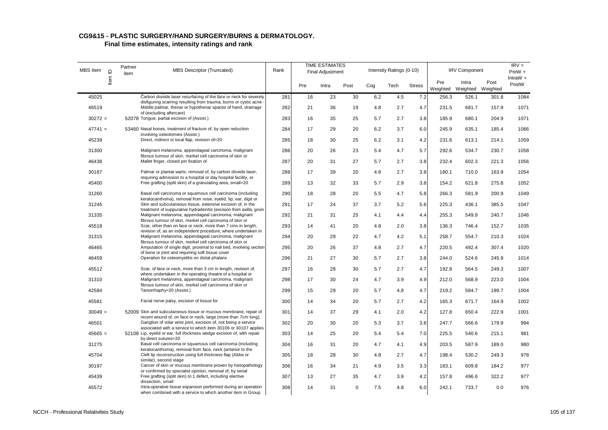| MBS Item  | $\mathrel{\underline{\mathsf{O}}}$ | Partner<br>item | <b>MBS Descriptor (Truncated)</b>                                                                                                                                                                  | Rank |     | <b>TIME ESTIMATES</b><br>Final Adjustment |          |     | Intensity Ratings (0-10) |               |                 | <b>IRV Component</b>       |       | $IRV =$<br>$PreW +$<br>IntraW + |
|-----------|------------------------------------|-----------------|----------------------------------------------------------------------------------------------------------------------------------------------------------------------------------------------------|------|-----|-------------------------------------------|----------|-----|--------------------------|---------------|-----------------|----------------------------|-------|---------------------------------|
|           | ltem                               |                 |                                                                                                                                                                                                    |      | Pre | Intra                                     | Post     | Cog | Tech                     | <b>Stress</b> | Pre<br>Weighted | Intra<br>Weighted Weighted | Post  | PostW                           |
| 45025     |                                    |                 | Carbon dioxide laser resurfacing of the face or neck for severely                                                                                                                                  | 281  | 16  | 23                                        | 30       | 6.2 | 4.5                      | 7.2           | 256.3           | 526.1                      | 301.8 | 1084                            |
| 46519     |                                    |                 | disfiguring scarring resulting from trauma, burns or cystic acne<br>Middle palmar, thenar or hypothenar spaces of hand, drainage<br>of (excluding aftercare)                                       | 282  | 21  | 36                                        | 19       | 4.8 | 2.7                      | 4.7           | 231.5           | 681.7                      | 157.9 | 1071                            |
| $30272 =$ |                                    |                 | 52078 Tongue, partial excision of (Assist.)                                                                                                                                                        | 283  | 16  | 35                                        | 25       | 5.7 | 2.7                      | 3.8           | 185.9           | 680.1                      | 204.9 | 1071                            |
| $47741 =$ |                                    |                 | 53460 Nasal bones, treatment of fracture of, by open reduction<br>involving osteotomies (Assist.)                                                                                                  | 284  | 17  | 29                                        | 20       | 6.2 | 3.7                      | 6.0           | 245.9           | 635.1                      | 185.4 | 1066                            |
| 45239     |                                    |                 | Direct, indirect or local flap, revision of=20                                                                                                                                                     | 285  | 18  | 30                                        | 25       | 6.2 | 3.1                      | 4.2           | 231.6           | 613.1                      | 214.1 | 1059                            |
| 31300     |                                    |                 | Malignant melanoma, appendageal carcinoma, malignant<br>fibrous tumour of skin, merkel cell carcinoma of skin or                                                                                   | 286  | 20  | 26                                        | 23       | 5.4 | 4.7                      | 5.7           | 292.6           | 534.7                      | 230.7 | 1058                            |
| 46438     |                                    |                 | Mallet finger, closed pin fixation of                                                                                                                                                              | 287  | 20  | 31                                        | 27       | 5.7 | 2.7                      | 3.8           | 232.4           | 602.3                      | 221.3 | 1056                            |
| 30187     |                                    |                 | Palmar or plantar warts, removal of, by carbon dioxide laser,<br>requiring admission to a hospital or day hospital facility, or                                                                    | 288  | 17  | 39                                        | 20       | 4.8 | 2.7                      | 3.8           | 180.1           | 710.0                      | 163.9 | 1054                            |
| 45400     |                                    |                 | Free grafting (split skin) of a granulating area, small=20                                                                                                                                         | 289  | 13  | 32                                        | 33       | 5.7 | 2.9                      | 3.8           | 154.2           | 621.8                      | 275.8 | 1052                            |
| 31260     |                                    |                 | Basal cell carcinoma or squamous cell carcinoma (including<br>keratocanthoma), removal from nose, eyelid, lip, ear, digit or                                                                       | 290  | 18  | 28                                        | 20       | 5.5 | 4.7                      | 5.8           | 266.3           | 581.9                      | 200.9 | 1049                            |
| 31245     |                                    |                 | Skin and subcutaneous tissue, extensive excision of, in the                                                                                                                                        | 291  | 17  | 24                                        | 37       | 3.7 | 5.2                      | 5.6           | 225.3           | 436.1                      | 385.5 | 1047                            |
| 31335     |                                    |                 | treatment of suppurative hydradenitis (excision from axilla, groin<br>Malignant melanoma, appendageal carcinoma, malignant<br>fibrous tumour of skin, merkel cell carcinoma of skin or             | 292  | 21  | 31                                        | 25       | 4.1 | 4.4                      | 4.4           | 255.3           | 549.9                      | 240.7 | 1046                            |
| 45518     |                                    |                 | Scar, other than on face or neck, more than 7 cms in length,                                                                                                                                       | 293  | 14  | 41                                        | 20       | 4.8 | 2.0                      | 3.8           | 136.3           | 746.4                      | 152.7 | 1035                            |
| 31315     |                                    |                 | revision of, as an independent procedure, where undertaken in<br>Malignant melanoma, appendageal carcinoma, malignant<br>fibrous tumour of skin, merkel cell carcinoma of skin or                  | 294  | 20  | 29                                        | 22       | 4.7 | 4.2                      | 5.1           | 258.7           | 554.7                      | 210.3 | 1024                            |
| 46465     |                                    |                 | Amputation of single digit, proximal to nail bed, involving section<br>of bone or joint and requiring soft tissue cover                                                                            | 295  | 20  | 26                                        | 37       | 4.8 | 2.7                      | 4.7           | 220.5           | 492.4                      | 307.4 | 1020                            |
| 46459     |                                    |                 | Operation for osteomyelitis on distal phalanx                                                                                                                                                      | 296  | 21  | 27                                        | 30       | 5.7 | 2.7                      | 3.8           | 244.0           | 524.6                      | 245.9 | 1014                            |
| 45512     |                                    |                 | Scar, of face or neck, more than 3 cm in length, revision of,<br>where undertaken in the operating theatre of a hospital or                                                                        | 297  | 16  | 28                                        | 30       | 5.7 | 2.7                      | 4.7           | 192.8           | 564.5                      | 249.3 | 1007                            |
| 31310     |                                    |                 | Malignant melanoma, appendageal carcinoma, malignant<br>fibrous tumour of skin, merkel cell carcinoma of skin or                                                                                   | 298  | 17  | 30                                        | 24       | 4.7 | 3.9                      | 4.9           | 212.0           | 568.9                      | 223.0 | 1004                            |
| 42584     |                                    |                 | Tarsorrhaphy=20 (Assist.)                                                                                                                                                                          | 299  | 15  | 29                                        | 20       | 5.7 | 4.8                      | 4.7           | 219.2           | 584.7                      | 199.7 | 1004                            |
| 45581     |                                    |                 | Facial nerve palsy, excision of tissue for                                                                                                                                                         | 300  | 14  | 34                                        | 20       | 5.7 | 2.7                      | 4.2           | 165.3           | 671.7                      | 164.9 | 1002                            |
| $30049 =$ |                                    |                 | 52009 Skin and subcutaneous tissue or mucous membrane, repair of                                                                                                                                   | 301  | 14  | 37                                        | 29       | 4.1 | 2.0                      | 4.2           | 127.8           | 650.4                      | 222.9 | 1001                            |
| 46501     |                                    |                 | recent wound of, on face or neck, large (more than 7cm long),<br>Ganglion of volar wrist joint, excision of, not being a service<br>associated with a service to which item 30106 or 30107 applies | 302  | 20  | 30                                        | 20       | 5.3 | 3.7                      | 3.8           | 247.7           | 566.6                      | 179.9 | 994                             |
| $45665 =$ |                                    |                 | 52108 Lip, eyelid or ear, full thickness wedge excision of, with repair<br>by direct sutures=20                                                                                                    | 303  | 14  | 25                                        | 20       | 5.4 | 5.4                      | 7.0           | 225.5           | 540.6                      | 215.1 | 981                             |
| 31275     |                                    |                 | Basal cell carcinoma or squamous cell carcinoma (including<br>keratocanthoma), removal from face, neck (anterior to the                                                                            | 304  | 16  | 31                                        | 20       | 4.7 | 4.1                      | 4.9           | 203.5           | 587.9                      | 189.0 | 980                             |
| 45704     |                                    |                 | Cleft lip reconstruction using full thickness flap (Abbe or<br>similar), second stage                                                                                                              | 305  | 18  | 28                                        | 30       | 4.8 | 2.7                      | 4.7           | 198.4           | 530.2                      | 249.3 | 978                             |
| 30197     |                                    |                 | Cancer of skin or mucous membrane proven by histopathology<br>or confirmed by specialist opinion, removal of, by serial                                                                            | 306  | 16  | 34                                        | 21       | 4.9 | 3.5                      | 3.3           | 183.1           | 609.8                      | 184.2 | 977                             |
| 45439     |                                    |                 | Free grafting (split skin) to 1 defect, including elective<br>dissection, small                                                                                                                    | 307  | 13  | 27                                        | 35       | 4.7 | 3.9                      | 4.2           | 157.8           | 496.6                      | 322.2 | 977                             |
| 45572     |                                    |                 | Intra-operative tissue expansion performed during an operation<br>when combined with a service to which another item in Group                                                                      | 308  | 14  | 31                                        | $\Omega$ | 7.5 | 4.8                      | 6.0           | 242.1           | 733.7                      | 0.0   | 976                             |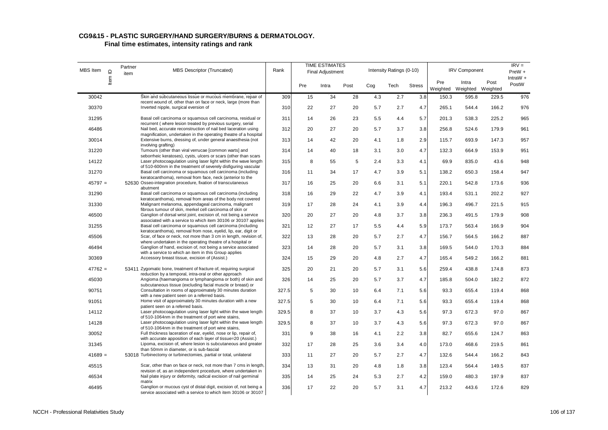| MBS Item  | $\supseteq$ | Partner<br>item | <b>MBS Descriptor (Truncated)</b>                                                                                                                                             | Rank  |     | <b>TIME ESTIMATES</b><br>Final Adjustment |      |     | Intensity Ratings (0-10) |               |                 | <b>IRV Component</b>       |       | $IRV =$<br>PreW +   |
|-----------|-------------|-----------------|-------------------------------------------------------------------------------------------------------------------------------------------------------------------------------|-------|-----|-------------------------------------------|------|-----|--------------------------|---------------|-----------------|----------------------------|-------|---------------------|
|           | ltem        |                 |                                                                                                                                                                               |       | Pre | Intra                                     | Post | Cog | Tech                     | <b>Stress</b> | Pre<br>Weighted | Intra<br>Weighted Weighted | Post  | IntraW $+$<br>PostW |
| 30042     |             |                 | Skin and subcutaneous tissue or mucous membrane, repair of                                                                                                                    | 309   | 15  | 34                                        | 28   | 4.3 | 2.7                      | 3.8           | 150.3           | 595.8                      | 229.5 | 976                 |
| 30370     |             |                 | recent wound of, other than on face or neck, large (more than<br>Inverted nipple, surgical eversion of                                                                        | 310   | 22  | 27                                        | 20   | 5.7 | 2.7                      | 4.7           | 265.1           | 544.4                      | 166.2 | 976                 |
| 31295     |             |                 | Basal cell carcinoma or squamous cell carcinoma, residual or<br>recurrent (where lesion treated by previous surgery, serial                                                   | 311   | 14  | 26                                        | 23   | 5.5 | 4.4                      | 5.7           | 201.3           | 538.3                      | 225.2 | 965                 |
| 46486     |             |                 | Nail bed, accurate reconstruction of nail bed laceration using                                                                                                                | 312   | 20  | 27                                        | 20   | 5.7 | 3.7                      | 3.8           | 256.8           | 524.6                      | 179.9 | 961                 |
| 30014     |             |                 | magnification, undertaken in the operating theatre of a hospital<br>Extensive burns, dressing of, under general anaesthesia (not                                              | 313   | 14  | 42                                        | 20   | 4.1 | 1.8                      | 2.9           | 115.7           | 693.9                      | 147.3 | 957                 |
| 31220     |             |                 | involving grafting)<br>Tumours (other than viral verrucae [common warts] and                                                                                                  | 314   | 14  | 40                                        | 18   | 3.1 | 3.0                      | 4.7           | 132.3           | 664.9                      | 153.9 | 951                 |
| 14122     |             |                 | seborrheic keratoses), cysts, ulcers or scars (other than scars<br>Laser photocoagulation using laser light within the wave length                                            | 315   | 8   | 55                                        | 5    | 2.4 | 3.3                      | 4.1           | 69.9            | 835.0                      | 43.6  | 948                 |
| 31270     |             |                 | of 510-600nm in the treatment of severely disfiguring vascular<br>Basal cell carcinoma or squamous cell carcinoma (including                                                  | 316   | 11  | 34                                        | 17   | 4.7 | 3.9                      | 5.1           | 138.2           | 650.3                      | 158.4 | 947                 |
| $45797 =$ |             |                 | keratocanthoma), removal from face, neck (anterior to the<br>52630 Osseo-integration procedure, fixation of transcutaneous<br>abutment                                        | 317   | 16  | 25                                        | 20   | 6.6 | 3.1                      | 5.1           | 220.1           | 542.8                      | 173.6 | 936                 |
| 31290     |             |                 | Basal cell carcinoma or squamous cell carcinoma (including                                                                                                                    | 318   | 16  | 29                                        | 22   | 4.7 | 3.9                      | 4.1           | 193.4           | 531.1                      | 202.2 | 927                 |
| 31330     |             |                 | keratocanthoma), removal from areas of the body not covered<br>Malignant melanoma, appendageal carcinoma, malignant                                                           | 319   | 17  | 28                                        | 24   | 4.1 | 3.9                      | 4.4           | 196.3           | 496.7                      | 221.5 | 915                 |
| 46500     |             |                 | fibrous tumour of skin, merkel cell carcinoma of skin or<br>Ganglion of dorsal wrist joint, excision of, not being a service                                                  | 320   | 20  | 27                                        | 20   | 4.8 | 3.7                      | 3.8           | 236.3           | 491.5                      | 179.9 | 908                 |
| 31255     |             |                 | associated with a service to which item 30106 or 30107 applies<br>Basal cell carcinoma or squamous cell carcinoma (including                                                  | 321   | 12  | 27                                        | 17   | 5.5 | 4.4                      | 5.9           | 173.7           | 563.4                      | 166.9 | 904                 |
| 45506     |             |                 | keratocanthoma), removal from nose, eyelid, lip, ear, digit or<br>Scar, of face or neck, not more than 3 cm in length, revision of,                                           | 322   | 13  | 28                                        | 20   | 5.7 | 2.7                      | 4.7           | 156.7           | 564.5                      | 166.2 | 887                 |
| 46494     |             |                 | where undertaken in the operating theatre of a hospital or<br>Ganglion of hand, excision of, not being a service associated                                                   | 323   | 14  | 28                                        | 20   | 5.7 | 3.1                      | 3.8           | 169.5           | 544.0                      | 170.3 | 884                 |
| 30369     |             |                 | with a service to which an item in this Group applies<br>Accessory breast tissue, excision of (Assist.)                                                                       | 324   | 15  | 29                                        | 20   | 4.8 | 2.7                      | 4.7           | 165.4           | 549.2                      | 166.2 | 881                 |
| $47762 =$ |             |                 | 53411 Zygomatic bone, treatment of fracture of, requiring surgical                                                                                                            | 325   | 20  | 21                                        | 20   | 5.7 | 3.1                      | 5.6           | 259.4           | 438.8                      | 174.8 | 873                 |
| 45030     |             |                 | reduction by a temporal, intra-oral or other approach<br>Angioma (haemangioma or lymphangioma or both) of skin and                                                            | 326   | 14  | 25                                        | 20   | 5.7 | 3.7                      | 4.7           | 185.8           | 504.0                      | 182.2 | 872                 |
| 90751     |             |                 | subcutaneous tissue (excluding facial muscle or breast) or<br>Consultation in rooms of approximately 30 minutes duration                                                      | 327.5 | 5   | 30                                        | 10   | 6.4 | 7.1                      | 5.6           | 93.3            | 655.4                      | 119.4 | 868                 |
| 91051     |             |                 | with a new patient seen on a referred basis.<br>Home visit of approximately 30 minutes duration with a new                                                                    | 327.5 | 5   | 30                                        | 10   | 6.4 | 7.1                      | 5.6           | 93.3            | 655.4                      | 119.4 | 868                 |
| 14112     |             |                 | patient seen on a referred basis.<br>Laser photocoagulation using laser light within the wave length                                                                          | 329.5 | 8   | 37                                        | 10   | 3.7 | 4.3                      | 5.6           | 97.3            | 672.3                      | 97.0  | 867                 |
| 14128     |             |                 | of 510-1064nm in the treatment of port wine stains,<br>Laser photocoagulation using laser light within the wave length<br>of 510-1064nm in the treatment of port wine stains, | 329.5 | 8   | 37                                        | 10   | 3.7 | 4.3                      | 5.6           | 97.3            | 672.3                      | 97.0  | 867                 |
| 30052     |             |                 | Full thickness laceration of ear, eyelid, nose or lip, repair of,<br>with accurate apposition of each layer of tissue=20 (Assist.)                                            | 331   | 9   | 38                                        | 16   | 4.1 | 2.2                      | 3.8           | 82.7            | 655.6                      | 124.7 | 863                 |
| 31345     |             |                 | Lipoma, excision of, where lesion is subcutaneous and greater<br>than 50mm in diameter, or is sub-fascial                                                                     | 332   | 17  | 28                                        | 25   | 3.6 | 3.4                      | 4.0           | 173.0           | 468.6                      | 219.5 | 861                 |
| $41689 =$ |             |                 | 53018 Turbinectomy or turbinectomies, partial or total, unilateral                                                                                                            | 333   | 11  | 27                                        | 20   | 5.7 | 2.7                      | 4.7           | 132.6           | 544.4                      | 166.2 | 843                 |
| 45515     |             |                 | Scar, other than on face or neck, not more than 7 cms in length,                                                                                                              | 334   | 13  | 31                                        | 20   | 4.8 | 1.8                      | 3.8           | 123.4           | 564.4                      | 149.5 | 837                 |
| 46534     |             |                 | revision of, as an independent procedure, where undertaken in<br>Nail plate injury or deformity, radical excision of nail germinal                                            | 335   | 14  | 25                                        | 24   | 5.3 | 2.7                      | 4.2           | 159.0           | 480.3                      | 197.9 | 837                 |
| 46495     |             |                 | matrix<br>Ganglion or mucous cyst of distal digit, excision of, not being a<br>service associated with a service to which item 30106 or 30107                                 | 336   | 17  | 22                                        | 20   | 5.7 | 3.1                      | 4.7           | 213.2           | 443.6                      | 172.6 | 829                 |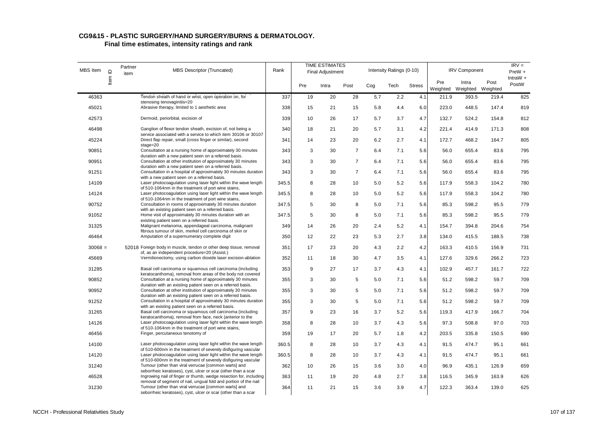| MBS Item  | $\mathbf{\underline{o}}$ | Partner<br>item | <b>MBS Descriptor (Truncated)</b>                                                                                                    | Rank  |     | <b>TIME ESTIMATES</b><br><b>Final Adjustment</b> |                |     | Intensity Ratings (0-10) |               |                 | <b>IRV Component</b>       |       | $IRV =$<br>$PreW +$ |
|-----------|--------------------------|-----------------|--------------------------------------------------------------------------------------------------------------------------------------|-------|-----|--------------------------------------------------|----------------|-----|--------------------------|---------------|-----------------|----------------------------|-------|---------------------|
|           | Item I                   |                 |                                                                                                                                      |       | Pre | Intra                                            | Post           | Cog | Tech                     | <b>Stress</b> | Pre<br>Weighted | Intra<br>Weighted Weighted | Post  | IntraW $+$<br>PostW |
| 46363     |                          |                 | Tendon sheath of hand or wrist, open operation on, for                                                                               | 337   | 19  | 20                                               | 28             | 5.7 | 2.2                      | 4.1           | 211.9           | 393.5                      | 219.4 | 825                 |
| 45021     |                          |                 | stenosing tenovaginitis=20<br>Abrasive therapy, limited to 1 aesthetic area                                                          | 338   | 15  | 21                                               | 15             | 5.8 | 4.4                      | 6.0           | 223.0           | 448.5                      | 147.4 | 819                 |
| 42573     |                          |                 | Dermoid, periorbital, excision of                                                                                                    | 339   | 10  | 26                                               | 17             | 5.7 | 3.7                      | 4.7           | 132.7           | 524.2                      | 154.8 | 812                 |
| 46498     |                          |                 | Ganglion of flexor tendon sheath, excision of, not being a<br>service associated with a service to which item 30106 or 30107         | 340   | 18  | 21                                               | 20             | 5.7 | 3.1                      | 4.2           | 221.4           | 414.9                      | 171.3 | 808                 |
| 45224     |                          |                 | Direct flap repair, small (cross finger or similar), second<br>$staae = 20$                                                          | 341   | 14  | 23                                               | 20             | 6.2 | 2.7                      | 4.1           | 172.7           | 468.2                      | 164.7 | 805                 |
| 90851     |                          |                 | Consultation at a nursing home of approximately 30 minutes<br>duration with a new patient seen on a referred basis.                  | 343   | 3   | 30                                               | $\overline{7}$ | 6.4 | 7.1                      | 5.6           | 56.0            | 655.4                      | 83.6  | 795                 |
| 90951     |                          |                 | Consultation at other institution of approximately 30 minutes<br>duration with a new patient seen on a referred basis.               | 343   | 3   | 30                                               | $\overline{7}$ | 6.4 | 7.1                      | 5.6           | 56.0            | 655.4                      | 83.6  | 795                 |
| 91251     |                          |                 | Consultation in a hospital of approximately 30 minutes duration<br>with a new patient seen on a referred basis.                      | 343   | 3   | 30                                               | $\overline{7}$ | 6.4 | 7.1                      | 5.6           | 56.0            | 655.4                      | 83.6  | 795                 |
| 14109     |                          |                 | Laser photocoagulation using laser light within the wave length<br>of 510-1064nm in the treatment of port wine stains,               | 345.5 | 8   | 28                                               | 10             | 5.0 | 5.2                      | 5.6           | 117.9           | 558.3                      | 104.2 | 780                 |
| 14124     |                          |                 | Laser photocoagulation using laser light within the wave length<br>of 510-1064nm in the treatment of port wine stains,               | 345.5 | 8   | 28                                               | 10             | 5.0 | 5.2                      | 5.6           | 117.9           | 558.3                      | 104.2 | 780                 |
| 90752     |                          |                 | Consultation in rooms of approximately 30 minutes duration<br>with an existing patient seen on a referred basis.                     | 347.5 | 5   | 30                                               | 8              | 5.0 | 7.1                      | 5.6           | 85.3            | 598.2                      | 95.5  | 779                 |
| 91052     |                          |                 | Home visit of approximately 30 minutes duration with an<br>existing patient seen on a referred basis.                                | 347.5 | 5   | 30                                               | 8              | 5.0 | 7.1                      | 5.6           | 85.3            | 598.2                      | 95.5  | 779                 |
| 31325     |                          |                 | Malignant melanoma, appendageal carcinoma, malignant<br>fibrous tumour of skin, merkel cell carcinoma of skin or                     | 349   | 14  | 26                                               | 20             | 2.4 | 5.2                      | 4.1           | 154.7           | 394.8                      | 204.6 | 754                 |
| 46464     |                          |                 | Amputation of a supernumerary complete digit                                                                                         | 350   | 12  | 22                                               | 23             | 5.3 | 2.7                      | 3.8           | 134.0           | 415.5                      | 188.5 | 738                 |
| $30068 =$ |                          |                 | 52018 Foreign body in muscle, tendon or other deep tissue, removal<br>of, as an independent procedure=20 (Assist.)                   | 351   | 17  | 23                                               | 20             | 4.3 | 2.2                      | 4.2           | 163.3           | 410.5                      | 156.9 | 731                 |
| 45669     |                          |                 | Vermilionectomy, using carbon dioxide laser excision-ablation                                                                        | 352   | 11  | 18                                               | 30             | 4.7 | 3.5                      | 4.1           | 127.6           | 329.6                      | 266.2 | 723                 |
| 31285     |                          |                 | Basal cell carcinoma or squamous cell carcinoma (including<br>keratocanthoma), removal from areas of the body not covered            | 353   | 9   | 27                                               | 17             | 3.7 | 4.3                      | 4.1           | 102.9           | 457.7                      | 161.7 | 722                 |
| 90852     |                          |                 | Consultation at a nursing home of approximately 30 minutes<br>duration with an existing patient seen on a referred basis.            | 355   | 3   | 30                                               | 5              | 5.0 | 7.1                      | 5.6           | 51.2            | 598.2                      | 59.7  | 709                 |
| 90952     |                          |                 | Consultation at other institution of approximately 30 minutes<br>duration with an existing patient seen on a referred basis.         | 355   | 3   | 30                                               | 5              | 5.0 | 7.1                      | 5.6           | 51.2            | 598.2                      | 59.7  | 709                 |
| 91252     |                          |                 | Consultation in a hospital of approximately 30 minutes duration<br>with an existing patient seen on a referred basis.                | 355   | 3   | 30                                               | 5              | 5.0 | 7.1                      | 5.6           | 51.2            | 598.2                      | 59.7  | 709                 |
| 31265     |                          |                 | Basal cell carcinoma or squamous cell carcinoma (including<br>keratocanthoma), removal from face, neck (anterior to the              | 357   | 9   | 23                                               | 16             | 3.7 | 5.2                      | 5.6           | 119.3           | 417.9                      | 166.7 | 704                 |
| 14126     |                          |                 | Laser photocoagulation using laser light within the wave length<br>of 510-1064nm in the treatment of port wine stains,               | 358   | 8   | 28                                               | 10             | 3.7 | 4.3                      | 5.6           | 97.3            | 508.8                      | 97.0  | 703                 |
| 46456     |                          |                 | Finger, percutaneous tenotomy of                                                                                                     | 359   | 19  | 17                                               | 20             | 5.7 | 1.8                      | 4.2           | 203.5           | 335.8                      | 150.5 | 690                 |
| 14100     |                          |                 | Laser photocoagulation using laser light within the wave length<br>of 510-600nm in the treatment of severely disfiguring vascular    | 360.5 | 8   | 28                                               | 10             | 3.7 | 4.3                      | 4.1           | 91.5            | 474.7                      | 95.1  | 661                 |
| 14120     |                          |                 | Laser photocoagulation using laser light within the wave length<br>of 510-600nm in the treatment of severely disfiguring vascular    | 360.5 | 8   | 28                                               | 10             | 3.7 | 4.3                      | 4.1           | 91.5            | 474.7                      | 95.1  | 661                 |
| 31240     |                          |                 | Tumour (other than viral verrucae [common warts] and<br>seborrheic keratoses), cyst, ulcer or scar (other than a scar                | 362   | 10  | 26                                               | 15             | 3.6 | 3.0                      | 4.0           | 96.9            | 435.1                      | 126.9 | 659                 |
| 46528     |                          |                 | Ingrowing nail of finger or thumb, wedge resection for, including<br>removal of segment of nail, ungual fold and portion of the nail | 363   | 11  | 19                                               | 20             | 4.8 | 2.7                      | 3.8           | 116.5           | 345.9                      | 163.9 | 626                 |
| 31230     |                          |                 | Tumour (other than viral verrucae [common warts] and<br>seborrheic keratoses), cyst, ulcer or scar (other than a scar                | 364   | 11  | 21                                               | 15             | 3.6 | 3.9                      | 4.7           | 122.3           | 363.4                      | 139.0 | 625                 |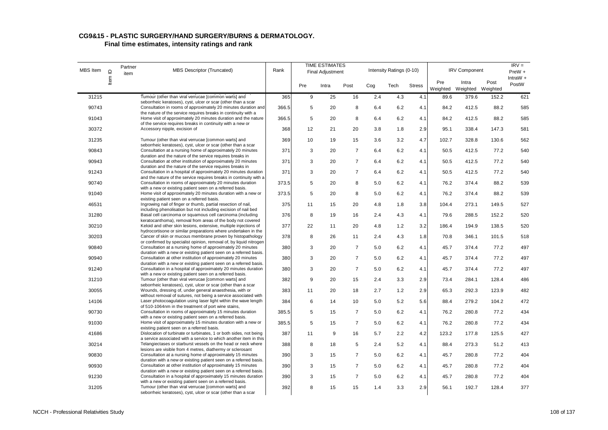#### **CG9&15 - PLASTIC SURGERY/HAND SURGERY/BURNS & DERMATOLOGY.**

| MBS Item | $\supseteq$ | Partner<br>item | <b>MBS Descriptor (Truncated)</b>                                                                                                                                                                 | Rank  |     | <b>TIME ESTIMATES</b><br><b>Final Adjustment</b> |                |     | Intensity Ratings (0-10) |               |                 | <b>IRV Component</b>       |       | $IRV =$<br>$PreW +$ |
|----------|-------------|-----------------|---------------------------------------------------------------------------------------------------------------------------------------------------------------------------------------------------|-------|-----|--------------------------------------------------|----------------|-----|--------------------------|---------------|-----------------|----------------------------|-------|---------------------|
|          | Item        |                 |                                                                                                                                                                                                   |       | Pre | Intra                                            | Post           | Cog | Tech                     | <b>Stress</b> | Pre<br>Weighted | Intra<br>Weighted Weighted | Post  | IntraW $+$<br>PostW |
| 31215    |             |                 | Tumour (other than viral verrucae [common warts] and                                                                                                                                              | 365   | 9   | 25                                               | 16             | 2.4 | 4.3                      | 4.1           | 89.6            | 379.6                      | 152.2 | 621                 |
| 90743    |             |                 | seborrheic keratoses), cyst, ulcer or scar (other than a scar<br>Consultation in rooms of approximately 20 minutes duration and<br>the nature of the service requires breaks in continuity with a | 366.5 | 5   | 20                                               | 8              | 6.4 | 6.2                      | 4.1           | 84.2            | 412.5                      | 88.2  | 585                 |
| 91043    |             |                 | Home visit of approximately 20 minutes duration and the nature<br>of the service requires breaks in continuity with a new or                                                                      | 366.5 | 5   | 20                                               | 8              | 6.4 | 6.2                      | 4.1           | 84.2            | 412.5                      | 88.2  | 585                 |
| 30372    |             |                 | Accessory nipple, excision of                                                                                                                                                                     | 368   | 12  | 21                                               | 20             | 3.8 | 1.8                      | 2.9           | 95.1            | 338.4                      | 147.3 | 581                 |
| 31235    |             |                 | Tumour (other than viral verrucae [common warts] and<br>seborrheic keratoses), cyst, ulcer or scar (other than a scar                                                                             | 369   | 10  | 19                                               | 15             | 3.6 | 3.2                      | 4.7           | 102.7           | 328.8                      | 130.6 | 562                 |
| 90843    |             |                 | Consultation at a nursing home of approximately 20 minutes<br>duration and the nature of the service requires breaks in                                                                           | 371   | 3   | 20                                               | $\overline{7}$ | 6.4 | 6.2                      | 4.1           | 50.5            | 412.5                      | 77.2  | 540                 |
| 90943    |             |                 | Consultation at other institution of approximately 20 minutes<br>duration and the nature of the service requires breaks in                                                                        | 371   | 3   | 20                                               | $\overline{7}$ | 6.4 | 6.2                      | 4.1           | 50.5            | 412.5                      | 77.2  | 540                 |
| 91243    |             |                 | Consultation in a hospital of approximately 20 minutes duration<br>and the nature of the service requires breaks in continuity with a                                                             | 371   | 3   | 20                                               | $\overline{7}$ | 6.4 | 6.2                      | 4.1           | 50.5            | 412.5                      | 77.2  | 540                 |
| 90740    |             |                 | Consultation in rooms of approximately 20 minutes duration<br>with a new or existing patient seen on a referred basis.                                                                            | 373.5 | 5   | 20                                               | 8              | 5.0 | 6.2                      | 4.1           | 76.2            | 374.4                      | 88.2  | 539                 |
| 91040    |             |                 | Home visit of approximately 20 minutes duration with a new or<br>existing patient seen on a referred basis.                                                                                       | 373.5 | 5   | 20                                               | 8              | 5.0 | 6.2                      | 4.1           | 76.2            | 374.4                      | 88.2  | 539                 |
| 46531    |             |                 | Ingrowing nail of finger or thumb, partial resection of nail,<br>including phenolisation but not including excision of nail bed                                                                   | 375   | 11  | 15                                               | 20             | 4.8 | 1.8                      | 3.8           | 104.4           | 273.1                      | 149.5 | 527                 |
| 31280    |             |                 | Basal cell carcinoma or squamous cell carcinoma (including<br>keratocanthoma), removal from areas of the body not covered                                                                         | 376   | 8   | 19                                               | 16             | 2.4 | 4.3                      | 4.1           | 79.6            | 288.5                      | 152.2 | 520                 |
| 30210    |             |                 | Keloid and other skin lesions, extensive, multiple injections of<br>hydrocortisone or similar preparations where undertaken in the                                                                | 377   | 22  | 11                                               | 20             | 4.8 | 1.2                      | 3.2           | 186.4           | 194.9                      | 138.5 | 520                 |
| 30203    |             |                 | Cancer of skin or mucous membrane proven by histopathology<br>or confirmed by specialist opinion, removal of, by liquid nitrogen                                                                  | 378   | 8   | 26                                               | 11             | 2.4 | 4.3                      | 1.8           | 70.8            | 346.1                      | 101.5 | 518                 |
| 90840    |             |                 | Consultation at a nursing home of approximately 20 minutes<br>duration with a new or existing patient seen on a referred basis.                                                                   | 380   | 3   | 20                                               | $\overline{7}$ | 5.0 | 6.2                      | 4.1           | 45.7            | 374.4                      | 77.2  | 497                 |
| 90940    |             |                 | Consultation at other institution of approximately 20 minutes<br>duration with a new or existing patient seen on a referred basis.                                                                | 380   | 3   | 20                                               | $\overline{7}$ | 5.0 | 6.2                      | 4.1           | 45.7            | 374.4                      | 77.2  | 497                 |
| 91240    |             |                 | Consultation in a hospital of approximately 20 minutes duration<br>with a new or existing patient seen on a referred basis.                                                                       | 380   | 3   | 20                                               | $\overline{7}$ | 5.0 | 6.2                      | 4.1           | 45.7            | 374.4                      | 77.2  | 497                 |
| 31210    |             |                 | Tumour (other than viral verrucae [common warts] and<br>seborrheic keratoses), cyst, ulcer or scar (other than a scar                                                                             | 382   | 9   | 20                                               | 15             | 2.4 | 3.3                      | 2.9           | 73.4            | 284.1                      | 128.4 | 486                 |
| 30055    |             |                 | Wounds, dressing of, under general anaesthesia, with or<br>without removal of sutures, not being a service associated with                                                                        | 383   | 11  | 20                                               | 18             | 2.7 | 1.2                      | 2.9           | 65.3            | 292.3                      | 123.9 | 482                 |
| 14106    |             |                 | Laser photocoagulation using laser light within the wave length<br>of 510-1064nm in the treatment of port wine stains,                                                                            | 384   | 6   | 14                                               | 10             | 5.0 | 5.2                      | 5.6           | 88.4            | 279.2                      | 104.2 | 472                 |
| 90730    |             |                 | Consultation in rooms of approximately 15 minutes duration<br>with a new or existing patient seen on a referred basis.                                                                            | 385.5 | 5   | 15                                               | $\overline{7}$ | 5.0 | 6.2                      | 4.1           | 76.2            | 280.8                      | 77.2  | 434                 |
| 91030    |             |                 | Home visit of approximately 15 minutes duration with a new or<br>existing patient seen on a referred basis.                                                                                       | 385.5 | 5   | 15                                               | $\overline{7}$ | 5.0 | 6.2                      | 4.1           | 76.2            | 280.8                      | 77.2  | 434                 |
| 41686    |             |                 | Dislocation of turbinate or turbinates, 1 or both sides, not being<br>a service associated with a service to which another item in this                                                           | 387   | 11  | 9                                                | 16             | 5.7 | 2.2                      | 4.2           | 123.2           | 177.8                      | 125.5 | 427                 |
| 30214    |             |                 | Telangiectases or starburst vessels on the head or neck where<br>lesions are visible from 4 metres, diathermy or sclerosant                                                                       | 388   | 8   | 18                                               | 5              | 2.4 | 5.2                      | 4.1           | 88.4            | 273.3                      | 51.2  | 413                 |
| 90830    |             |                 | Consultation at a nursing home of approximately 15 minutes<br>duration with a new or existing patient seen on a referred basis.                                                                   | 390   | 3   | 15                                               | $\overline{7}$ | 5.0 | 6.2                      | 4.1           | 45.7            | 280.8                      | 77.2  | 404                 |
| 90930    |             |                 | Consultation at other institution of approximately 15 minutes<br>duration with a new or existing patient seen on a referred basis.                                                                | 390   | 3   | 15                                               | $\overline{7}$ | 5.0 | 6.2                      | 4.1           | 45.7            | 280.8                      | 77.2  | 404                 |
| 91230    |             |                 | Consultation in a hospital of approximately 15 minutes duration<br>with a new or existing patient seen on a referred basis.                                                                       | 390   | 3   | 15                                               | $\overline{7}$ | 5.0 | 6.2                      | 4.1           | 45.7            | 280.8                      | 77.2  | 404                 |
| 31205    |             |                 | Tumour (other than viral verrucae [common warts] and<br>seborrheic keratoses), cyst, ulcer or scar (other than a scar                                                                             | 392   | 8   | 15                                               | 15             | 1.4 | 3.3                      | 2.9           | 56.1            | 192.7                      | 128.4 | 377                 |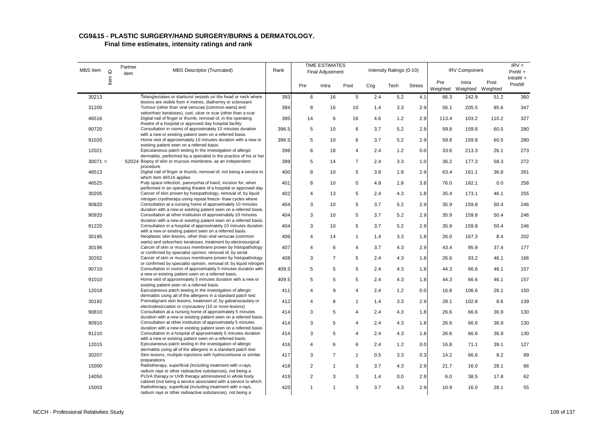#### **CG9&15 - PLASTIC SURGERY/HAND SURGERY/BURNS & DERMATOLOGY.**

| <b>MBS</b> Item | $\mathbf{\underline{o}}$ | Partner<br>item | <b>MBS Descriptor (Truncated)</b>                                                                                                                                                           | Rank  |                          | <b>TIME ESTIMATES</b><br>Final Adjustment |                 |     | Intensity Ratings (0-10) |               |                 | <b>IRV Component</b>       |       | $IRV =$<br>PreW + |
|-----------------|--------------------------|-----------------|---------------------------------------------------------------------------------------------------------------------------------------------------------------------------------------------|-------|--------------------------|-------------------------------------------|-----------------|-----|--------------------------|---------------|-----------------|----------------------------|-------|-------------------|
|                 | Item                     |                 |                                                                                                                                                                                             |       | Pre                      | Intra                                     | Post            | Cog | Tech                     | <b>Stress</b> | Pre<br>Weighted | Intra<br>Weighted Weighted | Post  | IntraW +<br>PostW |
| 30213           |                          |                 | Telangiectases or starburst vessels on the head or neck where                                                                                                                               | 393   | 6                        | 16                                        | $5\phantom{.0}$ | 2.4 | 5.2                      | 4.1           | 66.3            | 242.9                      | 51.2  | 360               |
| 31200           |                          |                 | lesions are visible from 4 metres, diathermy or sclerosant<br>Tumour (other than viral verrucae [common warts] and<br>seborrheic keratoses), cyst, ulcer or scar (other than a scar         | 394   | 8                        | 16                                        | 10              | 1.4 | 3.3                      | 2.9           | 56.1            | 205.5                      | 85.6  | 347               |
| 46516           |                          |                 | Digital nail of finger or thumb, removal of, in the operating<br>theatre of a hospital or approved day hospital facility                                                                    | 395   | 14                       | 6                                         | 16              | 4.6 | 1.2                      | 2.9           | 113.4           | 103.2                      | 110.2 | 327               |
| 90720           |                          |                 | Consultation in rooms of approximately 10 minutes duration<br>with a new or existing patient seen on a referred basis.                                                                      | 396.5 | 5                        | 10                                        | 6               | 3.7 | 5.2                      | 2.9           | 59.8            | 159.8                      | 60.5  | 280               |
| 91020           |                          |                 | Home visit of approximately 10 minutes duration with a new or<br>existing patient seen on a referred basis.                                                                                 | 396.5 | 5                        | 10                                        | 6               | 3.7 | 5.2                      | 2.9           | 59.8            | 159.8                      | 60.5  | 280               |
| 12021           |                          |                 | Epicutaneous patch testing in the investigation of allergic<br>dermatitis, performed by a specialist in the practice of his or her                                                          | 398   | 8                        | 18                                        | 4               | 2.4 | 1.2                      | 0.0           | 33.6            | 213.3                      | 26.1  | 273               |
| $30071 =$       |                          |                 | 52024 Biopsy of skin or mucous membrane, as an independent<br>procedure                                                                                                                     | 399   | 5                        | 14                                        | $\overline{7}$  | 2.4 | 3.3                      | 1.0           | 36.2            | 177.3                      | 58.3  | 272               |
| 46513           |                          |                 | Digital nail of finger or thumb, removal of, not being a service to<br>which item 46516 applies                                                                                             | 400   | 8                        | 10                                        | 5               | 3.8 | 1.8                      | 2.9           | 63.4            | 161.1                      | 36.8  | 261               |
| 46525           |                          |                 | Pulp space infection, paronychia of hand, incision for, when<br>performed in an operating theatre of a hospital or approved day                                                             | 401   | 8                        | 10                                        | 0               | 4.8 | 1.8                      | 3.8           | 76.0            | 182.1                      | 0.0   | 258               |
| 30205           |                          |                 | Cancer of skin proven by histopathology, removal of, by liquid                                                                                                                              | 402   | $\overline{\mathcal{A}}$ | 13                                        | 5               | 2.4 | 4.3                      | 1.8           | 35.4            | 173.1                      | 46.1  | 255               |
| 90820           |                          |                 | nitrogen cryotherapy using repeat freeze- thaw cycles where<br>Consultation at a nursing home of approximately 10 minutes                                                                   | 404   | 3                        | 10                                        | 5               | 3.7 | 5.2                      | 2.9           | 35.9            | 159.8                      | 50.4  | 246               |
| 90920           |                          |                 | duration with a new or existing patient seen on a referred basis.<br>Consultation at other institution of approximately 10 minutes                                                          | 404   | 3                        | 10                                        | 5               | 3.7 | 5.2                      | 2.9           | 35.9            | 159.8                      | 50.4  | 246               |
| 91220           |                          |                 | duration with a new or existing patient seen on a referred basis.<br>Consultation in a hospital of approximately 10 minutes duration                                                        | 404   | 3                        | 10                                        | 5               | 3.7 | 5.2                      | 2.9           | 35.9            | 159.8                      | 50.4  | 246               |
| 30195           |                          |                 | with a new or existing patient seen on a referred basis.<br>Neoplastic skin lesions, other than viral verrucae (common                                                                      | 406   | $\overline{4}$           | 14                                        | $\mathbf{1}$    | 1.4 | 3.3                      | 1.8           | 26.0            | 167.3                      | 8.4   | 202               |
| 30196           |                          |                 | warts) and seborrheic keratoses, treatment by electrosurgical<br>Cancer of skin or mucous membrane proven by histopathology                                                                 | 407   | 4                        | 6                                         | 4               | 3.7 | 4.3                      | 2.9           | 43.4            | 95.9                       | 37.4  | 177               |
| 30202           |                          |                 | or confirmed by specialist opinion, removal of, by serial<br>Cancer of skin or mucous membrane proven by histopathology                                                                     | 408   | 3                        | $\overline{7}$                            | 5               | 2.4 | 4.3                      | 1.8           | 26.6            | 93.2                       | 46.1  | 166               |
| 90710           |                          |                 | or confirmed by specialist opinion, removal of, by liquid nitrogen<br>Consultation in rooms of approximately 5 minutes duration with                                                        | 409.5 | 5                        | 5                                         | 5               | 2.4 | 4.3                      | 1.8           | 44.3            | 66.6                       | 46.1  | 157               |
| 91010           |                          |                 | a new or existing patient seen on a referred basis.<br>Home visit of approximately 5 minutes duration with a new or                                                                         | 409.5 | 5                        | 5                                         | 5               | 2.4 | 4.3                      | 1.8           | 44.3            | 66.6                       | 46.1  | 157               |
| 12018           |                          |                 | existing patient seen on a referred basis.<br>Epicutaneous patch testing in the investigation of allergic                                                                                   | 411   | 4                        | 9                                         | $\overline{4}$  | 2.4 | 1.2                      | 0.0           | 16.8            | 106.6                      | 26.1  | 150               |
| 30192           |                          |                 | dermatitis using all of the allergens in a standard patch test<br>Premalignant skin lesions, treatment of, by galvanocautery or                                                             | 412   | $\overline{4}$           | 8                                         | $\mathbf{1}$    | 1.4 | 3.3                      | 2.9           | 28.1            | 102.8                      | 8.6   | 139               |
| 90810           |                          |                 | electrodesiccation or cryocautery (10 or more lesions)<br>Consultation at a nursing home of approximately 5 minutes                                                                         | 414   | 3                        | 5                                         | 4               | 2.4 | 4.3                      | 1.8           | 26.6            | 66.6                       | 36.9  | 130               |
| 90910           |                          |                 | duration with a new or existing patient seen on a referred basis.<br>Consultation at other institution of approximately 5 minutes                                                           | 414   | 3                        | 5                                         | 4               | 2.4 | 4.3                      | 1.8           | 26.6            | 66.6                       | 36.9  | 130               |
| 91210           |                          |                 | duration with a new or existing patient seen on a referred basis.<br>Consultation in a hospital of approximately 5 minutes duration                                                         | 414   | 3                        | 5                                         | 4               | 2.4 | 4.3                      | 1.8           | 26.6            | 66.6                       | 36.9  | 130               |
| 12015           |                          |                 | with a new or existing patient seen on a referred basis.<br>Epicutaneous patch testing in the investigation of allergic                                                                     | 416   | $\overline{\mathcal{A}}$ | 6                                         | 6               | 2.4 | 1.2                      | 0.0           | 16.8            | 71.1                       | 39.1  | 127               |
| 30207           |                          |                 | dermatitis using all of the allergens in a standard patch test<br>Skin lesions, multiple injections with hydrocortisone or similar                                                          | 417   | 3                        | $\overline{7}$                            | $\mathbf{1}$    | 0.5 | 3.3                      | 0.3           | 14.2            | 66.6                       | 8.2   | 89                |
| 15000           |                          |                 | preparations<br>Radiotherapy, superficial (including treatment with x-rays,                                                                                                                 | 418   | 2                        | $\mathbf{1}$                              | 3               | 3.7 | 4.3                      | 2.9           | 21.7            | 16.0                       | 28.1  | 66                |
| 14050           |                          |                 | radium rays or other radioactive substances), not being a<br>PUVA therapy or UVB therapy administered in whole body                                                                         | 419   | $\overline{2}$           | 3                                         | 3               | 1.4 | 0.0                      | 2.9           | 6.0             | 38.5                       | 17.8  | 62                |
| 15003           |                          |                 | cabinet (not being a service associated with a service to which<br>Radiotherapy, superficial (including treatment with x-rays,<br>radium rays or other radioactive substances), not being a | 420   | 1                        | 1                                         | 3               | 3.7 | 4.3                      | 2.9           | 10.9            | 16.0                       | 28.1  | 55                |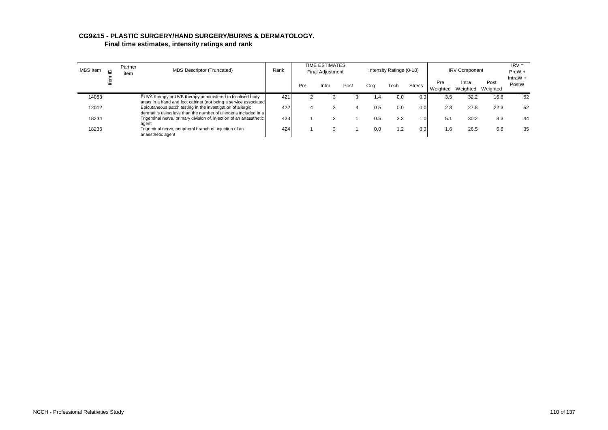# **CG9&15 - PLASTIC SURGERY/HAND SURGERY/BURNS & DERMATOLOGY.**

| <b>MBS</b> Item | = | Partner<br>item | <b>MBS Descriptor (Truncated)</b>                                                                                                      | Rank |     | TIME ESTIMATES<br><b>Final Adjustment</b> |      |              | Intensity Ratings (0-10) |               |                 | <b>IRV Component</b> |                  | $IRV =$<br>PreW +   |
|-----------------|---|-----------------|----------------------------------------------------------------------------------------------------------------------------------------|------|-----|-------------------------------------------|------|--------------|--------------------------|---------------|-----------------|----------------------|------------------|---------------------|
|                 |   |                 |                                                                                                                                        |      | Pre | Intra                                     | Post | Cog          | Tech                     | <b>Stress</b> | Pre<br>Weighted | Intra<br>Weighted    | Post<br>Weighted | IntraW $+$<br>PostW |
| 14053           |   |                 | PUVA therapy or UVB therapy administered to localised body                                                                             | 421  |     |                                           |      | $\mathbf{4}$ | 0.0                      | 0.3           | 3.5             | 32.2                 | 16.8             | 52                  |
|                 |   |                 | areas in a hand and foot cabinet (not being a service associated                                                                       |      |     |                                           |      |              |                          |               |                 |                      |                  |                     |
| 12012           |   |                 | Epicutaneous patch testing in the investigation of allergic                                                                            | 422  | 4   |                                           |      | 0.5          | 0.0                      | 0.0           | 2.3             | 27.8                 | 22.3             | 52                  |
| 18234           |   |                 | dermatitis using less than the number of allergens included in a<br>Trigeminal nerve, primary division of, injection of an anaesthetic | 423  |     |                                           |      | 0.5          | 3.3                      | ا 1.0         | 5.1             | 30.2                 | 8.3              | 44                  |
|                 |   |                 | agent                                                                                                                                  |      |     | -3                                        |      |              |                          |               |                 |                      |                  |                     |
| 18236           |   |                 | Trigeminal nerve, peripheral branch of, injection of an<br>anaesthetic agent                                                           | 424  |     |                                           |      | 0.0          | 1.2                      | 0.3           | 1.6             | 26.5                 | 6.6              | 35                  |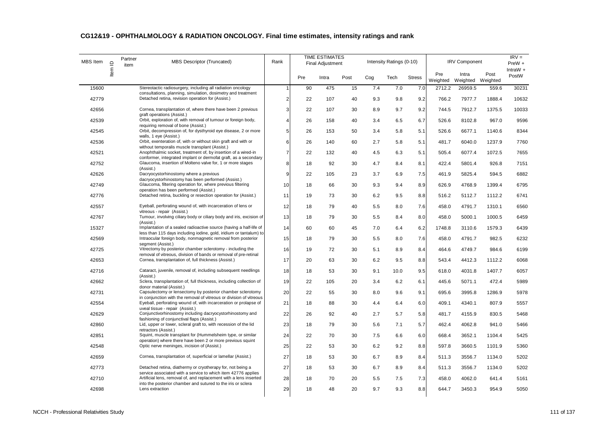| <b>MBS</b> Item | $\mathbf{\underline{\underline{\mathsf{O}}}}$ | Partner<br>item | <b>MBS Descriptor (Truncated)</b>                                                                                                                                                  | Rank                    |     | <b>TIME ESTIMATES</b><br><b>Final Adjustment</b> |      |     | Intensity Ratings (0-10) |               |                 | <b>IRV Component</b>       |        | $IRV =$<br>PreW +   |
|-----------------|-----------------------------------------------|-----------------|------------------------------------------------------------------------------------------------------------------------------------------------------------------------------------|-------------------------|-----|--------------------------------------------------|------|-----|--------------------------|---------------|-----------------|----------------------------|--------|---------------------|
|                 | Item                                          |                 |                                                                                                                                                                                    |                         | Pre | Intra                                            | Post | Cog | Tech                     | <b>Stress</b> | Pre<br>Weighted | Intra<br>Weighted Weighted | Post   | IntraW $+$<br>PostW |
| 15600           |                                               |                 | Stereotactic radiosurgery, including all radiation oncology                                                                                                                        | 1                       | 90  | 475                                              | 15   | 7.4 | 7.0                      | 7.0           | 2712.2          | 26959.5                    | 559.6  | 30231               |
| 42779           |                                               |                 | consultations, planning, simulation, dosimetry and treatment<br>Detached retina, revision operation for (Assist.)                                                                  | $\overline{\mathbf{c}}$ | 22  | 107                                              | 40   | 9.3 | 9.8                      | 9.2           | 766.2           | 7977.7                     | 1888.4 | 10632               |
| 42656           |                                               |                 | Cornea, transplantation of, where there have been 2 previous                                                                                                                       | 3                       | 22  | 107                                              | 30   | 8.9 | 9.7                      | 9.2           | 744.5           | 7912.7                     | 1375.5 | 10033               |
| 42539           |                                               |                 | graft operations (Assist.)<br>Orbit, exploration of, with removal of tumour or foreign body,                                                                                       | 4                       | 26  | 158                                              | 40   | 3.4 | 6.5                      | 6.7           | 526.6           | 8102.8                     | 967.0  | 9596                |
| 42545           |                                               |                 | requiring removal of bone (Assist.)<br>Orbit, decompression of, for dysthyroid eye disease, 2 or more                                                                              | 5                       | 26  | 153                                              | 50   | 3.4 | 5.8                      | 5.1           | 526.6           | 6677.1                     | 1140.6 | 8344                |
| 42536           |                                               |                 | walls, 1 eye (Assist.)<br>Orbit, exenteration of, with or without skin graft and with or                                                                                           | 6                       | 26  | 140                                              | 60   | 2.7 | 5.8                      | 5.1           | 481.7           | 6040.0                     | 1237.9 | 7760                |
| 42521           |                                               |                 | without temporalis muscle transplant (Assist.)<br>Anophthalmic socket, treatment of, by insertion of a wired-in<br>conformer, integrated implant or dermofat graft, as a secondary | $\overline{7}$          | 22  | 132                                              | 40   | 4.5 | 6.3                      | 5.1           | 505.4           | 6077.4                     | 1072.5 | 7655                |
| 42752           |                                               |                 | Glaucoma, insertion of Molteno valve for, 1 or more stages<br>(Assist.)                                                                                                            | 8                       | 18  | 92                                               | 30   | 4.7 | 8.4                      | 8.1           | 422.4           | 5801.4                     | 926.8  | 7151                |
| 42626           |                                               |                 | Dacryocystorhinostomy where a previous<br>dacryocystorhinostomy has been performed (Assist.)                                                                                       | 9                       | 22  | 105                                              | 23   | 3.7 | 6.9                      | 7.5           | 461.9           | 5825.4                     | 594.5  | 6882                |
| 42749           |                                               |                 | Glaucoma, filtering operation for, where previous filtering<br>operation has been performed (Assist.)                                                                              | 10                      | 18  | 66                                               | 30   | 9.3 | 9.4                      | 8.9           | 626.9           | 4768.9                     | 1399.4 | 6795                |
| 42776           |                                               |                 | Detached retina, buckling or resection operation for (Assist.)                                                                                                                     | 11                      | 19  | 73                                               | 30   | 6.2 | 9.5                      | 8.8           | 516.2           | 5112.7                     | 1112.2 | 6741                |
| 42557           |                                               |                 | Eyeball, perforating wound of, with incarceration of lens or<br>vitreous - repair (Assist.)                                                                                        | 12                      | 18  | 79                                               | 40   | 5.5 | 8.0                      | 7.6           | 458.0           | 4791.7                     | 1310.1 | 6560                |
| 42767           |                                               |                 | Tumour, involving ciliary body or ciliary body and iris, excision of<br>(Assist.)                                                                                                  | 13                      | 18  | 79                                               | 30   | 5.5 | 8.4                      | 8.0           | 458.0           | 5000.1                     | 1000.5 | 6459                |
| 15327           |                                               |                 | Implantation of a sealed radioactive source (having a half-life of<br>less than 115 days including iodine, gold, iridium or tantalum) to                                           | 14                      | 60  | 60                                               | 45   | 7.0 | 6.4                      | 6.2           | 1748.8          | 3110.6                     | 1579.3 | 6439                |
| 42569           |                                               |                 | Intraocular foreign body, nonmagnetic removal from posterior<br>segment (Assist.)                                                                                                  | 15                      | 18  | 79                                               | 30   | 5.5 | 8.0                      | 7.6           | 458.0           | 4791.7                     | 982.5  | 6232                |
| 42725           |                                               |                 | Vitrectomy by posterior chamber sclerotomy - including the<br>removal of vitreous, division of bands or removal of pre-retinal                                                     | 16                      | 19  | 72                                               | 30   | 5.1 | 8.9                      | 8.4           | 464.6           | 4749.7                     | 984.6  | 6199                |
| 42653           |                                               |                 | Cornea, transplantation of, full thickness (Assist.)                                                                                                                               | 17                      | 20  | 63                                               | 30   | 6.2 | 9.5                      | 8.8           | 543.4           | 4412.3                     | 1112.2 | 6068                |
| 42716           |                                               |                 | Cataract, juvenile, removal of, including subsequent needlings<br>(Assist.)                                                                                                        | 18                      | 18  | 53                                               | 30   | 9.1 | 10.0                     | 9.5           | 618.0           | 4031.8                     | 1407.7 | 6057                |
| 42662           |                                               |                 | Sclera, transplantation of, full thickness, including collection of<br>donor material (Assist.)                                                                                    | 19                      | 22  | 105                                              | 20   | 3.4 | 6.2                      | 6.1           | 445.6           | 5071.1                     | 472.4  | 5989                |
| 42731           |                                               |                 | Capsulectomy or lensectomy by posterior chamber sclerotomy<br>in conjunction with the removal of vitreous or division of vitreous                                                  | 20                      | 22  | 55                                               | 30   | 8.0 | 9.6                      | 9.1           | 695.6           | 3995.8                     | 1286.9 | 5978                |
| 42554           |                                               |                 | Eyeball, perforating wound of, with incarceration or prolapse of<br>uveal tissue - repair (Assist.)                                                                                | 21                      | 18  | 88                                               | 30   | 4.4 | 6.4                      | 6.0           | 409.1           | 4340.1                     | 807.9  | 5557                |
| 42629           |                                               |                 | Conjunctivorhinostomy including dacryocystorhinostomy and<br>fashioning of conjunctival flaps (Assist.)                                                                            | 22                      | 26  | 92                                               | 40   | 2.7 | 5.7                      | 5.8           | 481.7           | 4155.9                     | 830.5  | 5468                |
| 42860           |                                               |                 | Lid, upper or lower, scleral graft to, with recession of the lid<br>retractors (Assist.)                                                                                           | 23                      | 18  | 79                                               | 30   | 5.6 | 7.1                      | 5.7           | 462.4           | 4062.8                     | 941.0  | 5466                |
| 42851           |                                               |                 | Squint, muscle transplant for (Hummelsheim type, or similar<br>operation) where there have been 2 or more previous squint                                                          | 24                      | 22  | 70                                               | 30   | 7.5 | 6.6                      | 6.0           | 668.4           | 3652.1                     | 1104.4 | 5425                |
| 42548           |                                               |                 | Optic nerve meninges, incision of (Assist.)                                                                                                                                        | 25                      | 22  | 53                                               | 30   | 6.2 | 9.2                      | 8.8           | 597.8           | 3660.5                     | 1101.9 | 5360                |
| 42659           |                                               |                 | Cornea, transplantation of, superficial or lamellar (Assist.)                                                                                                                      | 27                      | 18  | 53                                               | 30   | 6.7 | 8.9                      | 8.4           | 511.3           | 3556.7                     | 1134.0 | 5202                |
| 42773           |                                               |                 | Detached retina, diathermy or cryotherapy for, not being a<br>service associated with a service to which item 42776 applies                                                        | 27                      | 18  | 53                                               | 30   | 6.7 | 8.9                      | 8.4           | 511.3           | 3556.7                     | 1134.0 | 5202                |
| 42710           |                                               |                 | Artificial lens, removal of, and replacement with a lens inserted<br>into the posterior chamber and sutured to the iris or sclera                                                  | 28                      | 18  | 70                                               | 20   | 5.5 | 7.5                      | 7.3           | 458.0           | 4062.0                     | 641.4  | 5161                |
| 42698           |                                               |                 | Lens extraction                                                                                                                                                                    | 29                      | 18  | 48                                               | 20   | 9.7 | 9.3                      | 8.8           | 644.7           | 3450.3                     | 954.9  | 5050                |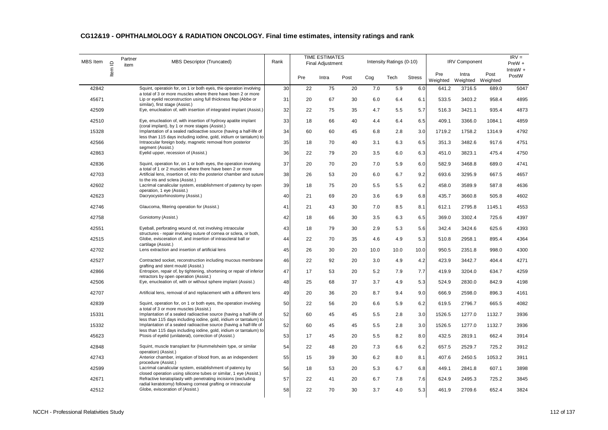| MBS Item | $\mathrel{\underline{\mathsf{O}}}$ | Partner<br>item | MBS Descriptor (Truncated)                                                                                                               | Rank |     | <b>TIME ESTIMATES</b><br><b>Final Adjustment</b> |      |      | Intensity Ratings (0-10) |               |                 | <b>IRV Component</b>       |        | $IRV =$<br>PreW +   |
|----------|------------------------------------|-----------------|------------------------------------------------------------------------------------------------------------------------------------------|------|-----|--------------------------------------------------|------|------|--------------------------|---------------|-----------------|----------------------------|--------|---------------------|
|          | Item                               |                 |                                                                                                                                          |      | Pre | Intra                                            | Post | Cog  | Tech                     | <b>Stress</b> | Pre<br>Weighted | Intra<br>Weighted Weighted | Post   | IntraW $+$<br>PostW |
| 42842    |                                    |                 | Squint, operation for, on 1 or both eyes, the operation involving<br>a total of 3 or more muscles where there have been 2 or more        | 30   | 22  | 75                                               | 20   | 7.0  | 5.9                      | 6.0           | 641.2           | 3716.5                     | 689.0  | 5047                |
| 45671    |                                    |                 | Lip or eyelid reconstruction using full thickness flap (Abbe or                                                                          | 31   | 20  | 67                                               | 30   | 6.0  | 6.4                      | 6.1           | 533.5           | 3403.2                     | 958.4  | 4895                |
| 42509    |                                    |                 | similar), first stage (Assist.)<br>Eye, enucleation of, with insertion of integrated implant (Assist.)                                   | 32   | 22  | 75                                               | 35   | 4.7  | 5.5                      | 5.7           | 516.3           | 3421.1                     | 935.4  | 4873                |
| 42510    |                                    |                 | Eye, enucleation of, with insertion of hydroxy apatite implant                                                                           | 33   | 18  | 66                                               | 40   | 4.4  | 6.4                      | 6.5           | 409.1           | 3366.0                     | 1084.1 | 4859                |
| 15328    |                                    |                 | (coral implant), by 1 or more stages (Assist.)<br>Implantation of a sealed radioactive source (having a half-life of                     | 34   | 60  | 60                                               | 45   | 6.8  | 2.8                      | 3.0           | 1719.2          | 1758.2                     | 1314.9 | 4792                |
| 42566    |                                    |                 | less than 115 days including iodine, gold, iridium or tantalum) to<br>Intraocular foreign body, magnetic removal from posterior          | 35   | 18  | 70                                               | 40   | 3.1  | 6.3                      | 6.5           | 351.3           | 3482.6                     | 917.6  | 4751                |
| 42863    |                                    |                 | segment (Assist.)<br>Eyelid upper, recession of (Assist.)                                                                                | 36   | 22  | 79                                               | 20   | 3.5  | 6.0                      | 6.3           | 451.0           | 3823.1                     | 475.4  | 4750                |
| 42836    |                                    |                 | Squint, operation for, on 1 or both eyes, the operation involving                                                                        | 37   | 20  | 70                                               | 20   | 7.0  | 5.9                      | 6.0           | 582.9           | 3468.8                     | 689.0  | 4741                |
| 42703    |                                    |                 | a total of 1 or 2 muscles where there have been 2 or more<br>Artificial lens, insertion of, into the posterior chamber and suture        | 38   | 26  | 53                                               | 20   | 6.0  | 6.7                      | 9.2           | 693.6           | 3295.9                     | 667.5  | 4657                |
| 42602    |                                    |                 | to the iris and sclera (Assist.)<br>Lacrimal canalicular system, establishment of patency by open<br>operation, 1 eye (Assist.)          | 39   | 18  | 75                                               | 20   | 5.5  | 5.5                      | 6.2           | 458.0           | 3589.9                     | 587.8  | 4636                |
| 42623    |                                    |                 | Dacryocystorhinostomy (Assist.)                                                                                                          | 40   | 21  | 69                                               | 20   | 3.6  | 6.9                      | 6.8           | 435.7           | 3660.8                     | 505.8  | 4602                |
| 42746    |                                    |                 | Glaucoma, filtering operation for (Assist.)                                                                                              | 41   | 21  | 43                                               | 30   | 7.0  | 8.5                      | 8.1           | 612.1           | 2795.8                     | 1145.1 | 4553                |
| 42758    |                                    |                 | Goniotomy (Assist.)                                                                                                                      | 42   | 18  | 66                                               | 30   | 3.5  | 6.3                      | 6.5           | 369.0           | 3302.4                     | 725.6  | 4397                |
| 42551    |                                    |                 | Eyeball, perforating wound of, not involving intraocular<br>structures - repair involving suture of cornea or sclera, or both,           | 43   | 18  | 79                                               | 30   | 2.9  | 5.3                      | 5.6           | 342.4           | 3424.6                     | 625.6  | 4393                |
| 42515    |                                    |                 | Globe, evisceration of, and insertion of intrascleral ball or<br>cartilage (Assist.)                                                     | 44   | 22  | 70                                               | 35   | 4.6  | 4.9                      | 5.3           | 510.8           | 2958.1                     | 895.4  | 4364                |
| 42702    |                                    |                 | Lens extraction and insertion of artificial lens                                                                                         | 45   | 26  | 30                                               | 20   | 10.0 | 10.0                     | 10.0          | 950.5           | 2351.8                     | 998.0  | 4300                |
| 42527    |                                    |                 | Contracted socket, reconstruction including mucous membrane<br>grafting and stent mould (Assist.)                                        | 46   | 22  | 92                                               | 20   | 3.0  | 4.9                      | 4.2           | 423.9           | 3442.7                     | 404.4  | 4271                |
| 42866    |                                    |                 | Entropion, repair of, by tightening, shortening or repair of inferior<br>retractors by open operation (Assist.)                          | 47   | 17  | 53                                               | 20   | 5.2  | 7.9                      | 7.7           | 419.9           | 3204.0                     | 634.7  | 4259                |
| 42506    |                                    |                 | Eye, enucleation of, with or without sphere implant (Assist.)                                                                            | 48   | 25  | 68                                               | 37   | 3.7  | 4.9                      | 5.3           | 524.9           | 2830.0                     | 842.9  | 4198                |
| 42707    |                                    |                 | Artificial lens, removal of and replacement with a different lens                                                                        | 49   | 20  | 36                                               | 20   | 8.7  | 9.4                      | 9.0           | 666.9           | 2598.0                     | 896.3  | 4161                |
| 42839    |                                    |                 | Squint, operation for, on 1 or both eyes, the operation involving<br>a total of 3 or more muscles (Assist.)                              | 50   | 22  | 56                                               | 20   | 6.6  | 5.9                      | 6.2           | 619.5           | 2796.7                     | 665.5  | 4082                |
| 15331    |                                    |                 | Implantation of a sealed radioactive source (having a half-life of<br>less than 115 days including iodine, gold, iridium or tantalum) to | 52   | 60  | 45                                               | 45   | 5.5  | 2.8                      | 3.0           | 1526.5          | 1277.0                     | 1132.7 | 3936                |
| 15332    |                                    |                 | Implantation of a sealed radioactive source (having a half-life of<br>less than 115 days including iodine, gold, iridium or tantalum) to | 52   | 60  | 45                                               | 45   | 5.5  | 2.8                      | 3.0           | 1526.5          | 1277.0                     | 1132.7 | 3936                |
| 45623    |                                    |                 | Ptosis of eyelid (unilateral), correction of (Assist.)                                                                                   | 53   | 17  | 45                                               | 20   | 5.5  | 8.2                      | 8.0           | 432.5           | 2819.1                     | 662.4  | 3914                |
| 42848    |                                    |                 | Squint, muscle transplant for (Hummelsheim type, or similar<br>operation) (Assist.)                                                      | 54   | 22  | 48                                               | 20   | 7.3  | 6.6                      | 6.2           | 657.5           | 2529.7                     | 725.2  | 3912                |
| 42743    |                                    |                 | Anterior chamber, irrigation of blood from, as an independent<br>procedure (Assist.)                                                     | 55   | 15  | 39                                               | 30   | 6.2  | 8.0                      | 8.1           | 407.6           | 2450.5                     | 1053.2 | 3911                |
| 42599    |                                    |                 | Lacrimal canalicular system, establishment of patency by<br>closed operation using silicone tubes or similar, 1 eye (Assist.)            | 56   | 18  | 53                                               | 20   | 5.3  | 6.7                      | 6.8           | 449.1           | 2841.8                     | 607.1  | 3898                |
| 42671    |                                    |                 | Refractive keratoplasty with penetrating incisions (excluding<br>radial keratotomy) following corneal grafting or intraocular            | 57   | 22  | 41                                               | 20   | 6.7  | 7.8                      | 7.6           | 624.9           | 2495.3                     | 725.2  | 3845                |
| 42512    |                                    |                 | Globe, evisceration of (Assist.)                                                                                                         | 58   | 22  | 70                                               | 30   | 3.7  | 4.0                      | 5.3           | 461.9           | 2709.6                     | 652.4  | 3824                |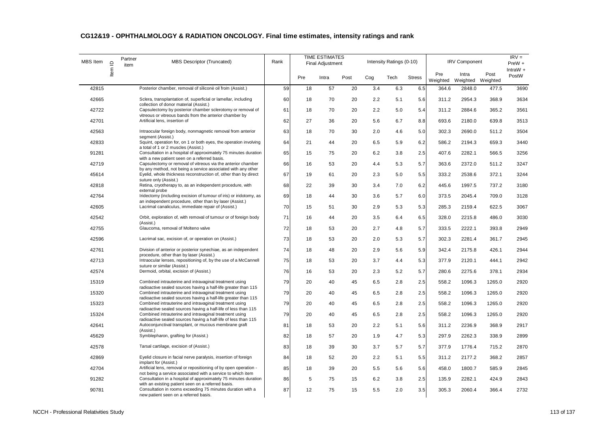| <b>MBS</b> Item | $\supseteq$ | Partner<br>item | MBS Descriptor (Truncated)                                                                                                      | Rank |     | <b>TIME ESTIMATES</b><br><b>Final Adjustment</b> |      |     | Intensity Ratings (0-10) |               |                 | <b>IRV Component</b>       |        | $IRV =$<br>PreW +   |
|-----------------|-------------|-----------------|---------------------------------------------------------------------------------------------------------------------------------|------|-----|--------------------------------------------------|------|-----|--------------------------|---------------|-----------------|----------------------------|--------|---------------------|
|                 | ltem        |                 |                                                                                                                                 |      | Pre | Intra                                            | Post | Cog | Tech                     | <b>Stress</b> | Pre<br>Weighted | Intra<br>Weighted Weighted | Post   | IntraW $+$<br>PostW |
| 42815           |             |                 | Posterior chamber, removal of silicone oil from (Assist.)                                                                       | 59   | 18  | 57                                               | 20   | 3.4 | 6.3                      | 6.5           | 364.6           | 2848.0                     | 477.5  | 3690                |
| 42665           |             |                 | Sclera, transplantation of, superficial or lamellar, including                                                                  | 60   | 18  | 70                                               | 20   | 2.2 | 5.1                      | 5.6           | 311.2           | 2954.3                     | 368.9  | 3634                |
| 42722           |             |                 | collection of donor material (Assist.)<br>Capsulectomy by posterior chamber sclerotomy or removal of                            | 61   | 18  | 70                                               | 20   | 2.2 | 5.0                      | 5.4           | 311.2           | 2884.6                     | 365.2  | 3561                |
| 42701           |             |                 | vitreous or vitreous bands from the anterior chamber by<br>Artificial lens, insertion of                                        | 62   | 27  | 36                                               | 20   | 5.6 | 6.7                      | 8.8           | 693.6           | 2180.0                     | 639.8  | 3513                |
| 42563           |             |                 | Intraocular foreign body, nonmagnetic removal from anterior<br>segment (Assist.)                                                | 63   | 18  | 70                                               | 30   | 2.0 | 4.6                      | 5.0           | 302.3           | 2690.0                     | 511.2  | 3504                |
| 42833           |             |                 | Squint, operation for, on 1 or both eyes, the operation involving<br>a total of 1 or 2 muscles (Assist.)                        | 64   | 21  | 44                                               | 20   | 6.5 | 5.9                      | 6.2           | 586.2           | 2194.3                     | 659.3  | 3440                |
| 91281           |             |                 | Consultation in a hospital of approximately 75 minutes duration<br>with a new patient seen on a referred basis.                 | 65   | 15  | 75                                               | 20   | 6.2 | 3.8                      | 2.5           | 407.6           | 2282.1                     | 566.5  | 3256                |
| 42719           |             |                 | Capsulectomy or removal of vitreous via the anterior chamber<br>by any method, not being a service associated with any other    | 66   | 16  | 53                                               | 20   | 4.4 | 5.3                      | 5.7           | 363.6           | 2372.0                     | 511.2  | 3247                |
| 45614           |             |                 | Eyelid, whole thickness reconstruction of, other than by direct<br>suture only (Assist.)                                        | 67   | 19  | 61                                               | 20   | 2.3 | 5.0                      | 5.5           | 333.2           | 2538.6                     | 372.1  | 3244                |
| 42818           |             |                 | Retina, cryotherapy to, as an independent procedure, with<br>external probe                                                     | 68   | 22  | 39                                               | 30   | 3.4 | 7.0                      | 6.2           | 445.6           | 1997.5                     | 737.2  | 3180                |
| 42764           |             |                 | Iridectomy (including excision of tumour of iris) or iridotomy, as<br>an independent procedure, other than by laser (Assist.)   | 69   | 18  | 44                                               | 30   | 3.6 | 5.7                      | 6.0           | 373.5           | 2045.4                     | 709.0  | 3128                |
| 42605           |             |                 | Lacrimal canaliculus, immediate repair of (Assist.)                                                                             | 70   | 15  | 51                                               | 30   | 2.9 | 5.3                      | 5.3           | 285.3           | 2159.4                     | 622.5  | 3067                |
| 42542           |             |                 | Orbit, exploration of, with removal of tumour or of foreign body<br>(Assist.)                                                   | 71   | 16  | 44                                               | 20   | 3.5 | 6.4                      | 6.5           | 328.0           | 2215.8                     | 486.0  | 3030                |
| 42755           |             |                 | Glaucoma, removal of Molteno valve                                                                                              | 72   | 18  | 53                                               | 20   | 2.7 | 4.8                      | 5.7           | 333.5           | 2222.1                     | 393.8  | 2949                |
| 42596           |             |                 | Lacrimal sac, excision of, or operation on (Assist.)                                                                            | 73   | 18  | 53                                               | 20   | 2.0 | 5.3                      | 5.7           | 302.3           | 2281.4                     | 361.7  | 2945                |
| 42761           |             |                 | Division of anterior or posterior synechiae, as an independent<br>procedure, other than by laser (Assist.)                      | 74   | 18  | 48                                               | 20   | 2.9 | 5.6                      | 5.9           | 342.4           | 2175.8                     | 426.1  | 2944                |
| 42713           |             |                 | Intraocular lenses, repositioning of, by the use of a McCannell<br>suture or similar (Assist.)                                  | 75   | 18  | 53                                               | 20   | 3.7 | 4.4                      | 5.3           | 377.9           | 2120.1                     | 444.1  | 2942                |
| 42574           |             |                 | Dermoid, orbital, excision of (Assist.)                                                                                         | 76   | 16  | 53                                               | 20   | 2.3 | 5.2                      | 5.7           | 280.6           | 2275.6                     | 378.1  | 2934                |
| 15319           |             |                 | Combined intrauterine and intravaginal treatment using<br>radioactive sealed sources having a half-life greater than 115        | 79   | 20  | 40                                               | 45   | 6.5 | 2.8                      | 2.5           | 558.2           | 1096.3                     | 1265.0 | 2920                |
| 15320           |             |                 | Combined intrauterine and intravaginal treatment using<br>radioactive sealed sources having a half-life greater than 115        | 79   | 20  | 40                                               | 45   | 6.5 | 2.8                      | 2.5           | 558.2           | 1096.3                     | 1265.0 | 2920                |
| 15323           |             |                 | Combined intrauterine and intravaginal treatment using<br>radioactive sealed sources having a half-life of less than 115        | 79   | 20  | 40                                               | 45   | 6.5 | 2.8                      | 2.5           | 558.2           | 1096.3                     | 1265.0 | 2920                |
| 15324           |             |                 | Combined intrauterine and intravaginal treatment using<br>radioactive sealed sources having a half-life of less than 115        | 79   | 20  | 40                                               | 45   | 6.5 | 2.8                      | 2.5           | 558.2           | 1096.3                     | 1265.0 | 2920                |
| 42641           |             |                 | Autoconjunctival transplant, or mucous membrane graft<br>(Assist.)                                                              | 81   | 18  | 53                                               | 20   | 2.2 | 5.1                      | 5.6           | 311.2           | 2236.9                     | 368.9  | 2917                |
| 45629           |             |                 | Symblepharon, grafting for (Assist.)                                                                                            | 82   | 18  | 57                                               | 20   | 1.9 | 4.7                      | 5.3           | 297.9           | 2262.3                     | 338.9  | 2899                |
| 42578           |             |                 | Tarsal cartilage, excision of (Assist.)                                                                                         | 83   | 18  | 39                                               | 30   | 3.7 | 5.7                      | 5.7           | 377.9           | 1776.4                     | 715.2  | 2870                |
| 42869           |             |                 | Eyelid closure in facial nerve paralysis, insertion of foreign<br>implant for (Assist.)                                         | 84   | 18  | 52                                               | 20   | 2.2 | 5.1                      | 5.5           | 311.2           | 2177.2                     | 368.2  | 2857                |
| 42704           |             |                 | Artificial lens, removal or repositioning of by open operation -<br>not being a service associated with a service to which item | 85   | 18  | 39                                               | 20   | 5.5 | 5.6                      | 5.6           | 458.0           | 1800.7                     | 585.9  | 2845                |
| 91282           |             |                 | Consultation in a hospital of approximately 75 minutes duration<br>with an existing patient seen on a referred basis.           | 86   | 5   | 75                                               | 15   | 6.2 | 3.8                      | 2.5           | 135.9           | 2282.1                     | 424.9  | 2843                |
| 90781           |             |                 | Consultation in rooms exceeding 75 minutes duration with a<br>new patient seen on a referred basis.                             | 87   | 12  | 75                                               | 15   | 5.5 | 2.0                      | 3.5           | 305.3           | 2060.4                     | 366.4  | 2732                |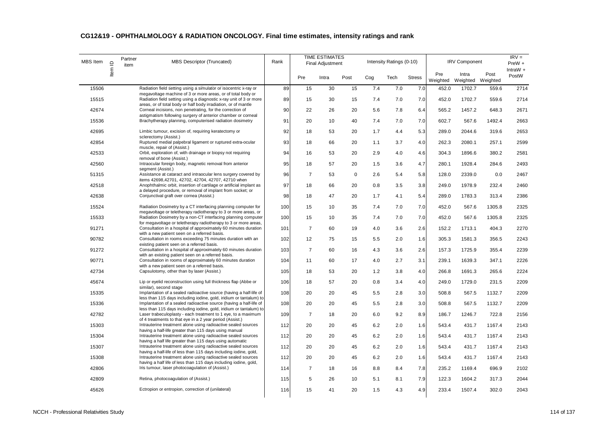| <b>MBS</b> Item | $\mathbf{\underline{\underline{\mathsf{O}}}}$ | Partner<br>item | <b>MBS Descriptor (Truncated)</b>                                                                                                        | Rank |                | <b>TIME ESTIMATES</b><br>Final Adjustment |             |     | Intensity Ratings (0-10) |               |                 | <b>IRV Component</b>       |        | $IRV =$<br>PreW +   |
|-----------------|-----------------------------------------------|-----------------|------------------------------------------------------------------------------------------------------------------------------------------|------|----------------|-------------------------------------------|-------------|-----|--------------------------|---------------|-----------------|----------------------------|--------|---------------------|
|                 | Item                                          |                 |                                                                                                                                          |      | Pre            | Intra                                     | Post        | Cog | Tech                     | <b>Stress</b> | Pre<br>Weighted | Intra<br>Weighted Weighted | Post   | IntraW $+$<br>PostW |
| 15506           |                                               |                 | Radiation field setting using a simulator or isocentric x-ray or                                                                         | 89   | 15             | 30                                        | 15          | 7.4 | 7.0                      | 7.0           | 452.0           | 1702.7                     | 559.6  | 2714                |
| 15515           |                                               |                 | megavoltage machine of 3 or more areas, or of total body or<br>Radiation field setting using a diagnostic x-ray unit of 3 or more        | 89   | 15             | 30                                        | 15          | 7.4 | 7.0                      | 7.0           | 452.0           | 1702.7                     | 559.6  | 2714                |
| 42674           |                                               |                 | areas, or of total body or half body irradiation, or of mantle<br>Corneal incisions, non penetrating, for the correction of              | 90   | 22             | 26                                        | 20          | 5.6 | 7.8                      | 6.4           | 565.2           | 1457.2                     | 648.3  | 2671                |
| 15536           |                                               |                 | astigmatism following surgery of anterior chamber or corneal<br>Brachytherapy planning, computerised radiation dosimetry                 | 91   | 20             | 10                                        | 40          | 7.4 | 7.0                      | 7.0           | 602.7           | 567.6                      | 1492.4 | 2663                |
| 42695           |                                               |                 | Limbic tumour, excision of, requiring keratectomy or                                                                                     | 92   | 18             | 53                                        | 20          | 1.7 | 4.4                      | 5.3           | 289.0           | 2044.6                     | 319.6  | 2653                |
| 42854           |                                               |                 | sclerectomy (Assist.)<br>Ruptured medial palpebral ligament or ruptured extra-ocular                                                     | 93   | 18             | 66                                        | 20          | 1.1 | 3.7                      | 4.0           | 262.3           | 2080.1                     | 257.1  | 2599                |
| 42533           |                                               |                 | muscle, repair of (Assist.)<br>Orbit, exploration of, with drainage or biopsy not requiring                                              | 94   | 16             | 53                                        | 20          | 2.9 | 4.0                      | 4.6           | 304.3           | 1896.6                     | 380.2  | 2581                |
| 42560           |                                               |                 | removal of bone (Assist.)<br>Intraocular foreign body, magnetic removal from anterior<br>seament (Assist.)                               | 95   | 18             | 57                                        | 20          | 1.5 | 3.6                      | 4.7           | 280.1           | 1928.4                     | 284.6  | 2493                |
| 51315           |                                               |                 | Assistance at cataract and intraocular lens surgery covered by<br>items 42698,42701, 42702, 42704, 42707, 42710 when                     | 96   | $\overline{7}$ | 53                                        | $\mathbf 0$ | 2.6 | 5.4                      | 5.8           | 128.0           | 2339.0                     | 0.0    | 2467                |
| 42518           |                                               |                 | Anophthalmic orbit, insertion of cartilage or artificial implant as<br>a delayed procedure, or removal of implant from socket; or        | 97   | 18             | 66                                        | 20          | 0.8 | 3.5                      | 3.8           | 249.0           | 1978.9                     | 232.4  | 2460                |
| 42638           |                                               |                 | Conjunctival graft over cornea (Assist.)                                                                                                 | 98   | 18             | 47                                        | 20          | 1.7 | 4.1                      | 5.4           | 289.0           | 1783.3                     | 313.4  | 2386                |
| 15524           |                                               |                 | Radiation Dosimetry by a CT interfacing planning computer for<br>megavoltage or teletherapy radiotherapy to 3 or more areas, or          | 100  | 15             | 10                                        | 35          | 7.4 | 7.0                      | 7.0           | 452.0           | 567.6                      | 1305.8 | 2325                |
| 15533           |                                               |                 | Radiation Dosimetry by a non-CT interfacing planning computer<br>for megavoltage or teletherapy radiotherapy to 3 or more areas,         | 100  | 15             | 10                                        | 35          | 7.4 | 7.0                      | 7.0           | 452.0           | 567.6                      | 1305.8 | 2325                |
| 91271           |                                               |                 | Consultation in a hospital of approximately 60 minutes duration<br>with a new patient seen on a referred basis.                          | 101  | $\overline{7}$ | 60                                        | 19          | 4.0 | 3.6                      | 2.6           | 152.2           | 1713.1                     | 404.3  | 2270                |
| 90782           |                                               |                 | Consultation in rooms exceeding 75 minutes duration with an<br>existing patient seen on a referred basis.                                | 102  | 12             | 75                                        | 15          | 5.5 | 2.0                      | 1.6           | 305.3           | 1581.3                     | 356.5  | 2243                |
| 91272           |                                               |                 | Consultation in a hospital of approximately 60 minutes duration<br>with an existing patient seen on a referred basis.                    | 103  | $\overline{7}$ | 60                                        | 16          | 4.3 | 3.6                      | 2.6           | 157.3           | 1725.9                     | 355.4  | 2239                |
| 90771           |                                               |                 | Consultation in rooms of approximately 60 minutes duration<br>with a new patient seen on a referred basis.                               | 104  | 11             | 60                                        | 17          | 4.0 | 2.7                      | 3.1           | 239.1           | 1639.3                     | 347.1  | 2226                |
| 42734           |                                               |                 | Capsulotomy, other than by laser (Assist.)                                                                                               | 105  | 18             | 53                                        | 20          | 1.2 | 3.8                      | 4.0           | 266.8           | 1691.3                     | 265.6  | 2224                |
| 45674           |                                               |                 | Lip or eyelid reconstruction using full thickness flap (Abbe or<br>similar), second stage                                                | 106  | 18             | 57                                        | 20          | 0.8 | 3.4                      | 4.0           | 249.0           | 1729.0                     | 231.5  | 2209                |
| 15335           |                                               |                 | Implantation of a sealed radioactive source (having a half-life of<br>less than 115 days including iodine, gold, iridium or tantalum) to | 108  | 20             | 20                                        | 45          | 5.5 | 2.8                      | 3.0           | 508.8           | 567.5                      | 1132.7 | 2209                |
| 15336           |                                               |                 | Implantation of a sealed radioactive source (having a half-life of<br>less than 115 days including iodine, gold, iridium or tantalum) to | 108  | 20             | 20                                        | 45          | 5.5 | 2.8                      | 3.0           | 508.8           | 567.5                      | 1132.7 | 2209                |
| 42782           |                                               |                 | Laser trabeculoplasty - each treatment to 1 eye, to a maximum<br>of 4 treatments to that eye in a 2 year period (Assist.)                | 109  | $\overline{7}$ | 18                                        | 20          | 6.0 | 9.2                      | 8.9           | 186.7           | 1246.7                     | 722.8  | 2156                |
| 15303           |                                               |                 | Intrauterine treatment alone using radioactive sealed sources<br>having a half-life greater than 115 days using manual                   | 112  | 20             | 20                                        | 45          | 6.2 | 2.0                      | 1.6           | 543.4           | 431.7                      | 1167.4 | 2143                |
| 15304           |                                               |                 | Intrauterine treatment alone using radioactive sealed sources<br>having a half life greater than 115 days using automatic                | 112  | 20             | 20                                        | 45          | 6.2 | 2.0                      | 1.6           | 543.4           | 431.7                      | 1167.4 | 2143                |
| 15307           |                                               |                 | Intrauterine treatment alone using radioactive sealed sources<br>having a half-life of less than 115 days including iodine, gold,        | 112  | 20             | 20                                        | 45          | 6.2 | 2.0                      | 1.6           | 543.4           | 431.7                      | 1167.4 | 2143                |
| 15308           |                                               |                 | Intrauterine treatment alone using radioactive sealed sources<br>having a half life of less than 115 days including iodine, gold,        | 112  | 20             | 20                                        | 45          | 6.2 | 2.0                      | 1.6           | 543.4           | 431.7                      | 1167.4 | 2143                |
| 42806           |                                               |                 | Iris tumour, laser photocoagulation of (Assist.)                                                                                         | 114  | $\overline{7}$ | 18                                        | 16          | 8.8 | 8.4                      | 7.8           | 235.2           | 1169.4                     | 696.9  | 2102                |
| 42809           |                                               |                 | Retina, photocoagulation of (Assist.)                                                                                                    | 115  | 5              | 26                                        | 10          | 5.1 | 8.1                      | 7.9           | 122.3           | 1604.2                     | 317.3  | 2044                |
| 45626           |                                               |                 | Ectropion or entropion, correction of (unilateral)                                                                                       | 116  | 15             | 41                                        | 20          | 1.5 | 4.3                      | 4.9           | 233.4           | 1507.4                     | 302.0  | 2043                |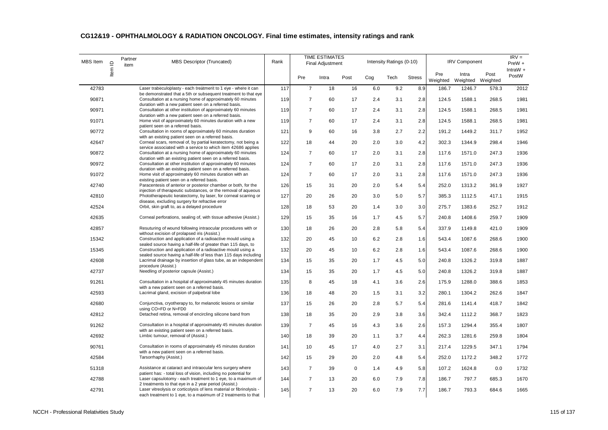| MBS Item | $\mathbf{\underline{\underline{\mathsf{O}}}}$ | Partner<br>item | MBS Descriptor (Truncated)                                                                                                                                                                     | Rank |                | <b>TIME ESTIMATES</b><br><b>Final Adjustment</b> |             |     | Intensity Ratings (0-10) |               |                 | <b>IRV Component</b>       |       | $IRV =$<br>PreW + |
|----------|-----------------------------------------------|-----------------|------------------------------------------------------------------------------------------------------------------------------------------------------------------------------------------------|------|----------------|--------------------------------------------------|-------------|-----|--------------------------|---------------|-----------------|----------------------------|-------|-------------------|
|          | ltem                                          |                 |                                                                                                                                                                                                |      | Pre            | Intra                                            | Post        | Coq | Tech                     | <b>Stress</b> | Pre<br>Weighted | Intra<br>Weighted Weighted | Post  | IntraW +<br>PostW |
| 42783    |                                               |                 | Laser trabeculoplasty - each treatment to 1 eye - where it can                                                                                                                                 | 117  | $\overline{7}$ | 18                                               | 16          | 6.0 | 9.2                      | 8.9           | 186.7           | 1246.7                     | 578.3 | 2012              |
| 90871    |                                               |                 | be demonstrated that a 5th or subsequent treatment to that eye<br>Consultation at a nursing home of approximately 60 minutes                                                                   | 119  | $\overline{7}$ | 60                                               | 17          | 2.4 | 3.1                      | 2.8           | 124.5           | 1588.1                     | 268.5 | 1981              |
| 90971    |                                               |                 | duration with a new patient seen on a referred basis.<br>Consultation at other institution of approximately 60 minutes                                                                         | 119  | $\overline{7}$ | 60                                               | 17          | 2.4 | 3.1                      | 2.8           | 124.5           | 1588.1                     | 268.5 | 1981              |
| 91071    |                                               |                 | duration with a new patient seen on a referred basis.<br>Home visit of approximately 60 minutes duration with a new                                                                            | 119  | $\overline{7}$ | 60                                               | 17          | 2.4 | 3.1                      | 2.8           | 124.5           | 1588.1                     | 268.5 | 1981              |
| 90772    |                                               |                 | patient seen on a referred basis.<br>Consultation in rooms of approximately 60 minutes duration                                                                                                | 121  | 9              | 60                                               | 16          | 3.8 | 2.7                      | 2.2           | 191.2           | 1449.2                     | 311.7 | 1952              |
| 42647    |                                               |                 | with an existing patient seen on a referred basis.<br>Corneal scars, removal of, by partial keratectomy, not being a                                                                           | 122  | 18             | 44                                               | 20          | 2.0 | 3.0                      | 4.2           | 302.3           | 1344.9                     | 298.4 | 1946              |
| 90872    |                                               |                 | service associated with a service to which item 42686 applies<br>Consultation at a nursing home of approximately 60 minutes                                                                    | 124  | $\overline{7}$ | 60                                               | 17          | 2.0 | 3.1                      | 2.8           | 117.6           | 1571.0                     | 247.3 | 1936              |
| 90972    |                                               |                 | duration with an existing patient seen on a referred basis.<br>Consultation at other institution of approximately 60 minutes                                                                   | 124  | $\overline{7}$ | 60                                               | 17          | 2.0 | 3.1                      | 2.8           | 117.6           | 1571.0                     | 247.3 | 1936              |
| 91072    |                                               |                 | duration with an existing patient seen on a referred basis.<br>Home visit of approximately 60 minutes duration with an                                                                         | 124  | $\overline{7}$ | 60                                               | 17          | 2.0 | 3.1                      | 2.8           | 117.6           | 1571.0                     | 247.3 | 1936              |
|          |                                               |                 | existing patient seen on a referred basis.                                                                                                                                                     |      |                |                                                  |             |     |                          |               |                 |                            |       |                   |
| 42740    |                                               |                 | Paracentesis of anterior or posterior chamber or both, for the<br>injection of therapeutic substances, or the removal of aqueous                                                               | 126  | 15             | 31                                               | 20          | 2.0 | 5.4                      | 5.4           | 252.0           | 1313.2                     | 361.9 | 1927              |
| 42810    |                                               |                 | Phototherapeutic keratectomy, by laser, for corneal scarring or<br>disease, excluding surgery for refractive error                                                                             | 127  | 20             | 26                                               | 20          | 3.0 | 5.0                      | 5.7           | 385.3           | 1112.5                     | 417.1 | 1915              |
| 42524    |                                               |                 | Orbit, skin graft to, as a delayed procedure                                                                                                                                                   | 128  | 18             | 53                                               | 20          | 1.4 | 3.0                      | 3.0           | 275.7           | 1383.6                     | 252.7 | 1912              |
| 42635    |                                               |                 | Corneal perforations, sealing of, with tissue adhesive (Assist.)                                                                                                                               | 129  | 15             | 35                                               | 16          | 1.7 | 4.5                      | 5.7           | 240.8           | 1408.6                     | 259.7 | 1909              |
| 42857    |                                               |                 | Resuturing of wound following intraocular procedures with or<br>without excision of prolapsed iris (Assist.)                                                                                   | 130  | 18             | 26                                               | 20          | 2.8 | 5.8                      | 5.4           | 337.9           | 1149.8                     | 421.0 | 1909              |
| 15342    |                                               |                 | Construction and application of a radioactive mould using a<br>sealed source having a half-life of greater than 115 days, to                                                                   | 132  | 20             | 45                                               | 10          | 6.2 | 2.8                      | 1.6           | 543.4           | 1087.6                     | 268.6 | 1900              |
| 15345    |                                               |                 | Construction and application of a radioactive mould using a<br>sealed source having a half-life of less than 115 days including                                                                | 132  | 20             | 45                                               | 10          | 6.2 | 2.8                      | 1.6           | 543.4           | 1087.6                     | 268.6 | 1900              |
| 42608    |                                               |                 | Lacrimal drainage by insertion of glass tube, as an independent<br>procedure (Assist.)                                                                                                         | 134  | 15             | 35                                               | 20          | 1.7 | 4.5                      | 5.0           | 240.8           | 1326.2                     | 319.8 | 1887              |
| 42737    |                                               |                 | Needling of posterior capsule (Assist.)                                                                                                                                                        | 134  | 15             | 35                                               | 20          | 1.7 | 4.5                      | 5.0           | 240.8           | 1326.2                     | 319.8 | 1887              |
| 91261    |                                               |                 | Consultation in a hospital of approximately 45 minutes duration<br>with a new patient seen on a referred basis.                                                                                | 135  | 8              | 45                                               | 18          | 4.1 | 3.6                      | 2.6           | 175.9           | 1288.0                     | 388.6 | 1853              |
| 42593    |                                               |                 | Lacrimal gland, excision of palpebral lobe                                                                                                                                                     | 136  | 18             | 48                                               | 20          | 1.5 | 3.1                      | 3.2           | 280.1           | 1304.2                     | 262.6 | 1847              |
| 42680    |                                               |                 | Conjunctiva, cryotherapy to, for melanotic lesions or similar<br>using CO=FD or N=FD0                                                                                                          | 137  | 15             | 26                                               | 20          | 2.8 | 5.7                      | 5.4           | 281.6           | 1141.4                     | 418.7 | 1842              |
| 42812    |                                               |                 | Detached retina, removal of encircling silicone band from                                                                                                                                      | 138  | 18             | 35                                               | 20          | 2.9 | 3.8                      | 3.6           | 342.4           | 1112.2                     | 368.7 | 1823              |
| 91262    |                                               |                 | Consultation in a hospital of approximately 45 minutes duration<br>with an existing patient seen on a referred basis.                                                                          | 139  | $\overline{7}$ | 45                                               | 16          | 4.3 | 3.6                      | 2.6           | 157.3           | 1294.4                     | 355.4 | 1807              |
| 42692    |                                               |                 | Limbic tumour, removal of (Assist.)                                                                                                                                                            | 140  | 18             | 39                                               | 20          | 1.1 | 3.7                      | 4.4           | 262.3           | 1281.6                     | 259.8 | 1804              |
| 90761    |                                               |                 | Consultation in rooms of approximately 45 minutes duration<br>with a new patient seen on a referred basis.                                                                                     | 141  | 10             | 45                                               | 17          | 4.0 | 2.7                      | 3.1           | 217.4           | 1229.5                     | 347.1 | 1794              |
| 42584    |                                               |                 | Tarsorrhaphy (Assist.)                                                                                                                                                                         | 142  | 15             | 29                                               | 20          | 2.0 | 4.8                      | 5.4           | 252.0           | 1172.2                     | 348.2 | 1772              |
| 51318    |                                               |                 | Assistance at cataract and intraocular lens surgery where<br>patient has: - total loss of vision, including no potential for                                                                   | 143  | $\overline{7}$ | 39                                               | $\mathbf 0$ | 1.4 | 4.9                      | 5.8           | 107.2           | 1624.8                     | 0.0   | 1732              |
| 42788    |                                               |                 | Laser capsulotomy - each treatment to 1 eye, to a maximum of                                                                                                                                   | 144  | $\overline{7}$ | 13                                               | 20          | 6.0 | 7.9                      | 7.8           | 186.7           | 797.7                      | 685.3 | 1670              |
| 42791    |                                               |                 | 2 treatments to that eye in a 2 year period (Assist.)<br>Laser vitreolysis or corticolysis of lens material or fibrinolysis -<br>each treatment to 1 eye, to a maximum of 2 treatments to that | 145  | $\overline{7}$ | 13                                               | 20          | 6.0 | 7.9                      | 7.7           | 186.7           | 793.3                      | 684.6 | 1665              |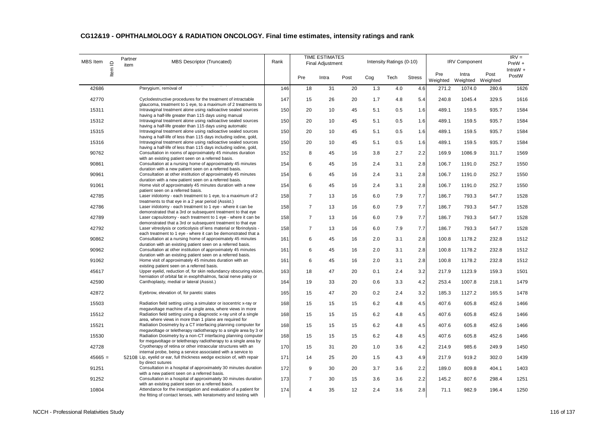| MBS Item  | $\mathbf{\underline{\underline{\mathsf{O}}}}$ | Partner<br>item | <b>MBS Descriptor (Truncated)</b>                                                                                                                                                                    | Rank |                | <b>TIME ESTIMATES</b><br><b>Final Adjustment</b> |      |     | Intensity Ratings (0-10) |               |                 | <b>IRV Component</b>       |       | $IRV =$<br>PreW +   |
|-----------|-----------------------------------------------|-----------------|------------------------------------------------------------------------------------------------------------------------------------------------------------------------------------------------------|------|----------------|--------------------------------------------------|------|-----|--------------------------|---------------|-----------------|----------------------------|-------|---------------------|
|           | Item                                          |                 |                                                                                                                                                                                                      |      | Pre            | Intra                                            | Post | Cog | Tech                     | <b>Stress</b> | Pre<br>Weighted | Intra<br>Weighted Weighted | Post  | IntraW $+$<br>PostW |
| 42686     |                                               |                 | Pterygium, removal of                                                                                                                                                                                | 146  | 18             | 31                                               | 20   | 1.3 | 4.0                      | 4.6           | 271.2           | 1074.0                     | 280.6 | 1626                |
| 42770     |                                               |                 | Cyclodestructive procedures for the treatment of intractable                                                                                                                                         | 147  | 15             | 26                                               | 20   | 1.7 | 4.8                      | 5.4           | 240.8           | 1045.4                     | 329.5 | 1616                |
| 15311     |                                               |                 | glaucoma, treatment to 1 eye, to a maximum of 2 treatments to<br>Intravaginal treatment alone using radioactive sealed sources<br>having a half-life greater than 115 days using manual              | 150  | 20             | 10                                               | 45   | 5.1 | 0.5                      | 1.6           | 489.1           | 159.5                      | 935.7 | 1584                |
| 15312     |                                               |                 | Intravaginal treatment alone using radioactive sealed sources                                                                                                                                        | 150  | 20             | 10                                               | 45   | 5.1 | 0.5                      | 1.6           | 489.1           | 159.5                      | 935.7 | 1584                |
| 15315     |                                               |                 | having a half-life greater than 115 days using automatic<br>Intravaginal treatment alone using radioactive sealed sources<br>having a half-life of less than 115 days including iodine, gold,        | 150  | 20             | 10                                               | 45   | 5.1 | 0.5                      | 1.6           | 489.1           | 159.5                      | 935.7 | 1584                |
| 15316     |                                               |                 | Intravaginal treatment alone using radioactive sealed sources                                                                                                                                        | 150  | 20             | 10                                               | 45   | 5.1 | 0.5                      | 1.6           | 489.1           | 159.5                      | 935.7 | 1584                |
| 90762     |                                               |                 | having a half-life of less than 115 days including iodine, gold,<br>Consultation in rooms of approximately 45 minutes duration<br>with an existing patient seen on a referred basis.                 | 152  | 8              | 45                                               | 16   | 3.8 | 2.7                      | 2.2           | 169.9           | 1086.9                     | 311.7 | 1569                |
| 90861     |                                               |                 | Consultation at a nursing home of approximately 45 minutes                                                                                                                                           | 154  | 6              | 45                                               | 16   | 2.4 | 3.1                      | 2.8           | 106.7           | 1191.0                     | 252.7 | 1550                |
| 90961     |                                               |                 | duration with a new patient seen on a referred basis.<br>Consultation at other institution of approximately 45 minutes<br>duration with a new patient seen on a referred basis.                      | 154  | 6              | 45                                               | 16   | 2.4 | 3.1                      | 2.8           | 106.7           | 1191.0                     | 252.7 | 1550                |
| 91061     |                                               |                 | Home visit of approximately 45 minutes duration with a new<br>patient seen on a referred basis.                                                                                                      | 154  | 6              | 45                                               | 16   | 2.4 | 3.1                      | 2.8           | 106.7           | 1191.0                     | 252.7 | 1550                |
| 42785     |                                               |                 | Laser iridotomy - each treatment to 1 eye, to a maximum of 2<br>treatments to that eye in a 2 year period (Assist.)                                                                                  | 158  | $\overline{7}$ | 13                                               | 16   | 6.0 | 7.9                      | 7.7           | 186.7           | 793.3                      | 547.7 | 1528                |
| 42786     |                                               |                 | Laser iridotomy - each treatment to 1 eye - where it can be                                                                                                                                          | 158  | $\overline{7}$ | 13                                               | 16   | 6.0 | 7.9                      | 7.7           | 186.7           | 793.3                      | 547.7 | 1528                |
| 42789     |                                               |                 | demonstrated that a 3rd or subsequent treatment to that eye<br>Laser capsulotomy - each treatment to 1 eye - where it can be<br>demonstrated that a 3rd or subsequent treatment to that eye          | 158  | $\overline{7}$ | 13                                               | 16   | 6.0 | 7.9                      | 7.7           | 186.7           | 793.3                      | 547.7 | 1528                |
| 42792     |                                               |                 | Laser vitreolysis or corticolysis of lens material or fibrinolysis -                                                                                                                                 | 158  | $\overline{7}$ | 13                                               | 16   | 6.0 | 7.9                      | 7.7           | 186.7           | 793.3                      | 547.7 | 1528                |
| 90862     |                                               |                 | each treatment to 1 eye - where it can be demonstrated that a<br>Consultation at a nursing home of approximately 45 minutes                                                                          | 161  | 6              | 45                                               | 16   | 2.0 | 3.1                      | 2.8           | 100.8           | 1178.2                     | 232.8 | 1512                |
| 90962     |                                               |                 | duration with an existing patient seen on a referred basis.<br>Consultation at other institution of approximately 45 minutes                                                                         | 161  | 6              | 45                                               | 16   | 2.0 | 3.1                      | 2.8           | 100.8           | 1178.2                     | 232.8 | 1512                |
| 91062     |                                               |                 | duration with an existing patient seen on a referred basis.<br>Home visit of approximately 45 minutes duration with an<br>existing patient seen on a referred basis.                                 | 161  | 6              | 45                                               | 16   | 2.0 | 3.1                      | 2.8           | 100.8           | 1178.2                     | 232.8 | 1512                |
| 45617     |                                               |                 | Upper eyelid, reduction of, for skin redundancy obscuring vision,                                                                                                                                    | 163  | 18             | 47                                               | 20   | 0.1 | 2.4                      | 3.2           | 217.9           | 1123.9                     | 159.3 | 1501                |
| 42590     |                                               |                 | herniation of orbital fat in exophthalmos, facial nerve palsy or<br>Canthoplasty, medial or lateral (Assist.)                                                                                        | 164  | 19             | 33                                               | 20   | 0.6 | 3.3                      | 4.2           | 253.4           | 1007.8                     | 218.1 | 1479                |
| 42872     |                                               |                 | Eyebrow, elevation of, for paretic states                                                                                                                                                            | 165  | 15             | 47                                               | 20   | 0.2 | 2.4                      | 3.2           | 185.3           | 1127.2                     | 165.5 | 1478                |
| 15503     |                                               |                 | Radiation field setting using a simulator or isocentric x-ray or                                                                                                                                     | 168  | 15             | 15                                               | 15   | 6.2 | 4.8                      | 4.5           | 407.6           | 605.8                      | 452.6 | 1466                |
| 15512     |                                               |                 | megavoltage machine of a single area, where views in more<br>Radiation field setting using a diagnostic x-ray unit of a single                                                                       | 168  | 15             | 15                                               | 15   | 6.2 | 4.8                      | 4.5           | 407.6           | 605.8                      | 452.6 | 1466                |
| 15521     |                                               |                 | area, where views in more than 1 plane are required for<br>Radiation Dosimetry by a CT interfacing planning computer for                                                                             | 168  | 15             | 15                                               | 15   | 6.2 | 4.8                      | 4.5           | 407.6           | 605.8                      | 452.6 | 1466                |
| 15530     |                                               |                 | megavoltage or teletherapy radiotherapy to a single area by 3 or<br>Radiation Dosimetry by a non-CT interfacing planning computer<br>for megavoltage or teletherapy radiotherapy to a single area by | 168  | 15             | 15                                               | 15   | 6.2 | 4.8                      | 4.5           | 407.6           | 605.8                      | 452.6 | 1466                |
| 42728     |                                               |                 | Cryotherapy of retina or other intraocular structures with an<br>internal probe, being a service associated with a service to                                                                        | 170  | 15             | 31                                               | 20   | 1.0 | 3.6                      | 4.2           | 214.9           | 985.6                      | 249.9 | 1450                |
| $45665 =$ |                                               |                 | 52108 Lip, eyelid or ear, full thickness wedge excision of, with repair<br>by direct sutures                                                                                                         | 171  | 14             | 25                                               | 20   | 1.5 | 4.3                      | 4.9           | 217.9           | 919.2                      | 302.0 | 1439                |
| 91251     |                                               |                 | Consultation in a hospital of approximately 30 minutes duration<br>with a new patient seen on a referred basis.                                                                                      | 172  | 9              | 30                                               | 20   | 3.7 | 3.6                      | 2.2           | 189.0           | 809.8                      | 404.1 | 1403                |
| 91252     |                                               |                 | Consultation in a hospital of approximately 30 minutes duration                                                                                                                                      | 173  | $\overline{7}$ | 30                                               | 15   | 3.6 | 3.6                      | 2.2           | 145.2           | 807.6                      | 298.4 | 1251                |
| 10804     |                                               |                 | with an existing patient seen on a referred basis.<br>Attendance for the investigation and evaluation of a patient for<br>the fitting of contact lenses, with keratometry and testing with           | 174  | 4              | 35                                               | 12   | 2.4 | 3.6                      | 2.8           | 71.1            | 982.9                      | 196.4 | 1250                |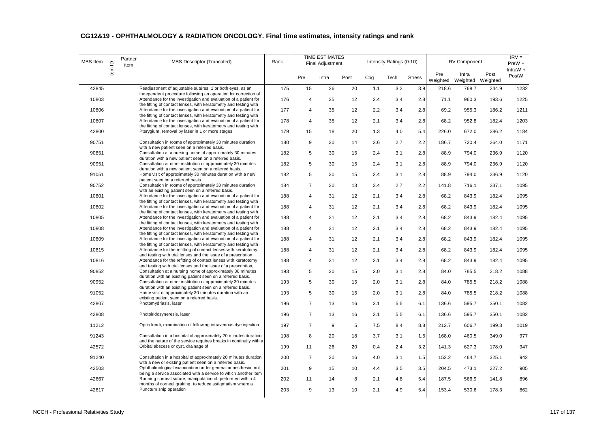| <b>MBS</b> Item | $\mathbf{\underline{\underline{\mathsf{O}}}}$ | Partner<br>item | <b>MBS Descriptor (Truncated)</b>                                                                                                     | Rank |                | <b>TIME ESTIMATES</b><br><b>Final Adjustment</b> |      |     | Intensity Ratings (0-10) |               |                 | <b>IRV Component</b>       |       | $IRV =$<br>PreW +   |
|-----------------|-----------------------------------------------|-----------------|---------------------------------------------------------------------------------------------------------------------------------------|------|----------------|--------------------------------------------------|------|-----|--------------------------|---------------|-----------------|----------------------------|-------|---------------------|
|                 | Item                                          |                 |                                                                                                                                       |      | Pre            | Intra                                            | Post | Cog | Tech                     | <b>Stress</b> | Pre<br>Weighted | Intra<br>Weighted Weighted | Post  | IntraW $+$<br>PostW |
| 42845           |                                               |                 | Readjustment of adjustable sutures, 1 or both eyes, as an                                                                             | 175  | 15             | 26                                               | 20   | 1.1 | 3.2                      | 3.9           | 218.6           | 768.7                      | 244.9 | 1232                |
| 10803           |                                               |                 | independent procedure following an operation for correction of<br>Attendance for the investigation and evaluation of a patient for    | 176  | $\overline{4}$ | 35                                               | 12   | 2.4 | 3.4                      | 2.8           | 71.1            | 960.3                      | 193.6 | 1225                |
| 10806           |                                               |                 | the fitting of contact lenses, with keratometry and testing with<br>Attendance for the investigation and evaluation of a patient for  | 177  | 4              | 35                                               | 12   | 2.2 | 3.4                      | 2.8           | 69.2            | 955.3                      | 186.2 | 1211                |
| 10807           |                                               |                 | the fitting of contact lenses, with keratometry and testing with<br>Attendance for the investigation and evaluation of a patient for  | 178  | $\overline{4}$ | 35                                               | 12   | 2.1 | 3.4                      | 2.8           | 68.2            | 952.8                      | 182.4 | 1203                |
| 42800           |                                               |                 | the fitting of contact lenses, with keratometry and testing with<br>Pterygium, removal by laser in 1 or more stages                   | 179  | 15             | 18                                               | 20   | 1.3 | 4.0                      | 5.4           | 226.0           | 672.0                      | 286.2 | 1184                |
| 90751           |                                               |                 | Consultation in rooms of approximately 30 minutes duration                                                                            | 180  | 9              | 30                                               | 14   | 3.6 | 2.7                      | 2.2           | 186.7           | 720.4                      | 264.0 | 1171                |
| 90851           |                                               |                 | with a new patient seen on a referred basis.<br>Consultation at a nursing home of approximately 30 minutes                            | 182  | 5              | 30                                               | 15   | 2.4 | 3.1                      | 2.8           | 88.9            | 794.0                      | 236.9 | 1120                |
| 90951           |                                               |                 | duration with a new patient seen on a referred basis.<br>Consultation at other institution of approximately 30 minutes                | 182  | 5              | 30                                               | 15   | 2.4 | 3.1                      | 2.8           | 88.9            | 794.0                      | 236.9 | 1120                |
|                 |                                               |                 | duration with a new patient seen on a referred basis.                                                                                 |      |                |                                                  |      |     |                          |               |                 |                            |       |                     |
| 91051           |                                               |                 | Home visit of approximately 30 minutes duration with a new<br>patient seen on a referred basis.                                       | 182  | 5              | 30                                               | 15   | 2.4 | 3.1                      | 2.8           | 88.9            | 794.0                      | 236.9 | 1120                |
| 90752           |                                               |                 | Consultation in rooms of approximately 30 minutes duration<br>with an existing patient seen on a referred basis.                      | 184  | $\overline{7}$ | 30                                               | 13   | 3.4 | 2.7                      | 2.2           | 141.8           | 716.1                      | 237.1 | 1095                |
| 10801           |                                               |                 | Attendance for the investigation and evaluation of a patient for<br>the fitting of contact lenses, with keratometry and testing with  | 188  | $\overline{4}$ | 31                                               | 12   | 2.1 | 3.4                      | 2.8           | 68.2            | 843.9                      | 182.4 | 1095                |
| 10802           |                                               |                 | Attendance for the investigation and evaluation of a patient for<br>the fitting of contact lenses, with keratometry and testing with  | 188  | 4              | 31                                               | 12   | 2.1 | 3.4                      | 2.8           | 68.2            | 843.9                      | 182.4 | 1095                |
| 10805           |                                               |                 | Attendance for the investigation and evaluation of a patient for<br>the fitting of contact lenses, with keratometry and testing with  | 188  | $\overline{4}$ | 31                                               | 12   | 2.1 | 3.4                      | 2.8           | 68.2            | 843.9                      | 182.4 | 1095                |
| 10808           |                                               |                 | Attendance for the investigation and evaluation of a patient for                                                                      | 188  | 4              | 31                                               | 12   | 2.1 | 3.4                      | 2.8           | 68.2            | 843.9                      | 182.4 | 1095                |
| 10809           |                                               |                 | the fitting of contact lenses, with keratometry and testing with<br>Attendance for the investigation and evaluation of a patient for  | 188  | $\overline{4}$ | 31                                               | 12   | 2.1 | 3.4                      | 2.8           | 68.2            | 843.9                      | 182.4 | 1095                |
| 10815           |                                               |                 | the fitting of contact lenses, with keratometry and testing with<br>Attendance for the refitting of contact lenses with keratotomy    | 188  | 4              | 31                                               | 12   | 2.1 | 3.4                      | 2.8           | 68.2            | 843.9                      | 182.4 | 1095                |
| 10816           |                                               |                 | and testing with trial lenses and the issue of a prescription<br>Attendance for the refitting of contact lenses with keratotomy       | 188  | 4              | 31                                               | 12   | 2.1 | 3.4                      | 2.8           | 68.2            | 843.9                      | 182.4 | 1095                |
| 90852           |                                               |                 | and testing with trial lenses and the issue of a prescription,<br>Consultation at a nursing home of approximately 30 minutes          | 193  | 5              | 30                                               | 15   | 2.0 | 3.1                      | 2.8           | 84.0            | 785.5                      | 218.2 | 1088                |
| 90952           |                                               |                 | duration with an existing patient seen on a referred basis.<br>Consultation at other institution of approximately 30 minutes          | 193  | 5              | 30                                               | 15   | 2.0 | 3.1                      | 2.8           | 84.0            | 785.5                      | 218.2 | 1088                |
|                 |                                               |                 | duration with an existing patient seen on a referred basis.                                                                           |      |                |                                                  |      |     |                          |               |                 |                            |       |                     |
| 91052           |                                               |                 | Home visit of approximately 30 minutes duration with an<br>existing patient seen on a referred basis.                                 | 193  | 5              | 30                                               | 15   | 2.0 | 3.1                      | 2.8           | 84.0            | 785.5                      | 218.2 | 1088                |
| 42807           |                                               |                 | Photomydriasis, laser                                                                                                                 | 196  | $\overline{7}$ | 13                                               | 16   | 3.1 | 5.5                      | 6.1           | 136.6           | 595.7                      | 350.1 | 1082                |
| 42808           |                                               |                 | Photoiridosyneresis, laser                                                                                                            | 196  | $\overline{7}$ | 13                                               | 16   | 3.1 | 5.5                      | 6.1           | 136.6           | 595.7                      | 350.1 | 1082                |
| 11212           |                                               |                 | Optic fundi, examination of following intravenous dye injection                                                                       | 197  | $\overline{7}$ | 9                                                | 5    | 7.5 | 8.4                      | 8.8           | 212.7           | 606.7                      | 199.3 | 1019                |
| 91243           |                                               |                 | Consultation in a hospital of approximately 20 minutes duration<br>and the nature of the service requires breaks in continuity with a | 198  | 8              | 20                                               | 18   | 3.7 | 3.1                      | 1.5           | 168.0           | 460.5                      | 349.0 | 977                 |
| 42572           |                                               |                 | Orbital abscess or cyst, drainage of                                                                                                  | 199  | 11             | 26                                               | 20   | 0.4 | 2.4                      | 3.2           | 141.3           | 627.3                      | 178.0 | 947                 |
| 91240           |                                               |                 | Consultation in a hospital of approximately 20 minutes duration                                                                       | 200  | $\overline{7}$ | 20                                               | 16   | 4.0 | 3.1                      | 1.5           | 152.2           | 464.7                      | 325.1 | 942                 |
| 42503           |                                               |                 | with a new or existing patient seen on a referred basis.<br>Ophthalmological examination under general anaesthesia, not               | 201  | 9              | 15                                               | 10   | 4.4 | 3.5                      | 3.5           | 204.5           | 473.1                      | 227.2 | 905                 |
| 42667           |                                               |                 | being a service associated with a service to which another item<br>Running corneal suture, manipulation of, performed within 4        | 202  | 11             | 14                                               | 8    | 2.1 | 4.8                      | 5.4           | 187.5           | 566.9                      | 141.8 | 896                 |
| 42617           |                                               |                 | months of corneal grafting, to reduce astigmatism where a<br>Punctum snip operation                                                   | 203  | 9              | 13                                               | 10   | 2.1 | 4.9                      | 5.4           | 153.4           | 530.6                      | 178.3 | 862                 |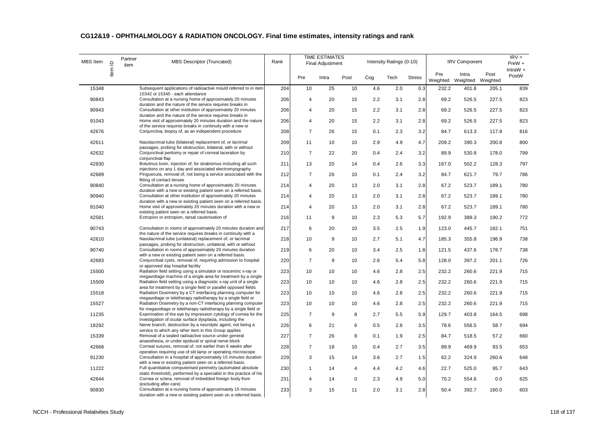| MBS Item | $\mathrel{\underline{\mathsf{O}}}$ | Partner<br>item | MBS Descriptor (Truncated)                                                                                                                     | Rank |                | <b>TIME ESTIMATES</b><br><b>Final Adjustment</b> |             |     | Intensity Ratings (0-10) |               |                 | <b>IRV Component</b>       |       | $IRV =$<br>PreW +   |
|----------|------------------------------------|-----------------|------------------------------------------------------------------------------------------------------------------------------------------------|------|----------------|--------------------------------------------------|-------------|-----|--------------------------|---------------|-----------------|----------------------------|-------|---------------------|
|          | ltem                               |                 |                                                                                                                                                |      | Pre            | Intra                                            | Post        | Cog | Tech                     | <b>Stress</b> | Pre<br>Weighted | Intra<br>Weighted Weighted | Post  | IntraW $+$<br>PostW |
| 15348    |                                    |                 | Subsequent applications of radioactive mould referred to in item                                                                               | 204  | 10             | 25                                               | 10          | 4.6 | 2.0                      | 0.3           | 232.2           | 401.8                      | 205.1 | 839                 |
| 90843    |                                    |                 | 15342 or 15345 - each attendance<br>Consultation at a nursing home of approximately 20 minutes                                                 | 206  | 4              | 20                                               | 15          | 2.2 | 3.1                      | 2.8           | 69.2            | 526.5                      | 227.5 | 823                 |
| 90943    |                                    |                 | duration and the nature of the service requires breaks in<br>Consultation at other institution of approximately 20 minutes                     | 206  | 4              | 20                                               | 15          | 2.2 | 3.1                      | 2.8           | 69.2            | 526.5                      | 227.5 | 823                 |
|          |                                    |                 | duration and the nature of the service requires breaks in                                                                                      |      |                |                                                  |             |     |                          |               |                 |                            |       |                     |
| 91043    |                                    |                 | Home visit of approximately 20 minutes duration and the nature<br>of the service requires breaks in continuity with a new or                   | 206  | 4              | 20                                               | 15          | 2.2 | 3.1                      | 2.8           | 69.2            | 526.5                      | 227.5 | 823                 |
| 42676    |                                    |                 | Conjunctiva, biopsy of, as an independent procedure                                                                                            | 208  | $\overline{7}$ | 26                                               | 15          | 0.1 | 2.3                      | 3.2           | 84.7            | 613.3                      | 117.8 | 816                 |
| 42611    |                                    |                 | Nasolacrimal tube (bilateral) replacement of, or lacrimal                                                                                      | 209  | 11             | 10                                               | 10          | 2.9 | 4.9                      | 4.7           | 209.2           | 390.3                      | 200.8 | 800                 |
| 42632    |                                    |                 | passages, probing for obstruction, bilateral, with or without<br>Conjunctival peritomy or repair of corneal laceration by<br>conjunctival flap | 210  | $\overline{7}$ | 22                                               | 20          | 0.4 | 2.4                      | 3.2           | 89.9            | 530.8                      | 178.0 | 799                 |
| 42830    |                                    |                 | Botulinus toxin, injection of, for strabismus including all such<br>injections on any 1 day and associated electromyography                    | 211  | 13             | 20                                               | 14          | 0.4 | 2.6                      | 3.3           | 167.0           | 502.2                      | 128.3 | 797                 |
| 42689    |                                    |                 | Pinguecula, removal of, not being a service associated with the<br>fitting of contact lenses                                                   | 212  | $\overline{7}$ | 26                                               | 10          | 0.1 | 2.4                      | 3.2           | 84.7            | 621.7                      | 79.7  | 786                 |
| 90840    |                                    |                 | Consultation at a nursing home of approximately 20 minutes<br>duration with a new or existing patient seen on a referred basis.                | 214  | 4              | 20                                               | 13          | 2.0 | 3.1                      | 2.8           | 67.2            | 523.7                      | 189.1 | 780                 |
| 90940    |                                    |                 | Consultation at other institution of approximately 20 minutes                                                                                  | 214  | 4              | 20                                               | 13          | 2.0 | 3.1                      | 2.8           | 67.2            | 523.7                      | 189.1 | 780                 |
| 91040    |                                    |                 | duration with a new or existing patient seen on a referred basis.<br>Home visit of approximately 20 minutes duration with a new or             | 214  | 4              | 20                                               | 13          | 2.0 | 3.1                      | 2.8           | 67.2            | 523.7                      | 189.1 | 780                 |
| 42581    |                                    |                 | existing patient seen on a referred basis.<br>Ectropion or entropion, tarsal cauterisation of                                                  | 216  | 11             | 9                                                | 10          | 2.3 | 5.3                      | 5.7           | 192.9           | 389.3                      | 190.2 | 772                 |
| 90743    |                                    |                 | Consultation in rooms of approximately 20 minutes duration and                                                                                 | 217  | 6              | 20                                               | 10          | 3.5 | 2.5                      | 1.9           | 123.0           | 445.7                      | 182.1 | 751                 |
| 42610    |                                    |                 | the nature of the service requires breaks in continuity with a<br>Nasolacrimal tube (unilateral) replacement of, or lacrimal                   | 218  | 10             | 9                                                | 10          | 2.7 | 5.1                      | 4.7           | 185.3           | 355.8                      | 196.9 | 738                 |
| 90740    |                                    |                 | passages, probing for obstruction, unilateral, with or without<br>Consultation in rooms of approximately 20 minutes duration                   | 219  | 6              | 20                                               | 10          | 3.4 | 2.5                      | 1.8           | 121.5           | 437.6                      | 178.7 | 738                 |
|          |                                    |                 | with a new or existing patient seen on a referred basis.                                                                                       |      |                |                                                  |             |     |                          |               |                 |                            |       |                     |
| 42683    |                                    |                 | Conjunctival cysts, removal of, requiring admission to hospital<br>or approved day hospital facility                                           | 220  | $\overline{7}$ | 9                                                | 10          | 2.6 | 5.4                      | 5.8           | 128.0           | 397.2                      | 201.1 | 726                 |
| 15500    |                                    |                 | Radiation field setting using a simulator or isocentric x-ray or<br>megavoltage machine of a single area for treatment by a single             | 223  | 10             | 10                                               | 10          | 4.6 | 2.8                      | 2.5           | 232.2           | 260.6                      | 221.9 | 715                 |
| 15509    |                                    |                 | Radiation field setting using a diagnostic x-ray unit of a single                                                                              | 223  | 10             | 10                                               | 10          | 4.6 | 2.8                      | 2.5           | 232.2           | 260.6                      | 221.9 | 715                 |
| 15518    |                                    |                 | area for treatment by a single field or parallel opposed fields<br>Radiation Dosimetry by a CT interfacing planning computer for               | 223  | 10             | 10                                               | 10          | 4.6 | 2.8                      | 2.5           | 232.2           | 260.6                      | 221.9 | 715                 |
| 15527    |                                    |                 | megavoltage or teletherapy radiotherapy by a single field or<br>Radiation Dosimetry by a non-CT interfacing planning computer                  | 223  | 10             | 10                                               | 10          | 4.6 | 2.8                      | 2.5           | 232.2           | 260.6                      | 221.9 | 715                 |
|          |                                    |                 | for megavoltage or teletherapy radiotherapy by a single field or                                                                               |      |                |                                                  |             |     |                          |               |                 |                            |       |                     |
| 11235    |                                    |                 | Examination of the eye by impression cytology of cornea for the<br>investigation of ocular surface dysplasia, including the                    | 225  | $\overline{7}$ | 9                                                | 8           | 2.7 | 5.5                      | 5.9           | 129.7           | 403.8                      | 164.5 | 698                 |
| 18292    |                                    |                 | Nerve branch, destruction by a neurolytic agent, not being a<br>service to which any other item in this Group applies                          | 226  | 6              | 21                                               | 6           | 0.5 | 2.8                      | 3.5           | 78.6            | 556.5                      | 58.7  | 694                 |
| 15339    |                                    |                 | Removal of a sealed radioactive source under general                                                                                           | 227  | $\overline{7}$ | 26                                               | 8           | 0.1 | 1.9                      | 2.5           | 84.7            | 518.5                      | 57.2  | 660                 |
| 42668    |                                    |                 | anaesthesia, or under epidural or spinal nerve block<br>Corneal sutures, removal of, not earlier than 6 weeks after                            | 228  | $\overline{7}$ | 18                                               | 10          | 0.4 | 2.7                      | 3.5           | 89.9            | 469.9                      | 93.5  | 653                 |
| 91230    |                                    |                 | operation requiring use of slit lamp or operating microscope<br>Consultation in a hospital of approximately 15 minutes duration                | 229  | 3              | 15                                               | 14          | 3.6 | 2.7                      | 1.5           | 62.2            | 324.9                      | 260.6 | 648                 |
|          |                                    |                 | with a new or existing patient seen on a referred basis.                                                                                       |      |                |                                                  |             |     |                          |               |                 |                            |       |                     |
| 11222    |                                    |                 | Full quantitative computerised perimetry (automated absolute<br>static threshold), performed by a specialist in the practice of his            | 230  | $\mathbf{1}$   | 14                                               | 4           | 4.4 | 4.2                      | 4.6           | 22.7            | 525.0                      | 95.7  | 643                 |
| 42644    |                                    |                 | Cornea or sclera, removal of imbedded foreign body from<br>(excluding after-care)                                                              | 231  | 4              | 14                                               | $\mathbf 0$ | 2.3 | 4.9                      | 5.0           | 70.2            | 554.6                      | 0.0   | 625                 |
| 90830    |                                    |                 | Consultation at a nursing home of approximately 15 minutes<br>duration with a new or existing patient seen on a referred basis.                | 233  | 3              | 15                                               | 11          | 2.0 | 3.1                      | 2.8           | 50.4            | 392.7                      | 160.0 | 603                 |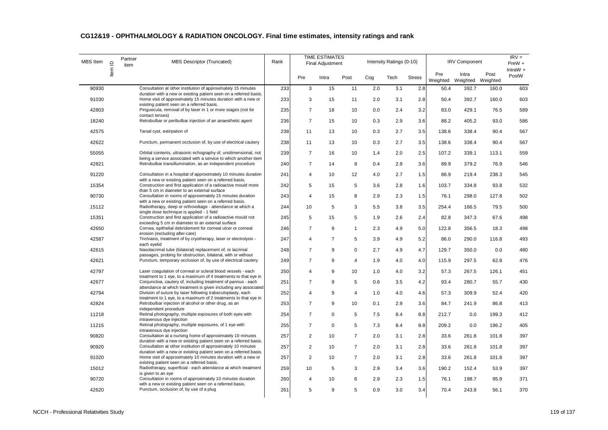| MBS Item | $\mathrel{\underline{\mathsf{O}}}$ | Partner<br>item | MBS Descriptor (Truncated)                                                                                                                                                       | Rank |                | <b>TIME ESTIMATES</b><br><b>Final Adjustment</b> |                |     | Intensity Ratings (0-10) |               |                 | <b>IRV Component</b>       |       | $IRV =$<br>PreW +   |
|----------|------------------------------------|-----------------|----------------------------------------------------------------------------------------------------------------------------------------------------------------------------------|------|----------------|--------------------------------------------------|----------------|-----|--------------------------|---------------|-----------------|----------------------------|-------|---------------------|
|          | Item                               |                 |                                                                                                                                                                                  |      | Pre            | Intra                                            | Post           | Cog | Tech                     | <b>Stress</b> | Pre<br>Weighted | Intra<br>Weighted Weighted | Post  | IntraW $+$<br>PostW |
| 90930    |                                    |                 | Consultation at other institution of approximately 15 minutes                                                                                                                    | 233  | 3              | 15                                               | 11             | 2.0 | 3.1                      | 2.8           | 50.4            | 392.7                      | 160.0 | 603                 |
| 91030    |                                    |                 | duration with a new or existing patient seen on a referred basis.<br>Home visit of approximately 15 minutes duration with a new or<br>existing patient seen on a referred basis. | 233  | 3              | 15                                               | 11             | 2.0 | 3.1                      | 2.8           | 50.4            | 392.7                      | 160.0 | 603                 |
| 42803    |                                    |                 | Pinguecula, removal of by laser in 1 or more stages (not for<br>contact lenses)                                                                                                  | 235  | $\overline{7}$ | 18                                               | 10             | 0.0 | 2.4                      | 3.2           | 83.0            | 429.1                      | 76.5  | 589                 |
| 18240    |                                    |                 | Retrobulbar or peribulbar injection of an anaesthetic agent                                                                                                                      | 236  | $\overline{7}$ | 15                                               | 10             | 0.3 | 2.9                      | 3.6           | 88.2            | 405.2                      | 93.0  | 586                 |
| 42575    |                                    |                 | Tarsal cyst, extirpation of                                                                                                                                                      | 238  | 11             | 13                                               | 10             | 0.3 | 2.7                      | 3.5           | 138.6           | 338.4                      | 90.4  | 567                 |
| 42622    |                                    |                 | Punctum, permanent occlusion of, by use of electrical cautery                                                                                                                    | 238  | 11             | 13                                               | 10             | 0.3 | 2.7                      | 3.5           | 138.6           | 338.4                      | 90.4  | 567                 |
| 55055    |                                    |                 | Orbital contents, ultrasonic echography of, unidimensional, not<br>being a service associated with a service to which another item                                               | 239  | $\overline{7}$ | 16                                               | 10             | 1.4 | 2.0                      | 2.5           | 107.2           | 339.1                      | 113.1 | 559                 |
| 42821    |                                    |                 | Retrobulbar transillumination, as an independent procedure                                                                                                                       | 240  | $\overline{7}$ | 14                                               | 8              | 0.4 | 2.9                      | 3.6           | 89.9            | 379.2                      | 76.9  | 546                 |
| 91220    |                                    |                 | Consultation in a hospital of approximately 10 minutes duration<br>with a new or existing patient seen on a referred basis.                                                      | 241  | 4              | 10                                               | 12             | 4.0 | 2.7                      | 1.5           | 86.9            | 219.4                      | 238.3 | 545                 |
| 15354    |                                    |                 | Construction and first application of a radioactive mould more<br>than 5 cm in diameter to an external surface                                                                   | 242  | 5              | 15                                               | 5              | 3.6 | 2.8                      | 1.6           | 103.7           | 334.8                      | 93.8  | 532                 |
| 90730    |                                    |                 | Consultation in rooms of approximately 15 minutes duration<br>with a new or existing patient seen on a referred basis.                                                           | 243  | 4              | 15                                               | 8              | 2.9 | 2.3                      | 1.5           | 76.1            | 298.0                      | 127.8 | 502                 |
| 15112    |                                    |                 | Radiotherapy, deep or orthovoltage - attendance at which a<br>single dose technique is applied - 1 field                                                                         | 244  | 10             | 5                                                | 3              | 5.5 | 3.8                      | 3.5           | 254.4           | 166.5                      | 79.5  | 500                 |
| 15351    |                                    |                 | Construction and first application of a radioactive mould not<br>exceeding 5 cm in diameter to an external surface                                                               | 245  | 5              | 15                                               | 5              | 1.9 | 2.6                      | 2.4           | 82.8            | 347.3                      | 67.6  | 498                 |
| 42650    |                                    |                 | Cornea, epithelial debridement for corneal ulcer or corneal<br>erosion (excluding after-care)                                                                                    | 246  | $\overline{7}$ | 9                                                | $\mathbf{1}$   | 2.3 | 4.9                      | 5.0           | 122.8           | 356.5                      | 18.3  | 498                 |
| 42587    |                                    |                 | Trichiasis, treatment of by cryotherapy, laser or electrolysis -<br>each evelid                                                                                                  | 247  | 4              | $\overline{7}$                                   | 5              | 3.9 | 4.9                      | 5.2           | 86.0            | 290.0                      | 116.8 | 493                 |
| 42615    |                                    |                 | Nasolacrimal tube (bilateral) replacement of, or lacrimal<br>passages, probing for obstruction, bilateral, with or without                                                       | 248  | $\overline{7}$ | 9                                                | $\mathbf 0$    | 2.7 | 4.9                      | 4.7           | 129.7           | 350.0                      | 0.0   | 480                 |
| 42621    |                                    |                 | Punctum, temporary occlusion of, by use of electrical cautery                                                                                                                    | 249  | $\overline{7}$ | 9                                                | $\overline{4}$ | 1.9 | 4.0                      | 4.0           | 115.9           | 297.5                      | 62.8  | 476                 |
| 42797    |                                    |                 | Laser coagulation of corneal or scleral blood vessels - each<br>treatment to 1 eye, to a maximum of 4 treatments to that eye in                                                  | 250  | $\overline{4}$ | 9                                                | 10             | 1.0 | 4.0                      | 3.2           | 57.3            | 267.5                      | 126.1 | 451                 |
| 42677    |                                    |                 | Conjunctiva, cautery of, including treatment of pannus - each<br>attendance at which treatment is given including any associated                                                 | 251  | $\overline{7}$ | 9                                                | 5              | 0.6 | 3.5                      | 4.2           | 93.4            | 280.7                      | 55.7  | 430                 |
| 42794    |                                    |                 | Division of suture by laser following trabeculoplasty, each<br>treatment to 1 eye, to a maximum of 2 treatments to that eye in                                                   | 252  | 4              | 9                                                | $\overline{4}$ | 1.0 | 4.0                      | 4.6           | 57.3            | 309.9                      | 52.4  | 420                 |
| 42824    |                                    |                 | Retrobulbar injection of alcohol or other drug, as an<br>independent procedure                                                                                                   | 253  | $\overline{7}$ | 9                                                | 10             | 0.1 | 2.9                      | 3.6           | 84.7            | 241.9                      | 86.8  | 413                 |
| 11218    |                                    |                 | Retinal photography, multiple exposures of both eyes with<br>intravenous dye injection                                                                                           | 254  | $\overline{7}$ | $\mathbf 0$                                      | 5              | 7.5 | 8.4                      | 8.8           | 212.7           | 0.0                        | 199.3 | 412                 |
| 11215    |                                    |                 | Retinal photography, multiple exposures, of 1 eye with<br>intravenous dye injection                                                                                              | 255  | $\overline{7}$ | $\mathbf 0$                                      | 5              | 7.3 | 8.4                      | 8.8           | 209.2           | 0.0                        | 196.2 | 405                 |
| 90820    |                                    |                 | Consultation at a nursing home of approximately 10 minutes<br>duration with a new or existing patient seen on a referred basis.                                                  | 257  | 2              | 10                                               | $\overline{7}$ | 2.0 | 3.1                      | 2.8           | 33.6            | 261.8                      | 101.8 | 397                 |
| 90920    |                                    |                 | Consultation at other institution of approximately 10 minutes<br>duration with a new or existing patient seen on a referred basis.                                               | 257  | $\overline{2}$ | 10                                               | $\overline{7}$ | 2.0 | 3.1                      | 2.8           | 33.6            | 261.8                      | 101.8 | 397                 |
| 91020    |                                    |                 | Home visit of approximately 10 minutes duration with a new or<br>existing patient seen on a referred basis.                                                                      | 257  | $\overline{2}$ | 10                                               | $\overline{7}$ | 2.0 | 3.1                      | 2.8           | 33.6            | 261.8                      | 101.8 | 397                 |
| 15012    |                                    |                 | Radiotherapy, superficial - each attendance at which treatment<br>is given to an eye                                                                                             | 259  | 10             | 5                                                | 3              | 2.9 | 3.4                      | 3.6           | 190.2           | 152.4                      | 53.9  | 397                 |
| 90720    |                                    |                 | Consultation in rooms of approximately 10 minutes duration<br>with a new or existing patient seen on a referred basis.                                                           | 260  | $\overline{4}$ | 10                                               | 6              | 2.9 | 2.3                      | 1.5           | 76.1            | 198.7                      | 95.9  | 371                 |
| 42620    |                                    |                 | Punctum, occlusion of, by use of a plug                                                                                                                                          | 261  | 5              | 9                                                | 5              | 0.9 | 3.0                      | 3.4           | 70.4            | 243.8                      | 56.1  | 370                 |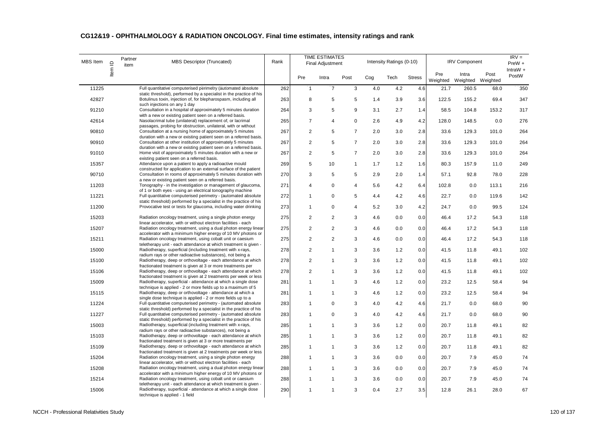| MBS Item | $\mathbf{\underline{\underline{\mathsf{O}}}}$ | Partner<br>item | MBS Descriptor (Truncated)                                                                                                             | Rank |                | <b>TIME ESTIMATES</b><br><b>Final Adjustment</b> |                |     | Intensity Ratings (0-10) |               |                 | <b>IRV Component</b>       |       | $IRV =$<br>PreW +   |
|----------|-----------------------------------------------|-----------------|----------------------------------------------------------------------------------------------------------------------------------------|------|----------------|--------------------------------------------------|----------------|-----|--------------------------|---------------|-----------------|----------------------------|-------|---------------------|
|          | ltem                                          |                 |                                                                                                                                        |      | Pre            | Intra                                            | Post           | Cog | Tech                     | <b>Stress</b> | Pre<br>Weighted | Intra<br>Weighted Weighted | Post  | IntraW $+$<br>PostW |
| 11225    |                                               |                 | Full quantitative computerised perimetry (automated absolute                                                                           | 262  | $\mathbf{1}$   | $\overline{7}$                                   | 3              | 4.0 | 4.2                      | 4.6           | 21.7            | 260.5                      | 68.0  | 350                 |
| 42827    |                                               |                 | static threshold), performed by a specialist in the practice of his<br>Botulinus toxin, injection of, for blepharospasm, including all | 263  | 8              | 5                                                | 5              | 1.4 | 3.9                      | 3.6           | 122.5           | 155.2                      | 69.4  | 347                 |
|          |                                               |                 | such injections on any 1 day                                                                                                           |      |                |                                                  |                |     |                          |               |                 |                            |       |                     |
| 91210    |                                               |                 | Consultation in a hospital of approximately 5 minutes duration<br>with a new or existing patient seen on a referred basis.             | 264  | 3              | 5                                                | 9              | 3.1 | 2.7                      | 1.4           | 58.5            | 104.8                      | 153.2 | 317                 |
| 42614    |                                               |                 | Nasolacrimal tube (unilateral) replacement of, or lacrimal                                                                             | 265  | $\overline{7}$ | 4                                                | $\mathbf 0$    | 2.6 | 4.9                      | 4.2           | 128.0           | 148.5                      | 0.0   | 276                 |
| 90810    |                                               |                 | passages, probing for obstruction, unilateral, with or without<br>Consultation at a nursing home of approximately 5 minutes            | 267  | $\overline{2}$ | 5                                                | $\overline{7}$ | 2.0 | 3.0                      | 2.8           | 33.6            | 129.3                      | 101.0 | 264                 |
|          |                                               |                 | duration with a new or existing patient seen on a referred basis.                                                                      |      |                |                                                  |                |     |                          |               |                 |                            |       |                     |
| 90910    |                                               |                 | Consultation at other institution of approximately 5 minutes<br>duration with a new or existing patient seen on a referred basis.      | 267  | $\overline{2}$ | 5                                                | $\overline{7}$ | 2.0 | 3.0                      | 2.8           | 33.6            | 129.3                      | 101.0 | 264                 |
| 91010    |                                               |                 | Home visit of approximately 5 minutes duration with a new or                                                                           | 267  | $\overline{2}$ | 5                                                | $\overline{7}$ | 2.0 | 3.0                      | 2.8           | 33.6            | 129.3                      | 101.0 | 264                 |
| 15357    |                                               |                 | existing patient seen on a referred basis.<br>Attendance upon a patient to apply a radioactive mould                                   | 269  | 5              | 10                                               | $\mathbf{1}$   | 1.7 | 1.2                      | 1.6           | 80.3            | 157.9                      | 11.0  | 249                 |
|          |                                               |                 | constructed for application to an external surface of the patient                                                                      |      |                |                                                  |                |     |                          |               |                 |                            |       |                     |
| 90710    |                                               |                 | Consultation in rooms of approximately 5 minutes duration with                                                                         | 270  | 3              | 5                                                | 5              | 2.9 | 2.0                      | 1.4           | 57.1            | 92.8                       | 78.0  | 228                 |
| 11203    |                                               |                 | a new or existing patient seen on a referred basis.<br>Tonography - in the investigation or management of glaucoma,                    | 271  | 4              | $\mathbf 0$                                      | $\overline{4}$ | 5.6 | 4.2                      | 6.4           | 102.8           | 0.0                        | 113.1 | 216                 |
|          |                                               |                 | of 1 or both eyes - using an electrical tonography machine                                                                             |      |                |                                                  |                |     |                          |               |                 |                            |       |                     |
| 11221    |                                               |                 | Full quantitative computerised perimetry - (automated absolute<br>static threshold) performed by a specialist in the practice of his   | 272  | $\mathbf{1}$   | 0                                                | 5              | 4.4 | 4.2                      | 4.6           | 22.7            | 0.0                        | 119.6 | 142                 |
| 11200    |                                               |                 | Provocative test or tests for glaucoma, including water drinking                                                                       | 273  | $\mathbf{1}$   | $\mathbf 0$                                      | $\overline{4}$ | 5.2 | 3.0                      | 4.2           | 24.7            | 0.0                        | 99.5  | 124                 |
| 15203    |                                               |                 | Radiation oncology treatment, using a single photon energy                                                                             | 275  | 2              | $\overline{2}$                                   | 3              | 4.6 | 0.0                      | 0.0           | 46.4            | 17.2                       | 54.3  | 118                 |
| 15207    |                                               |                 | linear accelerator, with or without electron facilities - each<br>Radiation oncology treatment, using a dual photon energy linear      | 275  | $\overline{2}$ | $\overline{2}$                                   | 3              | 4.6 | 0.0                      | 0.0           | 46.4            | 17.2                       | 54.3  | 118                 |
|          |                                               |                 | accelerator with a minimum higher energy of 10 MV photons or                                                                           |      |                |                                                  |                |     |                          |               |                 |                            |       |                     |
| 15211    |                                               |                 | Radiation oncology treatment, using cobalt unit or caesium                                                                             | 275  | $\overline{2}$ | $\overline{2}$                                   | 3              | 4.6 | 0.0                      | 0.0           | 46.4            | 17.2                       | 54.3  | 118                 |
| 15000    |                                               |                 | teletherapy unit - each attendance at which treatment is given -<br>Radiotherapy, superficial (including treatment with x-rays,        | 278  | $\overline{c}$ | $\mathbf{1}$                                     | 3              | 3.6 | 1.2                      | 0.0           | 41.5            | 11.8                       | 49.1  | 102                 |
|          |                                               |                 | radium rays or other radioactive substances), not being a                                                                              |      |                |                                                  |                |     |                          |               |                 |                            |       |                     |
| 15100    |                                               |                 | Radiotherapy, deep or orthovoltage - each attendance at which<br>fractionated treatment is given at 3 or more treatments per           | 278  | 2              | $\mathbf{1}$                                     | 3              | 3.6 | 1.2                      | 0.0           | 41.5            | 11.8                       | 49.1  | 102                 |
| 15106    |                                               |                 | Radiotherapy, deep or orthovoltage - each attendance at which                                                                          | 278  | $\overline{2}$ | $\mathbf{1}$                                     | 3              | 3.6 | 1.2                      | 0.0           | 41.5            | 11.8                       | 49.1  | 102                 |
| 15009    |                                               |                 | fractionated treatment is given at 2 treatments per week or less<br>Radiotherapy, superficial - attendance at which a single dose      | 281  | $\mathbf{1}$   | 1                                                | 3              | 4.6 | 1.2                      | 0.0           | 23.2            | 12.5                       | 58.4  | 94                  |
|          |                                               |                 | technique is applied - 2 or more fields up to a maximum of 5                                                                           |      |                |                                                  |                |     |                          |               |                 |                            |       |                     |
| 15115    |                                               |                 | Radiotherapy, deep or orthovoltage - attendance at which a<br>single dose technique is applied - 2 or more fields up to a              | 281  | $\mathbf{1}$   | 1                                                | 3              | 4.6 | 1.2                      | 0.0           | 23.2            | 12.5                       | 58.4  | 94                  |
| 11224    |                                               |                 | Full quantitative computerised perimetry - (automated absolute                                                                         | 283  | $\mathbf{1}$   | $\mathbf 0$                                      | 3              | 4.0 | 4.2                      | 4.6           | 21.7            | 0.0                        | 68.0  | 90                  |
|          |                                               |                 | static threshold) performed by a specialist in the practice of his                                                                     |      |                |                                                  |                |     |                          |               |                 |                            |       |                     |
| 11227    |                                               |                 | Full quantitative computerised perimetry - (automated absolute<br>static threshold) performed by a specialist in the practice of his   | 283  | $\mathbf{1}$   | $\mathbf 0$                                      | 3              | 4.0 | 4.2                      | 4.6           | 21.7            | 0.0                        | 68.0  | 90                  |
| 15003    |                                               |                 | Radiotherapy, superficial (including treatment with x-rays,                                                                            | 285  | $\mathbf{1}$   | $\mathbf{1}$                                     | 3              | 3.6 | 1.2                      | 0.0           | 20.7            | 11.8                       | 49.1  | 82                  |
| 15103    |                                               |                 | radium rays or other radioactive substances), not being a<br>Radiotherapy, deep or orthovoltage - each attendance at which             | 285  | $\mathbf{1}$   | $\mathbf{1}$                                     | 3              | 3.6 | 1.2                      | 0.0           | 20.7            | 11.8                       | 49.1  | 82                  |
|          |                                               |                 | fractionated treatment is given at 3 or more treatments per                                                                            |      |                |                                                  |                |     |                          |               |                 |                            |       |                     |
| 15109    |                                               |                 | Radiotherapy, deep or orthovoltage - each attendance at which<br>fractionated treatment is given at 2 treatments per week or less      | 285  | 1              | 1                                                | 3              | 3.6 | 1.2                      | 0.0           | 20.7            | 11.8                       | 49.1  | 82                  |
| 15204    |                                               |                 | Radiation oncology treatment, using a single photon energy                                                                             | 288  | $\mathbf{1}$   | $\mathbf{1}$                                     | 3              | 3.6 | 0.0                      | 0.0           | 20.7            | 7.9                        | 45.0  | 74                  |
|          |                                               |                 | linear accelerator, with or without electron facilities - each                                                                         |      | 1              |                                                  | 3              |     |                          |               |                 |                            |       |                     |
| 15208    |                                               |                 | Radiation oncology treatment, using a dual photon energy linear<br>accelerator with a minimum higher energy of 10 MV photons or        | 288  |                | 1                                                |                | 3.6 | 0.0                      | 0.0           | 20.7            | 7.9                        | 45.0  | 74                  |
| 15214    |                                               |                 | Radiation oncology treatment, using cobalt unit or caesium                                                                             | 288  | 1              | $\mathbf{1}$                                     | 3              | 3.6 | 0.0                      | 0.0           | 20.7            | 7.9                        | 45.0  | 74                  |
| 15006    |                                               |                 | teletherapy unit - each attendance at which treatment is given -<br>Radiotherapy, superficial - attendance at which a single dose      | 290  | 1              | 1                                                | 3              | 0.4 | 2.7                      | 3.5           | 12.8            | 26.1                       | 28.0  | 67                  |
|          |                                               |                 | technique is applied - 1 field                                                                                                         |      |                |                                                  |                |     |                          |               |                 |                            |       |                     |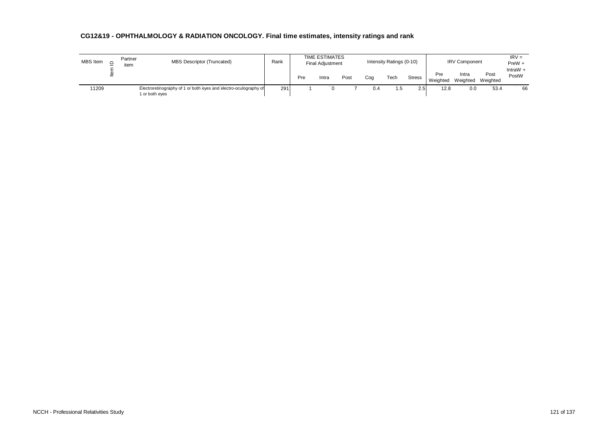| MBS Item | Partner<br>item | <b>MBS Descriptor (Truncated)</b>                                                  | Rank |     | <b>TIME ESTIMATES</b><br><b>Final Adjustment</b> |      |     | Intensity Ratings (0-10) |               |                 | <b>IRV Component</b> |                  | $IRV =$<br>$PreW +$ |
|----------|-----------------|------------------------------------------------------------------------------------|------|-----|--------------------------------------------------|------|-----|--------------------------|---------------|-----------------|----------------------|------------------|---------------------|
|          |                 |                                                                                    |      | Pre | Intra                                            | Post | Coa | Tech                     | <b>Stress</b> | Pre<br>Weighted | Intra<br>Weighted    | Post<br>Weighted | IntraW $+$<br>PostW |
| 11209    |                 | Electroretinography of 1 or both eyes and electro-oculography of<br>1 or both eyes | 291  |     |                                                  |      | 0.4 | ن. ا                     | 2.5           | 12.8            | 0.0                  | 53.4             | 66                  |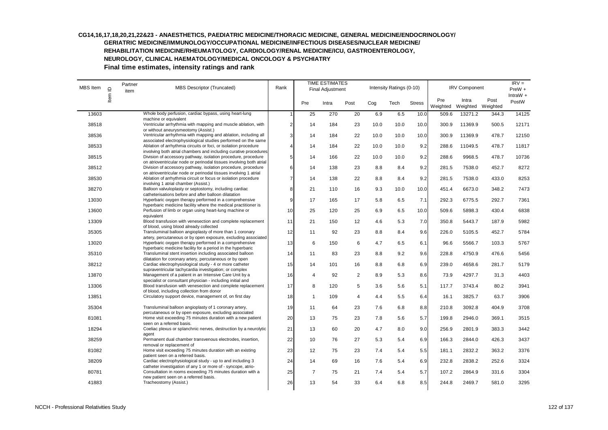# **CG14,16,17,18,20,21,22&23 - ANAESTHETICS, PAEDIATRIC MEDICINE/THORACIC MEDICINE, GENERAL MEDICINE/ENDOCRINOLOGY/**

**GERIATRIC MEDICINE/IMMUNOLOGY/OCCUPATIONAL MEDICINE/INFECTIOUS DISEASES/NUCLEAR MEDICINE/**

**REHABILITATION MEDICINE/RHEUMATOLOGY, CARDIOLOGY/RENAL MEDICINE/ICU, GASTROENTEROLOGY,** 

**NEUROLOGY, CLINICAL HAEMATOLOGY/MEDICAL ONCOLOGY & PSYCHIATRY** 

| MBS Item | $\supseteq$ | Partner<br>item | <b>MBS Descriptor (Truncated)</b>                                                                                                                                                                        | Rank           |                | <b>TIME ESTIMATES</b><br><b>Final Adjustment</b> |                |      | Intensity Ratings (0-10) |               |                 | <b>IRV Component</b>       |       | $IRV =$<br>PreW +   |
|----------|-------------|-----------------|----------------------------------------------------------------------------------------------------------------------------------------------------------------------------------------------------------|----------------|----------------|--------------------------------------------------|----------------|------|--------------------------|---------------|-----------------|----------------------------|-------|---------------------|
|          | Item        |                 |                                                                                                                                                                                                          |                | Pre            | Intra                                            | Post           | Cog  | Tech                     | <b>Stress</b> | Pre<br>Weighted | Intra<br>Weighted Weighted | Post  | IntraW $+$<br>PostW |
| 13603    |             |                 | Whole body perfusion, cardiac bypass, using heart-lung                                                                                                                                                   | $\overline{1}$ | 25             | 270                                              | 20             | 6.9  | 6.5                      | 10.0          | 509.6           | 13271.2                    | 344.3 | 14125               |
| 38518    |             |                 | machine or equivalent<br>Ventricular arrhythmia with mapping and muscle ablation, with<br>or without aneurysmeotomy (Assist.)                                                                            | $\overline{2}$ | 14             | 184                                              | 23             | 10.0 | 10.0                     | 10.0          | 300.9           | 11369.9                    | 500.5 | 12171               |
| 38536    |             |                 | Ventricular arrhythmia with mapping and ablation, including all<br>associated electrophysiological studies performed on the same                                                                         | 3              | 14             | 184                                              | 22             | 10.0 | 10.0                     | 10.0          | 300.9           | 11369.9                    | 478.7 | 12150               |
| 38533    |             |                 | Ablation of arrhythmia circuits or foci, or isolation procedure                                                                                                                                          | $\overline{4}$ | 14             | 184                                              | 22             | 10.0 | 10.0                     | 9.2           | 288.6           | 11049.5                    | 478.7 | 11817               |
| 38515    |             |                 | involving both atrial chambers and including curative procedures<br>Division of accessory pathway, isolation procedure, procedure<br>on atrioventricular node or perinodal tissues involving both atrial | 5              | 14             | 166                                              | 22             | 10.0 | 10.0                     | 9.2           | 288.6           | 9968.5                     | 478.7 | 10736               |
| 38512    |             |                 | Division of accessory pathway, isolation procedure, procedure<br>on atrioventricular node or perinodal tissues involving 1 atrial                                                                        | 6              | 14             | 138                                              | 23             | 8.8  | 8.4                      | 9.2           | 281.5           | 7538.0                     | 452.7 | 8272                |
| 38530    |             |                 | Ablation of arrhythmia circuit or focus or isolation procedure<br>involving 1 atrial chamber (Assist.)                                                                                                   | $\overline{7}$ | 14             | 138                                              | 22             | 8.8  | 8.4                      | 9.2           | 281.5           | 7538.0                     | 433.0 | 8253                |
| 38270    |             |                 | Balloon valvuloplasty or septostomy, including cardiac<br>catheterisations before and after balloon dilatation                                                                                           | 8              | 21             | 110                                              | 16             | 9.3  | 10.0                     | 10.0          | 451.4           | 6673.0                     | 348.2 | 7473                |
| 13030    |             |                 | Hyperbaric oxygen therapy performed in a comprehensive<br>hyperbaric medicine facility where the medical practitioner is                                                                                 | 9              | 17             | 165                                              | 17             | 5.8  | 6.5                      | 7.1           | 292.3           | 6775.5                     | 292.7 | 7361                |
| 13600    |             |                 | Perfusion of limb or organ using heart-lung machine or<br>equivalent                                                                                                                                     | 10             | 25             | 120                                              | 25             | 6.9  | 6.5                      | 10.0          | 509.6           | 5898.3                     | 430.4 | 6838                |
| 13309    |             |                 | Blood transfusion with venesection and complete replacement<br>of blood, using blood already collected                                                                                                   | 11             | 21             | 150                                              | 12             | 4.6  | 5.3                      | 7.0           | 350.8           | 5443.7                     | 187.9 | 5982                |
| 35305    |             |                 | Transluminal balloon angioplasty of more than 1 coronary<br>artery, percutaneous or by open exposure, excluding associated                                                                               | 12             | 11             | 92                                               | 23             | 8.8  | 8.4                      | 9.6           | 226.0           | 5105.5                     | 452.7 | 5784                |
| 13020    |             |                 | Hyperbaric oxygen therapy performed in a comprehensive<br>hyperbaric medicine facility for a period in the hyperbaric                                                                                    | 13             | 6              | 150                                              | 6              | 4.7  | 6.5                      | 6.1           | 96.6            | 5566.7                     | 103.3 | 5767                |
| 35310    |             |                 | Transluminal stent insertion including associated balloon                                                                                                                                                | 14             | 11             | 83                                               | 23             | 8.8  | 9.2                      | 9.6           | 228.8           | 4750.9                     | 476.6 | 5456                |
| 38212    |             |                 | dilatation for coronary artery, percutaneous or by open<br>Cardiac electrophysiological study - 4 or more catheter<br>supraventricular tachycardia investigation; or complex                             | 15             | 14             | 101                                              | 16             | 8.8  | 6.8                      | 6.9           | 239.0           | 4658.6                     | 281.7 | 5179                |
| 13870    |             |                 | Management of a patient in an Intensive Care Unit by a                                                                                                                                                   | 16             | $\overline{4}$ | 92                                               | 2              | 8.9  | 5.3                      | 8.6           | 73.9            | 4297.7                     | 31.3  | 4403                |
| 13306    |             |                 | specialist or consultant physician - including initial and<br>Blood transfusion with venesection and complete replacement                                                                                | 17             | 8              | 120                                              | 5              | 3.6  | 5.6                      | 5.1           | 117.7           | 3743.4                     | 80.2  | 3941                |
| 13851    |             |                 | of blood, including collection from donor<br>Circulatory support device, management of, on first day                                                                                                     | 18             | $\overline{1}$ | 109                                              | $\overline{4}$ | 4.4  | 5.5                      | 6.4           | 16.1            | 3825.7                     | 63.7  | 3906                |
| 35304    |             |                 | Transluminal balloon angioplasty of 1 coronary artery,                                                                                                                                                   | 19             | 11             | 64                                               | 23             | 7.6  | 6.8                      | 8.8           | 210.8           | 3092.8                     | 404.9 | 3708                |
| 81081    |             |                 | percutaneous or by open exposure, excluding associated<br>Home visit exceeding 75 minutes duration with a new patient<br>seen on a referred basis.                                                       | 20             | 13             | 75                                               | 23             | 7.8  | 5.6                      | 5.7           | 199.8           | 2946.0                     | 369.1 | 3515                |
| 18294    |             |                 | Coeliac plexus or splanchnic nerves, destruction by a neurolytic<br>agent                                                                                                                                | 21             | 13             | 60                                               | 20             | 4.7  | 8.0                      | 9.0           | 256.9           | 2801.9                     | 383.3 | 3442                |
| 38259    |             |                 | Permanent dual chamber transvenous electrodes, insertion,<br>removal or replacement of                                                                                                                   | 22             | 10             | 76                                               | 27             | 5.3  | 5.4                      | 6.9           | 166.3           | 2844.0                     | 426.3 | 3437                |
| 81082    |             |                 | Home visit exceeding 75 minutes duration with an existing<br>patient seen on a referred basis.                                                                                                           | 23             | 12             | 75                                               | 23             | 7.4  | 5.4                      | 5.5           | 181.1           | 2832.2                     | 363.2 | 3376                |
| 38209    |             |                 | Cardiac electrophysiological study - up to and including 3<br>catheter investigation of any 1 or more of - syncope, atrio-                                                                               | 24             | 14             | 69                                               | 16             | 7.6  | 5.4                      | 6.9           | 232.8           | 2838.2                     | 252.6 | 3324                |
| 80781    |             |                 | Consultation in rooms exceeding 75 minutes duration with a                                                                                                                                               | 25             | $\overline{7}$ | 75                                               | 21             | 7.4  | 5.4                      | 5.7           | 107.2           | 2864.9                     | 331.6 | 3304                |
| 41883    |             |                 | new patient seen on a referred basis.<br>Tracheostomy (Assist.)                                                                                                                                          | 26             | 13             | 54                                               | 33             | 6.4  | 6.8                      | 8.5           | 244.8           | 2469.7                     | 581.0 | 3295                |
|          |             |                 |                                                                                                                                                                                                          |                |                |                                                  |                |      |                          |               |                 |                            |       |                     |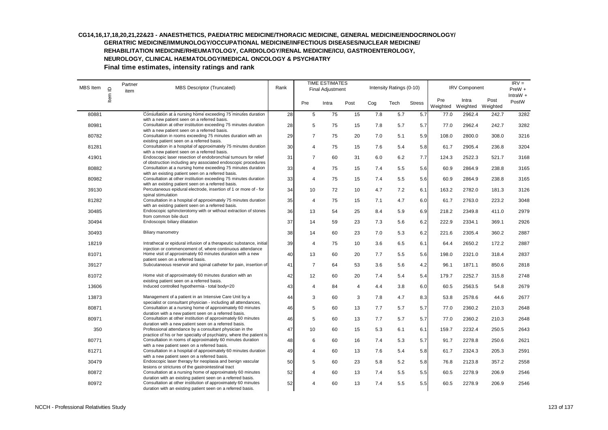## **CG14,16,17,18,20,21,22&23 - ANAESTHETICS, PAEDIATRIC MEDICINE/THORACIC MEDICINE, GENERAL MEDICINE/ENDOCRINOLOGY/**

**GERIATRIC MEDICINE/IMMUNOLOGY/OCCUPATIONAL MEDICINE/INFECTIOUS DISEASES/NUCLEAR MEDICINE/**

**REHABILITATION MEDICINE/RHEUMATOLOGY, CARDIOLOGY/RENAL MEDICINE/ICU, GASTROENTEROLOGY,** 

**NEUROLOGY, CLINICAL HAEMATOLOGY/MEDICAL ONCOLOGY & PSYCHIATRY** 

| MBS Item | $\supseteq$ | Partner<br>item | MBS Descriptor (Truncated)                                                                                                                                | Rank |                         | <b>TIME ESTIMATES</b><br>Final Adjustment |      |     | Intensity Ratings (0-10) |               |                 | <b>IRV Component</b>       |       | $IRV =$<br>$PreW +$ |
|----------|-------------|-----------------|-----------------------------------------------------------------------------------------------------------------------------------------------------------|------|-------------------------|-------------------------------------------|------|-----|--------------------------|---------------|-----------------|----------------------------|-------|---------------------|
|          | Item        |                 |                                                                                                                                                           |      | Pre                     | Intra                                     | Post | Cog | Tech                     | <b>Stress</b> | Pre<br>Weighted | Intra<br>Weighted Weighted | Post  | IntraW $+$<br>PostW |
| 80881    |             |                 | Consultation at a nursing home exceeding 75 minutes duration                                                                                              | 28   | 5                       | 75                                        | 15   | 7.8 | 5.7                      | 5.7           | 77.0            | 2962.4                     | 242.7 | 3282                |
| 80981    |             |                 | with a new patient seen on a referred basis.<br>Consultation at other institution exceeding 75 minutes duration                                           | 28   | 5                       | 75                                        | 15   | 7.8 | 5.7                      | 5.7           | 77.0            | 2962.4                     | 242.7 | 3282                |
| 80782    |             |                 | with a new patient seen on a referred basis.<br>Consultation in rooms exceeding 75 minutes duration with an<br>existing patient seen on a referred basis. | 29   | $\overline{7}$          | 75                                        | 20   | 7.0 | 5.1                      | 5.9           | 108.0           | 2800.0                     | 308.0 | 3216                |
| 81281    |             |                 | Consultation in a hospital of approximately 75 minutes duration<br>with a new patient seen on a referred basis.                                           | 30   | $\overline{4}$          | 75                                        | 15   | 7.6 | 5.4                      | 5.8           | 61.7            | 2905.4                     | 236.8 | 3204                |
| 41901    |             |                 | Endoscopic laser resection of endobronchial tumours for relief<br>of obstruction including any associated endoscopic procedures                           | 31   | $\overline{7}$          | 60                                        | 31   | 6.0 | 6.2                      | 7.7           | 124.3           | 2522.3                     | 521.7 | 3168                |
| 80882    |             |                 | Consultation at a nursing home exceeding 75 minutes duration<br>with an existing patient seen on a referred basis.                                        | 33   | $\overline{\mathbf{4}}$ | 75                                        | 15   | 7.4 | 5.5                      | 5.6           | 60.9            | 2864.9                     | 238.8 | 3165                |
| 80982    |             |                 | Consultation at other institution exceeding 75 minutes duration<br>with an existing patient seen on a referred basis.                                     | 33   | 4                       | 75                                        | 15   | 7.4 | 5.5                      | 5.6           | 60.9            | 2864.9                     | 238.8 | 3165                |
| 39130    |             |                 | Percutaneous epidural electrode, insertion of 1 or more of - for<br>spinal stimulation                                                                    | 34   | 10                      | 72                                        | 10   | 4.7 | 7.2                      | 6.1           | 163.2           | 2782.0                     | 181.3 | 3126                |
| 81282    |             |                 | Consultation in a hospital of approximately 75 minutes duration<br>with an existing patient seen on a referred basis.                                     | 35   | $\overline{4}$          | 75                                        | 15   | 7.1 | 4.7                      | 6.0           | 61.7            | 2763.0                     | 223.2 | 3048                |
| 30485    |             |                 | Endoscopic sphincterotomy with or without extraction of stones<br>from common bile duct                                                                   | 36   | 13                      | 54                                        | 25   | 8.4 | 5.9                      | 6.9           | 218.2           | 2349.8                     | 411.0 | 2979                |
| 30494    |             |                 | Endoscopic biliary dilatation                                                                                                                             | 37   | 14                      | 59                                        | 23   | 7.3 | 5.6                      | 6.2           | 222.9           | 2334.1                     | 369.1 | 2926                |
| 30493    |             |                 | <b>Biliary manometry</b>                                                                                                                                  | 38   | 14                      | 60                                        | 23   | 7.0 | 5.3                      | 6.2           | 221.6           | 2305.4                     | 360.2 | 2887                |
| 18219    |             |                 | Intrathecal or epidural infusion of a therapeutic substance, initial<br>injection or commencement of, where continuous attendance                         | 39   | $\overline{4}$          | 75                                        | 10   | 3.6 | 6.5                      | 6.1           | 64.4            | 2650.2                     | 172.2 | 2887                |
| 81071    |             |                 | Home visit of approximately 60 minutes duration with a new<br>patient seen on a referred basis.                                                           | 40   | 13                      | 60                                        | 20   | 7.7 | 5.5                      | 5.6           | 198.0           | 2321.0                     | 318.4 | 2837                |
| 39127    |             |                 | Subcutaneous reservoir and spinal catheter for pain, insertion of                                                                                         | 41   | $\overline{7}$          | 64                                        | 53   | 3.6 | 5.6                      | 4.2           | 96.1            | 1871.1                     | 850.6 | 2818                |
| 81072    |             |                 | Home visit of approximately 60 minutes duration with an<br>existing patient seen on a referred basis.                                                     | 42   | 12                      | 60                                        | 20   | 7.4 | 5.4                      | 5.4           | 179.7           | 2252.7                     | 315.8 | 2748                |
| 13606    |             |                 | Induced controlled hypothermia - total body=20                                                                                                            | 43   | $\overline{4}$          | 84                                        | 4    | 4.4 | 3.8                      | 6.0           | 60.5            | 2563.5                     | 54.8  | 2679                |
| 13873    |             |                 | Management of a patient in an Intensive Care Unit by a<br>specialist or consultant physician - including all attendances,                                 | 44   | 3                       | 60                                        | 3    | 7.8 | 4.7                      | 8.3           | 53.8            | 2578.6                     | 44.6  | 2677                |
| 80871    |             |                 | Consultation at a nursing home of approximately 60 minutes<br>duration with a new patient seen on a referred basis.                                       | 46   | 5                       | 60                                        | 13   | 7.7 | 5.7                      | 5.7           | 77.0            | 2360.2                     | 210.3 | 2648                |
| 80971    |             |                 | Consultation at other institution of approximately 60 minutes<br>duration with a new patient seen on a referred basis.                                    | 46   | 5                       | 60                                        | 13   | 7.7 | 5.7                      | 5.7           | 77.0            | 2360.2                     | 210.3 | 2648                |
| 350      |             |                 | Professional attendance by a consultant physician in the<br>practice of his or her specialty of psychiatry, where the patient is                          | 47   | 10                      | 60                                        | 15   | 5.3 | 6.1                      | 6.1           | 159.7           | 2232.4                     | 250.5 | 2643                |
| 80771    |             |                 | Consultation in rooms of approximately 60 minutes duration<br>with a new patient seen on a referred basis.                                                | 48   | 6                       | 60                                        | 16   | 7.4 | 5.3                      | 5.7           | 91.7            | 2278.8                     | 250.6 | 2621                |
| 81271    |             |                 | Consultation in a hospital of approximately 60 minutes duration<br>with a new patient seen on a referred basis.                                           | 49   | $\overline{4}$          | 60                                        | 13   | 7.6 | 5.4                      | 5.8           | 61.7            | 2324.3                     | 205.3 | 2591                |
| 30479    |             |                 | Endoscopic laser therapy for neoplasia and benign vascular<br>lesions or strictures of the gastrointestinal tract                                         | 50   | 5                       | 60                                        | 23   | 5.8 | 5.2                      | 5.8           | 76.8            | 2123.8                     | 357.2 | 2558                |
| 80872    |             |                 | Consultation at a nursing home of approximately 60 minutes<br>duration with an existing patient seen on a referred basis.                                 | 52   | $\overline{4}$          | 60                                        | 13   | 7.4 | 5.5                      | 5.5           | 60.5            | 2278.9                     | 206.9 | 2546                |
| 80972    |             |                 | Consultation at other institution of approximately 60 minutes<br>duration with an existing patient seen on a referred basis.                              | 52   | $\overline{4}$          | 60                                        | 13   | 7.4 | 5.5                      | 5.5           | 60.5            | 2278.9                     | 206.9 | 2546                |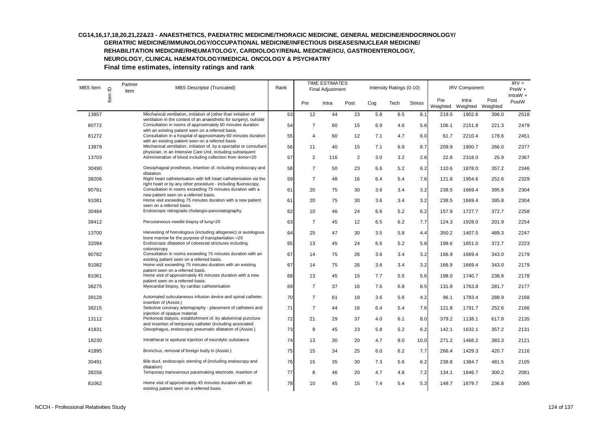#### **CG14,16,17,18,20,21,22&23 - ANAESTHETICS, PAEDIATRIC MEDICINE/THORACIC MEDICINE, GENERAL MEDICINE/ENDOCRINOLOGY/ GERIATRIC MEDICINE/IMMUNOLOGY/OCCUPATIONAL MEDICINE/INFECTIOUS DISEASES/NUCLEAR MEDICINE/**

**REHABILITATION MEDICINE/RHEUMATOLOGY, CARDIOLOGY/RENAL MEDICINE/ICU, GASTROENTEROLOGY,** 

**NEUROLOGY, CLINICAL HAEMATOLOGY/MEDICAL ONCOLOGY & PSYCHIATRY** 

| <b>MBS</b> Item | $\supseteq$ | Partner<br>item | <b>MBS Descriptor (Truncated)</b>                                                                                                                                                        | Rank |                         | <b>TIME ESTIMATES</b><br><b>Final Adjustment</b> |      |     | Intensity Ratings (0-10) |               |                 | <b>IRV Component</b>       |       | $IRV =$<br>PreW +   |
|-----------------|-------------|-----------------|------------------------------------------------------------------------------------------------------------------------------------------------------------------------------------------|------|-------------------------|--------------------------------------------------|------|-----|--------------------------|---------------|-----------------|----------------------------|-------|---------------------|
|                 | Item        |                 |                                                                                                                                                                                          |      | Pre                     | Intra                                            | Post | Cog | Tech                     | <b>Stress</b> | Pre<br>Weighted | Intra<br>Weighted Weighted | Post  | IntraW $+$<br>PostW |
| 13857           |             |                 | Mechanical ventilation, initiation of (other than initiation of                                                                                                                          | 53   | 12                      | 44                                               | 23   | 5.8 | 6.5                      | 8.1           | 219.5           | 1902.6                     | 396.0 | 2518                |
| 80772           |             |                 | ventilation in the context of an anaesthetic for surgery), outside<br>Consultation in rooms of approximately 60 minutes duration<br>with an existing patient seen on a referred basis.   | 54   | 7                       | 60                                               | 15   | 6.9 | 4.6                      | 5.8           | 106.1           | 2151.8                     | 221.3 | 2479                |
| 81272           |             |                 | Consultation in a hospital of approximately 60 minutes duration                                                                                                                          | 55   | $\overline{\mathbf{A}}$ | 60                                               | 12   | 7.1 | 4.7                      | 6.0           | 61.7            | 2210.4                     | 178.6 | 2451                |
| 13879           |             |                 | with an existing patient seen on a referred basis.<br>Mechanical ventilation, initiation of, by a specialist or consultant<br>physician, in an Intensive Care Unit, including subsequent | 56   | 11                      | 40                                               | 15   | 7.1 | 6.9                      | 8.7           | 209.9           | 1900.7                     | 266.0 | 2377                |
| 13703           |             |                 | Administration of blood including collection from donor=20                                                                                                                               | 57   | $\overline{2}$          | 116                                              | 2    | 3.0 | 3.2                      | 2.8           | 22.8            | 2318.0                     | 25.9  | 2367                |
| 30490           |             |                 | Oesophageal prosthesis, insertion of, including endoscopy and<br>dilatation                                                                                                              | 58   | $\overline{7}$          | 50                                               | 23   | 6.6 | 5.2                      | 6.2           | 110.6           | 1878.0                     | 357.2 | 2346                |
| 38206           |             |                 | Right heart catheterisation with left heart catheterisation via the<br>right heart or by any other procedure - including fluoroscopy,                                                    | 59   | $\overline{7}$          | 48                                               | 16   | 6.4 | 5.4                      | 7.6           | 121.8           | 1954.6                     | 252.6 | 2329                |
| 90781           |             |                 | Consultation in rooms exceeding 75 minutes duration with a                                                                                                                               | 61   | 20                      | 75                                               | 30   | 3.6 | 3.4                      | 3.2           | 238.5           | 1669.4                     | 395.8 | 2304                |
| 91081           |             |                 | new patient seen on a referred basis.<br>Home visit exceeding 75 minutes duration with a new patient<br>seen on a referred basis.                                                        | 61   | 20                      | 75                                               | 30   | 3.6 | 3.4                      | 3.2           | 238.5           | 1669.4                     | 395.8 | 2304                |
| 30484           |             |                 | Endoscopic retrograde cholangio-pancreatography                                                                                                                                          | 62   | 10                      | 46                                               | 24   | 6.6 | 5.2                      | 6.2           | 157.9           | 1727.7                     | 372.7 | 2258                |
| 38412           |             |                 | Percutaneous needle biopsy of lung=20                                                                                                                                                    | 63   | $\overline{7}$          | 45                                               | 12   | 6.5 | 6.2                      | 7.7           | 124.3           | 1928.0                     | 201.9 | 2254                |
| 13700           |             |                 | Harvesting of homologous (including allogeneic) or autologous<br>bone marrow for the purpose of transplantation =20                                                                      | 64   | 25                      | 47                                               | 30   | 3.5 | 5.8                      | 4.4           | 350.2           | 1407.5                     | 489.3 | 2247                |
| 32094           |             |                 | Endoscopic dilatation of colorectal strictures including<br>colonoscopy                                                                                                                  | 65   | 13                      | 45                                               | 24   | 6.6 | 5.2                      | 5.8           | 199.6           | 1651.0                     | 372.7 | 2223                |
| 90782           |             |                 | Consultation in rooms exceeding 75 minutes duration with an                                                                                                                              | 67   | 14                      | 75                                               | 26   | 3.6 | 3.4                      | 3.2           | 166.9           | 1669.4                     | 343.0 | 2179                |
| 91082           |             |                 | existing patient seen on a referred basis.<br>Home visit exceeding 75 minutes duration with an existing<br>patient seen on a referred basis.                                             | 67   | 14                      | 75                                               | 26   | 3.6 | 3.4                      | 3.2           | 166.9           | 1669.4                     | 343.0 | 2179                |
| 81061           |             |                 | Home visit of approximately 45 minutes duration with a new<br>patient seen on a referred basis.                                                                                          | 68   | 13                      | 45                                               | 15   | 7.7 | 5.5                      | 5.6           | 198.0           | 1740.7                     | 238.8 | 2178                |
| 38275           |             |                 | Myocardial biopsy, by cardiac catheterisation                                                                                                                                            | 69   | $\overline{7}$          | 37                                               | 16   | 7.6 | 6.8                      | 8.5           | 131.8           | 1763.8                     | 281.7 | 2177                |
| 39128           |             |                 | Automated subcutaneous infusion device and spinal catheter,<br>insertion of (Assist.)                                                                                                    | 70   | $\overline{7}$          | 61                                               | 18   | 3.6 | 5.6                      | 4.2           | 96.1            | 1783.4                     | 288.9 | 2168                |
| 38215           |             |                 | Selective coronary arteriography - placement of catheters and<br>injection of opaque material                                                                                            | 71   | $\overline{7}$          | 44                                               | 16   | 6.4 | 5.4                      | 7.6           | 121.8           | 1791.7                     | 252.6 | 2166                |
| 13112           |             |                 | Peritoneal dialysis, establishment of, by abdominal puncture                                                                                                                             | 72   | 21                      | 29                                               | 37   | 4.0 | 6.1                      | 8.0           | 379.2           | 1138.1                     | 617.8 | 2135                |
| 41831           |             |                 | and insertion of temporary catheter (including associated<br>Oesophagus, endoscopic pneumatic dilatation of (Assist.)                                                                    | 73   | 9                       | 45                                               | 23   | 5.8 | 5.2                      | 6.2           | 142.1           | 1632.1                     | 357.2 | 2131                |
| 18230           |             |                 | Intrathecal or epidural injection of neurolytic substance                                                                                                                                | 74   | 13                      | 30                                               | 20   | 4.7 | 8.0                      | 10.0          | 271.2           | 1466.2                     | 383.3 | 2121                |
| 41895           |             |                 | Bronchus, removal of foreign body in (Assist.)                                                                                                                                           | 75   | 15                      | 34                                               | 25   | 6.0 | 6.2                      | 7.7           | 266.4           | 1429.3                     | 420.7 | 2116                |
| 30491           |             |                 | Bile duct, endoscopic stenting of (including endoscopy and<br>dilatation)                                                                                                                | 76   | 15                      | 35                                               | 30   | 7.3 | 5.6                      | 6.2           | 238.8           | 1384.7                     | 481.5 | 2105                |
| 38256           |             |                 | Temporary transvenous pacemaking electrode, insertion of                                                                                                                                 | 77   | 8                       | 46                                               | 20   | 4.7 | 4.8                      | 7.2           | 134.1           | 1646.7                     | 300.2 | 2081                |
| 81062           |             |                 | Home visit of approximately 45 minutes duration with an<br>existing patient seen on a referred basis.                                                                                    | 78   | 10                      | 45                                               | 15   | 7.4 | 5.4                      | 5.3           | 148.7           | 1679.7                     | 236.8 | 2065                |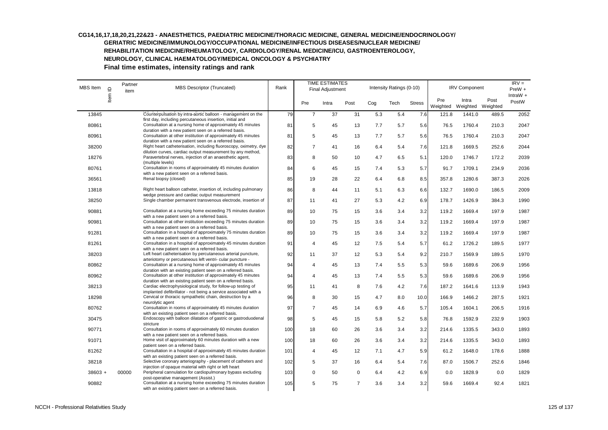| <b>MBS</b> Item | $\mathbf{\underline{o}}$ | Partner<br>item | MBS Descriptor (Truncated)                                                                                                                                                      | Rank |                | <b>TIME ESTIMATES</b><br>Final Adjustment |                |     | Intensity Ratings (0-10) |               |                 | <b>IRV Component</b>       |       | $IRV =$<br>$PreW +$ |
|-----------------|--------------------------|-----------------|---------------------------------------------------------------------------------------------------------------------------------------------------------------------------------|------|----------------|-------------------------------------------|----------------|-----|--------------------------|---------------|-----------------|----------------------------|-------|---------------------|
|                 | Item                     |                 |                                                                                                                                                                                 |      | Pre            | Intra                                     | Post           | Cog | Tech                     | <b>Stress</b> | Pre<br>Weighted | Intra<br>Weighted Weighted | Post  | IntraW $+$<br>PostW |
| 13845           |                          |                 | Counterpulsation by intra-aortic balloon - management on the                                                                                                                    | 79   | $\overline{7}$ | 37                                        | 31             | 5.3 | 5.4                      | 7.6           | 121.8           | 1441.0                     | 489.5 | 2052                |
| 80861           |                          |                 | first day, including percutaneous insertion, initial and<br>Consultation at a nursing home of approximately 45 minutes<br>duration with a new patient seen on a referred basis. | 81   | 5              | 45                                        | 13             | 7.7 | 5.7                      | 5.6           | 76.5            | 1760.4                     | 210.3 | 2047                |
| 80961           |                          |                 | Consultation at other institution of approximately 45 minutes<br>duration with a new patient seen on a referred basis.                                                          | 81   | 5              | 45                                        | 13             | 7.7 | 5.7                      | 5.6           | 76.5            | 1760.4                     | 210.3 | 2047                |
| 38200           |                          |                 | Right heart catheterisation, including fluoroscopy, oximetry, dye<br>dilution curves, cardiac output measurement by any method,                                                 | 82   | $\overline{7}$ | 41                                        | 16             | 6.4 | 5.4                      | 7.6           | 121.8           | 1669.5                     | 252.6 | 2044                |
| 18276           |                          |                 | Paravertebral nerves, injection of an anaesthetic agent,<br>(multiple levels)                                                                                                   | 83   | 8              | 50                                        | 10             | 4.7 | 6.5                      | 5.1           | 120.0           | 1746.7                     | 172.2 | 2039                |
| 80761           |                          |                 | Consultation in rooms of approximately 45 minutes duration<br>with a new patient seen on a referred basis.                                                                      | 84   | 6              | 45                                        | 15             | 7.4 | 5.3                      | 5.7           | 91.7            | 1709.1                     | 234.9 | 2036                |
| 36561           |                          |                 | Renal biopsy (closed)                                                                                                                                                           | 85   | 19             | 28                                        | 22             | 6.4 | 6.8                      | 8.5           | 357.8           | 1280.6                     | 387.3 | 2026                |
| 13818           |                          |                 | Right heart balloon catheter, insertion of, including pulmonary<br>wedge pressure and cardiac output measurement                                                                | 86   | 8              | 44                                        | 11             | 5.1 | 6.3                      | 6.6           | 132.7           | 1690.0                     | 186.5 | 2009                |
| 38250           |                          |                 | Single chamber permanent transvenous electrode, insertion of                                                                                                                    | 87   | 11             | 41                                        | 27             | 5.3 | 4.2                      | 6.9           | 178.7           | 1426.9                     | 384.3 | 1990                |
| 90881           |                          |                 | Consultation at a nursing home exceeding 75 minutes duration<br>with a new patient seen on a referred basis.                                                                    | 89   | 10             | 75                                        | 15             | 3.6 | 3.4                      | 3.2           | 119.2           | 1669.4                     | 197.9 | 1987                |
| 90981           |                          |                 | Consultation at other institution exceeding 75 minutes duration<br>with a new patient seen on a referred basis.                                                                 | 89   | 10             | 75                                        | 15             | 3.6 | 3.4                      | 3.2           | 119.2           | 1669.4                     | 197.9 | 1987                |
| 91281           |                          |                 | Consultation in a hospital of approximately 75 minutes duration<br>with a new patient seen on a referred basis.                                                                 | 89   | 10             | 75                                        | 15             | 3.6 | 3.4                      | 3.2           | 119.2           | 1669.4                     | 197.9 | 1987                |
| 81261           |                          |                 | Consultation in a hospital of approximately 45 minutes duration<br>with a new patient seen on a referred basis.                                                                 | 91   | $\overline{4}$ | 45                                        | 12             | 7.5 | 5.4                      | 5.7           | 61.2            | 1726.2                     | 189.5 | 1977                |
| 38203           |                          |                 | Left heart catheterisation by percutaneous arterial puncture,<br>arteriotomy or percutaneous left ventri- cular puncture -                                                      | 92   | 11             | 37                                        | 12             | 5.3 | 5.4                      | 9.2           | 210.7           | 1569.9                     | 189.5 | 1970                |
| 80862           |                          |                 | Consultation at a nursing home of approximately 45 minutes<br>duration with an existing patient seen on a referred basis.                                                       | 94   | $\overline{4}$ | 45                                        | 13             | 7.4 | 5.5                      | 5.3           | 59.6            | 1689.6                     | 206.9 | 1956                |
| 80962           |                          |                 | Consultation at other institution of approximately 45 minutes<br>duration with an existing patient seen on a referred basis.                                                    | 94   | $\overline{4}$ | 45                                        | 13             | 7.4 | 5.5                      | 5.3           | 59.6            | 1689.6                     | 206.9 | 1956                |
| 38213           |                          |                 | Cardiac electrophysiological study, for follow-up testing of<br>implanted defibrillator - not being a service associated with a                                                 | 95   | 11             | 41                                        | 8              | 7.6 | 4.2                      | 7.6           | 187.2           | 1641.6                     | 113.9 | 1943                |
| 18298           |                          |                 | Cervical or thoracic sympathetic chain, destruction by a<br>neurolytic agent                                                                                                    | 96   | 8              | 30                                        | 15             | 4.7 | 8.0                      | 10.0          | 166.9           | 1466.2                     | 287.5 | 1921                |
| 80762           |                          |                 | Consultation in rooms of approximately 45 minutes duration<br>with an existing patient seen on a referred basis.                                                                | 97   | $\overline{7}$ | 45                                        | 14             | 6.9 | 4.6                      | 5.7           | 105.4           | 1604.1                     | 206.5 | 1916                |
| 30475           |                          |                 | Endoscopy with balloon dilatation of gastric or gastroduodenal<br>stricture                                                                                                     | 98   | 5              | 45                                        | 15             | 5.8 | 5.2                      | 5.8           | 76.8            | 1592.9                     | 232.9 | 1903                |
| 90771           |                          |                 | Consultation in rooms of approximately 60 minutes duration<br>with a new patient seen on a referred basis.                                                                      | 100  | 18             | 60                                        | 26             | 3.6 | 3.4                      | 3.2           | 214.6           | 1335.5                     | 343.0 | 1893                |
| 91071           |                          |                 | Home visit of approximately 60 minutes duration with a new<br>patient seen on a referred basis.                                                                                 | 100  | 18             | 60                                        | 26             | 3.6 | 3.4                      | 3.2           | 214.6           | 1335.5                     | 343.0 | 1893                |
| 81262           |                          |                 | Consultation in a hospital of approximately 45 minutes duration<br>with an existing patient seen on a referred basis.                                                           | 101  | $\overline{4}$ | 45                                        | 12             | 7.1 | 4.7                      | 5.9           | 61.2            | 1648.0                     | 178.6 | 1888                |
| 38218           |                          |                 | Selective coronary arteriography - placement of catheters and<br>injection of opaque material with right or left heart                                                          | 102  | 5              | 37                                        | 16             | 6.4 | 5.4                      | 7.6           | 87.0            | 1506.7                     | 252.6 | 1846                |
| $38603 +$       |                          | 00000           | Peripheral cannulation for cardiopulmonary bypass excluding<br>post-operative management (Assist.)                                                                              | 103  | $\mathbf 0$    | 50                                        | 0              | 6.4 | 4.2                      | 6.9           | 0.0             | 1828.9                     | 0.0   | 1829                |
| 90882           |                          |                 | Consultation at a nursing home exceeding 75 minutes duration<br>with an existing patient seen on a referred basis.                                                              | 105  | 5              | 75                                        | $\overline{7}$ | 3.6 | 3.4                      | 3.2           | 59.6            | 1669.4                     | 92.4  | 1821                |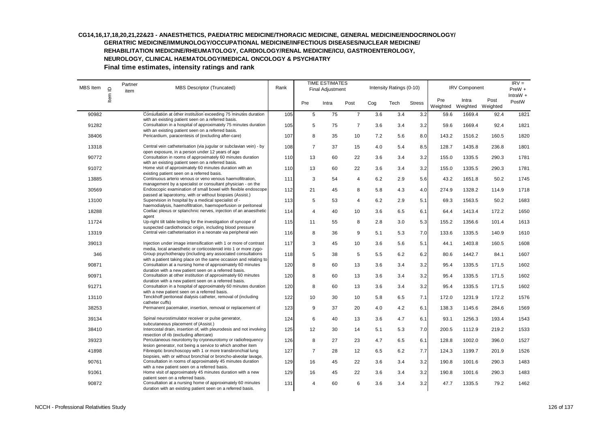#### **CG14,16,17,18,20,21,22&23 - ANAESTHETICS, PAEDIATRIC MEDICINE/THORACIC MEDICINE, GENERAL MEDICINE/ENDOCRINOLOGY/ GERIATRIC MEDICINE/IMMUNOLOGY/OCCUPATIONAL MEDICINE/INFECTIOUS DISEASES/NUCLEAR MEDICINE/**

**REHABILITATION MEDICINE/RHEUMATOLOGY, CARDIOLOGY/RENAL MEDICINE/ICU, GASTROENTEROLOGY,** 

**NEUROLOGY, CLINICAL HAEMATOLOGY/MEDICAL ONCOLOGY & PSYCHIATRY** 

| MBS Item | $\supseteq$ | Partner<br>item | MBS Descriptor (Truncated)                                                                                                                                                               | Rank |                | <b>TIME ESTIMATES</b><br>Final Adjustment |                |     | Intensity Ratings (0-10) |               |                 | <b>IRV Component</b>       |       | $IRV =$<br>$PreW +$<br>IntraW $+$ |
|----------|-------------|-----------------|------------------------------------------------------------------------------------------------------------------------------------------------------------------------------------------|------|----------------|-------------------------------------------|----------------|-----|--------------------------|---------------|-----------------|----------------------------|-------|-----------------------------------|
|          | Item        |                 |                                                                                                                                                                                          |      | Pre            | Intra                                     | Post           | Cog | Tech                     | <b>Stress</b> | Pre<br>Weighted | Intra<br>Weighted Weighted | Post  | PostW                             |
| 90982    |             |                 | Consultation at other institution exceeding 75 minutes duration                                                                                                                          | 105  | 5              | 75                                        | $\overline{7}$ | 3.6 | 3.4                      | 3.2           | 59.6            | 1669.4                     | 92.4  | 1821                              |
| 91282    |             |                 | with an existing patient seen on a referred basis.<br>Consultation in a hospital of approximately 75 minutes duration<br>with an existing patient seen on a referred basis.              | 105  | 5              | 75                                        | $\overline{7}$ | 3.6 | 3.4                      | 3.2           | 59.6            | 1669.4                     | 92.4  | 1821                              |
| 38406    |             |                 | Pericardium, paracentesis of (excluding after-care)                                                                                                                                      | 107  | 8              | 35                                        | 10             | 7.2 | 5.6                      | 8.0           | 143.2           | 1516.2                     | 160.5 | 1820                              |
| 13318    |             |                 | Central vein catheterisation (via jugular or subclavian vein) - by<br>open exposure, in a person under 12 years of age                                                                   | 108  | $\overline{7}$ | 37                                        | 15             | 4.0 | 5.4                      | 8.5           | 128.7           | 1435.8                     | 236.8 | 1801                              |
| 90772    |             |                 | Consultation in rooms of approximately 60 minutes duration                                                                                                                               | 110  | 13             | 60                                        | 22             | 3.6 | 3.4                      | 3.2           | 155.0           | 1335.5                     | 290.3 | 1781                              |
| 91072    |             |                 | with an existing patient seen on a referred basis.<br>Home visit of approximately 60 minutes duration with an<br>existing patient seen on a referred basis.                              | 110  | 13             | 60                                        | 22             | 3.6 | 3.4                      | 3.2           | 155.0           | 1335.5                     | 290.3 | 1781                              |
| 13885    |             |                 | Continuous arterio venous or veno venous haemofiltration,                                                                                                                                | 111  | 3              | 54                                        | 4              | 6.2 | 2.9                      | 5.6           | 43.2            | 1651.8                     | 50.2  | 1745                              |
| 30569    |             |                 | management by a specialist or consultant physician - on the<br>Endoscopic examination of small bowel with flexible endoscope<br>passed at laparotomy, with or without biopsies (Assist.) | 112  | 21             | 45                                        | 8              | 5.8 | 4.3                      | 4.0           | 274.9           | 1328.2                     | 114.9 | 1718                              |
| 13100    |             |                 | Supervision in hospital by a medical specialist of -<br>haemodialysis, haemofiltration, haemoperfusion or peritoneal                                                                     | 113  | 5              | 53                                        | $\overline{4}$ | 6.2 | 2.9                      | 5.1           | 69.3            | 1563.5                     | 50.2  | 1683                              |
| 18288    |             |                 | Coeliac plexus or splanchnic nerves, injection of an anaesthetic<br>agent                                                                                                                | 114  | $\overline{4}$ | 40                                        | 10             | 3.6 | 6.5                      | 6.1           | 64.4            | 1413.4                     | 172.2 | 1650                              |
| 11724    |             |                 | Up-right tilt table testing for the investigation of syncope of<br>suspected cardiothoracic origin, including blood pressure                                                             | 115  | 11             | 55                                        | 8              | 2.8 | 3.0                      | 5.3           | 155.2           | 1356.6                     | 101.4 | 1613                              |
| 13319    |             |                 | Central vein catheterisation in a neonate via peripheral vein                                                                                                                            | 116  | 8              | 36                                        | 9              | 5.1 | 5.3                      | 7.0           | 133.6           | 1335.5                     | 140.9 | 1610                              |
| 39013    |             |                 | Injection under image intensification with 1 or more of contrast<br>media, local anaesthetic or corticosteroid into 1 or more zygo-                                                      | 117  | 3              | 45                                        | 10             | 3.6 | 5.6                      | 5.1           | 44.1            | 1403.8                     | 160.5 | 1608                              |
| 346      |             |                 | Group psychotherapy (including any associated consultations                                                                                                                              | 118  | 5              | 38                                        | 5              | 5.5 | 6.2                      | 6.2           | 80.6            | 1442.7                     | 84.1  | 1607                              |
| 90871    |             |                 | with a patient taking place on the same occasion and relating to<br>Consultation at a nursing home of approximately 60 minutes<br>duration with a new patient seen on a referred basis.  | 120  | 8              | 60                                        | 13             | 3.6 | 3.4                      | 3.2           | 95.4            | 1335.5                     | 171.5 | 1602                              |
| 90971    |             |                 | Consultation at other institution of approximately 60 minutes<br>duration with a new patient seen on a referred basis.                                                                   | 120  | 8              | 60                                        | 13             | 3.6 | 3.4                      | 3.2           | 95.4            | 1335.5                     | 171.5 | 1602                              |
| 91271    |             |                 | Consultation in a hospital of approximately 60 minutes duration<br>with a new patient seen on a referred basis.                                                                          | 120  | 8              | 60                                        | 13             | 3.6 | 3.4                      | 3.2           | 95.4            | 1335.5                     | 171.5 | 1602                              |
| 13110    |             |                 | Tenckhoff peritoneal dialysis catheter, removal of (including<br>catheter cuffs)                                                                                                         | 122  | 10             | 30                                        | 10             | 5.8 | 6.5                      | 7.1           | 172.0           | 1231.9                     | 172.2 | 1576                              |
| 38253    |             |                 | Permanent pacemaker, insertion, removal or replacement of                                                                                                                                | 123  | 9              | 37                                        | 20             | 4.0 | 4.2                      | 6.1           | 138.3           | 1145.6                     | 284.6 | 1569                              |
| 39134    |             |                 | Spinal neurostimulator receiver or pulse generator,<br>subcutaneous placement of (Assist.)                                                                                               | 124  | 6              | 40                                        | 13             | 3.6 | 4.7                      | 6.1           | 93.1            | 1256.3                     | 193.4 | 1543                              |
| 38410    |             |                 | Intercostal drain, insertion of, with pleurodesis and not involving<br>resection of rib (excluding aftercare)                                                                            | 125  | 12             | 30                                        | 14             | 5.1 | 5.3                      | 7.0           | 200.5           | 1112.9                     | 219.2 | 1533                              |
| 39323    |             |                 | Percutaneous neurotomy by cryoneurotomy or radiofrequency<br>lesion generator, not being a service to which another item                                                                 | 126  | 8              | 27                                        | 23             | 4.7 | 6.5                      | 6.1           | 128.8           | 1002.0                     | 396.0 | 1527                              |
| 41898    |             |                 | Fibreoptic bronchoscopy with 1 or more transbronchial lung<br>biopsies, with or without bronchial or broncho-alveolar lavage,                                                            | 127  | $\overline{7}$ | 28                                        | 12             | 6.5 | 6.2                      | 7.7           | 124.3           | 1199.7                     | 201.9 | 1526                              |
| 90761    |             |                 | Consultation in rooms of approximately 45 minutes duration<br>with a new patient seen on a referred basis.                                                                               | 129  | 16             | 45                                        | 22             | 3.6 | 3.4                      | 3.2           | 190.8           | 1001.6                     | 290.3 | 1483                              |
| 91061    |             |                 | Home visit of approximately 45 minutes duration with a new<br>patient seen on a referred basis.                                                                                          | 129  | 16             | 45                                        | 22             | 3.6 | 3.4                      | 3.2           | 190.8           | 1001.6                     | 290.3 | 1483                              |
| 90872    |             |                 | Consultation at a nursing home of approximately 60 minutes<br>duration with an existing patient seen on a referred basis.                                                                | 131  | $\overline{4}$ | 60                                        | 6              | 3.6 | 3.4                      | 3.2           | 47.7            | 1335.5                     | 79.2  | 1462                              |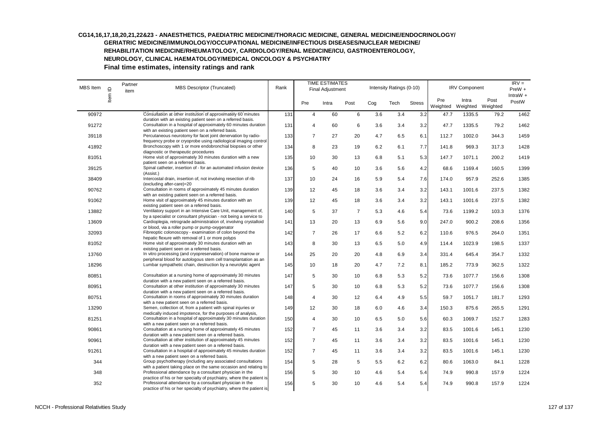# **CG14,16,17,18,20,21,22&23 - ANAESTHETICS, PAEDIATRIC MEDICINE/THORACIC MEDICINE, GENERAL MEDICINE/ENDOCRINOLOGY/**

**GERIATRIC MEDICINE/IMMUNOLOGY/OCCUPATIONAL MEDICINE/INFECTIOUS DISEASES/NUCLEAR MEDICINE/ REHABILITATION MEDICINE/RHEUMATOLOGY, CARDIOLOGY/RENAL MEDICINE/ICU, GASTROENTEROLOGY,** 

**NEUROLOGY, CLINICAL HAEMATOLOGY/MEDICAL ONCOLOGY & PSYCHIATRY** 

| MBS Item | $\supseteq$ | Partner<br>item | MBS Descriptor (Truncated)                                                                                                                                                            | Rank |                | <b>TIME ESTIMATES</b><br>Final Adjustment |                |     | Intensity Ratings (0-10) |               |                 | <b>IRV Component</b>       |       | $IRV =$<br>$PreW +$ |
|----------|-------------|-----------------|---------------------------------------------------------------------------------------------------------------------------------------------------------------------------------------|------|----------------|-------------------------------------------|----------------|-----|--------------------------|---------------|-----------------|----------------------------|-------|---------------------|
|          | Item        |                 |                                                                                                                                                                                       |      | Pre            | Intra                                     | Post           | Cog | Tech                     | <b>Stress</b> | Pre<br>Weighted | Intra<br>Weighted Weighted | Post  | IntraW $+$<br>PostW |
| 90972    |             |                 | Consultation at other institution of approximately 60 minutes                                                                                                                         | 131  | $\overline{4}$ | 60                                        | 6              | 3.6 | 3.4                      | 3.2           | 47.7            | 1335.5                     | 79.2  | 1462                |
| 91272    |             |                 | duration with an existing patient seen on a referred basis.<br>Consultation in a hospital of approximately 60 minutes duration                                                        | 131  | $\overline{4}$ | 60                                        | 6              | 3.6 | 3.4                      | 3.2           | 47.7            | 1335.5                     | 79.2  | 1462                |
| 39118    |             |                 | with an existing patient seen on a referred basis.<br>Percutaneous neurotomy for facet joint denervation by radio-<br>frequency probe or cryoprobe using radiological imaging control | 133  | $\overline{7}$ | 27                                        | 20             | 4.7 | 6.5                      | 6.1           | 112.7           | 1002.0                     | 344.3 | 1459                |
| 41892    |             |                 | Bronchoscopy with 1 or more endobronchial biopsies or other<br>diagnostic or therapeutic procedures                                                                                   | 134  | 8              | 23                                        | 19             | 6.2 | 6.1                      | 7.7           | 141.8           | 969.3                      | 317.3 | 1428                |
| 81051    |             |                 | Home visit of approximately 30 minutes duration with a new<br>patient seen on a referred basis.                                                                                       | 135  | 10             | 30                                        | 13             | 6.8 | 5.1                      | 5.3           | 147.7           | 1071.1                     | 200.2 | 1419                |
| 39125    |             |                 | Spinal catheter, insertion of - for an automated infusion device<br>(Assist.)                                                                                                         | 136  | 5              | 40                                        | 10             | 3.6 | 5.6                      | 4.2           | 68.6            | 1169.4                     | 160.5 | 1399                |
| 38409    |             |                 | Intercostal drain, insertion of, not involving resection of rib<br>(excluding after-care)=20                                                                                          | 137  | 10             | 24                                        | 16             | 5.9 | 5.4                      | 7.6           | 174.0           | 957.9                      | 252.6 | 1385                |
| 90762    |             |                 | Consultation in rooms of approximately 45 minutes duration<br>with an existing patient seen on a referred basis.                                                                      | 139  | 12             | 45                                        | 18             | 3.6 | 3.4                      | 3.2           | 143.1           | 1001.6                     | 237.5 | 1382                |
| 91062    |             |                 | Home visit of approximately 45 minutes duration with an<br>existing patient seen on a referred basis.                                                                                 | 139  | 12             | 45                                        | 18             | 3.6 | 3.4                      | 3.2           | 143.1           | 1001.6                     | 237.5 | 1382                |
| 13882    |             |                 | Ventilatory support in an Intensive Care Unit, management of,<br>by a specialist or consultant physician - not being a service to                                                     | 140  | 5              | 37                                        | $\overline{7}$ | 5.3 | 4.6                      | 5.4           | 73.6            | 1199.2                     | 103.3 | 1376                |
| 13609    |             |                 | Cardioplegia, retrograde administration of, involving crystalloid<br>or blood, via a roller pump or pump-oxygenator                                                                   | 141  | 13             | 20                                        | 13             | 6.9 | 5.6                      | 9.0           | 247.0           | 900.2                      | 208.6 | 1356                |
| 32093    |             |                 | Fibreoptic colonoscopy - examination of colon beyond the<br>hepatic flexure with removal of 1 or more polyps                                                                          | 142  | $\overline{7}$ | 26                                        | 17             | 6.6 | 5.2                      | 6.2           | 110.6           | 976.5                      | 264.0 | 1351                |
| 81052    |             |                 | Home visit of approximately 30 minutes duration with an<br>existing patient seen on a referred basis.                                                                                 | 143  | 8              | 30                                        | 13             | 6.5 | 5.0                      | 4.9           | 114.4           | 1023.9                     | 198.5 | 1337                |
| 13760    |             |                 | In vitro processing (and cryopreservation) of bone marrow or<br>peripheral blood for autologous stem cell transplantation as an                                                       | 144  | 25             | 20                                        | 20             | 4.8 | 6.9                      | 3.4           | 331.4           | 645.4                      | 354.7 | 1332                |
| 18296    |             |                 | Lumbar sympathetic chain, destruction by a neurolytic agent                                                                                                                           | 145  | 10             | 18                                        | 20             | 4.7 | 7.2                      | 8.1           | 185.2           | 773.9                      | 362.5 | 1322                |
| 80851    |             |                 | Consultation at a nursing home of approximately 30 minutes<br>duration with a new patient seen on a referred basis.                                                                   | 147  | 5              | 30                                        | 10             | 6.8 | 5.3                      | 5.2           | 73.6            | 1077.7                     | 156.6 | 1308                |
| 80951    |             |                 | Consultation at other institution of approximately 30 minutes<br>duration with a new patient seen on a referred basis.                                                                | 147  | 5              | 30                                        | 10             | 6.8 | 5.3                      | 5.2           | 73.6            | 1077.7                     | 156.6 | 1308                |
| 80751    |             |                 | Consultation in rooms of approximately 30 minutes duration<br>with a new patient seen on a referred basis.                                                                            | 148  | $\overline{4}$ | 30                                        | 12             | 6.4 | 4.9                      | 5.5           | 59.7            | 1051.7                     | 181.7 | 1293                |
| 13290    |             |                 | Semen, collection of, from a patient with spinal injuries or<br>medically induced impotence, for the purposes of analysis,                                                            | 149  | 12             | 30                                        | 18             | 6.0 | 4.6                      | 3.4           | 150.3           | 875.6                      | 265.5 | 1291                |
| 81251    |             |                 | Consultation in a hospital of approximately 30 minutes duration<br>with a new patient seen on a referred basis.                                                                       | 150  | $\overline{4}$ | 30                                        | 10             | 6.5 | 5.0                      | 5.6           | 60.3            | 1069.7                     | 152.7 | 1283                |
| 90861    |             |                 | Consultation at a nursing home of approximately 45 minutes<br>duration with a new patient seen on a referred basis.                                                                   | 152  | $\overline{7}$ | 45                                        | 11             | 3.6 | 3.4                      | 3.2           | 83.5            | 1001.6                     | 145.1 | 1230                |
| 90961    |             |                 | Consultation at other institution of approximately 45 minutes<br>duration with a new patient seen on a referred basis.                                                                | 152  | $\overline{7}$ | 45                                        | 11             | 3.6 | 3.4                      | 3.2           | 83.5            | 1001.6                     | 145.1 | 1230                |
| 91261    |             |                 | Consultation in a hospital of approximately 45 minutes duration<br>with a new patient seen on a referred basis.                                                                       | 152  | $\overline{7}$ | 45                                        | 11             | 3.6 | 3.4                      | 3.2           | 83.5            | 1001.6                     | 145.1 | 1230                |
| 344      |             |                 | Group psychotherapy (including any associated consultations<br>with a patient taking place on the same occasion and relating to                                                       | 154  | 5              | 28                                        | 5              | 5.5 | 6.2                      | 6.2           | 80.6            | 1063.0                     | 84.1  | 1228                |
| 348      |             |                 | Professional attendance by a consultant physician in the<br>practice of his or her specialty of psychiatry, where the patient is                                                      | 156  | 5              | 30                                        | 10             | 4.6 | 5.4                      | 5.4           | 74.9            | 990.8                      | 157.9 | 1224                |
| 352      |             |                 | Professional attendance by a consultant physician in the<br>practice of his or her specialty of psychiatry, where the patient is                                                      | 156  | 5              | 30                                        | 10             | 4.6 | 5.4                      | 5.4           | 74.9            | 990.8                      | 157.9 | 1224                |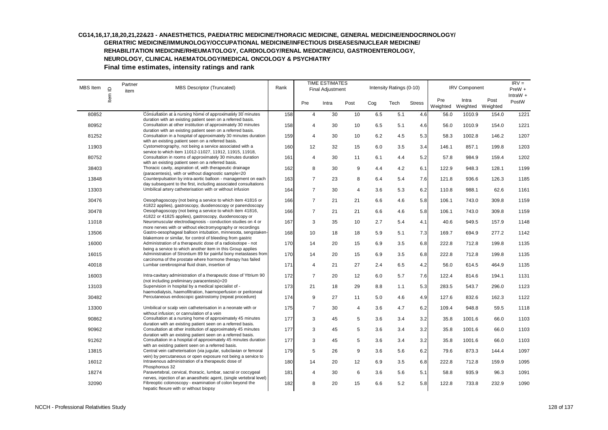# **CG14,16,17,18,20,21,22&23 - ANAESTHETICS, PAEDIATRIC MEDICINE/THORACIC MEDICINE, GENERAL MEDICINE/ENDOCRINOLOGY/**

**GERIATRIC MEDICINE/IMMUNOLOGY/OCCUPATIONAL MEDICINE/INFECTIOUS DISEASES/NUCLEAR MEDICINE/ REHABILITATION MEDICINE/RHEUMATOLOGY, CARDIOLOGY/RENAL MEDICINE/ICU, GASTROENTEROLOGY,** 

**NEUROLOGY, CLINICAL HAEMATOLOGY/MEDICAL ONCOLOGY & PSYCHIATRY** 

| MBS Item | $\mathbf{\underline{\underline{\mathsf{\scriptstyle{C}}}}}$ | Partner<br>item | <b>MBS Descriptor (Truncated)</b>                                                                                                                                                           | Rank |                | <b>TIME ESTIMATES</b><br>Final Adjustment |                |     | Intensity Ratings (0-10) |               |                 | <b>IRV Component</b>       |       | $IRV =$<br>PreW +   |
|----------|-------------------------------------------------------------|-----------------|---------------------------------------------------------------------------------------------------------------------------------------------------------------------------------------------|------|----------------|-------------------------------------------|----------------|-----|--------------------------|---------------|-----------------|----------------------------|-------|---------------------|
|          | Item                                                        |                 |                                                                                                                                                                                             |      | Pre            | Intra                                     | Post           | Cog | Tech                     | <b>Stress</b> | Pre<br>Weighted | Intra<br>Weighted Weighted | Post  | IntraW $+$<br>PostW |
| 80852    |                                                             |                 | Consultation at a nursing home of approximately 30 minutes                                                                                                                                  | 158  | $\overline{4}$ | 30                                        | 10             | 6.5 | 5.1                      | 4.6           | 56.0            | 1010.9                     | 154.0 | 1221                |
| 80952    |                                                             |                 | duration with an existing patient seen on a referred basis.<br>Consultation at other institution of approximately 30 minutes<br>duration with an existing patient seen on a referred basis. | 158  | 4              | 30                                        | 10             | 6.5 | 5.1                      | 4.6           | 56.0            | 1010.9                     | 154.0 | 1221                |
| 81252    |                                                             |                 | Consultation in a hospital of approximately 30 minutes duration<br>with an existing patient seen on a referred basis.                                                                       | 159  | $\overline{4}$ | 30                                        | 10             | 6.2 | 4.5                      | 5.3           | 58.3            | 1002.8                     | 146.2 | 1207                |
| 11903    |                                                             |                 | Cystometrography, not being a service associated with a<br>service to which item 11012-11027, 11912, 11915, 11918,                                                                          | 160  | 12             | 32                                        | 15             | 6.0 | 3.5                      | 3.4           | 146.1           | 857.1                      | 199.8 | 1203                |
| 80752    |                                                             |                 | Consultation in rooms of approximately 30 minutes duration<br>with an existing patient seen on a referred basis.                                                                            | 161  | 4              | 30                                        | 11             | 6.1 | 4.4                      | 5.2           | 57.8            | 984.9                      | 159.4 | 1202                |
| 38403    |                                                             |                 | Thoracic cavity, aspiration of, with therapeutic drainage<br>(paracentesis), with or without diagnostic sample=20                                                                           | 162  | 8              | 30                                        | 9              | 4.4 | 4.2                      | 6.1           | 122.9           | 948.3                      | 128.1 | 1199                |
| 13848    |                                                             |                 | Counterpulsation by intra-aortic balloon - management on each<br>day subsequent to the first, including associated consultations                                                            | 163  | $\overline{7}$ | 23                                        | 8              | 6.4 | 5.4                      | 7.6           | 121.8           | 936.6                      | 126.3 | 1185                |
| 13303    |                                                             |                 | Umbilical artery catheterisation with or without infusion                                                                                                                                   | 164  | $\overline{7}$ | 30                                        | 4              | 3.6 | 5.3                      | 6.2           | 110.8           | 988.1                      | 62.6  | 1161                |
| 30476    |                                                             |                 | Oesophagoscopy (not being a service to which item 41816 or<br>41822 applies), gastroscopy, duodenoscopy or panendoscopy                                                                     | 166  | $\overline{7}$ | 21                                        | 21             | 6.6 | 4.6                      | 5.8           | 106.1           | 743.0                      | 309.8 | 1159                |
| 30478    |                                                             |                 | Oesophagoscopy (not being a service to which item 41816,<br>41822 or 41825 applies), gastroscopy, duodenoscopy or                                                                           | 166  | $\overline{7}$ | 21                                        | 21             | 6.6 | 4.6                      | 5.8           | 106.1           | 743.0                      | 309.8 | 1159                |
| 11018    |                                                             |                 | Neuromuscular electrodiagnosis - conduction studies on 4 or<br>more nerves with or without electromyography or recordings                                                                   | 167  | 3              | 35                                        | 10             | 2.7 | 5.4                      | 4.1           | 40.6            | 949.5                      | 157.9 | 1148                |
| 13506    |                                                             |                 | Gastro-oesophageal balloon intubation, minnesota, sengstaken-<br>blakemore or similar, for control of bleeding from gastric                                                                 | 168  | 10             | 18                                        | 18             | 5.9 | 5.1                      | 7.3           | 169.7           | 694.9                      | 277.2 | 1142                |
| 16000    |                                                             |                 | Administration of a therapeutic dose of a radioisotope - not<br>being a service to which another item in this Group applies                                                                 | 170  | 14             | 20                                        | 15             | 6.9 | 3.5                      | 6.8           | 222.8           | 712.8                      | 199.8 | 1135                |
| 16015    |                                                             |                 | Administration of Strontium 89 for painful bony metastases from<br>carcinoma of the prostate where hormone therapy has failed                                                               | 170  | 14             | 20                                        | 15             | 6.9 | 3.5                      | 6.8           | 222.8           | 712.8                      | 199.8 | 1135                |
| 40018    |                                                             |                 | Lumbar cerebrospinal fluid drain, insertion of                                                                                                                                              | 171  | $\overline{4}$ | 21                                        | 27             | 2.4 | 6.5                      | 4.2           | 56.0            | 614.5                      | 464.9 | 1135                |
| 16003    |                                                             |                 | Intra-cavitary administration of a therapeutic dose of Yttrium 90<br>(not including preliminary paracentesis)=20                                                                            | 172  | $\overline{7}$ | 20                                        | 12             | 6.0 | 5.7                      | 7.6           | 122.4           | 814.6                      | 194.1 | 1131                |
| 13103    |                                                             |                 | Supervision in hospital by a medical specialist of -<br>haemodialysis, haemofiltration, haemoperfusion or peritoneal                                                                        | 173  | 21             | 18                                        | 29             | 8.8 | 1.1                      | 5.3           | 283.5           | 543.7                      | 296.0 | 1123                |
| 30482    |                                                             |                 | Percutaneous endoscopic gastrostomy (repeat procedure)                                                                                                                                      | 174  | 9              | 27                                        | 11             | 5.0 | 4.6                      | 4.9           | 127.6           | 832.6                      | 162.3 | 1122                |
| 13300    |                                                             |                 | Umbilical or scalp vein catheterisation in a neonate with or<br>without infusion: or cannulation of a vein                                                                                  | 175  | $\overline{7}$ | 30                                        | $\overline{4}$ | 3.6 | 4.7                      | 6.2           | 109.4           | 948.8                      | 59.5  | 1118                |
| 90862    |                                                             |                 | Consultation at a nursing home of approximately 45 minutes<br>duration with an existing patient seen on a referred basis.                                                                   | 177  | 3              | 45                                        | 5              | 3.6 | 3.4                      | 3.2           | 35.8            | 1001.6                     | 66.0  | 1103                |
| 90962    |                                                             |                 | Consultation at other institution of approximately 45 minutes<br>duration with an existing patient seen on a referred basis.                                                                | 177  | 3              | 45                                        | 5              | 3.6 | 3.4                      | 3.2           | 35.8            | 1001.6                     | 66.0  | 1103                |
| 91262    |                                                             |                 | Consultation in a hospital of approximately 45 minutes duration<br>with an existing patient seen on a referred basis.                                                                       | 177  | 3              | 45                                        | 5              | 3.6 | 3.4                      | 3.2           | 35.8            | 1001.6                     | 66.0  | 1103                |
| 13815    |                                                             |                 | Central vein catheterisation (via jugular, subclavian or femoral<br>vein) by percutaneous or open exposure not being a service to                                                           | 179  | 5              | 26                                        | 9              | 3.6 | 5.6                      | 6.2           | 79.6            | 873.3                      | 144.4 | 1097                |
| 16012    |                                                             |                 | Intravenous administration of a therapeutic dose of<br>Phosphorous 32                                                                                                                       | 180  | 14             | 20                                        | 12             | 6.9 | 3.5                      | 6.8           | 222.8           | 712.8                      | 159.9 | 1095                |
| 18274    |                                                             |                 | Paravertebral, cervical, thoracic, lumbar, sacral or coccygeal<br>nerves, injection of an anaesthetic agent, (single vertebral level)                                                       | 181  | 4              | 30                                        | 6              | 3.6 | 5.6                      | 5.1           | 58.8            | 935.9                      | 96.3  | 1091                |
| 32090    |                                                             |                 | Fibreoptic colonoscopy - examination of colon beyond the<br>hepatic flexure with or without biopsy                                                                                          | 182  | 8              | 20                                        | 15             | 6.6 | 5.2                      | 5.8           | 122.8           | 733.8                      | 232.9 | 1090                |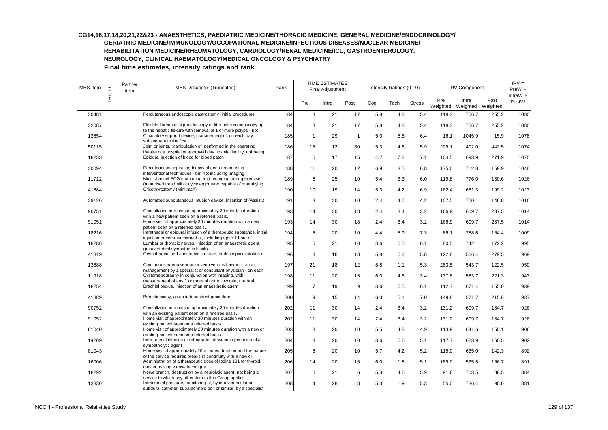| MBS Item | $\mathrel{\underline{\mathsf{O}}}$ | Partner<br>item | <b>MBS Descriptor (Truncated)</b>                                                                                                                                                         | Rank |                | <b>TIME ESTIMATES</b><br>Final Adjustment |              |     | Intensity Ratings (0-10) |               |                 | <b>IRV Component</b>       |       | $IRV =$<br>$PreW +$ |
|----------|------------------------------------|-----------------|-------------------------------------------------------------------------------------------------------------------------------------------------------------------------------------------|------|----------------|-------------------------------------------|--------------|-----|--------------------------|---------------|-----------------|----------------------------|-------|---------------------|
|          | Item                               |                 |                                                                                                                                                                                           |      | Pre            | Intra                                     | Post         | Cog | Tech                     | <b>Stress</b> | Pre<br>Weighted | Intra<br>Weighted Weighted | Post  | IntraW $+$<br>PostW |
| 30481    |                                    |                 | Percutaneous endoscopic gastrostomy (initial procedure)                                                                                                                                   | 184  | 8              | 21                                        | 17           | 5.8 | 4.8                      | 5.4           | 118.3           | 706.7                      | 255.2 | 1080                |
| 32087    |                                    |                 | Flexible fibreoptic sigmoidoscopy or fibreoptic colonoscopy up                                                                                                                            | 184  | 8              | 21                                        | 17           | 5.8 | 4.8                      | 5.4           | 118.3           | 706.7                      | 255.2 | 1080                |
| 13854    |                                    |                 | to the hepatic flexure with removal of 1 or more polyps - not<br>Circulatory support device, management of, on each day<br>subsequent to the first                                        | 185  | $\mathbf{1}$   | 29                                        | $\mathbf{1}$ | 5.0 | 5.5                      | 6.4           | 16.1            | 1045.9                     | 15.9  | 1078                |
| 50115    |                                    |                 | Joint or joints, manipulation of, performed in the operating                                                                                                                              | 186  | 15             | 12                                        | 30           | 5.3 | 4.6                      | 5.9           | 229.1           | 402.0                      | 442.5 | 1074                |
| 18233    |                                    |                 | theatre of a hospital or approved day hospital facility, not being<br>Epidural injection of blood for blood patch                                                                         | 187  | 6              | 17                                        | 15           | 4.7 | 7.2                      | 7.1           | 104.5           | 693.9                      | 271.9 | 1070                |
| 30094    |                                    |                 | Percutaneous aspiration biopsy of deep organ using<br>interventional techniques - but not including imaging                                                                               | 188  | 11             | 20                                        | 12           | 6.9 | 3.5                      | 6.8           | 175.0           | 712.8                      | 159.9 | 1048                |
| 11712    |                                    |                 | Multi channel ECG monitoring and recording during exercise<br>(motorised treadmill or cycle ergometer capable of quantifying                                                              | 189  | 8              | 25                                        | 10           | 5.4 | 3.3                      | 6.0           | 119.8           | 776.0                      | 130.6 | 1026                |
| 41884    |                                    |                 | Cricothyrostomy (Minitrach)                                                                                                                                                               | 190  | 10             | 19                                        | 14           | 5.3 | 4.2                      | 6.9           | 162.4           | 661.3                      | 199.2 | 1023                |
| 39126    |                                    |                 | Automated subcutaneous infusion device, insertion of (Assist.)                                                                                                                            | 191  | 8              | 30                                        | 10           | 2.4 | 4.7                      | 4.2           | 107.5           | 760.1                      | 148.8 | 1016                |
| 90751    |                                    |                 | Consultation in rooms of approximately 30 minutes duration                                                                                                                                | 193  | 14             | 30                                        | 18           | 2.4 | 3.4                      | 3.2           | 166.9           | 609.7                      | 237.5 | 1014                |
| 91051    |                                    |                 | with a new patient seen on a referred basis.<br>Home visit of approximately 30 minutes duration with a new<br>patient seen on a referred basis.                                           | 193  | 14             | 30                                        | 18           | 2.4 | 3.4                      | 3.2           | 166.9           | 609.7                      | 237.5 | 1014                |
| 18216    |                                    |                 | Intrathecal or epidural infusion of a therapeutic substance, initial                                                                                                                      | 194  | 5              | 20                                        | 10           | 4.4 | 5.9                      | 7.3           | 86.1            | 758.6                      | 164.4 | 1009                |
| 18286    |                                    |                 | injection or commencement of, including up to 1 hour of<br>Lumbar or thoracic nerves, injection of an anaesthetic agent,                                                                  | 195  | 5              | 21                                        | 10           | 3.6 | 6.5                      | 6.1           | 80.5            | 742.1                      | 172.2 | 995                 |
| 41819    |                                    |                 | (paravertebral sympathetic block)<br>Oesophageal and anastomic stricture, endoscopic dilatation of                                                                                        | 196  | 8              | 16                                        | 18           | 5.8 | 5.2                      | 5.8           | 122.8           | 566.4                      | 279.5 | 969                 |
| 13888    |                                    |                 | Continuous arterio venous or veno venous haemofiltration,<br>management by a specialist or consultant physician - on each                                                                 | 197  | 21             | 18                                        | 12           | 8.8 | 1.1                      | 5.3           | 283.5           | 543.7                      | 122.5 | 950                 |
| 11918    |                                    |                 | Cystometrography in conjunction with imaging, with                                                                                                                                        | 198  | 11             | 20                                        | 15           | 6.0 | 4.6                      | 3.4           | 137.8           | 583.7                      | 221.3 | 943                 |
| 18254    |                                    |                 | measurement of any 1 or more of urine flow rate, urethral<br>Brachial plexus, injection of an anaesthetic agent                                                                           | 199  | $\overline{7}$ | 19                                        | 9            | 3.6 | 6.5                      | 6.1           | 112.7           | 671.4                      | 155.0 | 939                 |
| 41889    |                                    |                 | Bronchoscopy, as an independent procedure                                                                                                                                                 | 200  | 9              | 15                                        | 14           | 6.0 | 5.1                      | 7.0           | 149.8           | 571.7                      | 215.6 | 937                 |
| 90752    |                                    |                 | Consultation in rooms of approximately 30 minutes duration                                                                                                                                | 202  | 11             | 30                                        | 14           | 2.4 | 3.4                      | 3.2           | 131.2           | 609.7                      | 184.7 | 926                 |
| 91052    |                                    |                 | with an existing patient seen on a referred basis.<br>Home visit of approximately 30 minutes duration with an                                                                             | 202  | 11             | 30                                        | 14           | 2.4 | 3.4                      | 3.2           | 131.2           | 609.7                      | 184.7 | 926                 |
| 81040    |                                    |                 | existing patient seen on a referred basis.<br>Home visit of approximately 20 minutes duration with a new or<br>existing patient seen on a referred basis.                                 | 203  | 8              | 20                                        | 10           | 5.5 | 4.8                      | 4.9           | 113.9           | 641.6                      | 150.1 | 906                 |
| 14209    |                                    |                 | Intra-arterial infusion or retrograde intravenous perfusion of a<br>sympatholytic agent                                                                                                   | 204  | 8              | 20                                        | 10           | 3.6 | 5.6                      | 5.1           | 117.7           | 623.9                      | 160.5 | 902                 |
| 81043    |                                    |                 | Home visit of approximately 20 minutes duration and the nature                                                                                                                            | 205  | 8              | 20                                        | 10           | 5.7 | 4.2                      | 5.2           | 115.0           | 635.0                      | 142.3 | 892                 |
| 16006    |                                    |                 | of the service requires breaks in continuity with a new or<br>Administration of a therapeutic dose of lodine 131 for thyroid<br>cancer by single dose technique                           | 206  | 14             | 20                                        | 15           | 6.0 | 1.8                      | 5.1           | 189.0           | 535.5                      | 166.7 | 891                 |
| 18292    |                                    |                 | Nerve branch, destruction by a neurolytic agent, not being a                                                                                                                              | 207  | 6              | 21                                        | 6            | 5.3 | 4.6                      | 5.9           | 91.6            | 703.5                      | 88.5  | 884                 |
| 13830    |                                    |                 | service to which any other item in this Group applies<br>Intracranial pressure, monitoring of, by intraventricular or<br>subdural catheter, subarachnoid bolt or similar, by a specialist | 208  | 4              | 28                                        | 8            | 5.3 | 1.9                      | 5.3           | 55.0            | 736.4                      | 90.0  | 881                 |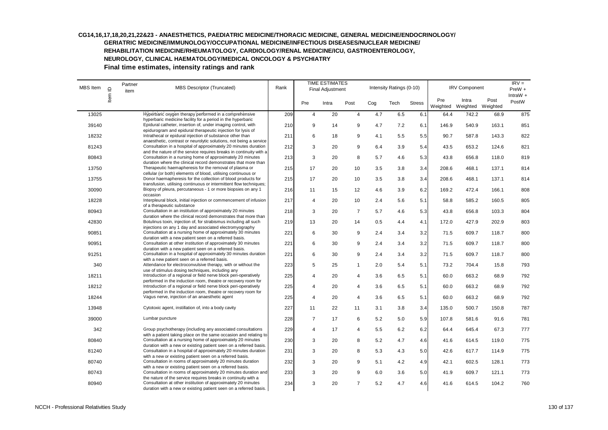# **CG14,16,17,18,20,21,22&23 - ANAESTHETICS, PAEDIATRIC MEDICINE/THORACIC MEDICINE, GENERAL MEDICINE/ENDOCRINOLOGY/**

**GERIATRIC MEDICINE/IMMUNOLOGY/OCCUPATIONAL MEDICINE/INFECTIOUS DISEASES/NUCLEAR MEDICINE/**

**REHABILITATION MEDICINE/RHEUMATOLOGY, CARDIOLOGY/RENAL MEDICINE/ICU, GASTROENTEROLOGY,** 

**NEUROLOGY, CLINICAL HAEMATOLOGY/MEDICAL ONCOLOGY & PSYCHIATRY** 

| MBS Item | $\supseteq$ | Partner<br>item | <b>MBS Descriptor (Truncated)</b>                                                                                                                                                              | Rank |                | <b>TIME ESTIMATES</b><br><b>Final Adjustment</b> |                |     | Intensity Ratings (0-10) |               |                 | <b>IRV Component</b> |                  | $IRV =$<br>$PreW +$<br>IntraW $+$ |
|----------|-------------|-----------------|------------------------------------------------------------------------------------------------------------------------------------------------------------------------------------------------|------|----------------|--------------------------------------------------|----------------|-----|--------------------------|---------------|-----------------|----------------------|------------------|-----------------------------------|
|          | Item        |                 |                                                                                                                                                                                                |      | Pre            | Intra                                            | Post           | Cog | Tech                     | <b>Stress</b> | Pre<br>Weighted | Intra<br>Weighted    | Post<br>Weighted | PostW                             |
| 13025    |             |                 | Hyperbaric oxygen therapy performed in a comprehensive                                                                                                                                         | 209  | $\overline{4}$ | 20                                               | $\overline{4}$ | 4.7 | 6.5                      | 6.1           | 64.4            | 742.2                | 68.9             | 875                               |
| 39140    |             |                 | hyperbaric medicine facility for a period in the hyperbaric<br>Epidural catheter, insertion of, under imaging control, with                                                                    | 210  | 9              | 14                                               | 9              | 4.7 | 7.2                      | 6.1           | 146.9           | 540.9                | 163.1            | 851                               |
| 18232    |             |                 | epidurogram and epidural therapeutic injection for lysis of<br>Intrathecal or epidural injection of substance other than<br>anaesthetic, contrast or neurolytic solutions, not being a service | 211  | 6              | 18                                               | 9              | 4.1 | 5.5                      | 5.5           | 90.7            | 587.8                | 143.3            | 822                               |
| 81243    |             |                 | Consultation in a hospital of approximately 20 minutes duration<br>and the nature of the service requires breaks in continuity with a                                                          | 212  | 3              | 20                                               | 9              | 6.4 | 3.9                      | 5.4           | 43.5            | 653.2                | 124.6            | 821                               |
| 80843    |             |                 | Consultation in a nursing home of approximately 20 minutes<br>duration where the clinical record demonstrates that more than                                                                   | 213  | 3              | 20                                               | 8              | 5.7 | 4.6                      | 5.3           | 43.8            | 656.8                | 118.0            | 819                               |
| 13750    |             |                 | Therapeutic haemapheresis for the removal of plasma or<br>cellular (or both) elements of blood, utilising continuous or                                                                        | 215  | 17             | 20                                               | 10             | 3.5 | 3.8                      | 3.4           | 208.6           | 468.1                | 137.1            | 814                               |
| 13755    |             |                 | Donor haemapheresis for the collection of blood products for<br>transfusion, utilising continuous or intermittent flow techniques;                                                             | 215  | 17             | 20                                               | 10             | 3.5 | 3.8                      | 3.4           | 208.6           | 468.1                | 137.1            | 814                               |
| 30090    |             |                 | Biopsy of pleura, percutaneous - 1 or more biopsies on any 1<br>occasion                                                                                                                       | 216  | 11             | 15                                               | 12             | 4.6 | 3.9                      | 6.2           | 169.2           | 472.4                | 166.1            | 808                               |
| 18228    |             |                 | Interpleural block, initial injection or commencement of infusion<br>of a therapeutic substance                                                                                                | 217  | $\overline{4}$ | 20                                               | 10             | 2.4 | 5.6                      | 5.1           | 58.8            | 585.2                | 160.5            | 805                               |
| 80943    |             |                 | Consultation in an institution of approximately 20 minutes<br>duration where the clinical record demonstrates that more than                                                                   | 218  | 3              | 20                                               | $\overline{7}$ | 5.7 | 4.6                      | 5.3           | 43.8            | 656.8                | 103.3            | 804                               |
| 42830    |             |                 | Botulinus toxin, injection of, for strabismus including all such<br>injections on any 1 day and associated electromyography                                                                    | 219  | 13             | 20                                               | 14             | 0.5 | 4.4                      | 4.1           | 172.0           | 427.9                | 202.9            | 803                               |
| 90851    |             |                 | Consultation at a nursing home of approximately 30 minutes<br>duration with a new patient seen on a referred basis.                                                                            | 221  | 6              | 30                                               | 9              | 2.4 | 3.4                      | 3.2           | 71.5            | 609.7                | 118.7            | 800                               |
| 90951    |             |                 | Consultation at other institution of approximately 30 minutes<br>duration with a new patient seen on a referred basis.                                                                         | 221  | 6              | 30                                               | 9              | 2.4 | 3.4                      | 3.2           | 71.5            | 609.7                | 118.7            | 800                               |
| 91251    |             |                 | Consultation in a hospital of approximately 30 minutes duration<br>with a new patient seen on a referred basis.                                                                                | 221  | 6              | 30                                               | 9              | 2.4 | 3.4                      | 3.2           | 71.5            | 609.7                | 118.7            | 800                               |
| 340      |             |                 | Attendance for electroconvulsive therapy, with or without the<br>use of stimulus dosing techniques, including any                                                                              | 223  | 5              | 25                                               | $\mathbf{1}$   | 2.0 | 5.4                      | 5.1           | 73.2            | 704.4                | 15.8             | 793                               |
| 18211    |             |                 | Introduction of a regional or field nerve block peri-operatively<br>performed in the induction room, theatre or recovery room for                                                              | 225  | $\overline{4}$ | 20                                               | 4              | 3.6 | 6.5                      | 5.1           | 60.0            | 663.2                | 68.9             | 792                               |
| 18212    |             |                 | Introduction of a regional or field nerve block peri-operatively<br>performed in the induction room, theatre or recovery room for                                                              | 225  | 4              | 20                                               | 4              | 3.6 | 6.5                      | 5.1           | 60.0            | 663.2                | 68.9             | 792                               |
| 18244    |             |                 | Vagus nerve, injection of an anaesthetic agent                                                                                                                                                 | 225  | $\overline{4}$ | 20                                               | $\overline{4}$ | 3.6 | 6.5                      | 5.1           | 60.0            | 663.2                | 68.9             | 792                               |
| 13948    |             |                 | Cytotoxic agent, instillation of, into a body cavity                                                                                                                                           | 227  | 11             | 22                                               | 11             | 3.1 | 3.8                      | 3.4           | 135.0           | 500.7                | 150.8            | 787                               |
| 39000    |             |                 | Lumbar puncture                                                                                                                                                                                | 228  | $\overline{7}$ | 17                                               | 6              | 5.2 | 5.0                      | 5.9           | 107.8           | 581.6                | 91.6             | 781                               |
| 342      |             |                 | Group psychotherapy (including any associated consultations<br>with a patient taking place on the same occasion and relating to                                                                | 229  | 4              | 17                                               | 4              | 5.5 | 6.2                      | 6.2           | 64.4            | 645.4                | 67.3             | 777                               |
| 80840    |             |                 | Consultation at a nursing home of approximately 20 minutes<br>duration with a new or existing patient seen on a referred basis.                                                                | 230  | 3              | 20                                               | 8              | 5.2 | 4.7                      | 4.6           | 41.6            | 614.5                | 119.0            | 775                               |
| 81240    |             |                 | Consultation in a hospital of approximately 20 minutes duration<br>with a new or existing patient seen on a referred basis.                                                                    | 231  | 3              | 20                                               | 8              | 5.3 | 4.3                      | 5.0           | 42.6            | 617.7                | 114.9            | 775                               |
| 80740    |             |                 | Consultation in rooms of approximately 20 minutes duration<br>with a new or existing patient seen on a referred basis.                                                                         | 232  | 3              | 20                                               | 9              | 5.1 | 4.2                      | 4.9           | 42.1            | 602.5                | 128.1            | 773                               |
| 80743    |             |                 | Consultation in rooms of approximately 20 minutes duration and<br>the nature of the service requires breaks in continuity with a                                                               | 233  | 3              | 20                                               | 9              | 6.0 | 3.6                      | 5.0           | 41.9            | 609.7                | 121.1            | 773                               |
| 80940    |             |                 | Consultation at other institution of approximately 20 minutes<br>duration with a new or existing patient seen on a referred basis.                                                             | 234  | 3              | 20                                               | $\overline{7}$ | 5.2 | 4.7                      | 4.6           | 41.6            | 614.5                | 104.2            | 760                               |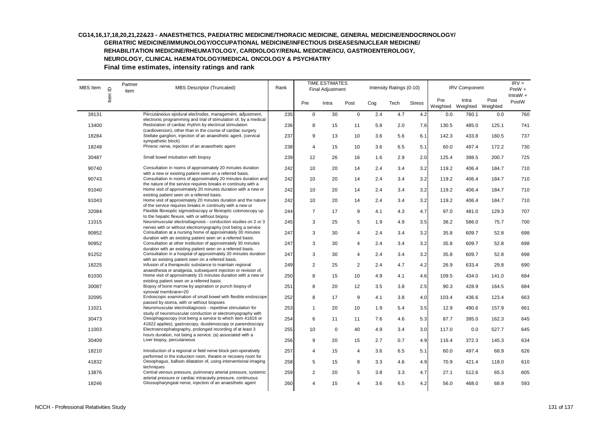| MBS Item | $\supseteq$ | Partner<br>item | <b>MBS Descriptor (Truncated)</b>                                                                                                                     | Rank |                | <b>TIME ESTIMATES</b><br>Final Adjustment |                |     | Intensity Ratings (0-10) |               |                 | <b>IRV Component</b> |                  | $IRV =$<br>$PreW +$<br>IntraW $+$ |
|----------|-------------|-----------------|-------------------------------------------------------------------------------------------------------------------------------------------------------|------|----------------|-------------------------------------------|----------------|-----|--------------------------|---------------|-----------------|----------------------|------------------|-----------------------------------|
|          | Item        |                 |                                                                                                                                                       |      | Pre            | Intra                                     | Post           | Cog | Tech                     | <b>Stress</b> | Pre<br>Weighted | Intra<br>Weighted    | Post<br>Weighted | PostW                             |
| 39131    |             |                 | Percutaneous epidural electrodes, management, adjustment,                                                                                             | 235  | $\pmb{0}$      | 30                                        | $\mathbf 0$    | 2.4 | 4.7                      | 4.2           | 0.0             | 760.1                | 0.0              | 760                               |
| 13400    |             |                 | electronic programming and trial of stimulation of, by a medical<br>Restoration of cardiac rhythm by electrical stimulation                           | 236  | 8              | 15                                        | 11             | 5.8 | 2.0                      | 7.6           | 130.5           | 485.0                | 125.1            | 741                               |
| 18284    |             |                 | (cardioversion), other than in the course of cardiac surgery<br>Stellate ganglion, injection of an anaesthetic agent, (cervical<br>sympathetic block) | 237  | 9              | 13                                        | 10             | 3.6 | 5.6                      | 6.1           | 142.3           | 433.8                | 160.5            | 737                               |
| 18248    |             |                 | Phrenic nerve, injection of an anaesthetic agent                                                                                                      | 238  | $\overline{4}$ | 15                                        | 10             | 3.6 | 6.5                      | 5.1           | 60.0            | 497.4                | 172.2            | 730                               |
| 30487    |             |                 | Small bowel intubation with biopsy                                                                                                                    | 239  | 12             | 26                                        | 16             | 1.6 | 2.9                      | 2.0           | 125.4           | 398.5                | 200.7            | 725                               |
| 90740    |             |                 | Consultation in rooms of approximately 20 minutes duration<br>with a new or existing patient seen on a referred basis.                                | 242  | 10             | 20                                        | 14             | 2.4 | 3.4                      | 3.2           | 119.2           | 406.4                | 184.7            | 710                               |
| 90743    |             |                 | Consultation in rooms of approximately 20 minutes duration and<br>the nature of the service requires breaks in continuity with a                      | 242  | 10             | 20                                        | 14             | 2.4 | 3.4                      | 3.2           | 119.2           | 406.4                | 184.7            | 710                               |
| 91040    |             |                 | Home visit of approximately 20 minutes duration with a new or<br>existing patient seen on a referred basis.                                           | 242  | 10             | 20                                        | 14             | 2.4 | 3.4                      | 3.2           | 119.2           | 406.4                | 184.7            | 710                               |
| 91043    |             |                 | Home visit of approximately 20 minutes duration and the nature<br>of the service requires breaks in continuity with a new or                          | 242  | 10             | 20                                        | 14             | 2.4 | 3.4                      | 3.2           | 119.2           | 406.4                | 184.7            | 710                               |
| 32084    |             |                 | Flexible fibreoptic sigmoidoscopy or fibreoptic colonoscopy up<br>to the hepatic flexure, with or without biopsy                                      | 244  | $\overline{7}$ | 17                                        | 9              | 4.1 | 4.3                      | 4.7           | 97.0            | 481.0                | 129.3            | 707                               |
| 11015    |             |                 | Neuromuscular electrodiagnosis - conduction studies on 2 or 3<br>nerves with or without electromyography (not being a service                         | 245  | 3              | 25                                        | 5              | 1.9 | 4.9                      | 3.5           | 38.2            | 586.0                | 75.7             | 700                               |
| 90852    |             |                 | Consultation at a nursing home of approximately 30 minutes<br>duration with an existing patient seen on a referred basis.                             | 247  | 3              | 30                                        | 4              | 2.4 | 3.4                      | 3.2           | 35.8            | 609.7                | 52.8             | 698                               |
| 90952    |             |                 | Consultation at other institution of approximately 30 minutes<br>duration with an existing patient seen on a referred basis.                          | 247  | 3              | 30                                        | 4              | 2.4 | 3.4                      | 3.2           | 35.8            | 609.7                | 52.8             | 698                               |
| 91252    |             |                 | Consultation in a hospital of approximately 30 minutes duration<br>with an existing patient seen on a referred basis.                                 | 247  | 3              | 30                                        | $\overline{4}$ | 2.4 | 3.4                      | 3.2           | 35.8            | 609.7                | 52.8             | 698                               |
| 18225    |             |                 | Infusion of a therapeutic substance to maintain regional<br>anaesthesia or analgesia, subsequent injection or revision of,                            | 249  | $\overline{2}$ | 25                                        | 2              | 2.4 | 4.7                      | 4.2           | 26.9            | 633.4                | 29.8             | 690                               |
| 81030    |             |                 | Home visit of approximately 15 minutes duration with a new or<br>existing patient seen on a referred basis.                                           | 250  | 8              | 15                                        | 10             | 4.9 | 4.1                      | 4.6           | 109.5           | 434.0                | 141.0            | 684                               |
| 30087    |             |                 | Biopsy of bone marrow by aspiration or punch biopsy of<br>synovial membrane=20                                                                        | 251  | 8              | 20                                        | 12             | 3.5 | 3.8                      | 2.5           | 90.3            | 428.9                | 164.5            | 684                               |
| 32095    |             |                 | Endoscopic examination of small bowel with flexible endoscope<br>passed by stoma, with or without biopsies                                            | 252  | 8              | 17                                        | 9              | 4.1 | 3.8                      | 4.0           | 103.4           | 436.6                | 123.4            | 663                               |
| 11021    |             |                 | Neuromuscular electrodiagnosis - repetitive stimulation for<br>study of neuromuscular conduction or electromyography with                             | 253  | $\mathbf{1}$   | 20                                        | 10             | 1.9 | 5.4                      | 3.5           | 12.9            | 490.6                | 157.9            | 661                               |
| 30473    |             |                 | Oesophagoscopy (not being a service to which item 41816 or<br>41822 applies), gastroscopy, duodenoscopy or panendoscopy                               | 254  | 6              | 11                                        | 11             | 7.6 | 4.6                      | 5.3           | 87.7            | 395.0                | 162.3            | 645                               |
| 11003    |             |                 | Electroencephalography, prolonged recording of at least 3<br>hours duration, not being a service: (a) associated with a                               | 255  | 10             | $\mathbf 0$                               | 40             | 4.9 | 3.4                      | 3.0           | 117.0           | 0.0                  | 527.7            | 645                               |
| 30409    |             |                 | Liver biopsy, percutaneous                                                                                                                            | 256  | 9              | 20                                        | 15             | 2.7 | 0.7                      | 4.9           | 116.4           | 372.3                | 145.3            | 634                               |
| 18210    |             |                 | Introduction of a regional or field nerve block peri-operatively<br>performed in the induction room, theatre or recovery room for                     | 257  | $\overline{4}$ | 15                                        | $\overline{4}$ | 3.6 | 6.5                      | 5.1           | 60.0            | 497.4                | 68.9             | 626                               |
| 41832    |             |                 | Oesophagus, balloon dilatation of, using interventional imaging<br>techniques                                                                         | 258  | 5              | 15                                        | 8              | 3.3 | 4.6                      | 4.9           | 70.9            | 421.4                | 118.0            | 610                               |
| 13876    |             |                 | Central venous pressure, pulmonary arterial pressure, systemic<br>arterial pressure or cardiac intracavity pressure, continuous                       | 259  | $\overline{2}$ | 20                                        | 5              | 3.8 | 3.3                      | 4.7           | 27.1            | 512.6                | 65.3             | 605                               |
| 18246    |             |                 | Glossopharyngeal nerve, injection of an anaesthetic agent                                                                                             | 260  | $\overline{4}$ | 15                                        | $\overline{4}$ | 3.6 | 6.5                      | 4.2           | 56.0            | 468.0                | 68.9             | 593                               |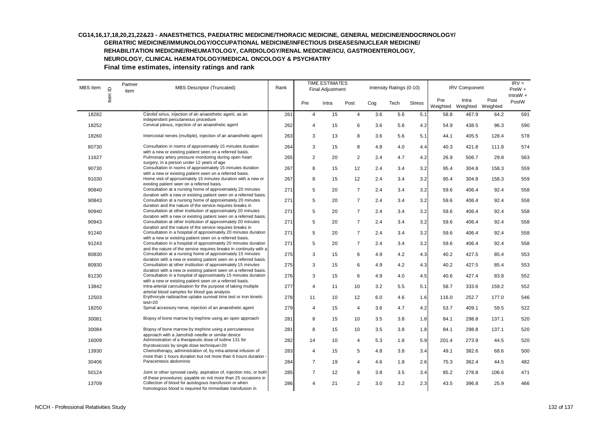| <b>MBS</b> Item | $\supseteq$ | Partner<br>item | MBS Descriptor (Truncated)                                                                                                                                           | Rank |                |      | <b>TIME ESTIMATES</b><br>Final Adjustment |      | Intensity Ratings (0-10) |                 |                            | <b>IRV Component</b> |                     |     |  |
|-----------------|-------------|-----------------|----------------------------------------------------------------------------------------------------------------------------------------------------------------------|------|----------------|------|-------------------------------------------|------|--------------------------|-----------------|----------------------------|----------------------|---------------------|-----|--|
|                 | Item        |                 |                                                                                                                                                                      | Pre  | Intra          | Post | Cog                                       | Tech | <b>Stress</b>            | Pre<br>Weighted | Intra<br>Weighted Weighted | Post                 | IntraW $+$<br>PostW |     |  |
| 18282           |             |                 | Carotid sinus, injection of an anaesthetic agent, as an                                                                                                              | 261  | $\overline{4}$ | 15   | $\overline{4}$                            | 3.6  | 5.6                      | 5.1             | 58.8                       | 467.9                | 64.2                | 591 |  |
| 18252           |             |                 | independent percutaneous procedure<br>Cervical plexus, injection of an anaesthetic agent                                                                             | 262  | 4              | 15   | 6                                         | 3.6  | 5.6                      | 4.2             | 54.9                       | 438.5                | 96.3                | 590 |  |
| 18260           |             |                 | Intercostal nerves (multiple), injection of an anaesthetic agent                                                                                                     | 263  | 3              | 13   | 8                                         | 3.6  | 5.6                      | 5.1             | 44.1                       | 405.5                | 128.4               | 578 |  |
| 80730           |             |                 | Consultation in rooms of approximately 15 minutes duration<br>with a new or existing patient seen on a referred basis.                                               | 264  | 3              | 15   | 8                                         | 4.8  | 4.0                      | 4.4             | 40.3                       | 421.8                | 111.8               | 574 |  |
| 11627           |             |                 | Pulmonary artery pressure monitoring during open heart                                                                                                               | 265  | $\overline{2}$ | 20   | 2                                         | 2.4  | 4.7                      | 4.2             | 26.9                       | 506.7                | 29.8                | 563 |  |
| 90730           |             |                 | surgery, in a person under 12 years of age<br>Consultation in rooms of approximately 15 minutes duration<br>with a new or existing patient seen on a referred basis. | 267  | 8              | 15   | 12                                        | 2.4  | 3.4                      | 3.2             | 95.4                       | 304.8                | 158.3               | 559 |  |
| 91030           |             |                 | Home visit of approximately 15 minutes duration with a new or<br>existing patient seen on a referred basis.                                                          | 267  | 8              | 15   | 12                                        | 2.4  | 3.4                      | 3.2             | 95.4                       | 304.8                | 158.3               | 559 |  |
| 90840           |             |                 | Consultation at a nursing home of approximately 20 minutes<br>duration with a new or existing patient seen on a referred basis.                                      | 271  | 5              | 20   | $\overline{7}$                            | 2.4  | 3.4                      | 3.2             | 59.6                       | 406.4                | 92.4                | 558 |  |
| 90843           |             |                 | Consultation at a nursing home of approximately 20 minutes<br>duration and the nature of the service requires breaks in                                              | 271  | 5              | 20   | $\overline{7}$                            | 2.4  | 3.4                      | 3.2             | 59.6                       | 406.4                | 92.4                | 558 |  |
| 90940           |             |                 | Consultation at other institution of approximately 20 minutes<br>duration with a new or existing patient seen on a referred basis.                                   | 271  | 5              | 20   | $\overline{7}$                            | 2.4  | 3.4                      | 3.2             | 59.6                       | 406.4                | 92.4                | 558 |  |
| 90943           |             |                 | Consultation at other institution of approximately 20 minutes<br>duration and the nature of the service requires breaks in                                           | 271  | 5              | 20   | $\overline{7}$                            | 2.4  | 3.4                      | 3.2             | 59.6                       | 406.4                | 92.4                | 558 |  |
| 91240           |             |                 | Consultation in a hospital of approximately 20 minutes duration<br>with a new or existing patient seen on a referred basis.                                          | 271  | 5              | 20   | $\overline{7}$                            | 2.4  | 3.4                      | 3.2             | 59.6                       | 406.4                | 92.4                | 558 |  |
| 91243           |             |                 | Consultation in a hospital of approximately 20 minutes duration<br>and the nature of the service requires breaks in continuity with a                                | 271  | 5              | 20   | $\overline{7}$                            | 2.4  | 3.4                      | 3.2             | 59.6                       | 406.4                | 92.4                | 558 |  |
| 80830           |             |                 | Consultation at a nursing home of approximately 15 minutes<br>duration with a new or existing patient seen on a referred basis.                                      | 275  | 3              | 15   | 6                                         | 4.9  | 4.2                      | 4.3             | 40.2                       | 427.5                | 85.4                | 553 |  |
| 80930           |             |                 | Consultation at other institution of approximately 15 minutes<br>duration with a new or existing patient seen on a referred basis.                                   | 275  | 3              | 15   | 6                                         | 4.9  | 4.2                      | 4.3             | 40.2                       | 427.5                | 85.4                | 553 |  |
| 81230           |             |                 | Consultation in a hospital of approximately 15 minutes duration<br>with a new or existing patient seen on a referred basis.                                          | 276  | 3              | 15   | 6                                         | 4.9  | 4.0                      | 4.5             | 40.6                       | 427.4                | 83.8                | 552 |  |
| 13842           |             |                 | Intra-arterial cannulisation for the purpose of taking multiple<br>arterial blood samples for blood gas analysis                                                     | 277  | 4              | 11   | 10                                        | 3.2  | 5.5                      | 5.1             | 58.7                       | 333.6                | 159.2               | 552 |  |
| 12503           |             |                 | Erythrocyte radioactive uptake survival time test or iron kinetic<br>$test = 20$                                                                                     | 278  | 11             | 10   | 12                                        | 6.0  | 4.6                      | 1.6             | 116.0                      | 252.7                | 177.0               | 546 |  |
| 18250           |             |                 | Spinal accessory nerve, injection of an anaesthetic agent                                                                                                            | 279  | 4              | 15   | 4                                         | 3.6  | 4.7                      | 4.2             | 53.7                       | 409.1                | 59.5                | 522 |  |
| 30081           |             |                 | Biopsy of bone marrow by trephine using an open approach                                                                                                             | 281  | 8              | 15   | 10                                        | 3.5  | 3.8                      | 1.8             | 84.1                       | 298.8                | 137.1               | 520 |  |
| 30084           |             |                 | Biopsy of bone marrow by trephine using a percutaneous<br>approach with a Jamshidi needle or similar device                                                          | 281  | 8              | 15   | 10                                        | 3.5  | 3.8                      | 1.8             | 84.1                       | 298.8                | 137.1               | 520 |  |
| 16009           |             |                 | Administration of a therapeutic dose of lodine 131 for<br>thyrotoxicosis by single dose technique=20                                                                 | 282  | 14             | 10   | 4                                         | 5.3  | 1.8                      | 5.9             | 201.4                      | 273.9                | 44.5                | 520 |  |
| 13930           |             |                 | Chemotherapy, administration of, by intra-arterial infusion of<br>more than 1 hours duration but not more than 6 hours duration -                                    | 283  | $\overline{4}$ | 15   | 5                                         | 4.8  | 3.8                      | 3.4             | 49.1                       | 382.6                | 68.6                | 500 |  |
| 30406           |             |                 | Paracentesis abdominis                                                                                                                                               | 284  | $\overline{7}$ | 19   | 4                                         | 4.6  | 1.8                      | 2.6             | 75.3                       | 362.4                | 44.5                | 482 |  |
| 50124           |             |                 | Joint or other synovial cavity, aspiration of, injection into, or both<br>of these procedures; payable on not more than 25 occasions in                              | 285  | $\overline{7}$ | 12   | 8                                         | 3.8  | 3.5                      | 3.4             | 85.2                       | 278.8                | 106.6               | 471 |  |
| 13709           |             |                 | Collection of blood for autologous transfusion or when<br>homologous blood is required for immediate transfusion in                                                  | 286  | 4              | 21   | 2                                         | 3.0  | 3.2                      | 2.3             | 43.5                       | 396.8                | 25.9                | 466 |  |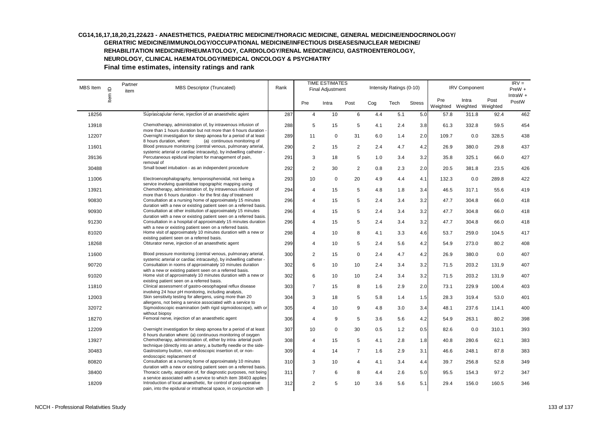| MBS Item | $\supseteq$ | Partner<br>item | <b>MBS Descriptor (Truncated)</b>                                                                                                                                                                        | Rank |                | <b>TIME ESTIMATES</b><br>Final Adjustment |                |     | Intensity Ratings (0-10) |               |                 | <b>IRV Component</b>       |       |                     |
|----------|-------------|-----------------|----------------------------------------------------------------------------------------------------------------------------------------------------------------------------------------------------------|------|----------------|-------------------------------------------|----------------|-----|--------------------------|---------------|-----------------|----------------------------|-------|---------------------|
|          | Item        |                 |                                                                                                                                                                                                          |      | Pre            | Intra                                     | Post           | Cog | Tech                     | <b>Stress</b> | Pre<br>Weighted | Intra<br>Weighted Weighted | Post  | $IntraW +$<br>PostW |
| 18256    |             |                 | Suprascapular nerve, injection of an anaesthetic agent                                                                                                                                                   | 287  | $\overline{4}$ | 10                                        | 6              | 4.4 | 5.1                      | 5.0           | 57.8            | 311.8                      | 92.4  | 462                 |
| 13918    |             |                 | Chemotherapy, administration of, by intravenous infusion of                                                                                                                                              | 288  | 5              | 15                                        | 5              | 4.1 | 2.4                      | 3.8           | 61.3            | 332.8                      | 59.5  | 454                 |
| 12207    |             |                 | more than 1 hours duration but not more than 6 hours duration -<br>Overnight investigation for sleep apnoea for a period of at least                                                                     | 289  | 11             | $\mathbf 0$                               | 31             | 6.0 | 1.4                      | 2.0           | 109.7           | 0.0                        | 328.5 | 438                 |
| 11601    |             |                 | 8 hours duration, where:<br>(a) continuous monitoring of<br>Blood pressure monitoring (central venous, pulmonary arterial,                                                                               | 290  | 2              | 15                                        | $\overline{c}$ | 2.4 | 4.7                      | 4.2           | 26.9            | 380.0                      | 29.8  | 437                 |
| 39136    |             |                 | systemic arterial or cardiac intracavity), by indwelling catheter -<br>Percutaneous epidural implant for management of pain,<br>removal of                                                               | 291  | 3              | 18                                        | 5              | 1.0 | 3.4                      | 3.2           | 35.8            | 325.1                      | 66.0  | 427                 |
| 30488    |             |                 | Small bowel intubation - as an independent procedure                                                                                                                                                     | 292  | $\overline{2}$ | 30                                        | $\overline{c}$ | 0.8 | 2.3                      | 2.0           | 20.5            | 381.8                      | 23.5  | 426                 |
| 11006    |             |                 | Electroencephalography, temporosphenoidal, not being a<br>service involving quantitative topographic mapping using                                                                                       | 293  | 10             | 0                                         | 20             | 4.9 | 4.4                      | 4.1           | 132.3           | 0.0                        | 289.8 | 422                 |
| 13921    |             |                 | Chemotherapy, administration of, by intravenous infusion of                                                                                                                                              | 294  | 4              | 15                                        | $\,$ 5 $\,$    | 4.8 | 1.8                      | 3.4           | 46.5            | 317.1                      | 55.6  | 419                 |
| 90830    |             |                 | more than 6 hours duration - for the first day of treatment<br>Consultation at a nursing home of approximately 15 minutes                                                                                | 296  | 4              | 15                                        | 5              | 2.4 | 3.4                      | 3.2           | 47.7            | 304.8                      | 66.0  | 418                 |
| 90930    |             |                 | duration with a new or existing patient seen on a referred basis.<br>Consultation at other institution of approximately 15 minutes                                                                       | 296  | 4              | 15                                        | 5              | 2.4 | 3.4                      | 3.2           | 47.7            | 304.8                      | 66.0  | 418                 |
| 91230    |             |                 | duration with a new or existing patient seen on a referred basis.<br>Consultation in a hospital of approximately 15 minutes duration<br>with a new or existing patient seen on a referred basis.         | 296  | 4              | 15                                        | $\,$ 5 $\,$    | 2.4 | 3.4                      | 3.2           | 47.7            | 304.8                      | 66.0  | 418                 |
| 81020    |             |                 | Home visit of approximately 10 minutes duration with a new or<br>existing patient seen on a referred basis.                                                                                              | 298  | 4              | 10                                        | 8              | 4.1 | 3.3                      | 4.6           | 53.7            | 259.0                      | 104.5 | 417                 |
| 18268    |             |                 | Obturator nerve, injection of an anaesthetic agent                                                                                                                                                       | 299  | $\overline{4}$ | 10                                        | 5              | 2.4 | 5.6                      | 4.2           | 54.9            | 273.0                      | 80.2  | 408                 |
| 11600    |             |                 | Blood pressure monitoring (central venous, pulmonary arterial,                                                                                                                                           | 300  | $\overline{c}$ | 15                                        | $\mathsf 0$    | 2.4 | 4.7                      | 4.2           | 26.9            | 380.0                      | 0.0   | 407                 |
| 90720    |             |                 | systemic arterial or cardiac intracavity), by indwelling catheter -<br>Consultation in rooms of approximately 10 minutes duration                                                                        | 302  | 6              | 10                                        | 10             | 2.4 | 3.4                      | 3.2           | 71.5            | 203.2                      | 131.9 | 407                 |
| 91020    |             |                 | with a new or existing patient seen on a referred basis.<br>Home visit of approximately 10 minutes duration with a new or                                                                                | 302  | 6              | 10                                        | 10             | 2.4 | 3.4                      | 3.2           | 71.5            | 203.2                      | 131.9 | 407                 |
| 11810    |             |                 | existing patient seen on a referred basis.<br>Clinical assessment of gastro-oesophageal reflux disease                                                                                                   | 303  | $\overline{7}$ | 15                                        | 8              | 1.6 | 2.9                      | 2.0           | 73.1            | 229.9                      | 100.4 | 403                 |
| 12003    |             |                 | involving 24 hour pH monitoring, including analysis,<br>Skin sensitivity testing for allergens, using more than 20                                                                                       | 304  | 3              | 18                                        | 5              | 5.8 | 1.4                      | 1.5           | 28.3            | 319.4                      | 53.0  | 401                 |
| 32072    |             |                 | allergens, not being a service associated with a service to<br>Sigmoidoscopic examination (with rigid sigmoidoscope), with or                                                                            | 305  | 4              | 10                                        | 9              | 4.8 | 3.0                      | 3.4           | 48.1            | 237.6                      | 114.1 | 400                 |
| 18270    |             |                 | without biopsy<br>Femoral nerve, injection of an anaesthetic agent                                                                                                                                       | 306  | 4              | 9                                         | 5              | 3.6 | 5.6                      | 4.2           | 54.9            | 263.1                      | 80.2  | 398                 |
| 12209    |             |                 | Overnight investigation for sleep apnoea for a period of at least                                                                                                                                        | 307  | 10             | 0                                         | 30             | 0.5 | 1.2                      | 0.5           | 82.6            | 0.0                        | 310.1 | 393                 |
| 13927    |             |                 | 8 hours duration where: (a) continuous monitoring of oxygen<br>Chemotherapy, administration of, either by intra- arterial push                                                                           | 308  | $\overline{4}$ | 15                                        | 5              | 4.1 | 2.8                      | 1.8           | 40.8            | 280.6                      | 62.1  | 383                 |
| 30483    |             |                 | technique (directly into an artery, a butterfly needle or the side-<br>Gastrostomy button, non-endoscopic insertion of, or non-                                                                          | 309  | 4              | 14                                        | $\overline{7}$ | 1.6 | 2.9                      | 3.1           | 46.6            | 248.1                      | 87.8  | 383                 |
| 80820    |             |                 | endoscopic replacement of<br>Consultation at a nursing home of approximately 10 minutes                                                                                                                  | 310  | 3              | 10                                        | 4              | 4.1 | 3.4                      | 4.4           | 39.7            | 256.8                      | 52.8  | 349                 |
| 38400    |             |                 | duration with a new or existing patient seen on a referred basis.<br>Thoracic cavity, aspiration of, for diagnostic purposes, not being                                                                  | 311  | $\overline{7}$ | 6                                         | 8              | 4.4 | 2.6                      | 5.0           | 95.5            | 154.3                      | 97.2  | 347                 |
| 18209    |             |                 | a service associated with a service to which item 38403 applies<br>Introduction of local anaesthetic, for control of post-operative<br>pain, into the epidural or intrathecal space, in conjunction with | 312  | $\overline{2}$ | 5                                         | 10             | 3.6 | 5.6                      | 5.1           | 29.4            | 156.0                      | 160.5 | 346                 |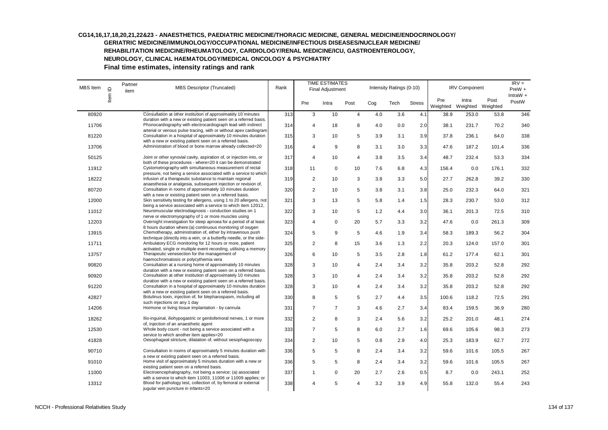#### **CG14,16,17,18,20,21,22&23 - ANAESTHETICS, PAEDIATRIC MEDICINE/THORACIC MEDICINE, GENERAL MEDICINE/ENDOCRINOLOGY/ GERIATRIC MEDICINE/IMMUNOLOGY/OCCUPATIONAL MEDICINE/INFECTIOUS DISEASES/NUCLEAR MEDICINE/**

**REHABILITATION MEDICINE/RHEUMATOLOGY, CARDIOLOGY/RENAL MEDICINE/ICU, GASTROENTEROLOGY,** 

**NEUROLOGY, CLINICAL HAEMATOLOGY/MEDICAL ONCOLOGY & PSYCHIATRY** 

| MBS Item | $\mathbf{\underline{\underline{\mathsf{\scriptstyle{C}}}}}$ | Partner<br>item | <b>MBS Descriptor (Truncated)</b>                                                                                                                                                                      |     | <b>TIME ESTIMATES</b><br>Final Adjustment |                |                         | Intensity Ratings (0-10) |      | <b>IRV Component</b> | $IRV =$<br>PreW + |                            |       |                     |
|----------|-------------------------------------------------------------|-----------------|--------------------------------------------------------------------------------------------------------------------------------------------------------------------------------------------------------|-----|-------------------------------------------|----------------|-------------------------|--------------------------|------|----------------------|-------------------|----------------------------|-------|---------------------|
|          | Item                                                        |                 |                                                                                                                                                                                                        |     | Pre                                       | Intra          | Post                    | Cog                      | Tech | <b>Stress</b>        | Pre<br>Weighted   | Intra<br>Weighted Weighted | Post  | $IntraW +$<br>PostW |
| 80920    |                                                             |                 | Consultation at other institution of approximately 10 minutes                                                                                                                                          | 313 | 3                                         | 10             | $\overline{4}$          | 4.0                      | 3.6  | 4.1                  | 38.9              | 253.0                      | 53.8  | 346                 |
| 11706    |                                                             |                 | duration with a new or existing patient seen on a referred basis.<br>Phonocardiography with electrocardiograph lead with indirect<br>arterial or venous pulse tracing, with or without apex cardiogram | 314 | 4                                         | 18             | 8                       | 4.0                      | 0.0  | 2.0                  | 38.1              | 231.7                      | 70.2  | 340                 |
| 81220    |                                                             |                 | Consultation in a hospital of approximately 10 minutes duration<br>with a new or existing patient seen on a referred basis.                                                                            | 315 | 3                                         | 10             | 5                       | 3.9                      | 3.1  | 3.9                  | 37.8              | 236.1                      | 64.0  | 338                 |
| 13706    |                                                             |                 | Administration of blood or bone marrow already collected=20                                                                                                                                            | 316 | 4                                         | 9              | 8                       | 3.1                      | 3.0  | 3.3                  | 47.6              | 187.2                      | 101.4 | 336                 |
| 50125    |                                                             |                 | Joint or other synovial cavity, aspiration of, or injection into, or<br>both of these procedures - where=20 it can be demonstrated                                                                     | 317 | 4                                         | 10             | $\overline{\mathbf{4}}$ | 3.8                      | 3.5  | 3.4                  | 48.7              | 232.4                      | 53.3  | 334                 |
| 11912    |                                                             |                 | Cystometrography with simultaneous measurement of rectal<br>pressure, not being a service associated with a service to which                                                                           | 318 | 11                                        | 0              | 10                      | 7.6                      | 6.8  | 4.3                  | 156.4             | 0.0                        | 176.1 | 332                 |
| 18222    |                                                             |                 | Infusion of a therapeutic substance to maintain regional<br>anaesthesia or analgesia, subsequent injection or revision of,                                                                             | 319 | $\overline{c}$                            | 10             | 3                       | 3.8                      | 3.3  | 5.0                  | 27.7              | 262.8                      | 39.2  | 330                 |
| 80720    |                                                             |                 | Consultation in rooms of approximately 10 minutes duration<br>with a new or existing patient seen on a referred basis.                                                                                 | 320 | $\overline{2}$                            | 10             | $\,$ 5 $\,$             | 3.8                      | 3.1  | 3.8                  | 25.0              | 232.3                      | 64.0  | 321                 |
| 12000    |                                                             |                 | Skin sensitivity testing for allergens, using 1 to 20 allergens, not<br>being a service associated with a service to which item 12012,                                                                 | 321 | 3                                         | 13             | 5                       | 5.8                      | 1.4  | 1.5                  | 28.3              | 230.7                      | 53.0  | 312                 |
| 11012    |                                                             |                 | Neuromuscular electrodiagnosis - conduction studies on 1<br>nerve or electromyography of 1 or more muscles using                                                                                       | 322 | 3                                         | 10             | 5                       | 1.2                      | 4.4  | 3.0                  | 36.1              | 201.3                      | 72.5  | 310                 |
| 12203    |                                                             |                 | Overnight investigation for sleep apnoea for a period of at least<br>8 hours duration where: (a) continuous monitoring of oxygen                                                                       | 323 | 4                                         | 0              | 20                      | 5.7                      | 3.3  | 3.2                  | 47.6              | 0.0                        | 261.3 | 309                 |
| 13915    |                                                             |                 | Chemotherapy, administration of, either by intravenous push<br>technique (directly into a vein, or a butterfly needle, or the side-                                                                    | 324 | 5                                         | 9              | 5                       | 4.6                      | 1.9  | 3.4                  | 58.3              | 189.3                      | 56.2  | 304                 |
| 11711    |                                                             |                 | Ambulatory ECG monitoring for 12 hours or more, patient<br>activated, single or multiple event recording, utilising a memory                                                                           | 325 | 2                                         | 8              | 15                      | 3.6                      | 1.3  | 2.2                  | 20.3              | 124.0                      | 157.0 | 301                 |
| 13757    |                                                             |                 | Therapeutic venesection for the management of<br>haemochromatosis or polycythemia vera                                                                                                                 | 326 | 6                                         | 10             | 5                       | 3.5                      | 2.8  | 1.8                  | 61.2              | 177.4                      | 62.1  | 301                 |
| 90820    |                                                             |                 | Consultation at a nursing home of approximately 10 minutes<br>duration with a new or existing patient seen on a referred basis.                                                                        | 328 | 3                                         | 10             | $\overline{4}$          | 2.4                      | 3.4  | 3.2                  | 35.8              | 203.2                      | 52.8  | 292                 |
| 90920    |                                                             |                 | Consultation at other institution of approximately 10 minutes<br>duration with a new or existing patient seen on a referred basis.                                                                     | 328 | 3                                         | 10             | $\overline{4}$          | 2.4                      | 3.4  | 3.2                  | 35.8              | 203.2                      | 52.8  | 292                 |
| 91220    |                                                             |                 | Consultation in a hospital of approximately 10 minutes duration<br>with a new or existing patient seen on a referred basis.                                                                            | 328 | 3                                         | 10             | $\overline{4}$          | 2.4                      | 3.4  | 3.2                  | 35.8              | 203.2                      | 52.8  | 292                 |
| 42827    |                                                             |                 | Botulinus toxin, injection of, for blepharospasm, including all<br>such injections on any 1 day                                                                                                        | 330 | 8                                         | 5              | 5                       | 2.7                      | 4.4  | 3.5                  | 100.6             | 118.2                      | 72.5  | 291                 |
| 14206    |                                                             |                 | Hormone or living tissue implantation - by cannula                                                                                                                                                     | 331 | $\overline{7}$                            | $\overline{7}$ | 3                       | 4.6                      | 2.7  | 3.4                  | 83.4              | 159.5                      | 36.9  | 280                 |
| 18262    |                                                             |                 | Ilio-inguinal, iliohypogastric or genitofemoral nerves, 1 or more<br>of, injection of an anaesthetic agent                                                                                             | 332 | $\overline{2}$                            | 8              | 3                       | 2.4                      | 5.6  | 3.2                  | 25.2              | 201.0                      | 48.1  | 274                 |
| 12530    |                                                             |                 | Whole body count - not being a service associated with a<br>service to which another item applies=20                                                                                                   | 333 | $\overline{7}$                            | 5              | 8                       | 6.0                      | 2.7  | 1.6                  | 69.6              | 105.6                      | 98.3  | 273                 |
| 41828    |                                                             |                 | Oesophageal stricture, dilatation of, without oesophagoscopy                                                                                                                                           | 334 | $\overline{2}$                            | 10             | 5                       | 0.8                      | 2.9  | 4.0                  | 25.3              | 183.9                      | 62.7  | 272                 |
| 90710    |                                                             |                 | Consultation in rooms of approximately 5 minutes duration with<br>a new or existing patient seen on a referred basis.                                                                                  | 336 | 5                                         | 5              | 8                       | 2.4                      | 3.4  | 3.2                  | 59.6              | 101.6                      | 105.5 | 267                 |
| 91010    |                                                             |                 | Home visit of approximately 5 minutes duration with a new or<br>existing patient seen on a referred basis.                                                                                             | 336 | 5                                         | 5              | 8                       | 2.4                      | 3.4  | 3.2                  | 59.6              | 101.6                      | 105.5 | 267                 |
| 11000    |                                                             |                 | Electroencephalography, not being a service: (a) associated<br>with a service to which item 11003, 11006 or 11009 applies; or                                                                          | 337 | -1                                        | 0              | 20                      | 2.7                      | 2.6  | 0.5                  | 8.7               | 0.0                        | 243.1 | 252                 |
| 13312    |                                                             |                 | Blood for pathology test, collection of, by femoral or external<br>jugular vein puncture in infants=20                                                                                                 | 338 | 4                                         | 5              | $\overline{4}$          | 3.2                      | 3.9  | 4.9                  | 55.8              | 132.0                      | 55.4  | 243                 |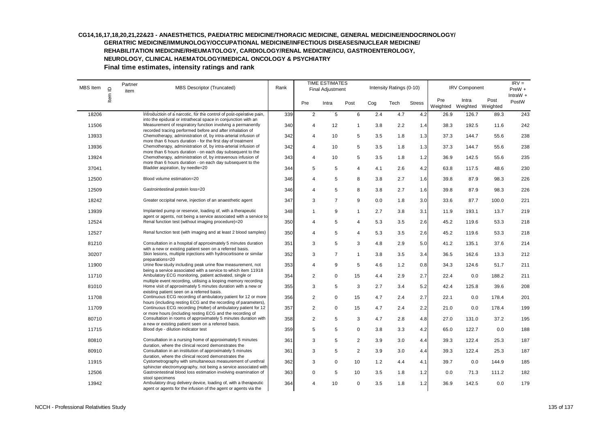| <b>MBS</b> Item | $\supseteq$ | Partner<br>MBS Descriptor (Truncated)<br>item |                                                                                                                                                                                             | Rank |                | TIME ESTIMATES<br>Final Adjustment |                |       | Intensity Ratings (0-10) |                 | <b>IRV Component</b>       | $IRV =$<br>$PreW +$<br>IntraW $+$ |       |     |
|-----------------|-------------|-----------------------------------------------|---------------------------------------------------------------------------------------------------------------------------------------------------------------------------------------------|------|----------------|------------------------------------|----------------|-------|--------------------------|-----------------|----------------------------|-----------------------------------|-------|-----|
|                 | Item        |                                               |                                                                                                                                                                                             | Pre  | Intra          | Post                               | Cog            | Tech  | <b>Stress</b>            | Pre<br>Weighted | Intra<br>Weighted Weighted | Post                              | PostW |     |
| 18206           |             |                                               | Introduction of a narcotic, for the control of post-operative pain,                                                                                                                         | 339  | $\overline{2}$ | 5                                  | 6              | 2.4   | 4.7                      | 4.2             | 26.9                       | 126.7                             | 89.3  | 243 |
| 11506           |             |                                               | into the epidural or intrathecal space in conjunction with an<br>Measurement of respiratory function involving a permanently<br>recorded tracing performed before and after inhalation of   | 340  | 4              | 12                                 | $\mathbf{1}$   | 3.8   | 2.2                      | 1.4             | 38.3                       | 192.5                             | 11.6  | 242 |
| 13933           |             |                                               | Chemotherapy, administration of, by intra-arterial infusion of                                                                                                                              | 342  | 4              | 10                                 | 5              | 3.5   | 1.8                      | 1.3             | 37.3                       | 144.7                             | 55.6  | 238 |
| 13936           |             |                                               | more than 6 hours duration - for the first day of treatment<br>Chemotherapy, administration of, by intra-arterial infusion of<br>more than 6 hours duration - on each day subsequent to the | 342  | $\overline{4}$ | 10                                 | 5              | 3.5   | 1.8                      | 1.3             | 37.3                       | 144.7                             | 55.6  | 238 |
| 13924           |             |                                               | Chemotherapy, administration of, by intravenous infusion of                                                                                                                                 | 343  | $\overline{4}$ | 10                                 | 5              | 3.5   | 1.8                      | 1.2             | 36.9                       | 142.5                             | 55.6  | 235 |
| 37041           |             |                                               | more than 6 hours duration - on each day subsequent to the<br>Bladder aspiration, by needle=20                                                                                              | 344  | 5              | 5                                  | $\overline{4}$ | 4.1   | 2.6                      | 4.2             | 63.8                       | 117.5                             | 48.6  | 230 |
| 12500           |             |                                               | Blood volume estimation=20                                                                                                                                                                  | 346  | $\overline{4}$ | 5                                  | 8              | 3.8   | 2.7                      | 1.6             | 39.8                       | 87.9                              | 98.3  | 226 |
| 12509           |             |                                               | Gastrointestinal protein loss=20                                                                                                                                                            | 346  | $\overline{4}$ | 5                                  | 8              | 3.8   | 2.7                      | 1.6             | 39.8                       | 87.9                              | 98.3  | 226 |
| 18242           |             |                                               | Greater occipital nerve, injection of an anaesthetic agent                                                                                                                                  | 347  | 3              | $\overline{7}$                     | 9              | 0.0   | 1.8                      | 3.0             | 33.6                       | 87.7                              | 100.0 | 221 |
| 13939           |             |                                               | Implanted pump or reservoir, loading of, with a therapeutic<br>agent or agents, not being a service associated with a service to                                                            | 348  | $\mathbf{1}$   | 9                                  | $\mathbf{1}$   | 2.7   | 3.8                      | 3.1             | 11.9                       | 193.1                             | 13.7  | 219 |
| 12524           |             |                                               | Renal function test (without imaging procedure)=20                                                                                                                                          | 350  | $\overline{4}$ | 5                                  | $\overline{4}$ | 5.3   | 3.5                      | 2.6             | 45.2                       | 119.6                             | 53.3  | 218 |
| 12527           |             |                                               | Renal function test (with imaging and at least 2 blood samples)                                                                                                                             | 350  | $\overline{4}$ | 5                                  | $\overline{4}$ | 5.3   | 3.5                      | 2.6             | 45.2                       | 119.6                             | 53.3  | 218 |
| 81210           |             |                                               | Consultation in a hospital of approximately 5 minutes duration<br>with a new or existing patient seen on a referred basis.                                                                  | 351  | 3              | 5                                  | 3              | 4.8   | 2.9                      | 5.0             | 41.2                       | 135.1                             | 37.6  | 214 |
| 30207           |             |                                               | Skin lesions, multiple injections with hydrocortisone or similar<br>preparations=20                                                                                                         | 352  | 3              | $\overline{7}$                     | $\mathbf{1}$   | 3.8   | 3.5                      | 3.4             | 36.5                       | 162.6                             | 13.3  | 212 |
| 11900           |             |                                               | Urine flow study including peak urine flow measurement, not<br>being a service associated with a service to which item 11918                                                                | 353  | $\overline{4}$ | 9                                  | 5              | 4.6   | 1.2                      | 0.8             | 34.3                       | 124.6                             | 51.7  | 211 |
| 11710           |             |                                               | Ambulatory ECG monitoring, patient activated, single or<br>multiple event recording, utilising a looping memory recording                                                                   | 354  | $\overline{2}$ | $\mathbf 0$                        | 15             | 4.4   | 2.9                      | 2.7             | 22.4                       | 0.0                               | 188.2 | 211 |
| 81010           |             |                                               | Home visit of approximately 5 minutes duration with a new or<br>existing patient seen on a referred basis.                                                                                  | 355  | 3              | 5                                  | 3              | 2.7   | 3.4                      | 5.2             | 42.4                       | 125.8                             | 39.6  | 208 |
| 11708           |             |                                               | Continuous ECG recording of ambulatory patient for 12 or more<br>hours (including resting ECG and the recording of parameters).                                                             | 356  | $\overline{2}$ | $\Omega$                           | 15             | 4.7   | 2.4                      | 2.7             | 22.1                       | 0.0                               | 178.4 | 201 |
| 11709           |             |                                               | Continuous ECG recording (Holter) of ambulatory patient for 12                                                                                                                              | 357  | $\overline{2}$ | $\mathbf 0$                        | 15             | 4.7   | 2.4                      | 2.2             | 21.0                       | 0.0                               | 178.4 | 199 |
| 80710           |             |                                               | or more hours (including resting ECG and the recording of<br>Consultation in rooms of approximately 5 minutes duration with<br>a new or existing patient seen on a referred basis.          | 358  | $\overline{2}$ | 5                                  | 3              | 4.7   | 2.8                      | 4.8             | 27.0                       | 131.0                             | 37.2  | 195 |
| 11715           |             |                                               | Blood dye - dilution indicator test                                                                                                                                                         | 359  | 5              | 5                                  | 0              | 3.8   | 3.3                      | 4.2             | 65.0                       | 122.7                             | 0.0   | 188 |
| 80810           |             |                                               | Consultation in a nursing home of approximately 5 minutes<br>duration, where the clinical record demonstrates the                                                                           | 361  | 3              | 5                                  | 2              | 3.9   | 3.0                      | 4.4             | 39.3                       | 122.4                             | 25.3  | 187 |
| 80910           |             |                                               | Consultation in an institution of approximately 5 minutes<br>duration, where the clinical record demonstrates the                                                                           | 361  | 3              | 5                                  | $\overline{2}$ | 3.9   | 3.0                      | 4.4             | 39.3                       | 122.4                             | 25.3  | 187 |
| 11915           |             |                                               | Cystometrography with simultaneous measurement of urethral<br>sphincter electromyography, not being a service associated with                                                               | 362  | 3              | 0                                  | 10             | $1.2$ | 4.4                      | 4.1             | 39.7                       | 0.0                               | 144.9 | 185 |
| 12506           |             |                                               | Gastrointestinal blood loss estimation involving examination of<br>stool specimens                                                                                                          | 363  | $\Omega$       | 5                                  | 10             | 3.5   | 1.8                      | 1.2             | 0.0                        | 71.3                              | 111.2 | 182 |
| 13942           |             |                                               | Ambulatory drug delivery device, loading of, with a therapeutic<br>agent or agents for the infusion of the agent or agents via the                                                          | 364  | $\overline{4}$ | 10                                 | $\mathbf 0$    | 3.5   | 1.8                      | 1.2             | 36.9                       | 142.5                             | 0.0   | 179 |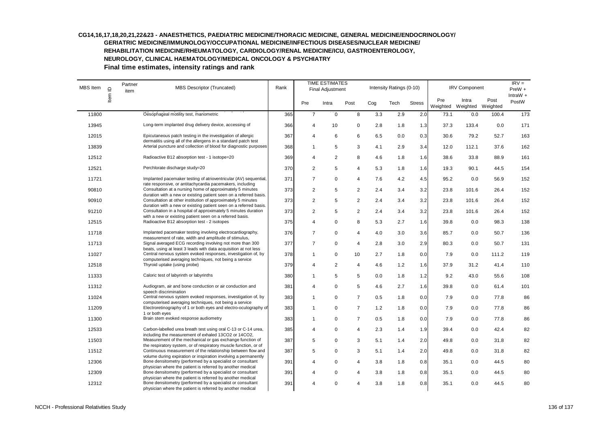$MBS$  Item  $Q$  Partner MBS Descriptor (Truncated) Rank TIME ESTIMATES Final Adjustment Intensity Ratings (0-10) IRV Component Pre Intra Post Cog Tech Stress Pre **Weighted** Intra Weighted Post Weighted 136003 Heart-lung item MBS Descriptor (Truncated)<br>
2365 7 0 8 3.3 2.9 2.0 73.1 0.0 100.4 173<br>
2365 7 0 8 3.3 2.9 2.0 73.1 0.0 100.4 173  $IRV =$ PreW + IntraW + PostW 11800 Oesophageal motility test, manometric 365 7 0 8 3.3 2.9 2.0 73.1 0.0 100.4 173 13945 Long-term implanted drug delivery device, accessing of 366 4 10 0 2.8 1.8 1.3 37.3 133.4 0.0 171 12015 Epicutaneous patch testing in the investigation of allergic dermatitis using all of the allergens in a standard patch test 367 4 6 6 6.5 0.0 0.3 30.6 79.2 52.7 163 13839 Arterial puncture and collection of blood for diagnostic purposes 368 1 5 3 4.1 2.9 3.4 12.0 112.1 37.6 162 12512 Radioactive B12 absorption test - 1 isotope=20 1 369 4 2 8 4.6 1.8 1.6 38.6 33.8 88.9 161 12521 Perchlorate discharge study=20 154 370 2 5 4 5.3 1.8 1.6 19.3 90.1 44.5 154 11721 Implanted pacemaker testing of atrioventricular (AV) sequential, rate responsive, or antitachycardia pacemakers, including 371 7 0 4 7.6 4.2 4.5 95.2 0.0 56.9 152 90810 Consultation at a nursing home of approximately 5 minutes duration with a new or existing patient seen on a referred basis. 373 2 5 2 2.4 3.4 3.2 23.8 101.6 26.4 152 90910 Consultation at other institution of approximately 5 minutes duration with a new or existing patient seen on a referred basis. 373 2 5 2 2.4 3.4 3.2 23.8 101.6 26.4 152 91210 Consultation in a hospital of approximately 5 minutes duration with a new or existing patient seen on a referred basis. 373 2 5 2 2.4 3.4 3.2 23.8 101.6 26.4 152 12515 Radioactive B12 absorption test - 2 isotopes 138 375 4 0 8 5.3 2.7 1.6 39.8 0.0 98.3 138 11718 Implanted pacemaker testing involving electrocardiography, measurement of rate, width and amplitude of stimulus, 376 7 0 4 4.0 3.0 3.6 85.7 0.0 50.7 136 11713 Signal averaged ECG recording involving not more than 300 beats, using at least 3 leads with data acquisition at not less 377 7 0 4 2.8 3.0 2.9 80.3 0.0 50.7 131 11027 Central nervous system evoked responses, investigation of, by computerised averaging techniques, not being a service 378 1 0 10 2.7 1.8 0.0 7.9 0.0 111.2 119 12518 Thyroid uptake (using probe) 379 4 2 4 4.6 1.2 1.6 37.9 31.2 41.4 110 11333 Caloric test of labyrinth or labyrinths 1880 1 5 5 0.0 1.8 1.2 9.2 43.0 55.6 108 11312 Audiogram, air and bone conduction or air conduction and speech discrimination 381 4 0 5 4.6 2.7 1.6 39.8 0.0 61.4 101 11024 Central nervous system evoked responses, investigation of, by computerised averaging techniques, not being a service 383 1 0 7 0.5 1.8 0.0 7.9 0.0 77.8 86 11209 Electroretinography of 1 or both eyes and electro-oculography of 1 or both eyes 383 1 0 7 1.2 1.8 0.0 7.9 0.0 77.8 86 11300 Brain stem evoked response audiometry 383 1 0 7 0.5 1.8 0.0 7.9 0.0 77.8 86 12533 Carbon-labelled urea breath test using oral C-13 or C-14 urea, including the measurement of exhaled 13CO2 or 14CO2, 385 4 0 4 2.3 1.4 1.9 39.4 0.0 42.4 82 11503 Measurement of the mechanical or gas exchange function of the respiratory system, or of respiratory muscle function, or of 387 5 0 3 5.1 1.4 2.0 49.8 0.0 31.8 82 11512 Continuous measurement of the relationship between flow and volume during expiration or inspiration involving a permanently 387 5 0 3 5.1 1.4 2.0 49.8 0.0 31.8 82 12306 Bone densitometry (performed by a specialist or consultant physician where the patient is referred by another medical 391 4 0 4 3.8 1.8 0.8 35.1 0.0 44.5 80 12309 Bone densitometry (performed by a specialist or consultant physician where the patient is referred by another medical 391 4 0 4 3.8 1.8 0.8 35.1 0.0 44.5 80 12312 Bone densitometry (performed by a specialist or consultant physician where the patient is referred by another medical 391 4 0 4 3.8 1.8 0.8 35.1 0.0 44.5 80